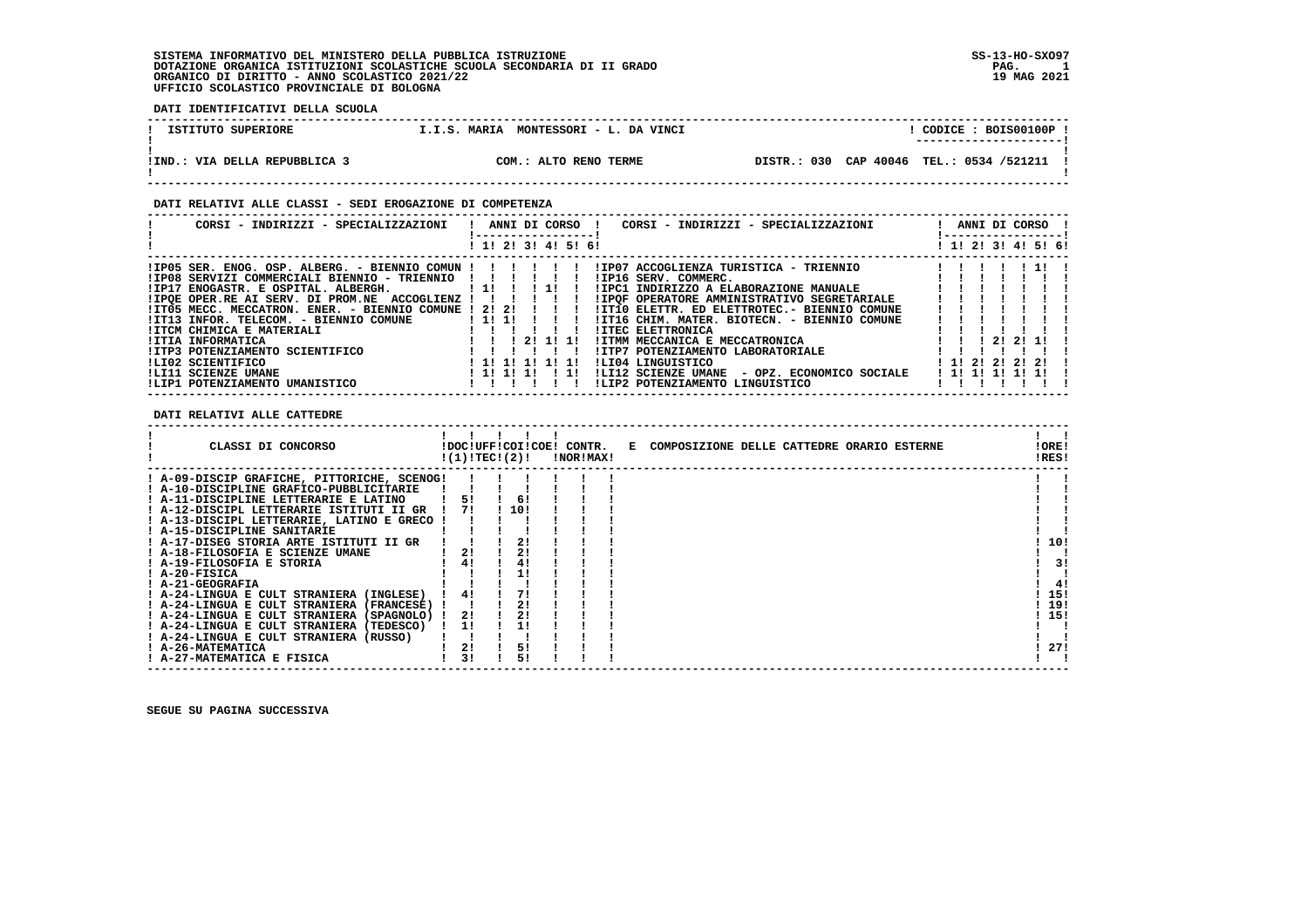**DATI IDENTIFICATIVI DELLA SCUOLA**

| ISTITUTO SUPERIORE            | MONTESSORI - L. DA VINCI<br><b>T.I.S. MARIA</b> | CODICE: BOIS00100P !<br>---------------------- |
|-------------------------------|-------------------------------------------------|------------------------------------------------|
| !IND.: VIA DELLA REPUBBLICA 3 | COM.: ALTO RENO TERME                           | DISTR.: 030 CAP 40046 TEL.: 0534 /521211       |

 **------------------------------------------------------------------------------------------------------------------------------------**

 **DATI RELATIVI ALLE CLASSI - SEDI EROGAZIONE DI COMPETENZA**

| CORSI - INDIRIZZI - SPECIALIZZAZIONI                  |                     | ANNI DI CORSO !                             | CORSI - INDIRIZZI - SPECIALIZZAZIONI         | -----------------     |          | ANNI DI CORSO !     |
|-------------------------------------------------------|---------------------|---------------------------------------------|----------------------------------------------|-----------------------|----------|---------------------|
|                                                       | ! 1! 2! 3! 4! 5! 6! |                                             |                                              |                       |          | ! 1! 2! 3! 4! 5! 6! |
|                                                       |                     |                                             |                                              |                       |          |                     |
| !IP08 SERVIZI COMMERCIALI BIENNIO - TRIENNIO          |                     |                                             | !IP16 SERV. COMMERC.                         |                       |          |                     |
| !IP17 ENOGASTR. E OSPITAL. ALBERGH.                   | $1\,11$             | $\begin{array}{cccc} 1 & 1 & 1 \end{array}$ | !IPC1 INDIRIZZO A ELABORAZIONE MANUALE       |                       |          |                     |
| ! IPOE OPER.RE AI SERV. DI PROM.NE ACCOGLIENZ ! !!    |                     |                                             | !IPOF OPERATORE AMMINISTRATIVO SEGRETARIALE  |                       |          |                     |
| !IT05 MECC. MECCATRON. ENER. - BIENNIO COMUNE ! 2! 2! |                     | $\blacksquare$                              | !IT10 ELETTR. ED ELETTROTEC.- BIENNIO COMUNE |                       |          |                     |
| IIT13 INFOR. TELECOM. - BIENNIO COMUNE                | ! 1! 1!             |                                             | !IT16 CHIM. MATER. BIOTECN. - BIENNIO COMUNE |                       |          |                     |
| !ITCM CHIMICA E MATERIALI                             |                     |                                             | <b>!ITEC ELETTRONICA</b>                     |                       |          |                     |
| !ITIA INFORMATICA                                     |                     | 21111                                       | IITMM MECCANICA E MECCATRONICA               |                       | 21 21 11 |                     |
| IITP3 POTENZIAMENTO SCIENTIFICO                       |                     |                                             | !ITP7 POTENZIAMENTO LABORATORIALE            |                       |          |                     |
| ILI02 SCIENTIFICO                                     | ! 1! 1! 1! 1! 1!    |                                             | ILI04 LINGUISTICO                            | 1 1 1 2 1 2 1 2 1 2 1 |          |                     |
| !LI11 SCIENZE UMANE                                   | ! 1! 1! 1!          | -11                                         | !LI12 SCIENZE UMANE - OPZ. ECONOMICO SOCIALE | !!!!!!!!!             |          |                     |
| !LIP1 POTENZIAMENTO UMANISTICO                        |                     |                                             | !LIP2 POTENZIAMENTO LINGUISTICO              |                       |          |                     |

 **DATI RELATIVI ALLE CATTEDRE**

| CLASSI DI CONCORSO                          |    | !(1)!TEC!(2)! | !DOC!UFF!COI!COE! CONTR.<br><b>!NOR!MAX!</b> | E COMPOSIZIONE DELLE CATTEDRE ORARIO ESTERNE | !ORE!<br>!RES! |     |
|---------------------------------------------|----|---------------|----------------------------------------------|----------------------------------------------|----------------|-----|
| ! A-09-DISCIP GRAFICHE, PITTORICHE, SCENOG! |    |               |                                              |                                              |                |     |
| ! A-10-DISCIPLINE GRAFICO-PUBBLICITARIE     |    |               |                                              |                                              |                |     |
| ! A-11-DISCIPLINE LETTERARIE E LATINO       | 51 | 6!            |                                              |                                              |                |     |
| ! A-12-DISCIPL LETTERARIE ISTITUTI II GR    | 71 | 110!          |                                              |                                              |                |     |
| ! A-13-DISCIPL LETTERARIE, LATINO E GRECO ! |    |               |                                              |                                              |                |     |
| ! A-15-DISCIPLINE SANITARIE                 |    |               |                                              |                                              |                |     |
| ! A-17-DISEG STORIA ARTE ISTITUTI II GR     |    | 2!            |                                              |                                              |                | 10! |
| ! A-18-FILOSOFIA E SCIENZE UMANE            | 21 |               |                                              |                                              |                |     |
| ! A-19-FILOSOFIA E STORIA                   | 41 |               |                                              |                                              |                | 31  |
| ! A-20-FISICA                               |    |               |                                              |                                              |                |     |
| ! A-21-GEOGRAFIA                            |    |               |                                              |                                              |                | 4!  |
| ! A-24-LINGUA E CULT STRANIERA (INGLESE)    |    |               |                                              |                                              |                | 15! |
| ! A-24-LINGUA E CULT STRANIERA (FRANCESE)   |    | 21            |                                              |                                              |                | 19! |
| ! A-24-LINGUA E CULT STRANIERA (SPAGNOLO) ! | 2! | 2!            |                                              |                                              |                | 15! |
| ! A-24-LINGUA E CULT STRANIERA (TEDESCO)    | 11 |               |                                              |                                              |                |     |
| ! A-24-LINGUA E CULT STRANIERA (RUSSO)      |    |               |                                              |                                              |                |     |
| ! A-26-MATEMATICA                           | 2! | 5!            |                                              |                                              |                | 27! |
| ! A-27-MATEMATICA E FISICA                  | 31 | 51            |                                              |                                              |                |     |

 **------------------------------------------------------------------------------------------------------------------------------------**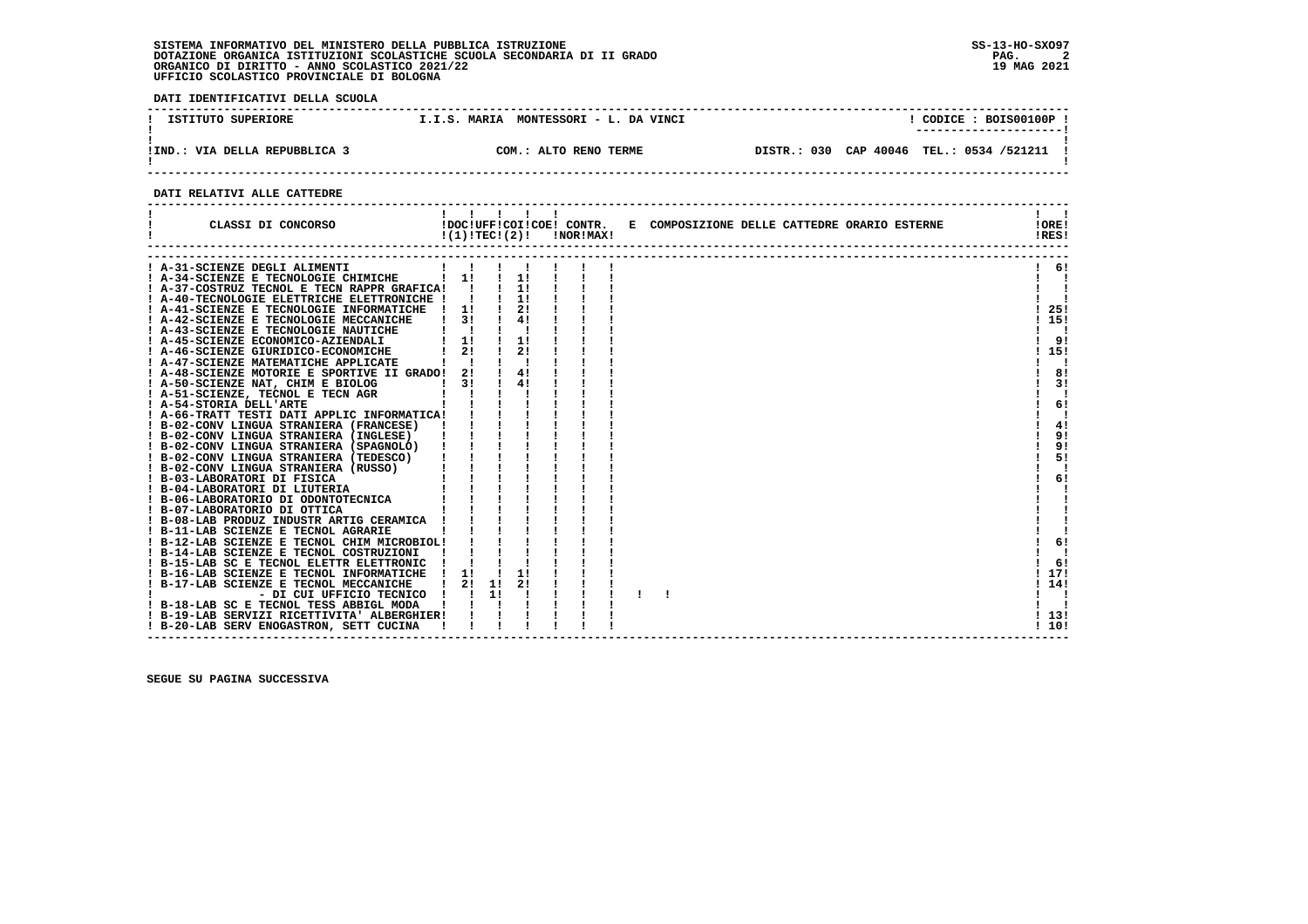**DATI IDENTIFICATIVI DELLA SCUOLA**

| ISTITUTO SUPERIORE            | MONTESSORI - L. DA VINCI<br>I.I.S. MARIA | CODICE: BOIS00100P!                                                |
|-------------------------------|------------------------------------------|--------------------------------------------------------------------|
| !IND.: VIA DELLA REPUBBLICA 3 | COM.: ALTO RENO TERME                    | ----------------------<br>DISTR.: 030 CAP 40046 TEL.: 0534 /521211 |

 **------------------------------------------------------------------------------------------------------------------------------------**

#### **DATI RELATIVI ALLE CATTEDRE**

| CLASSI DI CONCORSO                                                                                                                                                                                                                                                                                                                                                                                                                                                                                                                                   |                          | 11111<br>!DOC!UFF!COI!COE! CONTR.<br>$!(1)!TEC!(2)!$ $INORIMAX!$ |               |               |  | E COMPOSIZIONE DELLE CATTEDRE ORARIO ESTERNE | !ORE!<br>!RES! |
|------------------------------------------------------------------------------------------------------------------------------------------------------------------------------------------------------------------------------------------------------------------------------------------------------------------------------------------------------------------------------------------------------------------------------------------------------------------------------------------------------------------------------------------------------|--------------------------|------------------------------------------------------------------|---------------|---------------|--|----------------------------------------------|----------------|
| A-31-SCIENZE DEGLI ALIMENTI                                                                                                                                                                                                                                                                                                                                                                                                                                                                                                                          |                          |                                                                  |               |               |  |                                              | 6!             |
| ! A-34-SCIENZE E TECNOLOGIE CHIMICHE                                                                                                                                                                                                                                                                                                                                                                                                                                                                                                                 | $\frac{1}{1}$            |                                                                  |               | $\frac{1}{1}$ |  |                                              |                |
| ! A-37-COSTRUZ TECNOL E TECN RAPPR GRAFICA! !                                                                                                                                                                                                                                                                                                                                                                                                                                                                                                        |                          |                                                                  |               | $\frac{1}{1}$ |  |                                              |                |
| ! A-40-TECNOLOGIE ELETTRICHE ELETTRONICHE ! !                                                                                                                                                                                                                                                                                                                                                                                                                                                                                                        |                          |                                                                  |               | $\frac{1}{1}$ |  |                                              |                |
| ! A-41-SCIENZE E TECNOLOGIE INFORMATICHE ! 1!                                                                                                                                                                                                                                                                                                                                                                                                                                                                                                        |                          |                                                                  |               | $\frac{1}{2}$ |  |                                              | -25!           |
| ! A-42-SCIENZE E TECNOLOGIE MECCANICHE                                                                                                                                                                                                                                                                                                                                                                                                                                                                                                               |                          | 3!                                                               |               | 4!            |  |                                              | 15!            |
| A-43-SCIENZE E TECNOLOGIE NAUTICHE                                                                                                                                                                                                                                                                                                                                                                                                                                                                                                                   |                          |                                                                  |               |               |  |                                              |                |
| ! A-45-SCIENZE ECONOMICO-AZIENDALI                                                                                                                                                                                                                                                                                                                                                                                                                                                                                                                   |                          |                                                                  | $\frac{1}{2}$ |               |  |                                              | 9!             |
| ! A-46-SCIENZE GIURIDICO-ECONOMICHE                                                                                                                                                                                                                                                                                                                                                                                                                                                                                                                  |                          |                                                                  |               | 21            |  |                                              | 15!            |
| ! A-47-SCIENZE MATEMATICHE APPLICATE                                                                                                                                                                                                                                                                                                                                                                                                                                                                                                                 |                          |                                                                  |               |               |  |                                              |                |
| ! A-48-SCIENZE MOTORIE E SPORTIVE II GRADO! 2!                                                                                                                                                                                                                                                                                                                                                                                                                                                                                                       |                          |                                                                  |               | 4!            |  |                                              | 8!             |
|                                                                                                                                                                                                                                                                                                                                                                                                                                                                                                                                                      |                          |                                                                  |               | 4!            |  |                                              | 3!             |
|                                                                                                                                                                                                                                                                                                                                                                                                                                                                                                                                                      |                          |                                                                  |               |               |  |                                              |                |
|                                                                                                                                                                                                                                                                                                                                                                                                                                                                                                                                                      |                          |                                                                  |               |               |  |                                              | 6!             |
| 1 A-50-SCIENZE NAT, CHIM E BIOLOG 1 31 1 4<br>1 A-51-SCIENZE, TECNOL E TECN AGR 1 1 1<br>1 A-54-STORIA DELL'ARTE<br>1 A-66-TRATT TESTI DATI APPLIC INFORMATICA! 1 1<br>$\begin{tabular}{c c c} & .00031 & .00000 & .00000 & .00000 & .00000 \\ \hline \hline \end{tabular} \begin{tabular}{c c c} \multicolumn{3}{c}{\textbf{1}} & .00000 & .00000 & .00000 \\ \multicolumn{2}{c}{\textbf{1}} & .00000 & .00000 & .00000 \\ \multicolumn{2}{c}{\textbf{1}} & .00000 & .00000 & .000000 & .00000 \\ \multicolumn{2}{c}{\textbf{1}} & .00000 & .00000$ |                          |                                                                  |               |               |  |                                              |                |
|                                                                                                                                                                                                                                                                                                                                                                                                                                                                                                                                                      |                          |                                                                  |               |               |  |                                              | 4!             |
|                                                                                                                                                                                                                                                                                                                                                                                                                                                                                                                                                      |                          |                                                                  |               |               |  |                                              | 9!             |
|                                                                                                                                                                                                                                                                                                                                                                                                                                                                                                                                                      |                          |                                                                  |               |               |  |                                              | 9!             |
|                                                                                                                                                                                                                                                                                                                                                                                                                                                                                                                                                      |                          |                                                                  |               |               |  |                                              | 5!             |
|                                                                                                                                                                                                                                                                                                                                                                                                                                                                                                                                                      |                          |                                                                  |               |               |  |                                              |                |
|                                                                                                                                                                                                                                                                                                                                                                                                                                                                                                                                                      |                          |                                                                  |               |               |  |                                              | 6!             |
|                                                                                                                                                                                                                                                                                                                                                                                                                                                                                                                                                      |                          |                                                                  |               |               |  |                                              |                |
|                                                                                                                                                                                                                                                                                                                                                                                                                                                                                                                                                      |                          |                                                                  |               |               |  |                                              |                |
|                                                                                                                                                                                                                                                                                                                                                                                                                                                                                                                                                      |                          |                                                                  |               |               |  |                                              |                |
|                                                                                                                                                                                                                                                                                                                                                                                                                                                                                                                                                      |                          |                                                                  |               |               |  |                                              |                |
|                                                                                                                                                                                                                                                                                                                                                                                                                                                                                                                                                      |                          |                                                                  |               |               |  |                                              |                |
|                                                                                                                                                                                                                                                                                                                                                                                                                                                                                                                                                      |                          |                                                                  |               |               |  |                                              | 6!             |
|                                                                                                                                                                                                                                                                                                                                                                                                                                                                                                                                                      |                          |                                                                  |               |               |  |                                              |                |
|                                                                                                                                                                                                                                                                                                                                                                                                                                                                                                                                                      |                          |                                                                  |               |               |  |                                              | 6!             |
| ! B-16-LAB SCIENZE E TECNOL INFORMATICHE                                                                                                                                                                                                                                                                                                                                                                                                                                                                                                             |                          | 11                                                               |               | 11            |  |                                              | 17!            |
| B-17-LAB SCIENZE E TECNOL MECCANICHE                                                                                                                                                                                                                                                                                                                                                                                                                                                                                                                 |                          | 2!                                                               | 11            | 2!            |  |                                              | 14!            |
|                                                                                                                                                                                                                                                                                                                                                                                                                                                                                                                                                      | - DI CUI UFFICIO TECNICO |                                                                  | 11            |               |  |                                              |                |
| ! B-18-LAB SC E TECNOL TESS ABBIGL MODA                                                                                                                                                                                                                                                                                                                                                                                                                                                                                                              |                          |                                                                  |               |               |  |                                              |                |
| ! B-19-LAB SERVIZI RICETTIVITA' ALBERGHIER!                                                                                                                                                                                                                                                                                                                                                                                                                                                                                                          |                          |                                                                  |               |               |  |                                              | ! 13!          |
| ! B-20-LAB SERV ENOGASTRON, SETT CUCINA                                                                                                                                                                                                                                                                                                                                                                                                                                                                                                              |                          |                                                                  |               |               |  |                                              | 110!           |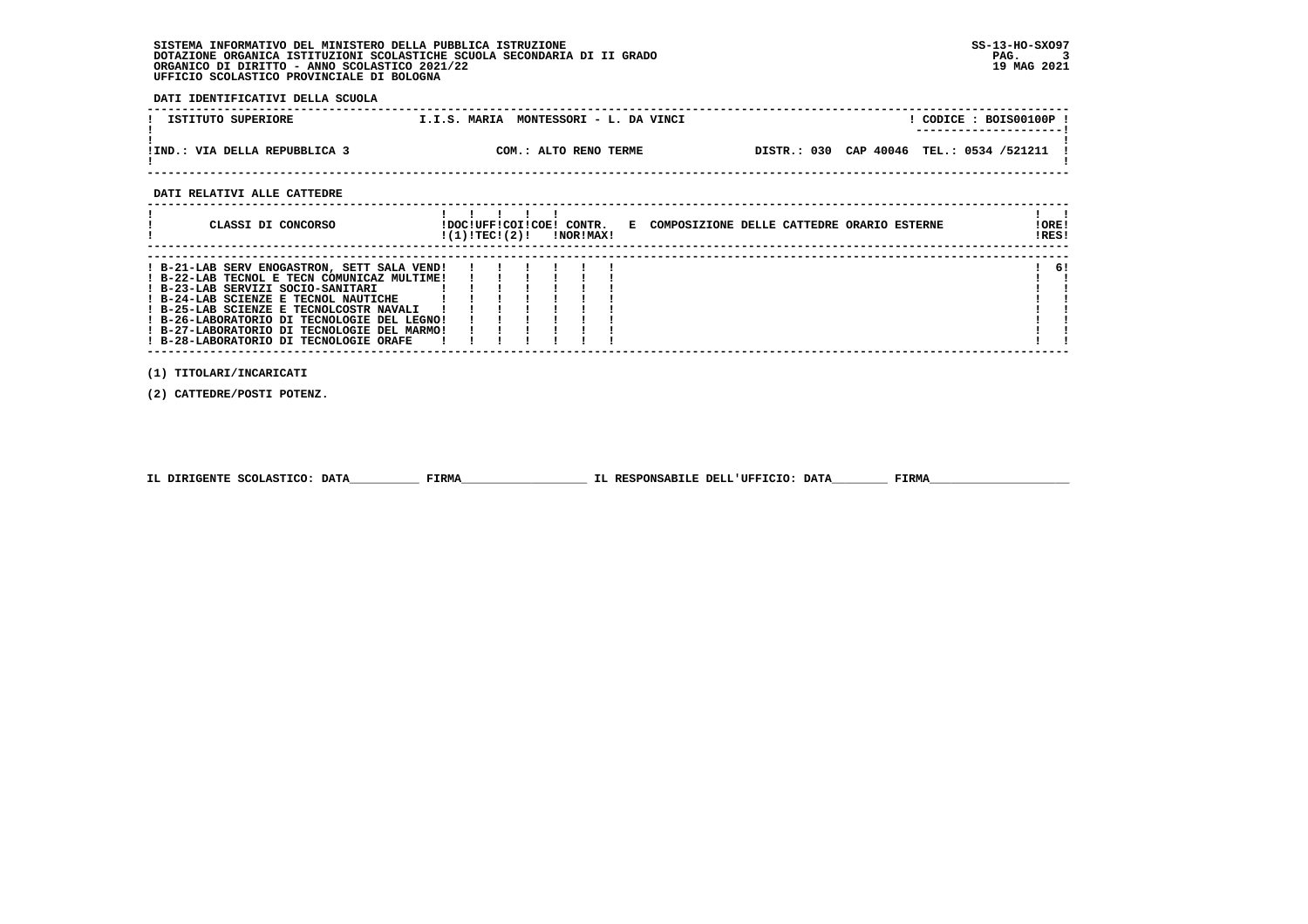**DATI IDENTIFICATIVI DELLA SCUOLA**

| ISTITUTO SUPERIORE            | MONTESSORI - L. DA VINCI<br>I.I.S. MARIA | CODICE: BOIS00100P!<br>---------------------- |
|-------------------------------|------------------------------------------|-----------------------------------------------|
| !IND.: VIA DELLA REPUBBLICA 3 | COM.: ALTO RENO TERME                    | CAP 40046 TEL.: 0534 /521211<br>DISTR.: 030   |

 **------------------------------------------------------------------------------------------------------------------------------------**

 **DATI RELATIVI ALLE CATTEDRE**

| CLASSI DI CONCORSO                                                                                                                                                                                                                                                                                                                                         | !DOC!UFF!COI!COE! CONTR.<br>!(1)!TEC!(2)! |  | <b>!NOR!MAX!</b> | E COMPOSIZIONE DELLE CATTEDRE ORARIO ESTERNE | !ORE!<br>!RES! |
|------------------------------------------------------------------------------------------------------------------------------------------------------------------------------------------------------------------------------------------------------------------------------------------------------------------------------------------------------------|-------------------------------------------|--|------------------|----------------------------------------------|----------------|
| ! B-21-LAB SERV ENOGASTRON, SETT SALA VEND!<br>! B-22-LAB TECNOL E TECN COMUNICAZ MULTIME!<br>! B-23-LAB SERVIZI SOCIO-SANITARI<br>! B-24-LAB SCIENZE E TECNOL NAUTICHE<br>! B-25-LAB SCIENZE E TECNOLCOSTR NAVALI<br>! B-26-LABORATORIO DI TECNOLOGIE DEL LEGNO!<br>! B-27-LABORATORIO DI TECNOLOGIE DEL MARMO!<br>! B-28-LABORATORIO DI TECNOLOGIE ORAFE |                                           |  |                  |                                              | -61            |

 **(1) TITOLARI/INCARICATI**

 **(2) CATTEDRE/POSTI POTENZ.**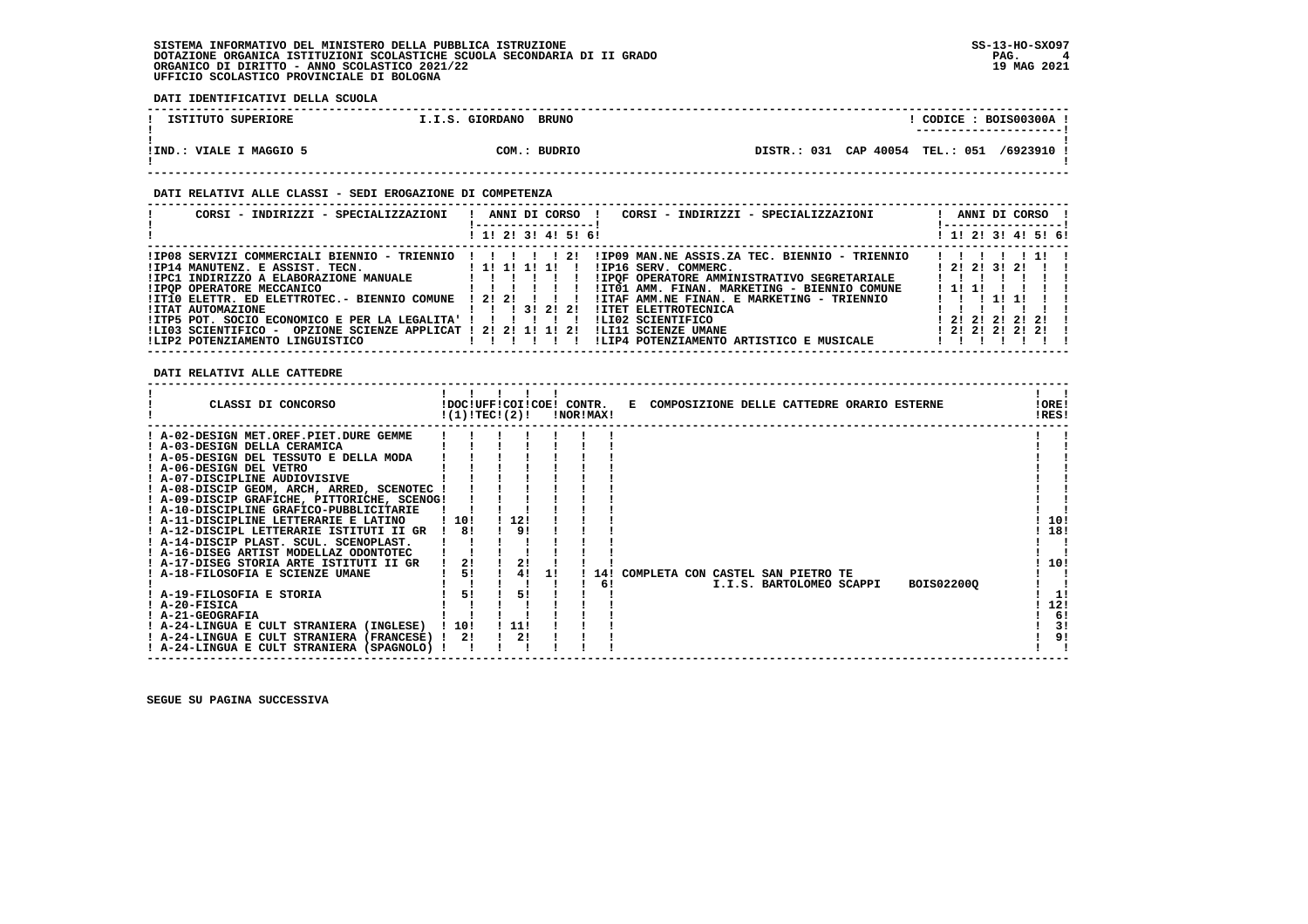**DATI IDENTIFICATIVI DELLA SCUOLA**

| ISTITUTO SUPERIORE      | I.I.S. GIORDANO | <b>BRUNO</b> |  |  |  | CODICE: BOIS00300A!<br>---------------------- |  |
|-------------------------|-----------------|--------------|--|--|--|-----------------------------------------------|--|
| !IND.: VIALE I MAGGIO 5 |                 | COM.: BUDRIO |  |  |  | DISTR.: 031 CAP 40054 TEL.: 051 /6923910 !    |  |

#### **DATI RELATIVI ALLE CLASSI - SEDI EROGAZIONE DI COMPETENZA**

| CORSI - INDIRIZZI - SPECIALIZZAZIONI                                                                                                                       | ! ANNI DI CORSO !<br>CORSI - INDIRIZZI - SPECIALIZZAZIONI<br>------------------ | ANNI DI CORSO !<br>! ----------------- |
|------------------------------------------------------------------------------------------------------------------------------------------------------------|---------------------------------------------------------------------------------|----------------------------------------|
|                                                                                                                                                            | ! 1! 2! 3! 4! 5! 6!                                                             | ! 1! 2! 3! 4! 5! 6!                    |
| !IP08 SERVIZI COMMERCIALI BIENNIO - TRIENNIO !!!!!! 2!                                                                                                     | !IP09 MAN.NE ASSIS.ZA TEC. BIENNIO - TRIENNIO                                   | 1111111                                |
| ! IP14 MANUTENZ. E ASSIST. TECN. [1! 1! 1! 1! 1!]                                                                                                          | IIP16 SERV. COMMERC.                                                            | 1, 21, 21, 31, 21, 11                  |
| ! IPC1 INDIRIZZO A ELABORAZIONE MANUALE   ! ! ! ! !                                                                                                        | !IPQF OPERATORE AMMINISTRATIVO SEGRETARIALE                                     | $1 \quad 1 \quad 1 \quad 1$            |
| $\frac{1}{2}$ , $\frac{1}{2}$ , $\frac{1}{2}$ , $\frac{1}{2}$ , $\frac{1}{2}$ , $\frac{1}{2}$ , $\frac{1}{2}$ , $\frac{1}{2}$<br>!IPOP OPERATORE MECCANICO | !IT01 AMM. FINAN. MARKETING - BIENNIO COMUNE                                    | 1111                                   |
| $!$ IT10 ELETTR. ED ELETTROTEC.- BIENNIO COMUNE $!$ 2! 2! !!!                                                                                              | !ITAF AMM.NE FINAN. E MARKETING - TRIENNIO                                      | 1 1 1 1 1                              |
| !ITAT AUTOMAZIONE                                                                                                                                          | !ITET ELETTROTECNICA                                                            |                                        |
| !ITP5 POT. SOCIO ECONOMICO E PER LA LEGALITA' !!!!!!!!                                                                                                     | ILI02 SCIENTIFICO                                                               | 1 2 1 2 1 2 1 2 1 1                    |
| !LI03 SCIENTIFICO - OPZIONE SCIENZE APPLICAT ! 2! 2! 1! 1! 2!                                                                                              | ILI11 SCIENZE UMANE                                                             | $1$ 21 21 21 21 1                      |
|                                                                                                                                                            | ILIP4 POTENZIAMENTO ARTISTICO E MUSICALE                                        |                                        |

 **DATI RELATIVI ALLE CATTEDRE**

| CLASSI DI CONCORSO                          |       | !DOC!UFF!COI!COE! CONTR.<br>!(1)!TEC!(2)! |          | !NOR!MAX! |     | E COMPOSIZIONE DELLE CATTEDRE ORARIO ESTERNE  | !ORE!<br>!RES! |
|---------------------------------------------|-------|-------------------------------------------|----------|-----------|-----|-----------------------------------------------|----------------|
| ! A-02-DESIGN MET.OREF.PIET.DURE GEMME      |       |                                           |          |           |     |                                               |                |
| ! A-03-DESIGN DELLA CERAMICA                |       |                                           |          |           |     |                                               |                |
| ! A-05-DESIGN DEL TESSUTO E DELLA MODA      |       |                                           |          |           |     |                                               |                |
| ! A-06-DESIGN DEL VETRO                     |       |                                           |          |           |     |                                               |                |
| ! A-07-DISCIPLINE AUDIOVISIVE               |       |                                           |          |           |     |                                               |                |
| A-08-DISCIP GEOM, ARCH, ARRED, SCENOTEC     |       |                                           |          |           |     |                                               |                |
| ! A-09-DISCIP GRAFICHE, PITTORICHE, SCENOG! |       |                                           |          |           |     |                                               |                |
| ! A-10-DISCIPLINE GRAFICO-PUBBLICITARIE     |       |                                           |          |           |     |                                               |                |
| ! A-11-DISCIPLINE LETTERARIE E LATINO       | ! 10! | 12!                                       |          |           |     |                                               | 10!            |
| ! A-12-DISCIPL LETTERARIE ISTITUTI II GR    | 81    | 9!                                        |          |           |     |                                               | 18!            |
| ! A-14-DISCIP PLAST. SCUL. SCENOPLAST.      |       |                                           |          |           |     |                                               |                |
| ! A-16-DISEG ARTIST MODELLAZ ODONTOTEC      |       |                                           |          |           |     |                                               |                |
| A-17-DISEG STORIA ARTE ISTITUTI II GR       | 21    |                                           |          |           |     |                                               | 10!            |
| ! A-18-FILOSOFIA E SCIENZE UMANE            | 5!    |                                           | 4!<br>11 |           | 141 | COMPLETA CON CASTEL SAN PIETRO TE             |                |
|                                             |       |                                           |          |           | 6!  | <b>BOIS02200Q</b><br>I.I.S. BARTOLOMEO SCAPPI |                |
| ! A-19-FILOSOFIA E STORIA                   | 51    | 51                                        |          |           |     |                                               | 11             |
| ! A-20-FISICA                               |       |                                           |          |           |     |                                               | 12!            |
| ! A-21-GEOGRAFIA                            |       |                                           |          |           |     |                                               | 6!             |
| ! A-24-LINGUA E CULT STRANIERA (INGLESE)    | 10!   | ! 11!                                     |          |           |     |                                               | 3!             |
| ! A-24-LINGUA E CULT STRANIERA (FRANCESE)   | 21    | 2!                                        |          |           |     |                                               | 9!             |
| ! A-24-LINGUA E CULT STRANIERA (SPAGNOLO) ! |       |                                           |          |           |     |                                               |                |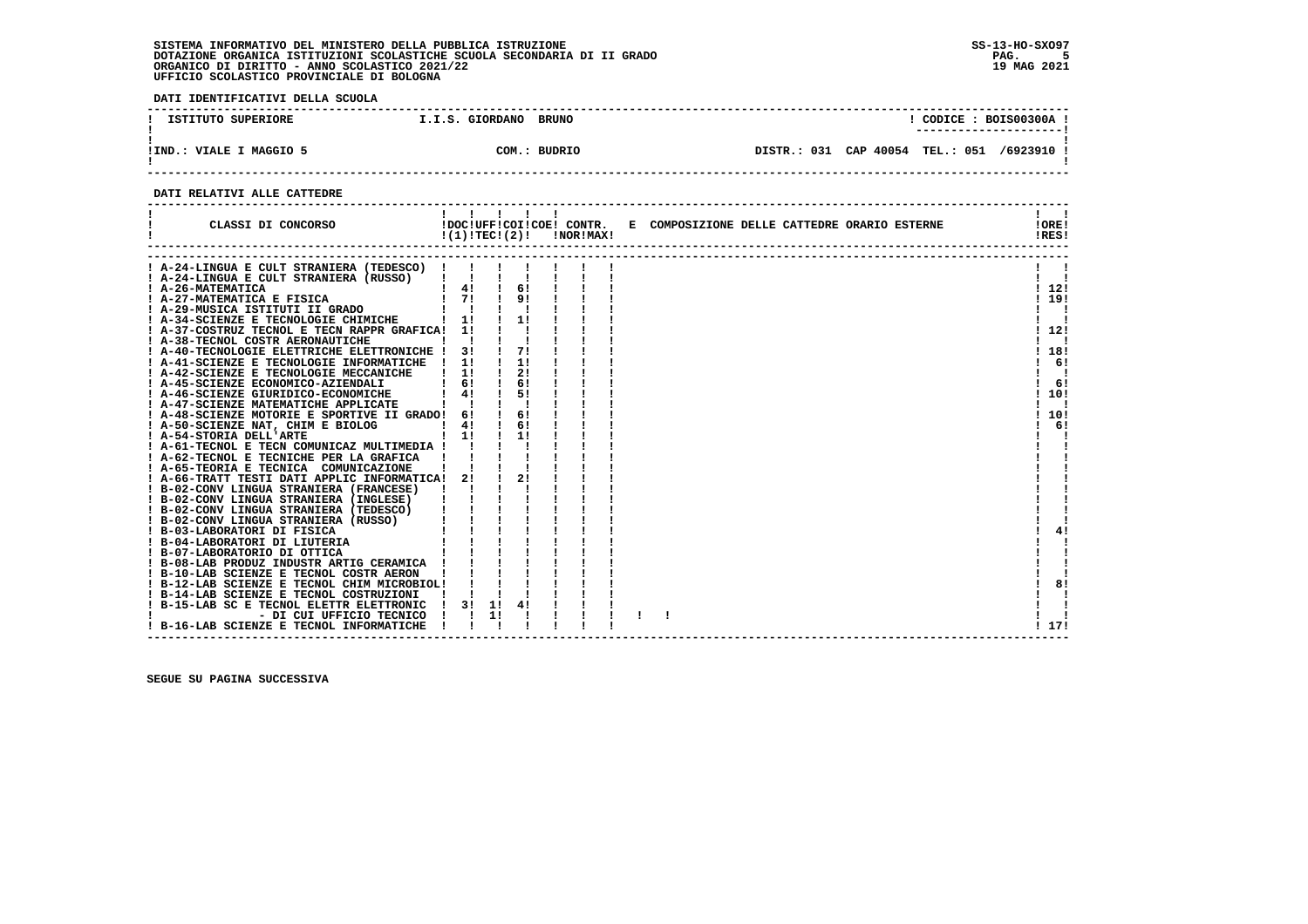**DATI IDENTIFICATIVI DELLA SCUOLA**

| ISTITUTO SUPERIORE         | I.I.S. GIORDANO | <b>BRUNO</b> |             |           | CODICE: BOIS00300A |          |
|----------------------------|-----------------|--------------|-------------|-----------|--------------------|----------|
| VIALE I MAGGIO 5<br>! IND. | COM.:           | BUDRIO       | DISTR.: 031 | CAP 40054 | <b>TEL.: 051</b>   | /6923910 |

 **------------------------------------------------------------------------------------------------------------------------------------**

#### **DATI RELATIVI ALLE CATTEDRE**

| CLASSI DI CONCORSO                              | 1111<br>!DOC!UFF!COI!COE! CONTR.<br>!(1)!TEC!(2)! |    |    | !NOR!MAX! | E COMPOSIZIONE DELLE CATTEDRE ORARIO ESTERNE | !ORE!<br>!RES! |
|-------------------------------------------------|---------------------------------------------------|----|----|-----------|----------------------------------------------|----------------|
|                                                 |                                                   |    |    |           |                                              |                |
| A-24-LINGUA E CULT STRANIERA (TEDESCO) !        |                                                   |    |    |           |                                              |                |
| A-24-LINGUA E CULT STRANIERA (RUSSO)            |                                                   |    | 6! |           |                                              |                |
| ! A-26-MATEMATICA<br>! A-27-MATEMATICA E FISICA | $\frac{1}{4}$<br>$1 \quad 71$                     |    | 91 |           |                                              | 1121<br>119!   |
| ! A-29-MUSICA ISTITUTI II GRADO                 |                                                   |    |    |           |                                              |                |
| A-34-SCIENZE E TECNOLOGIE CHIMICHE              | 1!                                                |    | 1! |           |                                              |                |
| A-37-COSTRUZ TECNOL E TECN RAPPR GRAFICA!       | 11                                                |    |    |           |                                              | !12!           |
| A-38-TECNOL COSTR AERONAUTICHE                  |                                                   |    |    |           |                                              |                |
| A-40-TECNOLOGIE ELETTRICHE ELETTRONICHE ! 3!    |                                                   |    | 71 |           |                                              | 18!            |
| ! A-41-SCIENZE E TECNOLOGIE INFORMATICHE ! 1!   |                                                   |    | 1! |           |                                              | -61            |
| A-42-SCIENZE E TECNOLOGIE MECCANICHE            | 11                                                |    | 2! |           |                                              |                |
| ! A-45-SCIENZE ECONOMICO-AZIENDALI              | 61                                                |    | 61 |           |                                              | 6!             |
| ! A-46-SCIENZE GIURIDICO-ECONOMICHE             | 41                                                |    | 51 |           |                                              | ! 10!          |
| ! A-47-SCIENZE MATEMATICHE APPLICATE            |                                                   |    |    |           |                                              | -1             |
| ! A-48-SCIENZE MOTORIE E SPORTIVE II GRADO!     | 6!                                                |    | 6! |           |                                              | 10!            |
| ! A-50-SCIENZE NAT, CHIM E BIOLOG               | 41                                                |    | 6! |           |                                              | 6!             |
| ! A-54-STORIA DELL'ARTE                         | $1 \quad 11$                                      |    | 11 |           |                                              |                |
| A-61-TECNOL E TECN COMUNICAZ MULTIMEDIA !       |                                                   |    |    |           |                                              |                |
| ! A-62-TECNOL E TECNICHE PER LA GRAFICA         |                                                   |    |    |           |                                              |                |
| ! A-65-TEORIA E TECNICA COMUNICAZIONE           |                                                   |    |    |           |                                              |                |
| A-66-TRATT TESTI DATI APPLIC INFORMATICA!       | 21                                                |    | 21 |           |                                              |                |
| B-02-CONV LINGUA STRANIERA (FRANCESE)           |                                                   |    |    |           |                                              |                |
| ! B-02-CONV LINGUA STRANIERA (INGLESE)          |                                                   |    |    |           |                                              |                |
| ! B-02-CONV LINGUA STRANIERA (TEDESCO)          |                                                   |    |    |           |                                              |                |
| ! B-02-CONV LINGUA STRANIERA (RUSSO)            |                                                   |    |    |           |                                              |                |
| ! B-03-LABORATORI DI FISICA                     |                                                   |    |    |           |                                              | 4!             |
| B-04-LABORATORI DI LIUTERIA                     |                                                   |    |    |           |                                              |                |
| ! B-07-LABORATORIO DI OTTICA                    |                                                   |    |    |           |                                              |                |
| ! B-08-LAB PRODUZ INDUSTR ARTIG CERAMICA        |                                                   |    |    |           |                                              |                |
| ! B-10-LAB SCIENZE E TECNOL COSTR AERON         |                                                   |    |    |           |                                              |                |
| ! B-12-LAB SCIENZE E TECNOL CHIM MICROBIOL!     |                                                   |    |    |           |                                              | 8!             |
| ! B-14-LAB SCIENZE E TECNOL COSTRUZIONI         |                                                   |    |    |           |                                              |                |
| B-15-LAB SC E TECNOL ELETTR ELETTRONIC          | 3!                                                | 1! |    |           |                                              |                |
| - DI CUI UFFICIO TECNICO                        |                                                   | 11 |    |           |                                              |                |
| ! B-16-LAB SCIENZE E TECNOL INFORMATICHE        |                                                   |    |    |           |                                              | ! 17!          |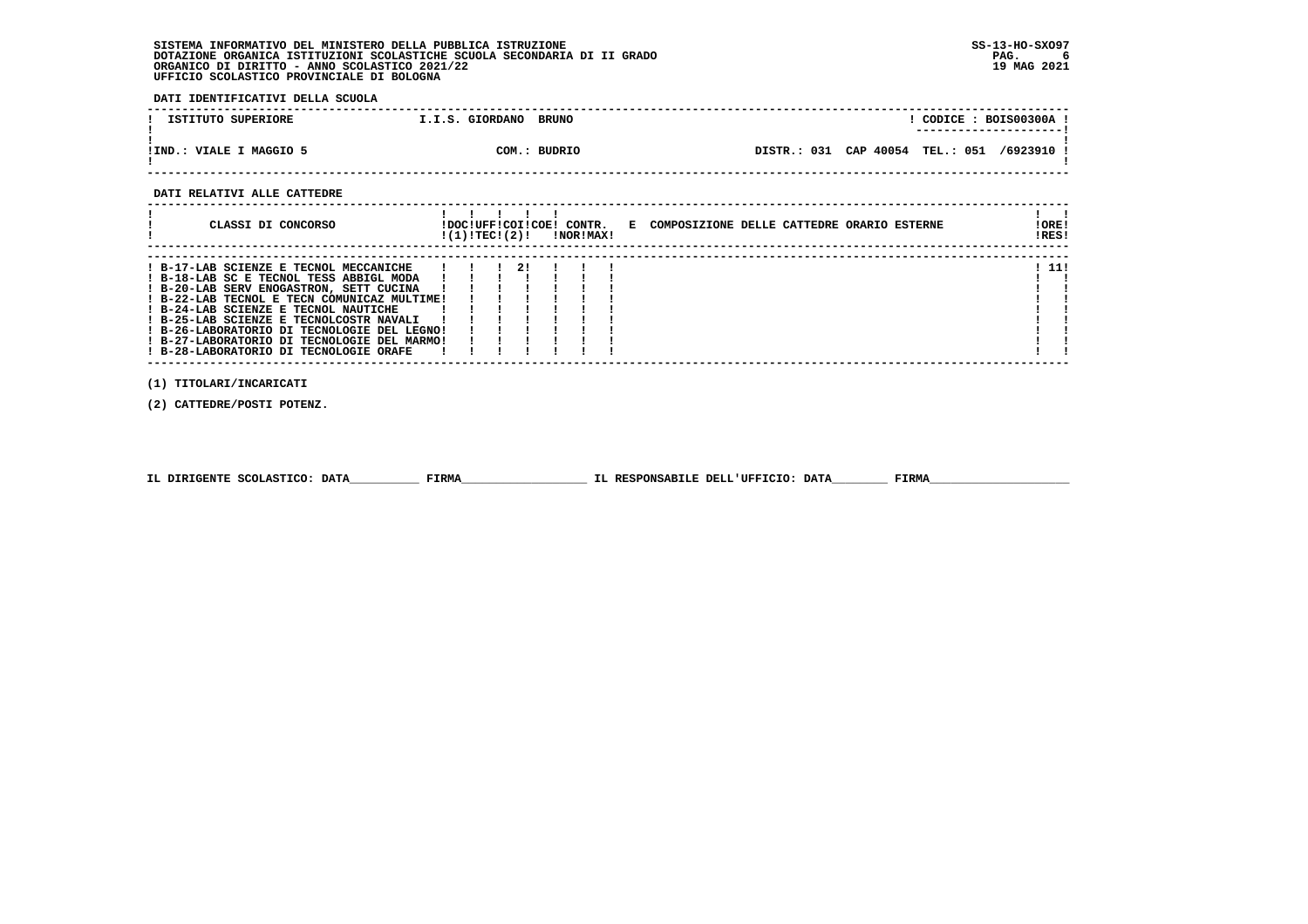**DATI IDENTIFICATIVI DELLA SCUOLA**

| ISTITUTO SUPERIORE        | I.I.S. GIORDANO | <b>BRUNO</b> |                                            |  | CODICE: BOIS00300A! |
|---------------------------|-----------------|--------------|--------------------------------------------|--|---------------------|
| VIALE I MAGGIO 5<br>!IND. |                 | COM.: BUDRIO | DISTR.: 031 CAP 40054 TEL.: 051 /6923910 ! |  |                     |

 **------------------------------------------------------------------------------------------------------------------------------------**

#### **DATI RELATIVI ALLE CATTEDRE**

| CLASSI DI CONCORSO                                                                                                                                                                                                                                                                                                                                                                                     | !DOC!UFF!COI!COE! CONTR.<br>!(1)!TEC!(2)! |    | !NOR!MAX! | E COMPOSIZIONE DELLE CATTEDRE ORARIO ESTERNE | ! ORE!<br>IRES! |
|--------------------------------------------------------------------------------------------------------------------------------------------------------------------------------------------------------------------------------------------------------------------------------------------------------------------------------------------------------------------------------------------------------|-------------------------------------------|----|-----------|----------------------------------------------|-----------------|
| ! B-17-LAB SCIENZE E TECNOL MECCANICHE<br>! B-18-LAB SC E TECNOL TESS ABBIGL MODA<br>! B-20-LAB SERV ENOGASTRON, SETT CUCINA<br>! B-22-LAB TECNOL E TECN COMUNICAZ MULTIME!<br>! B-24-LAB SCIENZE E TECNOL NAUTICHE<br>! B-25-LAB SCIENZE E TECNOLCOSTR NAVALI<br>! B-26-LABORATORIO DI TECNOLOGIE DEL LEGNO!<br>! B-27-LABORATORIO DI TECNOLOGIE DEL MARMO!<br>! B-28-LABORATORIO DI TECNOLOGIE ORAFE |                                           | 2! |           |                                              | 11!             |

 **(1) TITOLARI/INCARICATI**

 **(2) CATTEDRE/POSTI POTENZ.**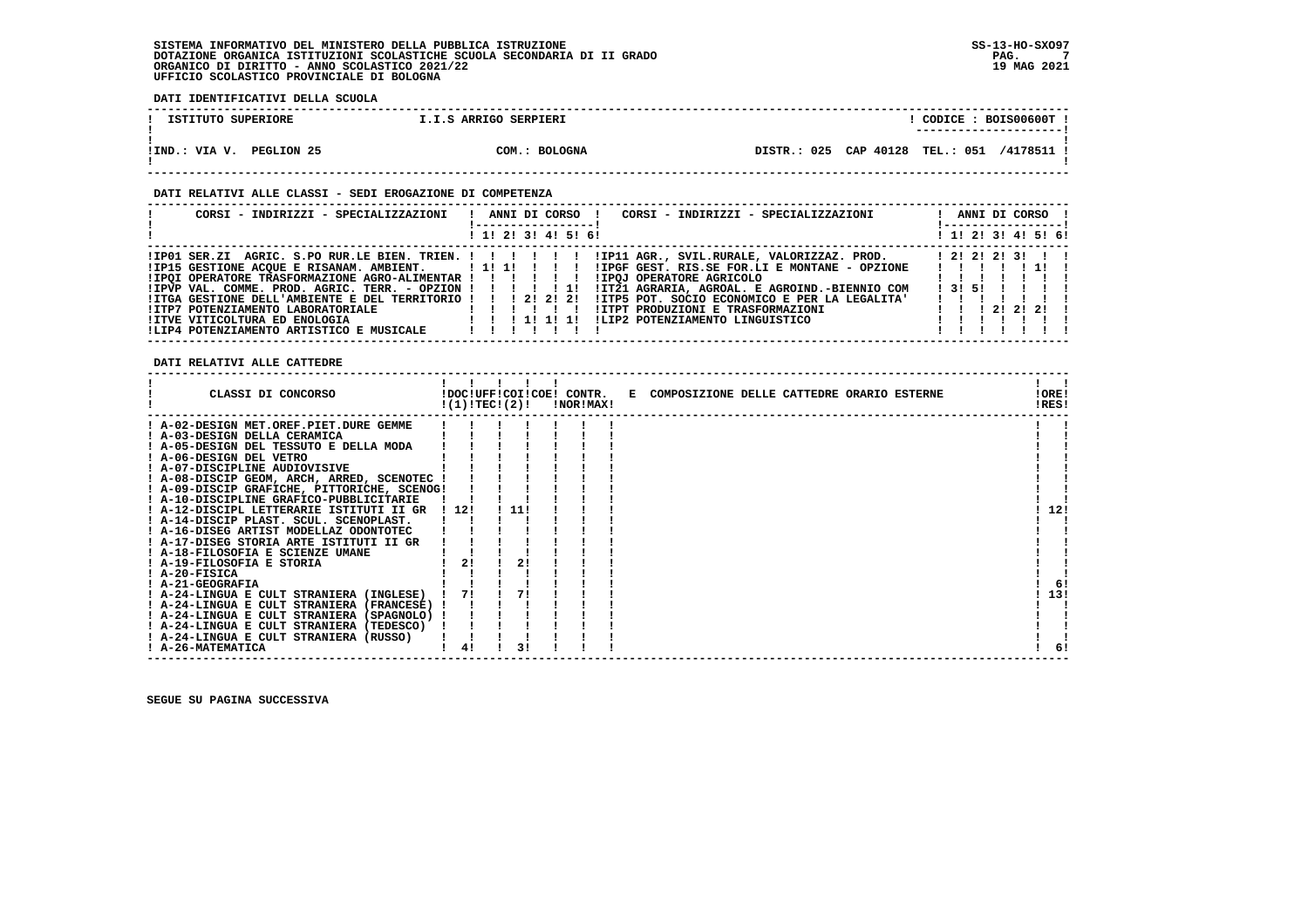**DATI IDENTIFICATIVI DELLA SCUOLA**

| ISTITUTO SUPERIORE          | I.I.S ARRIGO SERPIERI |                                            | CODICE: BOIS00600T!<br>----------------------- |
|-----------------------------|-----------------------|--------------------------------------------|------------------------------------------------|
| PEGLION 25<br>!IND.: VIA V. | COM.: BOLOGNA         | DISTR.: 025 CAP 40128 TEL.: 051 /4178511 ! |                                                |

#### **DATI RELATIVI ALLE CLASSI - SEDI EROGAZIONE DI COMPETENZA**

| CORSI - INDIRIZZI - SPECIALIZZAZIONI   !  ANNI DI CORSO  !   |  |  |                     | CORSI - INDIRIZZI - SPECIALIZZAZIONI                                                                           |  |        | ANNI DI CORSO !     |
|--------------------------------------------------------------|--|--|---------------------|----------------------------------------------------------------------------------------------------------------|--|--------|---------------------|
|                                                              |  |  | ! 1! 2! 3! 4! 5! 6! |                                                                                                                |  |        | ! 1! 2! 3! 4! 5! 6! |
|                                                              |  |  |                     | !IPO1 SER.ZI AGRIC. S.PO RUR.LE BIEN. TRIEN. ! ! ! ! !!!P11 AGR., SVIL.RURALE, VALORIZZAZ. PROD. [ 2!2!2!3!!!! |  |        |                     |
|                                                              |  |  |                     |                                                                                                                |  |        | 11111111            |
| !IPOI OPERATORE TRASFORMAZIONE AGRO-ALIMENTAR ! ! ! ! ! ! !  |  |  |                     | IIPOJ OPERATORE AGRICOLO                                                                                       |  |        |                     |
|                                                              |  |  |                     | !IT21 AGRARIA, AGROAL. E AGROIND.-BIENNIO COM                                                                  |  | 131511 |                     |
| !ITGA GESTIONE DELL'AMBIENTE E DEL TERRITORIO ! ! ! 2! 2! 2! |  |  |                     | !ITP5 POT. SOCIO ECONOMICO E PER LA LEGALITA'                                                                  |  |        | 1111111             |
|                                                              |  |  |                     |                                                                                                                |  |        |                     |
| <b>!ITVE VITICOLTURA ED ENOLOGIA</b>                         |  |  |                     | ILIP2 POTENZIAMENTO LINGUISTICO                                                                                |  |        |                     |
| !LIP4 POTENZIAMENTO ARTISTICO E MUSICALE                     |  |  |                     |                                                                                                                |  |        |                     |

 **DATI RELATIVI ALLE CATTEDRE**

| CLASSI DI CONCORSO                          | !(1)!TEC!(2)! |      |  | !NOR!MAX! | !DOC!UFF!COI!COE! CONTR. E COMPOSIZIONE DELLE CATTEDRE ORARIO ESTERNE | !ORE!<br>!RES! |     |
|---------------------------------------------|---------------|------|--|-----------|-----------------------------------------------------------------------|----------------|-----|
| ! A-02-DESIGN MET.OREF.PIET.DURE GEMME      |               |      |  |           |                                                                       |                |     |
| ! A-03-DESIGN DELLA CERAMICA                |               |      |  |           |                                                                       |                |     |
| ! A-05-DESIGN DEL TESSUTO E DELLA MODA      |               |      |  |           |                                                                       |                |     |
| ! A-06-DESIGN DEL VETRO                     |               |      |  |           |                                                                       |                |     |
| ! A-07-DISCIPLINE AUDIOVISIVE               |               |      |  |           |                                                                       |                |     |
| ! A-08-DISCIP GEOM, ARCH, ARRED, SCENOTEC ! |               |      |  |           |                                                                       |                |     |
| ! A-09-DISCIP GRAFICHE, PITTORICHE, SCENOG! |               |      |  |           |                                                                       |                |     |
| ! A-10-DISCIPLINE GRAFICO-PUBBLICITARIE     |               |      |  |           |                                                                       |                |     |
| ! A-12-DISCIPL LETTERARIE ISTITUTI II GR    | 1121          | -11! |  |           |                                                                       |                | 12! |
| ! A-14-DISCIP PLAST. SCUL. SCENOPLAST.      |               |      |  |           |                                                                       |                |     |
| ! A-16-DISEG ARTIST MODELLAZ ODONTOTEC      |               |      |  |           |                                                                       |                |     |
| ! A-17-DISEG STORIA ARTE ISTITUTI II GR     |               |      |  |           |                                                                       |                |     |
| ! A-18-FILOSOFIA E SCIENZE UMANE            |               |      |  |           |                                                                       |                |     |
| ! A-19-FILOSOFIA E STORIA                   |               | 2!   |  |           |                                                                       |                |     |
| ! A-20-FISICA                               |               |      |  |           |                                                                       |                |     |
| ! A-21-GEOGRAFIA                            |               |      |  |           |                                                                       |                | -61 |
| ! A-24-LINGUA E CULT STRANIERA (INGLESE)    | 71            |      |  |           |                                                                       |                | 13! |
| ! A-24-LINGUA E CULT STRANIERA (FRANCESE)   |               |      |  |           |                                                                       |                |     |
| ! A-24-LINGUA E CULT STRANIERA (SPAGNOLO) ! |               |      |  |           |                                                                       |                |     |
| ! A-24-LINGUA E CULT STRANIERA (TEDESCO)    |               |      |  |           |                                                                       |                |     |
| ! A-24-LINGUA E CULT STRANIERA (RUSSO)      |               |      |  |           |                                                                       |                |     |
| ! A-26-MATEMATICA                           |               |      |  |           |                                                                       |                | 6!  |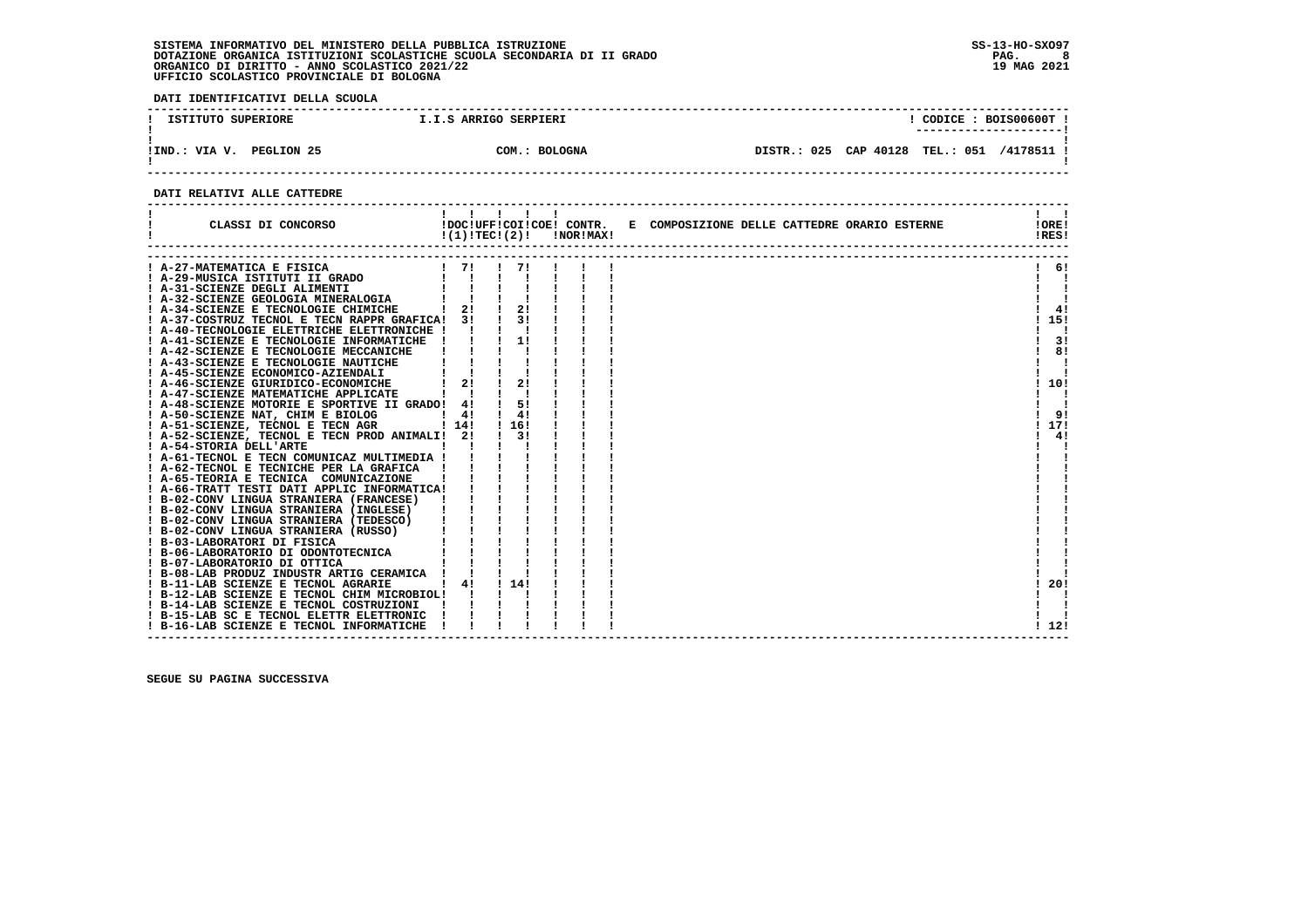**DATI IDENTIFICATIVI DELLA SCUOLA**

| ISTITUTO SUPERIORE           | I.I.S ARRIGO SERPIERI   |                |           | CODICE: BOIS00600T ! |          |
|------------------------------|-------------------------|----------------|-----------|----------------------|----------|
| PEGLION 25<br>!IND.<br>VIA V | <b>BOLOGNA</b><br>COM.: | 025<br>DISTR.: | CAP 40128 | <b>TEL.: 051</b>     | /4178511 |

 **------------------------------------------------------------------------------------------------------------------------------------**

#### **DATI RELATIVI ALLE CATTEDRE**

| CLASSI DI CONCORSO                                                                                                      |              | !!!!!!<br>!DOC!UFF!COI!COE! CONTR.<br>$!(1)!TEC!(2)!$ $INORIMAX!$ |  | E COMPOSIZIONE DELLE CATTEDRE ORARIO ESTERNE | !ORE!<br>!RES! |
|-------------------------------------------------------------------------------------------------------------------------|--------------|-------------------------------------------------------------------|--|----------------------------------------------|----------------|
| A-27-MATEMATICA E FISICA                                                                                                | $1 \quad 71$ |                                                                   |  |                                              | 6!             |
|                                                                                                                         |              |                                                                   |  |                                              |                |
|                                                                                                                         |              |                                                                   |  |                                              |                |
| 9 1 29-MUSICA ISTITUTI II GRADO        <br>  A-31-SCIENZE DEGLI ALIMENTI        <br>  A-32-SCIENZE GEOLOGIA MINERALOGIA |              |                                                                   |  |                                              |                |
| ! A-34-SCIENZE E TECNOLOGIE CHIMICHE                                                                                    |              | $\frac{1}{2!}$ 1 2!                                               |  |                                              | 4!             |
| ! A-37-COSTRUZ TECNOL E TECN RAPPR GRAFICA! 3!                                                                          |              | 3!                                                                |  |                                              | 15!            |
| A-40-TECNOLOGIE ELETTRICHE ELETTRONICHE !                                                                               |              |                                                                   |  |                                              |                |
| ! A-41-SCIENZE E TECNOLOGIE INFORMATICHE                                                                                |              | 11                                                                |  |                                              | 3!             |
| A-42-SCIENZE E TECNOLOGIE MECCANICHE                                                                                    |              |                                                                   |  |                                              | 8!             |
| ! A-43-SCIENZE E TECNOLOGIE NAUTICHE                                                                                    |              |                                                                   |  |                                              |                |
| ! A-45-SCIENZE ECONOMICO-AZIENDALI                                                                                      |              |                                                                   |  |                                              |                |
| A-46-SCIENZE GIURIDICO-ECONOMICHE                                                                                       | 21           | 21                                                                |  |                                              | 10!            |
| ! A-47-SCIENZE MATEMATICHE APPLICATE                                                                                    |              |                                                                   |  |                                              |                |
| ! A-48-SCIENZE MOTORIE E SPORTIVE II GRADO! 4!                                                                          |              | 5!                                                                |  |                                              |                |
| ! A-50-SCIENZE NAT, CHIM E BIOLOG                                                                                       | $1 \quad 41$ | 4!                                                                |  |                                              | -91            |
| ! A-51-SCIENZE, TECNOL E TECN AGR                                                                                       | 1141         | ! 16!                                                             |  |                                              | 17!            |
| ! A-52-SCIENZE, TECNOL E TECN PROD ANIMALI!                                                                             | 21           | 31                                                                |  |                                              | 4!             |
| ! A-54-STORIA DELL'ARTE                                                                                                 |              |                                                                   |  |                                              |                |
| ! A-61-TECNOL E TECN COMUNICAZ MULTIMEDIA !                                                                             |              |                                                                   |  |                                              |                |
| ! A-62-TECNOL E TECNICHE PER LA GRAFICA                                                                                 |              |                                                                   |  |                                              |                |
| ! A-65-TEORIA E TECNICA COMUNICAZIONE                                                                                   |              |                                                                   |  |                                              |                |
| A-66-TRATT TESTI DATI APPLIC INFORMATICA!                                                                               |              |                                                                   |  |                                              |                |
| ! B-02-CONV LINGUA STRANIERA (FRANCESE)                                                                                 |              |                                                                   |  |                                              |                |
| ! B-02-CONV LINGUA STRANIERA (INGLESE)                                                                                  |              |                                                                   |  |                                              |                |
| ! B-02-CONV LINGUA STRANIERA (TEDESCO)                                                                                  |              |                                                                   |  |                                              |                |
| ! B-02-CONV LINGUA STRANIERA (RUSSO)                                                                                    |              |                                                                   |  |                                              |                |
| ! B-03-LABORATORI DI FISICA                                                                                             |              |                                                                   |  |                                              |                |
| ! B-06-LABORATORIO DI ODONTOTECNICA                                                                                     |              |                                                                   |  |                                              |                |
| ! B-07-LABORATORIO DI OTTICA                                                                                            |              |                                                                   |  |                                              |                |
| ! B-08-LAB PRODUZ INDUSTR ARTIG CERAMICA !                                                                              |              |                                                                   |  |                                              |                |
| ! B-11-LAB SCIENZE E TECNOL AGRARIE                                                                                     | 4!           | $1 \; 141$                                                        |  |                                              | 20!            |
| ! B-12-LAB SCIENZE E TECNOL CHIM MICROBIOL!                                                                             |              |                                                                   |  |                                              |                |
| ! B-14-LAB SCIENZE E TECNOL COSTRUZIONI                                                                                 |              |                                                                   |  |                                              |                |
| ! B-15-LAB SC E TECNOL ELETTR ELETTRONIC                                                                                |              |                                                                   |  |                                              |                |
| ! B-16-LAB SCIENZE E TECNOL INFORMATICHE                                                                                |              |                                                                   |  |                                              | ! 12!          |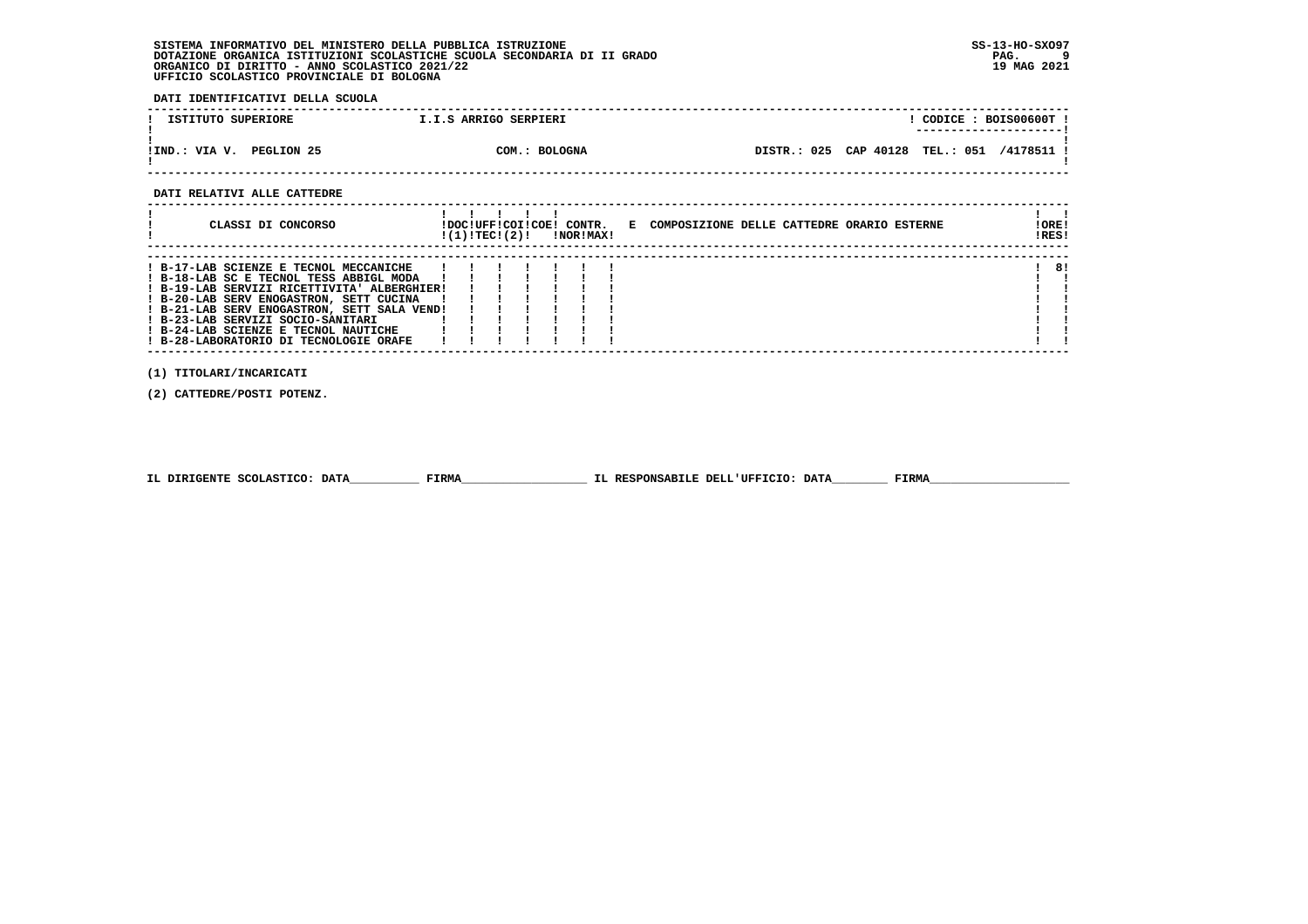**DATI IDENTIFICATIVI DELLA SCUOLA**

| ISTITUTO SUPERIORE             | I.I.S ARRIGO SERPIERI |                       |           | CODICE: BOIS00600T !                |
|--------------------------------|-----------------------|-----------------------|-----------|-------------------------------------|
| PEGLION 25<br>VIA V.<br>!IND.: | COM.: BOLOGNA         | DISTR.: 025 CAP 40128 | TEL.: 051 | -----------------------<br>/4178511 |

 **------------------------------------------------------------------------------------------------------------------------------------**

#### **DATI RELATIVI ALLE CATTEDRE**

| CLASSI DI CONCORSO                                                                                                                                                                                                                                                                                                                                | !(1)!TEC!(2)! | !DOC!UFF!COI!COE! CONTR. | <b>!NOR!MAX!</b> | E COMPOSIZIONE DELLE CATTEDRE ORARIO ESTERNE | !ORE!<br>!RES! |
|---------------------------------------------------------------------------------------------------------------------------------------------------------------------------------------------------------------------------------------------------------------------------------------------------------------------------------------------------|---------------|--------------------------|------------------|----------------------------------------------|----------------|
| ! B-17-LAB SCIENZE E TECNOL MECCANICHE<br>! B-18-LAB SC E TECNOL TESS ABBIGL MODA<br>! B-19-LAB SERVIZI RICETTIVITA' ALBERGHIER!<br>! B-20-LAB SERV ENOGASTRON, SETT CUCINA<br>! B-21-LAB SERV ENOGASTRON, SETT SALA VEND!<br>! B-23-LAB SERVIZI SOCIO-SANITARI<br>! B-24-LAB SCIENZE E TECNOL NAUTICHE<br>! B-28-LABORATORIO DI TECNOLOGIE ORAFE |               |                          |                  |                                              | 8!             |

 **(1) TITOLARI/INCARICATI**

 **(2) CATTEDRE/POSTI POTENZ.**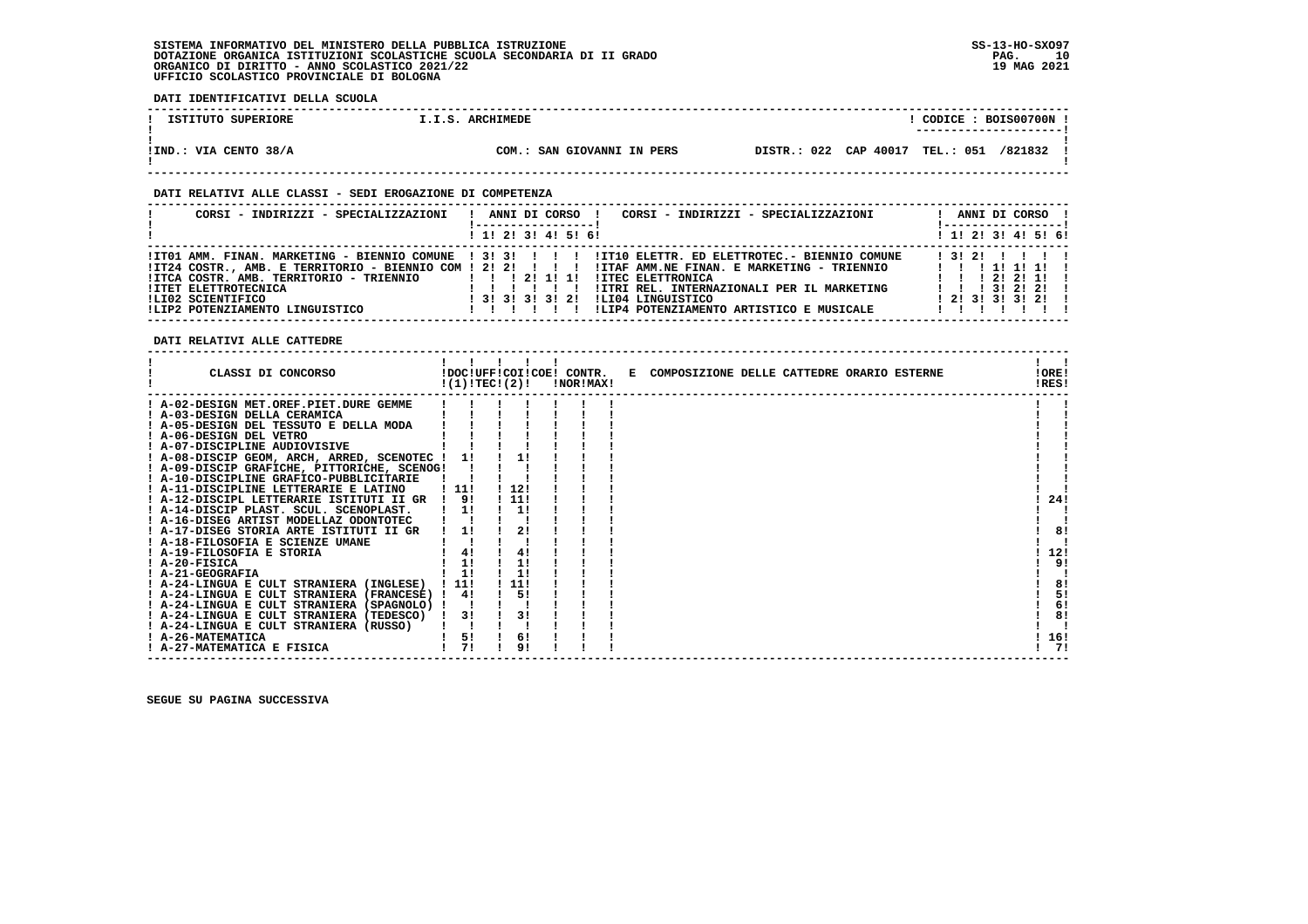**DATI IDENTIFICATIVI DELLA SCUOLA**

| ISTITUTO SUPERIORE    | ARCHIMEDE<br>I.I.S.        | CODICE: BOIS00700N<br>----------------------     |
|-----------------------|----------------------------|--------------------------------------------------|
| !IND.: VIA CENTO 38/A | COM.: SAN GIOVANNI IN PERS | DISTR.: 022 CAP 40017<br>051<br>TEL.:<br>/821832 |

 **------------------------------------------------------------------------------------------------------------------------------------**

#### **DATI RELATIVI ALLE CLASSI - SEDI EROGAZIONE DI COMPETENZA**

| CORSI - INDIRIZZI - SPECIALIZZAZIONI                                                                                           | CORSI - INDIRIZZI - SPECIALIZZAZIONI<br>ANNI DI CORSO !                                                                                                                                                                                                                                                                                                                                       | ANNI DI CORSO !                                                                                                                          |
|--------------------------------------------------------------------------------------------------------------------------------|-----------------------------------------------------------------------------------------------------------------------------------------------------------------------------------------------------------------------------------------------------------------------------------------------------------------------------------------------------------------------------------------------|------------------------------------------------------------------------------------------------------------------------------------------|
|                                                                                                                                | $1$ , 1! 2! 3! 4! 5! 6!                                                                                                                                                                                                                                                                                                                                                                       | ! 1! 2! 3! 4! 5! 6!                                                                                                                      |
| IITCA COSTR. AMB. TERRITORIO - TRIENNIO<br><b>!ITET ELETTROTECNICA</b><br>ILI02 SCIENTIFICO<br>!LIP2 POTENZIAMENTO LINGUISTICO | ITO1 AMM. FINAN. MARKETING - BIENNIO COMUNE   3! 3! ! ! ! !IT10 ELETTR. ED ELETTROTEC.- BIENNIO COMUNE<br>IT24 COSTR., AMB. E TERRITORIO - BIENNIO COM ! 2! 2! ! ! !! !ITAF AMM.NE FINAN. E MARKETING - TRIENNIO<br><b>!ITEC ELETTRONICA</b><br>!ITRI REL. INTERNAZIONALI PER IL MARKETING<br>1 3 1 3 1 3 1 3 1 2 1<br>ILI04 LINGUISTICO<br>!LIP4 POTENZIAMENTO ARTISTICO E MUSICALE<br>11111 | 1 3 1 2 1 1 1 1 1<br>1 1 1 1 1 1 1 1 1<br>$1 \quad 1 \quad 1 \quad 21 \quad 21 \quad 11$<br>1 1 1 3 1 2 1 2 1<br>1 2 1 3 1 3 1 3 1 2 1 1 |

 **DATI RELATIVI ALLE CATTEDRE**

| CLASSI DI CONCORSO                             |       | !(1)!TEC!(2)!  | !DOC!UFF!COI!COE! CONTR.<br>!NOR!MAX! | E COMPOSIZIONE DELLE CATTEDRE ORARIO ESTERNE | !ORE!<br>!RES! |
|------------------------------------------------|-------|----------------|---------------------------------------|----------------------------------------------|----------------|
| ! A-02-DESIGN MET.OREF.PIET.DURE GEMME         |       |                |                                       |                                              |                |
| ! A-03-DESIGN DELLA CERAMICA                   |       |                |                                       |                                              |                |
| ! A-05-DESIGN DEL TESSUTO E DELLA MODA         |       |                |                                       |                                              |                |
| A-06-DESIGN DEL VETRO                          |       |                |                                       |                                              |                |
| ! A-07-DISCIPLINE AUDIOVISIVE                  |       |                |                                       |                                              |                |
| ! A-08-DISCIP GEOM, ARCH, ARRED, SCENOTEC ! 1! |       |                |                                       |                                              |                |
| ! A-09-DISCIP GRAFICHE, PITTORICHE, SCENOG!    |       |                |                                       |                                              |                |
| ! A-10-DISCIPLINE GRAFICO-PUBBLICITARIE        |       |                |                                       |                                              |                |
| ! A-11-DISCIPLINE LETTERARIE E LATINO          | 111   | 112!           |                                       |                                              |                |
| ! A-12-DISCIPL LETTERARIE ISTITUTI II GR       | 9!    | 111            |                                       |                                              | 24!            |
| A-14-DISCIP PLAST. SCUL. SCENOPLAST.           | 1!    | 11             |                                       |                                              |                |
| ! A-16-DISEG ARTIST MODELLAZ ODONTOTEC         |       |                |                                       |                                              |                |
| ! A-17-DISEG STORIA ARTE ISTITUTI II GR        | 11    | 2!             |                                       |                                              | 8!             |
| ! A-18-FILOSOFIA E SCIENZE UMANE               |       |                |                                       |                                              |                |
| ! A-19-FILOSOFIA E STORIA                      | 4!    | 4!             |                                       |                                              | 12!            |
| ! A-20-FISICA                                  | 1!    | 1!             |                                       |                                              | 9!             |
| ! A-21-GEOGRAFIA                               | 1!    | 1!             |                                       |                                              |                |
| ! A-24-LINGUA E CULT STRANIERA (INGLESE)       | ! 11! | 11!            |                                       |                                              | 8!             |
| ! A-24-LINGUA E CULT STRANIERA (FRANCESE) !    | 4!    | 5!             |                                       |                                              | 5!             |
| ! A-24-LINGUA E CULT STRANIERA (SPAGNOLO) !    |       |                |                                       |                                              | 6!             |
| ! A-24-LINGUA E CULT STRANIERA (TEDESCO)       | 3!    | 3!             |                                       |                                              | 8!             |
| ! A-24-LINGUA E CULT STRANIERA (RUSSO)         |       |                |                                       |                                              |                |
| ! A-26-MATEMATICA                              | 5!    | 6!             |                                       |                                              | 16!            |
| ! A-27-MATEMATICA E FISICA                     | 71    | 9 <sub>1</sub> |                                       |                                              | 71             |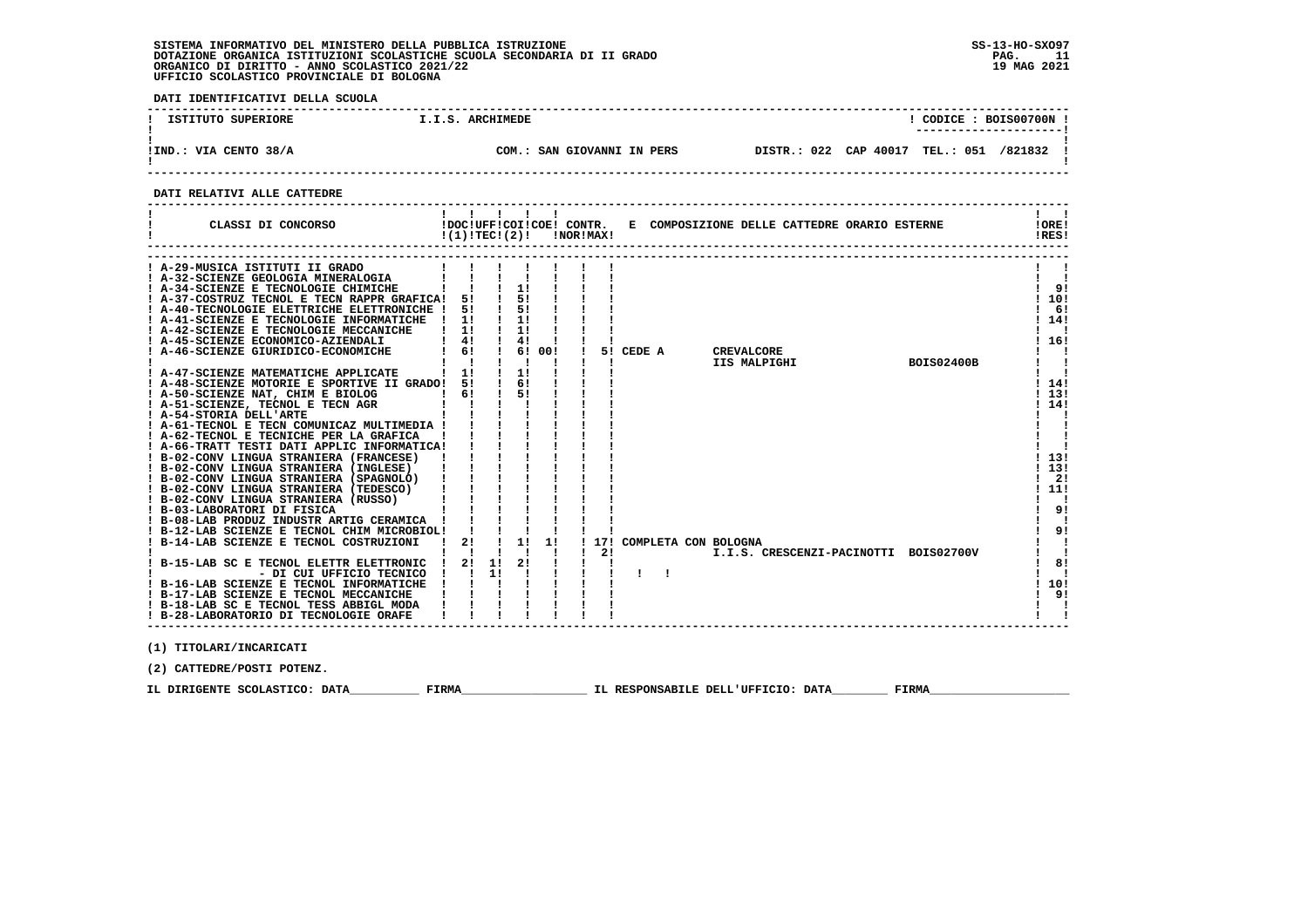**DATI IDENTIFICATIVI DELLA SCUOLA ------------------------------------------------------------------------------------------------------------------------------------**! CODICE: BOIS00700N !  **! ISTITUTO SUPERIORE : I.I.S. ARCHIMEDE ! ---------------------! ! ! !IND.: VIA CENTO 38/A COM.: SAN GIOVANNI IN PERS DISTR.: 022 CAP 40017 TEL.: 051 /821832 !**- 1  **! ! ------------------------------------------------------------------------------------------------------------------------------------ DATI RELATIVI ALLE CATTEDRE ------------------------------------------------------------------------------------------------------------------------------------ ! ! ! ! ! ! ! ! ! CLASSI DI CONCORSO !DOC!UFF!COI!COE! CONTR. E COMPOSIZIONE DELLE CATTEDRE ORARIO ESTERNE !ORE! ! !(1)!TEC!(2)! !NOR!MAX! !RES!** $\mathbf{I}$  and  $\mathbf{I}$ **IORE! IRES! ------------------------------------------------------------------------------------------------------------------------------------ ------------------------------------------------------------------------------------------------------------------------------------ ! A-29-MUSICA ISTITUTI II GRADO ! ! ! ! ! ! ! ! ! ! A-32-SCIENZE GEOLOGIA MINERALOGIA ! ! ! ! ! ! ! ! ! ! A-34-SCIENZE E TECNOLOGIE CHIMICHE ! ! ! 1! ! ! ! ! 9!** $\mathbf{I}$  and  $\mathbf{I}$  $\mathbf{I}$  $\overline{1}$   $\overline{9}$   $\overline{1}$  $1.101$  **! A-37-COSTRUZ TECNOL E TECN RAPPR GRAFICA! 5! ! 5! ! ! ! ! 10! ! A-40-TECNOLOGIE ELETTRICHE ELETTRONICHE ! 5! ! 5! ! ! ! ! 6! ! A-41-SCIENZE E TECNOLOGIE INFORMATICHE ! 1! ! 1! ! ! ! ! 14! ! A-42-SCIENZE E TECNOLOGIE MECCANICHE ! 1! ! 1! ! ! ! ! !** $\sqrt{1}$  61  $1 \t141$  $\mathbf{r}$ ! 16! | A-45-SCIENZE ECONOMICO-AZIENDALI | 4| | 4| | | | |<br>| A-46-SCIENZE GIURIDICO-ECONOMICHE | 6| | 6| 00| | 5| CEDE A | CREVALCORE | | | | | | | | | | | | | | | | |<br>| A-47-SCIENZE MATEMATICHE APPLICATE | | | | | | | | | | | |  $\frac{1}{2}$   $\frac{1}{2}$  $\blacksquare$  $\mathbf{r}$   $\mathbf{r}$  $1141$  **! A-48-SCIENZE MOTORIE E SPORTIVE II GRADO! 5! ! 6! ! ! ! ! 14! ! A-50-SCIENZE NAT, CHIM E BIOLOG ! 6! ! 5! ! ! ! ! 13! ! A-51-SCIENZE, TECNOL E TECN AGR ! ! ! ! ! ! ! ! 14! ! A-54-STORIA DELL'ARTE ! ! ! ! ! ! ! ! ! ! A-61-TECNOL E TECN COMUNICAZ MULTIMEDIA ! ! ! ! ! ! ! ! ! ! A-62-TECNOL E TECNICHE PER LA GRAFICA ! ! ! ! ! ! ! ! ! ! A-66-TRATT TESTI DATI APPLIC INFORMATICA! ! ! ! ! ! ! ! ! ! B-02-CONV LINGUA STRANIERA (FRANCESE) ! ! ! ! ! ! ! ! 13! ! B-02-CONV LINGUA STRANIERA (INGLESE) ! ! ! ! ! ! ! ! 13! ! B-02-CONV LINGUA STRANIERA (SPAGNOLO) ! ! ! ! ! ! ! ! 2!** $1, 131$  $1141$  $1 \quad 1$  $\mathbf{r}$  $\mathbf{I}$  $1.131$  $1, 131$  $1 \quad 21$  $1.111$  **! B-02-CONV LINGUA STRANIERA (TEDESCO) ! ! ! ! ! ! ! ! 11! ! B-02-CONV LINGUA STRANIERA (RUSSO) ! ! ! ! ! ! ! ! ! ! B-03-LABORATORI DI FISICA ! ! ! ! ! ! ! ! 9!** $\mathbf{I}$   $\mathbf{I}$  $1 \overline{91}$  $\mathbf{I}$  **! B-08-LAB PRODUZ INDUSTR ARTIG CERAMICA ! ! ! ! ! ! ! ! ! ! B-12-LAB SCIENZE E TECNOL CHIM MICROBIOL! ! ! ! ! ! ! ! 9! ! B-14-LAB SCIENZE E TECNOL COSTRUZIONI ! 2! ! 1! 1! ! 17! COMPLETA CON BOLOGNA ! ! ! ! ! ! ! ! ! 2! I.I.S. CRESCENZI-PACINOTTI BOIS02700V ! ! ! B-15-LAB SC E TECNOL ELETTR ELETTRONIC ! 2! 1! 2! ! ! ! ! 8!** $1 \overline{91}$  $\mathbf{I}$  and  $\mathbf{I}$  $\mathbf{I}$  $\frac{1}{1}$  81  $\mathbf{I}$  **! - DI CUI UFFICIO TECNICO ! ! 1! ! ! ! ! ! ! ! ! ! B-16-LAB SCIENZE E TECNOL INFORMATICHE ! ! ! ! ! ! ! ! 10!** $1.101$  $1 \t91$  **! B-17-LAB SCIENZE E TECNOL MECCANICHE ! ! ! ! ! ! ! ! 9!** $\frac{1}{2}$   $\frac{1}{2}$  **! B-18-LAB SC E TECNOL TESS ABBIGL MODA ! ! ! ! ! ! ! ! ! ! B-28-LABORATORIO DI TECNOLOGIE ORAFE ! ! ! ! ! ! ! ! !** $\mathbf{i}$   $\mathbf{i}$   **------------------------------------------------------------------------------------------------------------------------------------ (1) TITOLARI/INCARICATI (2) CATTEDRE/POSTI POTENZ.**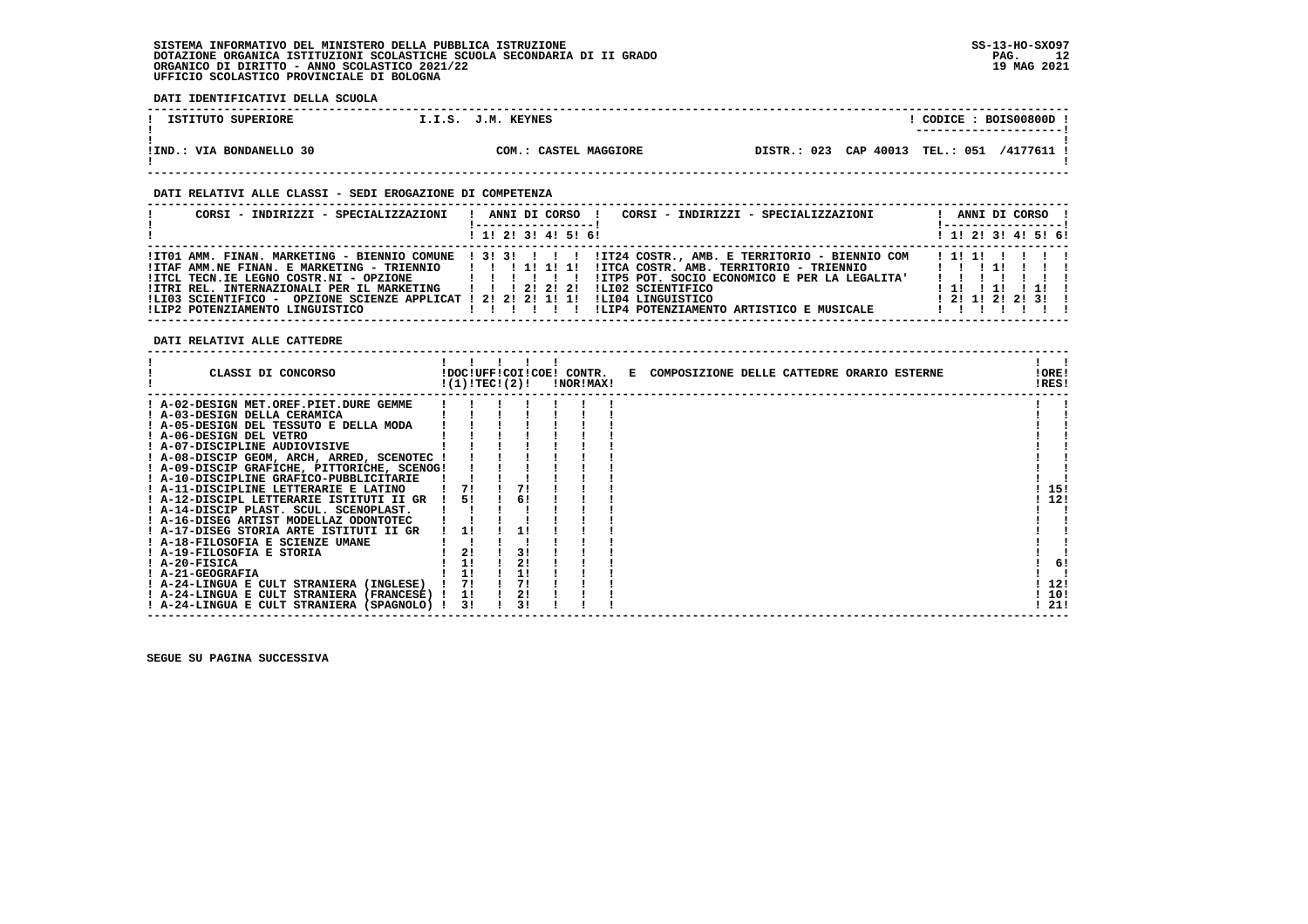**DATI IDENTIFICATIVI DELLA SCUOLA**

| ISTITUTO SUPERIORE       | I.I.S. J.M. KEYNES    | CODICE: BOIS00800D.                                         |  |
|--------------------------|-----------------------|-------------------------------------------------------------|--|
|                          |                       |                                                             |  |
|                          |                       |                                                             |  |
| !IND.: VIA BONDANELLO 30 | COM.: CASTEL MAGGIORE | CAP 40013<br>023<br><b>TEL.: 051</b><br>/4177611<br>DTSTR.: |  |
|                          |                       |                                                             |  |

 **------------------------------------------------------------------------------------------------------------------------------------**

#### **DATI RELATIVI ALLE CLASSI - SEDI EROGAZIONE DI COMPETENZA**

| CORSI - INDIRIZZI - SPECIALIZZAZIONI                                                                                                                                                                                                                                                              | CORSI - INDIRIZZI - SPECIALIZZAZIONI<br>ANNI DI CORSO !                                                                                                                                                                                                                                                        | ANNI DI CORSO !<br>!-----------------               |
|---------------------------------------------------------------------------------------------------------------------------------------------------------------------------------------------------------------------------------------------------------------------------------------------------|----------------------------------------------------------------------------------------------------------------------------------------------------------------------------------------------------------------------------------------------------------------------------------------------------------------|-----------------------------------------------------|
|                                                                                                                                                                                                                                                                                                   | $1$ , 1! 2! 3! 4! 5! 6!                                                                                                                                                                                                                                                                                        | $1$ , 1! 2! 3! 4! 5! 6!                             |
| !ITAF AMM.NE FINAN. E MARKETING - TRIENNIO       1  1  1 <br>! ITCL TECN.IE LEGNO COSTR.NI - OPZIONE   ! ! ! !<br>!ITRI REL. INTERNAZIONALI PER IL MARKETING   !!! 2! 2! 2!<br>!LI03 SCIENTIFICO - OPZIONE SCIENZE APPLICAT ! 2! 2! 2! 1! 1! !LI04 LINGUISTICO<br>ILIP2 POTENZIAMENTO LINGUISTICO | ITO1 AMM. FINAN. MARKETING - BIENNIO COMUNE   3! 3! !!!!!!! IT24 COSTR., AMB. E TERRITORIO - BIENNIO COM<br>!ITCA COSTR. AMB. TERRITORIO - TRIENNIO                !!!!!!!!<br>!ITP5 POT. SOCIO ECONOMICO E PER LA LEGALITA'<br>ILI02 SCIENTIFICO<br>!LIP4 POTENZIAMENTO ARTISTICO E MUSICALE<br>1 1 1 1 1 1 1 | 111111111<br>11 11 11 1<br>1, 21, 11, 21, 21, 31, 1 |

 **DATI RELATIVI ALLE CATTEDRE**

| CLASSI DI CONCORSO                          | !(1)!TEC!(2)! |    | !DOC!UFF!COI!COE! CONTR.<br>!NOR!MAX! | E COMPOSIZIONE DELLE CATTEDRE ORARIO ESTERNE | !ORE!<br>!RES! |
|---------------------------------------------|---------------|----|---------------------------------------|----------------------------------------------|----------------|
| ! A-02-DESIGN MET.OREF.PIET.DURE GEMME      |               |    |                                       |                                              |                |
| ! A-03-DESIGN DELLA CERAMICA                |               |    |                                       |                                              |                |
| ! A-05-DESIGN DEL TESSUTO E DELLA MODA      |               |    |                                       |                                              |                |
| ! A-06-DESIGN DEL VETRO                     |               |    |                                       |                                              |                |
| ! A-07-DISCIPLINE AUDIOVISIVE               |               |    |                                       |                                              |                |
| ! A-08-DISCIP GEOM, ARCH, ARRED, SCENOTEC   |               |    |                                       |                                              |                |
| ! A-09-DISCIP GRAFICHE, PITTORICHE, SCENOG! |               |    |                                       |                                              |                |
| ! A-10-DISCIPLINE GRAFICO-PUBBLICITARIE     |               |    |                                       |                                              |                |
| A-11-DISCIPLINE LETTERARIE E LATINO         |               |    |                                       |                                              | 15!            |
| ! A-12-DISCIPL LETTERARIE ISTITUTI II GR    | 51            | 6! |                                       |                                              | 12!            |
| A-14-DISCIP PLAST. SCUL. SCENOPLAST.        |               |    |                                       |                                              |                |
| ! A-16-DISEG ARTIST MODELLAZ ODONTOTEC      |               |    |                                       |                                              |                |
| ! A-17-DISEG STORIA ARTE ISTITUTI II GR     | 11            |    |                                       |                                              |                |
| ! A-18-FILOSOFIA E SCIENZE UMANE            |               |    |                                       |                                              |                |
| ! A-19-FILOSOFIA E STORIA                   | 2!            | 31 |                                       |                                              |                |
| ! A-20-FISICA                               | 1!            | 21 |                                       |                                              | 6!             |
| ! A-21-GEOGRAFIA                            | 11            |    |                                       |                                              |                |
| ! A-24-LINGUA E CULT STRANIERA (INGLESE)    | 71            | 71 |                                       |                                              | 12!            |
| ! A-24-LINGUA E CULT STRANIERA (FRANCESE)   | 11            | 21 |                                       |                                              | 10!            |
| ! A-24-LINGUA E CULT STRANIERA (SPAGNOLO) ! | 3!            | 31 |                                       |                                              | 21!            |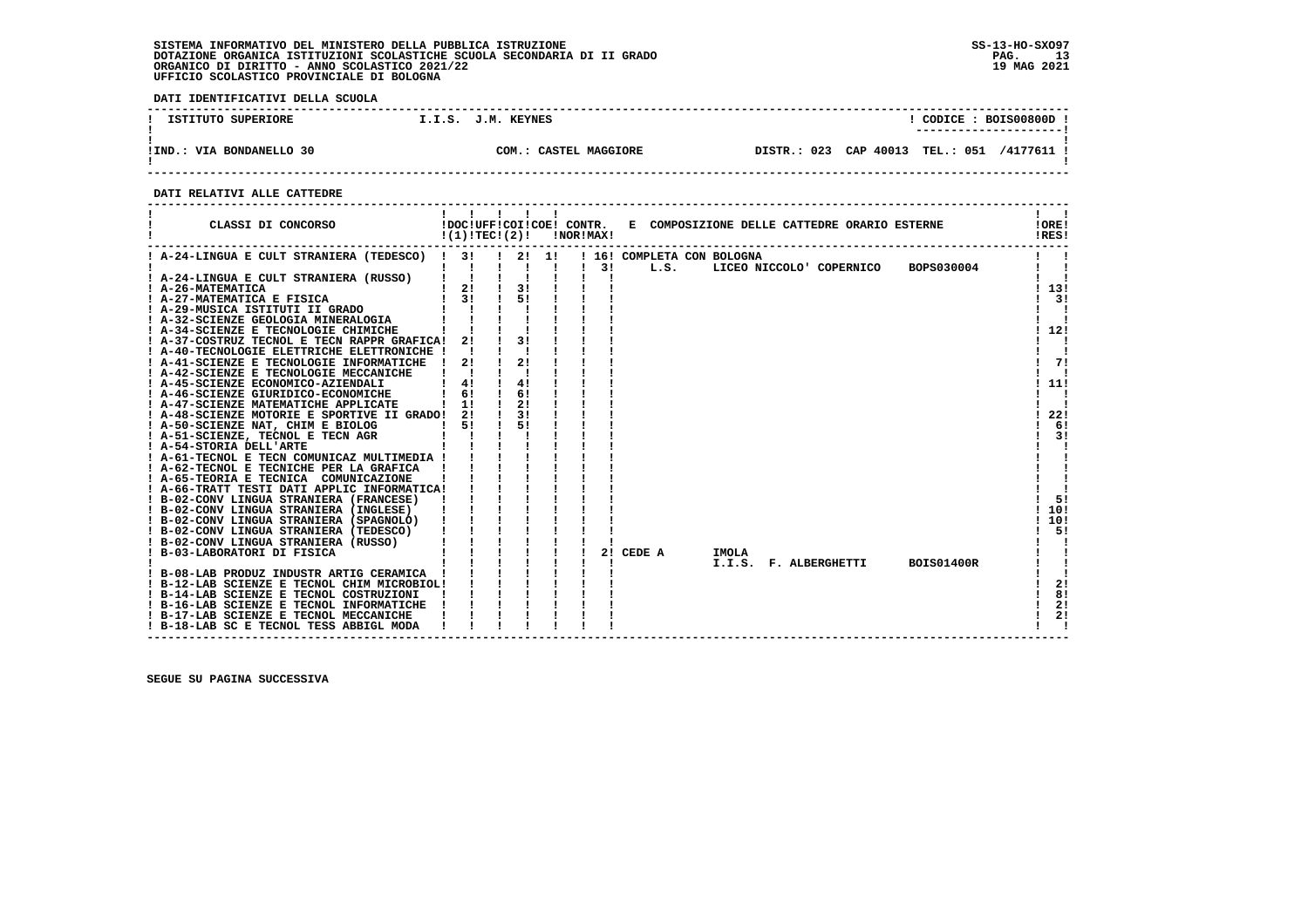**DATI IDENTIFICATIVI DELLA SCUOLA**

| ISTITUTO SUPERIORE       | I.I.S. J.M. KEYNES    | CODICE: BOIS00800D<br>---------------------- |
|--------------------------|-----------------------|----------------------------------------------|
| !IND.: VIA BONDANELLO 30 | COM.: CASTEL MAGGIORE | DISTR.: 023 CAP 40013 TEL.: 051 /4177611 !   |

 **------------------------------------------------------------------------------------------------------------------------------------**

#### **DATI RELATIVI ALLE CATTEDRE**

| CLASSI DI CONCORSO                                                                     | !DOC!UFF!COI!COE! CONTR.<br>!(1)!TECI(2)!      |                       | !NOR!MAX! |           |                            | E COMPOSIZIONE DELLE CATTEDRE ORARIO ESTERNE |                   | !ORE!<br>!RES! |
|----------------------------------------------------------------------------------------|------------------------------------------------|-----------------------|-----------|-----------|----------------------------|----------------------------------------------|-------------------|----------------|
| ! A-24-LINGUA E CULT STRANIERA (TEDESCO) ! 3!                                          |                                                | $1 \quad 21 \quad 11$ |           |           | ! 16! COMPLETA CON BOLOGNA |                                              |                   |                |
|                                                                                        |                                                |                       | 31        | L.S.      |                            | LICEO NICCOLO' COPERNICO                     | BOPS030004        |                |
| ! A-24-LINGUA E CULT STRANIERA (RUSSO)                                                 |                                                |                       |           |           |                            |                                              |                   |                |
| : A-26-MATEMATICA<br>! A-27-MATEMATICA E FISICA                                        | $\begin{bmatrix} 1 & 2 \\ 1 & 3 \end{bmatrix}$ | 3!                    |           |           |                            |                                              |                   | ! 13!          |
|                                                                                        |                                                | 51                    |           |           |                            |                                              |                   | 3!             |
| : A-29-MUSICA ISTITUTI II GRADO<br>! A-32-SCIENZE GEOLOGIA MINERALOGIA                 |                                                |                       |           |           |                            |                                              |                   |                |
|                                                                                        |                                                |                       |           |           |                            |                                              |                   |                |
| ! A-34-SCIENZE E TECNOLOGIE CHIMICHE                                                   |                                                |                       |           |           |                            |                                              |                   | 112!           |
| ! A-37-COSTRUZ TECNOL E TECN RAPPR GRAFICA!                                            | 2!                                             |                       |           |           |                            |                                              |                   |                |
| ! A-40-TECNOLOGIE ELETTRICHE ELETTRONICHE !                                            |                                                |                       |           |           |                            |                                              |                   |                |
| ! A-41-SCIENZE E TECNOLOGIE INFORMATICHE                                               | 2!                                             | 21                    |           |           |                            |                                              |                   | 71             |
| ! A-42-SCIENZE E TECNOLOGIE MECCANICHE                                                 |                                                |                       |           |           |                            |                                              |                   |                |
| ! A-45-SCIENZE ECONOMICO-AZIENDALI                                                     | 41                                             | 41                    |           |           |                            |                                              |                   | ! 11!          |
| ! A-46-SCIENZE GIURIDICO-ECONOMICHE                                                    | 6!                                             | 6!                    |           |           |                            |                                              |                   |                |
| ! A-47-SCIENZE MATEMATICHE APPLICATE                                                   | 11                                             | 2!                    |           |           |                            |                                              |                   |                |
| ! A-48-SCIENZE MOTORIE E SPORTIVE II GRADO!                                            | 2!                                             | 3!                    |           |           |                            |                                              |                   | 22!            |
| ! A-50-SCIENZE NAT, CHIM E BIOLOG                                                      | 51                                             | 51                    |           |           |                            |                                              |                   | 6!             |
| ! A-51-SCIENZE, TECNOL E TECN AGR                                                      |                                                |                       |           |           |                            |                                              |                   | 3!             |
| ! A-54-STORIA DELL'ARTE                                                                |                                                |                       |           |           |                            |                                              |                   |                |
| ! A-61-TECNOL E TECN COMUNICAZ MULTIMEDIA !<br>! A-62-TECNOL E TECNICHE PER LA GRAFICA |                                                |                       |           |           |                            |                                              |                   |                |
|                                                                                        |                                                |                       |           |           |                            |                                              |                   |                |
| ! A-65-TEORIA E TECNICA COMUNICAZIONE                                                  |                                                |                       |           |           |                            |                                              |                   |                |
| ! A-66-TRATT TESTI DATI APPLIC INFORMATICA!<br>! B-02-CONV LINGUA STRANIERA (FRANCESE) |                                                |                       |           |           |                            |                                              |                   | 51             |
| ! B-02-CONV LINGUA STRANIERA (INGLESE)                                                 |                                                |                       |           |           |                            |                                              |                   | 10!            |
| ! B-02-CONV LINGUA STRANIERA (SPAGNOLO)                                                |                                                |                       |           |           |                            |                                              |                   | 10!            |
| ! B-02-CONV LINGUA STRANIERA (TEDESCO)                                                 |                                                |                       |           |           |                            |                                              |                   | 5!             |
| ! B-02-CONV LINGUA STRANIERA (RUSSO)                                                   |                                                |                       |           |           |                            |                                              |                   |                |
| ! B-03-LABORATORI DI FISICA                                                            |                                                |                       |           | 2! CEDE A | <b>IMOLA</b>               |                                              |                   |                |
|                                                                                        |                                                |                       |           |           |                            | I.I.S. F. ALBERGHETTI                        | <b>BOIS01400R</b> |                |
| B-08-LAB PRODUZ INDUSTR ARTIG CERAMICA !                                               |                                                |                       |           |           |                            |                                              |                   |                |
| ! B-12-LAB SCIENZE E TECNOL CHIM MICROBIOL!                                            |                                                |                       |           |           |                            |                                              |                   | 2!             |
| ! B-14-LAB SCIENZE E TECNOL COSTRUZIONI                                                |                                                |                       |           |           |                            |                                              |                   | 8!             |
| ! B-16-LAB SCIENZE E TECNOL INFORMATICHE                                               |                                                |                       |           |           |                            |                                              |                   | 2!             |
| ! B-17-LAB SCIENZE E TECNOL MECCANICHE                                                 |                                                |                       |           |           |                            |                                              |                   | 2!             |
| ! B-18-LAB SC E TECNOL TESS ABBIGL MODA                                                |                                                |                       |           |           |                            |                                              |                   |                |
|                                                                                        |                                                |                       |           |           |                            |                                              |                   |                |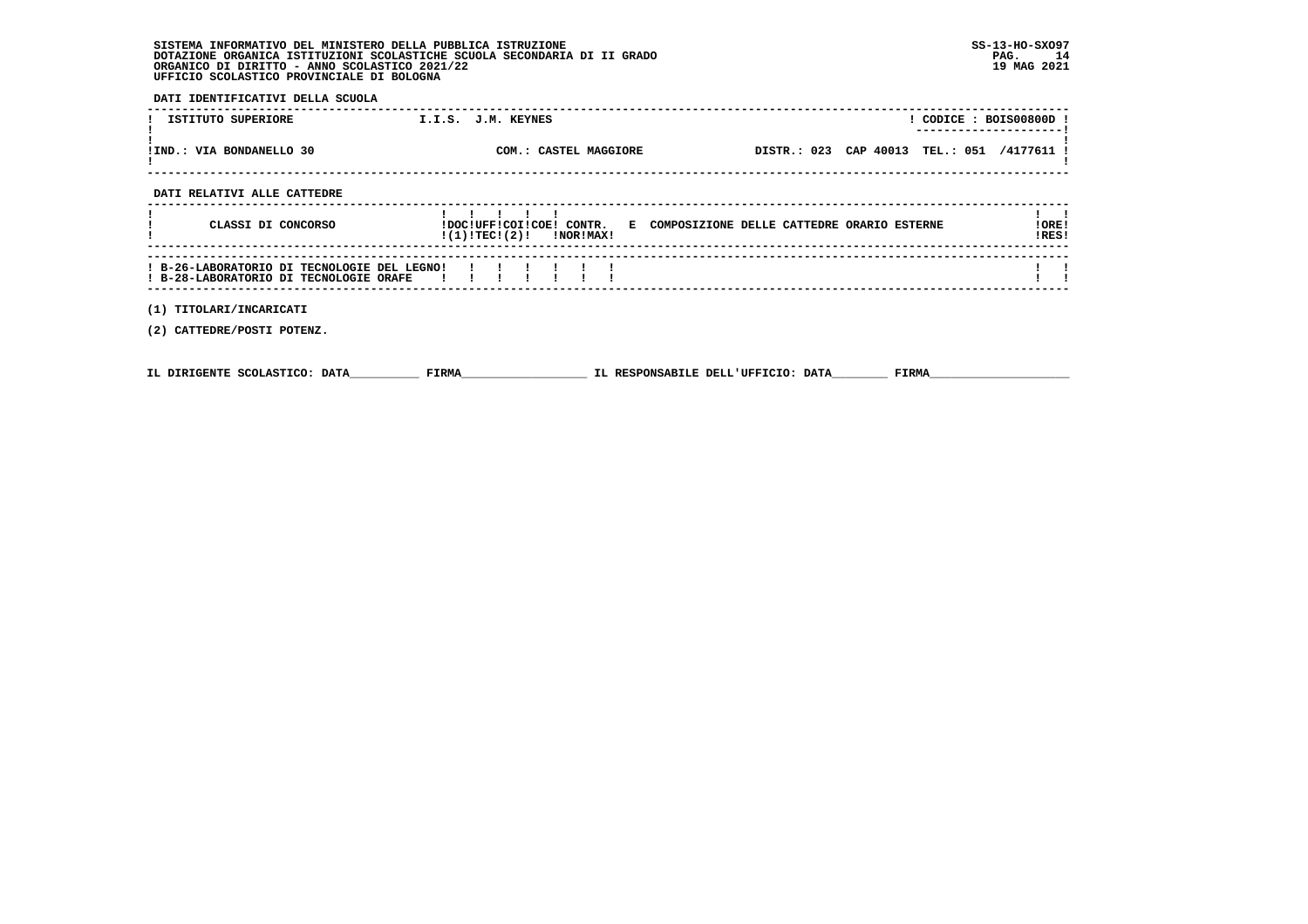| SISTEMA INFORMATIVO DEL MINISTERO DELLA PUBBLICA ISTRUZIONE              | $SS-13-HO-SXO97$ |
|--------------------------------------------------------------------------|------------------|
| DOTAZIONE ORGANICA ISTITUZIONI SCOLASTICHE SCUOLA SECONDARIA DI II GRADO | PAG.             |
| ORGANICO DI DIRITTO - ANNO SCOLASTICO 2021/22                            | 19 MAG 2021      |
| UFFICIO SCOLASTICO PROVINCIALE DI BOLOGNA                                |                  |

 **DATI IDENTIFICATIVI DELLA SCUOLA**

| ISTITUTO SUPERIORE                                                                    | I.I.S. J.M. KEYNES                                                                                   | $!$ CODICE : BOIS00800D !  |
|---------------------------------------------------------------------------------------|------------------------------------------------------------------------------------------------------|----------------------------|
| !IND.: VIA BONDANELLO 30                                                              | DISTR.: 023 CAP 40013 TEL.: 051 /4177611 !<br>COM.: CASTEL MAGGIORE                                  |                            |
| DATI RELATIVI ALLE CATTEDRE                                                           |                                                                                                      |                            |
|                                                                                       |                                                                                                      |                            |
| CLASSI DI CONCORSO                                                                    | !DOC!UFF!COI!COE! CONTR. E COMPOSIZIONE DELLE CATTEDRE ORARIO ESTERNE<br>$!(1)!TEC!(2)!$ $INORIMAX!$ | IORE <sub>1</sub><br>!RES! |
|                                                                                       |                                                                                                      |                            |
| ! B-26-LABORATORIO DI TECNOLOGIE DEL LEGNO!<br>! B-28-LABORATORIO DI TECNOLOGIE ORAFE |                                                                                                      |                            |
| (1) TITOLARI/INCARICATI                                                               |                                                                                                      |                            |
| (2) CATTEDRE/POSTI POTENZ.                                                            |                                                                                                      |                            |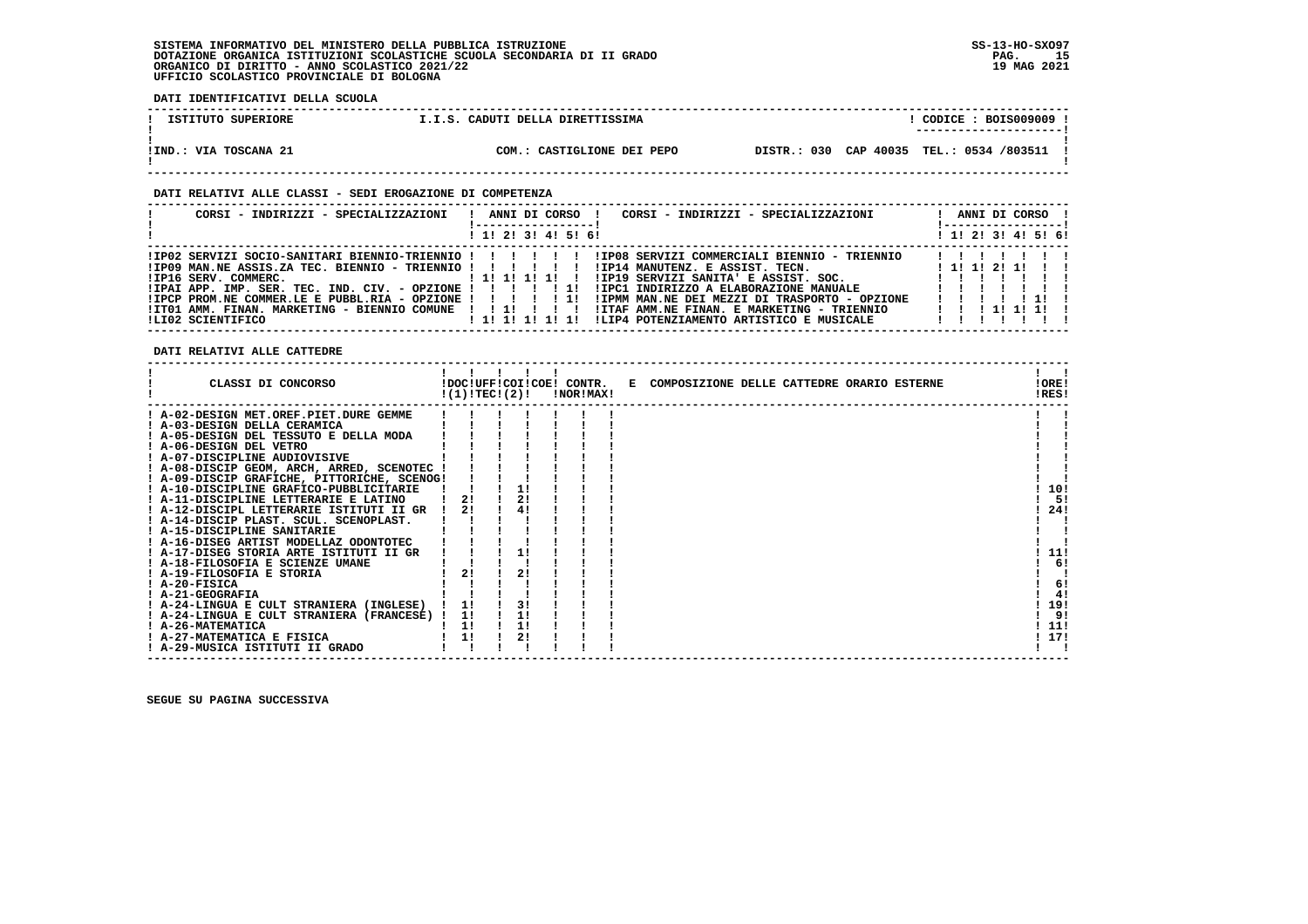**DATI IDENTIFICATIVI DELLA SCUOLA**

| ISTITUTO SUPERIORE    | I.I.S. CADUTI DELLA DIRETTISSIMA | CODICE: BOIS009009 !                     |  |
|-----------------------|----------------------------------|------------------------------------------|--|
|                       |                                  | ---------------------                    |  |
| !IND.: VIA TOSCANA 21 | COM.: CASTIGLIONE DEI PEPO       | DISTR.: 030 CAP 40035 TEL.: 0534 /803511 |  |

 **------------------------------------------------------------------------------------------------------------------------------------**

#### **DATI RELATIVI ALLE CLASSI - SEDI EROGAZIONE DI COMPETENZA**

| CORSI - INDIRIZZI - SPECIALIZZAZIONI                                                                                                                                                                                | ANNI DI CORSO !<br>CORSI - INDIRIZZI - SPECIALIZZAZIONI<br>, ------------------,<br>! 1! 2! 3! 4! 5! 6!                                                                                                                                                                                                                                                                                                                                               | ANNI DI CORSO !<br>! -----------------<br>! 1! 2! 3! 4! 5! 6! |
|---------------------------------------------------------------------------------------------------------------------------------------------------------------------------------------------------------------------|-------------------------------------------------------------------------------------------------------------------------------------------------------------------------------------------------------------------------------------------------------------------------------------------------------------------------------------------------------------------------------------------------------------------------------------------------------|---------------------------------------------------------------|
| $1IP09$ MAN.NE ASSIS.ZA TEC. BIENNIO - TRIENNIO ! ! ! ! ! !<br>$IIPAI$ APP. IMP. SER. TEC. IND. $CIV.$ - OPZIONE ! ! ! ! ! 1!<br>$IIPCP$ PROM.NE COMMER.LE E PUBBL.RIA - OPZIONE ! ! ! ! ! ! !<br>ILI02 SCIENTIFICO | IP02 SERVIZI SOCIO-SANITARI BIENNIO-TRIENNIO ! ! ! ! ! ! ! ! !P08 SERVIZI COMMERCIALI BIENNIO - TRIENNIO!<br>IIP14 MANUTENZ. E ASSIST. TECN.<br>!IP19 SERVIZI SANITA' E ASSIST. SOC. [ !!!!<br>!IPC1 INDIRIZZO A ELABORAZIONE MANUALE<br>!IPMM MAN.NE DEI MEZZI DI TRASPORTO - OPZIONE<br>ITO1 AMM. FINAN. MARKETING - BIENNIO COMUNE !!!!!!!!!!!ITAF AMM.NE FINAN. E MARKETING - TRIENNIO<br>!!!!!!!!!!!<br>ILIP4 POTENZIAMENTO ARTISTICO E MUSICALE | $1$ 1! 1! 2! 1!<br>$\blacksquare$<br>1 1 1 1 1 1 1 1 1        |

 **DATI RELATIVI ALLE CATTEDRE**

| CLASSI DI CONCORSO                              | !(1)!TEC!(2)! |          | !DOC!UFF!COI!COE! CONTR.<br>!NOR!MAX! | E COMPOSIZIONE DELLE CATTEDRE ORARIO ESTERNE | !ORE!<br>!RES! |
|-------------------------------------------------|---------------|----------|---------------------------------------|----------------------------------------------|----------------|
| A-02-DESIGN MET.OREF.PIET.DURE GEMME            |               |          |                                       |                                              |                |
| ! A-03-DESIGN DELLA CERAMICA                    |               |          |                                       |                                              |                |
| A-05-DESIGN DEL TESSUTO E DELLA MODA            |               |          |                                       |                                              |                |
| ! A-06-DESIGN DEL VETRO                         |               |          |                                       |                                              |                |
| ! A-07-DISCIPLINE AUDIOVISIVE                   |               |          |                                       |                                              |                |
| ! A-08-DISCIP GEOM, ARCH, ARRED, SCENOTEC !     |               |          |                                       |                                              |                |
| ! A-09-DISCIP GRAFICHE, PITTORICHE, SCENOG!     |               |          |                                       |                                              |                |
| ! A-10-DISCIPLINE GRAFICO-PUBBLICITARIE         |               |          |                                       |                                              | 10!            |
| A-11-DISCIPLINE LETTERARIE E LATINO             | 21            | 2!       |                                       |                                              | 5!             |
| ! A-12-DISCIPL LETTERARIE ISTITUTI II GR        | 21            | 4!       |                                       |                                              | 24!            |
| ! A-14-DISCIP PLAST. SCUL. SCENOPLAST.          |               |          |                                       |                                              |                |
| A-15-DISCIPLINE SANITARIE                       |               |          |                                       |                                              |                |
| ! A-16-DISEG ARTIST MODELLAZ ODONTOTEC          |               |          |                                       |                                              |                |
| ! A-17-DISEG STORIA ARTE ISTITUTI II GR         |               |          |                                       |                                              | 11!            |
| A-18-FILOSOFIA E SCIENZE UMANE                  |               |          |                                       |                                              | 6!             |
| ! A-19-FILOSOFIA E STORIA                       |               | 2!       |                                       |                                              |                |
| $I$ A-20-FISICA                                 |               |          |                                       |                                              | 6!             |
| ! A-21-GEOGRAFIA                                |               |          |                                       |                                              | 4!             |
| ! A-24-LINGUA E CULT STRANIERA (INGLESE)        |               | 3!       |                                       |                                              | 19!<br>9!      |
| ! A-24-LINGUA E CULT STRANIERA (FRANCESE) !     | 1!            |          |                                       |                                              |                |
| ! A-26-MATEMATICA<br>! A-27-MATEMATICA E FISICA | 1!<br>1!      | 1!<br>2! |                                       |                                              | 11!<br>17!     |
| ! A-29-MUSICA ISTITUTI II GRADO                 |               |          |                                       |                                              |                |
|                                                 |               |          |                                       |                                              |                |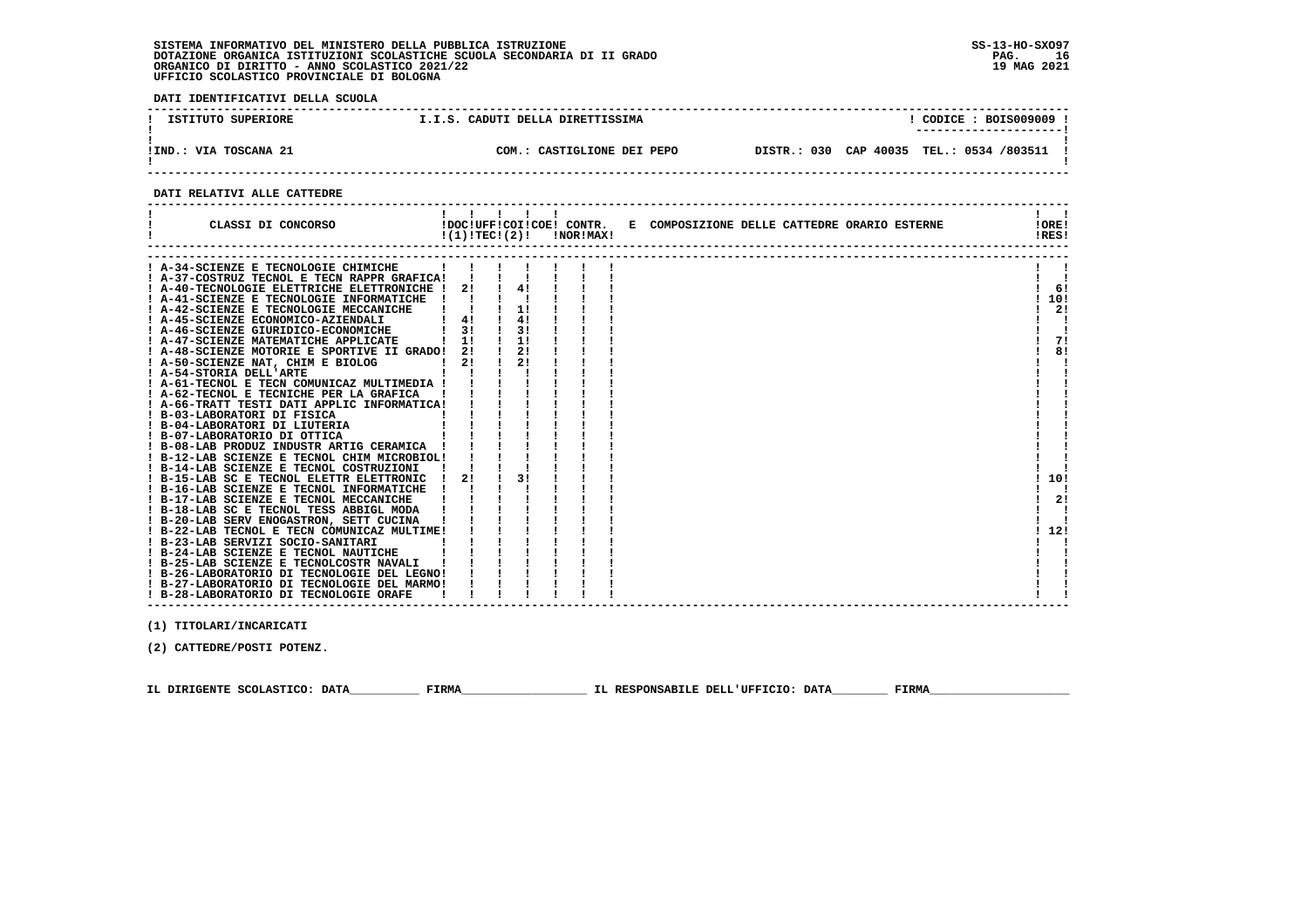**DATI IDENTIFICATIVI DELLA SCUOLA ------------------------------------------------------------------------------------------------------------------------------------**! CODICE : BOIS009009 !  **! ISTITUTO SUPERIORE I.I.S. CADUTI DELLA DIRETTISSIMA ! CODICE : BOIS009009 ! ! ---------------------! ! ! !IND.: VIA TOSCANA 21 COM.: CASTIGLIONE DEI PEPO DISTR.: 030 CAP 40035 TEL.: 0534 /803511 !** $\mathbf{I}$  **! ! ------------------------------------------------------------------------------------------------------------------------------------**

#### **DATI RELATIVI ALLE CATTEDRE**

| CLASSI DI CONCORSO                          | !(1)!TECI(2)! |    | !NOR!MAX! | !DOC!UFF!COI!COE! CONTR. E COMPOSIZIONE DELLE CATTEDRE ORARIO ESTERNE | !ORE!<br>!RES! |
|---------------------------------------------|---------------|----|-----------|-----------------------------------------------------------------------|----------------|
|                                             |               |    |           |                                                                       |                |
| ! A-34-SCIENZE E TECNOLOGIE CHIMICHE        |               |    |           |                                                                       |                |
| ! A-37-COSTRUZ TECNOL E TECN RAPPR GRAFICA! |               |    |           |                                                                       |                |
| A-40-TECNOLOGIE ELETTRICHE ELETTRONICHE !   | 21            | 4! |           |                                                                       | 6!             |
| ! A-41-SCIENZE E TECNOLOGIE INFORMATICHE    |               |    |           |                                                                       | 10!            |
| ! A-42-SCIENZE E TECNOLOGIE MECCANICHE      |               | 11 |           |                                                                       | 2!             |
| ! A-45-SCIENZE ECONOMICO-AZIENDALI          | 4!            | 4! |           |                                                                       |                |
| A-46-SCIENZE GIURIDICO-ECONOMICHE           | 31            | 31 |           |                                                                       |                |
| A-47-SCIENZE MATEMATICHE APPLICATE          | 1!            | 1! |           |                                                                       | 71             |
| A-48-SCIENZE MOTORIE E SPORTIVE II GRADO!   | 21            | 2! |           |                                                                       | 8!             |
| A-50-SCIENZE NAT, CHIM E BIOLOG             | 2!            | 2! |           |                                                                       |                |
| ! A-54-STORIA DELL'ARTE                     |               |    |           |                                                                       |                |
| A-61-TECNOL E TECN COMUNICAZ MULTIMEDIA !   |               |    |           |                                                                       |                |
| ! A-62-TECNOL E TECNICHE PER LA GRAFICA     |               |    |           |                                                                       |                |
| ! A-66-TRATT TESTI DATI APPLIC INFORMATICA! |               |    |           |                                                                       |                |
| ! B-03-LABORATORI DI FISICA                 |               |    |           |                                                                       |                |
| B-04-LABORATORI DI LIUTERIA                 |               |    |           |                                                                       |                |
| ! B-07-LABORATORIO DI OTTICA                |               |    |           |                                                                       |                |
| ! B-08-LAB PRODUZ INDUSTR ARTIG CERAMICA    |               |    |           |                                                                       |                |
| ! B-12-LAB SCIENZE E TECNOL CHIM MICROBIOL! |               |    |           |                                                                       |                |
| ! B-14-LAB SCIENZE E TECNOL COSTRUZIONI     |               |    |           |                                                                       |                |
| ! B-15-LAB SC E TECNOL ELETTR ELETTRONIC    | 2!            | 31 |           |                                                                       | 10!            |
| ! B-16-LAB SCIENZE E TECNOL INFORMATICHE    |               |    |           |                                                                       |                |
| ! B-17-LAB SCIENZE E TECNOL MECCANICHE      |               |    |           |                                                                       | 2!             |
| ! B-18-LAB SC E TECNOL TESS ABBIGL MODA     |               |    |           |                                                                       |                |
| ! B-20-LAB SERV ENOGASTRON, SETT CUCINA     |               |    |           |                                                                       |                |
| ! B-22-LAB TECNOL E TECN COMUNICAZ MULTIME! |               |    |           |                                                                       | 12!            |
| ! B-23-LAB SERVIZI SOCIO-SANITARI           |               |    |           |                                                                       |                |
| ! B-24-LAB SCIENZE E TECNOL NAUTICHE        |               |    |           |                                                                       |                |
| ! B-25-LAB SCIENZE E TECNOLCOSTR NAVALI     |               |    |           |                                                                       |                |
| ! B-26-LABORATORIO DI TECNOLOGIE DEL LEGNO! |               |    |           |                                                                       |                |
| ! B-27-LABORATORIO DI TECNOLOGIE DEL MARMO! |               |    |           |                                                                       |                |
| ! B-28-LABORATORIO DI TECNOLOGIE ORAFE      |               |    |           |                                                                       |                |

 **------------------------------------------------------------------------------------------------------------------------------------**

 **(1) TITOLARI/INCARICATI**

 **(2) CATTEDRE/POSTI POTENZ.**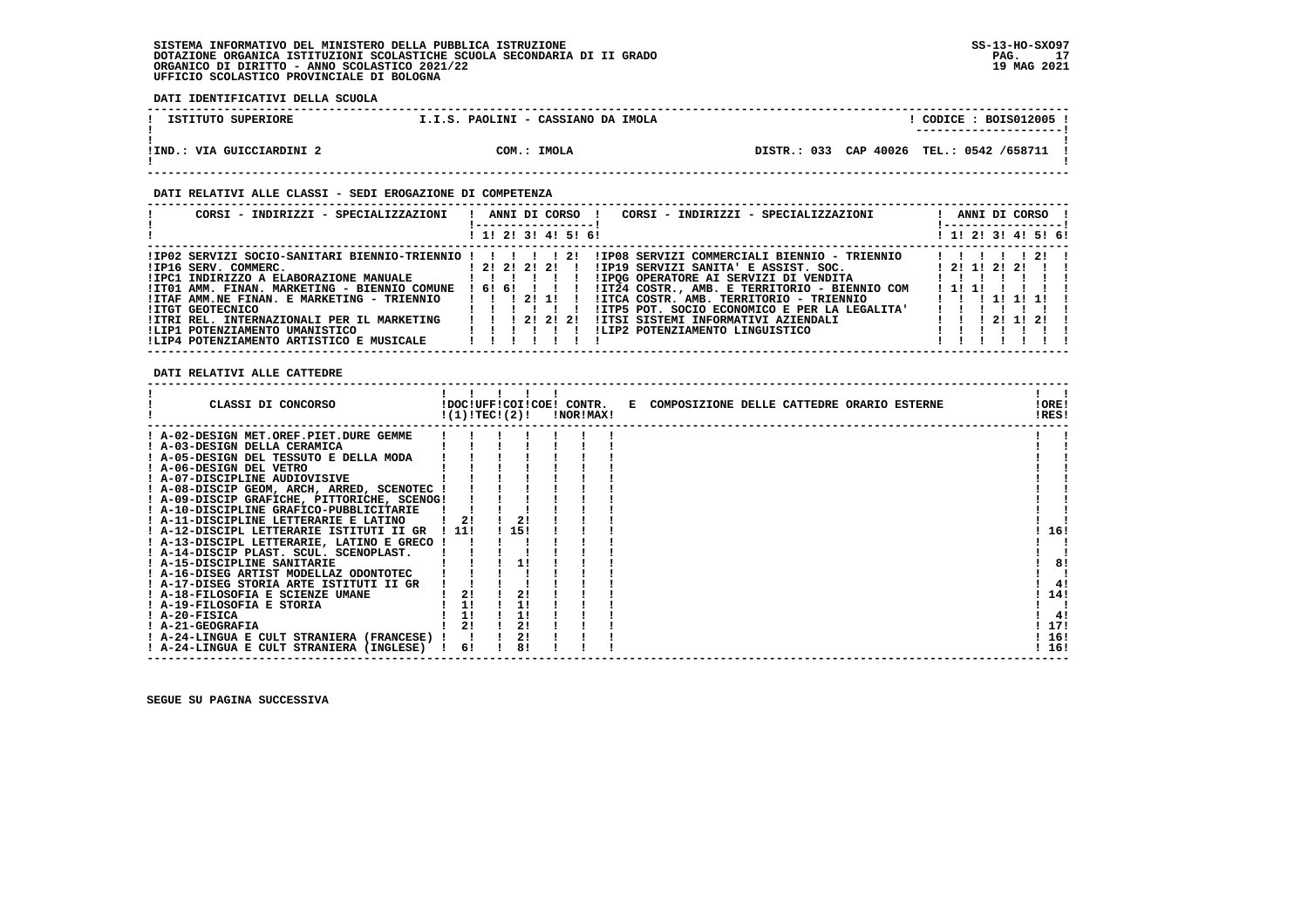**DATI IDENTIFICATIVI DELLA SCUOLA**

| ISTITUTO SUPERIORE        | I.I.S. PAOLINI - CASSIANO DA IMOLA | $\overline{COLICE}$ : BOIS012005 !<br>---------------------- |  |
|---------------------------|------------------------------------|--------------------------------------------------------------|--|
| !IND.: VIA GUICCIARDINI 2 | COM.: IMOLA                        | DISTR.: 033 CAP 40026 TEL.: 0542 /658711 !                   |  |

#### **DATI RELATIVI ALLE CLASSI - SEDI EROGAZIONE DI COMPETENZA**

| CORSI - INDIRIZZI - SPECIALIZZAZIONI                       |  |  |             | -----------------   | ANNI DI CORSO !<br>CORSI - INDIRIZZI - SPECIALIZZAZIONI                                               |  |         | ANNI DI CORSO !<br>! ------------------ ! |  |  |
|------------------------------------------------------------|--|--|-------------|---------------------|-------------------------------------------------------------------------------------------------------|--|---------|-------------------------------------------|--|--|
|                                                            |  |  |             | ! 1! 2! 3! 4! 5! 6! |                                                                                                       |  |         | ! 1! 2! 3! 4! 5! 6!                       |  |  |
|                                                            |  |  |             |                     | IPO2 SERVIZI SOCIO-SANITARI BIENNIO-TRIENNIO ! ! ! ! ! ! IIPO8 SERVIZI COMMERCIALI BIENNIO - TRIENNIO |  |         | 11111211                                  |  |  |
| $1 \t21 \t21 \t21 \t1$<br>!IP16 SERV. COMMERC.             |  |  |             |                     | $IIP19$ SERVIZI SANITA' E ASSIST. SOC. $12!1!2!$                                                      |  |         |                                           |  |  |
|                                                            |  |  |             |                     |                                                                                                       |  |         |                                           |  |  |
| !IT01 AMM. FINAN. MARKETING - BIENNIO COMUNE ! 6! 6! ! ! ! |  |  |             |                     | !IT24 COSTR., AMB. E TERRITORIO - BIENNIO COM                                                         |  | ! 1! 1! |                                           |  |  |
| !ITAF AMM.NE FINAN. E MARKETING - TRIENNIO   !! 2! 1!!     |  |  |             |                     | IITCA COSTR. AMB. TERRITORIO - TRIENNIO                                                               |  |         | 1 1 1 1 1 1 1 1                           |  |  |
| !ITGT GEOTECNICO                                           |  |  | 1 1 1 1 1 1 |                     | !ITP5 POT, SOCIO ECONOMICO E PER LA LEGALITA'                                                         |  |         |                                           |  |  |
| !ITRI REL. INTERNAZIONALI PER IL MARKETING                 |  |  |             | 1 1 1 2 1 2 1 2 1   | IITSI SISTEMI INFORMATIVI AZIENDALI                                                                   |  |         | 1 1 1 2 1 1 2 1                           |  |  |
| !LIP1 POTENZIAMENTO UMANISTICO                             |  |  |             |                     | ILIP2 POTENZIAMENTO LINGUISTICO                                                                       |  |         |                                           |  |  |
| !LIP4 POTENZIAMENTO ARTISTICO E MUSICALE                   |  |  |             |                     |                                                                                                       |  |         |                                           |  |  |

 **DATI RELATIVI ALLE CATTEDRE**

| CLASSI DI CONCORSO                          |       | !(1)!TEC!(2)! | !NOR!MAX! | !DOC!UFF!COI!COE! CONTR. E COMPOSIZIONE DELLE CATTEDRE ORARIO ESTERNE | !ORE!<br>!RES! |  |
|---------------------------------------------|-------|---------------|-----------|-----------------------------------------------------------------------|----------------|--|
| ! A-02-DESIGN MET.OREF.PIET.DURE GEMME      |       |               |           |                                                                       |                |  |
| ! A-03-DESIGN DELLA CERAMICA                |       |               |           |                                                                       |                |  |
| ! A-05-DESIGN DEL TESSUTO E DELLA MODA      |       |               |           |                                                                       |                |  |
| ! A-06-DESIGN DEL VETRO                     |       |               |           |                                                                       |                |  |
| ! A-07-DISCIPLINE AUDIOVISIVE               |       |               |           |                                                                       |                |  |
| ! A-08-DISCIP GEOM, ARCH, ARRED, SCENOTEC ! |       |               |           |                                                                       |                |  |
| ! A-09-DISCIP GRAFICHE, PITTORICHE, SCENOG! |       |               |           |                                                                       |                |  |
| ! A-10-DISCIPLINE GRAFICO-PUBBLICITARIE     |       |               |           |                                                                       |                |  |
| ! A-11-DISCIPLINE LETTERARIE E LATINO       | 21    | 2!            |           |                                                                       |                |  |
| ! A-12-DISCIPL LETTERARIE ISTITUTI II GR    | ! 11! | 115!          |           |                                                                       | 16!            |  |
| ! A-13-DISCIPL LETTERARIE, LATINO E GRECO ! |       |               |           |                                                                       |                |  |
| ! A-14-DISCIP PLAST. SCUL. SCENOPLAST.      |       |               |           |                                                                       |                |  |
| A-15-DISCIPLINE SANITARIE                   |       |               |           |                                                                       | 8!             |  |
| ! A-16-DISEG ARTIST MODELLAZ ODONTOTEC      |       |               |           |                                                                       |                |  |
| ! A-17-DISEG STORIA ARTE ISTITUTI II GR     |       |               |           |                                                                       | 41             |  |
| ! A-18-FILOSOFIA E SCIENZE UMANE            | 2!    | 2!            |           |                                                                       | 14!            |  |
| ! A-19-FILOSOFIA E STORIA                   | 1!    | 1!            |           |                                                                       |                |  |
| ! A-20-FISICA                               | 1!    |               |           |                                                                       | 4!             |  |
| ! A-21-GEOGRAFIA                            |       |               |           |                                                                       | 17!            |  |
| ! A-24-LINGUA E CULT STRANIERA (FRANCESE) ! |       |               |           |                                                                       | 16!            |  |
| ! A-24-LINGUA E CULT STRANIERA (INGLESE)    | 6!    |               |           |                                                                       | 16!            |  |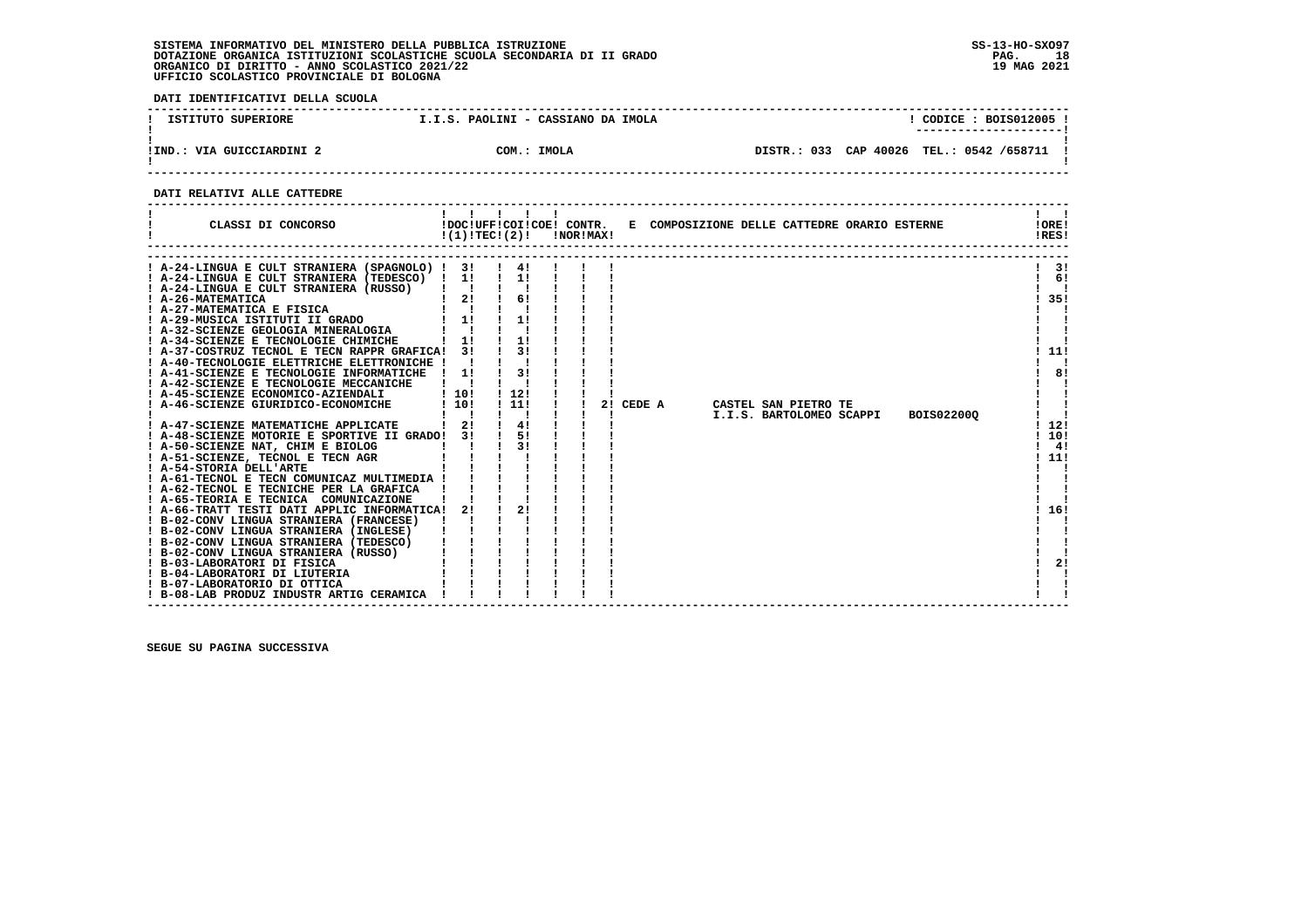**DATI IDENTIFICATIVI DELLA SCUOLA**

| ISTITUTO SUPERIORE        | I.I.S. PAOLINI - CASSIANO DA IMOLA | CODICE: BOIS012005 !<br>---------------------- |
|---------------------------|------------------------------------|------------------------------------------------|
| !IND.: VIA GUICCIARDINI 2 | COM.: IMOLA                        | DISTR.: 033 CAP 40026 TEL.: 0542 /658711 !     |

 **------------------------------------------------------------------------------------------------------------------------------------**

#### **DATI RELATIVI ALLE CATTEDRE**

| CLASSI DI CONCORSO                                                        |                           | 1 1 1 1 1<br>$!(1)!TEC!(2)!$ $INORIMAX!$ |  |    |        |  | !DOC!UFF!COI!COE! CONTR. E COMPOSIZIONE DELLE CATTEDRE ORARIO ESTERNE |            | !ORE!<br>IRES! |
|---------------------------------------------------------------------------|---------------------------|------------------------------------------|--|----|--------|--|-----------------------------------------------------------------------|------------|----------------|
| ! A-24-LINGUA E CULT STRANIERA (SPAGNOLO) ! 3!                            |                           | $\frac{1}{4}$                            |  |    |        |  |                                                                       |            | 3!             |
| ! A-24-LINGUA E CULT STRANIERA (TEDESCO) ! 1!                             |                           | $\frac{1}{2}$                            |  |    |        |  |                                                                       |            | 6!             |
| ! A-24-LINGUA E CULT STRANIERA (RUSSO)                                    |                           |                                          |  |    |        |  |                                                                       |            |                |
| $\begin{array}{ccc} & 1 & 2! \\ A & & 1 \end{array}$<br>! A-26-MATEMATICA |                           | 61                                       |  |    |        |  |                                                                       |            | ! 35!          |
| ! A-27-MATEMATICA E FISICA                                                |                           |                                          |  |    |        |  |                                                                       |            |                |
| ! A-29-MUSICA ISTITUTI II GRADO                                           | $1 \quad 1!$              | 1!                                       |  |    |        |  |                                                                       |            |                |
| ! A-32-SCIENZE GEOLOGIA MINERALOGIA                                       |                           |                                          |  |    |        |  |                                                                       |            |                |
| ! A-34-SCIENZE E TECNOLOGIE CHIMICHE                                      | $1 \quad 11$              | 11                                       |  |    |        |  |                                                                       |            |                |
| ! A-37-COSTRUZ TECNOL E TECN RAPPR GRAFICA! 3!                            |                           | 31                                       |  |    |        |  |                                                                       |            | 11!            |
| ! A-40-TECNOLOGIE ELETTRICHE ELETTRONICHE !                               |                           |                                          |  |    |        |  |                                                                       |            |                |
| ! A-41-SCIENZE E TECNOLOGIE INFORMATICHE                                  | $\frac{1}{1}$             | 3!                                       |  |    |        |  |                                                                       |            | 8!             |
| ! A-42-SCIENZE E TECNOLOGIE MECCANICHE                                    |                           |                                          |  |    |        |  |                                                                       |            |                |
| ! A-45-SCIENZE ECONOMICO-AZIENDALI                                        | ! 10!                     | 1121                                     |  |    |        |  |                                                                       |            |                |
| ! A-46-SCIENZE GIURIDICO-ECONOMICHE                                       | 1101                      | ! 11!                                    |  | 21 | CEDE A |  | CASTEL SAN PIETRO TE                                                  |            |                |
|                                                                           | $\mathbf{I}$ $\mathbf{I}$ |                                          |  |    |        |  | I.I.S. BARTOLOMEO SCAPPI                                              | BOIS022000 |                |
| A-47-SCIENZE MATEMATICHE APPLICATE                                        | 21                        | 4!                                       |  |    |        |  |                                                                       |            | 12!            |
| ! A-48-SCIENZE MOTORIE E SPORTIVE II GRADO!                               | 31                        | 51                                       |  |    |        |  |                                                                       |            | 10!            |
| ! A-50-SCIENZE NAT, CHIM E BIOLOG                                         |                           | 31                                       |  |    |        |  |                                                                       |            | 4!             |
| ! A-51-SCIENZE, TECNOL E TECN AGR                                         |                           |                                          |  |    |        |  |                                                                       |            | ! 11!          |
| ! A-54-STORIA DELL'ARTE                                                   |                           |                                          |  |    |        |  |                                                                       |            |                |
| ! A-61-TECNOL E TECN COMUNICAZ MULTIMEDIA !                               |                           |                                          |  |    |        |  |                                                                       |            |                |
| ! A-62-TECNOL E TECNICHE PER LA GRAFICA                                   |                           |                                          |  |    |        |  |                                                                       |            |                |
| ! A-65-TEORIA E TECNICA COMUNICAZIONE                                     |                           |                                          |  |    |        |  |                                                                       |            |                |
| ! A-66-TRATT TESTI DATI APPLIC INFORMATICA!                               | 2!                        | 21                                       |  |    |        |  |                                                                       |            | 16!            |
| ! B-02-CONV LINGUA STRANIERA (FRANCESE)                                   |                           |                                          |  |    |        |  |                                                                       |            |                |
| ! B-02-CONV LINGUA STRANIERA (INGLESE)                                    |                           |                                          |  |    |        |  |                                                                       |            |                |
| ! B-02-CONV LINGUA STRANIERA (TEDESCO)                                    |                           |                                          |  |    |        |  |                                                                       |            |                |
| ! B-02-CONV LINGUA STRANIERA (RUSSO)                                      |                           |                                          |  |    |        |  |                                                                       |            |                |
| ! B-03-LABORATORI DI FISICA                                               |                           |                                          |  |    |        |  |                                                                       |            | 2!             |
| ! B-04-LABORATORI DI LIUTERIA                                             |                           |                                          |  |    |        |  |                                                                       |            |                |
| ! B-07-LABORATORIO DI OTTICA                                              |                           |                                          |  |    |        |  |                                                                       |            |                |
| ! B-08-LAB PRODUZ INDUSTR ARTIG CERAMICA                                  |                           |                                          |  |    |        |  |                                                                       |            |                |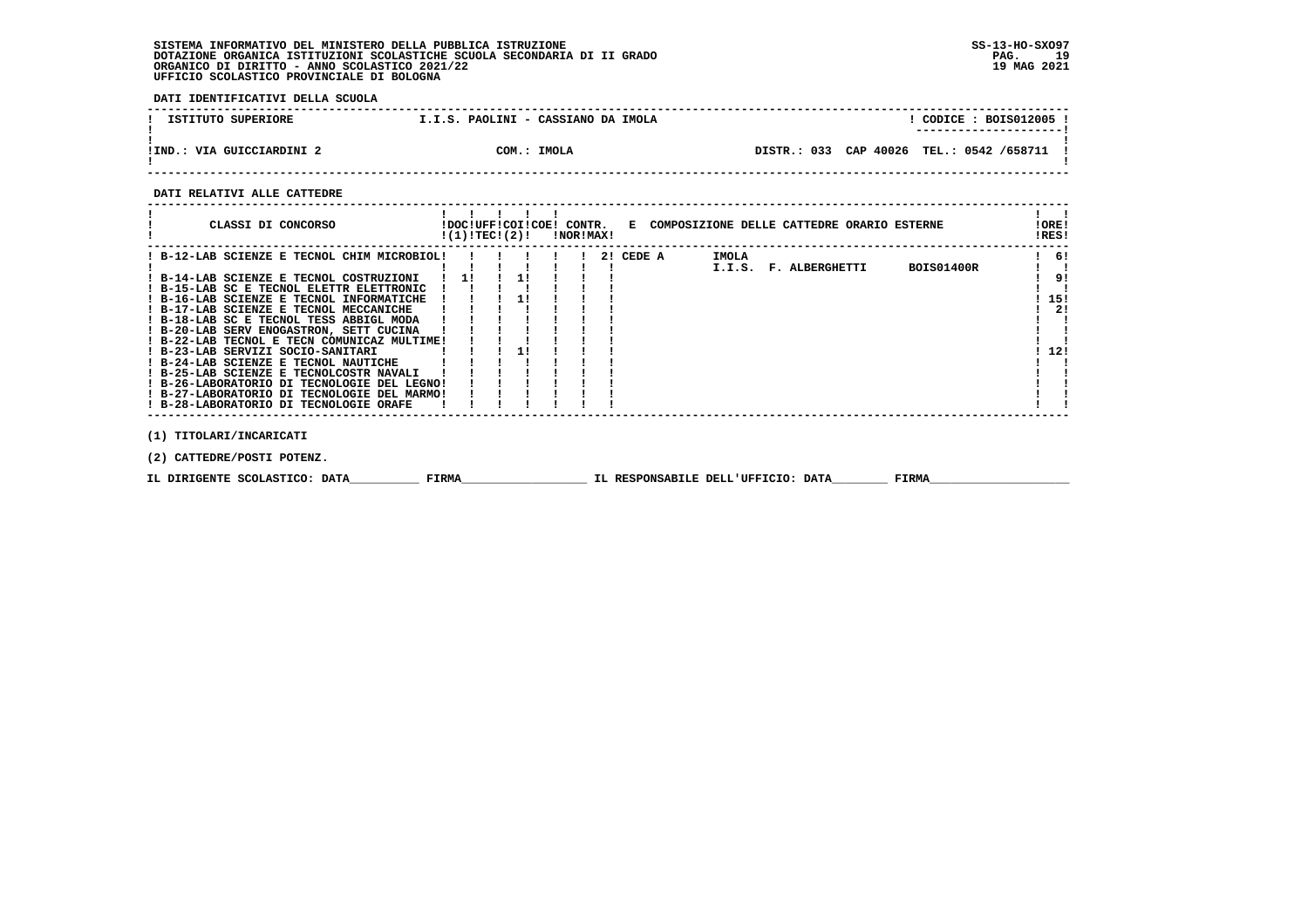**DATI IDENTIFICATIVI DELLA SCUOLA**

| ISTITUTO SUPERIORE        | I.I.S. PAOLINI - CASSIANO DA IMOLA | CODICE : BOIS012005 !                         |
|---------------------------|------------------------------------|-----------------------------------------------|
| !IND.: VIA GUICCIARDINI 2 | COM.: IMOLA                        | DISTR.: 033 CAP 40026<br>TEL.: 0542 /658711 ! |

 **------------------------------------------------------------------------------------------------------------------------------------**

#### **DATI RELATIVI ALLE CATTEDRE**

| CLASSI DI CONCORSO<br>!DOC!UFF!COI!COE! CONTR. E COMPOSIZIONE DELLE CATTEDRE ORARIO ESTERNE<br>!(1)!TEC!(2)!<br>!NOR!MAX! | !ORE!<br>!RES! |
|---------------------------------------------------------------------------------------------------------------------------|----------------|
| IMOLA<br>! B-12-LAB SCIENZE E TECNOL CHIM MICROBIOL!<br>2! CEDE A                                                         | -61            |
| <b>BOIS01400R</b><br>I.I.S. F. ALBERGHETTI                                                                                |                |
| 11<br>11<br>! B-14-LAB SCIENZE E TECNOL COSTRUZIONI                                                                       | 9!             |
| ! B-15-LAB SC E TECNOL ELETTR ELETTRONIC                                                                                  |                |
| ! B-16-LAB SCIENZE E TECNOL INFORMATICHE                                                                                  | -15!           |
| ! B-17-LAB SCIENZE E TECNOL MECCANICHE                                                                                    | 2!             |
| ! B-18-LAB SC E TECNOL TESS ABBIGL MODA                                                                                   |                |
| ! B-20-LAB SERV ENOGASTRON, SETT CUCINA                                                                                   |                |
| ! B-22-LAB TECNOL E TECN COMUNICAZ MULTIME!                                                                               |                |
| ! B-23-LAB SERVIZI SOCIO-SANITARI                                                                                         | 12!            |
| ! B-24-LAB SCIENZE E TECNOL NAUTICHE                                                                                      |                |
| ! B-25-LAB SCIENZE E TECNOLCOSTR NAVALI                                                                                   |                |
| ! B-26-LABORATORIO DI TECNOLOGIE DEL LEGNO!                                                                               |                |
| ! B-27-LABORATORIO DI TECNOLOGIE DEL MARMO!                                                                               |                |
| ! B-28-LABORATORIO DI TECNOLOGIE ORAFE                                                                                    |                |
|                                                                                                                           |                |
|                                                                                                                           |                |
| (1) TITOLARI/INCARICATI                                                                                                   |                |
| (2) CATTEDRE/POSTI POTENZ.                                                                                                |                |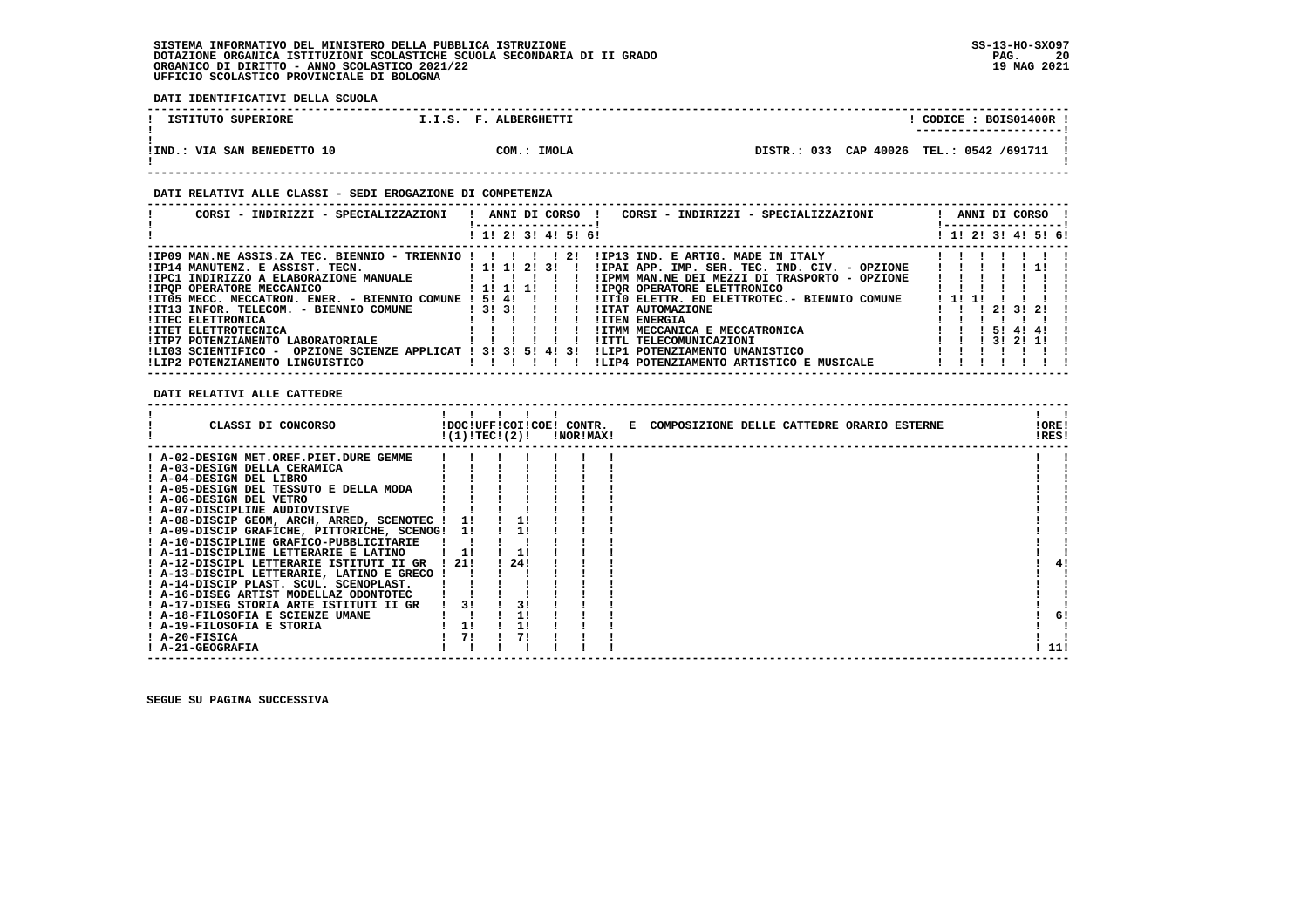**DATI IDENTIFICATIVI DELLA SCUOLA**

| ISTITUTO SUPERIORE          |  | I.I.S. F. ALBERGHETTI |  |                                          |  | CODICE: BOIS01400R !<br>---------------------- |  |
|-----------------------------|--|-----------------------|--|------------------------------------------|--|------------------------------------------------|--|
| IIND.: VIA SAN BENEDETTO 10 |  | COM.: IMOLA           |  | DISTR.: 033 CAP 40026 TEL.: 0542 /691711 |  |                                                |  |

#### **DATI RELATIVI ALLE CLASSI - SEDI EROGAZIONE DI COMPETENZA**

|                                                                                                                     | -----------------   |
|---------------------------------------------------------------------------------------------------------------------|---------------------|
| ! 1! 2! 3! 4! 5! 6!                                                                                                 | ! 1! 2! 3! 4! 5! 6! |
| $IIP09$ MAN.NE ASSIS.ZA TEC. BIENNIO - TRIENNIO ! ! ! ! ! 2!<br>!IP13 IND. E ARTIG. MADE IN ITALY                   |                     |
| ! 1! 1! 2! 3! !<br>!IP14 MANUTENZ. E ASSIST. TECN.<br>!IPAI APP. IMP. SER. TEC. IND. CIV. - OPZIONE                 |                     |
| !IPC1 INDIRIZZO A ELABORAZIONE MANUALE<br>!IPMM MAN.NE DEI MEZZI DI TRASPORTO - OPZIONE<br>1 1 1 1 1                |                     |
| <b>!IPOP OPERATORE MECCANICO</b><br><b>!IPOR OPERATORE ELETTRONICO</b>                                              |                     |
| !IT05 MECC. MECCATRON. ENER. - BIENNIO COMUNE ! 5! 4! ! ! !<br>!IT10 ELETTR. ED ELETTROTEC.- BIENNIO COMUNE<br>1111 |                     |
| $1$ 3! 3! $1$ 1 1<br><b>!ITAT AUTOMAZIONE</b><br>!IT13 INFOR, TELECOM, - BIENNIO COMUNE                             | 1 2 1 3 1 2 1 1     |
| <b>!ITEN ENERGIA</b><br><b>!ITEC ELETTRONICA</b>                                                                    |                     |
| ! ITMM MECCANICA E MECCATRONICA<br><b>!ITET ELETTROTECNICA</b>                                                      | 1 1 1 5 1 4 1 4 1 1 |
| !ITP7 POTENZIAMENTO LABORATORIALE<br>!ITTL TELECOMUNICAZIONI                                                        | $1$ 31 21 11 1      |
| OPZIONE SCIENZE APPLICAT ! 3! 3! 5! 4! 3!<br>ILIP1 POTENZIAMENTO UMANISTICO<br>ILIO3 SCIENTIFICO -                  |                     |
| ILIP2 POTENZIAMENTO LINGUISTICO<br>!LIP4 POTENZIAMENTO ARTISTICO E MUSICALE                                         |                     |

 **DATI RELATIVI ALLE CATTEDRE**

| ! A-02-DESIGN MET.OREF.PIET.DURE GEMME<br>! A-03-DESIGN DELLA CERAMICA<br>! A-04-DESIGN DEL LIBRO<br>! A-05-DESIGN DEL TESSUTO E DELLA MODA<br>! A-06-DESIGN DEL VETRO<br>! A-07-DISCIPLINE AUDIOVISIVE<br>! A-08-DISCIP GEOM, ARCH, ARRED, SCENOTEC !<br>11<br>! A-09-DISCIP GRAFICHE, PITTORICHE, SCENOG! 1!<br>! A-10-DISCIPLINE GRAFICO-PUBBLICITARIE<br>! A-11-DISCIPLINE LETTERARIE E LATINO<br>24!<br>! A-12-DISCIPL LETTERARIE ISTITUTI II GR<br>1211<br>41<br>! A-13-DISCIPL LETTERARIE, LATINO E GRECO !<br>! A-14-DISCIP PLAST. SCUL. SCENOPLAST.<br>! A-16-DISEG ARTIST MODELLAZ ODONTOTEC<br>31<br>31<br>! A-17-DISEG STORIA ARTE ISTITUTI II GR<br>! A-18-FILOSOFIA E SCIENZE UMANE<br>6!<br>! A-19-FILOSOFIA E STORIA<br>11<br>11<br>71<br>71<br>! A-20-FISICA<br>! A-21-GEOGRAFIA<br>11! | CLASSI DI CONCORSO | !(1)!TEC!(2)! |  | !DOC!UFF!COI!COE! CONTR.<br>!NOR!MAX! | E COMPOSIZIONE DELLE CATTEDRE ORARIO ESTERNE | !ORE!<br>!RES! |  |
|----------------------------------------------------------------------------------------------------------------------------------------------------------------------------------------------------------------------------------------------------------------------------------------------------------------------------------------------------------------------------------------------------------------------------------------------------------------------------------------------------------------------------------------------------------------------------------------------------------------------------------------------------------------------------------------------------------------------------------------------------------------------------------------------------------|--------------------|---------------|--|---------------------------------------|----------------------------------------------|----------------|--|
|                                                                                                                                                                                                                                                                                                                                                                                                                                                                                                                                                                                                                                                                                                                                                                                                          |                    |               |  |                                       |                                              |                |  |
|                                                                                                                                                                                                                                                                                                                                                                                                                                                                                                                                                                                                                                                                                                                                                                                                          |                    |               |  |                                       |                                              |                |  |
|                                                                                                                                                                                                                                                                                                                                                                                                                                                                                                                                                                                                                                                                                                                                                                                                          |                    |               |  |                                       |                                              |                |  |
|                                                                                                                                                                                                                                                                                                                                                                                                                                                                                                                                                                                                                                                                                                                                                                                                          |                    |               |  |                                       |                                              |                |  |
|                                                                                                                                                                                                                                                                                                                                                                                                                                                                                                                                                                                                                                                                                                                                                                                                          |                    |               |  |                                       |                                              |                |  |
|                                                                                                                                                                                                                                                                                                                                                                                                                                                                                                                                                                                                                                                                                                                                                                                                          |                    |               |  |                                       |                                              |                |  |
|                                                                                                                                                                                                                                                                                                                                                                                                                                                                                                                                                                                                                                                                                                                                                                                                          |                    |               |  |                                       |                                              |                |  |
|                                                                                                                                                                                                                                                                                                                                                                                                                                                                                                                                                                                                                                                                                                                                                                                                          |                    |               |  |                                       |                                              |                |  |
|                                                                                                                                                                                                                                                                                                                                                                                                                                                                                                                                                                                                                                                                                                                                                                                                          |                    |               |  |                                       |                                              |                |  |
|                                                                                                                                                                                                                                                                                                                                                                                                                                                                                                                                                                                                                                                                                                                                                                                                          |                    |               |  |                                       |                                              |                |  |
|                                                                                                                                                                                                                                                                                                                                                                                                                                                                                                                                                                                                                                                                                                                                                                                                          |                    |               |  |                                       |                                              |                |  |
|                                                                                                                                                                                                                                                                                                                                                                                                                                                                                                                                                                                                                                                                                                                                                                                                          |                    |               |  |                                       |                                              |                |  |
|                                                                                                                                                                                                                                                                                                                                                                                                                                                                                                                                                                                                                                                                                                                                                                                                          |                    |               |  |                                       |                                              |                |  |
|                                                                                                                                                                                                                                                                                                                                                                                                                                                                                                                                                                                                                                                                                                                                                                                                          |                    |               |  |                                       |                                              |                |  |
|                                                                                                                                                                                                                                                                                                                                                                                                                                                                                                                                                                                                                                                                                                                                                                                                          |                    |               |  |                                       |                                              |                |  |
|                                                                                                                                                                                                                                                                                                                                                                                                                                                                                                                                                                                                                                                                                                                                                                                                          |                    |               |  |                                       |                                              |                |  |
|                                                                                                                                                                                                                                                                                                                                                                                                                                                                                                                                                                                                                                                                                                                                                                                                          |                    |               |  |                                       |                                              |                |  |
|                                                                                                                                                                                                                                                                                                                                                                                                                                                                                                                                                                                                                                                                                                                                                                                                          |                    |               |  |                                       |                                              |                |  |
|                                                                                                                                                                                                                                                                                                                                                                                                                                                                                                                                                                                                                                                                                                                                                                                                          |                    |               |  |                                       |                                              |                |  |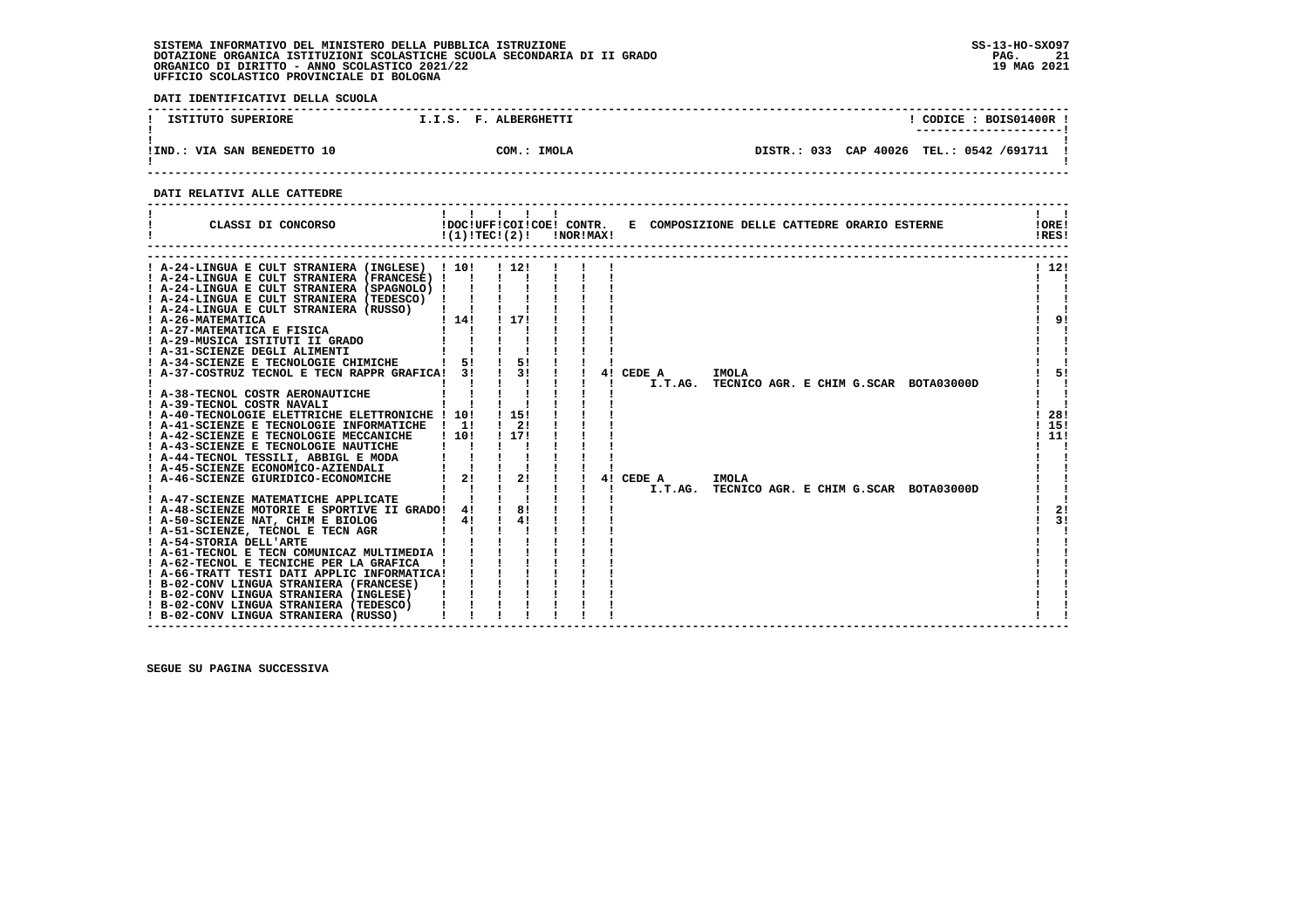**DATI IDENTIFICATIVI DELLA SCUOLA ------------------------------------------------------------------------------------------------------------------------------------**! CODICE: BOIS01400R ! **1 ISTITUTO SUPERIORE 1.1.S. F. ALBERGHETTI ! ---------------------!**.<br>**IIND.: VIA SAN BENEDETTO 10** COM.: IMOLA  **!IND.: VIA SAN BENEDETTO 10 COM.: IMOLA DISTR.: 033 CAP 40026 TEL.: 0542 /691711 !** $\mathbf{I}$  **! ! ------------------------------------------------------------------------------------------------------------------------------------**

 **DATI RELATIVI ALLE CATTEDRE**

| CLASSI DI CONCORSO                                                                                                                                                                                                                                                                                                                                                                                                                                                                                                                                                                                                                                                                                                                                                                                                                                                                                                                                                                                                                                                                      |                                                                                     | $\mathbf{I}$<br>$!(1)!TEC!(2)!$ $INORIMAX!$                                                                          |                          |                                           |                | !DOC!UFF!COI!COE! CONTR. E COMPOSIZIONE DELLE CATTEDRE ORARIO ESTERNE          | IOREI<br>!RES!                                    |
|-----------------------------------------------------------------------------------------------------------------------------------------------------------------------------------------------------------------------------------------------------------------------------------------------------------------------------------------------------------------------------------------------------------------------------------------------------------------------------------------------------------------------------------------------------------------------------------------------------------------------------------------------------------------------------------------------------------------------------------------------------------------------------------------------------------------------------------------------------------------------------------------------------------------------------------------------------------------------------------------------------------------------------------------------------------------------------------------|-------------------------------------------------------------------------------------|----------------------------------------------------------------------------------------------------------------------|--------------------------|-------------------------------------------|----------------|--------------------------------------------------------------------------------|---------------------------------------------------|
| ! A-24-LINGUA E CULT STRANIERA (INGLESE) ! 10! ! 12!<br>! A-24-LINGUA E CULT STRANIERA (FRANCESE) !<br>! A-24-LINGUA E CULT STRANIERA (SPAGNOLO) !<br>! A-24-LINGUA E CULT STRANIERA (TEDESCO)<br>! A-24-LINGUA E CULT STRANIERA (RUSSO)<br>! A-26-MATEMATICA<br>! A-27-MATEMATICA E FISICA<br>! A-31-SCIENZE DEGLI ALIMENTI<br>! A-34-SCIENZE E TECNOLOGIE CHIMICHE<br>! A-37-COSTRUZ TECNOL E TECN RAPPR GRAFICA! 3!<br>! A-38-TECNOL COSTR AERONAUTICHE<br>! A-39-TECNOL COSTR NAVALI<br>! A-40-TECNOLOGIE ELETTRICHE ELETTRONICHE ! 10!<br>! A-41-SCIENZE E TECNOLOGIE INFORMATICHE<br>! A-42-SCIENZE E TECNOLOGIE MECCANICHE<br>! A-43-SCIENZE E TECNOLOGIE NAUTICHE<br>! A-44-TECNOL TESSILI, ABBIGL E MODA<br>! A-45-SCIENZE ECONOMICO-AZIENDALI<br>! A-46-SCIENZE GIURIDICO-ECONOMICHE<br>! A-47-SCIENZE MATEMATICHE APPLICATE<br>! A-48-SCIENZE MOTORIE E SPORTIVE II GRADO! 4!<br>! A-50-SCIENZE NAT, CHIM E BIOLOG<br>! A-51-SCIENZE, TECNOL E TECN AGR<br>! A-54-STORIA DELL'ARTE<br>! A-61-TECNOL E TECN COMUNICAZ MULTIMEDIA !<br>! A-62-TECNOL E TECNICHE PER LA GRAFICA | $\blacksquare$<br>$1 \; 141$<br>1 51<br>$\frac{1}{1}$<br>110!<br>$1 \quad 21$<br>41 | 1 1 7 1<br>$\frac{1}{5!}$<br>$\frac{1}{3}$<br>! 15!<br>$1 \quad 21$<br>! 17!<br>$\frac{1}{2}$<br>$\frac{1}{8}$<br>41 | Π.<br>41<br>$\mathbf{I}$ | 4! CEDE A<br>I.T.AG.<br>CEDE A<br>I.T.AG. | IMOLA<br>IMOLA | TECNICO AGR. E CHIM G.SCAR BOTA03000D<br>TECNICO AGR. E CHIM G.SCAR BOTA03000D | 1121<br>91<br>5!<br>28!<br>15!<br>11!<br>2!<br>3! |
| ! A-66-TRATT TESTI DATI APPLIC INFORMATICA!<br>! B-02-CONV LINGUA STRANIERA (FRANCESE)<br>! B-02-CONV LINGUA STRANIERA (INGLESE)<br>! B-02-CONV LINGUA STRANIERA (TEDESCO)<br>! B-02-CONV LINGUA STRANIERA (RUSSO)                                                                                                                                                                                                                                                                                                                                                                                                                                                                                                                                                                                                                                                                                                                                                                                                                                                                      |                                                                                     |                                                                                                                      |                          |                                           |                |                                                                                |                                                   |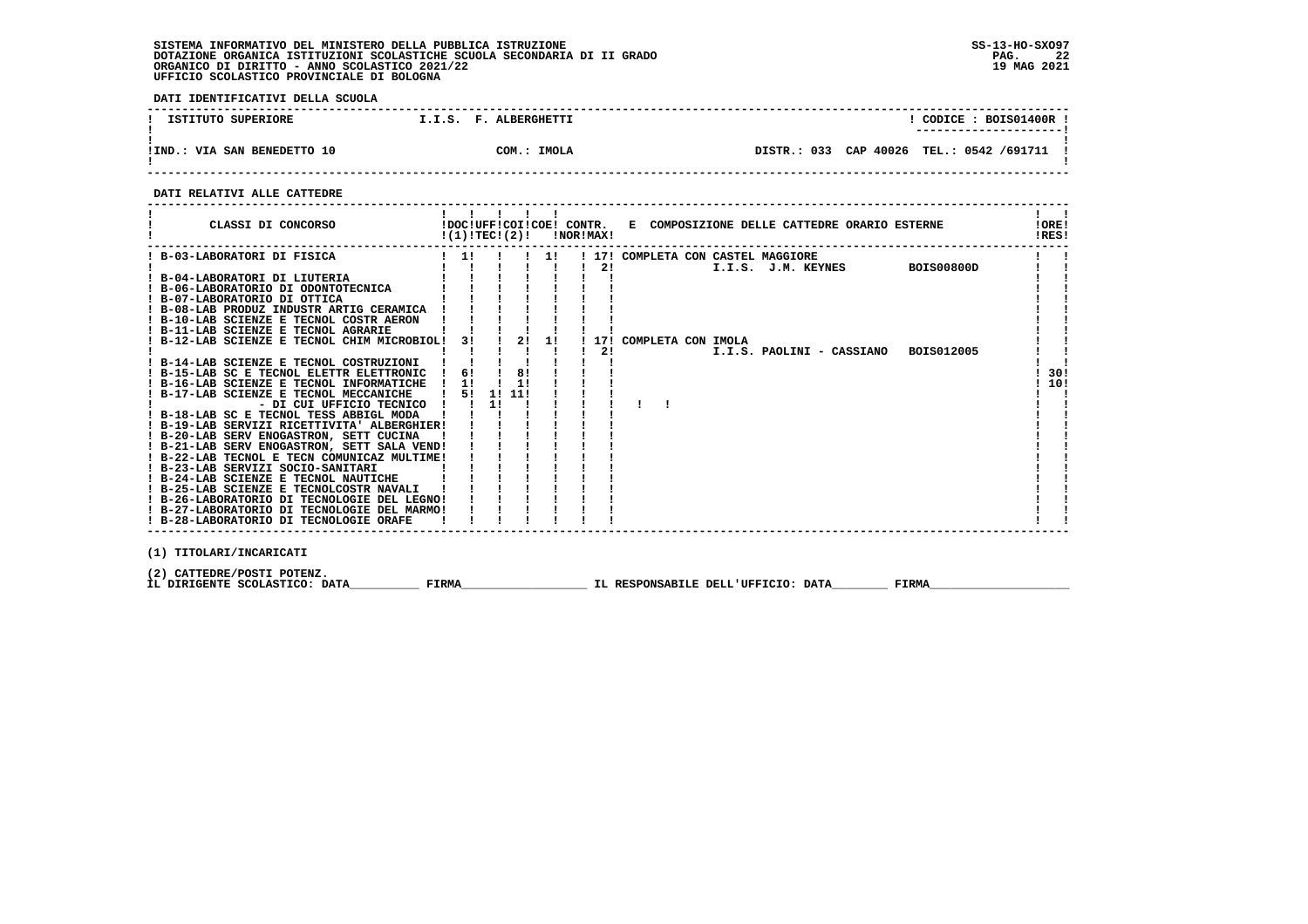**DATI IDENTIFICATIVI DELLA SCUOLA**

| ISTITUTO SUPERIORE          |  | I.I.S. F. ALBERGHETTI |  |                       |       | CODICE: BOIS01400R.<br>---------------------- |  |
|-----------------------------|--|-----------------------|--|-----------------------|-------|-----------------------------------------------|--|
|                             |  |                       |  |                       |       |                                               |  |
|                             |  |                       |  |                       |       |                                               |  |
| !IND.: VIA SAN BENEDETTO 10 |  | COM.: IMOLA           |  | DISTR.: 033 CAP 40026 | TEL.: | 0542 /691711                                  |  |
|                             |  |                       |  |                       |       |                                               |  |

 **------------------------------------------------------------------------------------------------------------------------------------**

#### **DATI RELATIVI ALLE CATTEDRE**

| CLASSI DI CONCORSO                                   | !(1)!TEC!(2)! |    |        | 1 1 1 1 1 |    | !NOR!MAX! |                          |  | !DOC!UFF!COI!COE! CONTR. E COMPOSIZIONE DELLE CATTEDRE ORARIO ESTERNE |                   | IORE <sub>1</sub><br>!RES! |
|------------------------------------------------------|---------------|----|--------|-----------|----|-----------|--------------------------|--|-----------------------------------------------------------------------|-------------------|----------------------------|
| B-03-LABORATORI DI FISICA                            | $\frac{1}{1}$ |    |        |           | 1! |           |                          |  | ! 17! COMPLETA CON CASTEL MAGGIORE                                    |                   |                            |
|                                                      |               |    |        |           |    | 21        |                          |  | I.I.S. J.M. KEYNES                                                    | <b>BOIS00800D</b> |                            |
| ! B-04-LABORATORI DI LIUTERIA                        |               |    |        |           |    |           |                          |  |                                                                       |                   |                            |
| ! B-06-LABORATORIO DI ODONTOTECNICA                  |               |    |        |           |    |           |                          |  |                                                                       |                   |                            |
| ! B-07-LABORATORIO DI OTTICA                         |               |    |        |           |    |           |                          |  |                                                                       |                   |                            |
| ! B-08-LAB PRODUZ INDUSTR ARTIG CERAMICA             |               |    |        |           |    |           |                          |  |                                                                       |                   |                            |
| ! B-10-LAB SCIENZE E TECNOL COSTR AERON              |               |    |        |           |    |           |                          |  |                                                                       |                   |                            |
| ! B-11-LAB SCIENZE E TECNOL AGRARIE                  |               |    |        |           |    |           |                          |  |                                                                       |                   |                            |
| B-12-LAB SCIENZE E TECNOL CHIM MICROBIOL!            |               | 3! |        | 2! 1!     |    |           | ! 17! COMPLETA CON IMOLA |  |                                                                       |                   |                            |
|                                                      |               |    |        |           |    | 21        |                          |  | I.I.S. PAOLINI - CASSIANO                                             | BOIS012005        |                            |
| ! B-14-LAB SCIENZE E TECNOL COSTRUZIONI              |               |    |        |           |    |           |                          |  |                                                                       |                   |                            |
| ! B-15-LAB SC E TECNOL ELETTR ELETTRONIC             | 6!            |    |        | 81        |    |           |                          |  |                                                                       |                   | 30!                        |
| ! B-16-LAB SCIENZE E TECNOL INFORMATICHE             | $\frac{1}{2}$ |    |        | 11        |    |           |                          |  |                                                                       |                   | 10!                        |
| ! B-17-LAB SCIENZE E TECNOL MECCANICHE               |               | 51 | 1! 11! |           |    |           |                          |  |                                                                       |                   |                            |
| - DI CUI UFFICIO TECNICO !!                          |               |    | 11     |           |    |           |                          |  |                                                                       |                   |                            |
| ! B-18-LAB SC E TECNOL TESS ABBIGL MODA              |               |    |        |           |    |           |                          |  |                                                                       |                   |                            |
| ! B-19-LAB SERVIZI RICETTIVITA' ALBERGHIER!          |               |    |        |           |    |           |                          |  |                                                                       |                   |                            |
| ! B-20-LAB SERV ENOGASTRON, SETT CUCINA              |               |    |        |           |    |           |                          |  |                                                                       |                   |                            |
| ! B-21-LAB SERV ENOGASTRON, SETT SALA VEND!          |               |    |        |           |    |           |                          |  |                                                                       |                   |                            |
| ! B-22-LAB TECNOL E TECN COMUNICAZ MULTIME!          |               |    |        |           |    |           |                          |  |                                                                       |                   |                            |
| ! B-23-LAB SERVIZI SOCIO-SANITARI                    |               |    |        |           |    |           |                          |  |                                                                       |                   |                            |
| ! B-24-LAB SCIENZE E TECNOL NAUTICHE                 |               |    |        |           |    |           |                          |  |                                                                       |                   |                            |
| ! B-25-LAB SCIENZE E TECNOLCOSTR NAVALI              |               |    |        |           |    |           |                          |  |                                                                       |                   |                            |
| ! B-26-LABORATORIO DI TECNOLOGIE DEL LEGNO!          |               |    |        |           |    |           |                          |  |                                                                       |                   |                            |
| ! B-27-LABORATORIO DI TECNOLOGIE DEL MARMO!          |               |    |        |           |    |           |                          |  |                                                                       |                   |                            |
| ! B-28-LABORATORIO DI TECNOLOGIE ORAFE               |               |    |        |           |    |           |                          |  |                                                                       |                   |                            |
| $(1)$ memorang $(\text{tr}(\mathbf{a}), \mathbf{b})$ |               |    |        |           |    |           |                          |  |                                                                       |                   |                            |

 **(1) TITOLARI/INCARICATI**

(2) CATTEDRE/POSTI POTENZ**.**<br>IL DIRIGENTE SCOLASTICO: DATA\_\_\_\_\_\_\_\_\_\_\_\_ FIRMA\_\_\_\_\_\_\_\_\_\_\_\_\_\_\_\_\_\_\_\_\_\_\_\_IL RESPONSABILE DELL'UFFICIO: DATA\_\_\_\_\_\_\_\_\_\_\_ FIRMA\_\_\_\_\_\_\_\_\_\_\_\_\_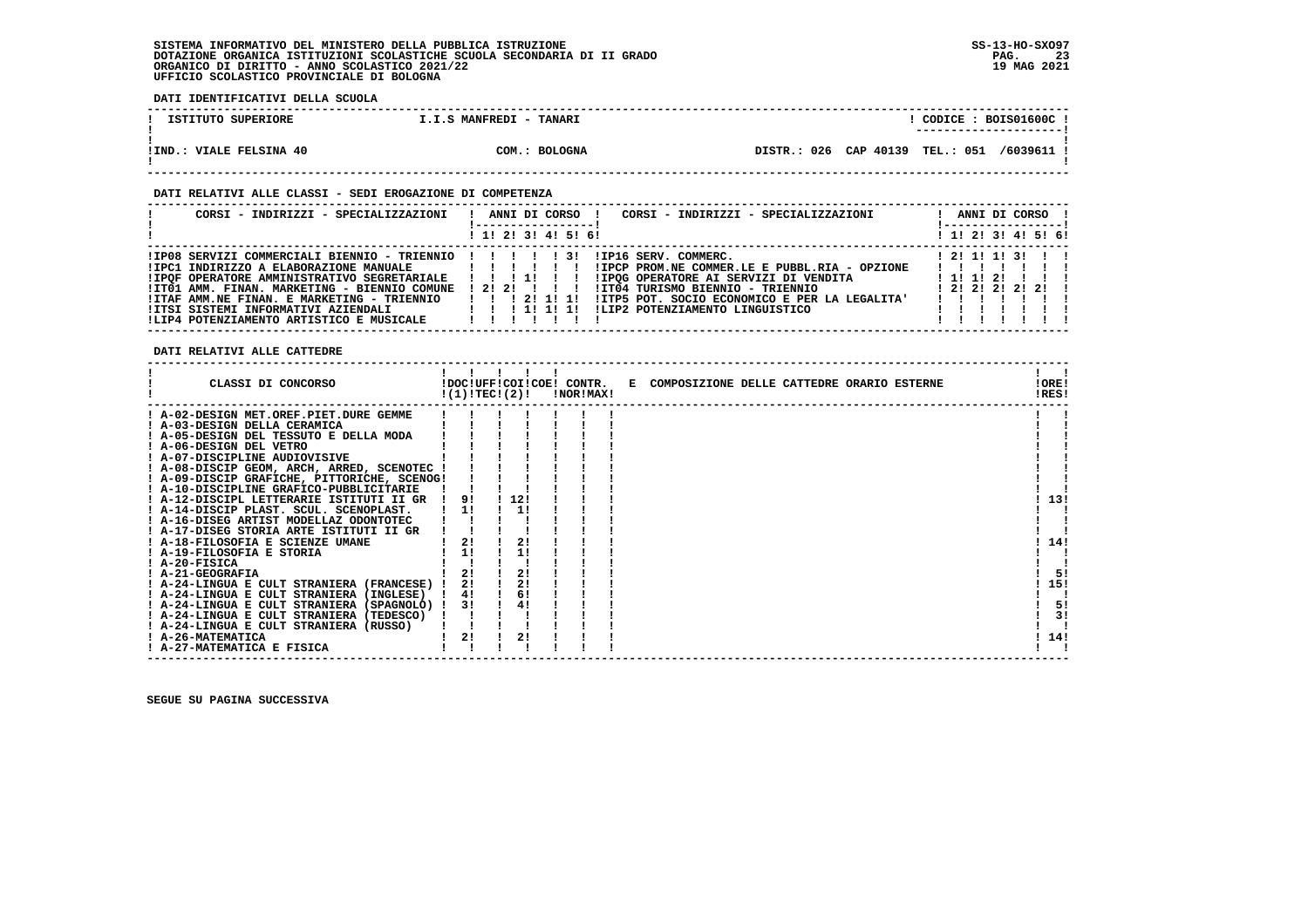**DATI IDENTIFICATIVI DELLA SCUOLA**

| ISTITUTO SUPERIORE             | I.I.S MANFREDI - TANARI | CODICE: BOIS01600C!<br>_______________________ |
|--------------------------------|-------------------------|------------------------------------------------|
| <b>!IND.: VIALE FELSINA 40</b> | COM.: BOLOGNA           | 026 CAP 40139 TEL.: 051 /6039611 !<br>DISTR.:  |

#### **DATI RELATIVI ALLE CLASSI - SEDI EROGAZIONE DI COMPETENZA**

| CORSI - INDIRIZZI - SPECIALIZZAZIONI                                                                                                                                                                                                                                                                                        | ANNI DI CORSO !<br>CORSI - INDIRIZZI - SPECIALIZZAZIONI<br>! 1! 2! 3! 4! 5! 6!                                                                                                                                                                                                      | ANNI DI CORSO !<br>-----------------<br>! 1! 2! 3! 4! 5! 6! |
|-----------------------------------------------------------------------------------------------------------------------------------------------------------------------------------------------------------------------------------------------------------------------------------------------------------------------------|-------------------------------------------------------------------------------------------------------------------------------------------------------------------------------------------------------------------------------------------------------------------------------------|-------------------------------------------------------------|
| !IP08 SERVIZI COMMERCIALI BIENNIO - TRIENNIO !!!!<br>!IPC1 INDIRIZZO A ELABORAZIONE MANUALE<br>!IPOF OPERATORE AMMINISTRATIVO SEGRETARIALE<br>!IT01 AMM. FINAN. MARKETING - BIENNIO COMUNE<br>!ITAF AMM.NE FINAN. E MARKETING - TRIENNIO<br>!ITSI SISTEMI INFORMATIVI AZIENDALI<br>!LIP4 POTENZIAMENTO ARTISTICO E MUSICALE | !IP16 SERV. COMMERC.<br>131<br>!IPCP PROM.NE COMMER.LE E PUBBL.RIA - OPZIONE<br>1111<br>IIPOG OPERATORE AI SERVIZI DI VENDITA<br>1212111<br>!IT04 TURISMO BIENNIO - TRIENNIO<br>!ITP5 POT. SOCIO ECONOMICO E PER LA LEGALITA'<br>ILIP2 POTENZIAMENTO LINGUISTICO<br>1 1 1 1 1 1 1 1 | 1 2 1 1 1 1 3 1<br>1 1 1 1 2 1<br>$1$ 21 21 21 21 1         |

 **DATI RELATIVI ALLE CATTEDRE**

| CLASSI DI CONCORSO                                                                      |          | !(1)!TECI(2)! | !DOC!UFF!COI!COE! CONTR.<br>!NOR!MAX! | E COMPOSIZIONE DELLE CATTEDRE ORARIO ESTERNE | !ORE!<br>!RES! |
|-----------------------------------------------------------------------------------------|----------|---------------|---------------------------------------|----------------------------------------------|----------------|
| ! A-02-DESIGN MET.OREF.PIET.DURE GEMME                                                  |          |               |                                       |                                              |                |
| ! A-03-DESIGN DELLA CERAMICA                                                            |          |               |                                       |                                              |                |
| A-05-DESIGN DEL TESSUTO E DELLA MODA                                                    |          |               |                                       |                                              |                |
| ! A-06-DESIGN DEL VETRO                                                                 |          |               |                                       |                                              |                |
| ! A-07-DISCIPLINE AUDIOVISIVE                                                           |          |               |                                       |                                              |                |
| ! A-08-DISCIP GEOM, ARCH, ARRED, SCENOTEC !                                             |          |               |                                       |                                              |                |
| ! A-09-DISCIP GRAFICHE, PITTORICHE, SCENOG!                                             |          |               |                                       |                                              |                |
| ! A-10-DISCIPLINE GRAFICO-PUBBLICITARIE                                                 |          |               |                                       |                                              |                |
| ! A-12-DISCIPL LETTERARIE ISTITUTI II GR                                                | 91       | 12!           |                                       |                                              | 13!            |
| ! A-14-DISCIP PLAST. SCUL. SCENOPLAST.                                                  | 1!       | 1!            |                                       |                                              |                |
| ! A-16-DISEG ARTIST MODELLAZ ODONTOTEC                                                  |          |               |                                       |                                              |                |
| ! A-17-DISEG STORIA ARTE ISTITUTI II GR                                                 |          |               |                                       |                                              |                |
| ! A-18-FILOSOFIA E SCIENZE UMANE                                                        | 2!       | 2!            |                                       |                                              | 14!            |
| ! A-19-FILOSOFIA E STORIA                                                               | 1!       |               |                                       |                                              |                |
| ! A-20-FISICA                                                                           |          |               |                                       |                                              |                |
| ! A-21-GEOGRAFIA                                                                        | 2!       | 2!            |                                       |                                              | -51            |
| ! A-24-LINGUA E CULT STRANIERA (FRANCESE) !                                             | 2!       | 2!            |                                       |                                              | 15!            |
| ! A-24-LINGUA E CULT STRANIERA (INGLESE)                                                | 4!<br>3! | 6!<br>4!      |                                       |                                              | 5!             |
| ! A-24-LINGUA E CULT STRANIERA (SPAGNOLO) !<br>! A-24-LINGUA E CULT STRANIERA (TEDESCO) |          |               |                                       |                                              | 3!             |
| ! A-24-LINGUA E CULT STRANIERA (RUSSO)                                                  |          |               |                                       |                                              |                |
| ! A-26-MATEMATICA                                                                       | 2!       | 2!            |                                       |                                              | 14!            |
| ! A-27-MATEMATICA E FISICA                                                              |          |               |                                       |                                              |                |
|                                                                                         |          |               |                                       |                                              |                |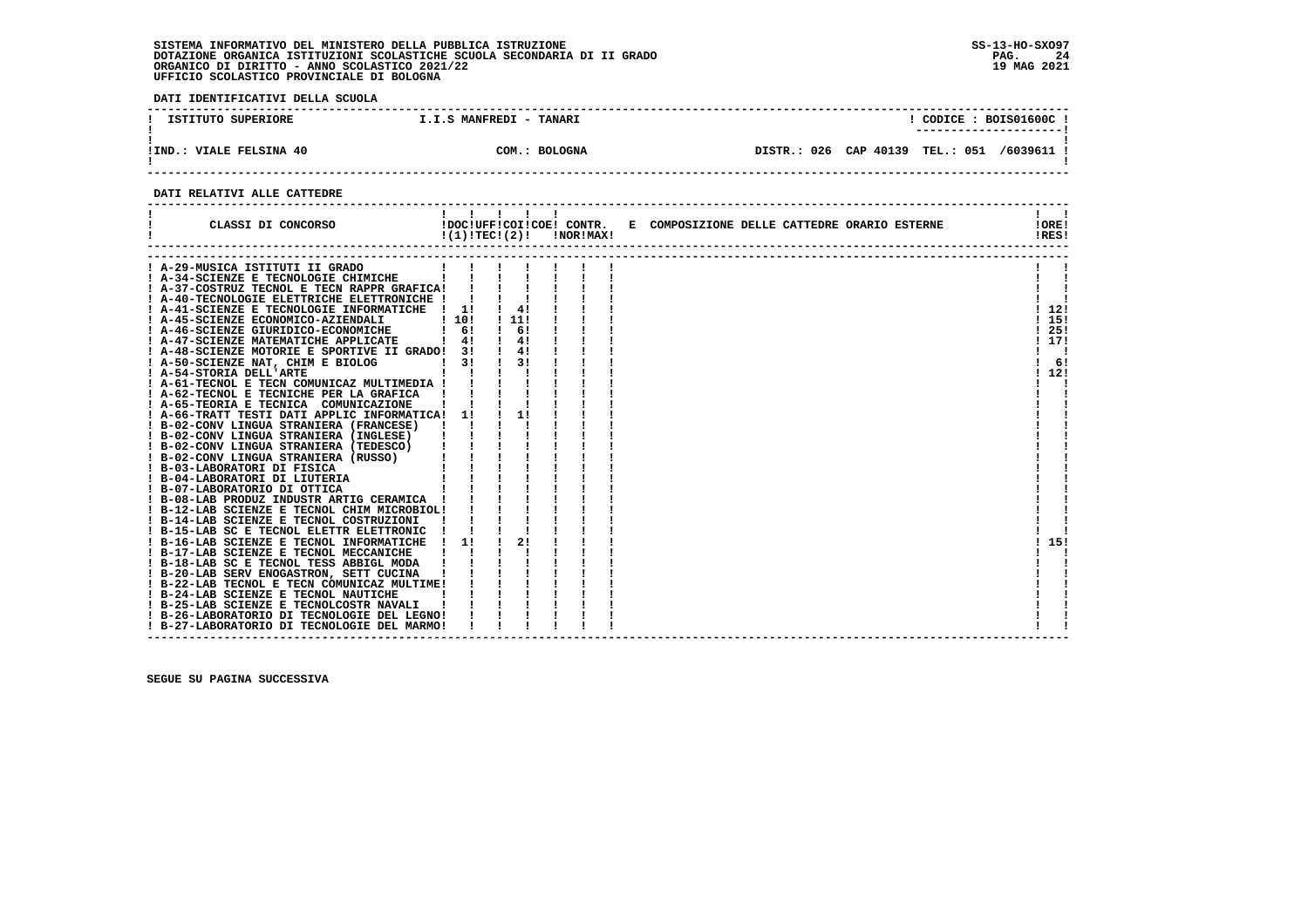**DATI IDENTIFICATIVI DELLA SCUOLA**

| ISTITUTO SUPERIORE               | I.I.S MANFREDI - TANARI |         |               |                  | CODICE: BOIS01600C!<br>---------------------- |
|----------------------------------|-------------------------|---------|---------------|------------------|-----------------------------------------------|
| <b>VIALE FELSINA 40</b><br>IIND. | <b>BOLOGNA</b><br>COM.: | DISTR.: | 026 CAP 40139 | <b>TEL.: 051</b> | /6039611                                      |

 **------------------------------------------------------------------------------------------------------------------------------------**

#### **DATI RELATIVI ALLE CATTEDRE**

| CLASSI DI CONCORSO                                                                                                                                                                                                                                                                                                                                                                                                                                                              |                | !!!!!!<br>!DOC!UFF!COI!COE! CONTR.<br>$!(1)!TEC!(2)!$ $INORIMAX!$ |  | E COMPOSIZIONE DELLE CATTEDRE ORARIO ESTERNE | $\mathbf{1}$ $\mathbf{1}$<br>!ORE!<br>!RES! |
|---------------------------------------------------------------------------------------------------------------------------------------------------------------------------------------------------------------------------------------------------------------------------------------------------------------------------------------------------------------------------------------------------------------------------------------------------------------------------------|----------------|-------------------------------------------------------------------|--|----------------------------------------------|---------------------------------------------|
| A-29-MUSICA ISTITUTI II GRADO                                                                                                                                                                                                                                                                                                                                                                                                                                                   |                |                                                                   |  |                                              |                                             |
| ! A-34-SCIENZE E TECNOLOGIE CHIMICHE                                                                                                                                                                                                                                                                                                                                                                                                                                            |                |                                                                   |  |                                              |                                             |
| ! A-37-COSTRUZ TECNOL E TECN RAPPR GRAFICA!                                                                                                                                                                                                                                                                                                                                                                                                                                     |                |                                                                   |  |                                              |                                             |
| ! A-40-TECNOLOGIE ELETTRICHE ELETTRONICHE !!                                                                                                                                                                                                                                                                                                                                                                                                                                    |                |                                                                   |  |                                              |                                             |
| ! A-41-SCIENZE E TECNOLOGIE INFORMATICHE ! 1!                                                                                                                                                                                                                                                                                                                                                                                                                                   |                | 4!                                                                |  |                                              | 112!                                        |
| ! A-45-SCIENZE ECONOMICO-AZIENDALI                                                                                                                                                                                                                                                                                                                                                                                                                                              | 1101           | . . 11.                                                           |  |                                              | -15!                                        |
| ! A-46-SCIENZE GIURIDICO-ECONOMICHE                                                                                                                                                                                                                                                                                                                                                                                                                                             | 61             | 6!                                                                |  |                                              | 25!                                         |
| ! A-47-SCIENZE MATEMATICHE APPLICATE                                                                                                                                                                                                                                                                                                                                                                                                                                            | $\frac{1}{4}$  | 4!                                                                |  |                                              | 117!                                        |
| ! A-48-SCIENZE MOTORIE E SPORTIVE II GRADO! 3!                                                                                                                                                                                                                                                                                                                                                                                                                                  |                | 4!                                                                |  |                                              |                                             |
| ! A-50-SCIENZE NAT, CHIM E BIOLOG                                                                                                                                                                                                                                                                                                                                                                                                                                               | 3 I            | 31                                                                |  |                                              | 6!                                          |
| ! A-54-STORIA DELL'ARTE                                                                                                                                                                                                                                                                                                                                                                                                                                                         |                |                                                                   |  |                                              | 12!                                         |
| ! A-61-TECNOL E TECN COMUNICAZ MULTIMEDIA !                                                                                                                                                                                                                                                                                                                                                                                                                                     |                |                                                                   |  |                                              |                                             |
| ! A-62-TECNOL E TECNICHE PER LA GRAFICA                                                                                                                                                                                                                                                                                                                                                                                                                                         |                |                                                                   |  |                                              |                                             |
| ! A-65-TEORIA E TECNICA COMUNICAZIONE                                                                                                                                                                                                                                                                                                                                                                                                                                           |                |                                                                   |  |                                              |                                             |
| ! A-66-TRATT TESTI DATI APPLIC INFORMATICA! 1!                                                                                                                                                                                                                                                                                                                                                                                                                                  |                |                                                                   |  |                                              |                                             |
| ! B-02-CONV LINGUA STRANIERA (FRANCESE)                                                                                                                                                                                                                                                                                                                                                                                                                                         | $\blacksquare$ |                                                                   |  |                                              |                                             |
| ! B-02-CONV LINGUA STRANIERA (INGLESE)                                                                                                                                                                                                                                                                                                                                                                                                                                          |                |                                                                   |  |                                              |                                             |
|                                                                                                                                                                                                                                                                                                                                                                                                                                                                                 |                |                                                                   |  |                                              |                                             |
| $\begin{tabular}{c c c} \multicolumn{1}{c}{\multicolumn{1}{c}{\multicolumn{1}{c}{\multicolumn{1}{c}{\multicolumn{1}{c}{\multicolumn{1}{c}{\multicolumn{1}{c}{\multicolumn{1}{c}{\multicolumn{1}{c}{\multicolumn{1}{c}{\multicolumn{1}{c}{\multicolumn{1}{c}{\multicolumn{1}{c}{\multicolumn{1}{c}{\multicolumn{1}{c}{\multicolumn{1}{c}{\multicolumn{1}{c}{\multicolumn{1}{c}{\multicolumn{1}{c}{\multicolumn{1}{c}{\multicolumn{1}{c}{\multicolumn{1}{c}{\multicolumn{1}{c}{\$ |                |                                                                   |  |                                              |                                             |
|                                                                                                                                                                                                                                                                                                                                                                                                                                                                                 |                |                                                                   |  |                                              |                                             |
|                                                                                                                                                                                                                                                                                                                                                                                                                                                                                 |                |                                                                   |  |                                              |                                             |
|                                                                                                                                                                                                                                                                                                                                                                                                                                                                                 |                |                                                                   |  |                                              |                                             |
|                                                                                                                                                                                                                                                                                                                                                                                                                                                                                 |                |                                                                   |  |                                              |                                             |
|                                                                                                                                                                                                                                                                                                                                                                                                                                                                                 |                |                                                                   |  |                                              |                                             |
|                                                                                                                                                                                                                                                                                                                                                                                                                                                                                 |                |                                                                   |  |                                              |                                             |
|                                                                                                                                                                                                                                                                                                                                                                                                                                                                                 |                |                                                                   |  |                                              |                                             |
|                                                                                                                                                                                                                                                                                                                                                                                                                                                                                 |                |                                                                   |  |                                              | 15!                                         |
| ! B-17-LAB SCIENZE E TECNOL MECCANICHE                                                                                                                                                                                                                                                                                                                                                                                                                                          |                |                                                                   |  |                                              |                                             |
| ! B-18-LAB SC E TECNOL TESS ABBIGL MODA                                                                                                                                                                                                                                                                                                                                                                                                                                         |                |                                                                   |  |                                              |                                             |
| ! B-20-LAB SERV ENOGASTRON, SETT CUCINA                                                                                                                                                                                                                                                                                                                                                                                                                                         |                |                                                                   |  |                                              |                                             |
| ! B-22-LAB TECNOL E TECN COMUNICAZ MULTIME!                                                                                                                                                                                                                                                                                                                                                                                                                                     |                |                                                                   |  |                                              |                                             |
| ! B-24-LAB SCIENZE E TECNOL NAUTICHE                                                                                                                                                                                                                                                                                                                                                                                                                                            |                |                                                                   |  |                                              |                                             |
| ! B-25-LAB SCIENZE E TECNOLCOSTR NAVALI                                                                                                                                                                                                                                                                                                                                                                                                                                         |                |                                                                   |  |                                              |                                             |
| ! B-26-LABORATORIO DI TECNOLOGIE DEL LEGNO!                                                                                                                                                                                                                                                                                                                                                                                                                                     |                |                                                                   |  |                                              |                                             |
| ! B-27-LABORATORIO DI TECNOLOGIE DEL MARMO!                                                                                                                                                                                                                                                                                                                                                                                                                                     |                |                                                                   |  |                                              |                                             |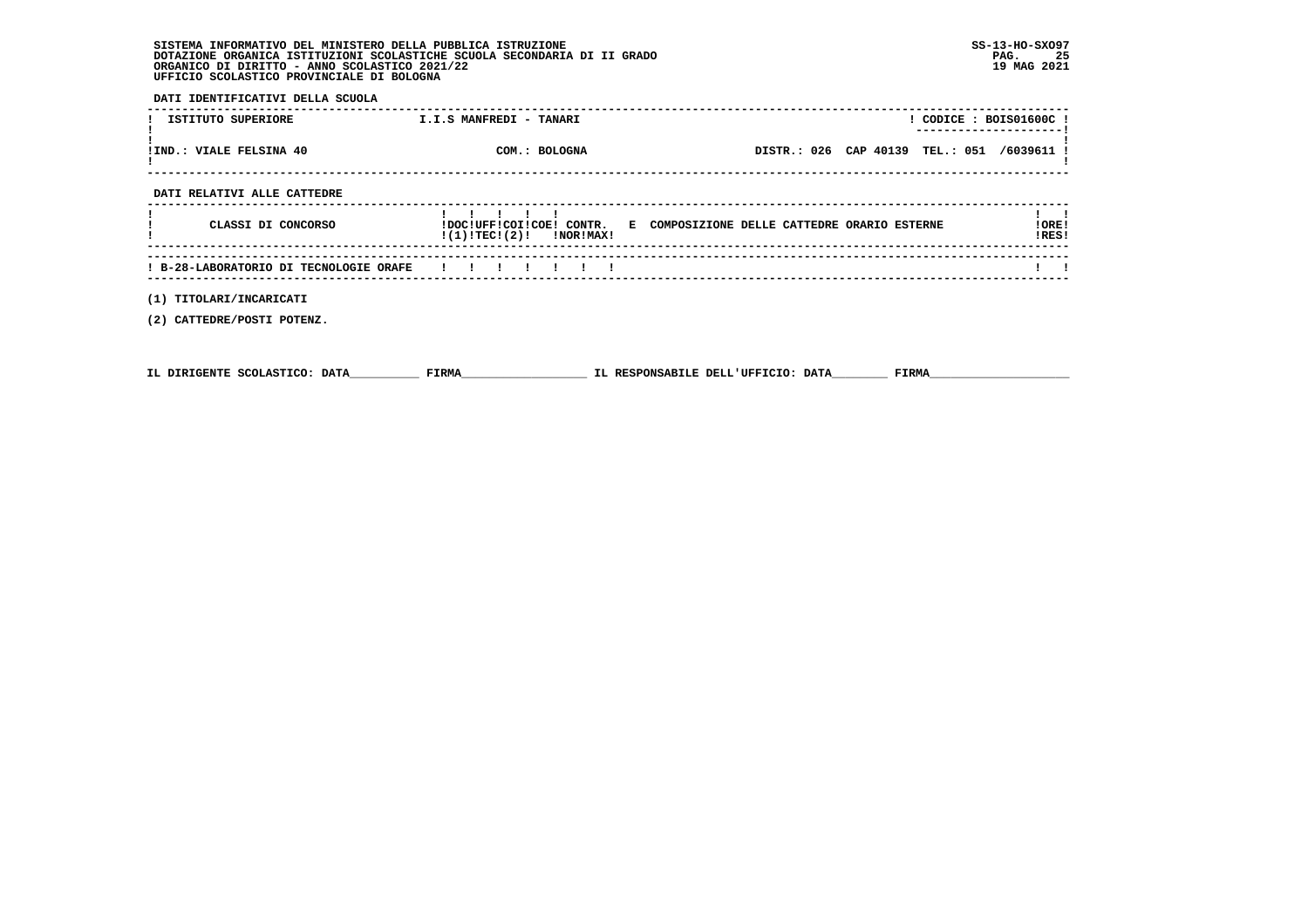**DATI IDENTIFICATIVI DELLA SCUOLA**

| ISTITUTO SUPERIORE                     | I.I.S MANFREDI - TANARI<br>$!$ CODICE : BOIS01600C !<br>---------------------                        |                |
|----------------------------------------|------------------------------------------------------------------------------------------------------|----------------|
| ! IND.: VIALE FELSINA 40               | DISTR.: 026 CAP 40139 TEL.: 051 /6039611 !<br>COM.: BOLOGNA                                          |                |
| DATI RELATIVI ALLE CATTEDRE            |                                                                                                      |                |
| CLASSI DI CONCORSO                     | !DOC!UFF!COI!COE! CONTR. E COMPOSIZIONE DELLE CATTEDRE ORARIO ESTERNE<br>$!(1)!TEC!(2)!$ $INORIMAX!$ | !ORE!<br>!RES! |
| ! B-28-LABORATORIO DI TECNOLOGIE ORAFE |                                                                                                      |                |
| (1) TITOLARI/INCARICATI                |                                                                                                      |                |

 **(2) CATTEDRE/POSTI POTENZ.**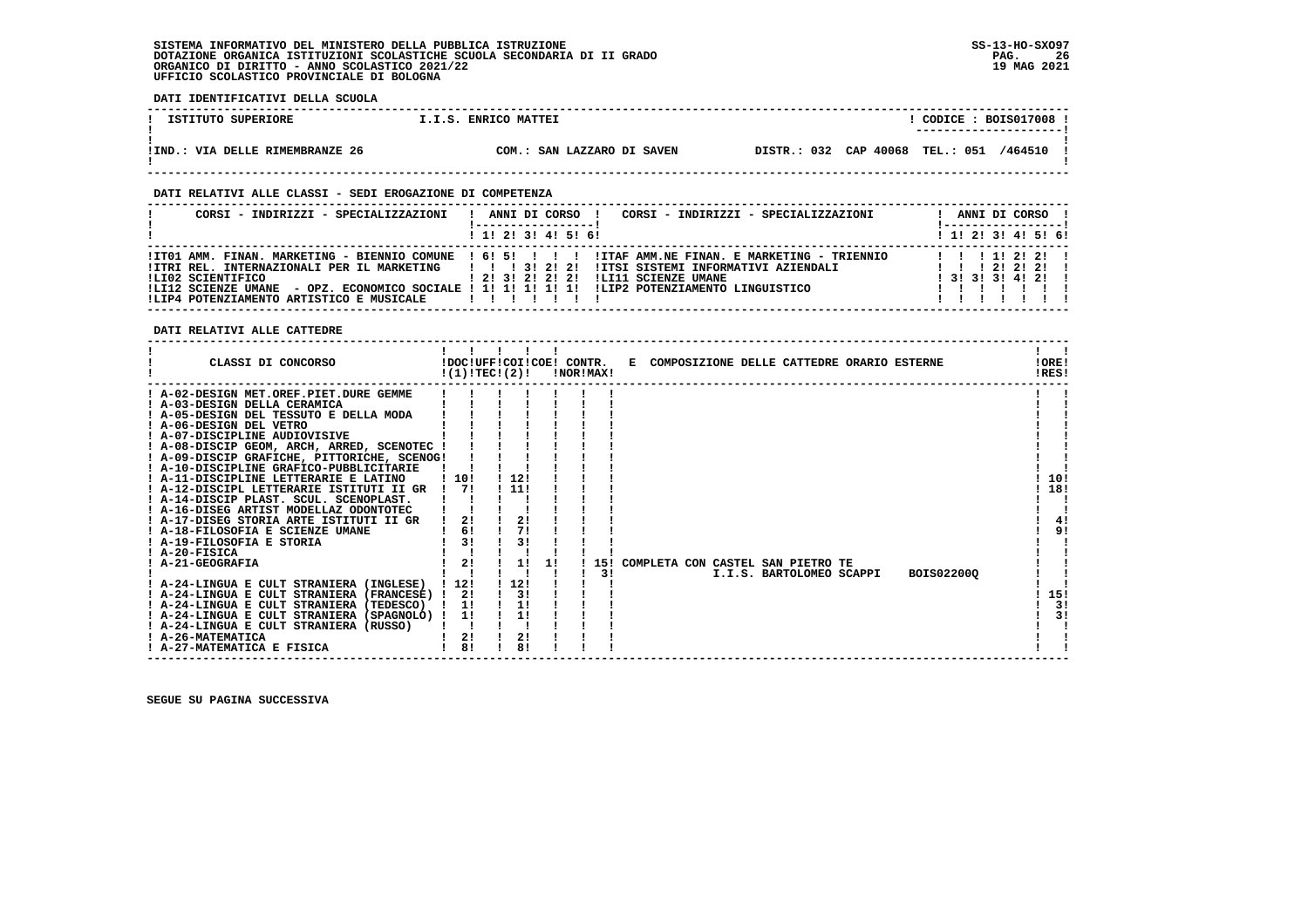**DATI IDENTIFICATIVI DELLA SCUOLA ------------------------------------------------------------------------------------------------------------------------------------**! CODICE : BOIS017008 ! **1 ISTITUTO SUPERIORE 1.1.S. ENRICO MATTEI ! ---------------------! ! ! !IND.: VIA DELLE RIMEMBRANZE 26 COM.: SAN LAZZARO DI SAVEN DISTR.: 032 CAP 40068 TEL.: 051 /464510 !**- 1  **! ! ------------------------------------------------------------------------------------------------------------------------------------ DATI RELATIVI ALLE CLASSI - SEDI EROGAZIONE DI COMPETENZA ------------------------------------------------------------------------------------------------------------------------------------ ! CORSI - INDIRIZZI - SPECIALIZZAZIONI ! ANNI DI CORSO ! CORSI - INDIRIZZI - SPECIALIZZAZIONI ! ANNI DI CORSO !**\_\_\_\_\_\_\_\_\_\_\_\_\_\_\_\_\_\_\_\_\_\_  **! !-----------------! !-----------------! ! ! 1! 2! 3! 4! 5! 6! ! 1! 2! 3! 4! 5! 6!**1 1 2 3 3 4 5 6  **------------------------------------------------------------------------------------------------------------------------------------ !IT01 AMM. FINAN. MARKETING - BIENNIO COMUNE ! 6! 5! ! ! ! !ITAF AMM.NE FINAN. E MARKETING - TRIENNIO ! ! ! 1! 2! 2! ! !ITRI REL. INTERNAZIONALI PER IL MARKETING ! ! ! 3! 2! 2! !ITSI SISTEMI INFORMATIVI AZIENDALI ! ! ! 2! 2! 2! ! !LI02 SCIENTIFICO ! 2! 3! 2! 2! 2! !LI11 SCIENZE UMANE ! 3! 3! 3! 4! 2! ! !LI12 SCIENZE UMANE - OPZ. ECONOMICO SOCIALE ! 1! 1! 1! 1! 1! !LIP2 POTENZIAMENTO LINGUISTICO ! ! ! ! ! ! ! !LIP4 POTENZIAMENTO ARTISTICO E MUSICALE ! ! ! ! ! ! ! ! ! ! ! ! ! ! ------------------------------------------------------------------------------------------------------------------------------------ DATI RELATIVI ALLE CATTEDRE ------------------------------------------------------------------------------------------------------------------------------------Contract Contract Contract ! ! ! ! ! ! ! ! ! CLASSI DI CONCORSO !DOC!UFF!COI!COE! CONTR. E COMPOSIZIONE DELLE CATTEDRE ORARIO ESTERNE !ORE! ! !(1)!TEC!(2)! !NOR!MAX! !RES!** $100F1$ **IDFSI ------------------------------------------------------------------------------------------------------------------------------------ ! A-02-DESIGN MET.OREF.PIET.DURE GEMME ! ! ! ! ! ! ! ! ! ! A-03-DESIGN DELLA CERAMICA ! ! ! ! ! ! ! ! ! ! A-05-DESIGN DEL TESSUTO E DELLA MODA ! ! ! ! ! ! ! ! ! ! A-06-DESIGN DEL VETRO ! ! ! ! ! ! ! ! ! ! A-07-DISCIPLINE AUDIOVISIVE ! ! ! ! ! ! ! ! !** $\mathbf{I}$ - 1 | A-08-DISCIP GEOM, ARCH, ARRED, SCENOTEC | | | | | | | |<br>! A-09-DISCIP GRAFICHE, PITTORICHE, SCENOG! | | | | | | |<br>! A-10-DISCIPLINE GRAFICO-PUBBLICITARIE | | | | | | | | |<br>! A-11-DISCIPLINE LETTERARIE E LATINO | | 10 | | - 1  $1.101$  $1.181$  **! A-12-DISCIPL LETTERARIE ISTITUTI II GR ! 7! ! 11! ! ! ! ! 18!** $\blacksquare$  **! A-14-DISCIP PLAST. SCUL. SCENOPLAST. ! ! ! ! ! ! ! ! ! ! A-16-DISEG ARTIST MODELLAZ ODONTOTEC ! ! ! ! ! ! ! ! !**- 1  $1 \quad 41$  **! A-17-DISEG STORIA ARTE ISTITUTI II GR ! 2! ! 2! ! ! ! ! 4!** $1 \overline{91}$  **! A-18-FILOSOFIA E SCIENZE UMANE ! 6! ! 7! ! ! ! ! 9! ! A-19-FILOSOFIA E STORIA ! 3! ! 3! ! ! ! ! ! ! A-20-FISICA ! ! ! ! ! ! ! ! !** $\blacksquare$  $\blacksquare$  $\mathbf{I}$  and  $\mathbf{I}$  **! A-21-GEOGRAFIA ! 2! ! 1! 1! ! 15! COMPLETA CON CASTEL SAN PIETRO TE ! ! ! ! ! ! ! ! ! 3! I.I.S. BARTOLOMEO SCAPPI BOIS02200Q ! ! ! A-24-LINGUA E CULT STRANIERA (INGLESE) ! 12! ! 12! ! ! ! ! !** $\mathbf{I}$  $\blacksquare$  $\overline{1}$  151  **! A-24-LINGUA E CULT STRANIERA (FRANCESE) ! 2! ! 3! ! ! ! ! 15!** $\frac{1}{2}$  **! A-24-LINGUA E CULT STRANIERA (TEDESCO) ! 1! ! 1! ! ! ! ! 3! ! A-24-LINGUA E CULT STRANIERA (SPAGNOLO) ! 1! ! 1! ! ! ! ! 3!** $1 \quad 31$  $\mathbf{1}$   $\mathbf{1}$  **! A-24-LINGUA E CULT STRANIERA (RUSSO) ! ! ! ! ! ! ! ! !**- 1  **! A-26-MATEMATICA ! 2! ! 2! ! ! ! ! !** $\mathbf{I}$  and  $\mathbf{I}$  **! A-27-MATEMATICA E FISICA ! 8! ! 8! ! ! ! ! ! ------------------------------------------------------------------------------------------------------------------------------------**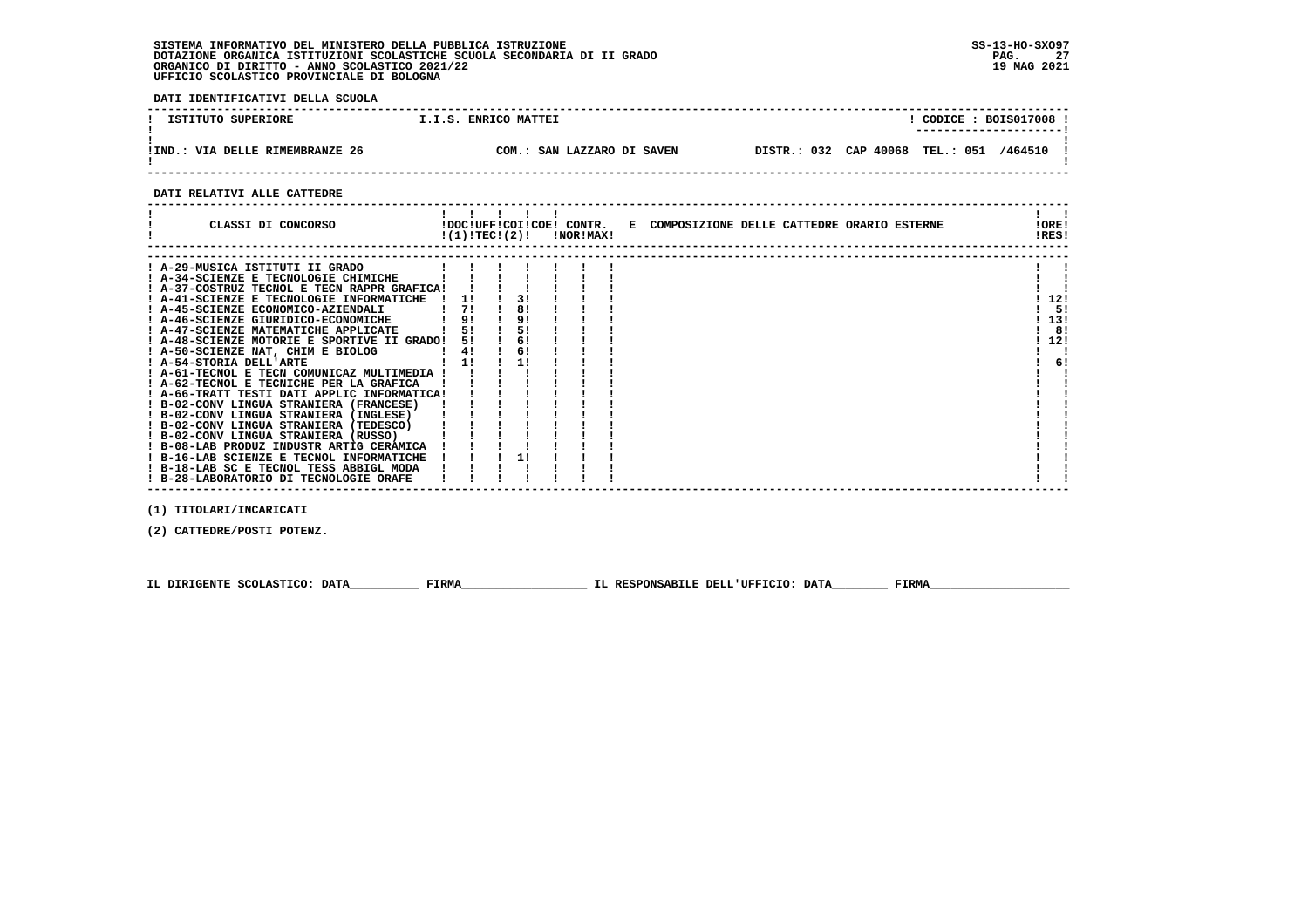**DATI IDENTIFICATIVI DELLA SCUOLA**

| ISTITUTO SUPERIORE             | I.I.S. ENRICO MATTEI       | CODE: BOIS017008<br>--------------------- |
|--------------------------------|----------------------------|-------------------------------------------|
| IND.: VIA DELLE RIMEMBRANZE 26 | COM.: SAN LAZZARO DI SAVEN | DISTR.: 032 CAP 40068 TEL.: 051 /464510   |

 **DATI RELATIVI ALLE CATTEDRE**

| CLASSI DI CONCORSO                                                                                                                                                                                                                                                                                                                                                                                                                                                                                                   |                                  |                                              | $!(1)!TEC!(2)!$ $INORIMAX!$ | !DOC!UFF!COI!COE! CONTR. E COMPOSIZIONE DELLE CATTEDRE ORARIO ESTERNE | !ORE!<br>!RES!    |          |
|----------------------------------------------------------------------------------------------------------------------------------------------------------------------------------------------------------------------------------------------------------------------------------------------------------------------------------------------------------------------------------------------------------------------------------------------------------------------------------------------------------------------|----------------------------------|----------------------------------------------|-----------------------------|-----------------------------------------------------------------------|-------------------|----------|
| ! A-29-MUSICA ISTITUTI II GRADO<br>! A-34-SCIENZE E TECNOLOGIE CHIMICHE<br>! A-37-COSTRUZ TECNOL E TECN RAPPR GRAFICA!<br>! A-41-SCIENZE E TECNOLOGIE INFORMATICHE<br>! A-45-SCIENZE ECONOMICO-AZIENDALI<br>! A-46-SCIENZE GIURIDICO-ECONOMICHE<br>! A-47-SCIENZE MATEMATICHE APPLICATE<br>! A-48-SCIENZE MOTORIE E SPORTIVE II GRADO!<br>! A-50-SCIENZE NAT, CHIM E BIOLOG                                                                                                                                          | 11<br>71<br>91<br>51<br>51<br>4! | 3!<br>8!<br>9 <sub>1</sub><br>5!<br>6!<br>6! |                             |                                                                       | 12!<br>13!<br>12! | 5!<br>8! |
| ! A-54-STORIA DELL'ARTE<br>! A-61-TECNOL E TECN COMUNICAZ MULTIMEDIA !<br>! A-62-TECNOL E TECNICHE PER LA GRAFICA<br>! A-66-TRATT TESTI DATI APPLIC INFORMATICA!<br>! B-02-CONV LINGUA STRANIERA (FRANCESE)<br>! B-02-CONV LINGUA STRANIERA (INGLESE)<br>! B-02-CONV LINGUA STRANIERA (TEDESCO)<br>! B-02-CONV LINGUA STRANIERA (RUSSO)<br>! B-08-LAB PRODUZ INDUSTR ARTIG CERAMICA<br>! B-16-LAB SCIENZE E TECNOL INFORMATICHE<br>! B-18-LAB SC E TECNOL TESS ABBIGL MODA<br>! B-28-LABORATORIO DI TECNOLOGIE ORAFE | 11                               | 11                                           |                             |                                                                       |                   | 6!       |

 **(1) TITOLARI/INCARICATI**

 **(2) CATTEDRE/POSTI POTENZ.**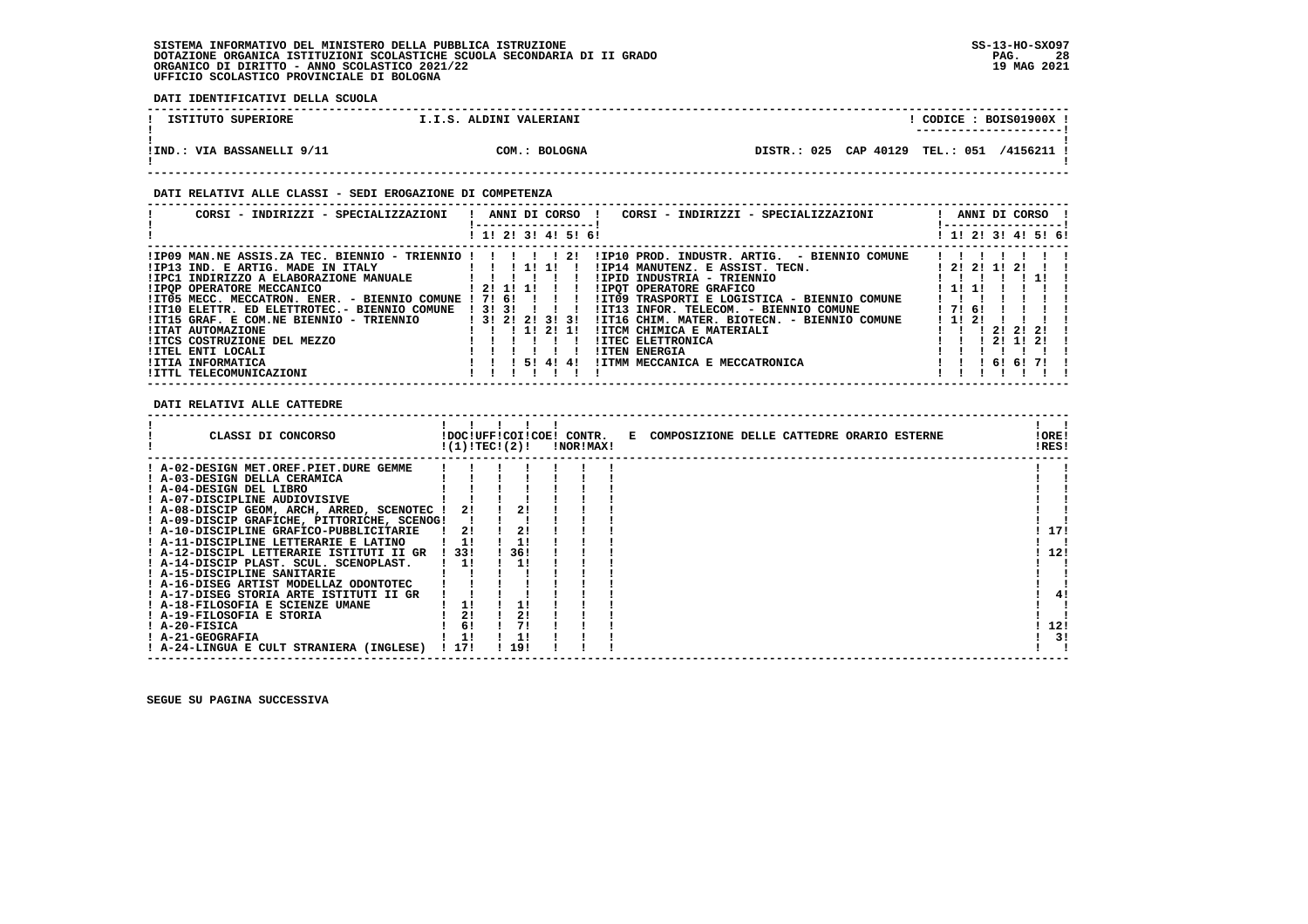**DATI IDENTIFICATIVI DELLA SCUOLA**

| ISTITUTO SUPERIORE         | I.I.S. ALDINI VALERIANI |                                            | CODICE: BOIS01900X<br>---------------------- |
|----------------------------|-------------------------|--------------------------------------------|----------------------------------------------|
| !IND.: VIA BASSANELLI 9/11 | COM.: BOLOGNA           | DISTR.: 025 CAP 40129 TEL.: 051 /4156211 ! |                                              |

#### **DATI RELATIVI ALLE CLASSI - SEDI EROGAZIONE DI COMPETENZA**

| CORSI - INDIRIZZI - SPECIALIZZAZIONI                                                      | ! ANNI DI CORSO !<br>CORSI - INDIRIZZI - SPECIALIZZAZIONI<br>-----------------                                               | ANNI DI CORSO !<br>------------------ |
|-------------------------------------------------------------------------------------------|------------------------------------------------------------------------------------------------------------------------------|---------------------------------------|
|                                                                                           | ! 1! 2! 3! 4! 5! 6!                                                                                                          | ! 1! 2! 3! 4! 5! 6!                   |
| !IP09 MAN.NE ASSIS.ZA TEC. BIENNIO - TRIENNIO !<br>!IP13 IND. E ARTIG. MADE IN ITALY      | $\frac{1}{2}$<br>!IP10 PROD. INDUSTR. ARTIG. - BIENNIO COMUNE<br>!IP14 MANUTENZ. E ASSIST. TECN.<br>!!!!!                    | ! 2! 2! 1! 2!                         |
| !IPC1 INDIRIZZO A ELABORAZIONE MANUALE                                                    | !IPID INDUSTRIA - TRIENNIO<br>12!111                                                                                         | ! 1! 1!                               |
| <b>!IPOP OPERATORE MECCANICO</b><br>!IT05 MECC. MECCATRON. ENER. - BIENNIO COMUNE ! 7! 6! | ! IPOT OPERATORE GRAFICO<br>!IT09 TRASPORTI E LOGISTICA - BIENNIO COMUNE                                                     |                                       |
| !IT10 ELETTR. ED ELETTROTEC.- BIENNIO COMUNE<br>!IT15 GRAF. E COM.NE BIENNIO - TRIENNIO   | !IT13 INFOR. TELECOM. - BIENNIO COMUNE<br>1 3 1 3 1<br>1 3 1 2 1 2 1 3 1 3 1<br>!IT16 CHIM. MATER. BIOTECN. - BIENNIO COMUNE | ! 7! 6!<br>! 1! 2!                    |
| <b>!ITAT AUTOMAZIONE</b><br>IITCS COSTRUZIONE DEL MEZZO                                   | 1 1 1 2 1 1 1 1<br>!ITCM CHIMICA E MATERIALI<br>!ITEC ELETTRONICA                                                            | 21 21 21<br>211121                    |
| !ITEL ENTI LOCALI<br>!ITIA INFORMATICA                                                    | <b>!ITEN ENERGIA</b><br>!ITMM MECCANICA E MECCATRONICA<br>! 5! 4! 4!                                                         | 6161711                               |
| !ITTL TELECOMUNICAZIONI                                                                   |                                                                                                                              |                                       |

#### **DATI RELATIVI ALLE CATTEDRE**

| CLASSI DI CONCORSO                          | !(1)!TECI(2)! |     | !DOC!UFF!COI!COE! CONTR.<br>!NOR!MAX! | E COMPOSIZIONE DELLE CATTEDRE ORARIO ESTERNE | !ORE!<br>!RES! |    |
|---------------------------------------------|---------------|-----|---------------------------------------|----------------------------------------------|----------------|----|
| ! A-02-DESIGN MET.OREF.PIET.DURE GEMME      |               |     |                                       |                                              |                |    |
| ! A-03-DESIGN DELLA CERAMICA                |               |     |                                       |                                              |                |    |
| ! A-04-DESIGN DEL LIBRO                     |               |     |                                       |                                              |                |    |
| ! A-07-DISCIPLINE AUDIOVISIVE               |               |     |                                       |                                              |                |    |
| ! A-08-DISCIP GEOM, ARCH, ARRED, SCENOTEC ! | 21            | 2!  |                                       |                                              |                |    |
| ! A-09-DISCIP GRAFICHE, PITTORICHE, SCENOG! |               |     |                                       |                                              |                |    |
| ! A-10-DISCIPLINE GRAFICO-PUBBLICITARIE     | 21            | 21  |                                       |                                              | 171            |    |
| ! A-11-DISCIPLINE LETTERARIE E LATINO       | 1!            |     |                                       |                                              |                |    |
| ! A-12-DISCIPL LETTERARIE ISTITUTI II GR    | 1331          | 36! |                                       |                                              | 12!            |    |
| ! A-14-DISCIP PLAST. SCUL. SCENOPLAST.      | 11            | 11  |                                       |                                              |                |    |
| ! A-15-DISCIPLINE SANITARIE                 |               |     |                                       |                                              |                |    |
| ! A-16-DISEG ARTIST MODELLAZ ODONTOTEC      |               |     |                                       |                                              |                |    |
| ! A-17-DISEG STORIA ARTE ISTITUTI II GR     |               |     |                                       |                                              |                | 4! |
| ! A-18-FILOSOFIA E SCIENZE UMANE            | 1!            |     |                                       |                                              |                |    |
| ! A-19-FILOSOFIA E STORIA                   | 21            |     |                                       |                                              |                |    |
| ! A-20-FISICA                               | 6!            | 71  |                                       |                                              | 12!            |    |
| ! A-21-GEOGRAFIA                            | 11            |     |                                       |                                              |                | 3! |
| ! A-24-LINGUA E CULT STRANIERA (INGLESE)    | 17!           | 19! |                                       |                                              |                |    |

 **------------------------------------------------------------------------------------------------------------------------------------**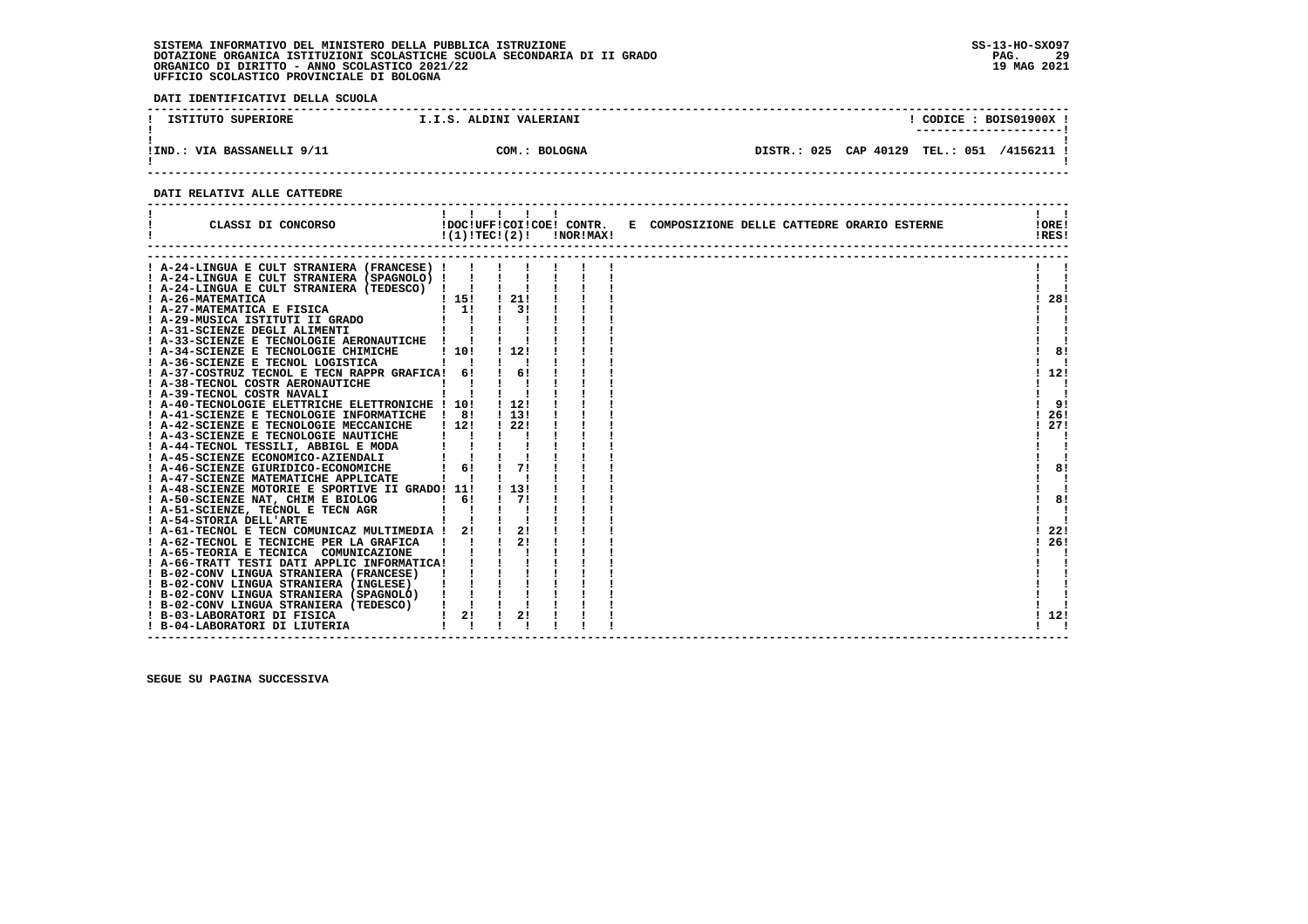**DATI IDENTIFICATIVI DELLA SCUOLA**

| ISTITUTO SUPERIORE         | I.I.S. ALDINI VALERIANI | CODICE: BOIS01900X                                          |
|----------------------------|-------------------------|-------------------------------------------------------------|
| !IND.: VIA BASSANELLI 9/11 | COM.: BOLOGNA           | CAP 40129<br>025<br><b>TEL.: 051</b><br>/4156211<br>DTSTR.: |

 **------------------------------------------------------------------------------------------------------------------------------------**

#### **DATI RELATIVI ALLE CATTEDRE**

| CLASSI DI CONCORSO                                                                       |              | !!!!!!<br>!DOC!UFF!COI!COE! CONTR.<br>$!(1)!TEC!(2)!$ $INORIMAX!$ |  | E COMPOSIZIONE DELLE CATTEDRE ORARIO ESTERNE | $\mathbf{1}$ $\mathbf{1}$<br>!ORE!<br>!RES! |
|------------------------------------------------------------------------------------------|--------------|-------------------------------------------------------------------|--|----------------------------------------------|---------------------------------------------|
|                                                                                          |              |                                                                   |  |                                              |                                             |
| A-24-LINGUA E CULT STRANIERA (FRANCESE) !<br>! A-24-LINGUA E CULT STRANIERA (SPAGNOLO) ! |              |                                                                   |  |                                              |                                             |
| ! A-24-LINGUA E CULT STRANIERA (TEDESCO) ! !                                             |              |                                                                   |  |                                              |                                             |
|                                                                                          | 115!         | ! 21!                                                             |  |                                              | 28!                                         |
| ! A-26-MATEMATICA<br>! A-27-MATEMATICA E FISICA                                          | $1 \quad 11$ | 3 I                                                               |  |                                              |                                             |
| ! A-29-MUSICA ISTITUTI II GRADO                                                          |              |                                                                   |  |                                              |                                             |
| ! A-31-SCIENZE DEGLI ALIMENTI                                                            |              |                                                                   |  |                                              |                                             |
| ! A-33-SCIENZE E TECNOLOGIE AERONAUTICHE                                                 |              |                                                                   |  |                                              |                                             |
| ! A-34-SCIENZE E TECNOLOGIE CHIMICHE                                                     | 110!         | ! 12!                                                             |  |                                              | 8!                                          |
| ! A-36-SCIENZE E TECNOL LOGISTICA                                                        |              |                                                                   |  |                                              |                                             |
| ! A-37-COSTRUZ TECNOL E TECN RAPPR GRAFICA! 6!                                           |              | 61                                                                |  |                                              | 12!                                         |
| ! A-38-TECNOL COSTR AERONAUTICHE                                                         |              |                                                                   |  |                                              |                                             |
| ! A-39-TECNOL COSTR NAVALI                                                               |              |                                                                   |  |                                              |                                             |
| ! A-40-TECNOLOGIE ELETTRICHE ELETTRONICHE ! 10!                                          |              | ! 12!                                                             |  |                                              | -91                                         |
| ! A-41-SCIENZE E TECNOLOGIE INFORMATICHE                                                 | <b>1</b> 81  | ! 13!                                                             |  |                                              | 26!                                         |
| ! A-42-SCIENZE E TECNOLOGIE MECCANICHE                                                   | 1121         | 1221                                                              |  |                                              | 27!                                         |
| ! A-43-SCIENZE E TECNOLOGIE NAUTICHE                                                     |              |                                                                   |  |                                              |                                             |
| ! A-44-TECNOL TESSILI, ABBIGL E MODA                                                     |              |                                                                   |  |                                              |                                             |
| ! A-45-SCIENZE ECONOMICO-AZIENDALI                                                       |              |                                                                   |  |                                              |                                             |
| ! A-46-SCIENZE GIURIDICO-ECONOMICHE                                                      | 61           | 71                                                                |  |                                              | 8!                                          |
| ! A-47-SCIENZE MATEMATICHE APPLICATE                                                     |              |                                                                   |  |                                              |                                             |
| A-48-SCIENZE MOTORIE E SPORTIVE II GRADO! 11!                                            |              | . 131                                                             |  |                                              |                                             |
| ! A-50-SCIENZE NAT, CHIM E BIOLOG                                                        | 61           | 71                                                                |  |                                              | 8!                                          |
| ! A-51-SCIENZE, TECNOL E TECN AGR                                                        |              |                                                                   |  |                                              |                                             |
| ! A-54-STORIA DELL'ARTE                                                                  |              |                                                                   |  |                                              |                                             |
| ! A-61-TECNOL E TECN COMUNICAZ MULTIMEDIA !                                              | 21           | 21                                                                |  |                                              | 22!                                         |
| ! A-62-TECNOL E TECNICHE PER LA GRAFICA                                                  |              | 2!                                                                |  |                                              | 26!                                         |
| ! A-65-TEORIA E TECNICA COMUNICAZIONE                                                    |              |                                                                   |  |                                              |                                             |
| ! A-66-TRATT TESTI DATI APPLIC INFORMATICA!                                              |              |                                                                   |  |                                              |                                             |
| ! B-02-CONV LINGUA STRANIERA (FRANCESE)                                                  |              |                                                                   |  |                                              |                                             |
| ! B-02-CONV LINGUA STRANIERA (INGLESE)                                                   |              |                                                                   |  |                                              |                                             |
| ! B-02-CONV LINGUA STRANIERA (SPAGNOLO)                                                  |              |                                                                   |  |                                              |                                             |
| ! B-02-CONV LINGUA STRANIERA (TEDESCO)                                                   |              |                                                                   |  |                                              |                                             |
| ! B-03-LABORATORI DI FISICA                                                              | 2!           | 2!                                                                |  |                                              | 112!                                        |
| ! B-04-LABORATORI DI LIUTERIA                                                            |              |                                                                   |  |                                              |                                             |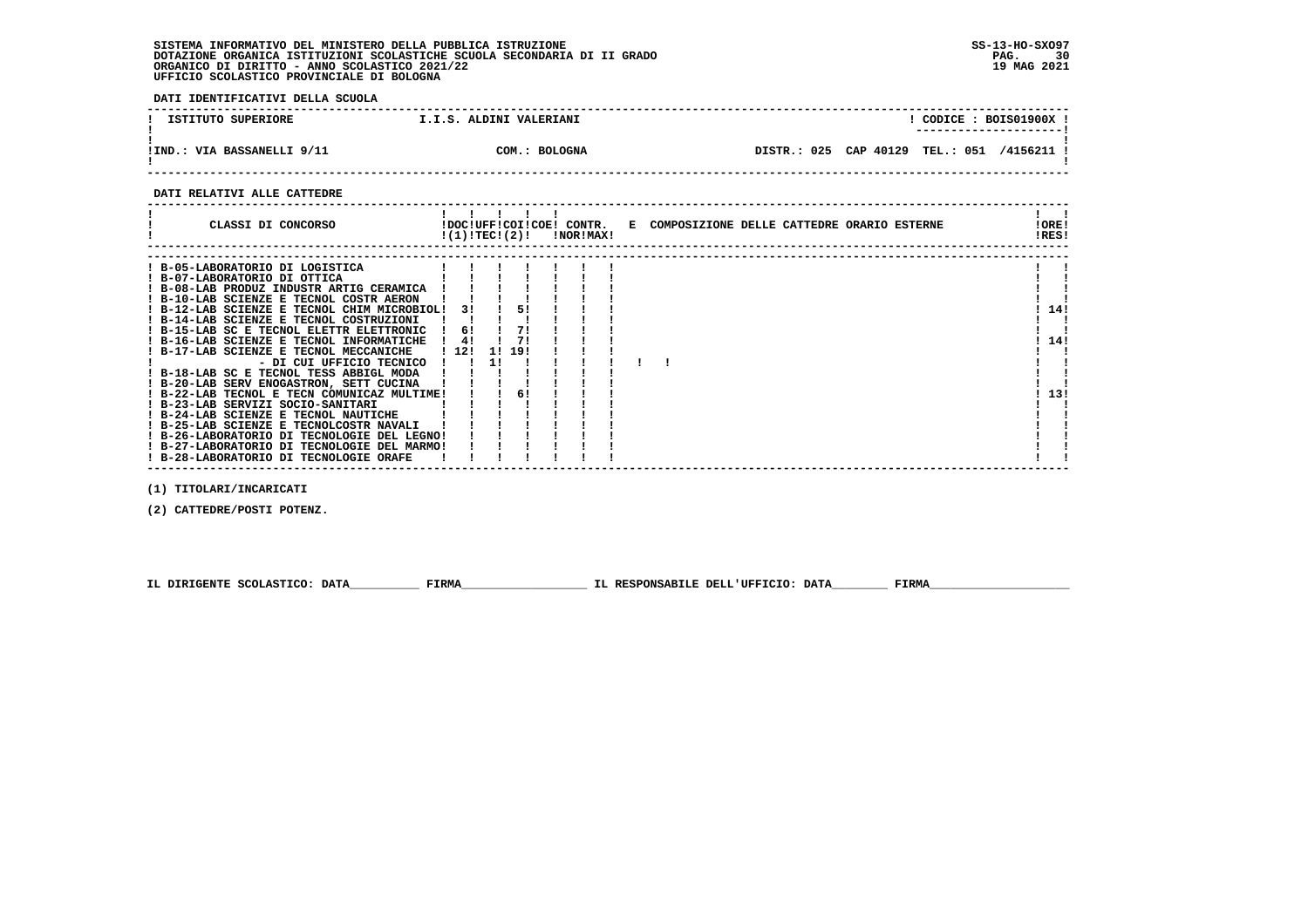**DATI IDENTIFICATIVI DELLA SCUOLA**

| ISTITUTO SUPERIORE         | I.I.S. ALDINI VALERIANI |                       |                  | CODICE: BOIS01900X !<br>---------------------- |
|----------------------------|-------------------------|-----------------------|------------------|------------------------------------------------|
| !IND.: VIA BASSANELLI 9/11 | COM.: BOLOGNA           | DISTR.: 025 CAP 40129 | <b>TEL.: 051</b> | /4156211 !                                     |

 **------------------------------------------------------------------------------------------------------------------------------------**

#### **DATI RELATIVI ALLE CATTEDRE**

| CLASSI DI CONCORSO                                                                     |      | !(1)!TECI(2)!   |     | !NOR!MAX! | !DOC!UFF!COI!COE! CONTR. E COMPOSIZIONE DELLE CATTEDRE ORARIO ESTERNE | !ORE!<br>!RES! |  |
|----------------------------------------------------------------------------------------|------|-----------------|-----|-----------|-----------------------------------------------------------------------|----------------|--|
| ! B-05-LABORATORIO DI LOGISTICA<br>! B-07-LABORATORIO DI OTTICA                        |      |                 |     |           |                                                                       |                |  |
| ! B-08-LAB PRODUZ INDUSTR ARTIG CERAMICA                                               |      |                 |     |           |                                                                       |                |  |
| ! B-10-LAB SCIENZE E TECNOL COSTR AERON<br>! B-12-LAB SCIENZE E TECNOL CHIM MICROBIOL! |      | 31              | 51  |           |                                                                       | 14!            |  |
| ! B-14-LAB SCIENZE E TECNOL COSTRUZIONI<br>! B-15-LAB SC E TECNOL ELETTR ELETTRONIC    |      | -61             |     |           |                                                                       |                |  |
| ! B-16-LAB SCIENZE E TECNOL INFORMATICHE                                               |      | 4!              | 71  |           |                                                                       | 14!            |  |
| ! B-17-LAB SCIENZE E TECNOL MECCANICHE<br>- DI CUI UFFICIO TECNICO                     | 1121 | <b>11</b><br>11 | 191 |           |                                                                       |                |  |
| ! B-18-LAB SC E TECNOL TESS ABBIGL MODA<br>! B-20-LAB SERV ENOGASTRON, SETT CUCINA     |      |                 |     |           |                                                                       |                |  |
| ! B-22-LAB TECNOL E TECN COMUNICAZ MULTIME!                                            |      |                 | 61  |           |                                                                       | 13!            |  |
| ! B-23-LAB SERVIZI SOCIO-SANITARI<br>! B-24-LAB SCIENZE E TECNOL NAUTICHE              |      |                 |     |           |                                                                       |                |  |
| ! B-25-LAB SCIENZE E TECNOLCOSTR NAVALI<br>! B-26-LABORATORIO DI TECNOLOGIE DEL LEGNO! |      |                 |     |           |                                                                       |                |  |
| ! B-27-LABORATORIO DI TECNOLOGIE DEL MARMO!<br>! B-28-LABORATORIO DI TECNOLOGIE ORAFE  |      |                 |     |           |                                                                       |                |  |

 **(1) TITOLARI/INCARICATI**

 **(2) CATTEDRE/POSTI POTENZ.**

 **IL DIRIGENTE SCOLASTICO: DATA\_\_\_\_\_\_\_\_\_\_ FIRMA\_\_\_\_\_\_\_\_\_\_\_\_\_\_\_\_\_\_ IL RESPONSABILE DELL'UFFICIO: DATA\_\_\_\_\_\_\_\_ FIRMA\_\_\_\_\_\_\_\_\_\_\_\_\_\_\_\_\_\_\_\_**

 **------------------------------------------------------------------------------------------------------------------------------------**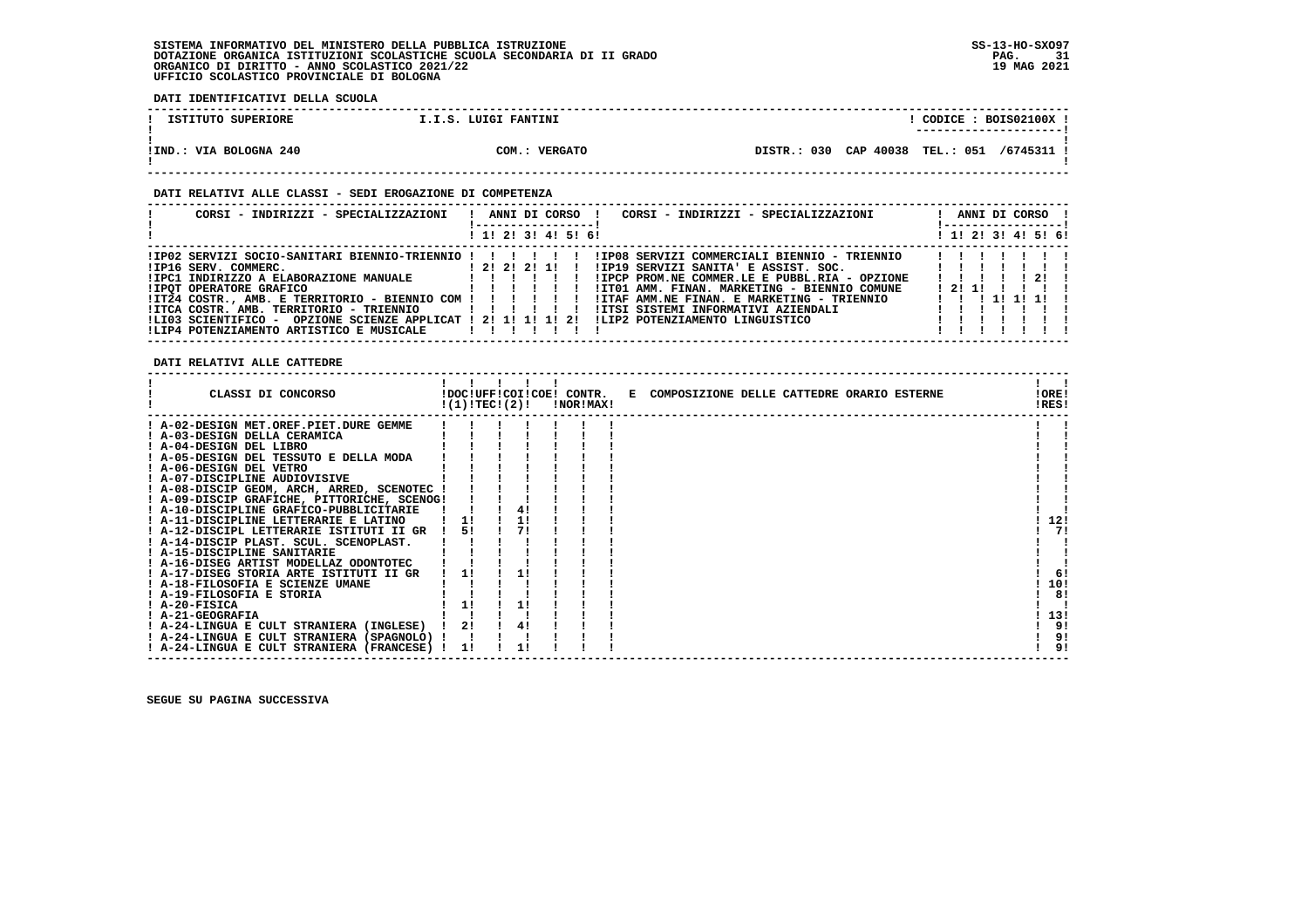**DATI IDENTIFICATIVI DELLA SCUOLA**

| ISTITUTO SUPERIORE     | I.I.S. LUIGI FANTINI | CODICE: BOIS02100X<br>---------------------- |
|------------------------|----------------------|----------------------------------------------|
| !IND.: VIA BOLOGNA 240 | COM.: VERGATO        | DISTR.: 030 CAP 40038 TEL.: 051 /6745311 !   |

#### **DATI RELATIVI ALLE CLASSI - SEDI EROGAZIONE DI COMPETENZA**

| CORSI - INDIRIZZI - SPECIALIZZAZIONI                                                                                                                                                                                                                                                                                                                                                                                                                                                     | CORSI - INDIRIZZI - SPECIALIZZAZIONI<br>ANNI DI CORSO !                                                                                                                                                                                                                                                                                                        | ANNI DI CORSO !     |
|------------------------------------------------------------------------------------------------------------------------------------------------------------------------------------------------------------------------------------------------------------------------------------------------------------------------------------------------------------------------------------------------------------------------------------------------------------------------------------------|----------------------------------------------------------------------------------------------------------------------------------------------------------------------------------------------------------------------------------------------------------------------------------------------------------------------------------------------------------------|---------------------|
|                                                                                                                                                                                                                                                                                                                                                                                                                                                                                          | ! 1! 2! 3! 4! 5! 6!                                                                                                                                                                                                                                                                                                                                            | ! 1! 2! 3! 4! 5! 6! |
| !IP02 SERVIZI SOCIO-SANITARI BIENNIO-TRIENNIO ! ! ! ! ! !<br>1 2 2 2 2 1 1 1<br>!IP16 SERV. COMMERC.<br>$\frac{1}{2}$ , $\frac{1}{2}$ , $\frac{1}{2}$ , $\frac{1}{2}$ , $\frac{1}{2}$ , $\frac{1}{2}$ , $\frac{1}{2}$ , $\frac{1}{2}$<br><b>!IPOT OPERATORE GRAFICO</b><br>!IT24 COSTR., AMB. E TERRITORIO - BIENNIO COM !!!!!!!<br>!ITCA COSTR. AMB. TERRITORIO - TRIENNIO<br>!LI03 SCIENTIFICO - OPZIONE SCIENZE APPLICAT ! 2! 1! 1! 1! 2!<br>!LIP4 POTENZIAMENTO ARTISTICO E MUSICALE | !IP08 SERVIZI COMMERCIALI BIENNIO - TRIENNIO   !!!<br>!IP19 SERVIZI SANITA' E ASSIST. SOC.               ! ! ! !<br>!IPCP PROM.NE COMMER.LE E PUBBL.RIA - OPZIONE<br>!IT01 AMM. FINAN. MARKETING - BIENNIO COMUNE<br>!ITAF AMM.NE FINAN. E MARKETING - TRIENNIO<br>!ITSI SISTEMI INFORMATIVI AZIENDALI<br>, , , , , , , , ,<br>!LIP2 POTENZIAMENTO LINGUISTICO | 2!<br>1211          |

 **DATI RELATIVI ALLE CATTEDRE**

| CLASSI DI CONCORSO                          | !(1)!TECI(2)! |    | !NOR!MAX! | !DOC!UFF!COI!COE! CONTR. E COMPOSIZIONE DELLE CATTEDRE ORARIO ESTERNE | !ORE!<br>!RES! |     |
|---------------------------------------------|---------------|----|-----------|-----------------------------------------------------------------------|----------------|-----|
| ! A-02-DESIGN MET.OREF.PIET.DURE GEMME      |               |    |           |                                                                       |                |     |
| A-03-DESIGN DELLA CERAMICA                  |               |    |           |                                                                       |                |     |
| ! A-04-DESIGN DEL LIBRO                     |               |    |           |                                                                       |                |     |
| ! A-05-DESIGN DEL TESSUTO E DELLA MODA      |               |    |           |                                                                       |                |     |
| ! A-06-DESIGN DEL VETRO                     |               |    |           |                                                                       |                |     |
| ! A-07-DISCIPLINE AUDIOVISIVE               |               |    |           |                                                                       |                |     |
| ! A-08-DISCIP GEOM, ARCH, ARRED, SCENOTEC ! |               |    |           |                                                                       |                |     |
| ! A-09-DISCIP GRAFICHE, PITTORICHE, SCENOG! |               |    |           |                                                                       |                |     |
| ! A-10-DISCIPLINE GRAFICO-PUBBLICITARIE     |               | 4! |           |                                                                       |                |     |
| A-11-DISCIPLINE LETTERARIE E LATINO         |               |    |           |                                                                       | 12!            |     |
| ! A-12-DISCIPL LETTERARIE ISTITUTI II GR    | 51            |    |           |                                                                       |                | 71  |
| ! A-14-DISCIP PLAST. SCUL. SCENOPLAST.      |               |    |           |                                                                       |                |     |
| ! A-15-DISCIPLINE SANITARIE                 |               |    |           |                                                                       |                |     |
| ! A-16-DISEG ARTIST MODELLAZ ODONTOTEC      |               |    |           |                                                                       |                |     |
| ! A-17-DISEG STORIA ARTE ISTITUTI II GR     | 1!            | 11 |           |                                                                       |                | 6!  |
| ! A-18-FILOSOFIA E SCIENZE UMANE            |               |    |           |                                                                       | 10!            |     |
| ! A-19-FILOSOFIA E STORIA                   |               |    |           |                                                                       |                | 8!  |
| ! A-20-FISICA                               | 11            |    |           |                                                                       |                |     |
| ! A-21-GEOGRAFIA                            |               |    |           |                                                                       | 13!            |     |
| ! A-24-LINGUA E CULT STRANIERA (INGLESE)    | 21            |    |           |                                                                       |                | -91 |
| ! A-24-LINGUA E CULT STRANIERA (SPAGNOLO) ! |               |    |           |                                                                       |                | 9!  |
| ! A-24-LINGUA E CULT STRANIERA (FRANCESE) ! | 1!            |    |           |                                                                       |                | 9!  |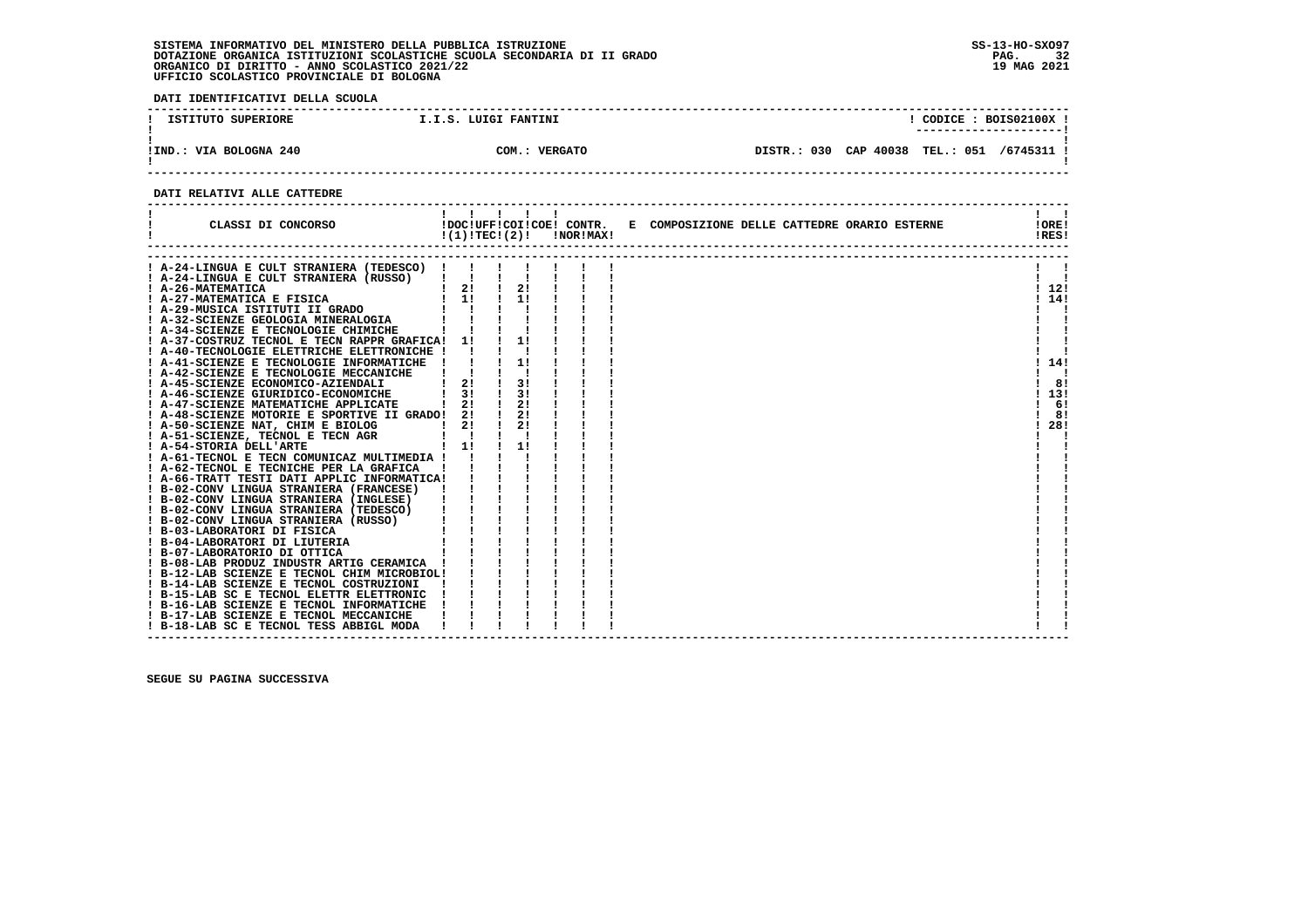**DATI IDENTIFICATIVI DELLA SCUOLA**

| ISTITUTO SUPERIORE          | I.I.S. LUIGI FANTINI     | CODICE : BOIS02100X !                                 |
|-----------------------------|--------------------------|-------------------------------------------------------|
|                             |                          | ----------------------                                |
|                             |                          |                                                       |
| .: VIA BOLOGNA 240<br>!IND. | <b>VERGATO</b><br>сом. : | DISTR.: 030 CAP 40038<br><b>TEL.: 051</b><br>/6745311 |
|                             |                          |                                                       |

 **------------------------------------------------------------------------------------------------------------------------------------**

#### **DATI RELATIVI ALLE CATTEDRE**

| CLASSI DI CONCORSO                                                                                                                             | 1111<br>!DOC!UFF!COI!COE! CONTR.<br>$!(1)!TEC!(2)!$ $INORIMAX!$ |               |    |  | E COMPOSIZIONE DELLE CATTEDRE ORARIO ESTERNE | !ORE!<br>!RES! |
|------------------------------------------------------------------------------------------------------------------------------------------------|-----------------------------------------------------------------|---------------|----|--|----------------------------------------------|----------------|
|                                                                                                                                                |                                                                 |               |    |  |                                              |                |
| A-24-LINGUA E CULT STRANIERA (TEDESCO) !                                                                                                       |                                                                 |               |    |  |                                              |                |
| A-24-LINGUA E CULT STRANIERA (RUSSO)                                                                                                           | $\mathbf{1}$ $\mathbf{1}$                                       |               | 2! |  |                                              |                |
| 1 A-26-MATEMATICA 1 21<br>1 A-27-MATEMATICA E FISICA 1 1 1<br>1 A-29-MUSICA ISTITUTI II GRADO 1 1 1<br>1 A-32-SCIENZE GEOLOGIA MINERALOGIA 1 1 |                                                                 | $\frac{1}{1}$ |    |  |                                              | 1121           |
|                                                                                                                                                |                                                                 |               |    |  |                                              | 114!           |
|                                                                                                                                                |                                                                 |               |    |  |                                              |                |
| $\sim$ $\sim$ $\sim$ $\sim$ $\sim$ $\sim$ $\sim$                                                                                               |                                                                 |               |    |  |                                              |                |
| A-34-SCIENZE E TECNOLOGIE CHIMICHE                                                                                                             |                                                                 |               | 11 |  |                                              |                |
| ! A-37-COSTRUZ TECNOL E TECN RAPPR GRAFICA! 1!<br>! A-40-TECNOLOGIE ELETTRICHE ELETTRONICHE !                                                  |                                                                 |               |    |  |                                              |                |
| ! A-41-SCIENZE E TECNOLOGIE INFORMATICHE !                                                                                                     |                                                                 |               |    |  |                                              | 114!           |
| ! A-42-SCIENZE E TECNOLOGIE MECCANICHE                                                                                                         |                                                                 |               |    |  |                                              |                |
| ! A-45-SCIENZE ECONOMICO-AZIENDALI                                                                                                             | 21                                                              |               | 31 |  |                                              | 8!             |
| A-46-SCIENZE GIURIDICO-ECONOMICHE                                                                                                              | 3!                                                              |               | 31 |  |                                              | 13!            |
| ! A-47-SCIENZE MATEMATICHE APPLICATE                                                                                                           | 21                                                              |               | 2! |  |                                              | 6!             |
| ! A-48-SCIENZE MOTORIE E SPORTIVE II GRADO! 2!                                                                                                 |                                                                 | $\frac{1}{2}$ |    |  |                                              | 8!             |
| ! A-50-SCIENZE NAT, CHIM E BIOLOG                                                                                                              |                                                                 | $\mathbf{I}$  | 2! |  |                                              | 28!            |
| E BIOLOG   2!<br>TECN AGR   1<br>  1!<br>! A-51-SCIENZE, TECNOL E TECN AGR                                                                     |                                                                 |               |    |  |                                              |                |
| ! A-54-STORIA DELL'ARTE                                                                                                                        |                                                                 |               | 11 |  |                                              |                |
| ! A-61-TECNOL E TECN COMUNICAZ MULTIMEDIA ! !                                                                                                  |                                                                 |               |    |  |                                              |                |
| ! A-62-TECNOL E TECNICHE PER LA GRAFICA                                                                                                        |                                                                 |               |    |  |                                              |                |
| ! A-66-TRATT TESTI DATI APPLIC INFORMATICA!                                                                                                    |                                                                 |               |    |  |                                              |                |
| ! B-02-CONV LINGUA STRANIERA (FRANCESE)                                                                                                        |                                                                 |               |    |  |                                              |                |
|                                                                                                                                                |                                                                 |               |    |  |                                              |                |
|                                                                                                                                                |                                                                 |               |    |  |                                              |                |
|                                                                                                                                                |                                                                 |               |    |  |                                              |                |
|                                                                                                                                                |                                                                 |               |    |  |                                              |                |
|                                                                                                                                                |                                                                 |               |    |  |                                              |                |
|                                                                                                                                                |                                                                 |               |    |  |                                              |                |
|                                                                                                                                                |                                                                 |               |    |  |                                              |                |
|                                                                                                                                                |                                                                 |               |    |  |                                              |                |
| ! B-14-LAB SCIENZE E TECNOL COSTRUZIONI                                                                                                        |                                                                 |               |    |  |                                              |                |
| ! B-15-LAB SC E TECNOL ELETTR ELETTRONIC                                                                                                       |                                                                 |               |    |  |                                              |                |
| ! B-16-LAB SCIENZE E TECNOL INFORMATICHE                                                                                                       |                                                                 |               |    |  |                                              |                |
| ! B-17-LAB SCIENZE E TECNOL MECCANICHE                                                                                                         |                                                                 |               |    |  |                                              |                |
| ! B-18-LAB SC E TECNOL TESS ABBIGL MODA                                                                                                        |                                                                 |               |    |  |                                              |                |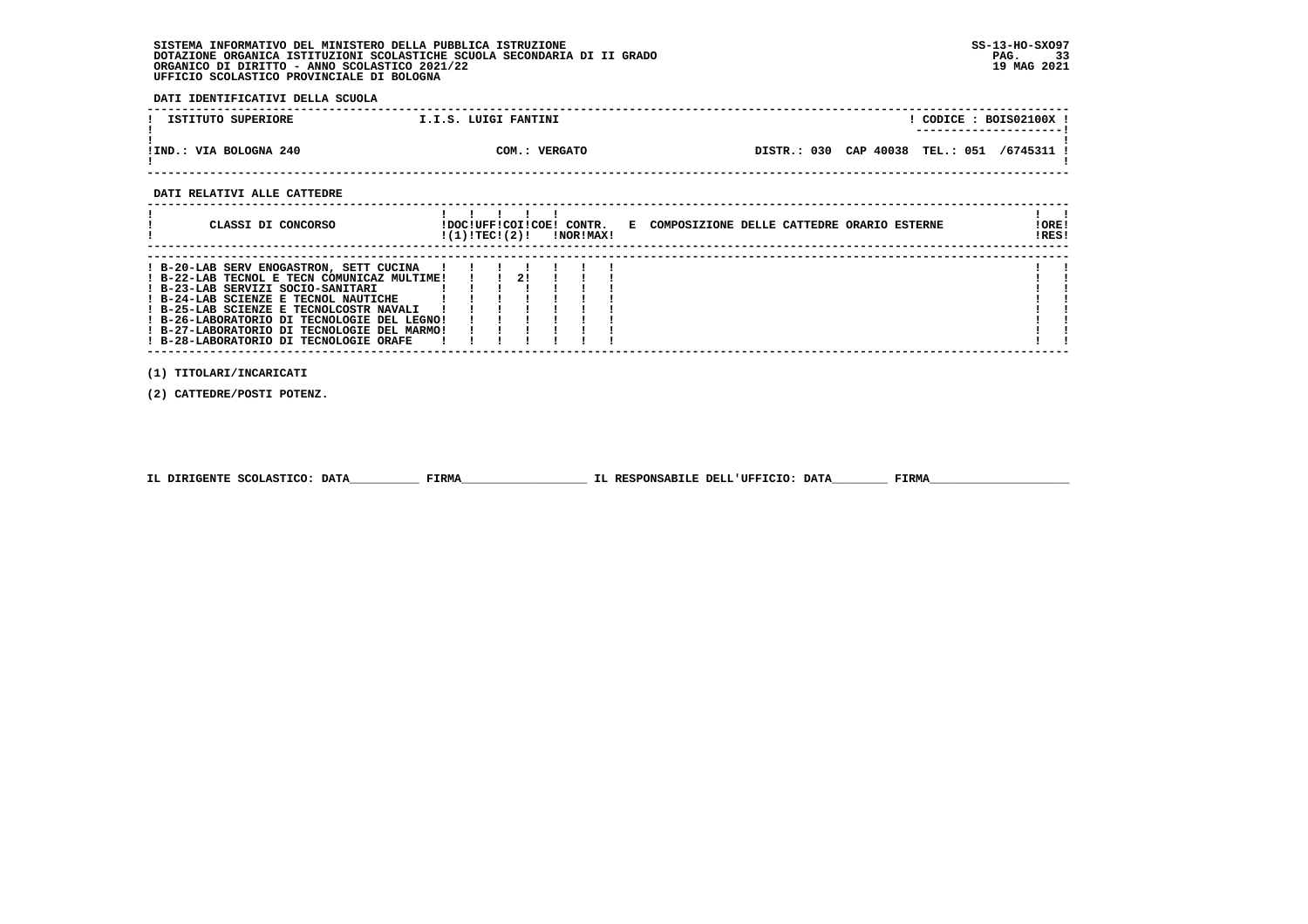**DATI IDENTIFICATIVI DELLA SCUOLA**

| ISTITUTO SUPERIORE     | I.I.S. LUIGI FANTINI    | CODICE: BOIS02100X !                       |
|------------------------|-------------------------|--------------------------------------------|
| !IND.: VIA BOLOGNA 240 | <b>VERGATO</b><br>COM.: | DISTR.: 030 CAP 40038 TEL.: 051 /6745311 ! |

 **------------------------------------------------------------------------------------------------------------------------------------**

#### **DATI RELATIVI ALLE CATTEDRE**

| CLASSI DI CONCORSO                                                                                                                                                                                                                                                                                                                                     | !DOC!UFF!COI!COE! CONTR.<br>!(1)!TEC!(2)! |    | !NOR!MAX! | E COMPOSIZIONE DELLE CATTEDRE ORARIO ESTERNE | ! ORE!<br>IRES! |
|--------------------------------------------------------------------------------------------------------------------------------------------------------------------------------------------------------------------------------------------------------------------------------------------------------------------------------------------------------|-------------------------------------------|----|-----------|----------------------------------------------|-----------------|
| ! B-20-LAB SERV ENOGASTRON, SETT CUCINA<br>! B-22-LAB TECNOL E TECN COMUNICAZ MULTIME!<br>! B-23-LAB SERVIZI SOCIO-SANITARI<br>! B-24-LAB SCIENZE E TECNOL NAUTICHE<br>! B-25-LAB SCIENZE E TECNOLCOSTR NAVALI<br>! B-26-LABORATORIO DI TECNOLOGIE DEL LEGNO!<br>! B-27-LABORATORIO DI TECNOLOGIE DEL MARMO!<br>! B-28-LABORATORIO DI TECNOLOGIE ORAFE |                                           | 21 |           |                                              |                 |

 **(1) TITOLARI/INCARICATI**

 **(2) CATTEDRE/POSTI POTENZ.**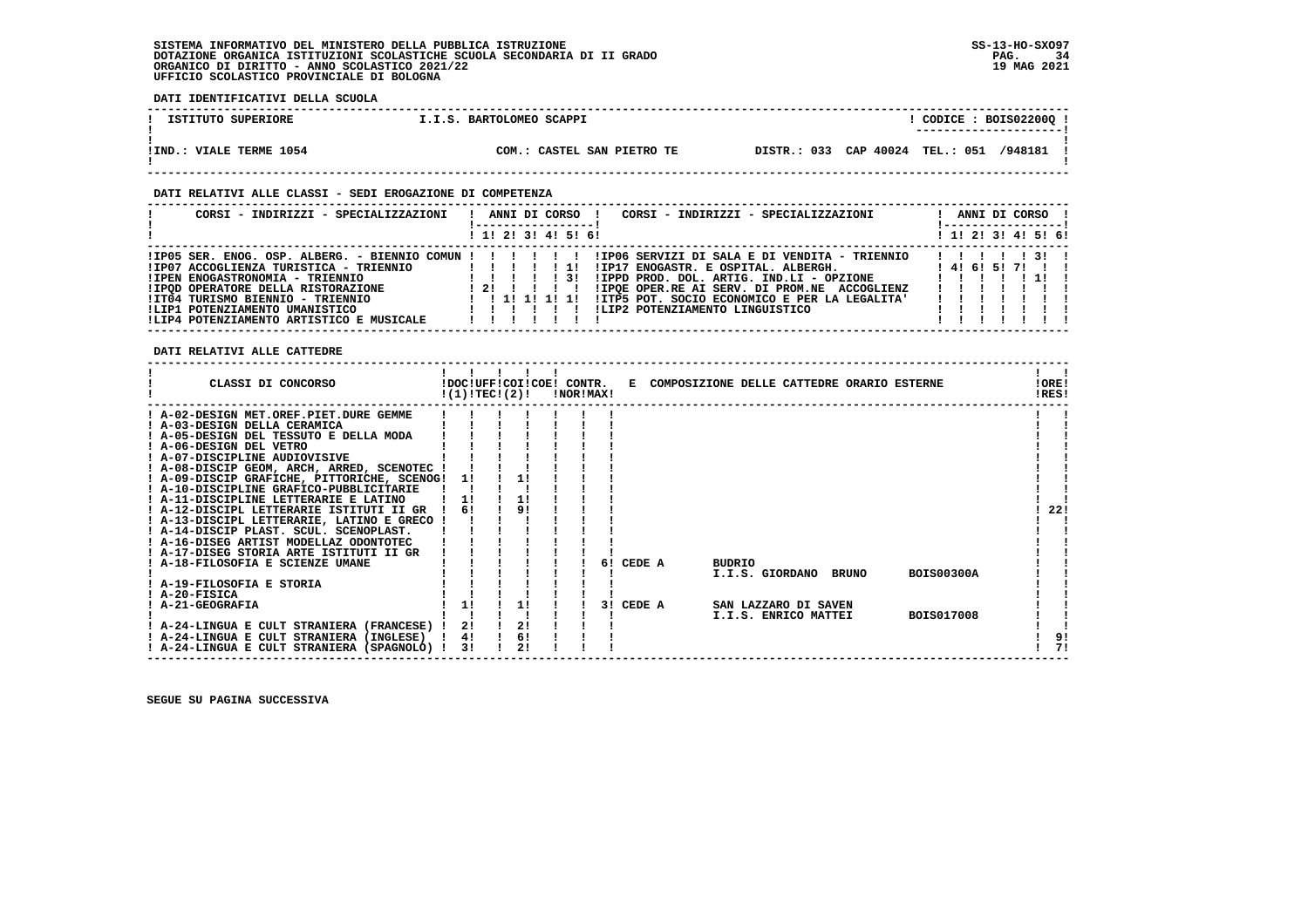**DATI IDENTIFICATIVI DELLA SCUOLA ------------------------------------------------------------------------------------------------------------------------------------**! CODICE : BOIS022000 ! **1 ISTITUTO SUPERIORE 1.I.S. BARTOLOMEO SCAPPI ! ---------------------! ! ! !IND.: VIALE TERME 1054 COM.: CASTEL SAN PIETRO TE DISTR.: 033 CAP 40024 TEL.: 051 /948181 !** $\blacksquare$  **! ! ------------------------------------------------------------------------------------------------------------------------------------ DATI RELATIVI ALLE CLASSI - SEDI EROGAZIONE DI COMPETENZA ------------------------------------------------------------------------------------------------------------------------------------ ! CORSI - INDIRIZZI - SPECIALIZZAZIONI ! ANNI DI CORSO ! CORSI - INDIRIZZI - SPECIALIZZAZIONI ! ANNI DI CORSO ! ! !-----------------! !-----------------!**1 1 2 1 3 1 4 1 5 1 6 1  **! ! 1! 2! 3! 4! 5! 6! ! 1! 2! 3! 4! 5! 6! ------------------------------------------------------------------------------------------------------------------------------------ !IP05 SER. ENOG. OSP. ALBERG. - BIENNIO COMUN ! ! ! ! ! ! !IP06 SERVIZI DI SALA E DI VENDITA - TRIENNIO ! ! ! ! ! 3! ! !IP07 ACCOGLIENZA TURISTICA - TRIENNIO ! ! ! ! ! 1! !IP17 ENOGASTR. E OSPITAL. ALBERGH. ! 4! 6! 5! 7! ! ! !IPEN ENOGASTRONOMIA - TRIENNIO ! ! ! ! ! 3! !IPPD PROD. DOL. ARTIG. IND.LI - OPZIONE ! ! ! ! ! 1! ! !IPQD OPERATORE DELLA RISTORAZIONE ! 2! ! ! ! ! !IPQE OPER.RE AI SERV. DI PROM.NE ACCOGLIENZ ! ! ! ! ! ! ! !IT04 TURISMO BIENNIO - TRIENNIO ! ! 1! 1! 1! 1! !ITP5 POT. SOCIO ECONOMICO E PER LA LEGALITA' ! ! ! ! ! ! ! !LIP1 POTENZIAMENTO UMANISTICO ! ! ! ! ! ! !LIP2 POTENZIAMENTO LINGUISTICO ! ! ! ! ! ! ! !LIP4 POTENZIAMENTO ARTISTICO E MUSICALE ! ! ! ! ! ! ! ! ! ! ! ! ! ! ------------------------------------------------------------------------------------------------------------------------------------**

 **DATI RELATIVI ALLE CATTEDRE**

| CLASSI DI CONCORSO                          | !DOC!UFF!COI!COE! CONTR.<br>!(1)!TEC!(2)! |    | !NOR!MAX! |    |        |               |                       | E COMPOSIZIONE DELLE CATTEDRE ORARIO ESTERNE | !ORE!<br>!RES! |
|---------------------------------------------|-------------------------------------------|----|-----------|----|--------|---------------|-----------------------|----------------------------------------------|----------------|
| ! A-02-DESIGN MET.OREF.PIET.DURE GEMME      |                                           |    |           |    |        |               |                       |                                              |                |
| ! A-03-DESIGN DELLA CERAMICA                |                                           |    |           |    |        |               |                       |                                              |                |
| A-05-DESIGN DEL TESSUTO E DELLA MODA        |                                           |    |           |    |        |               |                       |                                              |                |
| ! A-06-DESIGN DEL VETRO                     |                                           |    |           |    |        |               |                       |                                              |                |
| ! A-07-DISCIPLINE AUDIOVISIVE               |                                           |    |           |    |        |               |                       |                                              |                |
| ! A-08-DISCIP GEOM, ARCH, ARRED, SCENOTEC ! |                                           |    |           |    |        |               |                       |                                              |                |
| ! A-09-DISCIP GRAFICHE, PITTORICHE, SCENOG! | 11                                        |    |           |    |        |               |                       |                                              |                |
| ! A-10-DISCIPLINE GRAFICO-PUBBLICITARIE     |                                           |    |           |    |        |               |                       |                                              |                |
| ! A-11-DISCIPLINE LETTERARIE E LATINO       | 11                                        | 11 |           |    |        |               |                       |                                              |                |
| ! A-12-DISCIPL LETTERARIE ISTITUTI II GR    | 6!                                        | 91 |           |    |        |               |                       |                                              | 22!            |
| ! A-13-DISCIPL LETTERARIE, LATINO E GRECO   |                                           |    |           |    |        |               |                       |                                              |                |
| ! A-14-DISCIP PLAST. SCUL. SCENOPLAST.      |                                           |    |           |    |        |               |                       |                                              |                |
| ! A-16-DISEG ARTIST MODELLAZ ODONTOTEC      |                                           |    |           |    |        |               |                       |                                              |                |
| ! A-17-DISEG STORIA ARTE ISTITUTI II GR     |                                           |    |           |    |        |               |                       |                                              |                |
| A-18-FILOSOFIA E SCIENZE UMANE              |                                           |    |           | 61 | CEDE A | <b>BUDRIO</b> |                       |                                              |                |
|                                             |                                           |    |           |    |        |               | I.I.S. GIORDANO BRUNO | <b>BOIS00300A</b>                            |                |
| ! A-19-FILOSOFIA E STORIA                   |                                           |    |           |    |        |               |                       |                                              |                |
| ! A-20-FISICA                               |                                           |    |           |    |        |               |                       |                                              |                |
| ! A-21-GEOGRAFIA                            | 1!                                        | 11 |           | 31 | CEDE A |               | SAN LAZZARO DI SAVEN  |                                              |                |
|                                             |                                           | 2! |           |    |        |               | I.I.S. ENRICO MATTEI  | <b>BOIS017008</b>                            |                |
| ! A-24-LINGUA E CULT STRANIERA (FRANCESE)   | 2!                                        | 6! |           |    |        |               |                       |                                              | 9!             |
| ! A-24-LINGUA E CULT STRANIERA (INGLESE)    | 4!<br>31                                  |    |           |    |        |               |                       |                                              | 71             |
| ! A-24-LINGUA E CULT STRANIERA (SPAGNOLO) ! |                                           |    |           |    |        |               |                       |                                              |                |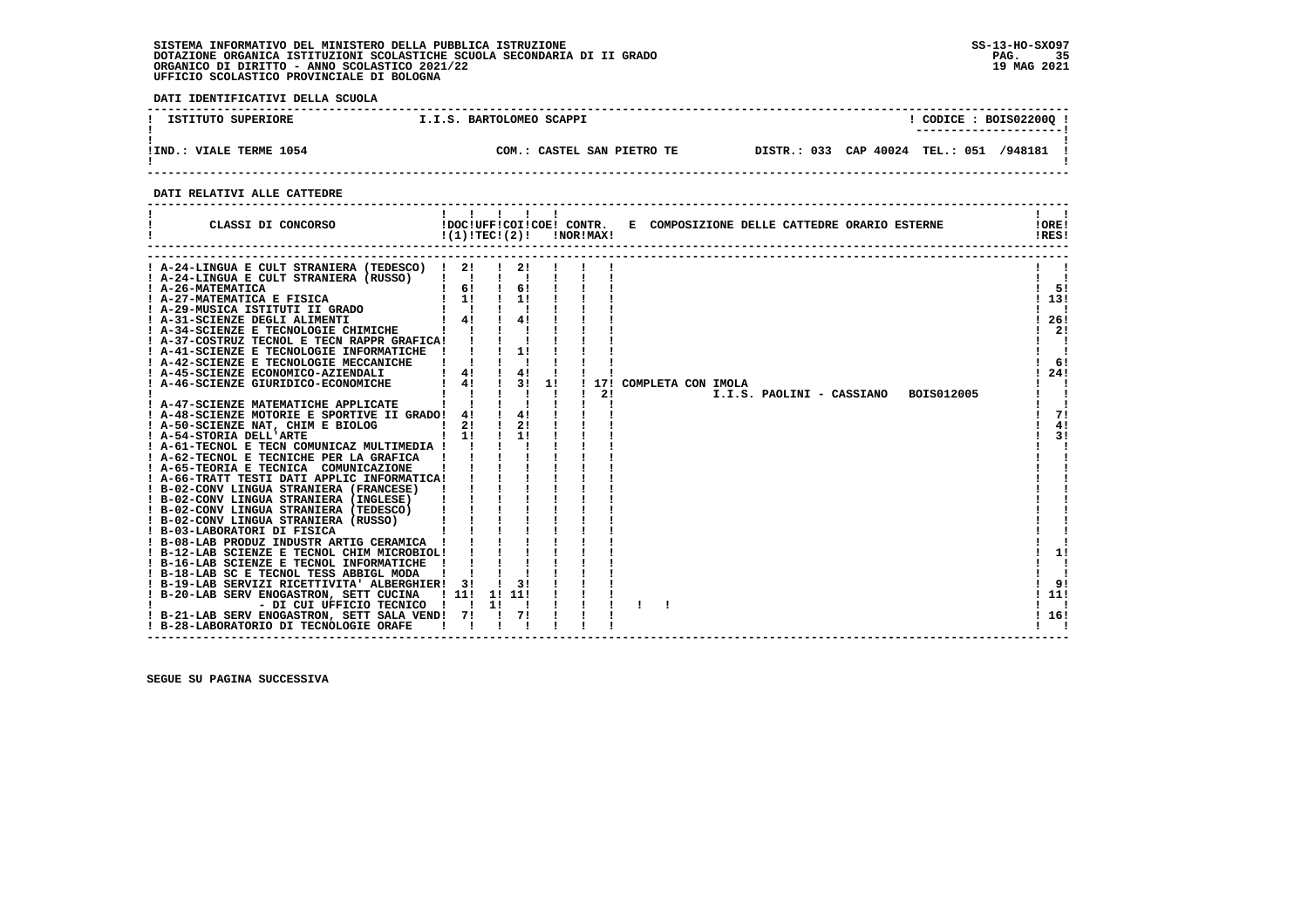$\mathbf{I}$ 

 **DATI IDENTIFICATIVI DELLA SCUOLA ------------------------------------------------------------------------------------------------------------------------------------**! CODICE : BOIS02200Q !  **! ISTITUTO SUPERIORE I.I.S. BARTOLOMEO SCAPPI ! CODICE : BOIS02200Q ! ! ---------------------! ! ! !IND.: VIALE TERME 1054 COM.: CASTEL SAN PIETRO TE DISTR.: 033 CAP 40024 TEL.: 051 /948181 ! ! ! ------------------------------------------------------------------------------------------------------------------------------------ DATI RELATIVI ALLE CATTEDRE ------------------------------------------------------------------------------------------------------------------------------------** $1 \quad 1$ ا ! **! ! ! !!!! ! ! ! ! ! !!!!!**<br>! CLASSI DI CONCORSO ! DOC!UFF!COI!COE! CONTR. E COMPOSIZIONE DELLE CATTEDRE ORARIO ESTERNE !! ! !<br>! ! ! ! !RES! **IORE!** IRES!  **------------------------------------------------------------------------------------------------------------------------------------ ------------------------------------------------------------------------------------------------------------------------------------ ! A-24-LINGUA E CULT STRANIERA (TEDESCO) ! 2! ! 2! ! ! ! ! !**

| ! A-24-LINGUA E CULT STRANIERA (TEDESCO)       | -21 |    | 21     |      |    |                                         |       |
|------------------------------------------------|-----|----|--------|------|----|-----------------------------------------|-------|
| ! A-24-LINGUA E CULT STRANIERA (RUSSO)         |     |    |        |      |    |                                         |       |
| ! A-26-MATEMATICA                              | 6!  |    | 6!     |      |    |                                         | 5!    |
| ! A-27-MATEMATICA E FISICA                     | 1!  |    | 11     |      |    |                                         | 13!   |
| ! A-29-MUSICA ISTITUTI II GRADO                |     |    |        |      |    |                                         |       |
| ! A-31-SCIENZE DEGLI ALIMENTI                  | 4!  |    | 4!     |      |    |                                         | 26!   |
| ! A-34-SCIENZE E TECNOLOGIE CHIMICHE           |     |    |        |      |    |                                         | 21    |
| ! A-37-COSTRUZ TECNOL E TECN RAPPR GRAFICA!    |     |    |        |      |    |                                         |       |
| ! A-41-SCIENZE E TECNOLOGIE INFORMATICHE       |     |    | 1!     |      |    |                                         |       |
| ! A-42-SCIENZE E TECNOLOGIE MECCANICHE         |     |    |        |      |    |                                         | 6!    |
| ! A-45-SCIENZE ECONOMICO-AZIENDALI             | 4!  |    | 4!     |      |    |                                         | 24!   |
| ! A-46-SCIENZE GIURIDICO-ECONOMICHE            | 4!  |    |        | 3!1! |    | ! 17! COMPLETA CON IMOLA                |       |
|                                                |     |    |        |      | 21 | I.I.S. PAOLINI - CASSIANO<br>BOIS012005 |       |
| ! A-47-SCIENZE MATEMATICHE APPLICATE           |     |    |        |      |    |                                         |       |
| ! A-48-SCIENZE MOTORIE E SPORTIVE II GRADO! 4! |     |    | 4!     |      |    |                                         | 71    |
| ! A-50-SCIENZE NAT, CHIM E BIOLOG              | 2!  |    | 2!     |      |    |                                         | 4!    |
| ! A-54-STORIA DELL'ARTE                        | 11  |    | 11     |      |    |                                         | 3!    |
| ! A-61-TECNOL E TECN COMUNICAZ MULTIMEDIA !    |     |    |        |      |    |                                         |       |
| ! A-62-TECNOL E TECNICHE PER LA GRAFICA        |     |    |        |      |    |                                         |       |
| ! A-65-TEORIA E TECNICA COMUNICAZIONE          |     |    |        |      |    |                                         |       |
| ! A-66-TRATT TESTI DATI APPLIC INFORMATICA!    |     |    |        |      |    |                                         |       |
| ! B-02-CONV LINGUA STRANIERA (FRANCESE)        |     |    |        |      |    |                                         |       |
| ! B-02-CONV LINGUA STRANIERA (INGLESE)         |     |    |        |      |    |                                         |       |
| ! B-02-CONV LINGUA STRANIERA (TEDESCO)         |     |    |        |      |    |                                         |       |
| ! B-02-CONV LINGUA STRANIERA (RUSSO)           |     |    |        |      |    |                                         |       |
| ! B-03-LABORATORI DI FISICA                    |     |    |        |      |    |                                         |       |
| ! B-08-LAB PRODUZ INDUSTR ARTIG CERAMICA       |     |    |        |      |    |                                         |       |
| ! B-12-LAB SCIENZE E TECNOL CHIM MICROBIOL!    |     |    |        |      |    |                                         | 1!    |
| ! B-16-LAB SCIENZE E TECNOL INFORMATICHE       |     |    |        |      |    |                                         |       |
| ! B-18-LAB SC E TECNOL TESS ABBIGL MODA        |     |    |        |      |    |                                         |       |
| ! B-19-LAB SERVIZI RICETTIVITA' ALBERGHIER! 3! |     |    | 3!     |      |    |                                         | 9!    |
| ! B-20-LAB SERV ENOGASTRON, SETT CUCINA ! 11!  |     |    | 1! 11! |      |    |                                         | 11!   |
| - DI CUI UFFICIO TECNICO ! !                   |     | 11 |        |      |    |                                         |       |
| ! B-21-LAB SERV ENOGASTRON, SETT SALA VEND!    | 71  |    | 71     |      |    |                                         | ! 16! |
| ! B-28-LABORATORIO DI TECNOLOGIE ORAFE         |     |    |        |      |    |                                         |       |
|                                                |     |    |        |      |    |                                         |       |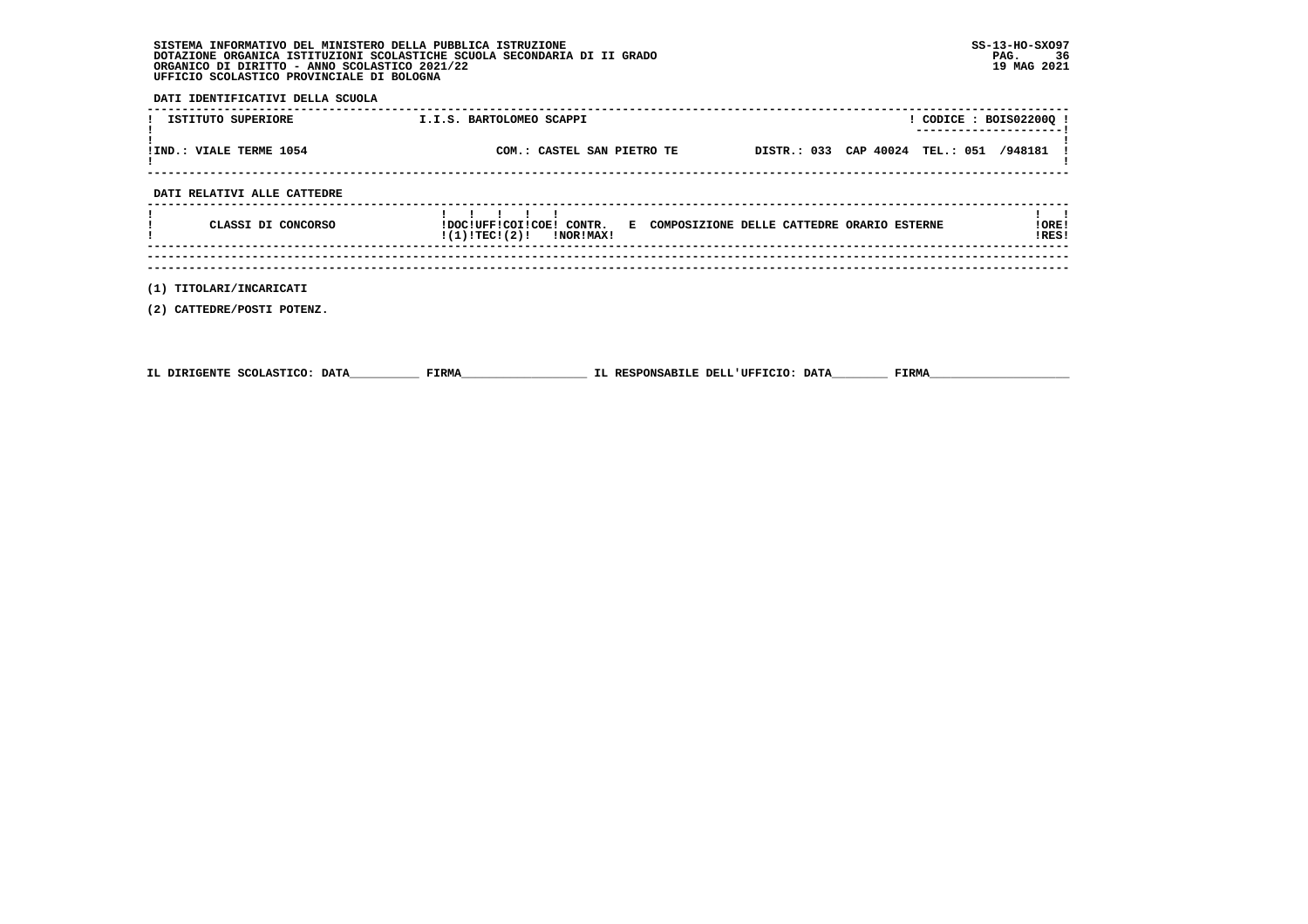| SISTEMA INFORMATIVO DEL MINISTERO DELLA PUBBLICA ISTRUZIONE              | $SS-13-HO-SXO97$ |
|--------------------------------------------------------------------------|------------------|
| DOTAZIONE ORGANICA ISTITUZIONI SCOLASTICHE SCUOLA SECONDARIA DI II GRADO | 36<br>PAG.       |
| ORGANICO DI DIRITTO - ANNO SCOLASTICO 2021/22                            | 19 MAG 2021      |
| UFFICIO SCOLASTICO PROVINCIALE DI BOLOGNA                                |                  |

 **DATI IDENTIFICATIVI DELLA SCUOLA**

| ISTITUTO SUPERIORE      | I.I.S. BARTOLOMEO SCAPPI   | CODICE: BOIS02200Q!<br>---------------------- |
|-------------------------|----------------------------|-----------------------------------------------|
| IIND.: VIALE TERME 1054 | COM.: CASTEL SAN PIETRO TE | DISTR.: 033 CAP 40024 TEL.: 051 /948181 !     |
|                         |                            |                                               |

 **DATI RELATIVI ALLE CATTEDRE**

| CLASSI DI CONCORSO | $\mathbf{1}$ $\mathbf{1}$ $\mathbf{1}$ $\mathbf{1}$<br>!DOC!UFF!COI!COE! CONTR. E COMPOSIZIONE DELLE CATTEDRE ORARIO ESTERNE<br>$!(1)!TEC!(2)!$ $INORIMAX!$ | !ORE!<br>!RES! |
|--------------------|-------------------------------------------------------------------------------------------------------------------------------------------------------------|----------------|
|                    |                                                                                                                                                             |                |
|                    |                                                                                                                                                             |                |

 **(1) TITOLARI/INCARICATI**

 **(2) CATTEDRE/POSTI POTENZ.**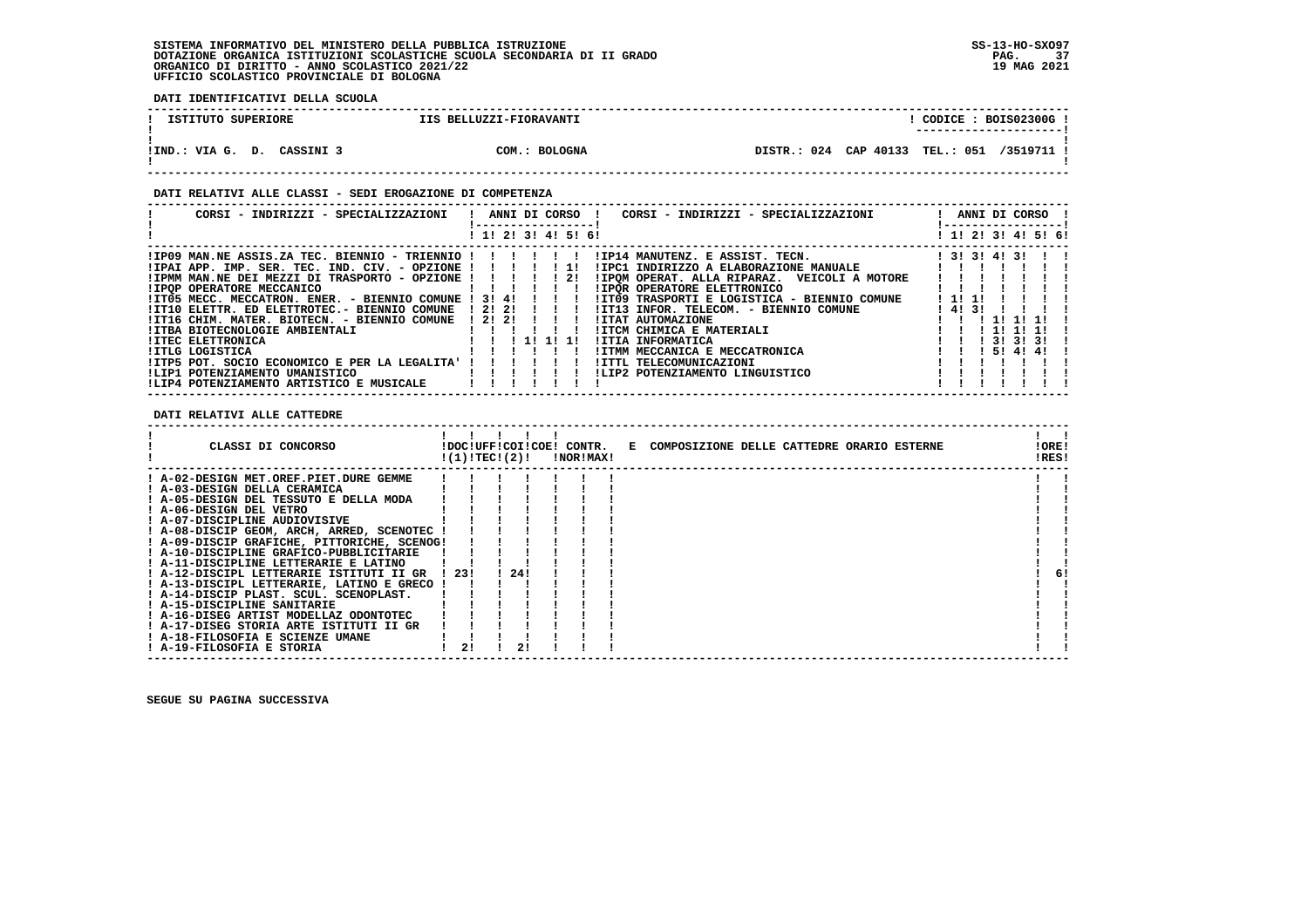**DATI IDENTIFICATIVI DELLA SCUOLA**

| ISTITUTO SUPERIORE         | IIS BELLUZZI-FIORAVANTI | CODICE: BOIS02300G!<br>---------------------- |
|----------------------------|-------------------------|-----------------------------------------------|
| !IND.: VIA G. D. CASSINI 3 | COM.: BOLOGNA           | DISTR.: 024 CAP 40133 TEL.: 051 /3519711 !    |

# **DATI RELATIVI ALLE CLASSI - SEDI EROGAZIONE DI COMPETENZA**

| CORSI - INDIRIZZI - SPECIALIZZAZIONI                                                                                                                                                                                                                                                                                                                                                                                                            |  |                      |  | ANNI DI CORSO !         | CORSI - INDIRIZZI - SPECIALIZZAZIONI                                                                                                                                                                                                                                                                                                                       |         |                        |        | ANNI DI CORSO !     |  |
|-------------------------------------------------------------------------------------------------------------------------------------------------------------------------------------------------------------------------------------------------------------------------------------------------------------------------------------------------------------------------------------------------------------------------------------------------|--|----------------------|--|-------------------------|------------------------------------------------------------------------------------------------------------------------------------------------------------------------------------------------------------------------------------------------------------------------------------------------------------------------------------------------------------|---------|------------------------|--------|---------------------|--|
|                                                                                                                                                                                                                                                                                                                                                                                                                                                 |  |                      |  | ! 1! 2! 3! 4! 5! 6!     |                                                                                                                                                                                                                                                                                                                                                            |         |                        |        | ! 1! 2! 3! 4! 5! 6! |  |
| $1IP09$ MAN.NE ASSIS.ZA TEC. BIENNIO - TRIENNIO !!!!!!<br>$IIPAI$ APP. IMP. SER. TEC. IND. CIV. - OPZIONE ! ! ! ! ! 1!<br>$IIPMM$ MAN.NE DEI MEZZI DI TRASPORTO - OPZIONE ! ! ! ! ! 2!<br><b>!IPOP OPERATORE MECCANICO</b><br>.<br>!IT05 MECC. MECCATRON. ENER. - BIENNIO COMUNE ! 3! 4!<br>!IT10 ELETTR. ED ELETTROTEC.- BIENNIO COMUNE<br>!IT16 CHIM. MATER. BIOTECN. - BIENNIO COMUNE<br>!ITBA BIOTECNOLOGIE AMBIENTALI<br>!ITEC ELETTRONICA |  | 1 2 1 2 1<br>! 2! 2! |  | $\blacksquare$<br>11111 | !IP14 MANUTENZ. E ASSIST. TECN.<br>! 3! 3! 4! 3!<br>!IPC1 INDIRIZZO A ELABORAZIONE MANUALE<br>!IPOM OPERAT. ALLA RIPARAZ. VEICOLI A MOTORE<br>!IPOR OPERATORE ELETTRONICO<br>!IT09 TRASPORTI E LOGISTICA - BIENNIO COMUNE<br>14131<br>IIT13 INFOR. TELECOM. - BIENNIO COMUNE<br><b>!ITAT AUTOMAZIONE</b><br>!ITCM CHIMICA E MATERIALI<br>!ITIA INFORMATICA | ! 1! 1! | $1 - 11$<br>1 31 31 31 |        |                     |  |
| !ITLG LOGISTICA<br>! ITP5 POT. SOCIO ECONOMICO E PER LA LEGALITA' ! ! ! ! ! !<br>ILIP1 POTENZIAMENTO UMANISTICO<br>!LIP4 POTENZIAMENTO ARTISTICO E MUSICALE                                                                                                                                                                                                                                                                                     |  |                      |  | 111111                  | !ITMM MECCANICA E MECCATRONICA<br>!ITTL TELECOMUNICAZIONI<br>!LIP2 POTENZIAMENTO LINGUISTICO                                                                                                                                                                                                                                                               |         |                        | 514141 |                     |  |
|                                                                                                                                                                                                                                                                                                                                                                                                                                                 |  |                      |  |                         |                                                                                                                                                                                                                                                                                                                                                            |         |                        |        |                     |  |

 **DATI RELATIVI ALLE CATTEDRE**

| CLASSI DI CONCORSO                          |         | !(1)!TEC!(2)! |      | !NOR!MAX! | !DOC!UFF!COI!COE! CONTR. E COMPOSIZIONE DELLE CATTEDRE ORARIO ESTERNE |  |  | !ORE!<br>!RES! |     |
|---------------------------------------------|---------|---------------|------|-----------|-----------------------------------------------------------------------|--|--|----------------|-----|
| ! A-02-DESIGN MET.OREF.PIET.DURE GEMME      |         |               |      |           |                                                                       |  |  |                |     |
| ! A-03-DESIGN DELLA CERAMICA                |         |               |      |           |                                                                       |  |  |                |     |
| ! A-05-DESIGN DEL TESSUTO E DELLA MODA      |         |               |      |           |                                                                       |  |  |                |     |
| ! A-06-DESIGN DEL VETRO                     |         |               |      |           |                                                                       |  |  |                |     |
| ! A-07-DISCIPLINE AUDIOVISIVE               |         |               |      |           |                                                                       |  |  |                |     |
| ! A-08-DISCIP GEOM, ARCH, ARRED, SCENOTEC   |         |               |      |           |                                                                       |  |  |                |     |
| ! A-09-DISCIP GRAFICHE, PITTORICHE, SCENOG! |         |               |      |           |                                                                       |  |  |                |     |
| ! A-10-DISCIPLINE GRAFICO-PUBBLICITARIE     |         |               |      |           |                                                                       |  |  |                |     |
| ! A-11-DISCIPLINE LETTERARIE E LATINO       |         |               |      |           |                                                                       |  |  |                |     |
| ! A-12-DISCIPL LETTERARIE ISTITUTI II GR    | 1 2 3 1 |               | -241 |           |                                                                       |  |  |                | -61 |
| ! A-13-DISCIPL LETTERARIE, LATINO E GRECO ! |         |               |      |           |                                                                       |  |  |                |     |
| ! A-14-DISCIP PLAST. SCUL. SCENOPLAST.      |         |               |      |           |                                                                       |  |  |                |     |
| ! A-15-DISCIPLINE SANITARIE                 |         |               |      |           |                                                                       |  |  |                |     |
| ! A-16-DISEG ARTIST MODELLAZ ODONTOTEC      |         |               |      |           |                                                                       |  |  |                |     |
| ! A-17-DISEG STORIA ARTE ISTITUTI II GR     |         |               |      |           |                                                                       |  |  |                |     |
| ! A-18-FILOSOFIA E SCIENZE UMANE            |         |               |      |           |                                                                       |  |  |                |     |
| ! A-19-FILOSOFIA E STORIA                   |         | 21            | 21   |           |                                                                       |  |  |                |     |
|                                             |         |               |      |           |                                                                       |  |  |                |     |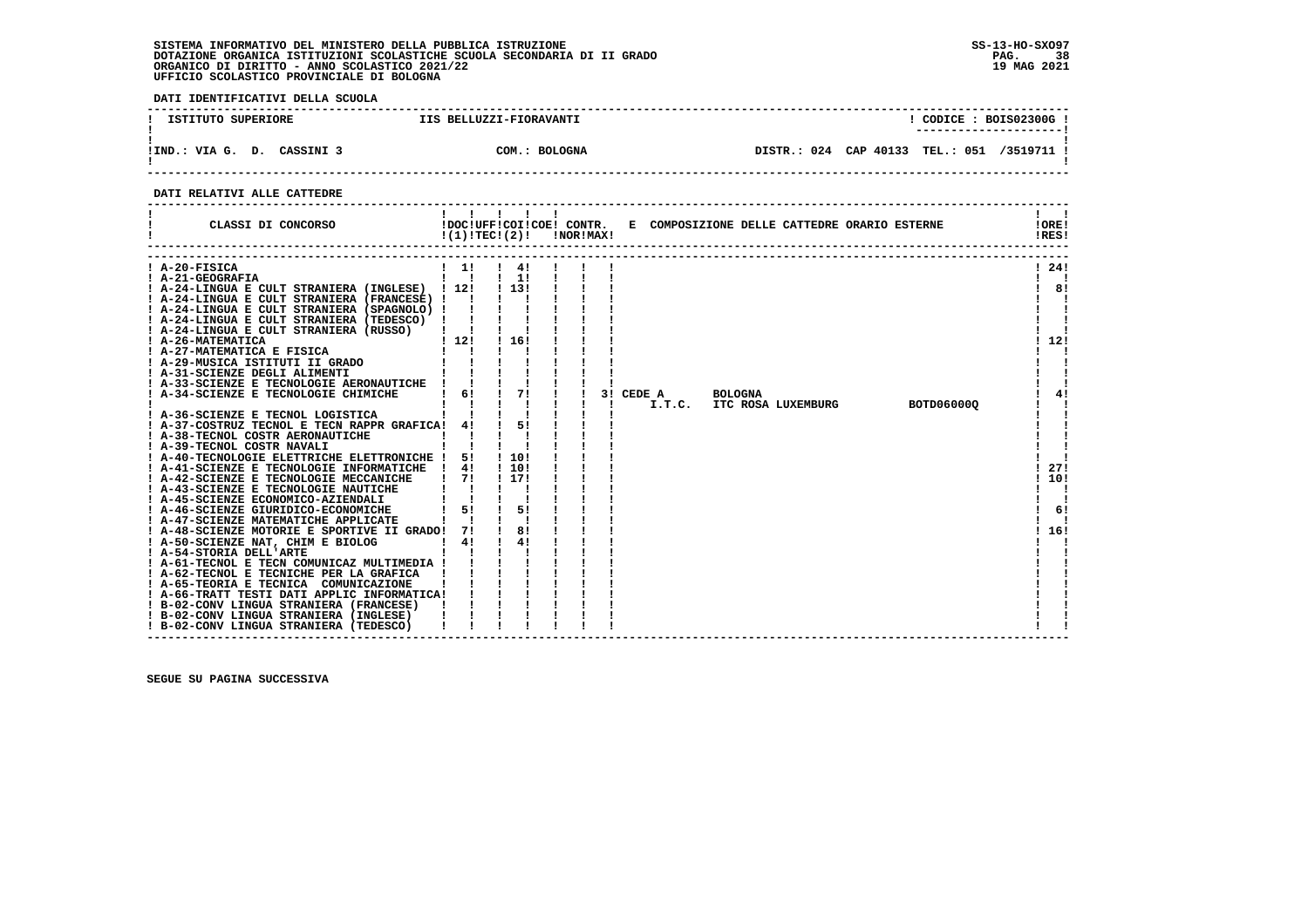**DATI IDENTIFICATIVI DELLA SCUOLA**

| ISTITUTO SUPERIORE         | IIS BELLUZZI-FIORAVANTI | CODICE: BOIS02300G!<br>---------------------- |
|----------------------------|-------------------------|-----------------------------------------------|
| !IND.: VIA G. D. CASSINI 3 | COM.: BOLOGNA           | DISTR.: 024 CAP 40133 TEL.: 051<br>/3519711 ! |

 **------------------------------------------------------------------------------------------------------------------------------------**

# **DATI RELATIVI ALLE CATTEDRE**

| CLASSI DI CONCORSO                                                                                                                                                                                                                                                                                                                                                                                              | $\mathbf{1}$ $\mathbf{1}$                                  | $\blacksquare$<br>$\blacksquare$<br>$!(1)!TEC!(2)!$ $INORIMAX!$        |  |                     |                |                    | !DOC!UFF!COI!COE! CONTR. E COMPOSIZIONE DELLE CATTEDRE ORARIO ESTERNE | !ORE!<br>!RES!     |
|-----------------------------------------------------------------------------------------------------------------------------------------------------------------------------------------------------------------------------------------------------------------------------------------------------------------------------------------------------------------------------------------------------------------|------------------------------------------------------------|------------------------------------------------------------------------|--|---------------------|----------------|--------------------|-----------------------------------------------------------------------|--------------------|
| ! A-20-FISICA<br>! A-21-GEOGRAFIA<br>! A-24-LINGUA E CULT STRANIERA (INGLESE) ! 12!<br>! A-24-LINGUA E CULT STRANIERA (FRANCESE) !!<br>! A-24-LINGUA E CULT STRANIERA (SPAGNOLO) ! !<br>! A-24-LINGUA E CULT STRANIERA (TEDESCO) !<br>! A-24-LINGUA E CULT STRANIERA (RUSSO)   !<br>! A-26-MATEMATICA<br>! A-27-MATEMATICA E FISICA                                                                             | $1 \quad 11$<br>$\mathbf{I}$ $\mathbf{I}$<br>112!          | $\frac{1}{4!}$<br>$\frac{1}{2}$ 1! $\frac{1}{2}$<br>1 1 3 1<br>1 1 6 1 |  |                     |                |                    |                                                                       | ! 24!<br>8!<br>12! |
| ! A-33-SCIENZE E TECNOLOGIE AERONAUTICHE !<br>! A-34-SCIENZE E TECNOLOGIE CHIMICHE<br>$\begin{array}{c} 1 \\ -1 \\ -1 \\ \end{array} \qquad \qquad \begin{array}{c} 1 \\ 1 \\ -1 \\ \end{array} \qquad \qquad \begin{array}{c} 1 \\ 1 \\ -1 \\ \end{array} \qquad \qquad \begin{array}{c} 1 \\ 1 \\ -1 \\ \end{array}$<br>! A-36-SCIENZE E TECNOL LOGISTICA<br>! A-37-COSTRUZ TECNOL E TECN RAPPR GRAFICA! 4! ! | 6!                                                         | 71<br>51                                                               |  | 3! CEDE A<br>I.T.C. | <b>BOLOGNA</b> | ITC ROSA LUXEMBURG | BOTD060000                                                            | 4!                 |
| ! A-38-TECNOL COSTR AERONAUTICHE<br>! A-39-TECNOL COSTR NAVALI<br>! A-40-TECNOLOGIE ELETTRICHE ELETTRONICHE ! 5!<br>! A-41-SCIENZE E TECNOLOGIE INFORMATICHE ! 4!<br>! A-42-SCIENZE E TECNOLOGIE MECCANICHE<br>! A-43-SCIENZE E TECNOLOGIE NAUTICHE                                                                                                                                                             | 71                                                         | 1 10 1<br>! 10!<br>! 17!                                               |  |                     |                |                    |                                                                       | 271<br>10!         |
| ! A-45-SCIENZE ECONOMICO-AZIENDALI<br>! A-46-SCIENZE GIURIDICO-ECONOMICHE<br>! A-47-SCIENZE MATEMATICHE APPLICATE<br>! A-48-SCIENZE MOTORIE E SPORTIVE II GRADO! 7!<br>! A-50-SCIENZE NAT, CHIM E BIOLOG<br>! A-54-STORIA DELL'ARTE<br>! A-61-TECNOL E TECN COMUNICAZ MULTIMEDIA !                                                                                                                              | $1 \quad 51$<br>$\mathbf{I}$ $\mathbf{I}$<br>$\frac{1}{4}$ | 51<br>81<br>4!<br>$\sim$ 1.000 $\pm$                                   |  |                     |                |                    |                                                                       | 61<br>16!          |
| ! A-62-TECNOL E TECNICHE PER LA GRAFICA ! ! !<br>! A-65-TEORIA E TECNICA COMUNICAZIONE<br>! A-66-TRATT TESTI DATI APPLIC INFORMATICA!<br>! B-02-CONV LINGUA STRANIERA (FRANCESE)<br>! B-02-CONV LINGUA STRANIERA (INGLESE)<br>! B-02-CONV LINGUA STRANIERA (TEDESCO)                                                                                                                                            |                                                            |                                                                        |  |                     |                |                    |                                                                       |                    |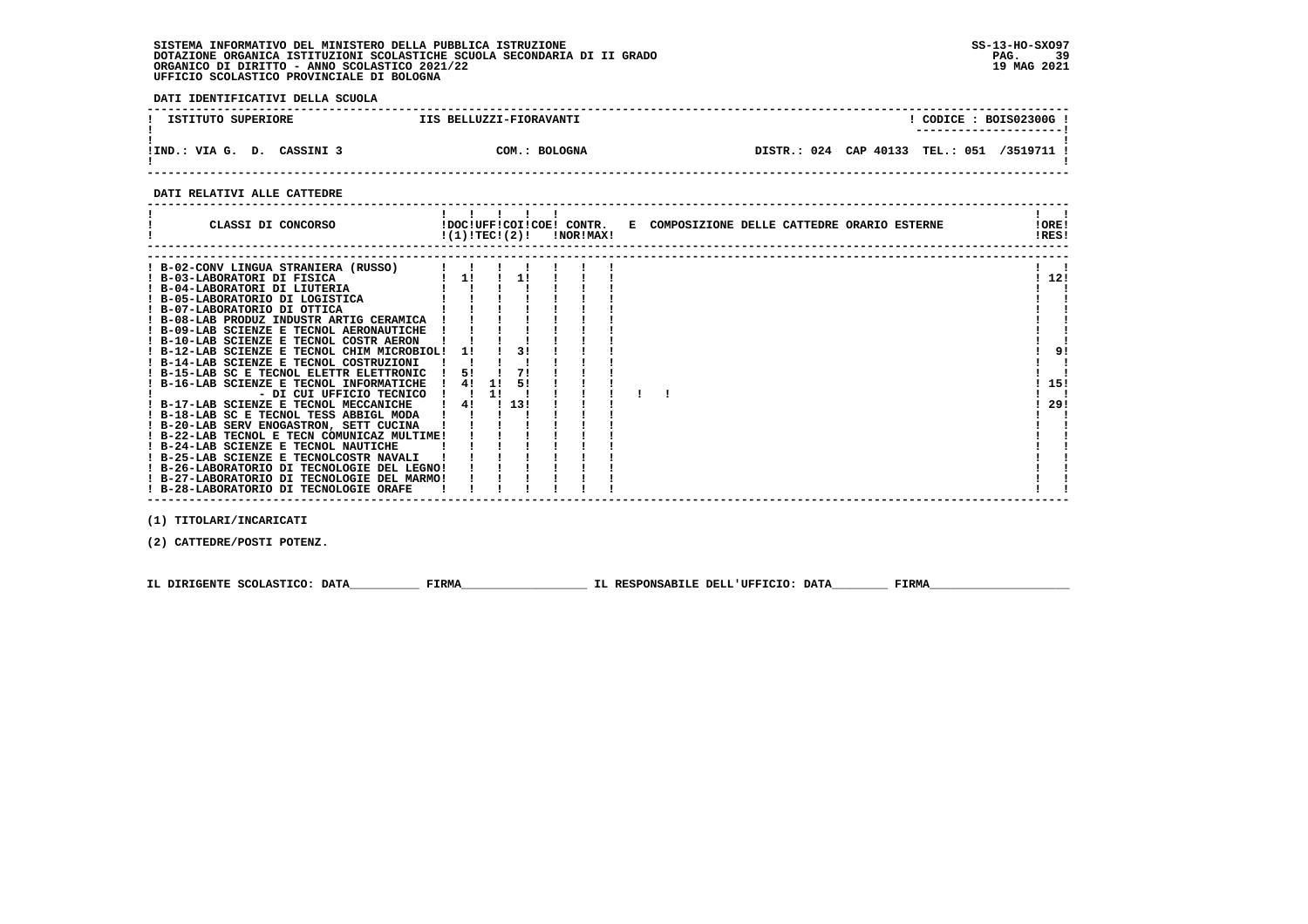**DATI IDENTIFICATIVI DELLA SCUOLA**

| ISTITUTO SUPERIORE            | IIS BELLUZZI-FIORAVANTI |                                            |  | CODICE: BOIS02300G!<br>----------------------- |
|-------------------------------|-------------------------|--------------------------------------------|--|------------------------------------------------|
| !IND.: VIA G. D.<br>CASSINI 3 | COM.: BOLOGNA           | DISTR.: 024 CAP 40133 TEL.: 051 /3519711 ! |  |                                                |

 **------------------------------------------------------------------------------------------------------------------------------------**

# **DATI RELATIVI ALLE CATTEDRE**

| ! B-02-CONV LINGUA STRANIERA (RUSSO)<br>11<br>11<br>! B-03-LABORATORI DI FISICA<br>! B-04-LABORATORI DI LIUTERIA |       |
|------------------------------------------------------------------------------------------------------------------|-------|
|                                                                                                                  | ! 12! |
|                                                                                                                  |       |
|                                                                                                                  |       |
|                                                                                                                  |       |
| ! B-05-LABORATORIO DI LOGISTICA                                                                                  |       |
| ! B-07-LABORATORIO DI OTTICA                                                                                     |       |
| ! B-08-LAB PRODUZ INDUSTR ARTIG CERAMICA                                                                         |       |
| ! B-09-LAB SCIENZE E TECNOL AERONAUTICHE                                                                         |       |
| ! B-10-LAB SCIENZE E TECNOL COSTR AERON                                                                          |       |
| ! B-12-LAB SCIENZE E TECNOL CHIM MICROBIOL!<br>31<br>11                                                          | 9!    |
| ! B-14-LAB SCIENZE E TECNOL COSTRUZIONI                                                                          |       |
| 71<br>! B-15-LAB SC E TECNOL ELETTR ELETTRONIC<br>5!                                                             |       |
| 4!<br>51<br>! B-16-LAB SCIENZE E TECNOL INFORMATICHE<br>11                                                       | 15!   |
| - DI CUI UFFICIO TECNICO<br><b>11</b>                                                                            |       |
| ! 13!<br>! B-17-LAB SCIENZE E TECNOL MECCANICHE<br>4!                                                            | 29!   |
| ! B-18-LAB SC E TECNOL TESS ABBIGL MODA                                                                          |       |
| ! B-20-LAB SERV ENOGASTRON, SETT CUCINA                                                                          |       |
| ! B-22-LAB TECNOL E TECN COMUNICAZ MULTIME!                                                                      |       |
| ! B-24-LAB SCIENZE E TECNOL NAUTICHE<br>! B-25-LAB SCIENZE E TECNOLCOSTR NAVALI                                  |       |
| ! B-26-LABORATORIO DI TECNOLOGIE DEL LEGNO!                                                                      |       |
| ! B-27-LABORATORIO DI TECNOLOGIE DEL MARMO!                                                                      |       |
| ! B-28-LABORATORIO DI TECNOLOGIE ORAFE                                                                           |       |
|                                                                                                                  |       |

 **(1) TITOLARI/INCARICATI**

 **(2) CATTEDRE/POSTI POTENZ.**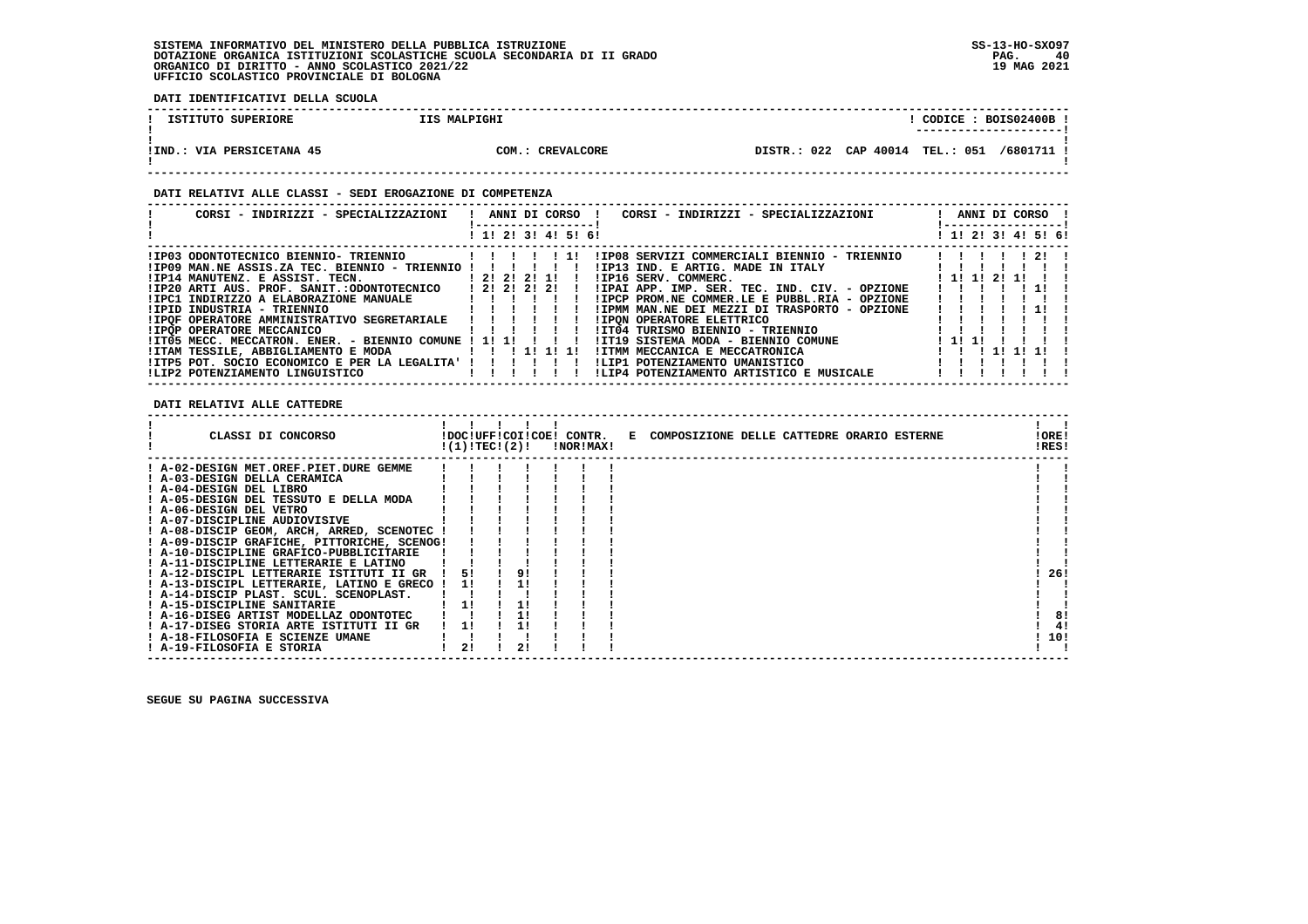**DATI IDENTIFICATIVI DELLA SCUOLA**

| ISTITUTO SUPERIORE             | IIS MALPIGHI     |             | CODICE: BOIS02400B  |            |
|--------------------------------|------------------|-------------|---------------------|------------|
| IIND.<br>.: VIA PERSICETANA 45 | COM.: CREVALCORE | DISTR.: 022 | CAP 40014 TEL.: 051 | /6801711 ! |

# **DATI RELATIVI ALLE CLASSI - SEDI EROGAZIONE DI COMPETENZA**

| CORSI - INDIRIZZI - SPECIALIZZAZIONI                                                                                                                                                                                                                                                                                                                                                                                                                                                  | ANNI DI CORSO !<br>CORSI - INDIRIZZI - SPECIALIZZAZIONI<br>-----------------                                                                                                                                                                                                                                                                                                                                                                                              | ANNI DI CORSO !<br>! -----------------!   |
|---------------------------------------------------------------------------------------------------------------------------------------------------------------------------------------------------------------------------------------------------------------------------------------------------------------------------------------------------------------------------------------------------------------------------------------------------------------------------------------|---------------------------------------------------------------------------------------------------------------------------------------------------------------------------------------------------------------------------------------------------------------------------------------------------------------------------------------------------------------------------------------------------------------------------------------------------------------------------|-------------------------------------------|
|                                                                                                                                                                                                                                                                                                                                                                                                                                                                                       | ! 1! 2! 3! 4! 5! 6!                                                                                                                                                                                                                                                                                                                                                                                                                                                       | ! 1! 2! 3! 4! 5! 6!                       |
| !IP03 ODONTOTECNICO BIENNIO- TRIENNIO<br>!IP09 MAN.NE ASSIS.ZA TEC. BIENNIO - TRIENNIO !!!<br>$IIP14$ MANUTENZ. E ASSIST. TECN. $12121211$<br>!IP20 ARTI AUS. PROF. SANIT.:ODONTOTECNICO   2! 2! 2! 2!<br>!IPID INDUSTRIA - TRIENNIO<br>!IPQF OPERATORE AMMINISTRATIVO SEGRETARIALE<br><b>!IPOP OPERATORE MECCANICO</b><br>!IT05 MECC. MECCATRON. ENER. - BIENNIO COMUNE ! 1! 1!<br>!ITAM TESSILE, ABBIGLIAMENTO E MODA<br>! ITP5 POT. SOCIO ECONOMICO E PER LA LEGALITA' ! ! ! ! ! ! | !IP08 SERVIZI COMMERCIALI BIENNIO - TRIENNIO<br>111<br>!IP13 IND. E ARTIG. MADE IN ITALY<br>IIP16 SERV. COMMERC.<br>!IPAI APP. IMP. SER. TEC. IND. CIV. - OPZIONE<br>!IPCP PROM.NE COMMER.LE E PUBBL.RIA - OPZIONE<br>!IPMM MAN.NE DEI MEZZI DI TRASPORTO - OPZIONE<br><b>!IPON OPERATORE ELETTRICO</b><br>$\blacksquare$<br>!IT04 TURISMO BIENNIO - TRIENNIO<br>!IT19 SISTEMA MODA - BIENNIO COMUNE<br>! ITMM MECCANICA E MECCATRONICA<br>ILIP1 POTENZIAMENTO UMANISTICO | -21<br>1 11 11 21 11<br>! 1! 1!<br>111111 |
| !LIP2 POTENZIAMENTO LINGUISTICO                                                                                                                                                                                                                                                                                                                                                                                                                                                       | !LIP4 POTENZIAMENTO ARTISTICO E MUSICALE                                                                                                                                                                                                                                                                                                                                                                                                                                  |                                           |

 **DATI RELATIVI ALLE CATTEDRE**

| CLASSI DI CONCORSO                          | !(1)!TEC!(2)! |    | !NOR!MAX! |  | !DOC!UFF!COI!COE! CONTR. E COMPOSIZIONE DELLE CATTEDRE ORARIO ESTERNE | !ORE!<br>!RES! |     |
|---------------------------------------------|---------------|----|-----------|--|-----------------------------------------------------------------------|----------------|-----|
| ! A-02-DESIGN MET.OREF.PIET.DURE GEMME      |               |    |           |  |                                                                       |                |     |
| ! A-03-DESIGN DELLA CERAMICA                |               |    |           |  |                                                                       |                |     |
| ! A-04-DESIGN DEL LIBRO                     |               |    |           |  |                                                                       |                |     |
| ! A-05-DESIGN DEL TESSUTO E DELLA MODA      |               |    |           |  |                                                                       |                |     |
| ! A-06-DESIGN DEL VETRO                     |               |    |           |  |                                                                       |                |     |
| ! A-07-DISCIPLINE AUDIOVISIVE               |               |    |           |  |                                                                       |                |     |
| ! A-08-DISCIP GEOM, ARCH, ARRED, SCENOTEC ! |               |    |           |  |                                                                       |                |     |
| ! A-09-DISCIP GRAFICHE, PITTORICHE, SCENOG! |               |    |           |  |                                                                       |                |     |
| ! A-10-DISCIPLINE GRAFICO-PUBBLICITARIE     |               |    |           |  |                                                                       |                |     |
| ! A-11-DISCIPLINE LETTERARIE E LATINO       |               |    |           |  |                                                                       |                |     |
| ! A-12-DISCIPL LETTERARIE ISTITUTI II GR    | 51            | 91 |           |  |                                                                       |                | 26! |
| ! A-13-DISCIPL LETTERARIE, LATINO E GRECO ! | 11            |    |           |  |                                                                       |                |     |
| ! A-14-DISCIP PLAST. SCUL. SCENOPLAST.      |               |    |           |  |                                                                       |                |     |
| ! A-15-DISCIPLINE SANITARIE                 | 11            |    |           |  |                                                                       |                |     |
| ! A-16-DISEG ARTIST MODELLAZ ODONTOTEC      |               |    |           |  |                                                                       |                | 8!  |
| ! A-17-DISEG STORIA ARTE ISTITUTI II GR     |               |    |           |  |                                                                       |                | 4!  |
| ! A-18-FILOSOFIA E SCIENZE UMANE            |               |    |           |  |                                                                       |                | 10! |
| ! A-19-FILOSOFIA E STORIA                   | 21            |    |           |  |                                                                       |                |     |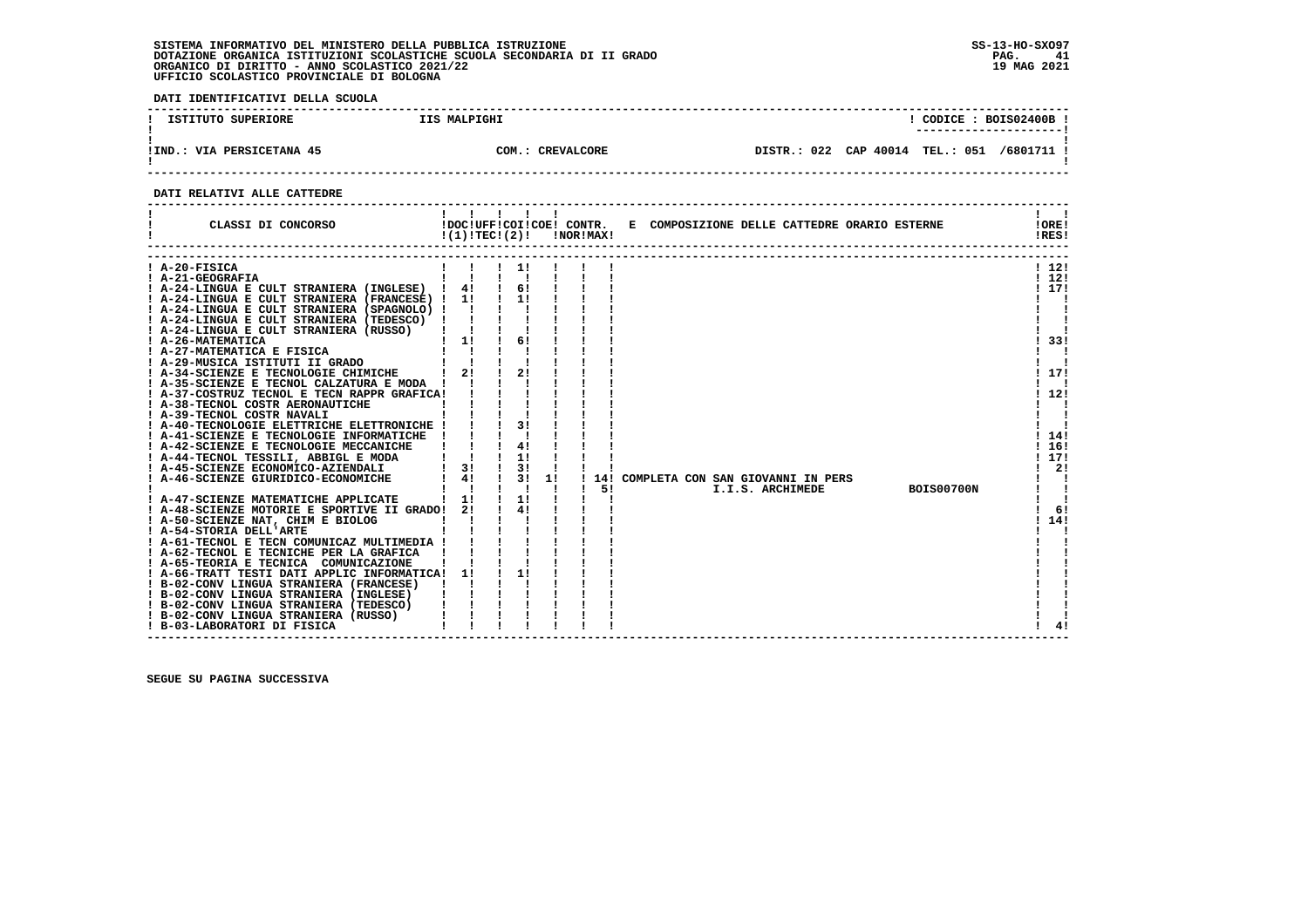**DATI IDENTIFICATIVI DELLA SCUOLA**

| ISTITUTO SUPERIORE          | IIS MALPIGHI     |                                 | CODICE: BOIS02400B |          |  |
|-----------------------------|------------------|---------------------------------|--------------------|----------|--|
| VIA PERSICETANA 45<br>IIND. | COM.: CREVALCORE | DISTR.: 022 CAP 40014 TEL.: 051 |                    | /6801711 |  |

 **------------------------------------------------------------------------------------------------------------------------------------**

# **DATI RELATIVI ALLE CATTEDRE**

| CLASSI DI CONCORSO                                                                                                                                                                                                                                                                                                                                                                                                                                                                                                                                                                                                                                                                                                                                                                                                                                                                                                                                                                                                                                                                                                                                                                                                                                                                                                                                                   | 11111<br>!DOC!UFF!COI!COE! CONTR.<br>!(1)!TEC!(2)!                             |                                                                |    | !NOR!MAX! |           | E COMPOSIZIONE DELLE CATTEDRE ORARIO ESTERNE                               | !ORE!<br>IRES!                                                                            |
|----------------------------------------------------------------------------------------------------------------------------------------------------------------------------------------------------------------------------------------------------------------------------------------------------------------------------------------------------------------------------------------------------------------------------------------------------------------------------------------------------------------------------------------------------------------------------------------------------------------------------------------------------------------------------------------------------------------------------------------------------------------------------------------------------------------------------------------------------------------------------------------------------------------------------------------------------------------------------------------------------------------------------------------------------------------------------------------------------------------------------------------------------------------------------------------------------------------------------------------------------------------------------------------------------------------------------------------------------------------------|--------------------------------------------------------------------------------|----------------------------------------------------------------|----|-----------|-----------|----------------------------------------------------------------------------|-------------------------------------------------------------------------------------------|
| A-20-FISICA<br>! A-21-GEOGRAFIA<br>A-24-LINGUA E CULT STRANIERA (INGLESE) !<br>! A-24-LINGUA E CULT STRANIERA (FRANCESE) ! 1!<br>! A-24-LINGUA E CULT STRANIERA (SPAGNOLO) !<br>! A-24-LINGUA E CULT STRANIERA (TEDESCO)<br>! A-24-LINGUA E CULT STRANIERA (RUSSO)<br>! A-26-MATEMATICA<br>! A-27-MATEMATICA E FISICA<br>! A-29-MUSICA ISTITUTI II GRADO<br>! A-34-SCIENZE E TECNOLOGIE CHIMICHE<br>A-35-SCIENZE E TECNOL CALZATURA E MODA !<br>! A-37-COSTRUZ TECNOL E TECN RAPPR GRAFICA!<br>! A-38-TECNOL COSTR AERONAUTICHE<br>! A-39-TECNOL COSTR NAVALI<br>! A-40-TECNOLOGIE ELETTRICHE ELETTRONICHE !<br>! A-41-SCIENZE E TECNOLOGIE INFORMATICHE<br>! A-42-SCIENZE E TECNOLOGIE MECCANICHE<br>! A-44-TECNOL TESSILI, ABBIGL E MODA<br>! A-45-SCIENZE ECONOMICO-AZIENDALI<br>! A-46-SCIENZE GIURIDICO-ECONOMICHE<br>A-47-SCIENZE MATEMATICHE APPLICATE<br>! A-48-SCIENZE MOTORIE E SPORTIVE II GRADO!<br>! A-50-SCIENZE NAT, CHIM E BIOLOG<br>! A-54-STORIA DELL'ARTE<br>! A-61-TECNOL E TECN COMUNICAZ MULTIMEDIA !<br>! A-62-TECNOL E TECNICHE PER LA GRAFICA<br>! A-65-TEORIA E TECNICA COMUNICAZIONE<br>! A-66-TRATT TESTI DATI APPLIC INFORMATICA!<br>! B-02-CONV LINGUA STRANIERA (FRANCESE)<br>! B-02-CONV LINGUA STRANIERA (INGLESE)<br>! B-02-CONV LINGUA STRANIERA (TEDESCO)<br>! B-02-CONV LINGUA STRANIERA (RUSSO)<br>! B-03-LABORATORI DI FISICA | 4!<br>$\mathbf{I}$<br>$1 \quad 1! \quad 1$<br>21<br>3!<br>41<br>1!<br>21<br>11 | $\blacksquare$<br>61<br>31<br>41<br>1!<br>3!<br>31<br>1!<br>41 | 1! |           | 14!<br>51 | COMPLETA CON SAN GIOVANNI IN PERS<br><b>BOIS00700N</b><br>I.I.S. ARCHIMEDE | 1121<br>112!<br>117!<br>33!<br>-171<br>12!<br>14!<br>16!<br>117!<br>2!<br>6!<br>14!<br>41 |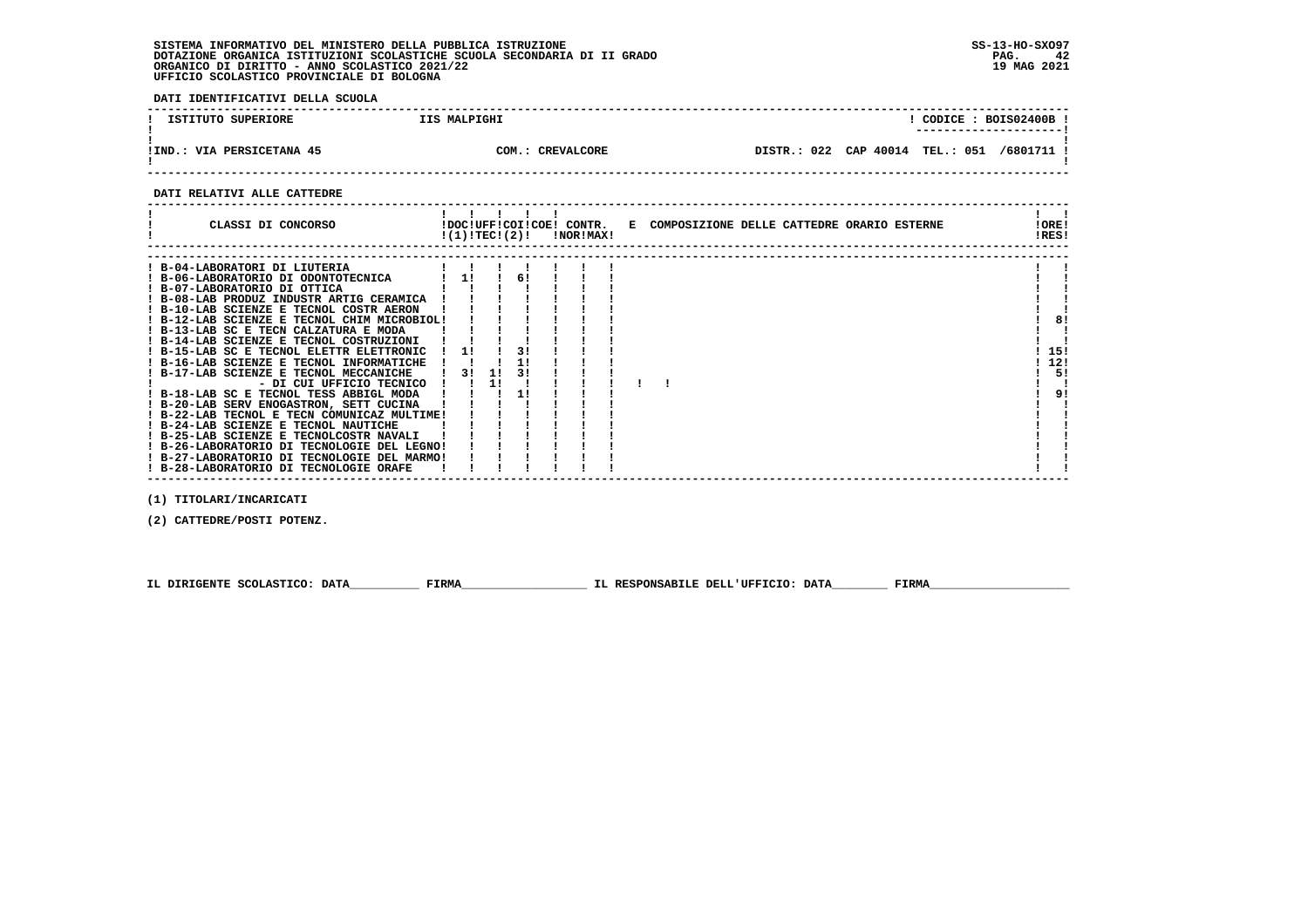**DATI IDENTIFICATIVI DELLA SCUOLA**

| ISTITUTO SUPERIORE        | IIS MALPIGHI     |                                 | ---------------------- | CODICE: BOIS02400B! |
|---------------------------|------------------|---------------------------------|------------------------|---------------------|
| !IND.: VIA PERSICETANA 45 | COM.: CREVALCORE | DISTR.: 022 CAP 40014 TEL.: 051 |                        | /6801711 !          |

 **------------------------------------------------------------------------------------------------------------------------------------**

# **DATI RELATIVI ALLE CATTEDRE**

| CLASSI DI CONCORSO                                                                                                                                                                                                                                                                                                                                                                                                                                                                           |                |           |          | $!(1)!TEC!(2)!$ $INORIMAX!$ |  | !DOC!UFF!COI!COE! CONTR. E COMPOSIZIONE DELLE CATTEDRE ORARIO ESTERNE | !ORE!<br>!RES! |    |
|----------------------------------------------------------------------------------------------------------------------------------------------------------------------------------------------------------------------------------------------------------------------------------------------------------------------------------------------------------------------------------------------------------------------------------------------------------------------------------------------|----------------|-----------|----------|-----------------------------|--|-----------------------------------------------------------------------|----------------|----|
| ! B-04-LABORATORI DI LIUTERIA<br>! B-06-LABORATORIO DI ODONTOTECNICA<br>! B-07-LABORATORIO DI OTTICA<br>! B-08-LAB PRODUZ INDUSTR ARTIG CERAMICA<br>! B-10-LAB SCIENZE E TECNOL COSTR AERON<br>! B-12-LAB SCIENZE E TECNOL CHIM MICROBIOL!<br>! B-13-LAB SC E TECN CALZATURA E MODA<br>! B-14-LAB SCIENZE E TECNOL COSTRUZIONI<br>! B-15-LAB SC E TECNOL ELETTR ELETTRONIC<br>! B-16-LAB SCIENZE E TECNOL INFORMATICHE<br>! B-17-LAB SCIENZE E TECNOL MECCANICHE<br>- DI CUI UFFICIO TECNICO | 11<br>11<br>31 | -11<br>11 | 61<br>31 |                             |  |                                                                       | 15!<br>12!     | 5! |
| ! B-18-LAB SC E TECNOL TESS ABBIGL MODA<br>! B-20-LAB SERV ENOGASTRON, SETT CUCINA<br>! B-22-LAB TECNOL E TECN COMUNICAZ MULTIME!<br>! B-24-LAB SCIENZE E TECNOL NAUTICHE<br>! B-25-LAB SCIENZE E TECNOLCOSTR NAVALI<br>! B-26-LABORATORIO DI TECNOLOGIE DEL LEGNO!<br>! B-27-LABORATORIO DI TECNOLOGIE DEL MARMO!<br>! B-28-LABORATORIO DI TECNOLOGIE ORAFE                                                                                                                                 |                |           |          |                             |  |                                                                       |                | 9! |

 **(1) TITOLARI/INCARICATI**

 **(2) CATTEDRE/POSTI POTENZ.**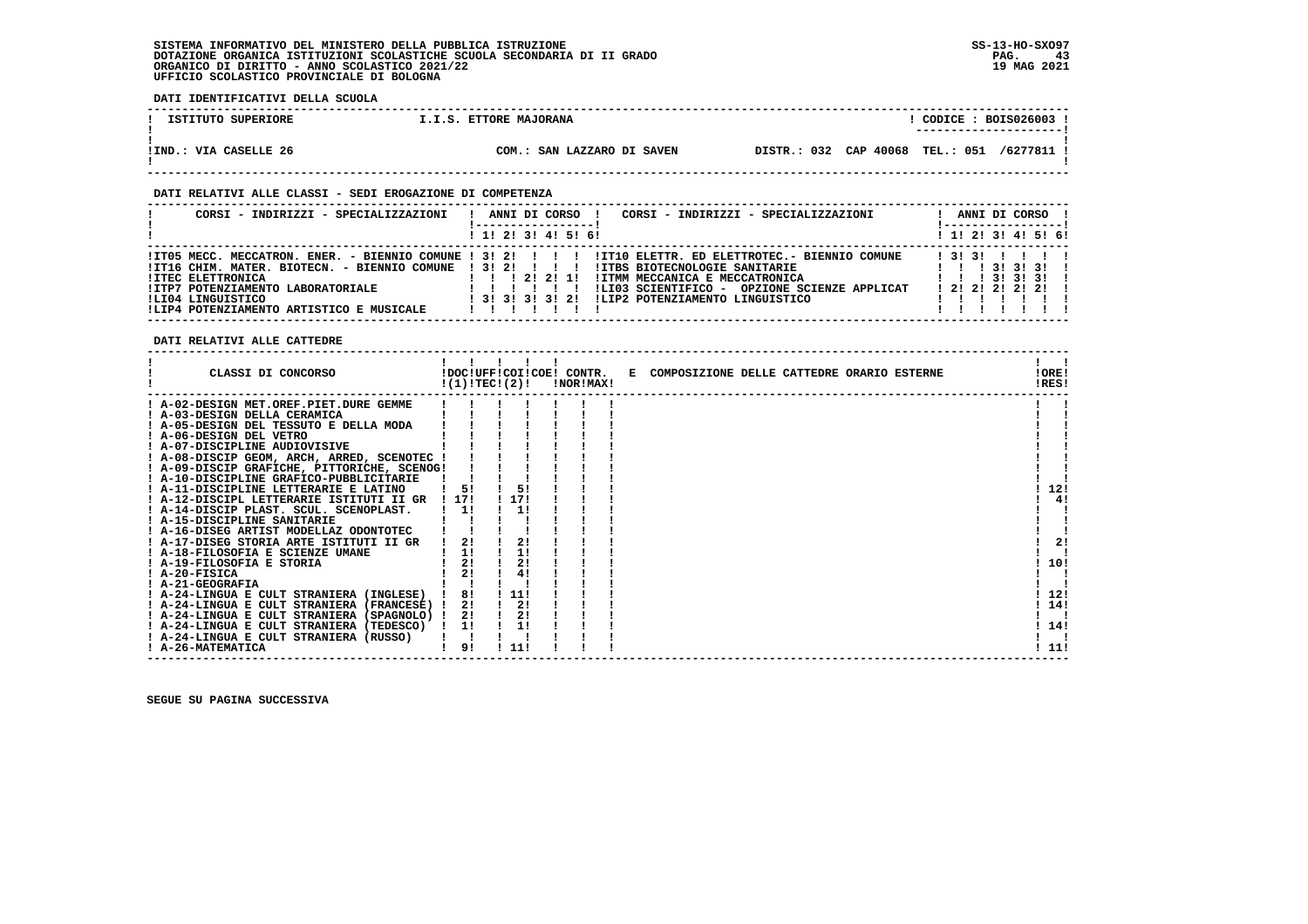**DATI IDENTIFICATIVI DELLA SCUOLA**

| ISTITUTO SUPERIORE      | I.I.S. ETTORE MAJORANA     | CODICE: BOIS026003 !                                  |
|-------------------------|----------------------------|-------------------------------------------------------|
| VIA CASELLE 26<br>!IND. | COM.: SAN LAZZARO DI SAVEN | DISTR.: 032 CAP 40068<br><b>TEL.: 051</b><br>/6277811 |

 **------------------------------------------------------------------------------------------------------------------------------------**

# **DATI RELATIVI ALLE CLASSI - SEDI EROGAZIONE DI COMPETENZA**

| CORSI - INDIRIZZI - SPECIALIZZAZIONI                                                                                                                                                         | CORSI - INDIRIZZI - SPECIALIZZAZIONI<br>ANNI DI CORSO !                                                                                                                                                                                                                                                    | ANNI DI CORSO !                                                                                                       |
|----------------------------------------------------------------------------------------------------------------------------------------------------------------------------------------------|------------------------------------------------------------------------------------------------------------------------------------------------------------------------------------------------------------------------------------------------------------------------------------------------------------|-----------------------------------------------------------------------------------------------------------------------|
|                                                                                                                                                                                              | ! 1! 2! 3! 4! 5! 6!                                                                                                                                                                                                                                                                                        | ! 1! 2! 3! 4! 5! 6!                                                                                                   |
| !IT16 CHIM. MATER. BIOTECN. - BIENNIO COMUNE ! 3! 2! ! ! !<br><b>!ITEC ELETTRONICA</b><br>!ITP7 POTENZIAMENTO LABORATORIALE<br>ILI04 LINGUISTICO<br>!LIP4 POTENZIAMENTO ARTISTICO E MUSICALE | ITO5 MECC. MECCATRON. ENER. - BIENNIO COMUNE ! 3! 2! ! !! !ITIO ELETTR. ED ELETTROTEC. - BIENNIO COMUNE<br><b>!ITBS BIOTECNOLOGIE SANITARIE</b><br>1 1 1 2 1 2 1 1 1<br>IITMM MECCANICA E MECCATRONICA<br>!LI03 SCIENTIFICO - OPZIONE SCIENZE APPLICAT<br>! 3! 3! 3! 3! 2! !LIP2 POTENZIAMENTO LINGUISTICO | 1 3 1 3 1 1 1 1 1<br>1 1 1 3 1 3 1 3 1<br>$1 \quad 1 \quad 1 \quad 31 \quad 31 \quad 31 \quad 1$<br>$1$ 21 21 21 21 1 |

 **DATI RELATIVI ALLE CATTEDRE**

| CLASSI DI CONCORSO                          |      | !(1)!TEC!(2)! | !DOC!UFF!COI!COE! CONTR.<br>!NOR!MAX! | E COMPOSIZIONE DELLE CATTEDRE ORARIO ESTERNE | !ORE!<br>!RES! |    |
|---------------------------------------------|------|---------------|---------------------------------------|----------------------------------------------|----------------|----|
| ! A-02-DESIGN MET.OREF.PIET.DURE GEMME      |      |               |                                       |                                              |                |    |
| ! A-03-DESIGN DELLA CERAMICA                |      |               |                                       |                                              |                |    |
| ! A-05-DESIGN DEL TESSUTO E DELLA MODA      |      |               |                                       |                                              |                |    |
| A-06-DESIGN DEL VETRO                       |      |               |                                       |                                              |                |    |
| ! A-07-DISCIPLINE AUDIOVISIVE               |      |               |                                       |                                              |                |    |
| ! A-08-DISCIP GEOM, ARCH, ARRED, SCENOTEC ! |      |               |                                       |                                              |                |    |
| ! A-09-DISCIP GRAFICHE, PITTORICHE, SCENOG! |      |               |                                       |                                              |                |    |
| ! A-10-DISCIPLINE GRAFICO-PUBBLICITARIE     |      |               |                                       |                                              |                |    |
| ! A-11-DISCIPLINE LETTERARIE E LATINO       |      | 5!            |                                       |                                              | 12!            |    |
| ! A-12-DISCIPL LETTERARIE ISTITUTI II GR    | 1171 | 117!          |                                       |                                              | 4!             |    |
| A-14-DISCIP PLAST. SCUL. SCENOPLAST.        | 11   | 1!            |                                       |                                              |                |    |
| ! A-15-DISCIPLINE SANITARIE                 |      |               |                                       |                                              |                |    |
| ! A-16-DISEG ARTIST MODELLAZ ODONTOTEC      |      |               |                                       |                                              |                |    |
| ! A-17-DISEG STORIA ARTE ISTITUTI II GR     | 21   | 2!            |                                       |                                              |                | 2! |
| A-18-FILOSOFIA E SCIENZE UMANE              | 1!   |               |                                       |                                              |                |    |
| ! A-19-FILOSOFIA E STORIA                   | 21   | 21            |                                       |                                              | 10!            |    |
| $I$ A-20-FISICA                             | 2!   | 4!            |                                       |                                              |                |    |
| ! A-21-GEOGRAFIA                            |      |               |                                       |                                              |                |    |
| ! A-24-LINGUA E CULT STRANIERA (INGLESE)    | 8!   | 11!           |                                       |                                              | 12!            |    |
| ! A-24-LINGUA E CULT STRANIERA (FRANCESE) ! | 21   | 2!            |                                       |                                              | 14!            |    |
| ! A-24-LINGUA E CULT STRANIERA (SPAGNOLO) ! | 2!   | 2!            |                                       |                                              |                |    |
| ! A-24-LINGUA E CULT STRANIERA (TEDESCO)    | 1!   |               |                                       |                                              | 14!            |    |
| ! A-24-LINGUA E CULT STRANIERA (RUSSO)      |      |               |                                       |                                              |                |    |
| ! A-26-MATEMATICA                           | 91   | 11!           |                                       |                                              | 11!            |    |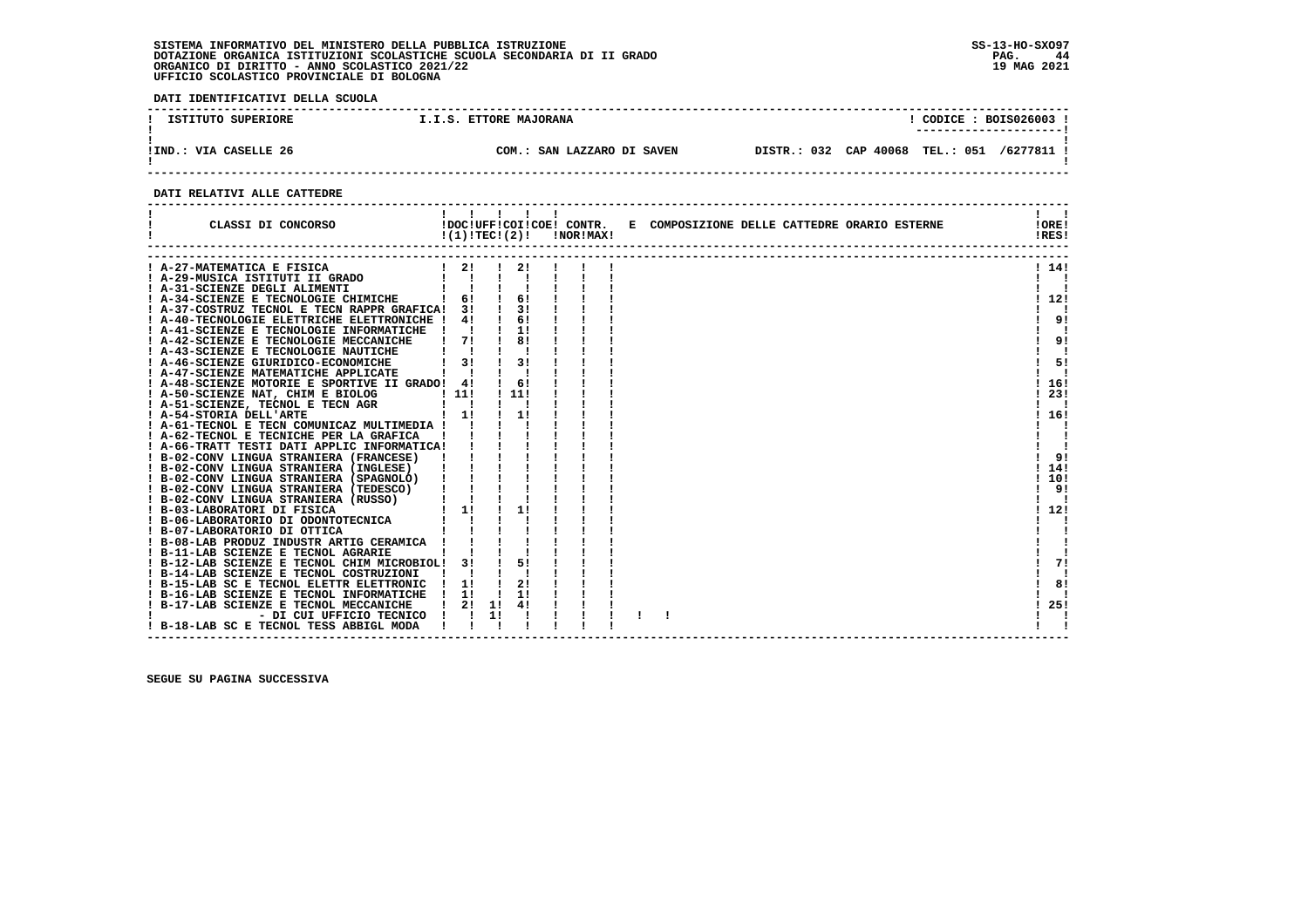**DATI IDENTIFICATIVI DELLA SCUOLA**

| ISTITUTO SUPERIORE    | I.I.S. ETTORE MAJORANA     | CODICE: BOIS026003                          |
|-----------------------|----------------------------|---------------------------------------------|
| IIND.: VIA CASELLE 26 | COM.: SAN LAZZARO DI SAVEN | DISTR.: 032 CAP 40068 TEL.: 051<br>/6277811 |

 **------------------------------------------------------------------------------------------------------------------------------------**

# **DATI RELATIVI ALLE CATTEDRE**

| CLASSI DI CONCORSO                                                                                                                                                                                                |                               |    |     | $!(1)!TEC!(2)!$ $INORIMAX!$ |  | !DOC!UFF!COI!COE! CONTR. E COMPOSIZIONE DELLE CATTEDRE ORARIO ESTERNE | !ORE!<br>!RES! |
|-------------------------------------------------------------------------------------------------------------------------------------------------------------------------------------------------------------------|-------------------------------|----|-----|-----------------------------|--|-----------------------------------------------------------------------|----------------|
| A-27-MATEMATICA E FISICA                                                                                                                                                                                          | $1 \quad 2! \quad 1 \quad 2!$ |    |     |                             |  |                                                                       | ! 14!          |
|                                                                                                                                                                                                                   | $\mathbf{1}$ $\mathbf{1}$     |    |     |                             |  |                                                                       | - 1            |
| A-29-MUSICA ISTITUTI II GRADO<br>A-31-SCIENZE DEGLI ALIMENTI<br>! A-31-SCIENZE DEGLI ALIMENTI                                                                                                                     |                               |    |     |                             |  |                                                                       |                |
| ! A-34-SCIENZE E TECNOLOGIE CHIMICHE                                                                                                                                                                              | $1 \quad 61$                  |    | 6!  |                             |  |                                                                       | 1121           |
| ! A-37-COSTRUZ TECNOL E TECN RAPPR GRAFICA! 3!                                                                                                                                                                    |                               |    | 31  |                             |  |                                                                       |                |
| ! A-40-TECNOLOGIE ELETTRICHE ELETTRONICHE !                                                                                                                                                                       | 4!                            |    | 61  |                             |  |                                                                       | 9!             |
| ! A-41-SCIENZE E TECNOLOGIE INFORMATICHE                                                                                                                                                                          |                               |    | 11  |                             |  |                                                                       |                |
| ! A-42-SCIENZE E TECNOLOGIE MECCANICHE                                                                                                                                                                            | $1 \quad 71$                  |    | 81  |                             |  |                                                                       | 9!             |
| ! A-43-SCIENZE E TECNOLOGIE NAUTICHE                                                                                                                                                                              | $\mathbf{I}$ $\mathbf{I}$     |    |     |                             |  |                                                                       | - 1            |
| ! A-46-SCIENZE GIURIDICO-ECONOMICHE                                                                                                                                                                               | 3!                            |    | 31  |                             |  |                                                                       | 51             |
| A-47-SCIENZE MATEMATICHE APPLICATE                                                                                                                                                                                |                               |    |     |                             |  |                                                                       |                |
| ! A-48-SCIENZE MOTORIE E SPORTIVE II GRADO! 4!                                                                                                                                                                    |                               |    | 61  |                             |  |                                                                       | 116!           |
| ! A-50-SCIENZE NAT, CHIM E BIOLOG                                                                                                                                                                                 |                               |    | 111 |                             |  |                                                                       | 23!            |
| ! A-51-SCIENZE, TECNOL E TECN AGR                                                                                                                                                                                 |                               |    |     |                             |  |                                                                       | $\blacksquare$ |
| E BIOLOG ! 11!<br>TECN AGR ! !<br>! 1!<br>! A-54-STORIA DELL'ARTE                                                                                                                                                 | $\frac{1}{1}$                 |    | 11  |                             |  |                                                                       | ! 16!          |
| ! A-61-TECNOL E TECN COMUNICAZ MULTIMEDIA !                                                                                                                                                                       |                               |    |     |                             |  |                                                                       |                |
| ! A-62-TECNOL E TECNICHE PER LA GRAFICA                                                                                                                                                                           |                               |    |     |                             |  |                                                                       |                |
| 1 A-66-TRATT TESTI DATI APPLIC INFORMATICAI   1<br>1 B-02-CONV LINGUA STRANIERA (FRANCESE)   1   1<br>1 B-02-CONV LINGUA STRANIERA (FRANCESE)   1   1<br>1 B-02-CONV LINGUA STRANIERA (SPAGNOLO)   1              |                               |    |     |                             |  |                                                                       |                |
|                                                                                                                                                                                                                   |                               |    |     |                             |  |                                                                       | 91             |
|                                                                                                                                                                                                                   |                               |    |     |                             |  |                                                                       | 14!            |
|                                                                                                                                                                                                                   |                               |    |     |                             |  |                                                                       | ! 10!          |
| ! B-02-CONV LINGUA STRANIERA (TEDESCO)                                                                                                                                                                            |                               |    |     |                             |  |                                                                       | -91            |
| ! B-02-CONV LINGUA STRANIERA (RUSSO)                                                                                                                                                                              |                               |    |     |                             |  |                                                                       |                |
|                                                                                                                                                                                                                   |                               |    | 11  |                             |  |                                                                       | ! 12!          |
| B-03-LABORATORI DI FISICA<br>1 B-06-LABORATORIO DI ODONTOTECNICA<br>1 B-07-LABORATORIO DI OTITCA        <br>1 B-08-LABORATORIO INDUSTRARTIG CERAMICA      <br>1 B-08-LABORODUZ INDUSTRARTIG CERAMICA        <br>1 |                               |    |     |                             |  |                                                                       |                |
|                                                                                                                                                                                                                   |                               |    |     |                             |  |                                                                       |                |
|                                                                                                                                                                                                                   |                               |    |     |                             |  |                                                                       |                |
|                                                                                                                                                                                                                   |                               |    |     |                             |  |                                                                       |                |
| ! B-12-LAB SCIENZE E TECNOL CHIM MICROBIOL! 3!                                                                                                                                                                    |                               |    | 51  |                             |  |                                                                       | 71             |
| ! B-14-LAB SCIENZE E TECNOL COSTRUZIONI                                                                                                                                                                           |                               |    |     |                             |  |                                                                       |                |
| ! B-15-LAB SC E TECNOL ELETTR ELETTRONIC                                                                                                                                                                          | $\frac{1}{1}$                 |    | 2!  |                             |  |                                                                       | 8!             |
| ! B-16-LAB SCIENZE E TECNOL INFORMATICHE                                                                                                                                                                          | $\frac{1}{2}$                 |    | 11  |                             |  |                                                                       |                |
| ! B-17-LAB SCIENZE E TECNOL MECCANICHE                                                                                                                                                                            | 21                            | 11 | 41  |                             |  |                                                                       | 25!            |
| - DI CUI UFFICIO TECNICO                                                                                                                                                                                          |                               | 11 |     |                             |  |                                                                       |                |
| ! B-18-LAB SC E TECNOL TESS ABBIGL MODA                                                                                                                                                                           |                               |    |     |                             |  |                                                                       |                |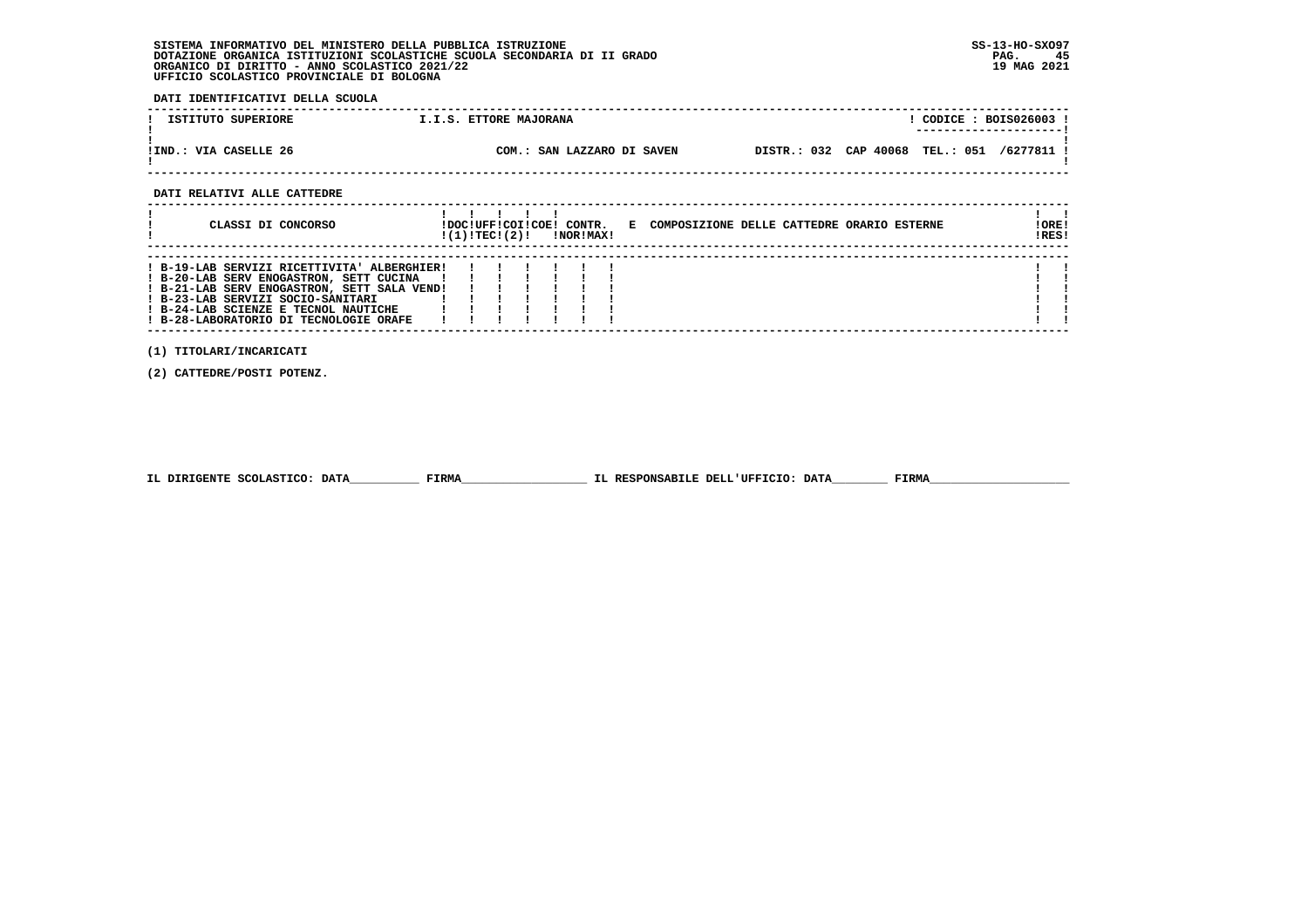**DATI IDENTIFICATIVI DELLA SCUOLA**

| ISTITUTO SUPERIORE          | I.I.S. ETTORE MAJORANA     | CODICE: BOIS026003 !<br>---------------------- |
|-----------------------------|----------------------------|------------------------------------------------|
| !IND.: VIA CASELLE 26       | COM.: SAN LAZZARO DI SAVEN | DISTR.: 032 CAP 40068 TEL.: 051 /6277811 !     |
| DATI RELATIVI ALLE CATTEDRE |                            |                                                |

| CLASSI DI CONCORSO                                                                                                                                                                                                                                           | !DOC!UFF!COI!COE!<br>!(1)!TEC!(2)! |  | CONTR.<br>!NOR!MAX! | E COMPOSIZIONE DELLE CATTEDRE ORARIO ESTERNE | !ORE!<br>IRES! |
|--------------------------------------------------------------------------------------------------------------------------------------------------------------------------------------------------------------------------------------------------------------|------------------------------------|--|---------------------|----------------------------------------------|----------------|
| ! B-19-LAB SERVIZI RICETTIVITA' ALBERGHIER!<br>! B-20-LAB SERV ENOGASTRON, SETT CUCINA<br>! B-21-LAB SERV ENOGASTRON, SETT SALA VEND!<br>! B-23-LAB SERVIZI SOCIO-SANITARI<br>! B-24-LAB SCIENZE E TECNOL NAUTICHE<br>! B-28-LABORATORIO DI TECNOLOGIE ORAFE |                                    |  |                     |                                              |                |

 **------------------------------------------------------------------------------------------------------------------------------------**

 **(1) TITOLARI/INCARICATI**

 **(2) CATTEDRE/POSTI POTENZ.**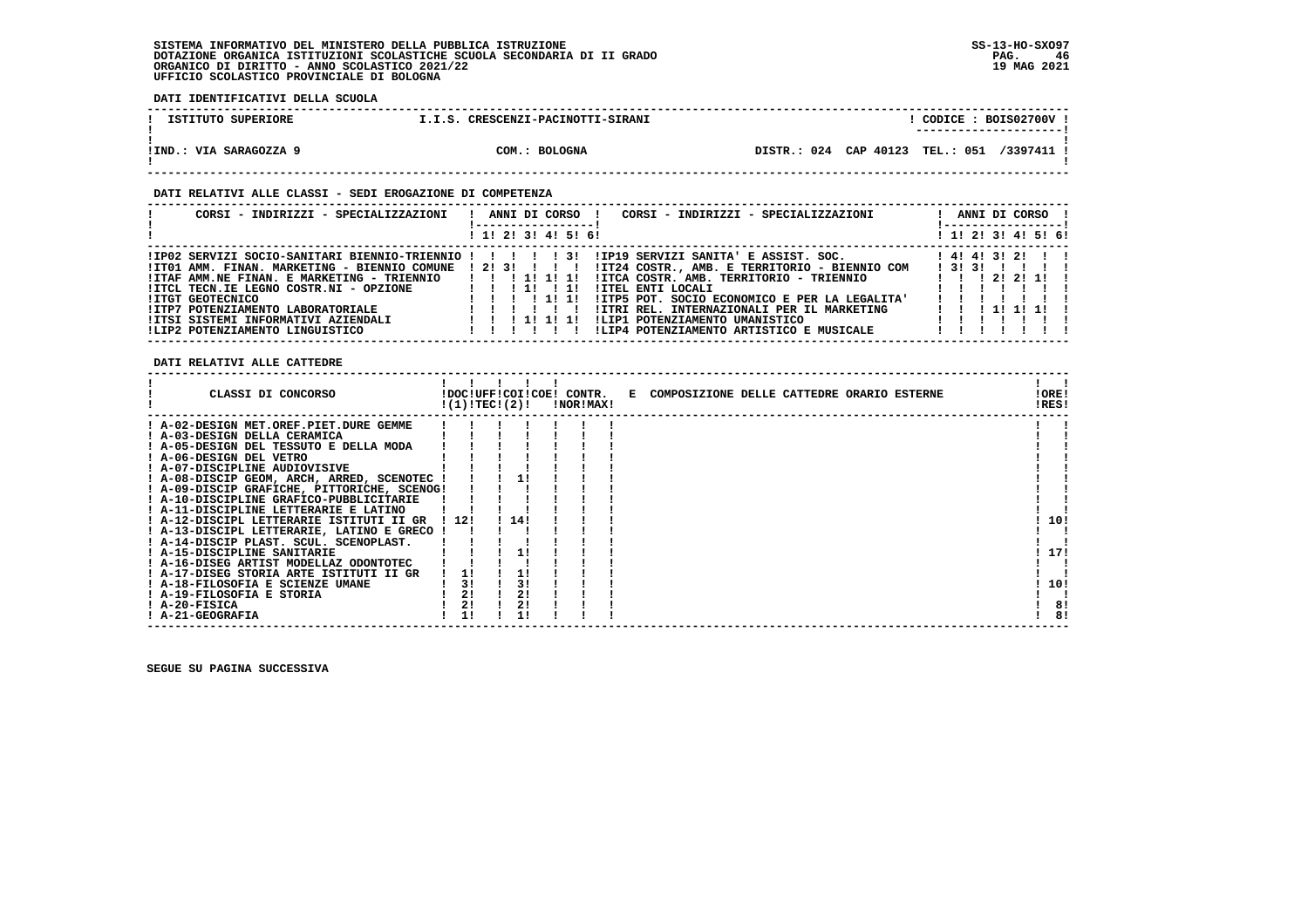**DATI IDENTIFICATIVI DELLA SCUOLA**

| ISTITUTO SUPERIORE     | I.I.S. CRESCENZI-PACINOTTI-SIRANI | CODICE: BOIS02700V                         |
|------------------------|-----------------------------------|--------------------------------------------|
| !IND.: VIA SARAGOZZA 9 | COM.: BOLOGNA                     | DISTR.: 024 CAP 40123 TEL.: 051 /3397411 ! |

# **DATI RELATIVI ALLE CLASSI - SEDI EROGAZIONE DI COMPETENZA**

| CORSI - INDIRIZZI - SPECIALIZZAZIONI                                                                                                                                                                                                                      | CORSI - INDIRIZZI - SPECIALIZZAZIONI<br>ANNI DI CORSO !                                                                                                                                                                                                                                                                                                                                                   |       |  | ANNI DI CORSO !                                      |  |
|-----------------------------------------------------------------------------------------------------------------------------------------------------------------------------------------------------------------------------------------------------------|-----------------------------------------------------------------------------------------------------------------------------------------------------------------------------------------------------------------------------------------------------------------------------------------------------------------------------------------------------------------------------------------------------------|-------|--|------------------------------------------------------|--|
|                                                                                                                                                                                                                                                           | ! 1! 2! 3! 4! 5! 6!                                                                                                                                                                                                                                                                                                                                                                                       |       |  | ! 1! 2! 3! 4! 5! 6!                                  |  |
| !IP02 SERVIZI SOCIO-SANITARI BIENNIO-TRIENNIO ! ! ! ! ! 3!<br>!ITAF AMM.NE FINAN. E MARKETING - TRIENNIO<br>!ITCL TECN.IE LEGNO COSTR.NI - OPZIONE   !!!!<br>!ITGT GEOTECNICO<br>!ITP7 POTENZIAMENTO LABORATORIALE<br>!ITSI SISTEMI INFORMATIVI AZIENDALI | IIP19 SERVIZI SANITA' E ASSIST. SOC.<br>ITO1 AMM. FINAN. MARKETING - BIENNIO COMUNE   2! 3! !!!!!!IT24 COSTR., AMB. E TERRITORIO - BIENNIO COM<br>!ITCA COSTR, AMB, TERRITORIO - TRIENNIO<br>1111111<br>$\frac{1}{2}$<br>!ITEL ENTI LOCALI<br>!ITP5 POT. SOCIO ECONOMICO E PER LA LEGALITA'<br>1111111<br>!ITRI REL. INTERNAZIONALI PER IL MARKETING<br>!LIP1 POTENZIAMENTO UMANISTICO<br>1 1 1 1 1 1 1 1 | 13131 |  | 1414131211<br>1 1 1 2 1 2 1 1 1<br>1 1 1 1 1 1 1 1 1 |  |
| !LIP2 POTENZIAMENTO LINGUISTICO                                                                                                                                                                                                                           | !LIP4 POTENZIAMENTO ARTISTICO E MUSICALE                                                                                                                                                                                                                                                                                                                                                                  |       |  |                                                      |  |

 **DATI RELATIVI ALLE CATTEDRE**

| CLASSI DI CONCORSO                          | !(1)!TEC!(2)! |      | !DOC!UFF!COI!COE! CONTR.<br>!NOR!MAX! | E COMPOSIZIONE DELLE CATTEDRE ORARIO ESTERNE | !ORE!<br>!RES! |
|---------------------------------------------|---------------|------|---------------------------------------|----------------------------------------------|----------------|
| ! A-02-DESIGN MET.OREF.PIET.DURE GEMME      |               |      |                                       |                                              |                |
| ! A-03-DESIGN DELLA CERAMICA                |               |      |                                       |                                              |                |
| ! A-05-DESIGN DEL TESSUTO E DELLA MODA      |               |      |                                       |                                              |                |
| ! A-06-DESIGN DEL VETRO                     |               |      |                                       |                                              |                |
| ! A-07-DISCIPLINE AUDIOVISIVE               |               |      |                                       |                                              |                |
| ! A-08-DISCIP GEOM, ARCH, ARRED, SCENOTEC ! |               |      |                                       |                                              |                |
| ! A-09-DISCIP GRAFICHE, PITTORICHE, SCENOG! |               |      |                                       |                                              |                |
| ! A-10-DISCIPLINE GRAFICO-PUBBLICITARIE     |               |      |                                       |                                              |                |
| ! A-11-DISCIPLINE LETTERARIE E LATINO       |               |      |                                       |                                              |                |
| ! A-12-DISCIPL LETTERARIE ISTITUTI II GR    | 1121          | 1141 |                                       |                                              | 10!            |
| ! A-13-DISCIPL LETTERARIE, LATINO E GRECO   |               |      |                                       |                                              |                |
| ! A-14-DISCIP PLAST. SCUL. SCENOPLAST.      |               |      |                                       |                                              |                |
| ! A-15-DISCIPLINE SANITARIE                 |               |      |                                       |                                              | 17!            |
| ! A-16-DISEG ARTIST MODELLAZ ODONTOTEC      |               |      |                                       |                                              |                |
| ! A-17-DISEG STORIA ARTE ISTITUTI II GR     | 11            |      |                                       |                                              |                |
| ! A-18-FILOSOFIA E SCIENZE UMANE            | 3!            | 3!   |                                       |                                              | 10!            |
| ! A-19-FILOSOFIA E STORIA                   | 2!            | 2!   |                                       |                                              |                |
| ! A-20-FISICA                               | 2!            | 2!   |                                       |                                              | 8!             |
| ! A-21-GEOGRAFIA                            | L I           |      |                                       |                                              | 8!             |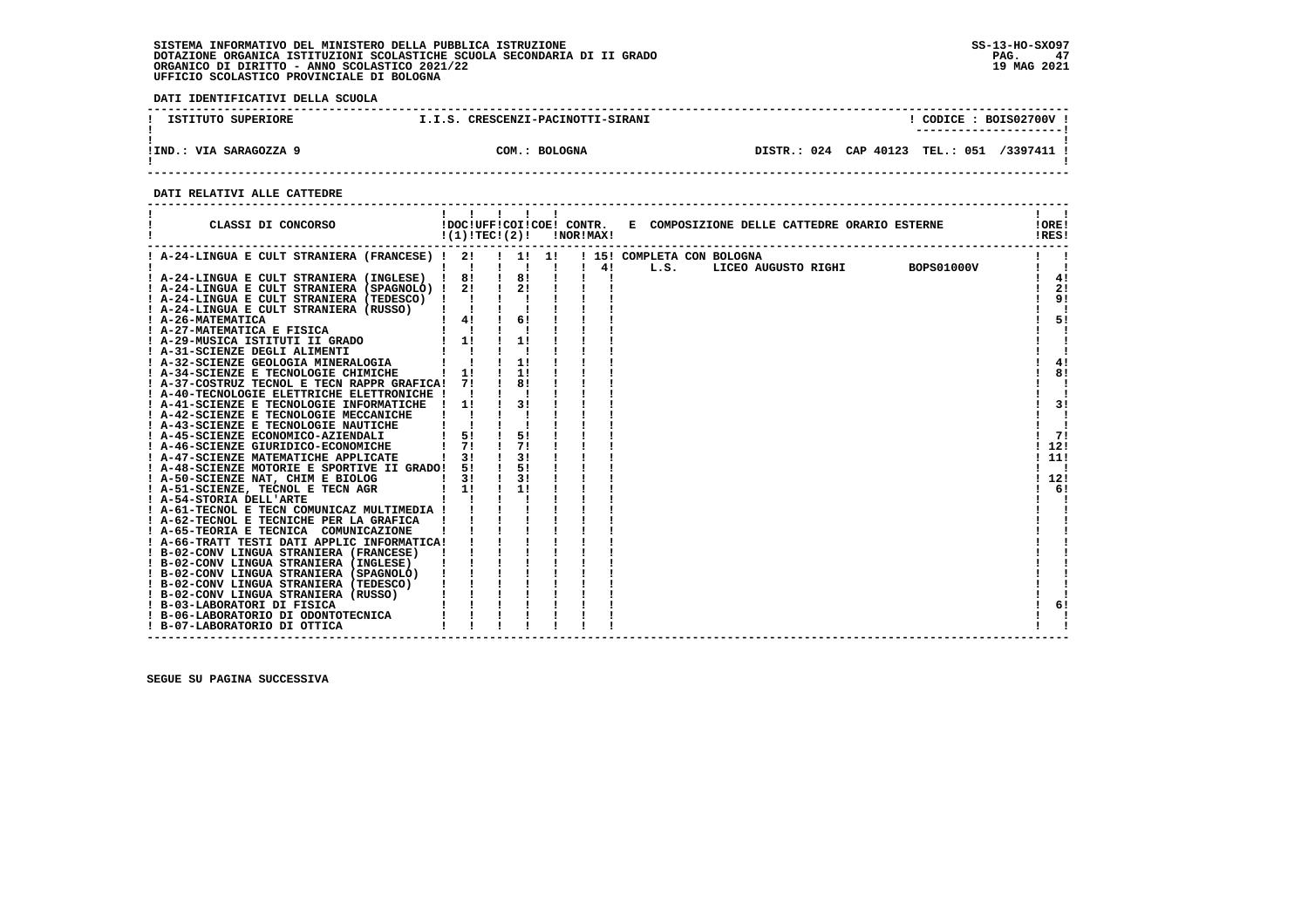**DATI IDENTIFICATIVI DELLA SCUOLA**

| ISTITUTO SUPERIORE     | I.I.S. CRESCENZI-PACINOTTI-SIRANI | CODICE: BOIS02700V<br>---------------------- |
|------------------------|-----------------------------------|----------------------------------------------|
| !IND.: VIA SARAGOZZA 9 | COM.: BOLOGNA                     | DISTR.: 024 CAP 40123 TEL.: 051 /3397411 !   |

 **------------------------------------------------------------------------------------------------------------------------------------**

# **DATI RELATIVI ALLE CATTEDRE**

| ! A-24-LINGUA E CULT STRANIERA (FRANCESE) ! 2!<br>! 15! COMPLETA CON BOLOGNA<br>. . 1. 1.<br>$\blacksquare$<br>4!<br><b>BOPS01000V</b><br>$\blacksquare$<br>Ι.<br>L.S.<br>LICEO AUGUSTO RIGHI<br>! A-24-LINGUA E CULT STRANIERA (INGLESE) ! 8!<br>8!<br>4!<br>2!<br>$\frac{1}{2}$<br>! A-24-LINGUA E CULT STRANIERA (SPAGNOLO) ! 2!<br>9!<br>$\mathbf{I}$<br>$\frac{1}{2}$ 4!<br>6!<br>5!<br>$1 - 1$<br>! A-29-MUSICA ISTITUTI II GRADO<br>$1 \quad 11$<br>A-31-SCIENZE DEGLI ALIMENTI<br>A-32-SCIENZE GEOLOGIA MINERALOGIA<br>11<br>4!<br>8!<br>11<br>$\frac{1}{1}$<br>81<br>! A-37-COSTRUZ TECNOL E TECN RAPPR GRAFICA! 7!<br>! A-40-TECNOLOGIE ELETTRICHE ELETTRONICHE !!<br>3!<br>31<br>! A-41-SCIENZE E TECNOLOGIE INFORMATICHE<br>$\frac{1}{1}$<br>5!<br>$1 \quad 51$<br>-71<br>! A-45-SCIENZE ECONOMICO-AZIENDALI<br>! a-46-SCIENZE GIURIDICO-ECONOMICHE<br>7!<br>71<br>12!<br>31<br>31<br>11!<br>! A-48-SCIENZE MOTORIE E SPORTIVE II GRADO!<br>5!<br>51<br>3!<br>12!<br>3!<br>11<br>6!<br>$\frac{1}{2}$<br>! A-61-TECNOL E TECN COMUNICAZ MULTIMEDIA !<br>! A-66-TRATT TESTI DATI APPLIC INFORMATICA!<br>6! | CLASSI DI CONCORSO                       | !(1)!TEC!(2)! |  | !NOR!MAX! | !DOC!UFF!COI!COE! CONTR. E COMPOSIZIONE DELLE CATTEDRE ORARIO ESTERNE | !ORE!<br>!RES! |
|----------------------------------------------------------------------------------------------------------------------------------------------------------------------------------------------------------------------------------------------------------------------------------------------------------------------------------------------------------------------------------------------------------------------------------------------------------------------------------------------------------------------------------------------------------------------------------------------------------------------------------------------------------------------------------------------------------------------------------------------------------------------------------------------------------------------------------------------------------------------------------------------------------------------------------------------------------------------------------------------------------------------------------------------------------------------------------------------------------------------|------------------------------------------|---------------|--|-----------|-----------------------------------------------------------------------|----------------|
|                                                                                                                                                                                                                                                                                                                                                                                                                                                                                                                                                                                                                                                                                                                                                                                                                                                                                                                                                                                                                                                                                                                      |                                          |               |  |           |                                                                       |                |
|                                                                                                                                                                                                                                                                                                                                                                                                                                                                                                                                                                                                                                                                                                                                                                                                                                                                                                                                                                                                                                                                                                                      |                                          |               |  |           |                                                                       |                |
|                                                                                                                                                                                                                                                                                                                                                                                                                                                                                                                                                                                                                                                                                                                                                                                                                                                                                                                                                                                                                                                                                                                      |                                          |               |  |           |                                                                       |                |
|                                                                                                                                                                                                                                                                                                                                                                                                                                                                                                                                                                                                                                                                                                                                                                                                                                                                                                                                                                                                                                                                                                                      |                                          |               |  |           |                                                                       |                |
|                                                                                                                                                                                                                                                                                                                                                                                                                                                                                                                                                                                                                                                                                                                                                                                                                                                                                                                                                                                                                                                                                                                      | ! A-24-LINGUA E CULT STRANIERA (TEDESCO) |               |  |           |                                                                       |                |
|                                                                                                                                                                                                                                                                                                                                                                                                                                                                                                                                                                                                                                                                                                                                                                                                                                                                                                                                                                                                                                                                                                                      | ! A-24-LINGUA E CULT STRANIERA (RUSSO)   |               |  |           |                                                                       |                |
|                                                                                                                                                                                                                                                                                                                                                                                                                                                                                                                                                                                                                                                                                                                                                                                                                                                                                                                                                                                                                                                                                                                      | ! A-26-MATEMATICA                        |               |  |           |                                                                       |                |
|                                                                                                                                                                                                                                                                                                                                                                                                                                                                                                                                                                                                                                                                                                                                                                                                                                                                                                                                                                                                                                                                                                                      | ! A-27-MATEMATICA E FISICA               |               |  |           |                                                                       |                |
|                                                                                                                                                                                                                                                                                                                                                                                                                                                                                                                                                                                                                                                                                                                                                                                                                                                                                                                                                                                                                                                                                                                      |                                          |               |  |           |                                                                       |                |
|                                                                                                                                                                                                                                                                                                                                                                                                                                                                                                                                                                                                                                                                                                                                                                                                                                                                                                                                                                                                                                                                                                                      | ! A-31-SCIENZE DEGLI ALIMENTI            |               |  |           |                                                                       |                |
|                                                                                                                                                                                                                                                                                                                                                                                                                                                                                                                                                                                                                                                                                                                                                                                                                                                                                                                                                                                                                                                                                                                      |                                          |               |  |           |                                                                       |                |
|                                                                                                                                                                                                                                                                                                                                                                                                                                                                                                                                                                                                                                                                                                                                                                                                                                                                                                                                                                                                                                                                                                                      | ! A-34-SCIENZE E TECNOLOGIE CHIMICHE     |               |  |           |                                                                       |                |
|                                                                                                                                                                                                                                                                                                                                                                                                                                                                                                                                                                                                                                                                                                                                                                                                                                                                                                                                                                                                                                                                                                                      |                                          |               |  |           |                                                                       |                |
|                                                                                                                                                                                                                                                                                                                                                                                                                                                                                                                                                                                                                                                                                                                                                                                                                                                                                                                                                                                                                                                                                                                      |                                          |               |  |           |                                                                       |                |
|                                                                                                                                                                                                                                                                                                                                                                                                                                                                                                                                                                                                                                                                                                                                                                                                                                                                                                                                                                                                                                                                                                                      |                                          |               |  |           |                                                                       |                |
|                                                                                                                                                                                                                                                                                                                                                                                                                                                                                                                                                                                                                                                                                                                                                                                                                                                                                                                                                                                                                                                                                                                      | ! A-42-SCIENZE E TECNOLOGIE MECCANICHE   |               |  |           |                                                                       |                |
|                                                                                                                                                                                                                                                                                                                                                                                                                                                                                                                                                                                                                                                                                                                                                                                                                                                                                                                                                                                                                                                                                                                      | ! A-43-SCIENZE E TECNOLOGIE NAUTICHE     |               |  |           |                                                                       |                |
|                                                                                                                                                                                                                                                                                                                                                                                                                                                                                                                                                                                                                                                                                                                                                                                                                                                                                                                                                                                                                                                                                                                      |                                          |               |  |           |                                                                       |                |
|                                                                                                                                                                                                                                                                                                                                                                                                                                                                                                                                                                                                                                                                                                                                                                                                                                                                                                                                                                                                                                                                                                                      | ! A-46-SCIENZE GIURIDICO-ECONOMICHE      |               |  |           |                                                                       |                |
|                                                                                                                                                                                                                                                                                                                                                                                                                                                                                                                                                                                                                                                                                                                                                                                                                                                                                                                                                                                                                                                                                                                      | ! A-47-SCIENZE MATEMATICHE APPLICATE     |               |  |           |                                                                       |                |
|                                                                                                                                                                                                                                                                                                                                                                                                                                                                                                                                                                                                                                                                                                                                                                                                                                                                                                                                                                                                                                                                                                                      |                                          |               |  |           |                                                                       |                |
|                                                                                                                                                                                                                                                                                                                                                                                                                                                                                                                                                                                                                                                                                                                                                                                                                                                                                                                                                                                                                                                                                                                      | ! A-50-SCIENZE NAT, CHIM E BIOLOG        |               |  |           |                                                                       |                |
|                                                                                                                                                                                                                                                                                                                                                                                                                                                                                                                                                                                                                                                                                                                                                                                                                                                                                                                                                                                                                                                                                                                      | ! A-51-SCIENZE, TECNOL E TECN AGR        |               |  |           |                                                                       |                |
|                                                                                                                                                                                                                                                                                                                                                                                                                                                                                                                                                                                                                                                                                                                                                                                                                                                                                                                                                                                                                                                                                                                      | ! A-54-STORIA DELL'ARTE                  |               |  |           |                                                                       |                |
|                                                                                                                                                                                                                                                                                                                                                                                                                                                                                                                                                                                                                                                                                                                                                                                                                                                                                                                                                                                                                                                                                                                      |                                          |               |  |           |                                                                       |                |
|                                                                                                                                                                                                                                                                                                                                                                                                                                                                                                                                                                                                                                                                                                                                                                                                                                                                                                                                                                                                                                                                                                                      | ! A-62-TECNOL E TECNICHE PER LA GRAFICA  |               |  |           |                                                                       |                |
|                                                                                                                                                                                                                                                                                                                                                                                                                                                                                                                                                                                                                                                                                                                                                                                                                                                                                                                                                                                                                                                                                                                      | ! A-65-TEORIA E TECNICA COMUNICAZIONE    |               |  |           |                                                                       |                |
|                                                                                                                                                                                                                                                                                                                                                                                                                                                                                                                                                                                                                                                                                                                                                                                                                                                                                                                                                                                                                                                                                                                      |                                          |               |  |           |                                                                       |                |
|                                                                                                                                                                                                                                                                                                                                                                                                                                                                                                                                                                                                                                                                                                                                                                                                                                                                                                                                                                                                                                                                                                                      | ! B-02-CONV LINGUA STRANIERA (FRANCESE)  |               |  |           |                                                                       |                |
|                                                                                                                                                                                                                                                                                                                                                                                                                                                                                                                                                                                                                                                                                                                                                                                                                                                                                                                                                                                                                                                                                                                      | ! B-02-CONV LINGUA STRANIERA (INGLESE)   |               |  |           |                                                                       |                |
|                                                                                                                                                                                                                                                                                                                                                                                                                                                                                                                                                                                                                                                                                                                                                                                                                                                                                                                                                                                                                                                                                                                      | ! B-02-CONV LINGUA STRANIERA (SPAGNOLO)  |               |  |           |                                                                       |                |
|                                                                                                                                                                                                                                                                                                                                                                                                                                                                                                                                                                                                                                                                                                                                                                                                                                                                                                                                                                                                                                                                                                                      | ! B-02-CONV LINGUA STRANIERA (TEDESCO)   |               |  |           |                                                                       |                |
|                                                                                                                                                                                                                                                                                                                                                                                                                                                                                                                                                                                                                                                                                                                                                                                                                                                                                                                                                                                                                                                                                                                      | ! B-02-CONV LINGUA STRANIERA (RUSSO)     |               |  |           |                                                                       |                |
|                                                                                                                                                                                                                                                                                                                                                                                                                                                                                                                                                                                                                                                                                                                                                                                                                                                                                                                                                                                                                                                                                                                      | ! B-03-LABORATORI DI FISICA              |               |  |           |                                                                       |                |
|                                                                                                                                                                                                                                                                                                                                                                                                                                                                                                                                                                                                                                                                                                                                                                                                                                                                                                                                                                                                                                                                                                                      | ! B-06-LABORATORIO DI ODONTOTECNICA      |               |  |           |                                                                       |                |
|                                                                                                                                                                                                                                                                                                                                                                                                                                                                                                                                                                                                                                                                                                                                                                                                                                                                                                                                                                                                                                                                                                                      | ! B-07-LABORATORIO DI OTTICA             |               |  |           |                                                                       |                |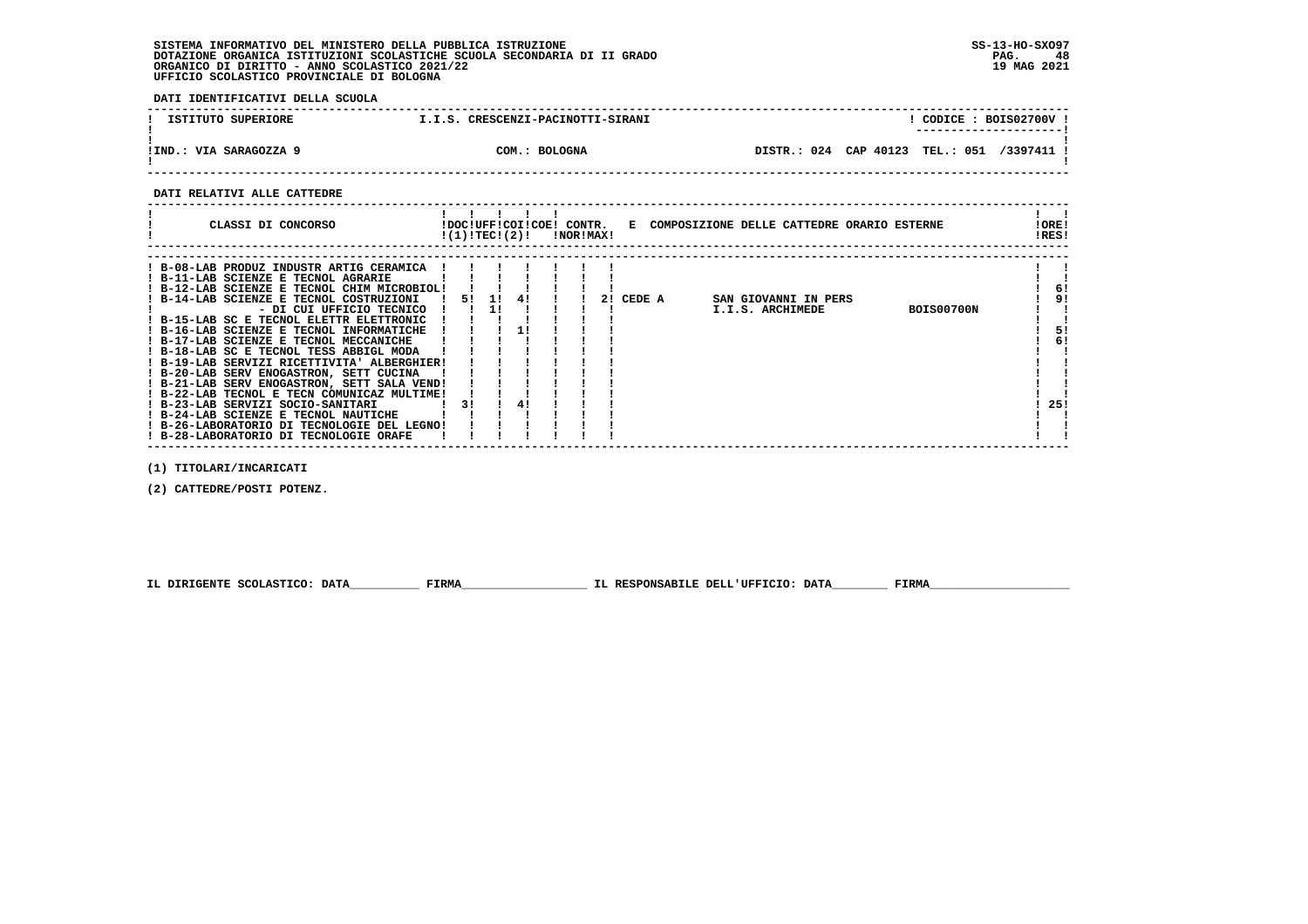**DATI IDENTIFICATIVI DELLA SCUOLA**

| ISTITUTO SUPERIORE     | I.I.S. CRESCENZI-PACINOTTI-SIRANI |                       | CODICE: BOIS02700V<br>--------------------- |          |
|------------------------|-----------------------------------|-----------------------|---------------------------------------------|----------|
| !IND.: VIA SARAGOZZA 9 | COM.: BOLOGNA                     | DISTR.: 024 CAP 40123 | <b>TEL.: 051</b>                            | /3397411 |

 **------------------------------------------------------------------------------------------------------------------------------------**

 **DATI RELATIVI ALLE CATTEDRE**

| CLASSI DI CONCORSO                                                                                                                                                                                                                                                                                                                                                                                                                                                                                                                                                                                                                                                                                                                               | !DOC!UFF!COI!COE! CONTR.<br>!(1)!TECI(2)! |    |          | INORIMAXI |    |        | E COMPOSIZIONE DELLE CATTEDRE ORARIO ESTERNE                  | !ORE!<br>!RES!              |
|--------------------------------------------------------------------------------------------------------------------------------------------------------------------------------------------------------------------------------------------------------------------------------------------------------------------------------------------------------------------------------------------------------------------------------------------------------------------------------------------------------------------------------------------------------------------------------------------------------------------------------------------------------------------------------------------------------------------------------------------------|-------------------------------------------|----|----------|-----------|----|--------|---------------------------------------------------------------|-----------------------------|
| ! B-08-LAB PRODUZ INDUSTR ARTIG CERAMICA<br>! B-11-LAB SCIENZE E TECNOL AGRARIE<br>! B-12-LAB SCIENZE E TECNOL CHIM MICROBIOL!<br>! B-14-LAB SCIENZE E TECNOL COSTRUZIONI<br>- DI CUI UFFICIO TECNICO<br>! B-15-LAB SC E TECNOL ELETTR ELETTRONIC<br>! B-16-LAB SCIENZE E TECNOL INFORMATICHE<br>! B-17-LAB SCIENZE E TECNOL MECCANICHE<br>! B-18-LAB SC E TECNOL TESS ABBIGL MODA<br>! B-19-LAB SERVIZI RICETTIVITA' ALBERGHIER!<br>! B-20-LAB SERV ENOGASTRON, SETT CUCINA<br>! B-21-LAB SERV ENOGASTRON, SETT SALA VEND!<br>! B-22-LAB TECNOL E TECN COMUNICAZ MULTIME!<br>! B-23-LAB SERVIZI SOCIO-SANITARI<br>! B-24-LAB SCIENZE E TECNOL NAUTICHE<br>! B-26-LABORATORIO DI TECNOLOGIE DEL LEGNO!<br>! B-28-LABORATORIO DI TECNOLOGIE ORAFE | 51<br>31                                  | 11 | 41<br>41 |           | 21 | CEDE A | SAN GIOVANNI IN PERS<br>I.I.S. ARCHIMEDE<br><b>BOIS00700N</b> | 6!<br>9!<br>51<br>6!<br>25! |

 **(1) TITOLARI/INCARICATI**

 **(2) CATTEDRE/POSTI POTENZ.**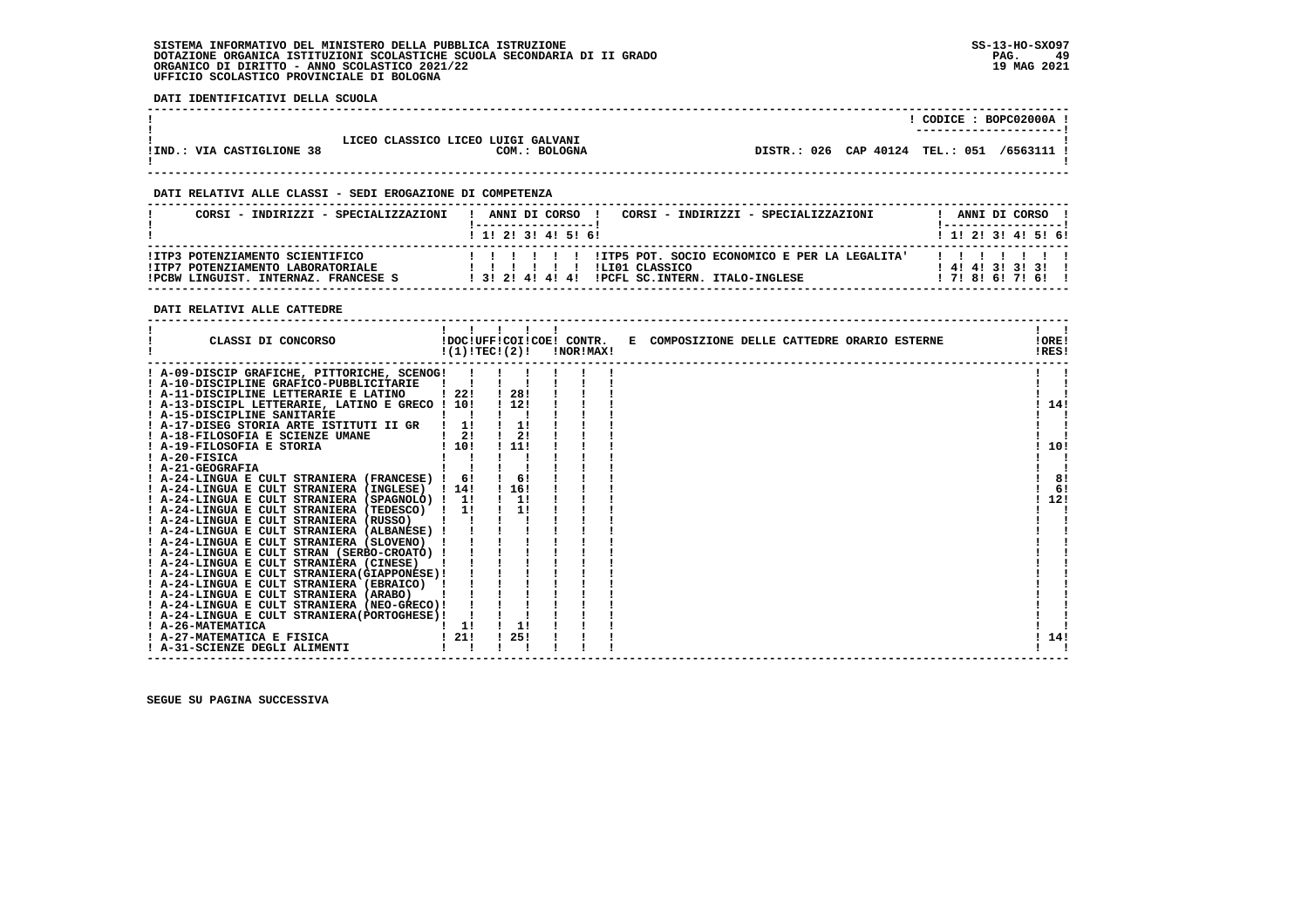**DATI IDENTIFICATIVI DELLA SCUOLA**

|                           |                                                     |             | CODICE :            | BOPC02000A<br>----------------------- |
|---------------------------|-----------------------------------------------------|-------------|---------------------|---------------------------------------|
| !IND.: VIA CASTIGLIONE 38 | LICEO CLASSICO LICEO LUIGI GALVANI<br>COM.: BOLOGNA | DISTR.: 026 | CAP 40124 TEL.: 051 | /6563111                              |

 **------------------------------------------------------------------------------------------------------------------------------------**

 **------------------------------------------------------------------------------------------------------------------------------------**

# **DATI RELATIVI ALLE CLASSI - SEDI EROGAZIONE DI COMPETENZA**

| CORSI - INDIRIZZI - SPECIALIZZAZIONI                                 | ANNI DI CORSO !<br>CORSI - INDIRIZZI - SPECIALIZZAZIONI                               | ANNI DI CORSO !           |
|----------------------------------------------------------------------|---------------------------------------------------------------------------------------|---------------------------|
|                                                                      | 1 1 2 3 3 4 5 6 1                                                                     | 1 1 2 2 1 3 1 4 1 5 1 6 1 |
| !ITP3 POTENZIAMENTO SCIENTIFICO<br>!ITP7 POTENZIAMENTO LABORATORIALE | !ITP5 POT, SOCIO ECONOMICO E PER LA LEGALITA'<br>1 1 1 1 1<br>ILIO1 CLASSICO<br>11111 | $1$ 4! 4! 3! 3! 3! 1      |
| IPCBW LINGUIST, INTERNAZ, FRANCESE S                                 | 1 31 21 41 41 41 IPCFL SC. INTERN. ITALO-INGLESE                                      | 171816171611              |

# **DATI RELATIVI ALLE CATTEDRE**

| CLASSI DI CONCORSO                                                                       |      | !(1)!TECI(2)! | !DOC!UFF!COI!COE! CONTR.<br>!NOR!MAX! | E COMPOSIZIONE DELLE CATTEDRE ORARIO ESTERNE | !ORE!<br>!RES! |
|------------------------------------------------------------------------------------------|------|---------------|---------------------------------------|----------------------------------------------|----------------|
| ! A-09-DISCIP GRAFICHE, PITTORICHE, SCENOG!                                              |      |               |                                       |                                              |                |
| ! A-10-DISCIPLINE GRAFICO-PUBBLICITARIE                                                  |      |               |                                       |                                              |                |
| ! A-11-DISCIPLINE LETTERARIE E LATINO                                                    | -22! | -28!          |                                       |                                              |                |
| ! A-13-DISCIPL LETTERARIE, LATINO E GRECO ! 10!                                          |      | 112!          |                                       |                                              | 14!            |
| ! A-15-DISCIPLINE SANITARIE                                                              |      |               |                                       |                                              |                |
| ! A-17-DISEG STORIA ARTE ISTITUTI II GR                                                  | 11   | 1!            |                                       |                                              |                |
| ! A-18-FILOSOFIA E SCIENZE UMANE                                                         | 21   | 2!            |                                       |                                              |                |
| ! A-19-FILOSOFIA E STORIA                                                                | 110! | 11!           |                                       |                                              | 10!            |
| A-20-FISICA                                                                              |      |               |                                       |                                              |                |
| ! A-21-GEOGRAFIA                                                                         |      |               |                                       |                                              |                |
| ! A-24-LINGUA E CULT STRANIERA (FRANCESE) !                                              | 6!   | 6!            |                                       |                                              | 8!             |
| ! A-24-LINGUA E CULT STRANIERA (INGLESE)                                                 | 114! | 116!          |                                       |                                              | 6!             |
| ! A-24-LINGUA E CULT STRANIERA (SPAGNOLO) ! 1!                                           |      | 1!            |                                       |                                              | 12!            |
| ! A-24-LINGUA E CULT STRANIERA (TEDESCO)                                                 | 1!   |               |                                       |                                              |                |
| ! A-24-LINGUA E CULT STRANIERA (RUSSO)                                                   |      |               |                                       |                                              |                |
| ! A-24-LINGUA E CULT STRANIERA (ALBANESE)                                                |      |               |                                       |                                              |                |
| ! A-24-LINGUA E CULT STRANIERA (SLOVENO)                                                 |      |               |                                       |                                              |                |
| ! A-24-LINGUA E CULT STRAN (SERBO-CROATO) !                                              |      |               |                                       |                                              |                |
| ! A-24-LINGUA E CULT STRANIERA (CINESE)<br>! A-24-LINGUA E CULT STRANIERA (GIAPPONESE) ! |      |               |                                       |                                              |                |
| ! A-24-LINGUA E CULT STRANIERA (EBRAICO)                                                 |      |               |                                       |                                              |                |
| A-24-LINGUA E CULT STRANIERA (ARABO)                                                     |      |               |                                       |                                              |                |
| ! A-24-LINGUA E CULT STRANIERA (NEO-GRECO)!                                              |      |               |                                       |                                              |                |
| ! A-24-LINGUA E CULT STRANIERA(PORTOGHESE)!                                              |      |               |                                       |                                              |                |
| ! A-26-MATEMATICA                                                                        | 11   | 11            |                                       |                                              |                |
| ! A-27-MATEMATICA E FISICA                                                               | 21!  | 25!           |                                       |                                              | 14!            |
| ! A-31-SCIENZE DEGLI ALIMENTI                                                            |      |               |                                       |                                              |                |
|                                                                                          |      |               |                                       |                                              |                |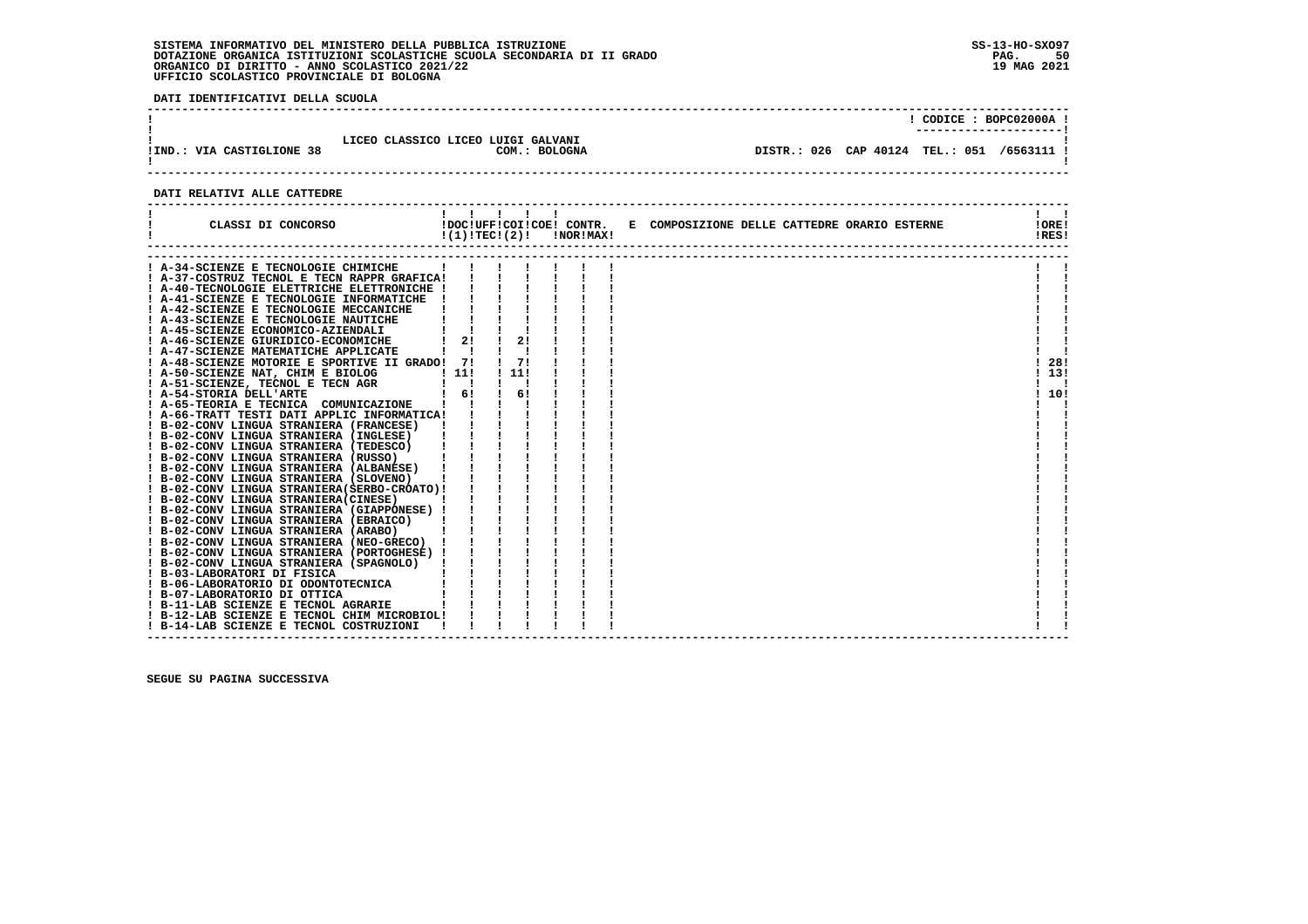**DATI IDENTIFICATIVI DELLA SCUOLA**

| !IND.: VIA CASTIGLIONE 38 | LICEO CLASSICO LICEO LUIGI GALVANI | COM.: BOLOGNA | CODICE: BOPC02000A!<br>DISTR.: 026 CAP 40124 TEL.: 051 /6563111 ! |
|---------------------------|------------------------------------|---------------|-------------------------------------------------------------------|
|                           |                                    |               |                                                                   |

# **DATI RELATIVI ALLE CATTEDRE**

| CLASSI DI CONCORSO                                                    | 1111<br>!DOC!UFF!COI!COE! CONTR.<br>!(1)!TEC!(2)! |     | !NOR!MAX! | E COMPOSIZIONE DELLE CATTEDRE ORARIO ESTERNE | !ORE!<br>!RES! |
|-----------------------------------------------------------------------|---------------------------------------------------|-----|-----------|----------------------------------------------|----------------|
| A-34-SCIENZE E TECNOLOGIE CHIMICHE                                    |                                                   |     |           |                                              |                |
| ! A-37-COSTRUZ TECNOL E TECN RAPPR GRAFICA!                           |                                                   |     |           |                                              |                |
| A-40-TECNOLOGIE ELETTRICHE ELETTRONICHE !                             |                                                   |     |           |                                              |                |
| ! A-41-SCIENZE E TECNOLOGIE INFORMATICHE !                            |                                                   |     |           |                                              |                |
| ! A-42-SCIENZE E TECNOLOGIE MECCANICHE                                |                                                   |     |           |                                              |                |
| ! A-43-SCIENZE E TECNOLOGIE NAUTICHE                                  |                                                   |     |           |                                              |                |
| A-45-SCIENZE ECONOMICO-AZIENDALI                                      |                                                   |     |           |                                              |                |
| ! A-46-SCIENZE GIURIDICO-ECONOMICHE                                   | 2!                                                | 2!  |           |                                              |                |
| ! A-47-SCIENZE MATEMATICHE APPLICATE                                  |                                                   |     |           |                                              |                |
| ! A-48-SCIENZE MOTORIE E SPORTIVE II GRADO! 7!                        |                                                   | 71  |           |                                              | 28!            |
| ! A-50-SCIENZE NAT, CHIM E BIOLOG<br>DLOG ! 11<br>AGR !<br>ICAZIONE ! | ! 11!                                             | 11! |           |                                              | 13!            |
| ! A-51-SCIENZE, TECNOL E TECN AGR                                     | $\mathbf{I}$ $\mathbf{I}$                         |     |           |                                              |                |
| ! A-54-STORIA DELL'ARTE                                               | 6!                                                | 6!  |           |                                              | ! 10!          |
| ! A-65-TEORIA E TECNICA COMUNICAZIONE                                 |                                                   |     |           |                                              |                |
| ! A-66-TRATT TESTI DATI APPLIC INFORMATICA!                           |                                                   |     |           |                                              |                |
| ! B-02-CONV LINGUA STRANIERA (FRANCESE)                               |                                                   |     |           |                                              |                |
| ! B-02-CONV LINGUA STRANIERA (INGLESE)                                |                                                   |     |           |                                              |                |
| ! B-02-CONV LINGUA STRANIERA (TEDESCO)                                |                                                   |     |           |                                              |                |
| ! B-02-CONV LINGUA STRANIERA (RUSSO)                                  |                                                   |     |           |                                              |                |
| ! B-02-CONV LINGUA STRANIERA (ALBANESE)                               |                                                   |     |           |                                              |                |
| ! B-02-CONV LINGUA STRANIERA (SLOVENO)                                |                                                   |     |           |                                              |                |
| ! B-02-CONV LINGUA STRANIERA (SERBO-CROATO) !                         |                                                   |     |           |                                              |                |
| ! B-02-CONV LINGUA STRANIERA(CINESE)                                  |                                                   |     |           |                                              |                |
| ! B-02-CONV LINGUA STRANIERA (GIAPPONESE) !                           |                                                   |     |           |                                              |                |
| ! B-02-CONV LINGUA STRANIERA (EBRAICO)                                |                                                   |     |           |                                              |                |
| ! B-02-CONV LINGUA STRANIERA (ARABO)                                  |                                                   |     |           |                                              |                |
| ! B-02-CONV LINGUA STRANIERA (NEO-GRECO) !                            |                                                   |     |           |                                              |                |
| ! B-02-CONV LINGUA STRANIERA (PORTOGHESE) !                           |                                                   |     |           |                                              |                |
| ! B-02-CONV LINGUA STRANIERA (SPAGNOLO) !                             |                                                   |     |           |                                              |                |
| ! B-03-LABORATORI DI FISICA                                           |                                                   |     |           |                                              |                |
| ! B-06-LABORATORIO DI ODONTOTECNICA                                   |                                                   |     |           |                                              |                |
| ! B-07-LABORATORIO DI OTTICA                                          |                                                   |     |           |                                              |                |
| ! B-11-LAB SCIENZE E TECNOL AGRARIE                                   |                                                   |     |           |                                              |                |
| ! B-12-LAB SCIENZE E TECNOL CHIM MICROBIOL!                           |                                                   |     |           |                                              |                |
| ! B-14-LAB SCIENZE E TECNOL COSTRUZIONI                               |                                                   |     |           |                                              |                |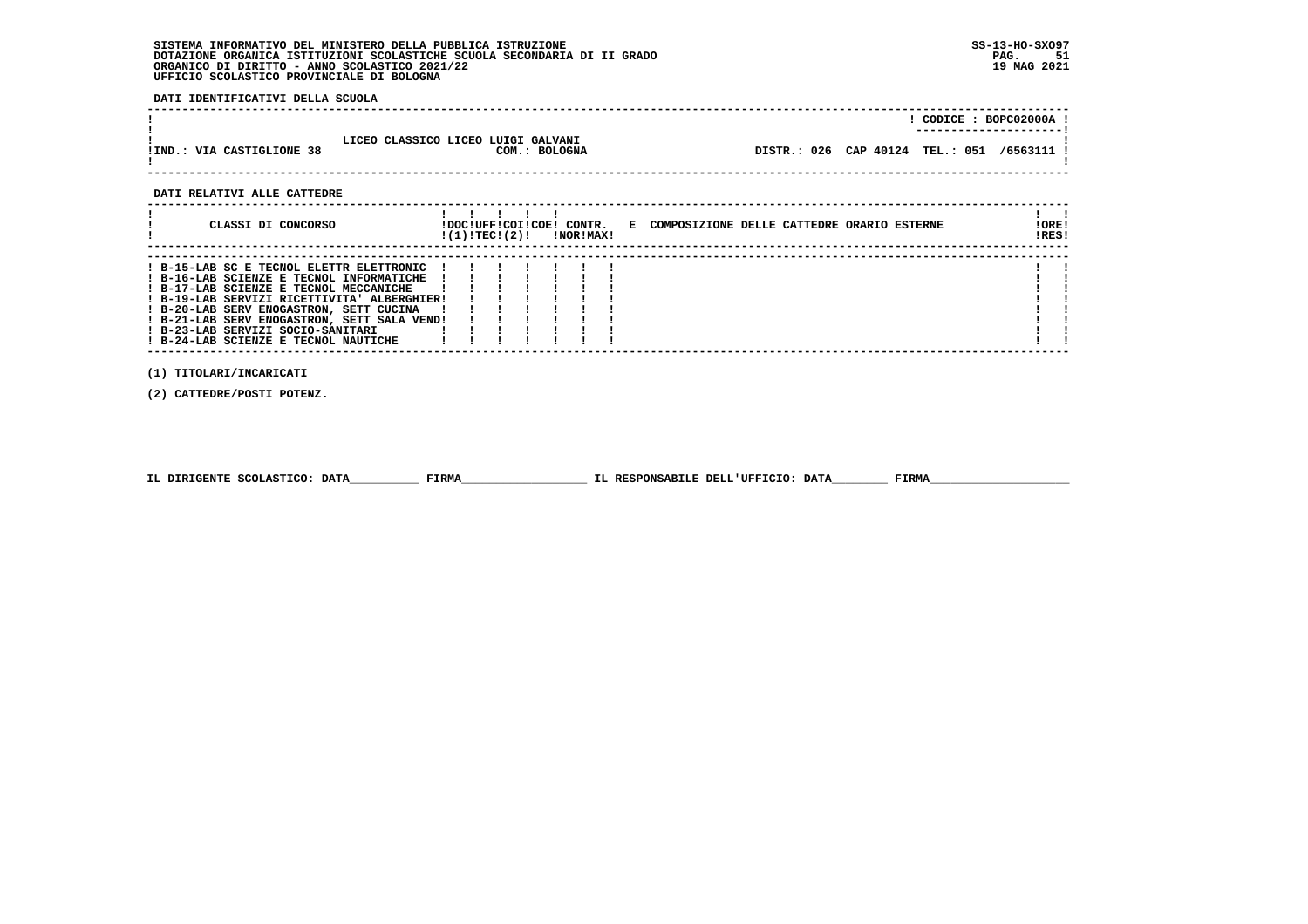**DATI IDENTIFICATIVI DELLA SCUOLA**

|                           |                                                     | CODICE: BOPC02000A !                       |
|---------------------------|-----------------------------------------------------|--------------------------------------------|
| !IND.: VIA CASTIGLIONE 38 | LICEO CLASSICO LICEO LUIGI GALVANI<br>COM.: BOLOGNA | DISTR.: 026 CAP 40124 TEL.: 051 /6563111 ! |

 **DATI RELATIVI ALLE CATTEDRE**

| CLASSI DI CONCORSO                                                                                                                                                                                                                                                                                                                                   | IDOCIUFFICOIICOEI CONTR.<br>!(1)!TEC!(2)! |  | !NOR!MAX! | E COMPOSIZIONE DELLE CATTEDRE ORARIO ESTERNE | ! ORE!<br>!RES! |
|------------------------------------------------------------------------------------------------------------------------------------------------------------------------------------------------------------------------------------------------------------------------------------------------------------------------------------------------------|-------------------------------------------|--|-----------|----------------------------------------------|-----------------|
| ! B-15-LAB SC E TECNOL ELETTR ELETTRONIC<br>! B-16-LAB SCIENZE E TECNOL INFORMATICHE<br>! B-17-LAB SCIENZE E TECNOL MECCANICHE<br>! B-19-LAB SERVIZI RICETTIVITA' ALBERGHIER!<br>! B-20-LAB SERV ENOGASTRON, SETT CUCINA<br>! B-21-LAB SERV ENOGASTRON, SETT SALA VEND!<br>! B-23-LAB SERVIZI SOCIO-SANITARI<br>! B-24-LAB SCIENZE E TECNOL NAUTICHE |                                           |  |           |                                              |                 |

 **(1) TITOLARI/INCARICATI**

 **(2) CATTEDRE/POSTI POTENZ.**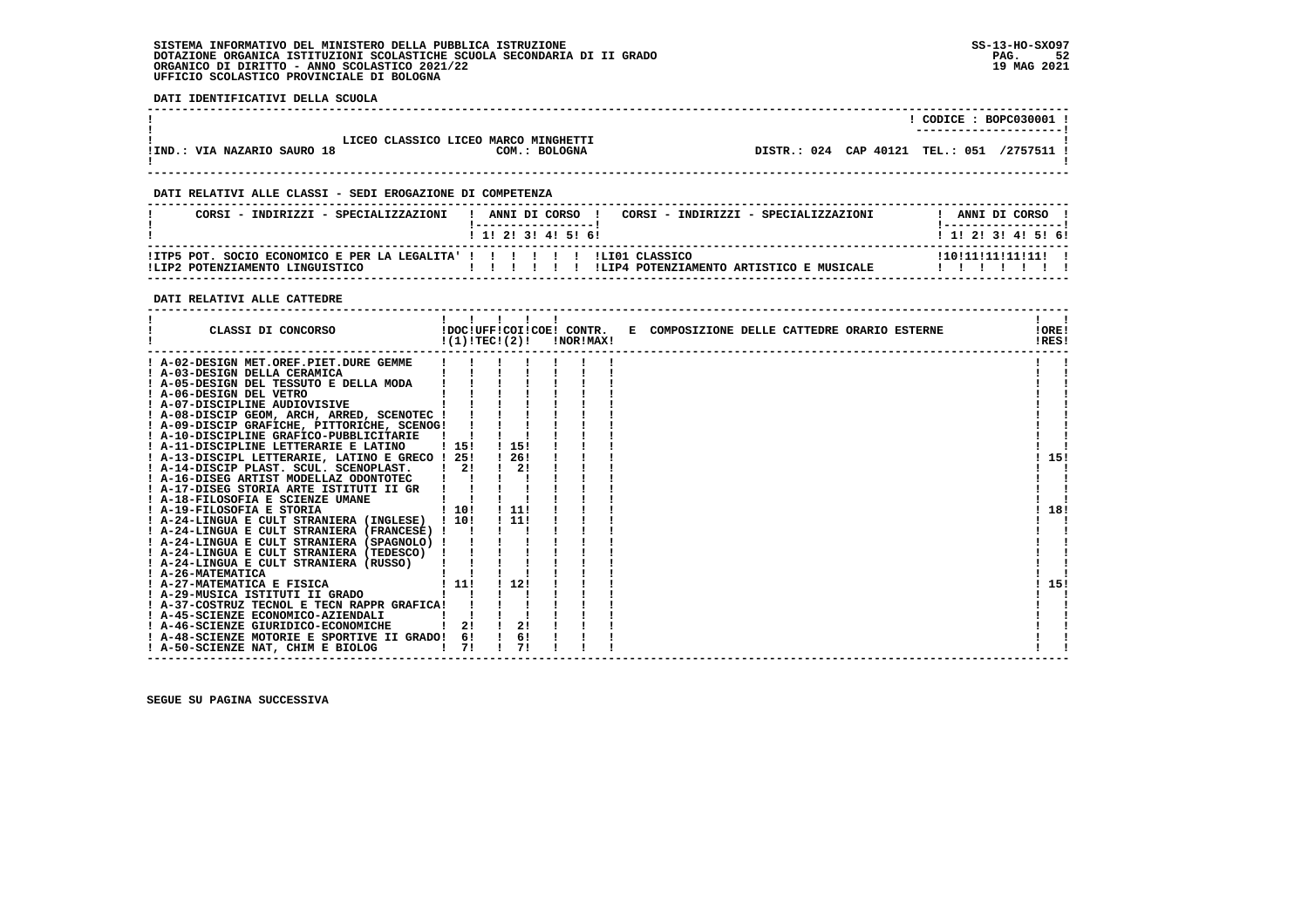**DATI IDENTIFICATIVI DELLA SCUOLA**

|                             |                                                       | $CODE: BOPC030001$ !<br>---------------------- |
|-----------------------------|-------------------------------------------------------|------------------------------------------------|
| !IND.: VIA NAZARIO SAURO 18 | LICEO CLASSICO LICEO MARCO MINGHETTI<br>COM.: BOLOGNA | DISTR.: 024 CAP 40121 TEL.: 051 /2757511 !     |
|                             |                                                       |                                                |

# **DATI RELATIVI ALLE CLASSI - SEDI EROGAZIONE DI COMPETENZA**

| CORSI - INDIRIZZI - SPECIALIZZAZIONI                                                                          | ANNI DI CORSO<br>1 1 1 2 1 3 1 4 1 5 1 6 1 | CORST - INDIRIZZI - SPECIALIZZAZIONI     | ANNI DI CORSO<br>1 1 1 2 1 3 1 4 1 5 1 6 1 |
|---------------------------------------------------------------------------------------------------------------|--------------------------------------------|------------------------------------------|--------------------------------------------|
| !ITP5 POT. SOCIO ECONOMICO E PER LA LEGALITA' ! ! ! ! ! ! ! !LI01 CLASSICO<br>ILIP2 POTENZIAMENTO LINGUISTICO |                                            | ILTP4 POTENZIAMENTO ARTISTICO E MUSICALE | ! 10! 11! 11! 11! 11!                      |

#### **DATI RELATIVI ALLE CATTEDRE**

| CLASSI DI CONCORSO                              |                    | $!(1)!TEC!(2)!$ $INORIMAX!$ |  | !DOC!UFF!COI!COE! CONTR. E COMPOSIZIONE DELLE CATTEDRE ORARIO ESTERNE | !ORE!<br>!RES! |
|-------------------------------------------------|--------------------|-----------------------------|--|-----------------------------------------------------------------------|----------------|
| ! A-02-DESIGN MET.OREF.PIET.DURE GEMME          |                    |                             |  |                                                                       |                |
| ! A-03-DESIGN DELLA CERAMICA                    |                    |                             |  |                                                                       |                |
| ! A-05-DESIGN DEL TESSUTO E DELLA MODA          |                    |                             |  |                                                                       |                |
| ! A-06-DESIGN DEL VETRO                         |                    |                             |  |                                                                       |                |
| ! A-07-DISCIPLINE AUDIOVISIVE                   |                    |                             |  |                                                                       |                |
| ! A-08-DISCIP GEOM, ARCH, ARRED, SCENOTEC !     |                    |                             |  |                                                                       |                |
| ! A-09-DISCIP GRAFICHE, PITTORICHE, SCENOG!     |                    |                             |  |                                                                       |                |
| ! A-10-DISCIPLINE GRAFICO-PUBBLICITARIE         |                    |                             |  |                                                                       |                |
| ! A-11-DISCIPLINE LETTERARIE E LATINO           | , 15!              | 1 15!                       |  |                                                                       |                |
| ! A-13-DISCIPL LETTERARIE, LATINO E GRECO ! 25! |                    | ! 26!                       |  |                                                                       | 15!            |
| ! A-14-DISCIP PLAST. SCUL. SCENOPLAST.          | 21                 | 2!                          |  |                                                                       |                |
| ! A-16-DISEG ARTIST MODELLAZ ODONTOTEC          |                    |                             |  |                                                                       |                |
| ! A-17-DISEG STORIA ARTE ISTITUTI II GR         |                    |                             |  |                                                                       |                |
| ! A-18-FILOSOFIA E SCIENZE UMANE                |                    |                             |  |                                                                       |                |
| 1 10!<br>! A-19-FILOSOFIA E STORIA              |                    | . . 11.                     |  |                                                                       | 18!            |
| ! A-24-LINGUA E CULT STRANIERA (INGLESE) ! 10!  |                    | . . 11.                     |  |                                                                       |                |
| ! A-24-LINGUA E CULT STRANIERA (FRANCESE) !     |                    |                             |  |                                                                       |                |
| ! A-24-LINGUA E CULT STRANIERA (SPAGNOLO) !     |                    |                             |  |                                                                       |                |
| ! A-24-LINGUA E CULT STRANIERA (TEDESCO) !      |                    |                             |  |                                                                       |                |
| ! A-24-LINGUA E CULT STRANIERA (RUSSO)          |                    |                             |  |                                                                       |                |
| ! A-26-MATEMATICA                               |                    |                             |  |                                                                       |                |
| ! A-27-MATEMATICA E FISICA                      | ! 11!              | ! 12!                       |  |                                                                       | 15!            |
| ! A-29-MUSICA ISTITUTI II GRADO                 |                    |                             |  |                                                                       |                |
| ! A-37-COSTRUZ TECNOL E TECN RAPPR GRAFICA!     |                    |                             |  |                                                                       |                |
| ! A-45-SCIENZE ECONOMICO-AZIENDALI              |                    |                             |  |                                                                       |                |
| ! A-46-SCIENZE GIURIDICO-ECONOMICHE             | 2!                 | 2!                          |  |                                                                       |                |
| ! A-48-SCIENZE MOTORIE E SPORTIVE II GRADO! 6!  |                    | 6!                          |  |                                                                       |                |
| ! A-50-SCIENZE NAT, CHIM E BIOLOG               | 71<br>$\mathbf{I}$ |                             |  |                                                                       |                |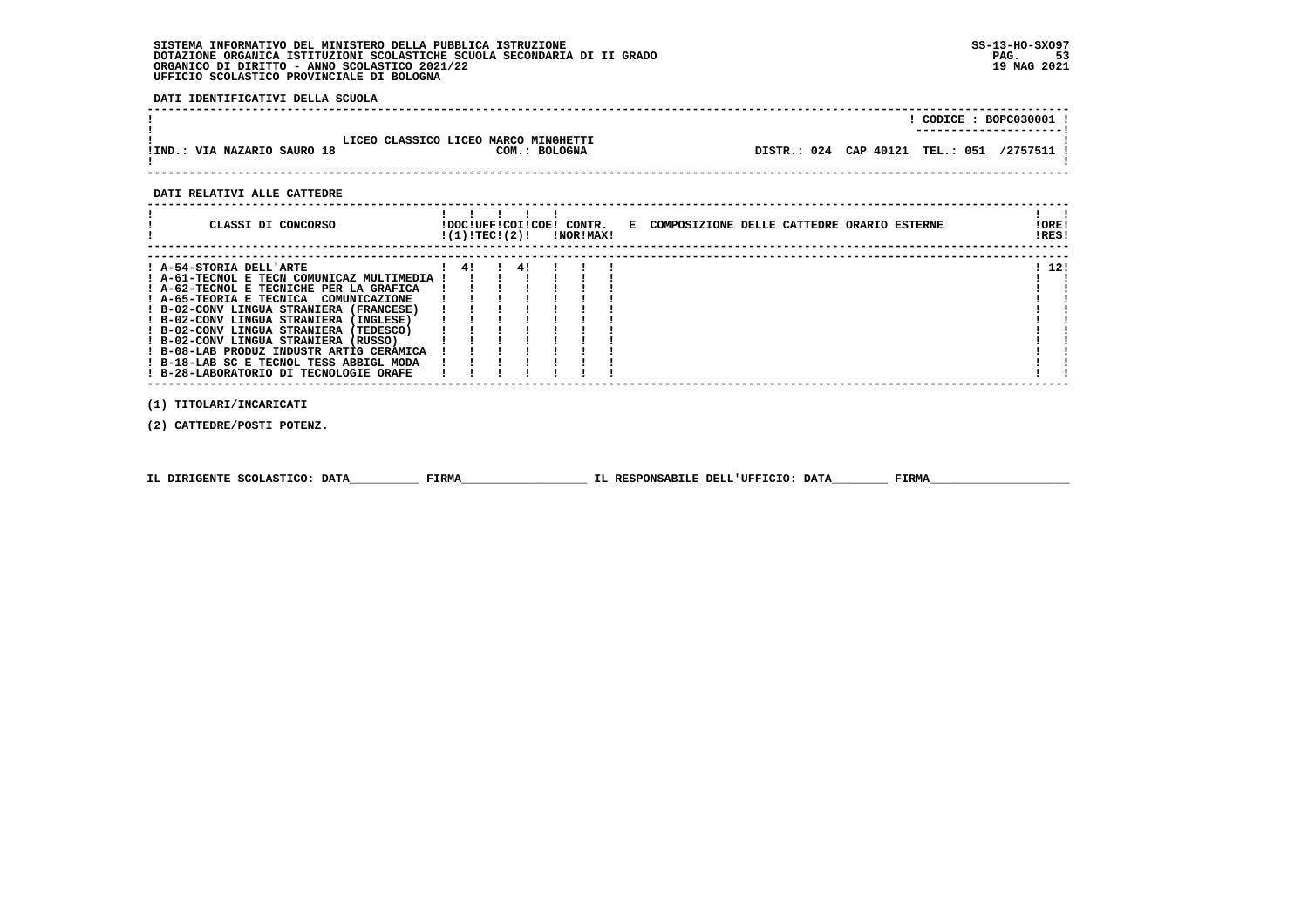**DATI IDENTIFICATIVI DELLA SCUOLA**

| LICEO CLASSICO LICEO MARCO MINGHETTI<br>DISTR.: 024 CAP 40121 TEL.: 051 /2757511 !<br>!IND.: VIA NAZARIO SAURO 18<br>COM.: BOLOGNA |  |  |  | $CODICE: BOPC030001$ ! |  |
|------------------------------------------------------------------------------------------------------------------------------------|--|--|--|------------------------|--|
|                                                                                                                                    |  |  |  |                        |  |

 **DATI RELATIVI ALLE CATTEDRE**

| CLASSI DI CONCORSO                          | !(1)!TEC!(2)! |    | !DOC!UFF!COI!COE! CONTR.<br>!NOR!MAX! |  | E COMPOSIZIONE DELLE CATTEDRE ORARIO ESTERNE | ! ORE!<br>!RES! |
|---------------------------------------------|---------------|----|---------------------------------------|--|----------------------------------------------|-----------------|
| ! A-54-STORIA DELL'ARTE                     | 41            | 41 |                                       |  |                                              | ! 12!           |
| ! A-61-TECNOL E TECN COMUNICAZ MULTIMEDIA ! |               |    |                                       |  |                                              |                 |
| ! A-62-TECNOL E TECNICHE PER LA GRAFICA     |               |    |                                       |  |                                              |                 |
| ! A-65-TEORIA E TECNICA COMUNICAZIONE       |               |    |                                       |  |                                              |                 |
| ! B-02-CONV LINGUA STRANIERA (FRANCESE)     |               |    |                                       |  |                                              |                 |
| ! B-02-CONV LINGUA STRANIERA (INGLESE)      |               |    |                                       |  |                                              |                 |
| ! B-02-CONV LINGUA STRANIERA (TEDESCO)      |               |    |                                       |  |                                              |                 |
| ! B-02-CONV LINGUA STRANIERA (RUSSO)        |               |    |                                       |  |                                              |                 |
| ! B-08-LAB PRODUZ INDUSTR ARTIG CERAMICA    |               |    |                                       |  |                                              |                 |
| ! B-18-LAB SC E TECNOL TESS ABBIGL MODA     |               |    |                                       |  |                                              |                 |
| ! B-28-LABORATORIO DI TECNOLOGIE ORAFE      |               |    |                                       |  |                                              |                 |
|                                             |               |    |                                       |  |                                              |                 |

 **(1) TITOLARI/INCARICATI**

 **(2) CATTEDRE/POSTI POTENZ.**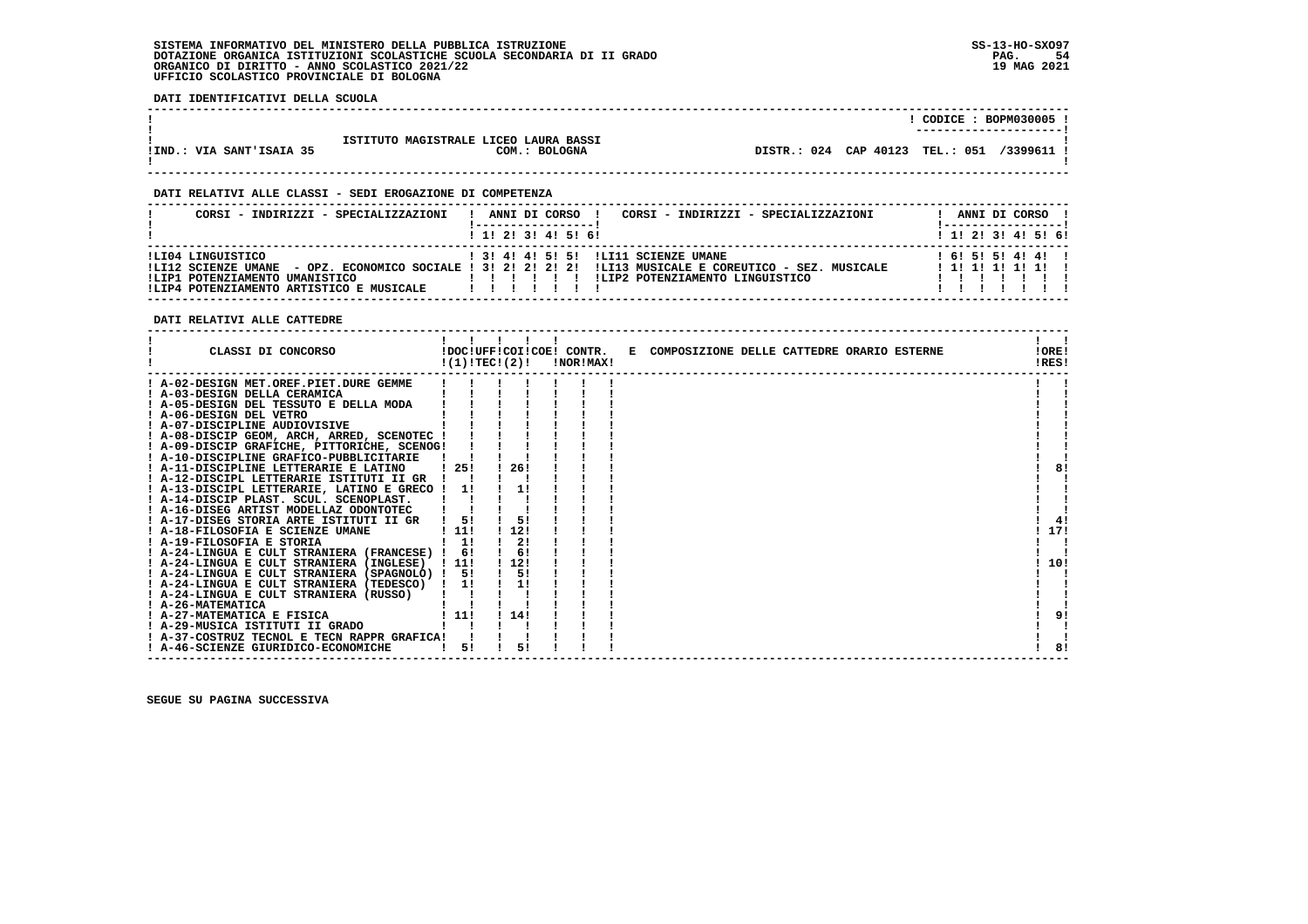**DATI IDENTIFICATIVI DELLA SCUOLA**

|                          |                                                                  | CODICE: BOPM030005<br>----------------------  |  |
|--------------------------|------------------------------------------------------------------|-----------------------------------------------|--|
| !IND.: VIA SANT'ISAIA 35 | ISTITUTO MAGISTRALE LICEO LAURA BASSI<br><b>BOLOGNA</b><br>COM.: | DISTR.: 024 CAP 40123 TEL.: 051<br>/3399611 ! |  |

 **------------------------------------------------------------------------------------------------------------------------------------**

 **------------------------------------------------------------------------------------------------------------------------------------**

# **DATI RELATIVI ALLE CLASSI - SEDI EROGAZIONE DI COMPETENZA**

| CORSI - INDIRIZZI - SPECIALIZZAZIONI                                                                                   | CORSI - INDIRIZZI - SPECIALIZZAZIONI<br>ANNI DI CORSO !                                                                                                                                  | ANNI DI CORSO !                  |
|------------------------------------------------------------------------------------------------------------------------|------------------------------------------------------------------------------------------------------------------------------------------------------------------------------------------|----------------------------------|
|                                                                                                                        | $1$ , 1! 2! 3! 4! 5! 6!                                                                                                                                                                  | $1$ 1! 2! 3! 4! 5! 6!            |
| ILI04 LINGUISTICO<br>!LI12 SCIENZE UMANE<br>!LIP1 POTENZIAMENTO UMANISTICO<br>!LIP4 POTENZIAMENTO ARTISTICO E MUSICALE | ! 3! 4! 4! 5! 5! !LI11 SCIENZE UMANE<br>- OPZ. ECONOMICO SOCIALE ! 3! 2! 2! 2! 2! !LI13 MUSICALE E COREUTICO - SEZ. MUSICALE<br>ILIP2 POTENZIAMENTO LINGUISTICO<br>11111<br>$\mathbf{1}$ | 161515141411<br>! 1! 1! 1! 1! 1! |

 **DATI RELATIVI ALLE CATTEDRE**

| CLASSI DI CONCORSO                             |                       | $\mathbf{I}$<br>!DOC!UFF!COI!COE! CONTR.<br>!(1)!TECI(2)! | !NOR!MAX! | E COMPOSIZIONE DELLE CATTEDRE ORARIO ESTERNE | IORE <sub>1</sub><br>!RES! |
|------------------------------------------------|-----------------------|-----------------------------------------------------------|-----------|----------------------------------------------|----------------------------|
| ! A-02-DESIGN MET.OREF.PIET.DURE GEMME         |                       |                                                           |           |                                              |                            |
| ! A-03-DESIGN DELLA CERAMICA                   |                       |                                                           |           |                                              |                            |
| ! A-05-DESIGN DEL TESSUTO E DELLA MODA         |                       |                                                           |           |                                              |                            |
| ! A-06-DESIGN DEL VETRO                        |                       |                                                           |           |                                              |                            |
| ! A-07-DISCIPLINE AUDIOVISIVE                  |                       |                                                           |           |                                              |                            |
| ! A-08-DISCIP GEOM, ARCH, ARRED, SCENOTEC !    |                       |                                                           |           |                                              |                            |
| ! A-09-DISCIP GRAFICHE, PITTORICHE, SCENOG!    |                       |                                                           |           |                                              |                            |
| ! A-10-DISCIPLINE GRAFICO-PUBBLICITARIE        |                       |                                                           |           |                                              |                            |
| ! A-11-DISCIPLINE LETTERARIE E LATINO          | ! 25!                 | 26!                                                       |           |                                              | 81                         |
| ! A-12-DISCIPL LETTERARIE ISTITUTI II GR       |                       |                                                           |           |                                              |                            |
| ! A-13-DISCIPL LETTERARIE, LATINO E GRECO !    | 11                    |                                                           |           |                                              |                            |
| ! A-14-DISCIP PLAST. SCUL. SCENOPLAST.         |                       |                                                           |           |                                              |                            |
| ! A-16-DISEG ARTIST MODELLAZ ODONTOTEC         |                       |                                                           |           |                                              |                            |
| ! A-17-DISEG STORIA ARTE ISTITUTI II GR        | 51                    | 5!                                                        |           |                                              | 41                         |
| ! A-18-FILOSOFIA E SCIENZE UMANE               | $\lfloor 11! \rfloor$ | 12!                                                       |           |                                              | 17!                        |
| ! A-19-FILOSOFIA E STORIA                      | $1 \quad 11$          | 2!                                                        |           |                                              |                            |
| ! A-24-LINGUA E CULT STRANIERA (FRANCESE) !    | 6!                    | 6!                                                        |           |                                              |                            |
| ! A-24-LINGUA E CULT STRANIERA (INGLESE) ! 11! |                       | 112!                                                      |           |                                              | 10!                        |
| ! A-24-LINGUA E CULT STRANIERA (SPAGNOLO) ! 5! |                       | 5!                                                        |           |                                              |                            |
| ! A-24-LINGUA E CULT STRANIERA (TEDESCO) ! 1!  |                       | 1!                                                        |           |                                              |                            |
| ! A-24-LINGUA E CULT STRANIERA (RUSSO)         |                       |                                                           |           |                                              |                            |
| ! A-26-MATEMATICA                              |                       |                                                           |           |                                              |                            |
| ! A-27-MATEMATICA E FISICA                     | 111                   | 14!                                                       |           |                                              | 91                         |
| ! A-29-MUSICA ISTITUTI II GRADO                |                       |                                                           |           |                                              |                            |
| ! A-37-COSTRUZ TECNOL E TECN RAPPR GRAFICA!    |                       |                                                           |           |                                              |                            |
| ! A-46-SCIENZE GIURIDICO-ECONOMICHE            | 51                    | 51                                                        |           |                                              | 81                         |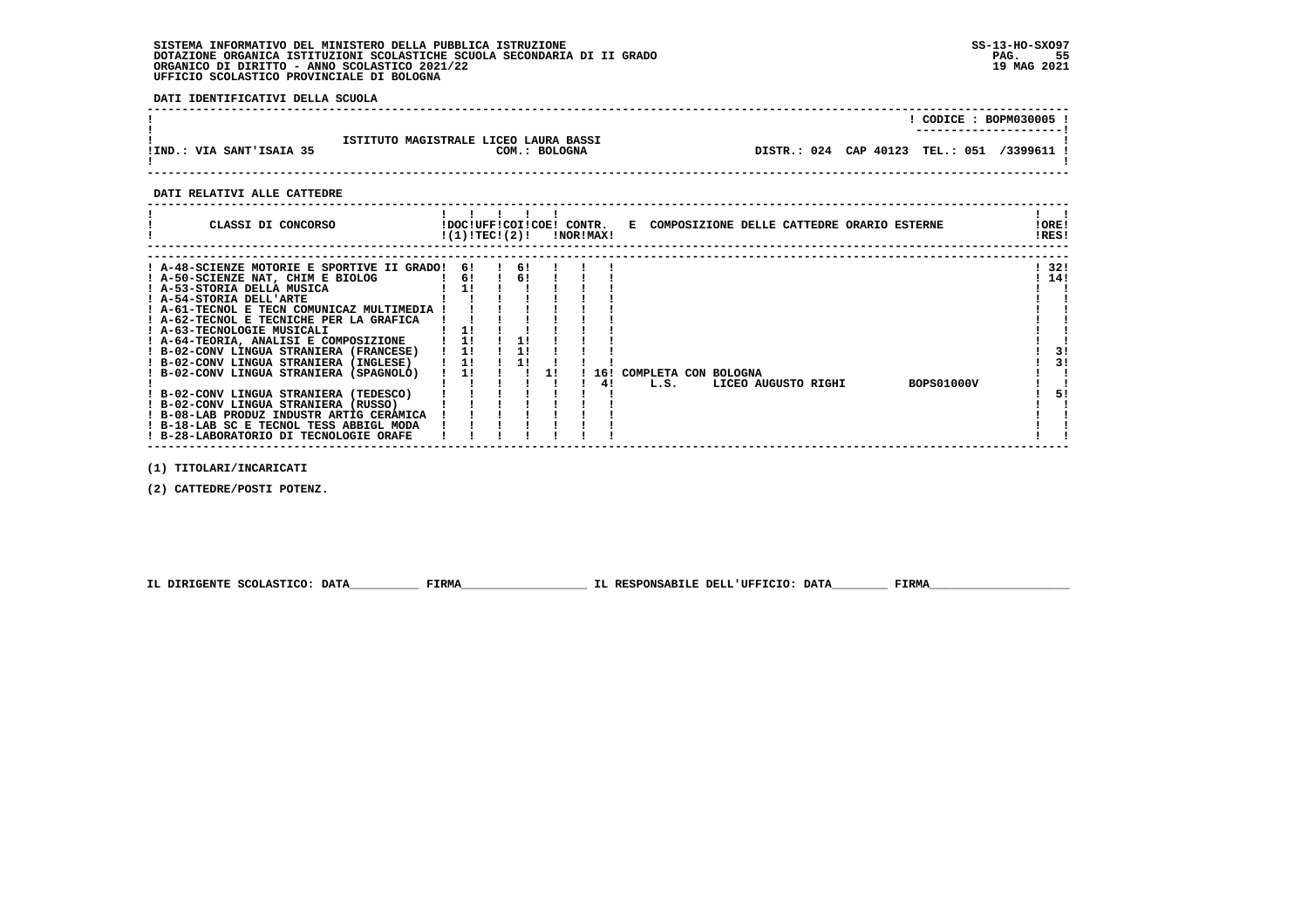**DATI IDENTIFICATIVI DELLA SCUOLA**

|                          |                                                        | CODICE: BOPM030005 !<br>---------------------- |  |
|--------------------------|--------------------------------------------------------|------------------------------------------------|--|
| !IND.: VIA SANT'ISAIA 35 | ISTITUTO MAGISTRALE LICEO LAURA BASSI<br>COM.: BOLOGNA | DISTR.: 024 CAP 40123 TEL.: 051 /3399611 !     |  |

 **------------------------------------------------------------------------------------------------------------------------------------**

#### **DATI RELATIVI ALLE CATTEDRE**

 **(1) TITOLARI/INCARICATI**

 **(2) CATTEDRE/POSTI POTENZ.**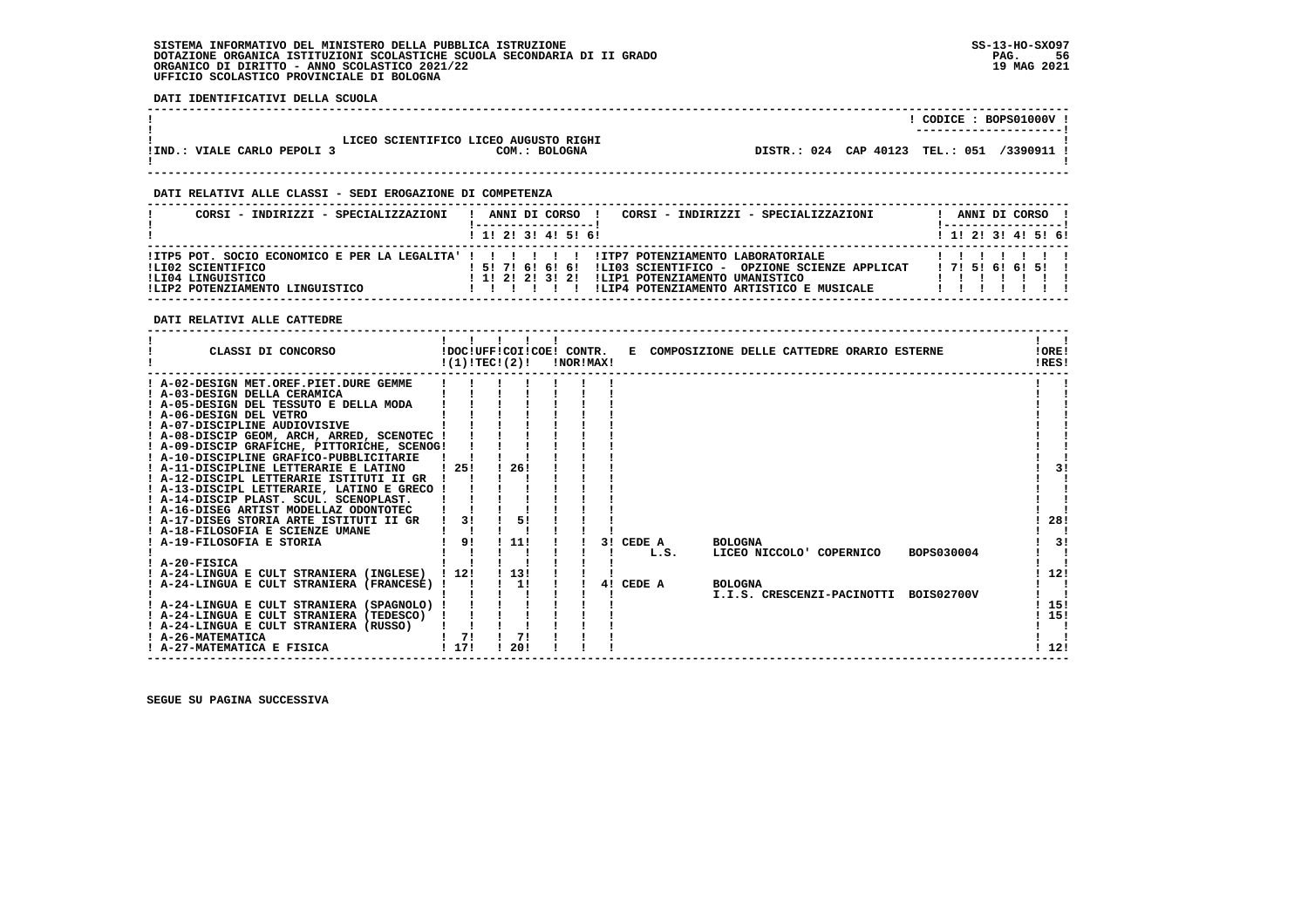**DATI IDENTIFICATIVI DELLA SCUOLA**

|                               |                                                        |                                 | --------------------- | CODICE: BOPS01000V! |
|-------------------------------|--------------------------------------------------------|---------------------------------|-----------------------|---------------------|
| VIALE CARLO PEPOLI 3<br>IIND. | LICEO SCIENTIFICO LICEO AUGUSTO RIGHI<br>COM.: BOLOGNA | DISTR.: 024 CAP 40123 TEL.: 051 |                       | /3390911 1          |

 **------------------------------------------------------------------------------------------------------------------------------------**

# **DATI RELATIVI ALLE CLASSI - SEDI EROGAZIONE DI COMPETENZA**

| CORSI - INDIRIZZI - SPECIALIZZAZIONI                                      | CORSI - INDIRIZZI - SPECIALIZZAZIONI<br>ANNI DI CORSO !                                                                                                                                                                                                             |  |  | ANNI DI CORSO !              |  |
|---------------------------------------------------------------------------|---------------------------------------------------------------------------------------------------------------------------------------------------------------------------------------------------------------------------------------------------------------------|--|--|------------------------------|--|
|                                                                           | 1 1! 2! 3! 4! 5! 6!                                                                                                                                                                                                                                                 |  |  | $1$ , 1!, 2!, 3!, 4!, 5!, 6! |  |
| ILI02 SCIENTIFICO<br>ILI04 LINGUISTICO<br>!LIP2 POTENZIAMENTO LINGUISTICO | !ITP5 POT. SOCIO ECONOMICO E PER LA LEGALITA' ! ! ! ! ! ! !ITP7 POTENZIAMENTO LABORATORIALE<br>! 5! 7! 6! 6! 6! !LIO3 SCIENTIFICO - OPZIONE SCIENZE APPLICAT<br>!LIP1 POTENZIAMENTO UMANISTICO<br>1 1 1 2 1 2 1 3 1 2 1<br>!LIP4 POTENZIAMENTO ARTISTICO E MUSICALE |  |  | 171516161511                 |  |

 **DATI RELATIVI ALLE CATTEDRE**

| CLASSI DI CONCORSO                                                                      | !DOC!UFF!COI!COE! CONTR.<br>!(1)!TECI(2)! |            | !NOR!MAX! |           |      |                | E COMPOSIZIONE DELLE CATTEDRE ORARIO ESTERNE |                                       | !ORE!<br>IRES! |
|-----------------------------------------------------------------------------------------|-------------------------------------------|------------|-----------|-----------|------|----------------|----------------------------------------------|---------------------------------------|----------------|
| ! A-02-DESIGN MET.OREF.PIET.DURE GEMME                                                  |                                           |            |           |           |      |                |                                              |                                       |                |
| ! A-03-DESIGN DELLA CERAMICA<br>! A-05-DESIGN DEL TESSUTO E DELLA MODA                  |                                           |            |           |           |      |                |                                              |                                       |                |
| ! A-06-DESIGN DEL VETRO                                                                 |                                           |            |           |           |      |                |                                              |                                       |                |
| ! A-07-DISCIPLINE AUDIOVISIVE                                                           |                                           |            |           |           |      |                |                                              |                                       |                |
| ! A-08-DISCIP GEOM, ARCH, ARRED, SCENOTEC !                                             |                                           |            |           |           |      |                |                                              |                                       |                |
| ! A-09-DISCIP GRAFICHE, PITTORICHE, SCENOG!                                             |                                           |            |           |           |      |                |                                              |                                       |                |
| ! A-10-DISCIPLINE GRAFICO-PUBBLICITARIE                                                 |                                           |            |           |           |      |                |                                              |                                       |                |
| ! A-11-DISCIPLINE LETTERARIE E LATINO                                                   | -251                                      | 26!        |           |           |      |                |                                              |                                       |                |
| ! A-12-DISCIPL LETTERARIE ISTITUTI II GR                                                |                                           |            |           |           |      |                |                                              |                                       |                |
| ! A-13-DISCIPL LETTERARIE, LATINO E GRECO !                                             |                                           |            |           |           |      |                |                                              |                                       |                |
| ! A-14-DISCIP PLAST. SCUL. SCENOPLAST.                                                  |                                           |            |           |           |      |                |                                              |                                       |                |
| ! A-16-DISEG ARTIST MODELLAZ ODONTOTEC                                                  |                                           |            |           |           |      |                |                                              |                                       |                |
| ! A-17-DISEG STORIA ARTE ISTITUTI II GR                                                 | 31                                        | 51         |           |           |      |                |                                              |                                       | 28!            |
| ! A-18-FILOSOFIA E SCIENZE UMANE                                                        |                                           |            |           |           |      |                |                                              |                                       |                |
| ! A-19-FILOSOFIA E STORIA                                                               | 91                                        | 111        |           | 3! CEDE A |      | <b>BOLOGNA</b> |                                              |                                       | 31             |
|                                                                                         |                                           |            |           |           | L.S. |                | LICEO NICCOLO' COPERNICO                     | BOPS030004                            |                |
| ! A-20-FISICA                                                                           |                                           |            |           |           |      |                |                                              |                                       |                |
| ! A-24-LINGUA E CULT STRANIERA (INGLESE)<br>! A-24-LINGUA E CULT STRANIERA (FRANCESE) ! | 1121                                      | 1131<br>1! |           | 4! CEDE A |      | <b>BOLOGNA</b> |                                              |                                       | 12!            |
|                                                                                         |                                           |            |           |           |      |                |                                              | I.I.S. CRESCENZI-PACINOTTI BOIS02700V |                |
| ! A-24-LINGUA E CULT STRANIERA (SPAGNOLO)                                               |                                           |            |           |           |      |                |                                              |                                       | 15!            |
| ! A-24-LINGUA E CULT STRANIERA (TEDESCO)                                                |                                           |            |           |           |      |                |                                              |                                       | 15!            |
| ! A-24-LINGUA E CULT STRANIERA (RUSSO)                                                  |                                           |            |           |           |      |                |                                              |                                       |                |
| ! A-26-MATEMATICA                                                                       | 71                                        | 71         |           |           |      |                |                                              |                                       |                |
| ! A-27-MATEMATICA E FISICA                                                              | 1171                                      | 20!        |           |           |      |                |                                              |                                       | 12!            |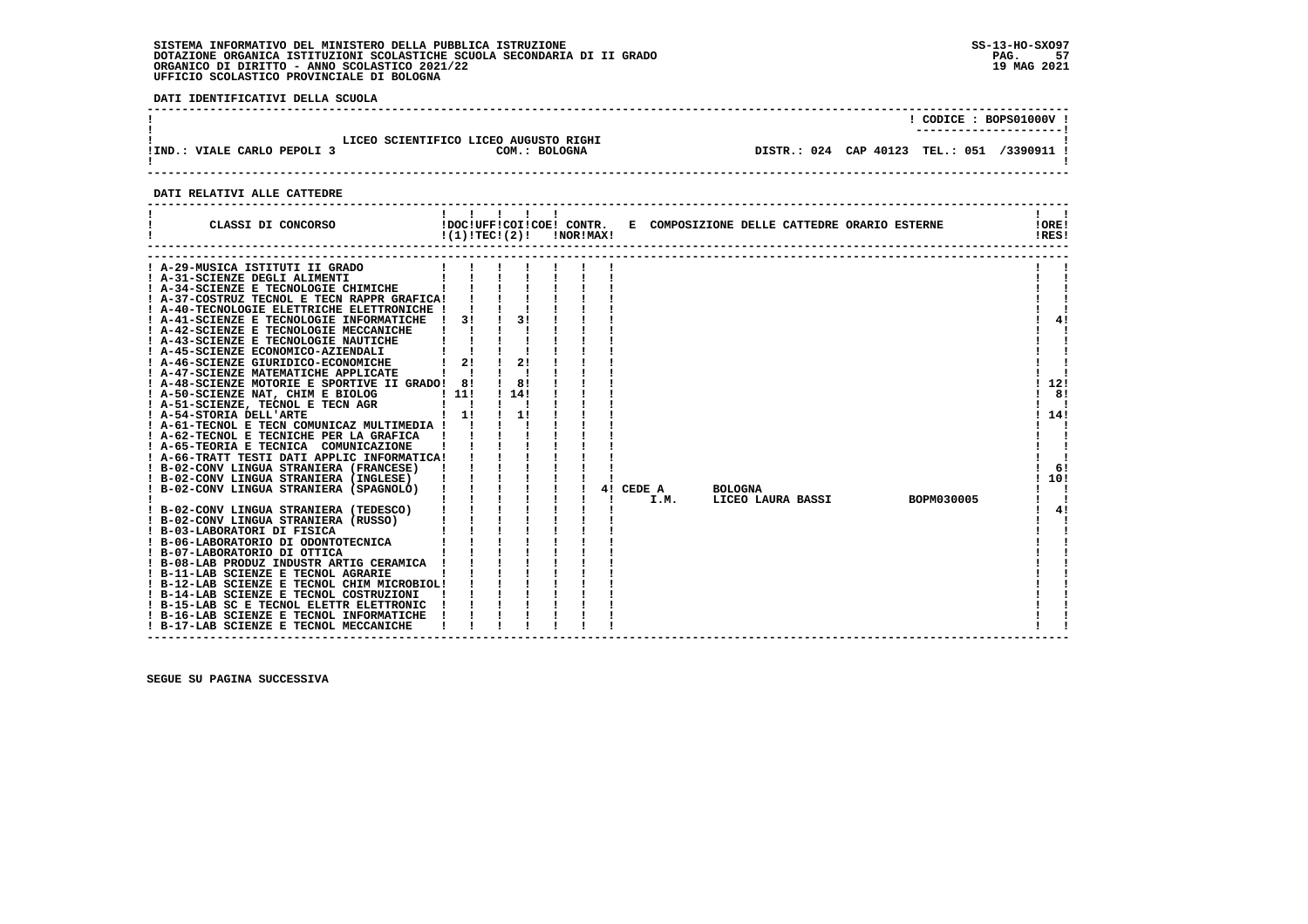**DATI IDENTIFICATIVI DELLA SCUOLA**

| LICEO SCIENTIFICO LICEO AUGUSTO RIGHI<br>DISTR.: 024 CAP 40123 TEL.: 051 /3390911 !<br>!IND.: VIALE CARLO PEPOLI 3<br>COM.: BOLOGNA |  | CODICE: BOPS01000V!<br>----------------------- |
|-------------------------------------------------------------------------------------------------------------------------------------|--|------------------------------------------------|
|                                                                                                                                     |  |                                                |

# **DATI RELATIVI ALLE CATTEDRE**

| CLASSI DI CONCORSO                                                                  |    | $!(1)!TEC!(2)!$ $INORIMAX!$ |  |    |        |                | !DOC!UFF!COI!COE! CONTR. E COMPOSIZIONE DELLE CATTEDRE ORARIO ESTERNE |            | IOREI<br>!RES! |     |
|-------------------------------------------------------------------------------------|----|-----------------------------|--|----|--------|----------------|-----------------------------------------------------------------------|------------|----------------|-----|
| A-29-MUSICA ISTITUTI II GRADO                                                       |    |                             |  |    |        |                |                                                                       |            |                |     |
| ! A-31-SCIENZE DEGLI ALIMENTI                                                       |    |                             |  |    |        |                |                                                                       |            |                |     |
| ! A-34-SCIENZE E TECNOLOGIE CHIMICHE                                                |    |                             |  |    |        |                |                                                                       |            |                |     |
| ! A-37-COSTRUZ TECNOL E TECN RAPPR GRAFICA!                                         |    |                             |  |    |        |                |                                                                       |            |                |     |
| ! A-40-TECNOLOGIE ELETTRICHE ELETTRONICHE !                                         |    |                             |  |    |        |                |                                                                       |            |                |     |
| ! A-41-SCIENZE E TECNOLOGIE INFORMATICHE                                            | 31 | 31                          |  |    |        |                |                                                                       |            |                | 41  |
| ! A-42-SCIENZE E TECNOLOGIE MECCANICHE                                              |    |                             |  |    |        |                |                                                                       |            |                |     |
| ! A-43-SCIENZE E TECNOLOGIE NAUTICHE                                                |    |                             |  |    |        |                |                                                                       |            |                |     |
| ! A-45-SCIENZE ECONOMICO-AZIENDALI                                                  |    |                             |  |    |        |                |                                                                       |            |                |     |
| ! A-46-SCIENZE GIURIDICO-ECONOMICHE                                                 | 21 | 21                          |  |    |        |                |                                                                       |            |                |     |
| ! A-47-SCIENZE MATEMATICHE APPLICATE                                                |    |                             |  |    |        |                |                                                                       |            |                |     |
| ! A-48-SCIENZE MOTORIE E SPORTIVE II GRADO! 8!                                      |    | 81                          |  |    |        |                |                                                                       |            |                | 12! |
| ! A-50-SCIENZE NAT, CHIM E BIOLOG                                                   |    | 1141                        |  |    |        |                |                                                                       |            |                | 8!  |
| E BIOLOG ! 11!<br>TECN AGR ! !<br>! 1!<br>! A-51-SCIENZE, TECNOL E TECN AGR         |    |                             |  |    |        |                |                                                                       |            |                |     |
| ! A-54-STORIA DELL'ARTE                                                             |    | 11                          |  |    |        |                |                                                                       |            |                | 14! |
| ! A-61-TECNOL E TECN COMUNICAZ MULTIMEDIA !                                         |    |                             |  |    |        |                |                                                                       |            |                |     |
| ! A-62-TECNOL E TECNICHE PER LA GRAFICA                                             |    |                             |  |    |        |                |                                                                       |            |                |     |
| ! A-65-TEORIA E TECNICA COMUNICAZIONE                                               |    |                             |  |    |        |                |                                                                       |            |                |     |
| ! A-66-TRATT TESTI DATI APPLIC INFORMATICA!                                         |    |                             |  |    |        |                |                                                                       |            |                |     |
| ! B-02-CONV LINGUA STRANIERA (FRANCESE)                                             |    |                             |  |    |        |                |                                                                       |            |                | -61 |
| ! B-02-CONV LINGUA STRANIERA (INGLESE)                                              |    |                             |  |    |        |                |                                                                       |            |                | 10! |
| B-02-CONV LINGUA STRANIERA (SPAGNOLO)                                               |    |                             |  | 41 | CEDE A | <b>BOLOGNA</b> |                                                                       |            |                |     |
|                                                                                     |    |                             |  |    | I.M.   |                | LICEO LAURA BASSI                                                     | BOPM030005 |                |     |
| ! B-02-CONV LINGUA STRANIERA (TEDESCO)                                              |    |                             |  |    |        |                |                                                                       |            |                | 4!  |
| ! B-02-CONV LINGUA STRANIERA (RUSSO)                                                |    |                             |  |    |        |                |                                                                       |            |                |     |
| י (טפטט. $\Gamma$ !<br>! B-03-LABORATORI DI FISICA                                  |    |                             |  |    |        |                |                                                                       |            |                |     |
| ! B-06-LABORATORIO DI ODONTOTECNICA                                                 |    |                             |  |    |        |                |                                                                       |            |                |     |
| ! B-07-LABORATORIO DI OTTICA                                                        |    |                             |  |    |        |                |                                                                       |            |                |     |
| ! B-08-LAB PRODUZ INDUSTR ARTIG CERAMICA !                                          |    |                             |  |    |        |                |                                                                       |            |                |     |
| ! B-11-LAB SCIENZE E TECNOL AGRARIE                                                 |    |                             |  |    |        |                |                                                                       |            |                |     |
| ! B-12-LAB SCIENZE E TECNOL CHIM MICROBIOL!                                         |    |                             |  |    |        |                |                                                                       |            |                |     |
| ! B-14-LAB SCIENZE E TECNOL COSTRUZIONI<br>! B-15-LAB SC E TECNOL ELETTR ELETTRONIC |    |                             |  |    |        |                |                                                                       |            |                |     |
| ! B-16-LAB SCIENZE E TECNOL INFORMATICHE                                            |    |                             |  |    |        |                |                                                                       |            |                |     |
| ! B-17-LAB SCIENZE E TECNOL MECCANICHE                                              |    |                             |  |    |        |                |                                                                       |            |                |     |
|                                                                                     |    |                             |  |    |        |                |                                                                       |            |                |     |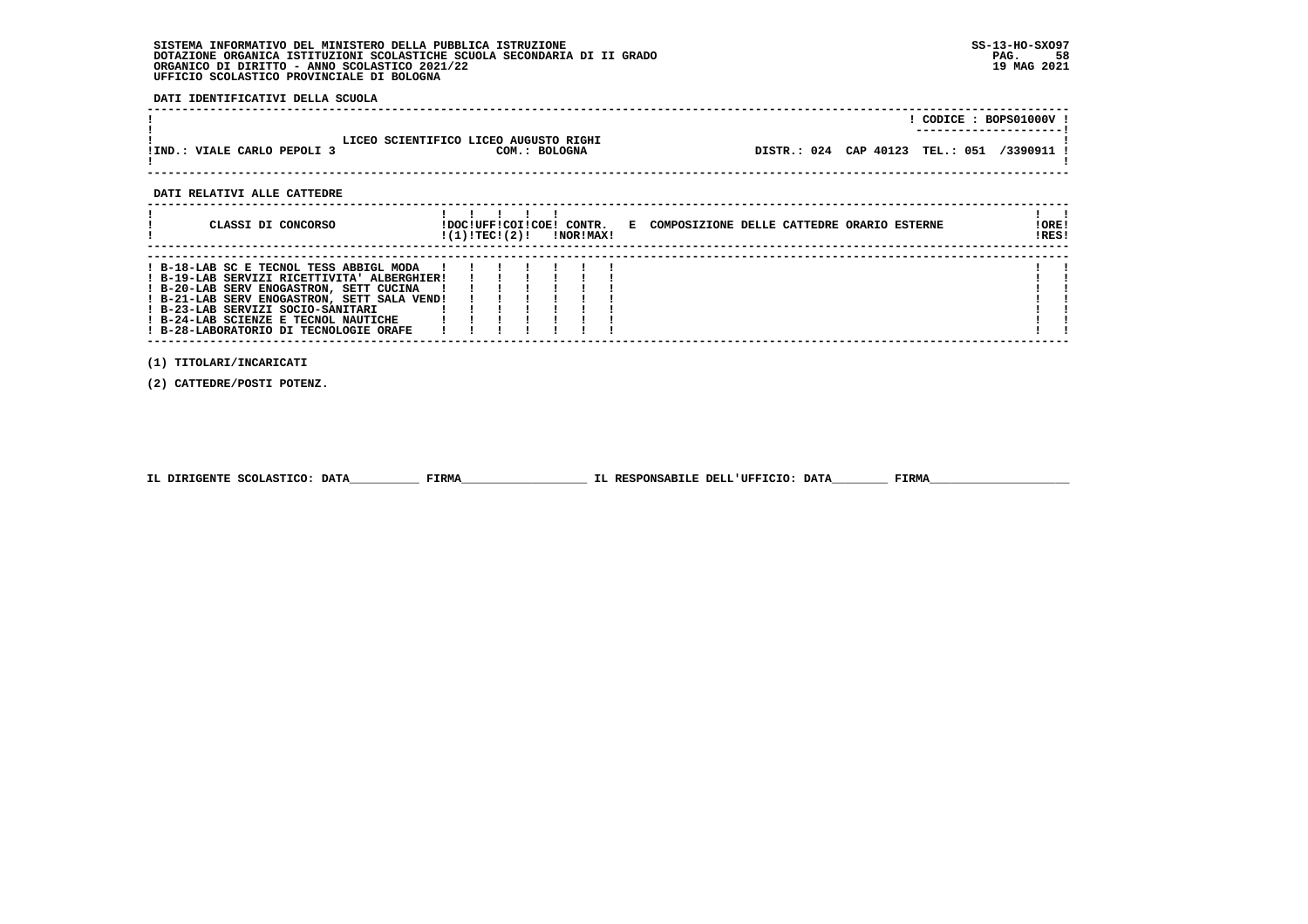**DATI IDENTIFICATIVI DELLA SCUOLA**

|                             |                                                        | CODICE: BOPS01000V:                                                  |
|-----------------------------|--------------------------------------------------------|----------------------------------------------------------------------|
| !IND.: VIALE CARLO PEPOLI 3 | LICEO SCIENTIFICO LICEO AUGUSTO RIGHI<br>COM.: BOLOGNA | ----------------------<br>DISTR.: 024 CAP 40123 TEL.: 051 /3390911 ! |
|                             |                                                        |                                                                      |

 **DATI RELATIVI ALLE CATTEDRE**

| CLASSI DI CONCORSO                                                                                                                                                                                                                                                                                      | !DOC!UFF!COI!COE! CONTR.<br>!(1)!TEC!(2)! |  | !NOR!MAX! | E COMPOSIZIONE DELLE CATTEDRE ORARIO ESTERNE | !ORE!<br>!RES! |
|---------------------------------------------------------------------------------------------------------------------------------------------------------------------------------------------------------------------------------------------------------------------------------------------------------|-------------------------------------------|--|-----------|----------------------------------------------|----------------|
| ! B-18-LAB SC E TECNOL TESS ABBIGL MODA<br>! B-19-LAB SERVIZI RICETTIVITA' ALBERGHIER!<br>! B-20-LAB SERV ENOGASTRON, SETT CUCINA<br>! B-21-LAB SERV ENOGASTRON, SETT SALA VEND!<br>! B-23-LAB SERVIZI SOCIO-SANITARI<br>! B-24-LAB SCIENZE E TECNOL NAUTICHE<br>! B-28-LABORATORIO DI TECNOLOGIE ORAFE |                                           |  |           |                                              |                |

 **(1) TITOLARI/INCARICATI**

 **(2) CATTEDRE/POSTI POTENZ.**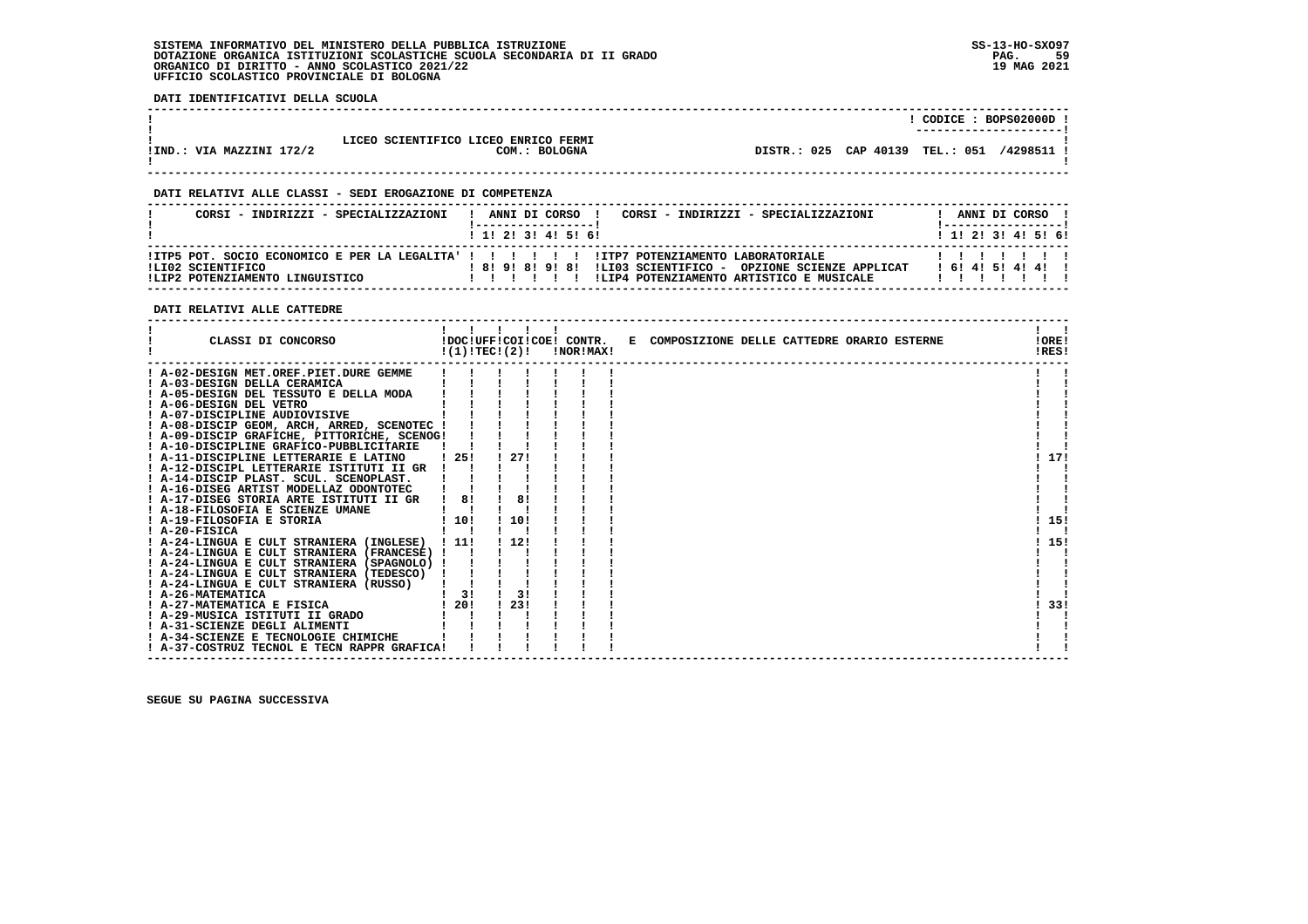**DATI IDENTIFICATIVI DELLA SCUOLA**

|                          |                                                       | CODICE: BOPS02000D<br>----------------------   |
|--------------------------|-------------------------------------------------------|------------------------------------------------|
| !IND.: VIA MAZZINI 172/2 | LICEO SCIENTIFICO LICEO ENRICO FERMI<br>COM.: BOLOGNA | DISTR.: 025 CAP 40139<br>/4298511<br>TEL.: 051 |

 **------------------------------------------------------------------------------------------------------------------------------------**

 **------------------------------------------------------------------------------------------------------------------------------------**

# **DATI RELATIVI ALLE CLASSI - SEDI EROGAZIONE DI COMPETENZA**

| CORSI - INDIRIZZI - SPECIALIZZAZIONI                 | CORSI - INDIRIZZI - SPECIALIZZAZIONI<br>ANNI DI CORSO !                                                                                                                                                | ANNI DI CORSO !           |
|------------------------------------------------------|--------------------------------------------------------------------------------------------------------------------------------------------------------------------------------------------------------|---------------------------|
|                                                      | 1 1 1 2 1 3 1 4 1 5 1 6 1                                                                                                                                                                              | 1 1 1 2 1 3 1 4 1 5 1 6 1 |
| ILI02 SCIENTIFICO<br>!LIP2 POTENZIAMENTO LINGUISTICO | ITP5 POT. SOCIO ECONOMICO E PER LA LEGALITA' ! ! ! ! ! ! ITP7 POTENZIAMENTO LABORATORIALE<br>! 8! 9! 8! 9! 8! !LIO3 SCIENTIFICO - OPZIONE SCIENZE APPLICAT<br>ILIP4 POTENZIAMENTO ARTISTICO E MUSICALE | 161415141411              |

# **DATI RELATIVI ALLE CATTEDRE**

| CLASSI DI CONCORSO<br>!DOC!UFF!COI!COE! CONTR.<br>!(1)!TECI(2)!<br>!NOR!MAX! | E COMPOSIZIONE DELLE CATTEDRE ORARIO ESTERNE<br>!ORE!<br>!RES! |
|------------------------------------------------------------------------------|----------------------------------------------------------------|
| ! A-02-DESIGN MET.OREF.PIET.DURE GEMME                                       |                                                                |
| ! A-03-DESIGN DELLA CERAMICA                                                 |                                                                |
| ! A-05-DESIGN DEL TESSUTO E DELLA MODA                                       |                                                                |
| ! A-06-DESIGN DEL VETRO                                                      |                                                                |
| ! A-07-DISCIPLINE AUDIOVISIVE                                                |                                                                |
| ! A-08-DISCIP GEOM, ARCH, ARRED, SCENOTEC !                                  |                                                                |
| ! A-09-DISCIP GRAFICHE, PITTORICHE, SCENOG!                                  |                                                                |
| ! A-10-DISCIPLINE GRAFICO-PUBBLICITARIE                                      |                                                                |
| 27!<br>125!<br>! A-11-DISCIPLINE LETTERARIE E LATINO                         | 17!                                                            |
| ! A-12-DISCIPL LETTERARIE ISTITUTI II GR                                     |                                                                |
| ! A-14-DISCIP PLAST. SCUL. SCENOPLAST.                                       |                                                                |
| ! A-16-DISEG ARTIST MODELLAZ ODONTOTEC                                       |                                                                |
| 8!<br>! A-17-DISEG STORIA ARTE ISTITUTI II GR<br>8!                          |                                                                |
| ! A-18-FILOSOFIA E SCIENZE UMANE                                             |                                                                |
| 10!<br>110!<br>! A-19-FILOSOFIA E STORIA                                     | 15!                                                            |
| ! A-20-FISICA                                                                |                                                                |
| 1121<br>! A-24-LINGUA E CULT STRANIERA (INGLESE) ! 11!                       | 15!                                                            |
| ! A-24-LINGUA E CULT STRANIERA (FRANCESE) !                                  |                                                                |
| ! A-24-LINGUA E CULT STRANIERA (SPAGNOLO) !                                  |                                                                |
| ! A-24-LINGUA E CULT STRANIERA (TEDESCO)                                     |                                                                |
| ! A-24-LINGUA E CULT STRANIERA (RUSSO)                                       |                                                                |
| 3!<br>3!<br>! A-26-MATEMATICA                                                |                                                                |
| 23!<br>1201<br>! A-27-MATEMATICA E FISICA                                    | 33!                                                            |
| ! A-29-MUSICA ISTITUTI II GRADO                                              |                                                                |
| ! A-31-SCIENZE DEGLI ALIMENTI                                                |                                                                |
| ! A-34-SCIENZE E TECNOLOGIE CHIMICHE                                         |                                                                |
| ! A-37-COSTRUZ TECNOL E TECN RAPPR GRAFICA!                                  |                                                                |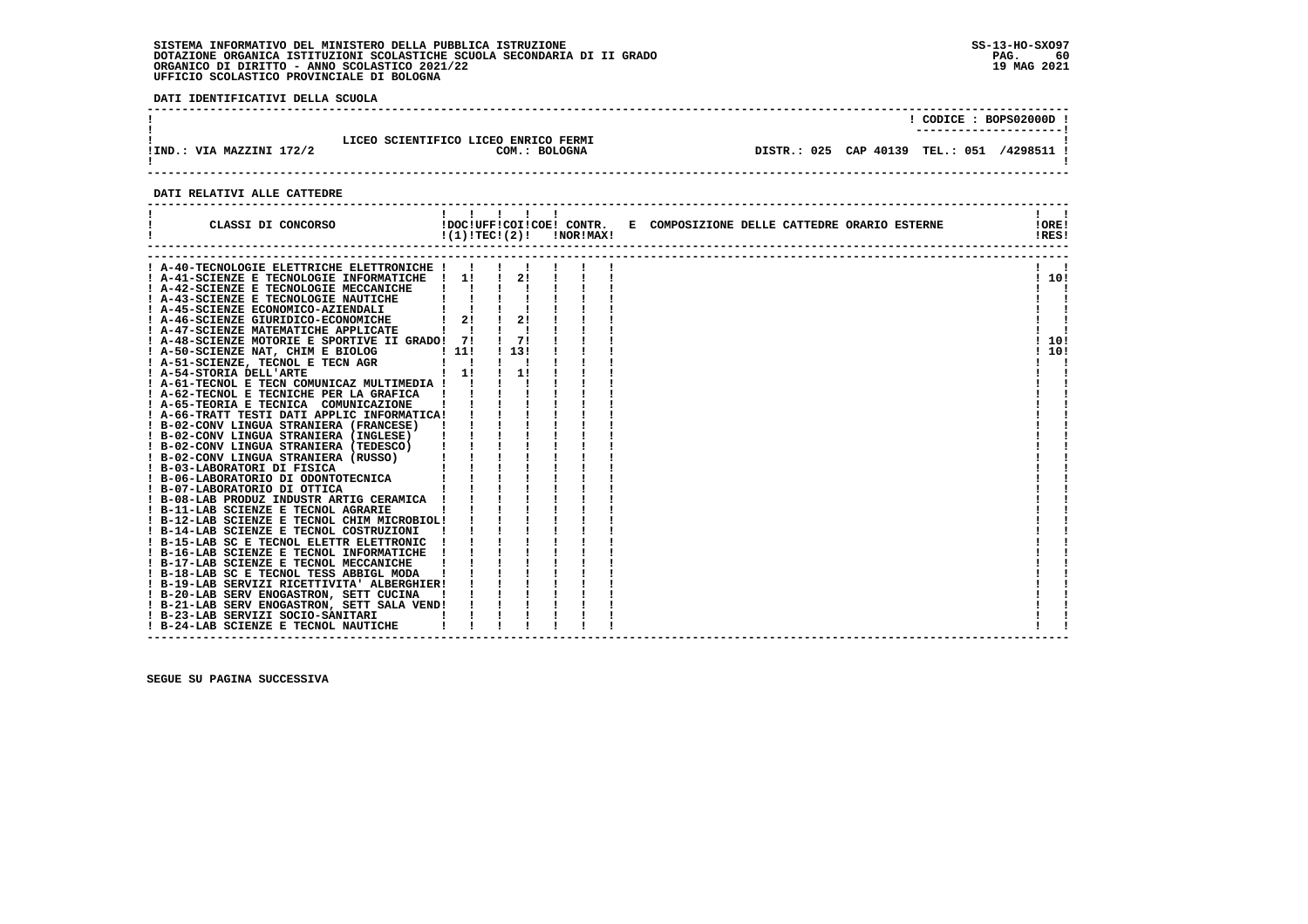**DATI IDENTIFICATIVI DELLA SCUOLA**

|                                                                                   |                                 |  | CODICE: BOPS02000D ! |
|-----------------------------------------------------------------------------------|---------------------------------|--|----------------------|
| LICEO SCIENTIFICO LICEO ENRICO FERMI<br>IIND.: VIA MAZZINI 172/2<br>COM.: BOLOGNA | DISTR.: 025 CAP 40139 TEL.: 051 |  | /4298511 !           |

# **DATI RELATIVI ALLE CATTEDRE**

| CLASSI DI CONCORSO                                                                                                                                                                                | $!(1)!TEC!(2)!$ $INORIMAX!$   | 11111                         |  | !DOC!UFF!COI!COE! CONTR. E COMPOSIZIONE DELLE CATTEDRE ORARIO ESTERNE | !!<br>!ORE!<br>!RES! |
|---------------------------------------------------------------------------------------------------------------------------------------------------------------------------------------------------|-------------------------------|-------------------------------|--|-----------------------------------------------------------------------|----------------------|
| A-40-TECNOLOGIE ELETTRICHE ELETTRONICHE !                                                                                                                                                         |                               |                               |  |                                                                       |                      |
| ! A-41-SCIENZE E TECNOLOGIE INFORMATICHE                                                                                                                                                          | $\frac{1}{2}$                 | 21                            |  |                                                                       | !10!                 |
| ! A-42-SCIENZE E TECNOLOGIE MECCANICHE                                                                                                                                                            |                               |                               |  |                                                                       |                      |
| ! A-43-SCIENZE E TECNOLOGIE NAUTICHE                                                                                                                                                              |                               |                               |  |                                                                       |                      |
| ! A-45-SCIENZE ECONOMICO-AZIENDALI                                                                                                                                                                |                               | $1 \quad 1 \quad 1 \quad 1$   |  |                                                                       |                      |
| ! A-46-SCIENZE GIURIDICO-ECONOMICHE                                                                                                                                                               |                               | $1 \quad 2! \quad 1 \quad 2!$ |  |                                                                       |                      |
| ! A-47-SCIENZE MATEMATICHE APPLICATE                                                                                                                                                              | $\mathbf{I}$ and $\mathbf{I}$ |                               |  |                                                                       |                      |
| ! A-48-SCIENZE MOTORIE E SPORTIVE II GRADO! 7!                                                                                                                                                    |                               | $\frac{1}{2}$                 |  |                                                                       | ! 10!                |
| ! A-50-SCIENZE NAT, CHIM E BIOLOG                                                                                                                                                                 |                               | . 131                         |  |                                                                       | 10!                  |
| LOG ! 11!<br>AGR ! !<br>! 1!<br>! A-51-SCIENZE, TECNOL E TECN AGR                                                                                                                                 |                               |                               |  |                                                                       |                      |
| ! A-54-STORIA DELL'ARTE                                                                                                                                                                           | $\frac{1}{2}$                 | $\frac{1}{1}$                 |  |                                                                       |                      |
| ! A-61-TECNOL E TECN COMUNICAZ MULTIMEDIA ! !                                                                                                                                                     |                               |                               |  |                                                                       |                      |
| ! A-62-TECNOL E TECNICHE PER LA GRAFICA                                                                                                                                                           |                               |                               |  |                                                                       |                      |
|                                                                                                                                                                                                   |                               |                               |  |                                                                       |                      |
| I A-66-TRATT TESTI DATI APPLIC INFORMATICA!      <br>  B-02-CONV LINGUA STRANIERA (FRANCESE)        <br>  B-02-CONV LINGUA STRANIERA (FRANCESE)        <br>  B-02-CONV LINGUA STRANIERA (INGLESE) |                               |                               |  |                                                                       |                      |
|                                                                                                                                                                                                   |                               |                               |  |                                                                       |                      |
|                                                                                                                                                                                                   |                               |                               |  |                                                                       |                      |
|                                                                                                                                                                                                   |                               |                               |  |                                                                       |                      |
|                                                                                                                                                                                                   |                               |                               |  |                                                                       |                      |
|                                                                                                                                                                                                   |                               |                               |  |                                                                       |                      |
|                                                                                                                                                                                                   |                               |                               |  |                                                                       |                      |
|                                                                                                                                                                                                   |                               |                               |  |                                                                       |                      |
|                                                                                                                                                                                                   |                               |                               |  |                                                                       |                      |
|                                                                                                                                                                                                   |                               |                               |  |                                                                       |                      |
|                                                                                                                                                                                                   |                               |                               |  |                                                                       |                      |
|                                                                                                                                                                                                   |                               |                               |  |                                                                       |                      |
|                                                                                                                                                                                                   |                               |                               |  |                                                                       |                      |
|                                                                                                                                                                                                   |                               |                               |  |                                                                       |                      |
| ! B-17-LAB SCIENZE E TECNOL MECCANICHE                                                                                                                                                            |                               |                               |  |                                                                       |                      |
| ! B-18-LAB SC E TECNOL TESS ABBIGL MODA                                                                                                                                                           |                               |                               |  |                                                                       |                      |
| ! B-19-LAB SERVIZI RICETTIVITA' ALBERGHIER!                                                                                                                                                       |                               |                               |  |                                                                       |                      |
| ! B-20-LAB SERV ENOGASTRON, SETT CUCINA                                                                                                                                                           |                               |                               |  |                                                                       |                      |
| ! B-21-LAB SERV ENOGASTRON, SETT SALA VEND!                                                                                                                                                       |                               |                               |  |                                                                       |                      |
| ! B-23-LAB SERVIZI SOCIO-SANITARI                                                                                                                                                                 |                               |                               |  |                                                                       |                      |
| ! B-24-LAB SCIENZE E TECNOL NAUTICHE                                                                                                                                                              |                               |                               |  |                                                                       |                      |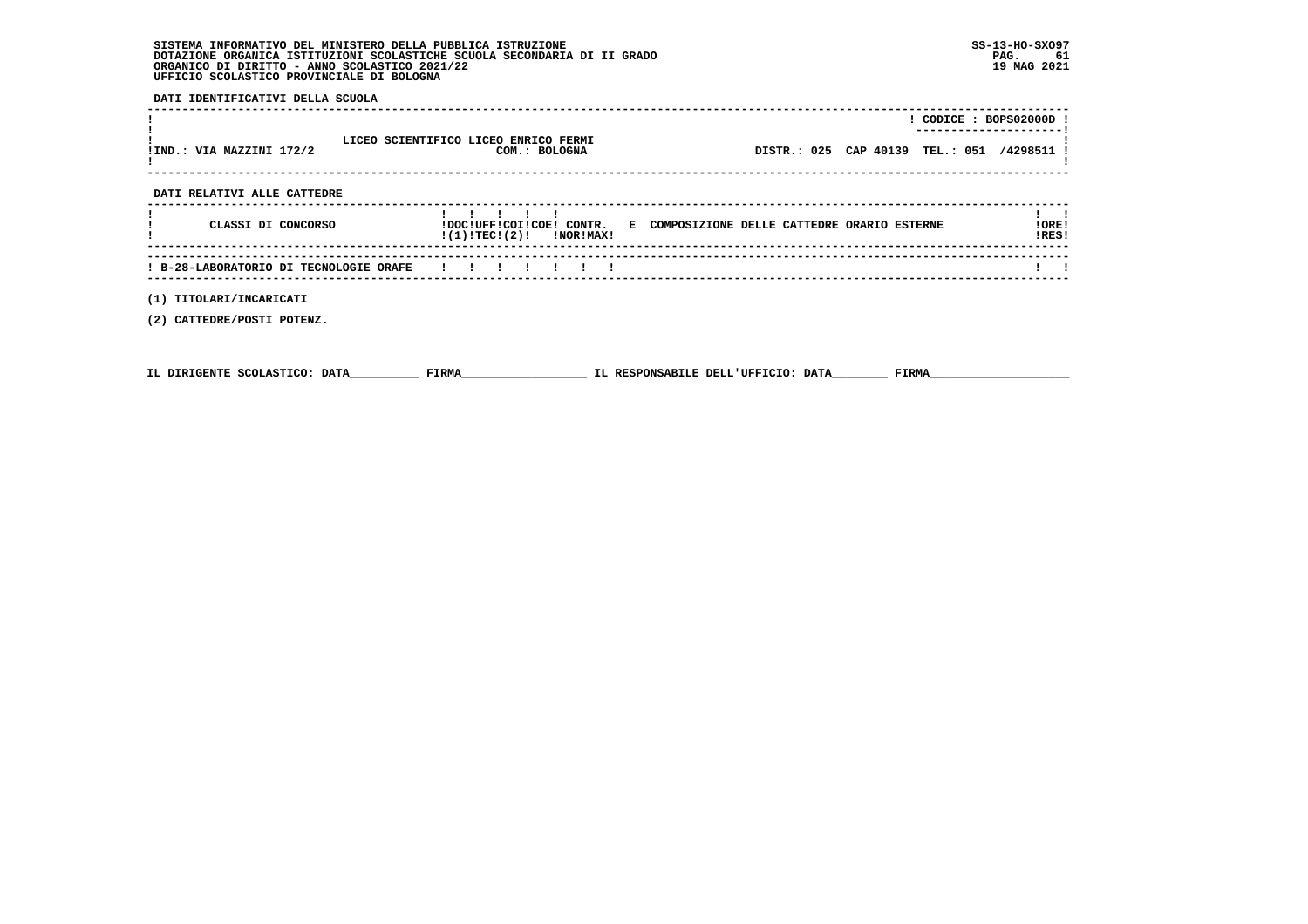**DATI IDENTIFICATIVI DELLA SCUOLA**

| !IND.: VIA MAZZINI 172/2               | LICEO SCIENTIFICO LICEO ENRICO FERMI<br>COM.: BOLOGNA | ! CODICE : BOPS02000D !<br>DISTR.: 025 CAP 40139 TEL.: 051 /4298511 ! |                |
|----------------------------------------|-------------------------------------------------------|-----------------------------------------------------------------------|----------------|
| DATI RELATIVI ALLE CATTEDRE            |                                                       |                                                                       |                |
| CLASSI DI CONCORSO                     | $!(1)!TEC!(2)!$ $INORIMAX!$                           | !DOC!UFF!COI!COE! CONTR. E COMPOSIZIONE DELLE CATTEDRE ORARIO ESTERNE | !ORE!<br>!RES! |
| ! B-28-LABORATORIO DI TECNOLOGIE ORAFE | .                                                     |                                                                       |                |
| TITOLARI/INCARICATI<br>(1)             |                                                       |                                                                       |                |

 **(2) CATTEDRE/POSTI POTENZ.**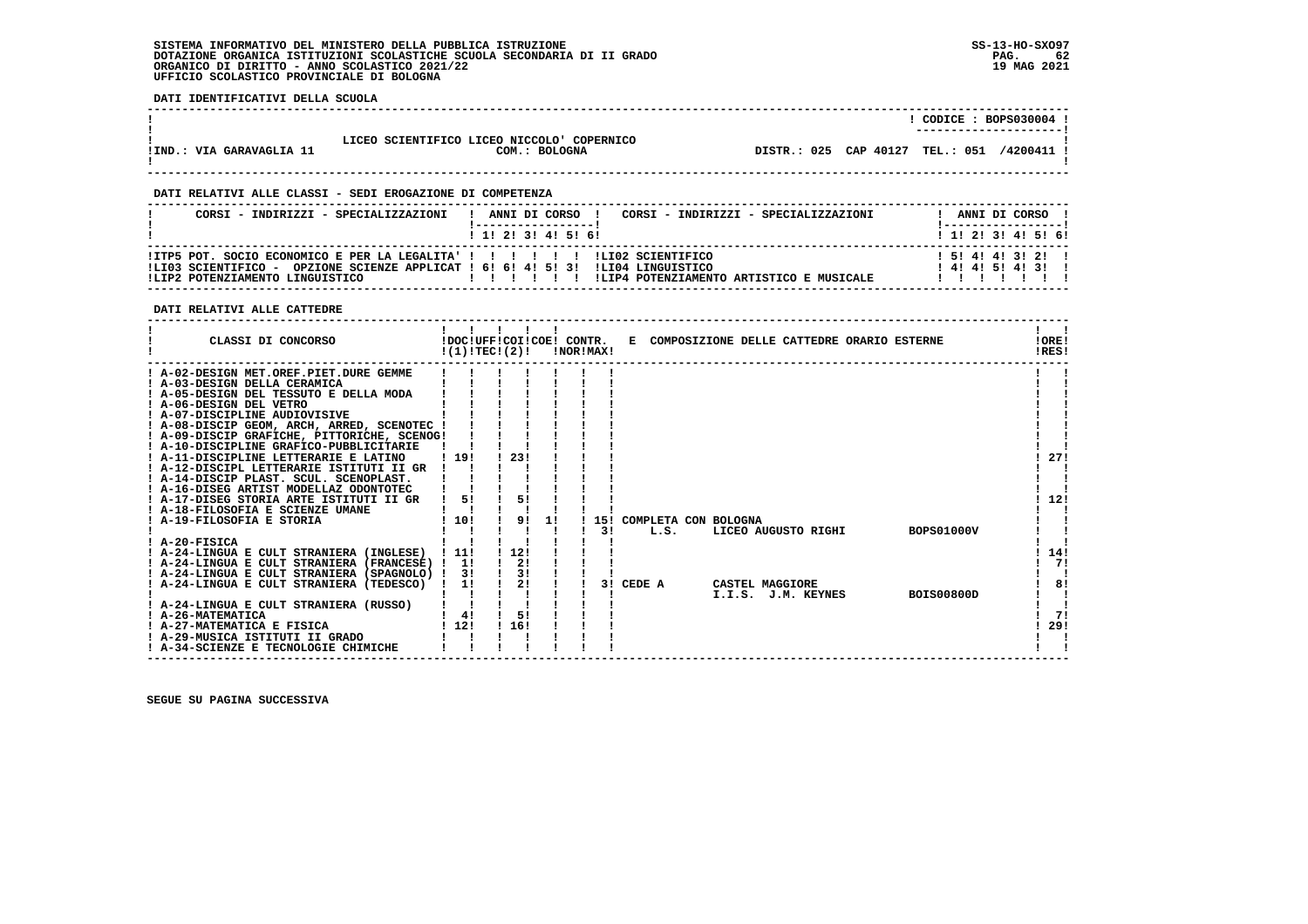**DATI IDENTIFICATIVI DELLA SCUOLA**

|                          |                                                            |             |           | CODE: BOPS030004<br>----------------------- |          |
|--------------------------|------------------------------------------------------------|-------------|-----------|---------------------------------------------|----------|
| !IND.: VIA GARAVAGLIA 11 | LICEO SCIENTIFICO LICEO NICCOLO COPERNICO<br>COM.: BOLOGNA | DISTR.: 025 | CAP 40127 | <b>TEL.: 051</b>                            | /4200411 |

 **------------------------------------------------------------------------------------------------------------------------------------**

 **------------------------------------------------------------------------------------------------------------------------------------**

# **DATI RELATIVI ALLE CLASSI - SEDI EROGAZIONE DI COMPETENZA**

| CORST - INDIRIZZI - SPECIALIZZAZIONI                                                                                                                                                                 | ANNI DI CORSO<br>CORSI - INDIRIZZI - SPECIALIZZAZIONI | ANNI DI CORSO !                       |
|------------------------------------------------------------------------------------------------------------------------------------------------------------------------------------------------------|-------------------------------------------------------|---------------------------------------|
|                                                                                                                                                                                                      | 1 1 1 2 1 3 1 4 1 5 1 6 1                             | 1 1 2 3 3 4 5 5 6 1                   |
| IITP5 POT. SOCIO ECONOMICO E PER LA LEGALITA' ! ! ! ! ! ! ! ! LIO2 SCIENTIFICO<br>!LI03 SCIENTIFICO - OPZIONE SCIENZE APPLICAT ! 6! 6! 4! 5! 3! !LI04 LINGUISTICO<br>!LIP2 POTENZIAMENTO LINGUISTICO | ILIP4 POTENZIAMENTO ARTISTICO E MUSICALE              | 1 5 1 4 1 4 1 3 1 2 1<br>141415141311 |

# **DATI RELATIVI ALLE CATTEDRE**

| CLASSI DI CONCORSO                              | !(1)!TECI(2)! | !DOC!UFF!COI!COE! CONTR. |    | !NOR!MAX! |     |        | E COMPOSIZIONE DELLE CATTEDRE ORARIO ESTERNE |                    |                   | !ORE!<br>!RES! |
|-------------------------------------------------|---------------|--------------------------|----|-----------|-----|--------|----------------------------------------------|--------------------|-------------------|----------------|
| ! A-02-DESIGN MET.OREF.PIET.DURE GEMME          |               |                          |    |           |     |        |                                              |                    |                   |                |
| ! A-03-DESIGN DELLA CERAMICA                    |               |                          |    |           |     |        |                                              |                    |                   |                |
| A-05-DESIGN DEL TESSUTO E DELLA MODA            |               |                          |    |           |     |        |                                              |                    |                   |                |
| ! A-06-DESIGN DEL VETRO                         |               |                          |    |           |     |        |                                              |                    |                   |                |
| ! A-07-DISCIPLINE AUDIOVISIVE                   |               |                          |    |           |     |        |                                              |                    |                   |                |
| ! A-08-DISCIP GEOM, ARCH, ARRED, SCENOTEC !     |               |                          |    |           |     |        |                                              |                    |                   |                |
| ! A-09-DISCIP GRAFICHE, PITTORICHE, SCENOG!     |               |                          |    |           |     |        |                                              |                    |                   |                |
| ! A-10-DISCIPLINE GRAFICO-PUBBLICITARIE         |               |                          |    |           |     |        |                                              |                    |                   |                |
| ! A-11-DISCIPLINE LETTERARIE E LATINO           | ! 19!         | 23!                      |    |           |     |        |                                              |                    |                   | 27!            |
| ! A-12-DISCIPL LETTERARIE ISTITUTI II GR        |               |                          |    |           |     |        |                                              |                    |                   |                |
| ! A-14-DISCIP PLAST, SCUL, SCENOPLAST,          |               |                          |    |           |     |        |                                              |                    |                   |                |
| ! A-16-DISEG ARTIST MODELLAZ ODONTOTEC          |               |                          |    |           |     |        |                                              |                    |                   |                |
| ! A-17-DISEG STORIA ARTE ISTITUTI II GR         | 5!            | 5!                       |    |           |     |        |                                              |                    |                   | 12!            |
| ! A-18-FILOSOFIA E SCIENZE UMANE                |               |                          |    |           |     |        |                                              |                    |                   |                |
| A-19-FILOSOFIA E STORIA                         | 110!          | 91                       | 11 |           | 151 |        | COMPLETA CON BOLOGNA                         |                    |                   |                |
|                                                 |               |                          |    |           | 31  | L.S.   | LICEO AUGUSTO RIGHI                          |                    | <b>BOPS01000V</b> |                |
| ! A-20-FISICA                                   |               |                          |    |           |     |        |                                              |                    |                   |                |
| ! A-24-LINGUA E CULT STRANIERA (INGLESE)        | . . 11.       | 1121                     |    |           |     |        |                                              |                    |                   | 14!            |
| ! A-24-LINGUA E CULT STRANIERA (FRANCESE) ! 1!  |               | 2!                       |    |           |     |        |                                              |                    |                   | 71             |
| ! A-24-LINGUA E CULT STRANIERA (SPAGNOLO) !     | -31           | 3!                       |    |           |     |        |                                              |                    |                   |                |
| A-24-LINGUA E CULT STRANIERA (TEDESCO)          | 1!            | 2!                       |    |           | 31  | CEDE A | CASTEL MAGGIORE                              |                    |                   | 81             |
|                                                 |               |                          |    |           |     |        |                                              | I.I.S. J.M. KEYNES | <b>BOIS00800D</b> |                |
| ! A-24-LINGUA E CULT STRANIERA (RUSSO)          |               |                          |    |           |     |        |                                              |                    |                   | 71             |
| ! A-26-MATEMATICA<br>! A-27-MATEMATICA E FISICA | 4!<br>! 12!   | 5!<br>116!               |    |           |     |        |                                              |                    |                   | 29!            |
| ! A-29-MUSICA ISTITUTI II GRADO                 |               |                          |    |           |     |        |                                              |                    |                   |                |
| ! A-34-SCIENZE E TECNOLOGIE CHIMICHE            |               |                          |    |           |     |        |                                              |                    |                   |                |
|                                                 |               |                          |    |           |     |        |                                              |                    |                   |                |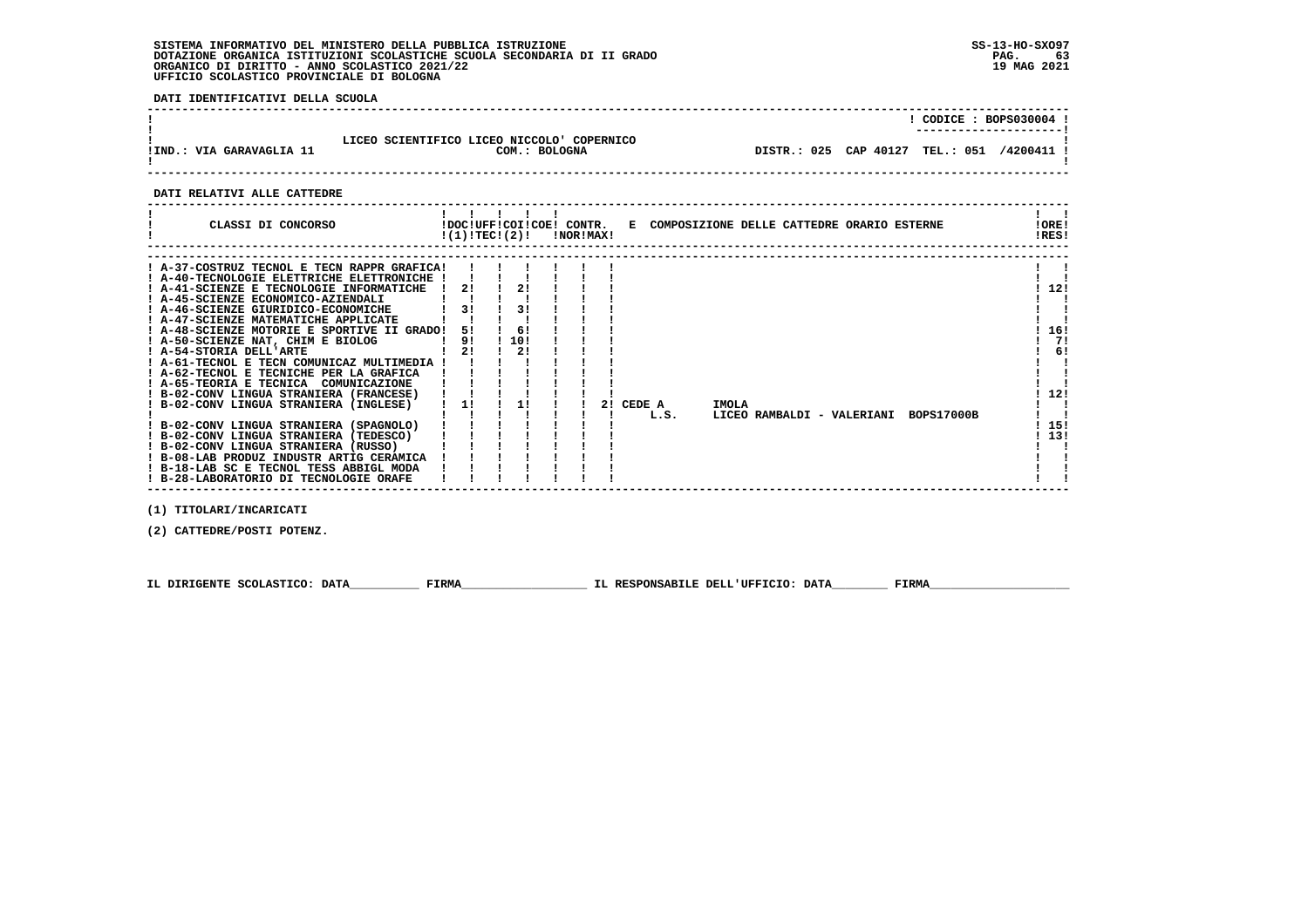**DATI IDENTIFICATIVI DELLA SCUOLA**

| !IND.: VIA GARAVAGLIA 11    | LICEO SCIENTIFICO LICEO NICCOLO COPERNICO<br>COM.: BOLOGNA |                                              |  |  |  | ! CODICE : BOPS030004 !<br>DISTR.: 025 CAP 40127 TEL.: 051 /4200411 ! |                |
|-----------------------------|------------------------------------------------------------|----------------------------------------------|--|--|--|-----------------------------------------------------------------------|----------------|
| DATI RELATIVI ALLE CATTEDRE |                                                            |                                              |  |  |  |                                                                       |                |
| CLASSI DI CONCORSO          | !DOC!UFF!COI!COE! CONTR.<br>!(1)!TEC!(2)!<br>!NOR!MAX!     | E COMPOSIZIONE DELLE CATTEDRE ORARIO ESTERNE |  |  |  |                                                                       | !ORE!<br>!RES! |

| ! A-37-COSTRUZ TECNOL E TECN RAPPR GRAFICA! |    |      |  |    |        |       |  |                            |                   |     |  |
|---------------------------------------------|----|------|--|----|--------|-------|--|----------------------------|-------------------|-----|--|
| ! A-40-TECNOLOGIE ELETTRICHE ELETTRONICHE ! |    |      |  |    |        |       |  |                            |                   |     |  |
| ! A-41-SCIENZE E TECNOLOGIE INFORMATICHE    | 21 |      |  |    |        |       |  |                            |                   | 12! |  |
| ! A-45-SCIENZE ECONOMICO-AZIENDALI          |    |      |  |    |        |       |  |                            |                   |     |  |
| ! A-46-SCIENZE GIURIDICO-ECONOMICHE         | 31 | 31   |  |    |        |       |  |                            |                   |     |  |
| ! A-47-SCIENZE MATEMATICHE APPLICATE        |    |      |  |    |        |       |  |                            |                   |     |  |
| ! A-48-SCIENZE MOTORIE E SPORTIVE II GRADO! | 51 | -61  |  |    |        |       |  |                            |                   | 16! |  |
| ! A-50-SCIENZE NAT, CHIM E BIOLOG           | 9! | 110! |  |    |        |       |  |                            |                   | 71  |  |
| ! A-54-STORIA DELL'ARTE                     | 2! | 21   |  |    |        |       |  |                            |                   | 6!  |  |
| ! A-61-TECNOL E TECN COMUNICAZ MULTIMEDIA   |    |      |  |    |        |       |  |                            |                   |     |  |
| ! A-62-TECNOL E TECNICHE PER LA GRAFICA     |    |      |  |    |        |       |  |                            |                   |     |  |
| ! A-65-TEORIA E TECNICA COMUNICAZIONE       |    |      |  |    |        |       |  |                            |                   |     |  |
| ! B-02-CONV LINGUA STRANIERA (FRANCESE)     |    |      |  |    |        |       |  |                            |                   | 12! |  |
| ! B-02-CONV LINGUA STRANIERA (INGLESE)      |    |      |  | 21 | CEDE A | IMOLA |  |                            |                   |     |  |
|                                             |    |      |  |    | L.S.   |       |  | LICEO RAMBALDI - VALERIANI | <b>BOPS17000B</b> |     |  |
| ! B-02-CONV LINGUA STRANIERA (SPAGNOLO)     |    |      |  |    |        |       |  |                            |                   | 15! |  |
| ! B-02-CONV LINGUA STRANIERA (TEDESCO)      |    |      |  |    |        |       |  |                            |                   | 13! |  |
| ! B-02-CONV LINGUA STRANIERA (RUSSO)        |    |      |  |    |        |       |  |                            |                   |     |  |
| ! B-08-LAB PRODUZ INDUSTR ARTIG CERAMICA    |    |      |  |    |        |       |  |                            |                   |     |  |
| ! B-18-LAB SC E TECNOL TESS ABBIGL MODA     |    |      |  |    |        |       |  |                            |                   |     |  |
| ! B-28-LABORATORIO DI TECNOLOGIE ORAFE      |    |      |  |    |        |       |  |                            |                   |     |  |

 **(1) TITOLARI/INCARICATI**

 **(2) CATTEDRE/POSTI POTENZ.**

 **IL DIRIGENTE SCOLASTICO: DATA\_\_\_\_\_\_\_\_\_\_ FIRMA\_\_\_\_\_\_\_\_\_\_\_\_\_\_\_\_\_\_ IL RESPONSABILE DELL'UFFICIO: DATA\_\_\_\_\_\_\_\_ FIRMA\_\_\_\_\_\_\_\_\_\_\_\_\_\_\_\_\_\_\_\_**

 **------------------------------------------------------------------------------------------------------------------------------------**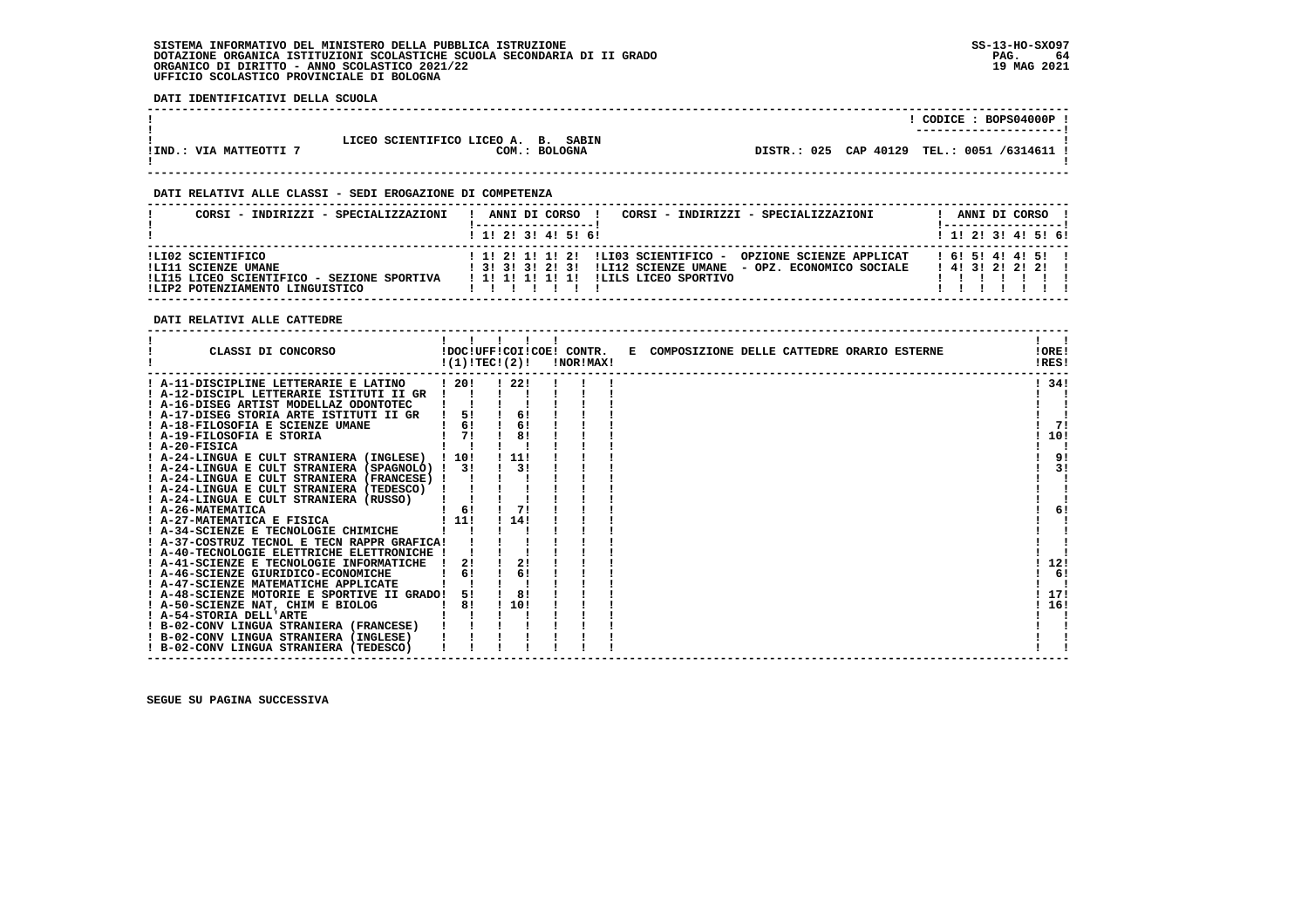**DATI IDENTIFICATIVI DELLA SCUOLA**

|                        |                                     | CODICE: BOPS04000P                             |
|------------------------|-------------------------------------|------------------------------------------------|
|                        |                                     | ----------------------                         |
|                        | LICEO SCIENTIFICO LICEO A. B. SABIN |                                                |
| !IND.: VIA MATTEOTTI 7 | COM.: BOLOGNA                       | DISTR.: 025 CAP 40129<br>TEL.: 0051 /6314611 ! |
|                        |                                     |                                                |

 **------------------------------------------------------------------------------------------------------------------------------------**

 **------------------------------------------------------------------------------------------------------------------------------------**

# **DATI RELATIVI ALLE CLASSI - SEDI EROGAZIONE DI COMPETENZA**

| CORSI - INDIRIZZI - SPECIALIZZAZIONI                                                                                      | ANNI DI CORSO<br>CORSI - INDIRIZZI - SPECIALIZZAZIONI                                                                                                                   | ANNI DI CORSO                                    |
|---------------------------------------------------------------------------------------------------------------------------|-------------------------------------------------------------------------------------------------------------------------------------------------------------------------|--------------------------------------------------|
|                                                                                                                           | $1$ , 1! 2! 3! 4! 5! 6!                                                                                                                                                 | 1 1 2 3 3 4 5 5 6                                |
| ILI02 SCIENTIFICO<br>ILI11 SCIENZE UMANE<br>!LI15 LICEO SCIENTIFICO - SEZIONE SPORTIVA<br>ILIP2 POTENZIAMENTO LINGUISTICO | ! 1! 2! 1! 1! 2! !LI03 SCIENTIFICO -<br>OPZIONE SCIENZE APPLICAT<br>1 31 31 21 31 1LI12 SCIENZE UMANE - OPZ. ECONOMICO SOCIALE<br>! 1! 1! 1! 1! 1! !LILS LICEO SPORTIVO | 1 6 1 5 1 4 1 4 1 5 1 1<br>1 4 1 3 1 2 1 2 1 2 1 |

 **DATI RELATIVI ALLE CATTEDRE**

| CLASSI DI CONCORSO                             |      | $\mathbf{I}$<br>!DOC!UFF!COI!COE! CONTR.<br>!(1)!TEC!(2)! | !NOR!MAX! | E COMPOSIZIONE DELLE CATTEDRE ORARIO ESTERNE | !ORE!<br>!RES! |
|------------------------------------------------|------|-----------------------------------------------------------|-----------|----------------------------------------------|----------------|
| ! A-11-DISCIPLINE LETTERARIE E LATINO          | 1201 | -221                                                      |           |                                              | ! 34!          |
| ! A-12-DISCIPL LETTERARIE ISTITUTI II GR       |      |                                                           |           |                                              |                |
| ! A-16-DISEG ARTIST MODELLAZ ODONTOTEC         |      |                                                           |           |                                              |                |
| ! A-17-DISEG STORIA ARTE ISTITUTI II GR        | 51   | 6!                                                        |           |                                              |                |
| ! A-18-FILOSOFIA E SCIENZE UMANE               | 6!   | 6!                                                        |           |                                              | 71             |
| A-19-FILOSOFIA E STORIA                        | 71   | 8!                                                        |           |                                              | 10!            |
| ! A-20-FISICA                                  |      |                                                           |           |                                              |                |
| ! A-24-LINGUA E CULT STRANIERA (INGLESE) ! 10! |      | $\lfloor 11 \rfloor$                                      |           |                                              | 9!             |
| ! A-24-LINGUA E CULT STRANIERA (SPAGNOLO) !    | 3 I  | 3!                                                        |           |                                              | 3!             |
| ! A-24-LINGUA E CULT STRANIERA (FRANCESE) !    |      |                                                           |           |                                              |                |
| ! A-24-LINGUA E CULT STRANIERA (TEDESCO)       |      |                                                           |           |                                              |                |
| A-24-LINGUA E CULT STRANIERA (RUSSO)           |      |                                                           |           |                                              |                |
| ! A-26-MATEMATICA                              | ! 6! | 71                                                        |           |                                              | 6!             |
| ! A-27-MATEMATICA E FISICA                     | 111  | 14!                                                       |           |                                              |                |
| ! A-34-SCIENZE E TECNOLOGIE CHIMICHE           |      |                                                           |           |                                              |                |
| ! A-37-COSTRUZ TECNOL E TECN RAPPR GRAFICA!    |      |                                                           |           |                                              |                |
| A-40-TECNOLOGIE ELETTRICHE ELETTRONICHE        |      |                                                           |           |                                              |                |
| ! A-41-SCIENZE E TECNOLOGIE INFORMATICHE       |      | 2!                                                        |           |                                              | 12!            |
| ! A-46-SCIENZE GIURIDICO-ECONOMICHE            | 6!   | 6!                                                        |           |                                              | 6!             |
| ! A-47-SCIENZE MATEMATICHE APPLICATE           |      |                                                           |           |                                              |                |
| ! A-48-SCIENZE MOTORIE E SPORTIVE II GRADO!    | 51   | 8!                                                        |           |                                              | 17!            |
| ! A-50-SCIENZE NAT, CHIM E BIOLOG              | 81   | 110!                                                      |           |                                              | 16!            |
| ! A-54-STORIA DELL'ARTE                        |      |                                                           |           |                                              |                |
| ! B-02-CONV LINGUA STRANIERA (FRANCESE)        |      |                                                           |           |                                              |                |
| ! B-02-CONV LINGUA STRANIERA (INGLESE)         |      |                                                           |           |                                              |                |
| ! B-02-CONV LINGUA STRANIERA (TEDESCO)         |      |                                                           |           |                                              |                |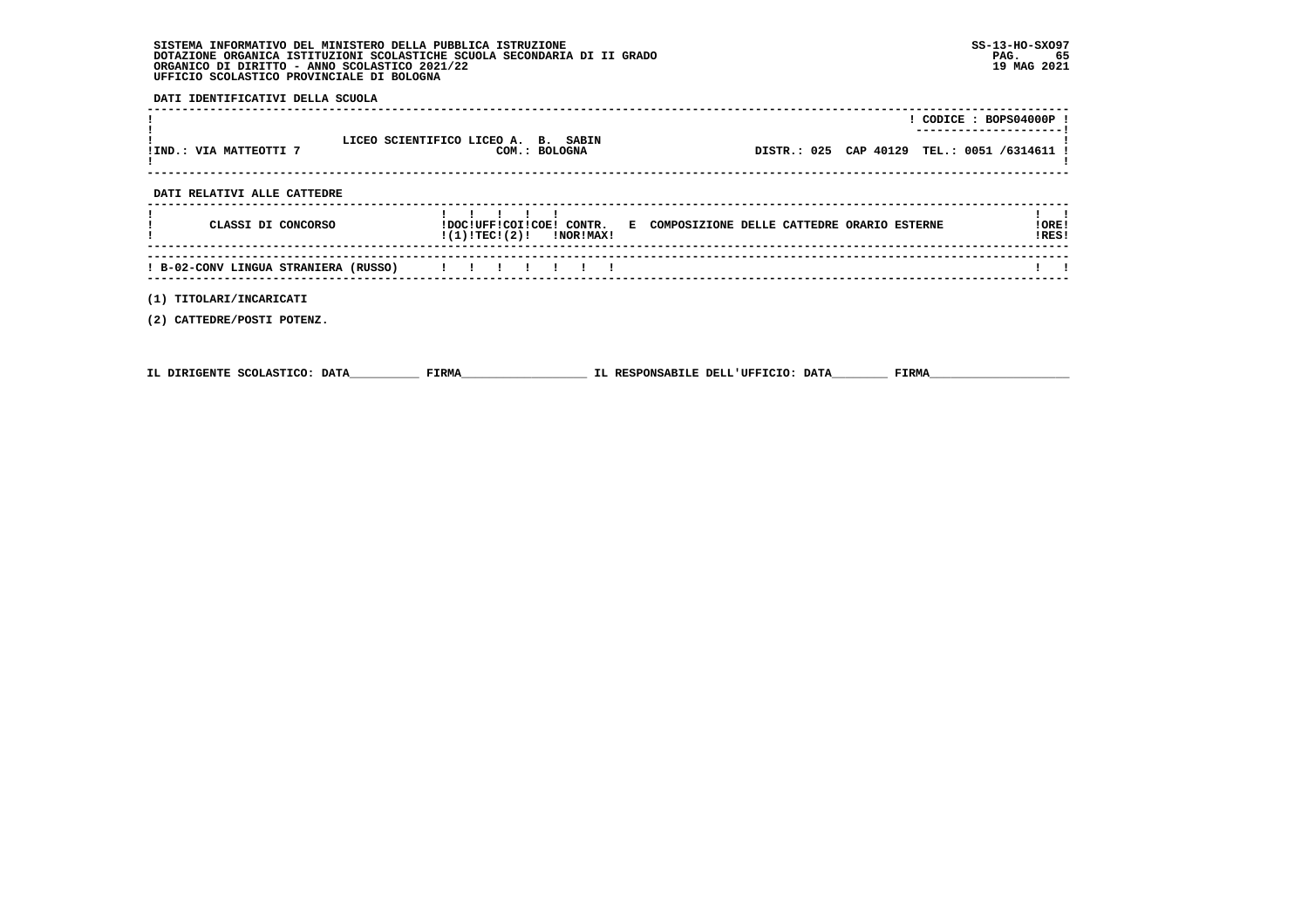**DATI IDENTIFICATIVI DELLA SCUOLA**

|                                      |                                                      |                                                                       |                                             | $!$ CODICE : BOPS04000P ! |
|--------------------------------------|------------------------------------------------------|-----------------------------------------------------------------------|---------------------------------------------|---------------------------|
| !IND.: VIA MATTEOTTI 7               | LICEO SCIENTIFICO LICEO A. B. SABIN<br>COM.: BOLOGNA |                                                                       | DISTR.: 025 CAP 40129 TEL.: 0051 /6314611 ! |                           |
| DATI RELATIVI ALLE CATTEDRE          |                                                      |                                                                       |                                             |                           |
| CLASSI DI CONCORSO                   | $!(1)!TEC!(2)!$ $ NOR MAX!$                          | !DOC!UFF!COI!COE! CONTR. E COMPOSIZIONE DELLE CATTEDRE ORARIO ESTERNE |                                             | !ORE!<br>!RES!            |
| ! B-02-CONV LINGUA STRANIERA (RUSSO) |                                                      |                                                                       |                                             |                           |
| (1) TITOLARI/INCARICATI              |                                                      |                                                                       |                                             |                           |

 **(2) CATTEDRE/POSTI POTENZ.**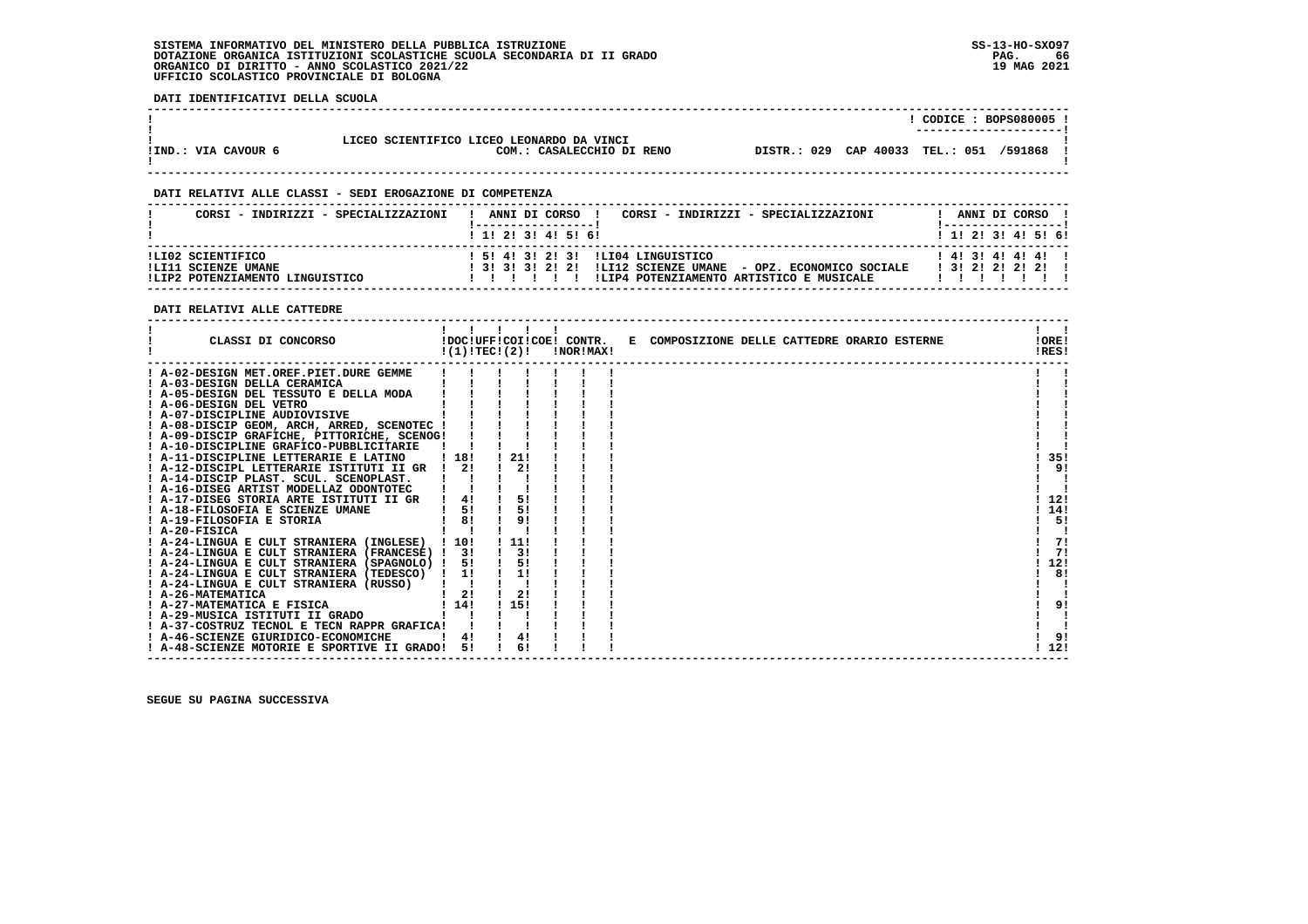**DATI IDENTIFICATIVI DELLA SCUOLA**

|                     |                                                                        |                                 | CODICE: BOPS080005 !   |         |  |
|---------------------|------------------------------------------------------------------------|---------------------------------|------------------------|---------|--|
| IIND.: VIA CAVOUR 6 | LICEO SCIENTIFICO LICEO LEONARDO DA VINCI<br>COM.: CASALECCHIO DI RENO | DISTR.: 029 CAP 40033 TEL.: 051 | ---------------------- | /591868 |  |

 **------------------------------------------------------------------------------------------------------------------------------------**

 **------------------------------------------------------------------------------------------------------------------------------------**

# **DATI RELATIVI ALLE CLASSI - SEDI EROGAZIONE DI COMPETENZA**

|                                                                             |                                                                                                                                                 |                                               |  | ANNI DI CORSO ! |
|-----------------------------------------------------------------------------|-------------------------------------------------------------------------------------------------------------------------------------------------|-----------------------------------------------|--|-----------------|
| 1 1 2 3 3 4 5 6 1                                                           |                                                                                                                                                 | $1$ , 1! 2! 3! 4! 5! 6!                       |  |                 |
| ILI02 SCIENTIFICO<br>ILI11 SCIENZE UMANE<br>!LIP2 POTENZIAMENTO LINGUISTICO | 1 51 41 31 21 31 1LI04 LINGUISTICO<br>! 3! 3! 3! 2! 2! !LI12 SCIENZE UMANE - OPZ. ECONOMICO SOCIALE<br>ILIP4 POTENZIAMENTO ARTISTICO E MUSICALE | $1$ 41 31 41 41 41 1<br>1 3 1 2 1 2 1 2 1 2 1 |  |                 |

# **DATI RELATIVI ALLE CATTEDRE**

| CLASSI DI CONCORSO                             | !(1)!TECI(2)! | !DOC!UFF!COI!COE! CONTR. | !NOR!MAX! | E COMPOSIZIONE DELLE CATTEDRE ORARIO ESTERNE | !ORE!<br>!RES! |
|------------------------------------------------|---------------|--------------------------|-----------|----------------------------------------------|----------------|
| ! A-02-DESIGN MET.OREF.PIET.DURE GEMME         |               |                          |           |                                              |                |
| ! A-03-DESIGN DELLA CERAMICA                   |               |                          |           |                                              |                |
| A-05-DESIGN DEL TESSUTO E DELLA MODA           |               |                          |           |                                              |                |
| ! A-06-DESIGN DEL VETRO                        |               |                          |           |                                              |                |
| ! A-07-DISCIPLINE AUDIOVISIVE                  |               |                          |           |                                              |                |
| ! A-08-DISCIP GEOM, ARCH, ARRED, SCENOTEC !    |               |                          |           |                                              |                |
| ! A-09-DISCIP GRAFICHE, PITTORICHE, SCENOG!    |               |                          |           |                                              |                |
| ! A-10-DISCIPLINE GRAFICO-PUBBLICITARIE        |               |                          |           |                                              |                |
| A-11-DISCIPLINE LETTERARIE E LATINO            | 1181          | 21!                      |           |                                              | 35!            |
| A-12-DISCIPL LETTERARIE ISTITUTI II GR         | 2!            | 2!                       |           |                                              | 9!             |
| ! A-14-DISCIP PLAST, SCUL, SCENOPLAST,         |               |                          |           |                                              |                |
| ! A-16-DISEG ARTIST MODELLAZ ODONTOTEC         |               |                          |           |                                              |                |
| ! A-17-DISEG STORIA ARTE ISTITUTI II GR        | 4!            | 5!                       |           |                                              | 12!            |
| ! A-18-FILOSOFIA E SCIENZE UMANE               | 5!            | 5!                       |           |                                              | 14!            |
| A-19-FILOSOFIA E STORIA                        | 81            | 9!                       |           |                                              | 5!             |
| ! A-20-FISICA                                  |               |                          |           |                                              |                |
| ! A-24-LINGUA E CULT STRANIERA (INGLESE) ! 10! |               | 11!                      |           |                                              | 71             |
| ! A-24-LINGUA E CULT STRANIERA (FRANCESE) ! 3! |               | 3!                       |           |                                              | 71             |
| ! A-24-LINGUA E CULT STRANIERA (SPAGNOLO) !    | 5!            | 5!                       |           |                                              | 12!            |
| ! A-24-LINGUA E CULT STRANIERA (TEDESCO) !     | 1!            | 1!                       |           |                                              | 8!             |
| ! A-24-LINGUA E CULT STRANIERA (RUSSO)         |               |                          |           |                                              |                |
| A-26-MATEMATICA                                | 21            | 2!                       |           |                                              |                |
| ! A-27-MATEMATICA E FISICA                     | 1141          | ! 15!                    |           |                                              | 9!             |
| ! A-29-MUSICA ISTITUTI II GRADO                |               |                          |           |                                              |                |
| ! A-37-COSTRUZ TECNOL E TECN RAPPR GRAFICA!    |               |                          |           |                                              |                |
| ! A-46-SCIENZE GIURIDICO-ECONOMICHE            |               | 4!                       |           |                                              | 9!             |
| ! A-48-SCIENZE MOTORIE E SPORTIVE II GRADO!    | 51            | 6!                       |           |                                              | 12!            |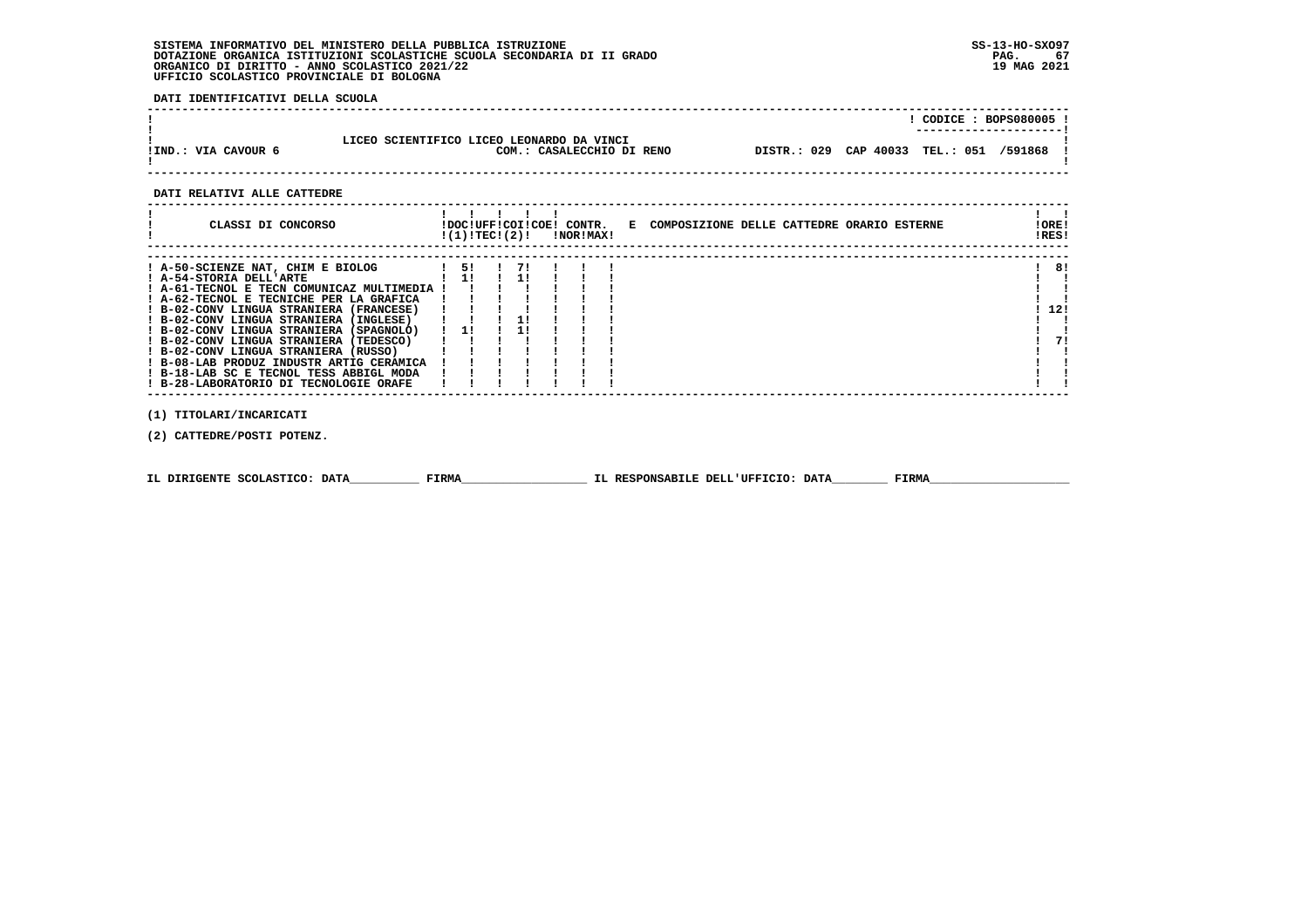**DATI IDENTIFICATIVI DELLA SCUOLA**

|                     |                                                                        | CODICE: BOPS080005 !<br>----------------------- |  |
|---------------------|------------------------------------------------------------------------|-------------------------------------------------|--|
| !IND.: VIA CAVOUR 6 | LICEO SCIENTIFICO LICEO LEONARDO DA VINCI<br>COM.: CASALECCHIO DI RENO | DISTR.: 029 CAP 40033 TEL.: 051 /591868 !       |  |

# **DATI RELATIVI ALLE CATTEDRE**

| CLASSI DI CONCORSO                                                                                                                                                                                                                                                                                                                                                       | !DOC!UFF!COI!COE! CONTR.<br>!(1)!TEC!(2)! |    | !NOR!MAX! |  | E COMPOSIZIONE DELLE CATTEDRE ORARIO ESTERNE | ! ORE!<br>IRES! |
|--------------------------------------------------------------------------------------------------------------------------------------------------------------------------------------------------------------------------------------------------------------------------------------------------------------------------------------------------------------------------|-------------------------------------------|----|-----------|--|----------------------------------------------|-----------------|
| ! A-50-SCIENZE NAT, CHIM E BIOLOG<br>! A-54-STORIA DELL'ARTE<br>! A-61-TECNOL E TECN COMUNICAZ MULTIMEDIA !<br>! A-62-TECNOL E TECNICHE PER LA GRAFICA<br>! B-02-CONV LINGUA STRANIERA (FRANCESE)<br>! B-02-CONV LINGUA STRANIERA (INGLESE)<br>! B-02-CONV LINGUA STRANIERA (SPAGNOLO)<br>! B-02-CONV LINGUA STRANIERA (TEDESCO)<br>! B-02-CONV LINGUA STRANIERA (RUSSO) | 51<br>11<br>$1 \quad 11$                  | 71 |           |  |                                              | 8!<br>12!<br>71 |
| ! B-08-LAB PRODUZ INDUSTR ARTIG CERAMICA<br>! B-18-LAB SC E TECNOL TESS ABBIGL MODA<br>! B-28-LABORATORIO DI TECNOLOGIE ORAFE                                                                                                                                                                                                                                            |                                           |    |           |  |                                              |                 |

 **(1) TITOLARI/INCARICATI**

 **(2) CATTEDRE/POSTI POTENZ.**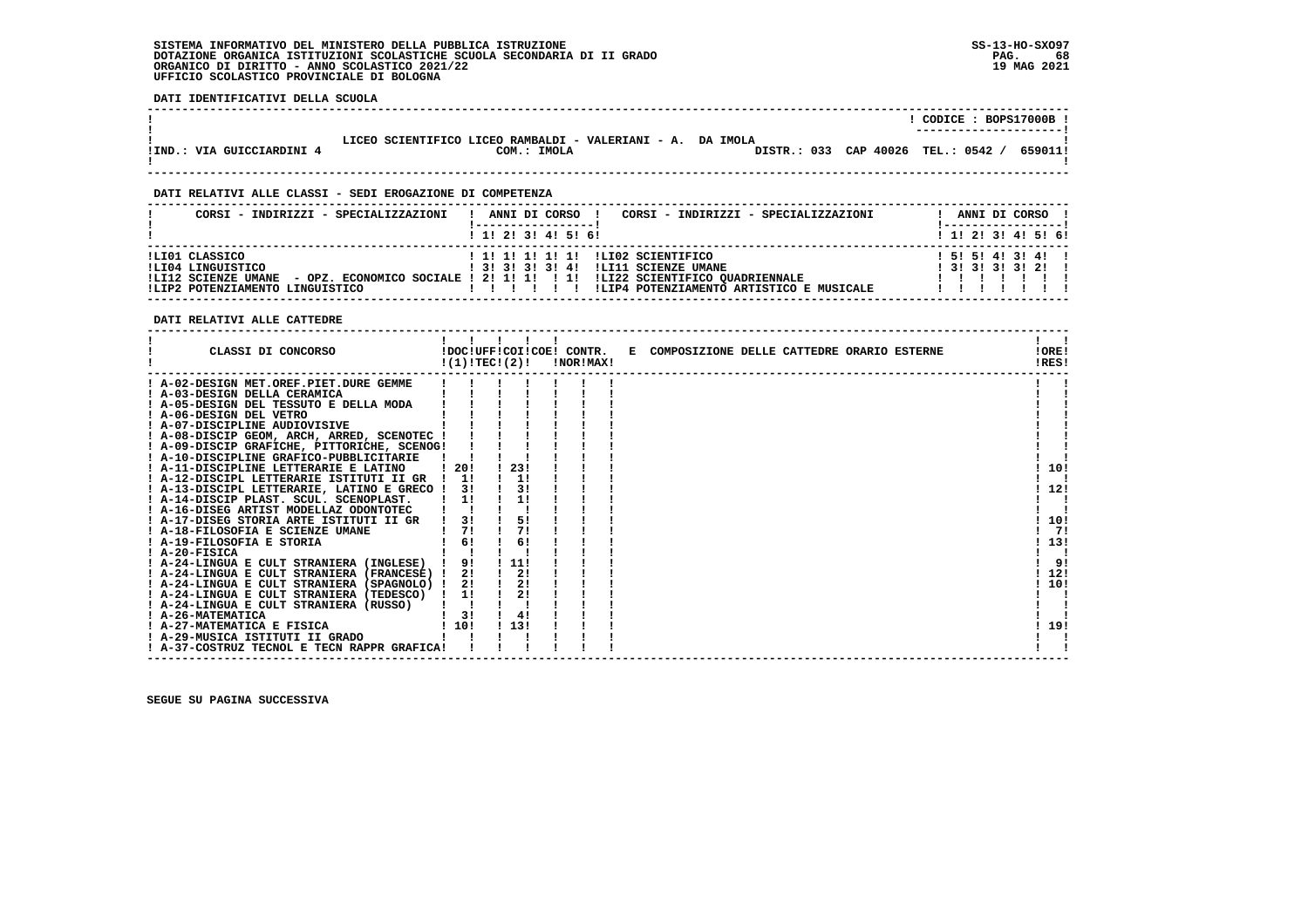**DATI IDENTIFICATIVI DELLA SCUOLA**

|                           |                                                                           |                                    | CODICE: BOPS17000B !<br>--------------------- |         |
|---------------------------|---------------------------------------------------------------------------|------------------------------------|-----------------------------------------------|---------|
| !IND.: VIA GUICCIARDINI 4 | LICEO SCIENTIFICO LICEO RAMBALDI - VALERIANI - A. DA IMOLA<br>COM.: IMOLA | DISTR.: 033 CAP 40026 TEL.: 0542 / |                                               | 659011! |

 **------------------------------------------------------------------------------------------------------------------------------------**

 **------------------------------------------------------------------------------------------------------------------------------------**

# **DATI RELATIVI ALLE CLASSI - SEDI EROGAZIONE DI COMPETENZA**

| CORSI - INDIRIZZI - SPECIALIZZAZIONI                                                          | CORSI - INDIRIZZI - SPECIALIZZAZIONI<br>ANNI DI CORSO !                                                                                                                                                            | ANNI DI CORSO !<br>'-----------------              |
|-----------------------------------------------------------------------------------------------|--------------------------------------------------------------------------------------------------------------------------------------------------------------------------------------------------------------------|----------------------------------------------------|
|                                                                                               | $1 \; 1 \; 2 \; 3 \; 1 \; 4 \; 5 \; 6 \; 6$                                                                                                                                                                        | $1 \; 1 \; 2 \; 3 \; 1 \; 4 \; 5 \; 6 \; 6$        |
| ILI01 CLASSICO<br>ILI04 LINGUISTICO<br>!LI12 SCIENZE UMANE<br>!LIP2 POTENZIAMENTO LINGUISTICO | ! 1! 1! 1! 1! 1! !LI02 SCIENTIFICO<br>! 3! 3! 3! 3! 4! !LI11 SCIENZE UMANE<br>- OPZ. ECONOMICO SOCIALE ! 2! 1! 1! ! ! !LI22 SCIENTIFICO OUADRIENNALE<br>!LIP4 POTENZIAMENTO ARTISTICO E MUSICALE<br>$\blacksquare$ | $1\;51\;51\;41\;31\;41\;1$<br>$1$ 31 31 31 31 21 1 |

 **DATI RELATIVI ALLE CATTEDRE**

| CLASSI DI CONCORSO                          | !(1)!TECI(2)! |      | !DOC!UFF!COI!COE! CONTR.<br>!NOR!MAX! | E COMPOSIZIONE DELLE CATTEDRE ORARIO ESTERNE | !ORE!<br>!RES! |
|---------------------------------------------|---------------|------|---------------------------------------|----------------------------------------------|----------------|
| ! A-02-DESIGN MET.OREF.PIET.DURE GEMME      |               |      |                                       |                                              |                |
| ! A-03-DESIGN DELLA CERAMICA                |               |      |                                       |                                              |                |
| ! A-05-DESIGN DEL TESSUTO E DELLA MODA      |               |      |                                       |                                              |                |
| A-06-DESIGN DEL VETRO                       |               |      |                                       |                                              |                |
| ! A-07-DISCIPLINE AUDIOVISIVE               |               |      |                                       |                                              |                |
| ! A-08-DISCIP GEOM, ARCH, ARRED, SCENOTEC ! |               |      |                                       |                                              |                |
| ! A-09-DISCIP GRAFICHE, PITTORICHE, SCENOG! |               |      |                                       |                                              |                |
| ! A-10-DISCIPLINE GRAFICO-PUBBLICITARIE     |               |      |                                       |                                              |                |
| ! A-11-DISCIPLINE LETTERARIE E LATINO       | -20!          | 23!  |                                       |                                              | 10!            |
| ! A-12-DISCIPL LETTERARIE ISTITUTI II GR    | $1 \quad 11$  | 1!   |                                       |                                              |                |
| ! A-13-DISCIPL LETTERARIE, LATINO E GRECO ! | 31            | 31   |                                       |                                              | 12!            |
| A-14-DISCIP PLAST. SCUL. SCENOPLAST.        | 1!            | 1!   |                                       |                                              |                |
| ! A-16-DISEG ARTIST MODELLAZ ODONTOTEC      |               |      |                                       |                                              |                |
| ! A-17-DISEG STORIA ARTE ISTITUTI II GR     | 3!            | 5!   |                                       |                                              | 10!            |
| ! A-18-FILOSOFIA E SCIENZE UMANE            | 71            | 7!   |                                       |                                              | 71             |
| ! A-19-FILOSOFIA E STORIA                   | 6!            | 6!   |                                       |                                              | 13!            |
| ! A-20-FISICA                               |               |      |                                       |                                              |                |
| ! A-24-LINGUA E CULT STRANIERA (INGLESE)    | 9!            | 11!  |                                       |                                              | 9!             |
| ! A-24-LINGUA E CULT STRANIERA (FRANCESE) ! | 2!            | 2!   |                                       |                                              | 12!            |
| ! A-24-LINGUA E CULT STRANIERA (SPAGNOLO) ! | 2!            | 2!   |                                       |                                              | 10!            |
| ! A-24-LINGUA E CULT STRANIERA (TEDESCO)    | $\frac{1}{1}$ | 2!   |                                       |                                              |                |
| A-24-LINGUA E CULT STRANIERA (RUSSO)        |               |      |                                       |                                              |                |
| ! A-26-MATEMATICA                           | 3!            | 4!   |                                       |                                              |                |
| ! A-27-MATEMATICA E FISICA                  | 110!          | 113! |                                       |                                              | 19!            |
| ! A-29-MUSICA ISTITUTI II GRADO             |               |      |                                       |                                              |                |
| ! A-37-COSTRUZ TECNOL E TECN RAPPR GRAFICA! |               |      |                                       |                                              |                |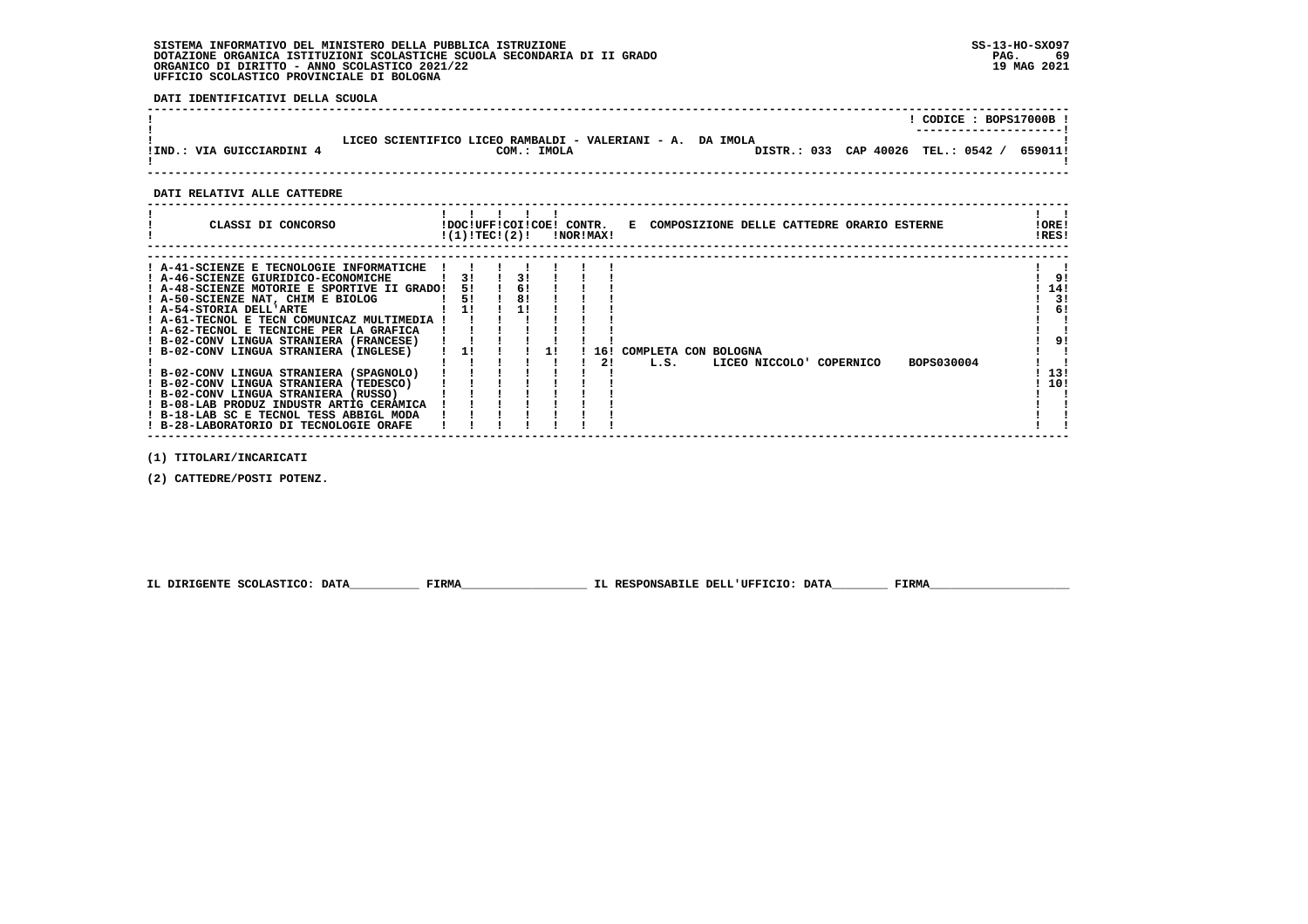**DATI IDENTIFICATIVI DELLA SCUOLA**

|                           |                                                                                                               | CODICE: BOPS17000B !<br>---------------------- |
|---------------------------|---------------------------------------------------------------------------------------------------------------|------------------------------------------------|
| !IND.: VIA GUICCIARDINI 4 | LICEO SCIENTIFICO LICEO RAMBALDI - VALERIANI - A. DA IMOLA<br>DISTR.: 033 CAP 40026 TEL.: 0542<br>COM.: IMOLA | 659011!                                        |
|                           |                                                                                                               |                                                |

 **------------------------------------------------------------------------------------------------------------------------------------**

# **DATI RELATIVI ALLE CATTEDRE**

| CLASSI DI CONCORSO                          | !DOC!UFF!COI!COE! CONTR.<br>!(1)!TEC!(2)! |    | !NOR!MAX! |     |                      |  |  |                         | E COMPOSIZIONE DELLE CATTEDRE ORARIO ESTERNE | ! ORE!<br>!RES! |     |
|---------------------------------------------|-------------------------------------------|----|-----------|-----|----------------------|--|--|-------------------------|----------------------------------------------|-----------------|-----|
|                                             |                                           |    |           |     |                      |  |  |                         |                                              |                 |     |
| ! A-41-SCIENZE E TECNOLOGIE INFORMATICHE    |                                           |    |           |     |                      |  |  |                         |                                              |                 |     |
| ! A-46-SCIENZE GIURIDICO-ECONOMICHE         | 31                                        | 3! |           |     |                      |  |  |                         |                                              |                 | -91 |
| ! A-48-SCIENZE MOTORIE E SPORTIVE II GRADO! | 51                                        | 6! |           |     |                      |  |  |                         |                                              |                 | 14! |
| ! A-50-SCIENZE NAT, CHIM E BIOLOG           | 5!                                        | 8! |           |     |                      |  |  |                         |                                              |                 | 3!  |
| ! A-54-STORIA DELL'ARTE                     | 11                                        |    |           |     |                      |  |  |                         |                                              |                 | 6!  |
| ! A-61-TECNOL E TECN COMUNICAZ MULTIMEDIA   |                                           |    |           |     |                      |  |  |                         |                                              |                 |     |
| ! A-62-TECNOL E TECNICHE PER LA GRAFICA     |                                           |    |           |     |                      |  |  |                         |                                              |                 |     |
| ! B-02-CONV LINGUA STRANIERA (FRANCESE)     |                                           |    |           |     |                      |  |  |                         |                                              |                 | 91  |
| ! B-02-CONV LINGUA STRANIERA (INGLESE)      |                                           |    |           | 16! | COMPLETA CON BOLOGNA |  |  |                         |                                              |                 |     |
|                                             |                                           |    |           | 21  | L.S.                 |  |  | LICEO NICCOLO COPERNICO | BOPS030004                                   |                 |     |
| ! B-02-CONV LINGUA STRANIERA (SPAGNOLO)     |                                           |    |           |     |                      |  |  |                         |                                              |                 | 13! |
| ! B-02-CONV LINGUA STRANIERA (TEDESCO)      |                                           |    |           |     |                      |  |  |                         |                                              |                 | 10! |
| ! B-02-CONV LINGUA STRANIERA (RUSSO)        |                                           |    |           |     |                      |  |  |                         |                                              |                 |     |
| ! B-08-LAB PRODUZ INDUSTR ARTIG CERAMICA    |                                           |    |           |     |                      |  |  |                         |                                              |                 |     |
| ! B-18-LAB SC E TECNOL TESS ABBIGL MODA     |                                           |    |           |     |                      |  |  |                         |                                              |                 |     |
| ! B-28-LABORATORIO DI TECNOLOGIE ORAFE      |                                           |    |           |     |                      |  |  |                         |                                              |                 |     |
|                                             |                                           |    |           |     |                      |  |  |                         |                                              |                 |     |

 **(1) TITOLARI/INCARICATI**

 **(2) CATTEDRE/POSTI POTENZ.**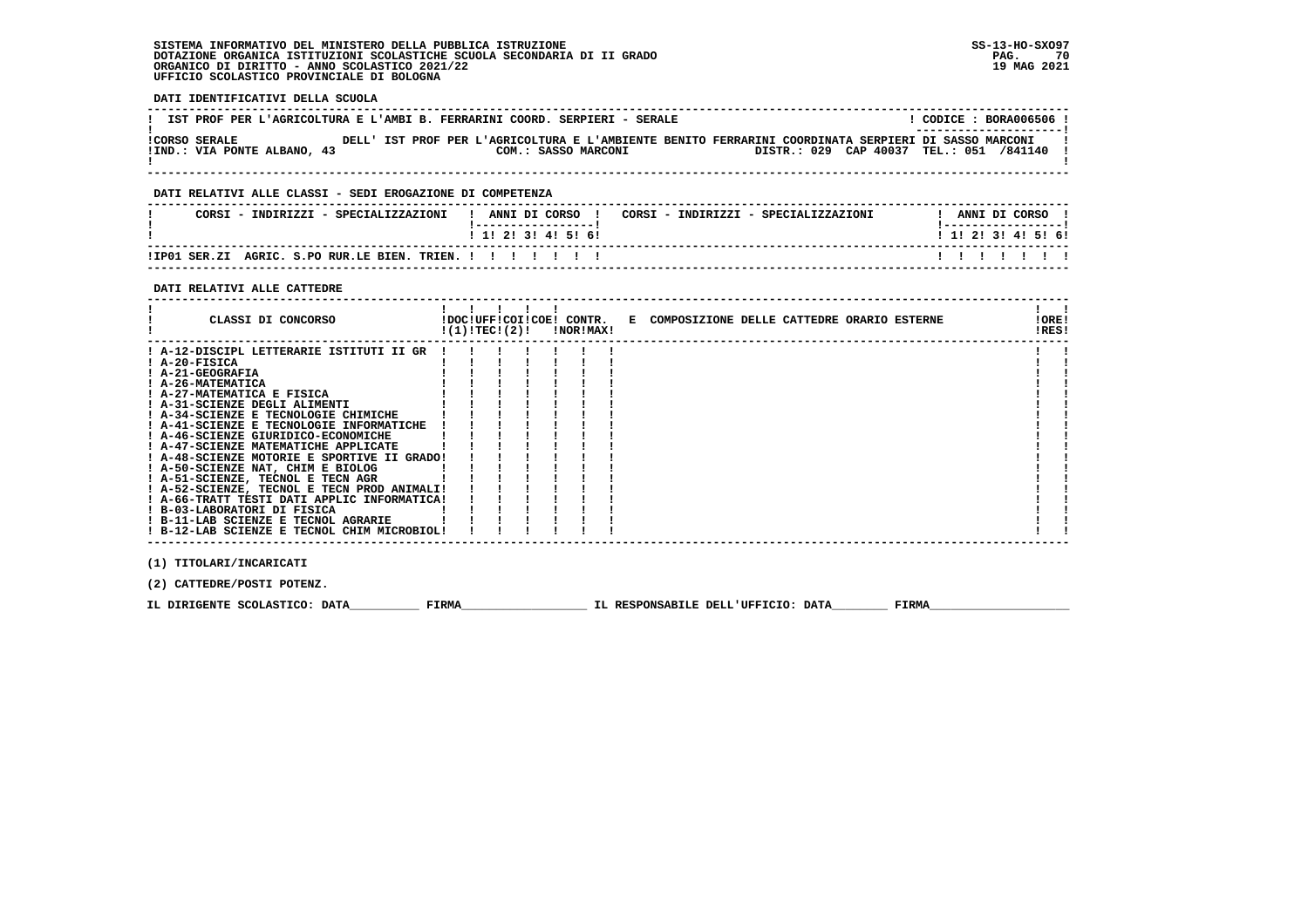**DATI IDENTIFICATIVI DELLA SCUOLA**

| IST PROF PER L'AGRICOLTURA E L'AMBI B. FERRARINI COORD. SERPIERI - SERALE                                                                                                                                           | ! CODICE : BORA006506 ! |  |                               |
|---------------------------------------------------------------------------------------------------------------------------------------------------------------------------------------------------------------------|-------------------------|--|-------------------------------|
| !CORSO SERALE THE DELL' IST PROF PER L'AGRICOLTURA E L'AMBIENTE BENITO FERRARINI COORDINATA SERPIERI DI SASSO MARCONI<br>!IND.: VIA PONTE ALBANO, 43 COM.: SASSO MARCONI DISTR.: 029 CAP 40037 TEL.: 051 /841140 !  |                         |  |                               |
| DATI RELATIVI ALLE CLASSI - SEDI EROGAZIONE DI COMPETENZA                                                                                                                                                           |                         |  |                               |
| CORSI – INDIRIZZI – SPECIALIZZAZIONI (! ANNI DI CORSO) ! CORSI – INDIRIZZI – SPECIALIZZAZIONI (! ANNI DI CORSO                                                                                                      |                         |  |                               |
| 1 1 2 3 3 4 5 5 6 9                                                                                                                                                                                                 | ! 1! 2! 3! 4! 5! 6!     |  |                               |
| !IP01 SER.ZI AGRIC. S.PO RUR.LE BIEN. TRIEN. ! ! ! ! ! ! ! !                                                                                                                                                        | 1111111                 |  |                               |
| DATI RELATIVI ALLE CATTEDRE                                                                                                                                                                                         |                         |  |                               |
| $\begin{array}{ccccccccccccccccccccc}\n1 & 1 & 1 & 1 & 1 & 1\n\end{array}$<br>CLASSI DI CONCORSO             IDOC!UFF!COI!COE! CONTR.   E COMPOSIZIONE DELLE CATTEDRE ORARIO ESTERNE<br>$!(1)!TEC!(2)!$ $ NOR MAX!$ |                         |  | $1 \quad 1$<br>!ORE!<br>!RES! |
| ! A-12-DISCIPL LETTERARIE ISTITUTI II GR !!!!                                                                                                                                                                       |                         |  |                               |
| $I$ A-20-FISICA                                                                                                                                                                                                     |                         |  |                               |
| ! A-21-GEOGRAFIA<br>! A-26-MATEMATICA                                                                                                                                                                               |                         |  |                               |
| $\frac{1}{2}$ $\frac{1}{2}$ $\frac{1}{2}$ $\frac{1}{2}$ $\frac{1}{2}$                                                                                                                                               |                         |  |                               |
|                                                                                                                                                                                                                     |                         |  |                               |
| $\mathbf{I}$<br>$1 - 1 - 1 - 1$<br>! A-34-SCIENZE E TECNOLOGIE CHIMICHE                                                                                                                                             |                         |  |                               |
| ! A-41-SCIENZE E TECNOLOGIE INFORMATICHE ! ! ! !                                                                                                                                                                    |                         |  |                               |
| $1 A-46-SCIENZE GURTDICO-ECONOMICHE 1 A-47-SCIENZE MATEMATICHE APPLICATE 1 1 1 1 1 1$                                                                                                                               |                         |  |                               |
| ! A-48-SCIENZE MOTORIE E SPORTIVE II GRADO! ! ! !                                                                                                                                                                   |                         |  |                               |
| ! A-50-SCIENZE NAT, CHIM E BIOLOG                                                                                                                                                                                   |                         |  |                               |
| ! A-51-SCIENZE, TECNOL E TECN AGR                                                                                                                                                                                   |                         |  |                               |
| ! A-52-SCIENZE, TECNOL E TECN PROD ANIMALI! ! ! !                                                                                                                                                                   |                         |  |                               |
|                                                                                                                                                                                                                     |                         |  |                               |
|                                                                                                                                                                                                                     |                         |  |                               |
|                                                                                                                                                                                                                     |                         |  |                               |
| ! B-12-LAB SCIENZE E TECNOL CHIM MICROBIOL!                                                                                                                                                                         |                         |  |                               |

 **(2) CATTEDRE/POSTI POTENZ.**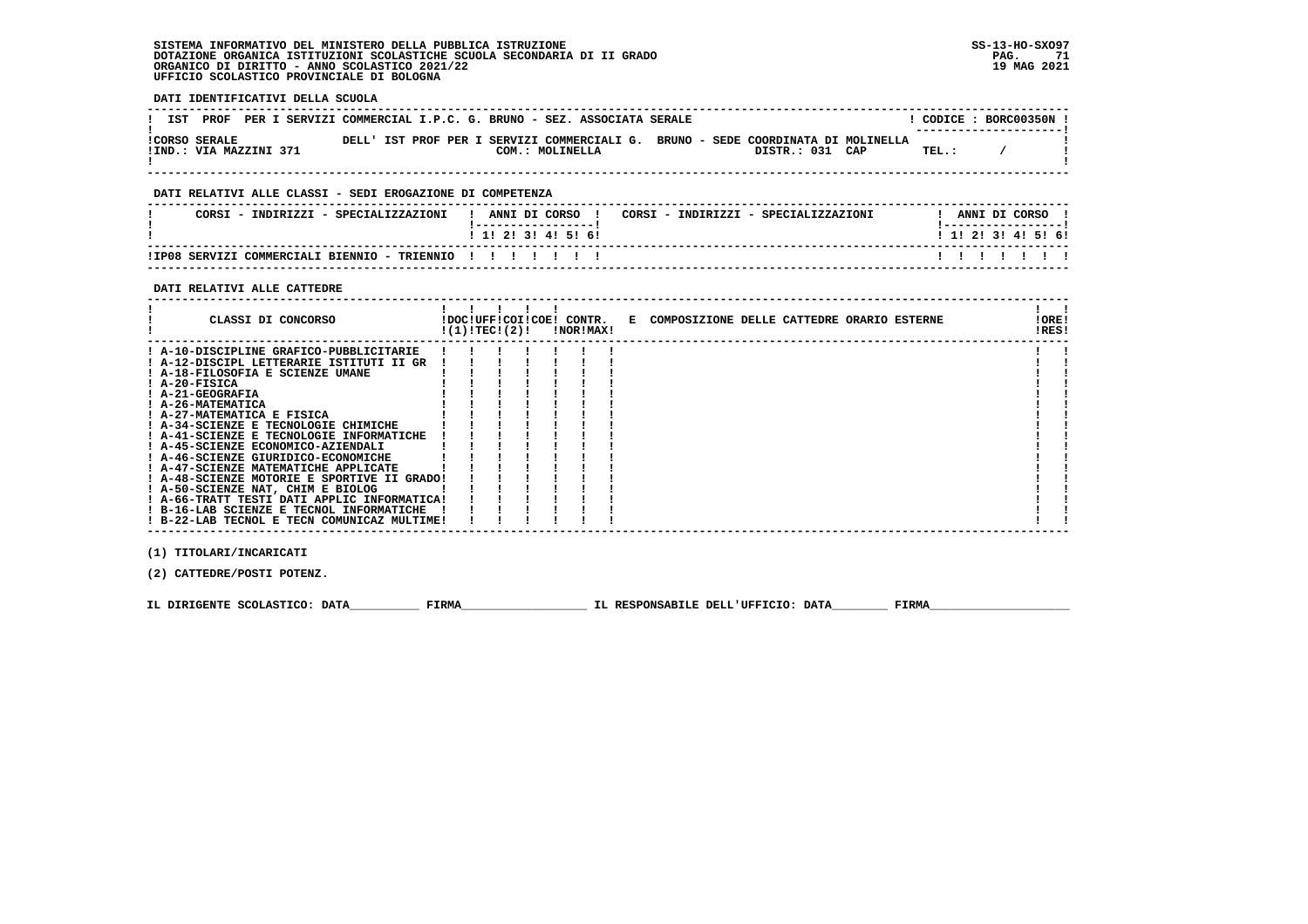**DATI IDENTIFICATIVI DELLA SCUOLA**

|                                                | IST PROF PER I SERVIZI COMMERCIAL I.P.C. G. BRUNO - SEZ. ASSOCIATA SERALE                                              |       | CODICE: BORC00350N !<br>--------------------- |
|------------------------------------------------|------------------------------------------------------------------------------------------------------------------------|-------|-----------------------------------------------|
| <b>!CORSO SERALE</b><br>!IND.: VIA MAZZINI 371 | DELL' IST PROF PER I SERVIZI COMMERCIALI G. BRUNO - SEDE COORDINATA DI MOLINELLA<br>DISTR.: 031 CAP<br>COM.: MOLINELLA | TEL.: |                                               |
| ---- -------- ---- -- ---                      |                                                                                                                        |       |                                               |

#### **DATI RELATIVI ALLE CLASSI - SEDI EROGAZIONE DI COMPETENZA**

| CORSI - INDIRIZZI - SPECIALIZZAZIONI                       | ANNI DI CORSO<br>CORSI - INDIRIZZI - SPECIALIZZAZIONI | ANNI DI CORSO             |
|------------------------------------------------------------|-------------------------------------------------------|---------------------------|
|                                                            | $1$ 1! 2! 3! 4! 5! 6!                                 | 1 1 1 2 1 3 1 4 1 5 1 6 1 |
| !IP08 SERVIZI COMMERCIALI BIENNIO - TRIENNIO ! ! ! ! ! ! ! |                                                       |                           |

 **------------------------------------------------------------------------------------------------------------------------------------**

# **DATI RELATIVI ALLE CATTEDRE**

| CLASSI DI CONCORSO                          | $!(1)!$ TEC! $(2)!$ |  | <b>!NOR!MAX!</b> | !DOC!UFF!COI!COE! CONTR. E COMPOSIZIONE DELLE CATTEDRE ORARIO ESTERNE | !ORE!<br>!RES! |  |
|---------------------------------------------|---------------------|--|------------------|-----------------------------------------------------------------------|----------------|--|
| ! A-10-DISCIPLINE GRAFICO-PUBBLICITARIE     |                     |  |                  |                                                                       |                |  |
| ! A-12-DISCIPL LETTERARIE ISTITUTI II GR    |                     |  |                  |                                                                       |                |  |
| ! A-18-FILOSOFIA E SCIENZE UMANE            |                     |  |                  |                                                                       |                |  |
| $I$ A-20-FISICA                             |                     |  |                  |                                                                       |                |  |
| ! A-21-GEOGRAFIA                            |                     |  |                  |                                                                       |                |  |
| ! A-26-MATEMATICA                           |                     |  |                  |                                                                       |                |  |
| ! A-27-MATEMATICA E FISICA                  |                     |  |                  |                                                                       |                |  |
| ! A-34-SCIENZE E TECNOLOGIE CHIMICHE        |                     |  |                  |                                                                       |                |  |
| ! A-41-SCIENZE E TECNOLOGIE INFORMATICHE    |                     |  |                  |                                                                       |                |  |
| ! A-45-SCIENZE ECONOMICO-AZIENDALI          |                     |  |                  |                                                                       |                |  |
| ! A-46-SCIENZE GIURIDICO-ECONOMICHE         |                     |  |                  |                                                                       |                |  |
| ! A-47-SCIENZE MATEMATICHE APPLICATE        |                     |  |                  |                                                                       |                |  |
| ! A-48-SCIENZE MOTORIE E SPORTIVE II GRADO! |                     |  |                  |                                                                       |                |  |
| ! A-50-SCIENZE NAT, CHIM E BIOLOG           |                     |  |                  |                                                                       |                |  |
| ! A-66-TRATT TESTI DATI APPLIC INFORMATICA! |                     |  |                  |                                                                       |                |  |
| ! B-16-LAB SCIENZE E TECNOL INFORMATICHE    |                     |  |                  |                                                                       |                |  |
| ! B-22-LAB TECNOL E TECN COMUNICAZ MULTIME! |                     |  |                  |                                                                       |                |  |

 **(1) TITOLARI/INCARICATI**

 **(2) CATTEDRE/POSTI POTENZ.**

 **IL DIRIGENTE SCOLASTICO: DATA\_\_\_\_\_\_\_\_\_\_ FIRMA\_\_\_\_\_\_\_\_\_\_\_\_\_\_\_\_\_\_ IL RESPONSABILE DELL'UFFICIO: DATA\_\_\_\_\_\_\_\_ FIRMA\_\_\_\_\_\_\_\_\_\_\_\_\_\_\_\_\_\_\_\_**

 **------------------------------------------------------------------------------------------------------------------------------------**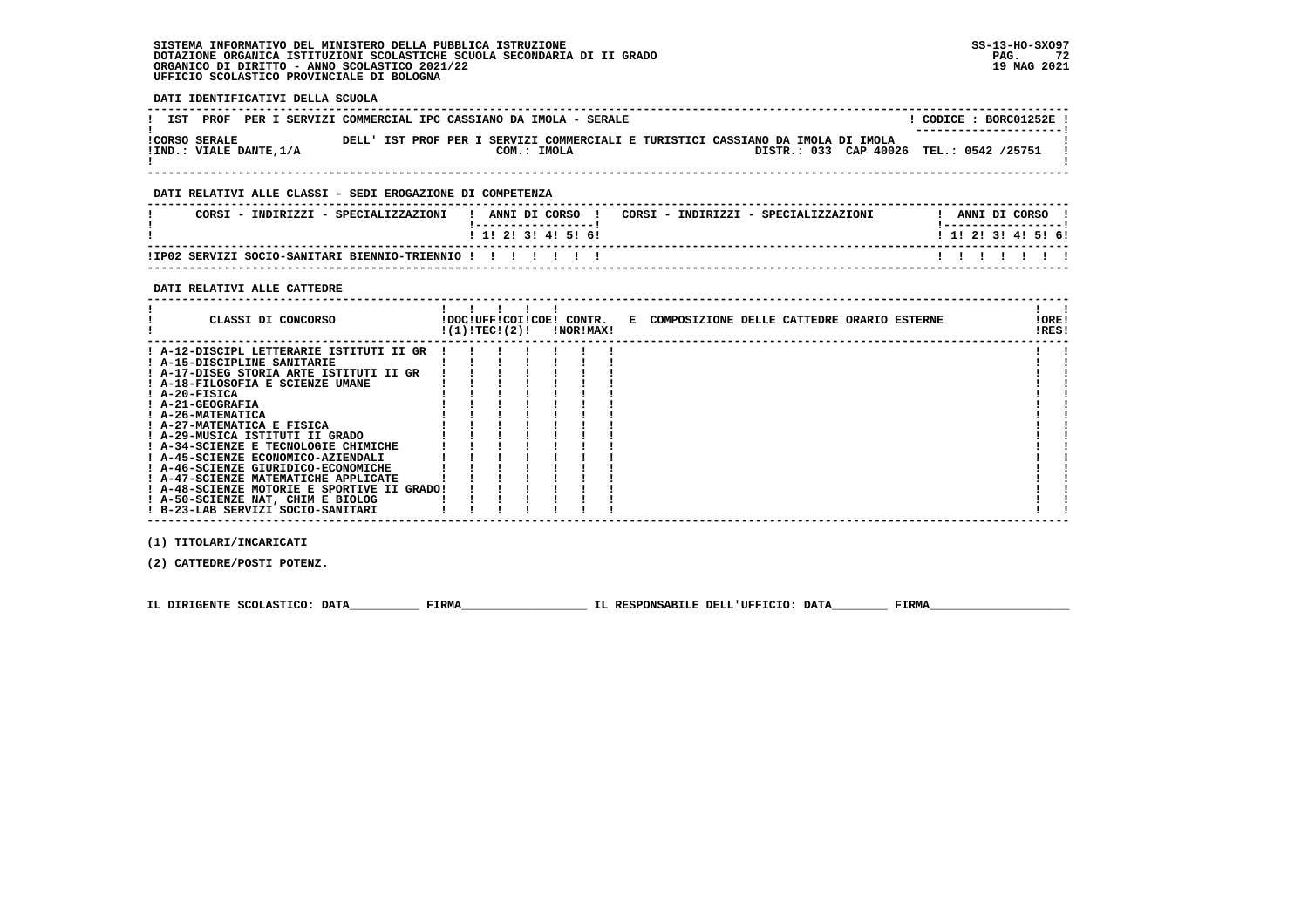**DATI IDENTIFICATIVI DELLA SCUOLA**

| IST PROF PER I SERVIZI COMMERCIAL IPC CASSIANO DA IMOLA - SERALE |  |             |  |                                                                                 |                                         | CODICE: BORC01252E!<br>--------------------- |
|------------------------------------------------------------------|--|-------------|--|---------------------------------------------------------------------------------|-----------------------------------------|----------------------------------------------|
| <b>!CORSO SERALE</b><br>!IND.: VIALE DANTE, 1/A                  |  | COM.: IMOLA |  | DELL' IST PROF PER I SERVIZI COMMERCIALI E TURISTICI CASSIANO DA IMOLA DI IMOLA | DISTR.: 033 CAP 40026 TEL.: 0542 /25751 |                                              |

 **------------------------------------------------------------------------------------------------------------------------------------**

#### **DATI RELATIVI ALLE CLASSI - SEDI EROGAZIONE DI COMPETENZA**

| CORSI<br>- TNDTRTZZT -<br>SPECTALIZZAZIONI      | ANNI DI CORSO<br>CORSI - INDIRIZZI - SPECIALIZZAZIONI | ANNI DI CORSO       |
|-------------------------------------------------|-------------------------------------------------------|---------------------|
|                                                 | ! 1! 2! 3! 4! 5! 6!                                   | ! 1! 2! 3! 4! 5! 6! |
| !IP02 SERVIZI SOCIO-SANITARI BIENNIO-TRIENNIO ! | .                                                     |                     |

 **------------------------------------------------------------------------------------------------------------------------------------**

#### **DATI RELATIVI ALLE CATTEDRE**

| CLASSI DI CONCORSO                          | !(1)!TEC!(2)! |  | !NOR!MAX! | !DOC!UFF!COI!COE! CONTR. E COMPOSIZIONE DELLE CATTEDRE ORARIO ESTERNE | !ORE!<br>!RES! |  |
|---------------------------------------------|---------------|--|-----------|-----------------------------------------------------------------------|----------------|--|
| ! A-12-DISCIPL LETTERARIE ISTITUTI II GR    |               |  |           |                                                                       |                |  |
| ! A-15-DISCIPLINE SANITARIE                 |               |  |           |                                                                       |                |  |
| ! A-17-DISEG STORIA ARTE ISTITUTI II GR     |               |  |           |                                                                       |                |  |
| ! A-18-FILOSOFIA E SCIENZE UMANE            |               |  |           |                                                                       |                |  |
| $I$ A-20-FISICA                             |               |  |           |                                                                       |                |  |
| ! A-21-GEOGRAFIA                            |               |  |           |                                                                       |                |  |
| ! A-26-MATEMATICA                           |               |  |           |                                                                       |                |  |
| ! A-27-MATEMATICA E FISICA                  |               |  |           |                                                                       |                |  |
| ! A-29-MUSICA ISTITUTI II GRADO             |               |  |           |                                                                       |                |  |
| ! A-34-SCIENZE E TECNOLOGIE CHIMICHE        |               |  |           |                                                                       |                |  |
| ! A-45-SCIENZE ECONOMICO-AZIENDALI          |               |  |           |                                                                       |                |  |
| ! A-46-SCIENZE GIURIDICO-ECONOMICHE         |               |  |           |                                                                       |                |  |
| ! A-47-SCIENZE MATEMATICHE APPLICATE        |               |  |           |                                                                       |                |  |
| ! A-48-SCIENZE MOTORIE E SPORTIVE II GRADO! |               |  |           |                                                                       |                |  |
| ! A-50-SCIENZE NAT, CHIM E BIOLOG           |               |  |           |                                                                       |                |  |
| ! B-23-LAB SERVIZI SOCIO-SANITARI           |               |  |           |                                                                       |                |  |

 **(1) TITOLARI/INCARICATI**

 **(2) CATTEDRE/POSTI POTENZ.**

 **IL DIRIGENTE SCOLASTICO: DATA\_\_\_\_\_\_\_\_\_\_ FIRMA\_\_\_\_\_\_\_\_\_\_\_\_\_\_\_\_\_\_ IL RESPONSABILE DELL'UFFICIO: DATA\_\_\_\_\_\_\_\_ FIRMA\_\_\_\_\_\_\_\_\_\_\_\_\_\_\_\_\_\_\_\_**

 **------------------------------------------------------------------------------------------------------------------------------------**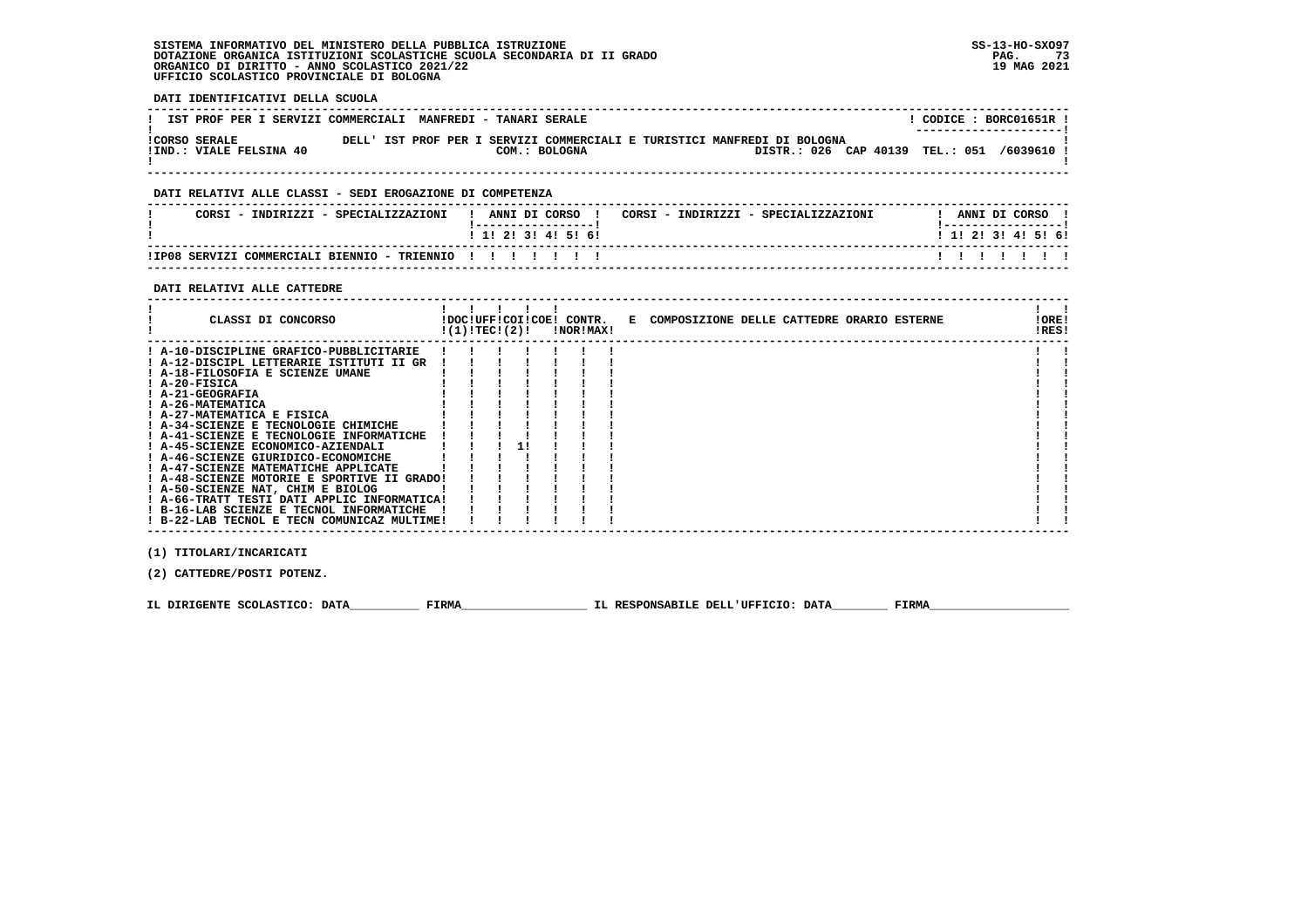**DATI IDENTIFICATIVI DELLA SCUOLA**

| IST PROF PER I SERVIZI COMMERCIALI MANFREDI - TANARI SERALE |  |                                                                                           |                                 | CODICE: BORC01651R !<br>--------------------- |
|-------------------------------------------------------------|--|-------------------------------------------------------------------------------------------|---------------------------------|-----------------------------------------------|
| ICORSO SERALE<br>!IND.: VIALE FELSINA 40                    |  | DELL' IST PROF PER I SERVIZI COMMERCIALI E TURISTICI MANFREDI DI BOLOGNA<br>COM.: BOLOGNA | DISTR.: 026 CAP 40139 TEL.: 051 | /6039610                                      |

 **------------------------------------------------------------------------------------------------------------------------------------**

## **DATI RELATIVI ALLE CLASSI - SEDI EROGAZIONE DI COMPETENZA**

| CORSI - INDIRIZZI - SPECIALIZZAZIONI                  | ANNI DI CORSO<br>CORSI - INDIRIZZI - SPECIALIZZAZIONI | ANNI DI CORSO             |
|-------------------------------------------------------|-------------------------------------------------------|---------------------------|
|                                                       | $1$ 1! 2! 3! 4! 5! 6!                                 | 1 1 2 2 1 3 1 4 1 5 1 6 1 |
| !IP08 SERVIZI COMMERCIALI BIENNIO - TRIENNIO !!!!!!!! |                                                       |                           |

 **------------------------------------------------------------------------------------------------------------------------------------**

### **DATI RELATIVI ALLE CATTEDRE**

| CLASSI DI CONCORSO                          |  | $!(1)!$ TEC!(2)! | <b>!NOR!MAX!</b> | !DOC!UFF!COI!COE! CONTR. E COMPOSIZIONE DELLE CATTEDRE ORARIO ESTERNE | !ORE!<br>!RES! |  |
|---------------------------------------------|--|------------------|------------------|-----------------------------------------------------------------------|----------------|--|
| ! A-10-DISCIPLINE GRAFICO-PUBBLICITARIE     |  |                  |                  |                                                                       |                |  |
| ! A-12-DISCIPL LETTERARIE ISTITUTI II GR    |  |                  |                  |                                                                       |                |  |
| ! A-18-FILOSOFIA E SCIENZE UMANE            |  |                  |                  |                                                                       |                |  |
| $I$ A-20-FISICA                             |  |                  |                  |                                                                       |                |  |
| ! A-21-GEOGRAFIA                            |  |                  |                  |                                                                       |                |  |
| ! A-26-MATEMATICA                           |  |                  |                  |                                                                       |                |  |
| ! A-27-MATEMATICA E FISICA                  |  |                  |                  |                                                                       |                |  |
| ! A-34-SCIENZE E TECNOLOGIE CHIMICHE        |  |                  |                  |                                                                       |                |  |
| ! A-41-SCIENZE E TECNOLOGIE INFORMATICHE    |  |                  |                  |                                                                       |                |  |
| ! A-45-SCIENZE ECONOMICO-AZIENDALI          |  |                  |                  |                                                                       |                |  |
| ! A-46-SCIENZE GIURIDICO-ECONOMICHE         |  |                  |                  |                                                                       |                |  |
| ! A-47-SCIENZE MATEMATICHE APPLICATE        |  |                  |                  |                                                                       |                |  |
| ! A-48-SCIENZE MOTORIE E SPORTIVE II GRADO! |  |                  |                  |                                                                       |                |  |
| ! A-50-SCIENZE NAT, CHIM E BIOLOG           |  |                  |                  |                                                                       |                |  |
| ! A-66-TRATT TESTI DATI APPLIC INFORMATICA! |  |                  |                  |                                                                       |                |  |
| ! B-16-LAB SCIENZE E TECNOL INFORMATICHE    |  |                  |                  |                                                                       |                |  |
| ! B-22-LAB TECNOL E TECN COMUNICAZ MULTIME! |  |                  |                  |                                                                       |                |  |

 **(1) TITOLARI/INCARICATI**

 **(2) CATTEDRE/POSTI POTENZ.**

 **IL DIRIGENTE SCOLASTICO: DATA\_\_\_\_\_\_\_\_\_\_ FIRMA\_\_\_\_\_\_\_\_\_\_\_\_\_\_\_\_\_\_ IL RESPONSABILE DELL'UFFICIO: DATA\_\_\_\_\_\_\_\_ FIRMA\_\_\_\_\_\_\_\_\_\_\_\_\_\_\_\_\_\_\_\_**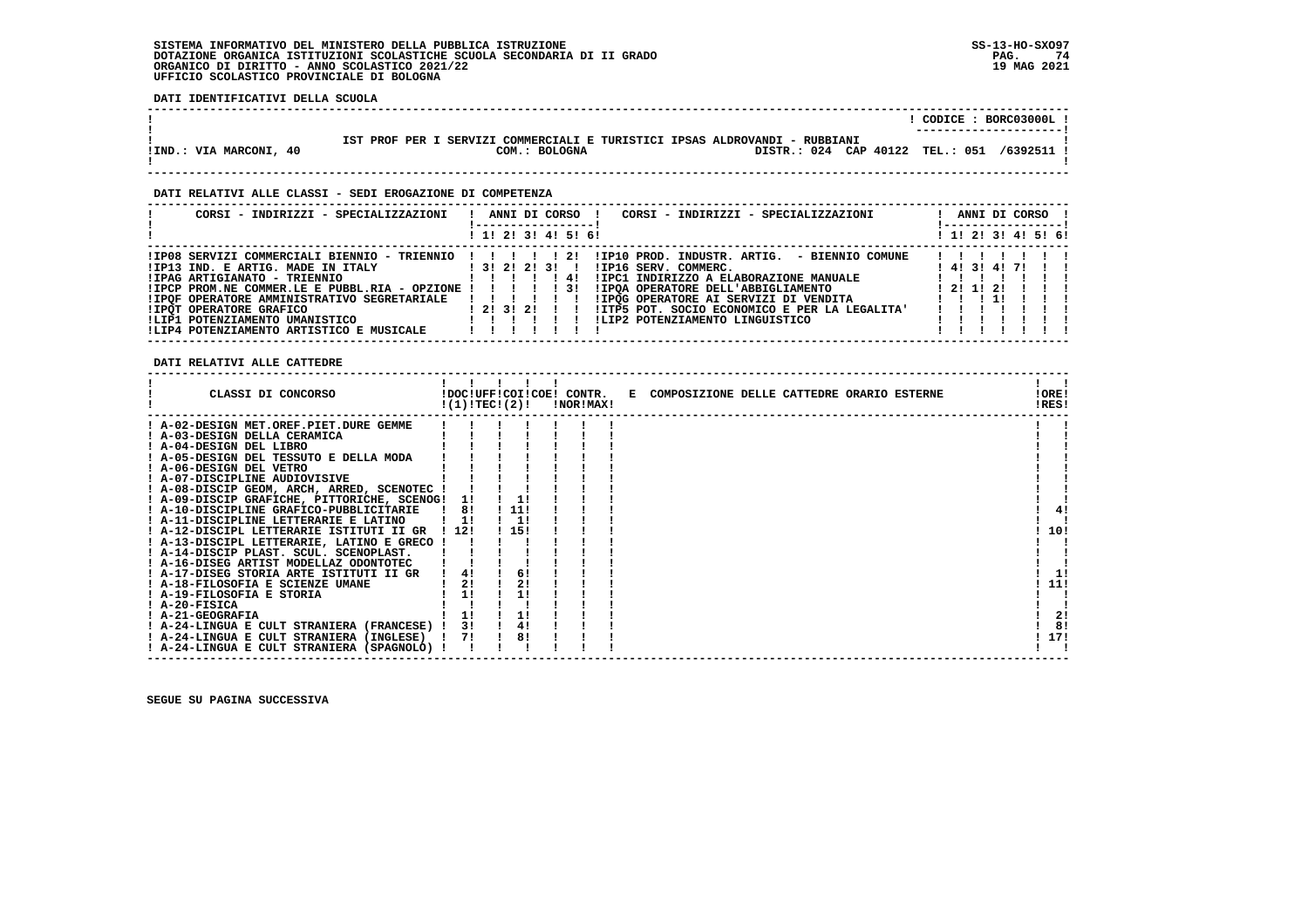**DATI IDENTIFICATIVI DELLA SCUOLA**

|                        |                                                                            | CODICE: BORC03000L!    |
|------------------------|----------------------------------------------------------------------------|------------------------|
|                        |                                                                            | ---------------------- |
|                        |                                                                            |                        |
|                        | IST PROF PER I SERVIZI COMMERCIALI E TURISTICI IPSAS ALDROVANDI - RUBBIANI |                        |
| !IND.: VIA MARCONI, 40 | DISTR.: 024 CAP 40122 TEL.: 051<br>COM.: BOLOGNA                           | /6392511               |
|                        |                                                                            |                        |
|                        |                                                                            |                        |

 **------------------------------------------------------------------------------------------------------------------------------------**

### **DATI RELATIVI ALLE CLASSI - SEDI EROGAZIONE DI COMPETENZA**

| CORSI - INDIRIZZI - SPECIALIZZAZIONI                         | ANNI DI CORSO !<br>CORSI - INDIRIZZI - SPECIALIZZAZIONI          |                      | ----------------- | ANNI DI CORSO !              |
|--------------------------------------------------------------|------------------------------------------------------------------|----------------------|-------------------|------------------------------|
|                                                              | ! 1! 2! 3! 4! 5! 6!                                              |                      |                   | $1$ , 1!, 2!, 3!, 4!, 5!, 6! |
| !IP08 SERVIZI COMMERCIALI BIENNIO - TRIENNIO !!!!!! 2!       | !IP10 PROD. INDUSTR. ARTIG. - BIENNIO COMUNE                     |                      |                   |                              |
| IIP13 IND. E ARTIG. MADE IN ITALY                            | 1 3 1 2 1 2 1 3 1<br>IIP16 SERV. COMMERC.                        | 1 4 1 3 1 4 1 7 1    |                   |                              |
| !IPAG ARTIGIANATO - TRIENNIO                                 | !IPC1 INDIRIZZO A ELABORAZIONE MANUALE<br>-41                    |                      |                   |                              |
| $IIPCP$ PROM.NE COMMER.LE E PUBBL.RIA - OPZIONE ! ! ! ! ! 3! | !IPOA OPERATORE DELL'ABBIGLIAMENTO                               | 1 21 11 21           |                   |                              |
| !IPQF OPERATORE AMMINISTRATIVO SEGRETARIALE                  | IIPOG OPERATORE AI SERVIZI DI VENDITA<br>111111                  | $1 \quad 1 \quad 11$ |                   |                              |
| <b>!IPOT OPERATORE GRAFICO</b>                               | 1 2 1 3 1 2 1 1<br>!ITP5 POT. SOCIO ECONOMICO E PER LA LEGALITA' |                      |                   |                              |
| !LIP1 POTENZIAMENTO UMANISTICO                               | !LIP2 POTENZIAMENTO LINGUISTICO                                  |                      |                   |                              |
| !LIP4 POTENZIAMENTO ARTISTICO E MUSICALE                     |                                                                  |                      |                   |                              |

 **DATI RELATIVI ALLE CATTEDRE**

| CLASSI DI CONCORSO                             | !(1)!TECI(2)! |      |  | !NOR!MAX! | !DOC!UFF!COI!COE! CONTR. E COMPOSIZIONE DELLE CATTEDRE ORARIO ESTERNE | !ORE!<br>!RES! |    |
|------------------------------------------------|---------------|------|--|-----------|-----------------------------------------------------------------------|----------------|----|
| ! A-02-DESIGN MET.OREF.PIET.DURE GEMME         |               |      |  |           |                                                                       |                |    |
| A-03-DESIGN DELLA CERAMICA                     |               |      |  |           |                                                                       |                |    |
| ! A-04-DESIGN DEL LIBRO                        |               |      |  |           |                                                                       |                |    |
| ! A-05-DESIGN DEL TESSUTO E DELLA MODA         |               |      |  |           |                                                                       |                |    |
| ! A-06-DESIGN DEL VETRO                        |               |      |  |           |                                                                       |                |    |
| ! A-07-DISCIPLINE AUDIOVISIVE                  |               |      |  |           |                                                                       |                |    |
| ! A-08-DISCIP GEOM, ARCH, ARRED, SCENOTEC !    |               |      |  |           |                                                                       |                |    |
| ! A-09-DISCIP GRAFICHE, PITTORICHE, SCENOG! 1! |               | 1!   |  |           |                                                                       |                |    |
| ! A-10-DISCIPLINE GRAFICO-PUBBLICITARIE        | 81            | 111  |  |           |                                                                       |                | 4! |
| A-11-DISCIPLINE LETTERARIE E LATINO            | 11            | 11   |  |           |                                                                       |                |    |
| ! A-12-DISCIPL LETTERARIE ISTITUTI II GR ! 12! |               | 115! |  |           |                                                                       | 10!            |    |
| ! A-13-DISCIPL LETTERARIE, LATINO E GRECO !    |               |      |  |           |                                                                       |                |    |
| ! A-14-DISCIP PLAST. SCUL. SCENOPLAST.         |               |      |  |           |                                                                       |                |    |
| ! A-16-DISEG ARTIST MODELLAZ ODONTOTEC         |               |      |  |           |                                                                       |                |    |
| ! A-17-DISEG STORIA ARTE ISTITUTI II GR        | 4!            | 6!   |  |           |                                                                       |                |    |
| ! A-18-FILOSOFIA E SCIENZE UMANE               | 2!            | 2!   |  |           |                                                                       | 11!            |    |
| ! A-19-FILOSOFIA E STORIA                      | 1!            | 11   |  |           |                                                                       |                |    |
| ! A-20-FISICA                                  |               |      |  |           |                                                                       |                |    |
| ! A-21-GEOGRAFIA                               | 1!            |      |  |           |                                                                       |                | 2! |
| ! A-24-LINGUA E CULT STRANIERA (FRANCESE) !    | 3!            | 4!   |  |           |                                                                       |                | 8! |
| ! A-24-LINGUA E CULT STRANIERA (INGLESE)       | 71            | 8!   |  |           |                                                                       | 17!            |    |
| ! A-24-LINGUA E CULT STRANIERA (SPAGNOLO) !    |               |      |  |           |                                                                       |                |    |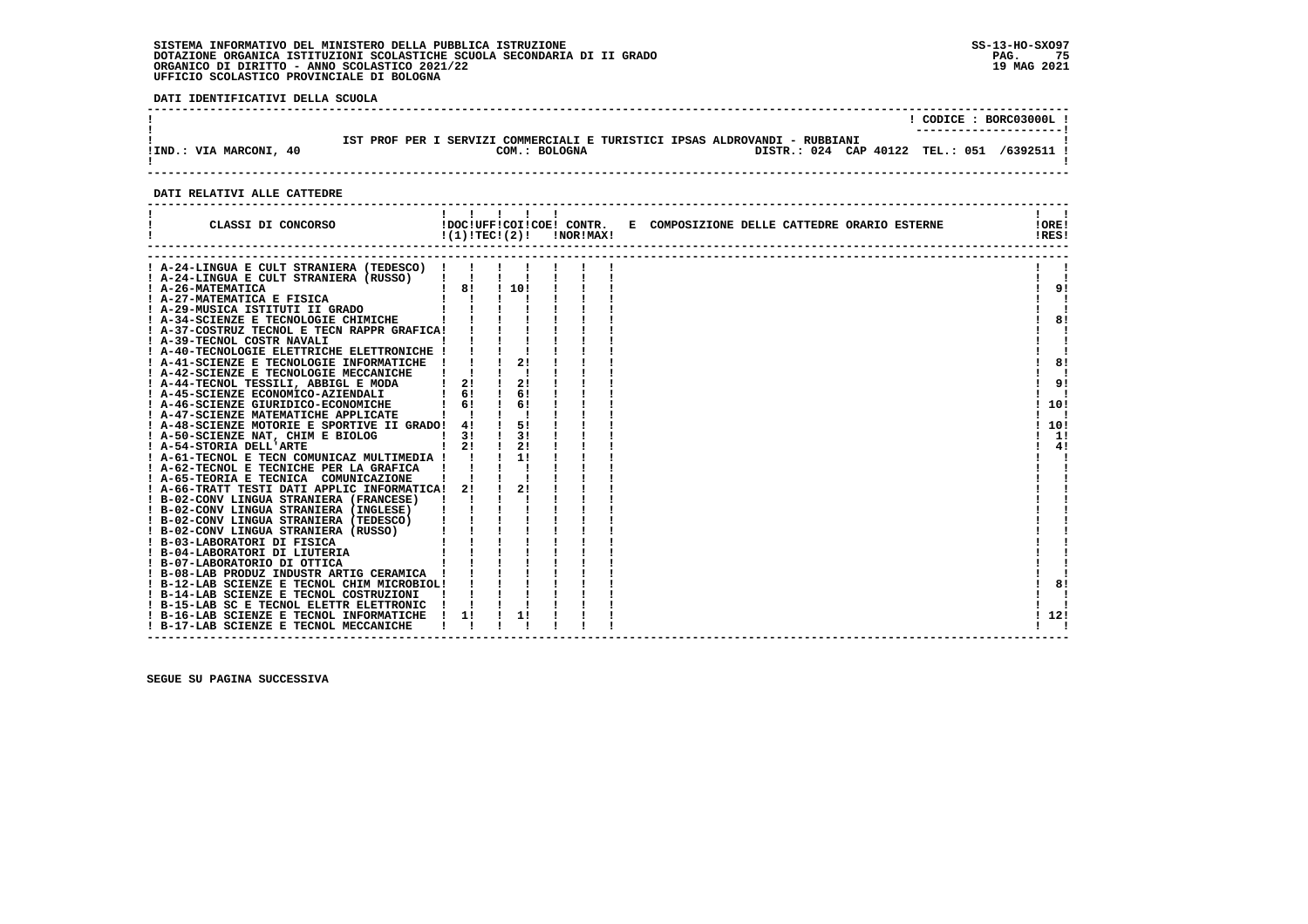**DATI IDENTIFICATIVI DELLA SCUOLA**

| !IND.: VIA MARCONI, 40 | : SERVIZI COMMERCIALI E TURISTICI IPSAS ALDROVANDI - RUBBIANI<br>TST PROF PER T<br>DISTR.: 024 CAP 40122 TEL.: 051 /6392511 !<br>COM.: BOLOGNA | CODICE: BORC03000L! |
|------------------------|------------------------------------------------------------------------------------------------------------------------------------------------|---------------------|
|                        |                                                                                                                                                |                     |

## **DATI RELATIVI ALLE CATTEDRE**

| CLASSI DI CONCORSO                                                                                                                                                                                                                       |                                                                                                                                                                       | !DOC!UFF!COI!COE! CONTR.<br>!(1)!TEC!(2)! | !NOR!MAX! | E COMPOSIZIONE DELLE CATTEDRE ORARIO ESTERNE | IOREI<br>!RES! |
|------------------------------------------------------------------------------------------------------------------------------------------------------------------------------------------------------------------------------------------|-----------------------------------------------------------------------------------------------------------------------------------------------------------------------|-------------------------------------------|-----------|----------------------------------------------|----------------|
| A-24-LINGUA E CULT STRANIERA (TEDESCO) !                                                                                                                                                                                                 |                                                                                                                                                                       |                                           |           |                                              |                |
| ! A-24-LINGUA E CULT STRANIERA (RUSSO) !!!                                                                                                                                                                                               |                                                                                                                                                                       |                                           |           |                                              |                |
| : A-26-MATEMATICA<br>1 A-27-MATEMATICA E FISICA<br>1 A-29-MUSICA ISTITUTI GRADO        <br>1 A-34-SCIENZE E TECNOLOGIE CHIMICHE          <br>1 A-34-SCIENZE E TECNOLOGIE CHIMICHE          <br>1 A-37-COSTRUZ TECNOL E TECN RAPPR GRAFIC |                                                                                                                                                                       |                                           |           |                                              | 9!             |
|                                                                                                                                                                                                                                          |                                                                                                                                                                       |                                           |           |                                              |                |
|                                                                                                                                                                                                                                          |                                                                                                                                                                       |                                           |           |                                              |                |
|                                                                                                                                                                                                                                          |                                                                                                                                                                       |                                           |           |                                              | 81             |
|                                                                                                                                                                                                                                          |                                                                                                                                                                       |                                           |           |                                              |                |
| ! A-39-TECNOL COSTR NAVALI                                                                                                                                                                                                               |                                                                                                                                                                       |                                           |           |                                              |                |
| ! A-40-TECNOLOGIE ELETTRICHE ELETTRONICHE !                                                                                                                                                                                              |                                                                                                                                                                       |                                           |           |                                              |                |
| ! A-41-SCIENZE E TECNOLOGIE INFORMATICHE !                                                                                                                                                                                               |                                                                                                                                                                       | 21                                        |           |                                              | 8!             |
| ! A-42-SCIENZE E TECNOLOGIE MECCANICHE                                                                                                                                                                                                   |                                                                                                                                                                       |                                           |           |                                              |                |
| ! A-44-TECNOL TESSILI, ABBIGL E MODA                                                                                                                                                                                                     | $1 \quad 21$                                                                                                                                                          | 21                                        |           |                                              | 9!             |
| ! A-45-SCIENZE ECONOMICO-AZIENDALI                                                                                                                                                                                                       | $1 \quad 61$                                                                                                                                                          | 61                                        |           |                                              |                |
| ! A-46-SCIENZE GIURIDICO-ECONOMICHE                                                                                                                                                                                                      | 6!                                                                                                                                                                    | 61                                        |           |                                              | 10!            |
| ! A-47-SCIENZE MATEMATICHE APPLICATE                                                                                                                                                                                                     |                                                                                                                                                                       |                                           |           |                                              |                |
| ! A-48-SCIENZE MOTORIE E SPORTIVE II GRADO! 4!                                                                                                                                                                                           |                                                                                                                                                                       | 51                                        |           |                                              | 10!            |
| ! A-50-SCIENZE NAT, CHIM E BIOLOG                                                                                                                                                                                                        | $\frac{1}{3}$                                                                                                                                                         | 31                                        |           |                                              | 1!             |
| ! A-54-STORIA DELL'ARTE                                                                                                                                                                                                                  | $1 \quad 21$                                                                                                                                                          | 21                                        |           |                                              | 4!             |
| ! A-61-TECNOL E TECN COMUNICAZ MULTIMEDIA ! !                                                                                                                                                                                            |                                                                                                                                                                       |                                           |           |                                              |                |
| ! A-62-TECNOL E TECNICHE PER LA GRAFICA                                                                                                                                                                                                  |                                                                                                                                                                       |                                           |           |                                              |                |
| ! A-65-TEORIA E TECNICA COMUNICAZIONE                                                                                                                                                                                                    |                                                                                                                                                                       |                                           |           |                                              |                |
| ! A-66-TRATT TESTI DATI APPLIC INFORMATICA! 2!                                                                                                                                                                                           |                                                                                                                                                                       | 21                                        |           |                                              |                |
| ! B-02-CONV LINGUA STRANIERA (FRANCESE)                                                                                                                                                                                                  |                                                                                                                                                                       |                                           |           |                                              |                |
| ! B-02-CONV LINGUA STRANIERA (INGLESE)                                                                                                                                                                                                   |                                                                                                                                                                       |                                           |           |                                              |                |
| ! B-02-CONV LINGUA STRANIERA (TEDESCO)                                                                                                                                                                                                   |                                                                                                                                                                       |                                           |           |                                              |                |
| ! B-02-CONV LINGUA STRANIERA (RUSSO)                                                                                                                                                                                                     |                                                                                                                                                                       |                                           |           |                                              |                |
| ! B-03-LABORATORI DI FISICA                                                                                                                                                                                                              |                                                                                                                                                                       |                                           |           |                                              |                |
| ! B-04-LABORATORI DI LIUTERIA                                                                                                                                                                                                            | $\begin{array}{cccccccccc} 1 & 1 & 1 & 1 & 1 \\ 1 & 1 & 1 & 1 & 1 \\ 1 & 1 & 1 & 1 & 1 \\ 1 & 1 & 1 & 1 & 1 \\ 1 & 1 & 1 & 1 & 1 \\ 1 & 1 & 1 & 1 & 1 \\ \end{array}$ |                                           |           |                                              |                |
| ! B-07-LABORATORIO DI OTTICA                                                                                                                                                                                                             |                                                                                                                                                                       |                                           |           |                                              |                |
| ! B-08-LAB PRODUZ INDUSTR ARTIG CERAMICA !                                                                                                                                                                                               |                                                                                                                                                                       |                                           |           |                                              |                |
| ! B-12-LAB SCIENZE E TECNOL CHIM MICROBIOL!                                                                                                                                                                                              |                                                                                                                                                                       |                                           |           |                                              | 8!             |
| ! B-14-LAB SCIENZE E TECNOL COSTRUZIONI                                                                                                                                                                                                  |                                                                                                                                                                       |                                           |           |                                              |                |
| ! B-15-LAB SC E TECNOL ELETTR ELETTRONIC<br>! B-16-LAB SCIENZE E TECNOL INFORMATICHE                                                                                                                                                     | 1!                                                                                                                                                                    | 1!                                        |           |                                              | 12!            |
| ! B-17-LAB SCIENZE E TECNOL MECCANICHE                                                                                                                                                                                                   |                                                                                                                                                                       |                                           |           |                                              |                |
|                                                                                                                                                                                                                                          |                                                                                                                                                                       |                                           |           |                                              |                |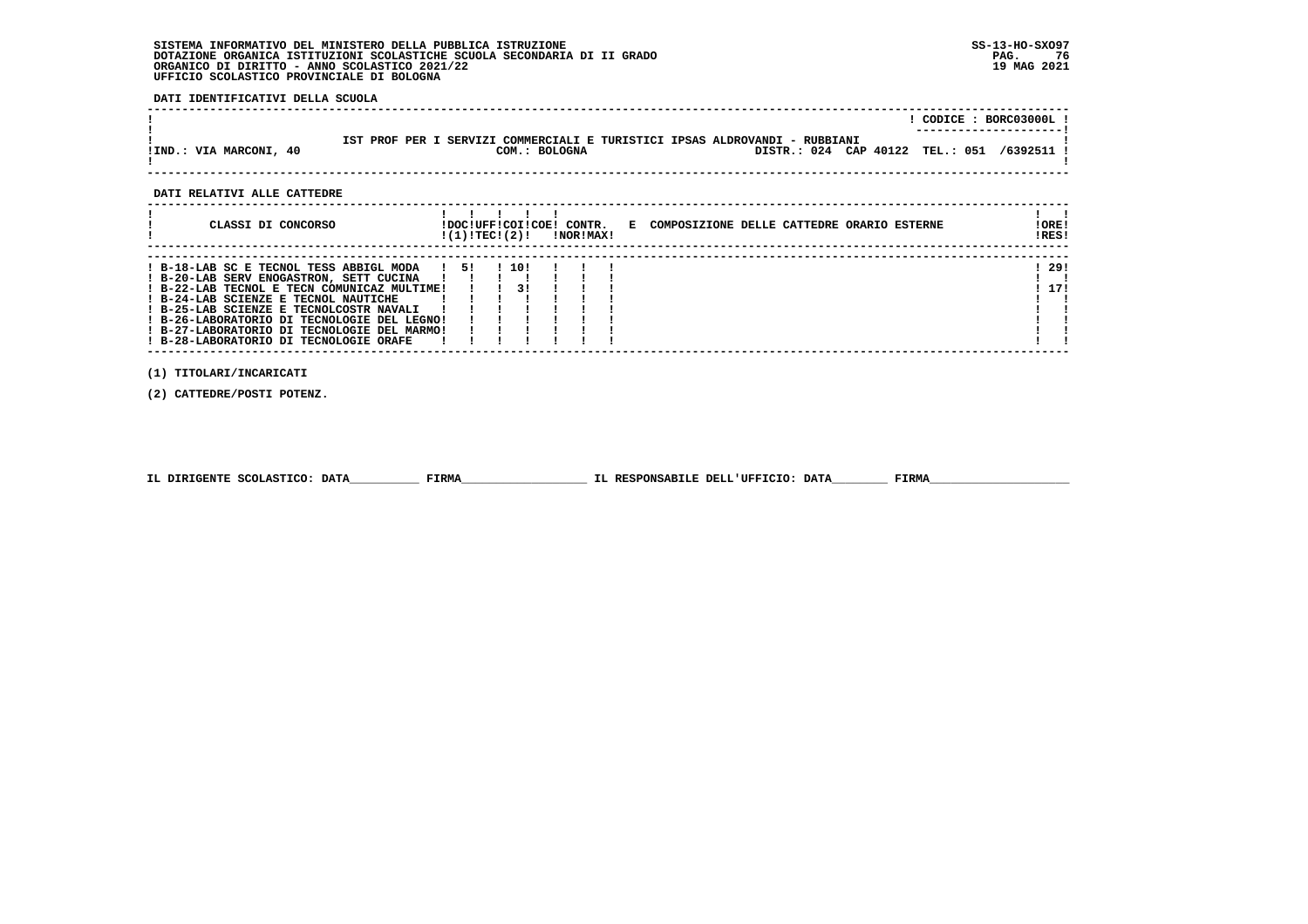**DATI IDENTIFICATIVI DELLA SCUOLA**

|                        |                                                                                                                                | CODICE: BORC03000L! |
|------------------------|--------------------------------------------------------------------------------------------------------------------------------|---------------------|
| !IND.: VIA MARCONI, 40 | IST PROF PER I SERVIZI COMMERCIALI E TURISTICI IPSAS ALDROVANDI - RUBBIANI<br>DISTR.: 024 CAP 40122 TEL.: 051<br>COM.: BOLOGNA | /6392511 !          |

## **DATI RELATIVI ALLE CATTEDRE**

| CLASSI DI CONCORSO                                                                                                                                                                                                                                                                                                                                           |      | !DOC!UFF!COI!COE!<br>!(1)!TECI(2)! |               | CONTR.<br><b>!NOR!MAX!</b> | E COMPOSIZIONE DELLE CATTEDRE ORARIO ESTERNE | ! ORE!<br>!RES! |
|--------------------------------------------------------------------------------------------------------------------------------------------------------------------------------------------------------------------------------------------------------------------------------------------------------------------------------------------------------------|------|------------------------------------|---------------|----------------------------|----------------------------------------------|-----------------|
| ! B-18-LAB SC E TECNOL TESS ABBIGL MODA<br>! B-20-LAB SERV ENOGASTRON, SETT CUCINA<br>! B-22-LAB TECNOL E TECN COMUNICAZ MULTIME!<br>! B-24-LAB SCIENZE E TECNOL NAUTICHE<br>! B-25-LAB SCIENZE E TECNOLCOSTR NAVALI<br>! B-26-LABORATORIO DI TECNOLOGIE DEL LEGNO!<br>! B-27-LABORATORIO DI TECNOLOGIE DEL MARMO!<br>! B-28-LABORATORIO DI TECNOLOGIE ORAFE | -151 |                                    | 1 10 1<br>3 I |                            |                                              | - 29 !<br>17!   |

 **(1) TITOLARI/INCARICATI**

 **(2) CATTEDRE/POSTI POTENZ.**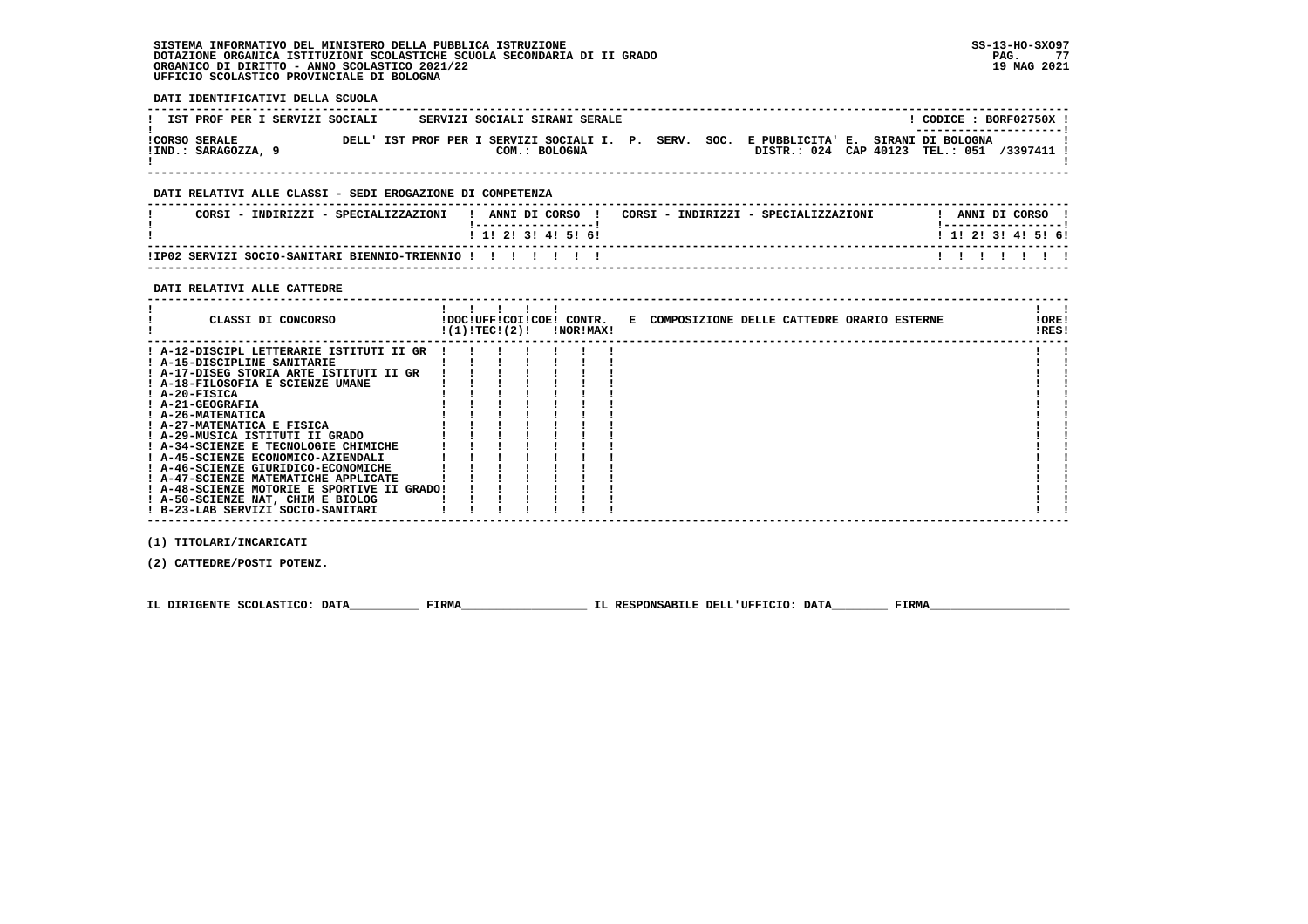| DATI IDENTIFICATIVI DELLA SCUOLA                                                                                                                                                                                                                                                                                                                                                                                                                                                                                                                                                                                                                                                                                                                                                                                                                                                                                                                                                                                                                                                                                                                                                               |                                                                                                                                                   |
|------------------------------------------------------------------------------------------------------------------------------------------------------------------------------------------------------------------------------------------------------------------------------------------------------------------------------------------------------------------------------------------------------------------------------------------------------------------------------------------------------------------------------------------------------------------------------------------------------------------------------------------------------------------------------------------------------------------------------------------------------------------------------------------------------------------------------------------------------------------------------------------------------------------------------------------------------------------------------------------------------------------------------------------------------------------------------------------------------------------------------------------------------------------------------------------------|---------------------------------------------------------------------------------------------------------------------------------------------------|
| IST PROF PER I SERVIZI SOCIALI       SERVIZI SOCIALI SIRANI SERALE                                                                                                                                                                                                                                                                                                                                                                                                                                                                                                                                                                                                                                                                                                                                                                                                                                                                                                                                                                                                                                                                                                                             | $!$ CODICE : BORF02750X $!$                                                                                                                       |
| !IND.: SARAGOZZA, 9                                                                                                                                                                                                                                                                                                                                                                                                                                                                                                                                                                                                                                                                                                                                                                                                                                                                                                                                                                                                                                                                                                                                                                            | DISTR.: 024 CAP 40123 TEL.: 051 /3397411 !                                                                                                        |
| DATI RELATIVI ALLE CLASSI - SEDI EROGAZIONE DI COMPETENZA                                                                                                                                                                                                                                                                                                                                                                                                                                                                                                                                                                                                                                                                                                                                                                                                                                                                                                                                                                                                                                                                                                                                      |                                                                                                                                                   |
| CORSI - INDIRIZZI - SPECIALIZZAZIONI   ANNI DI CORSO   CORSI - INDIRIZZI - SPECIALIZZAZIONI<br>!-----------------!                                                                                                                                                                                                                                                                                                                                                                                                                                                                                                                                                                                                                                                                                                                                                                                                                                                                                                                                                                                                                                                                             | ! ANNI DI CORSO !<br>!-----------------!                                                                                                          |
| 1 1 1 2 1 3 1 4 1 5 1 6 1                                                                                                                                                                                                                                                                                                                                                                                                                                                                                                                                                                                                                                                                                                                                                                                                                                                                                                                                                                                                                                                                                                                                                                      | 1 1 2 2 1 3 1 4 1 5 1 6 1                                                                                                                         |
| ! IP02 SERVIZI SOCIO-SANITARI BIENNIO-TRIENNIO ! ! ! ! ! ! !                                                                                                                                                                                                                                                                                                                                                                                                                                                                                                                                                                                                                                                                                                                                                                                                                                                                                                                                                                                                                                                                                                                                   | 1 1 1 1 1 1 1                                                                                                                                     |
| DATI RELATIVI ALLE CATTEDRE                                                                                                                                                                                                                                                                                                                                                                                                                                                                                                                                                                                                                                                                                                                                                                                                                                                                                                                                                                                                                                                                                                                                                                    |                                                                                                                                                   |
| $1$ $1$ $1$ $1$ $1$<br>$!(1)!TEC!(2)!$ $ NOR MAX!$                                                                                                                                                                                                                                                                                                                                                                                                                                                                                                                                                                                                                                                                                                                                                                                                                                                                                                                                                                                                                                                                                                                                             | $\mathbf{1}$ $\mathbf{1}$<br>CLASSI DI CONCORSO           IDOCIUFFICOIICOEI CONTR. E COMPOSIZIONE DELLE CATTEDRE ORARIO ESTERNE<br>!ORE!<br>!RES! |
| ! A-12-DISCIPL LETTERARIE ISTITUTI II GR !<br>! A-15-DISCIPLINE SANITARIE        <br>! A-17-DISEG STORIA ARTE ISTITUTI II GR      <br>$\begin{array}{c} \begin{array}{c} \begin{array}{c} \begin{array}{c} \end{array} \\ \end{array} & \begin{array}{c} \end{array} \\ \begin{array}{c} \end{array} \\ \end{array} & \begin{array}{c} \begin{array}{c} \end{array} \\ \end{array} & \begin{array}{c} \end{array} \\ \begin{array}{c} \end{array} & \begin{array}{c} \end{array} \\ \end{array} & \begin{array}{c} \end{array} & \begin{array}{c} \end{array} \\ \end{array} & \begin{array}{c} \end{array} & \begin{array}{c} \end{array} \\ \end{array} & \begin{array}{c} \end{array} \$<br>! A-18-FILOSOFIA E SCIENZE UMANE<br>$I$ A-20-FISICA<br>! A-21-GEOGRAFIA<br>! A-26-MATEMATICA<br>! A-27-MATEMATICA E FISICA<br>! A-29-MUSICA ISTITUTI II GRADO<br>! A-34-SCIENZE E TECNOLOGIE CHIMICHE<br>! A-45-SCIENZE ECONOMICO-AZIENDALI<br>! A-46-SCIENZE GIURIDICO-ECONOMICHE<br>$\mathbf{1}$ $\mathbf{1}$ $\mathbf{1}$<br>! A-47-SCIENZE MATEMATICHE APPLICATE<br>! A-48-SCIENZE MOTORIE E SPORTIVE II GRADO!!!<br>! A-50-SCIENZE NAT, CHIM E BIOLOG<br>! B-23-LAB SERVIZI SOCIO-SANITARI |                                                                                                                                                   |
| (1) TITOLARI/INCARICATI                                                                                                                                                                                                                                                                                                                                                                                                                                                                                                                                                                                                                                                                                                                                                                                                                                                                                                                                                                                                                                                                                                                                                                        |                                                                                                                                                   |
| (2) CATTEDRE/POSTI POTENZ.                                                                                                                                                                                                                                                                                                                                                                                                                                                                                                                                                                                                                                                                                                                                                                                                                                                                                                                                                                                                                                                                                                                                                                     |                                                                                                                                                   |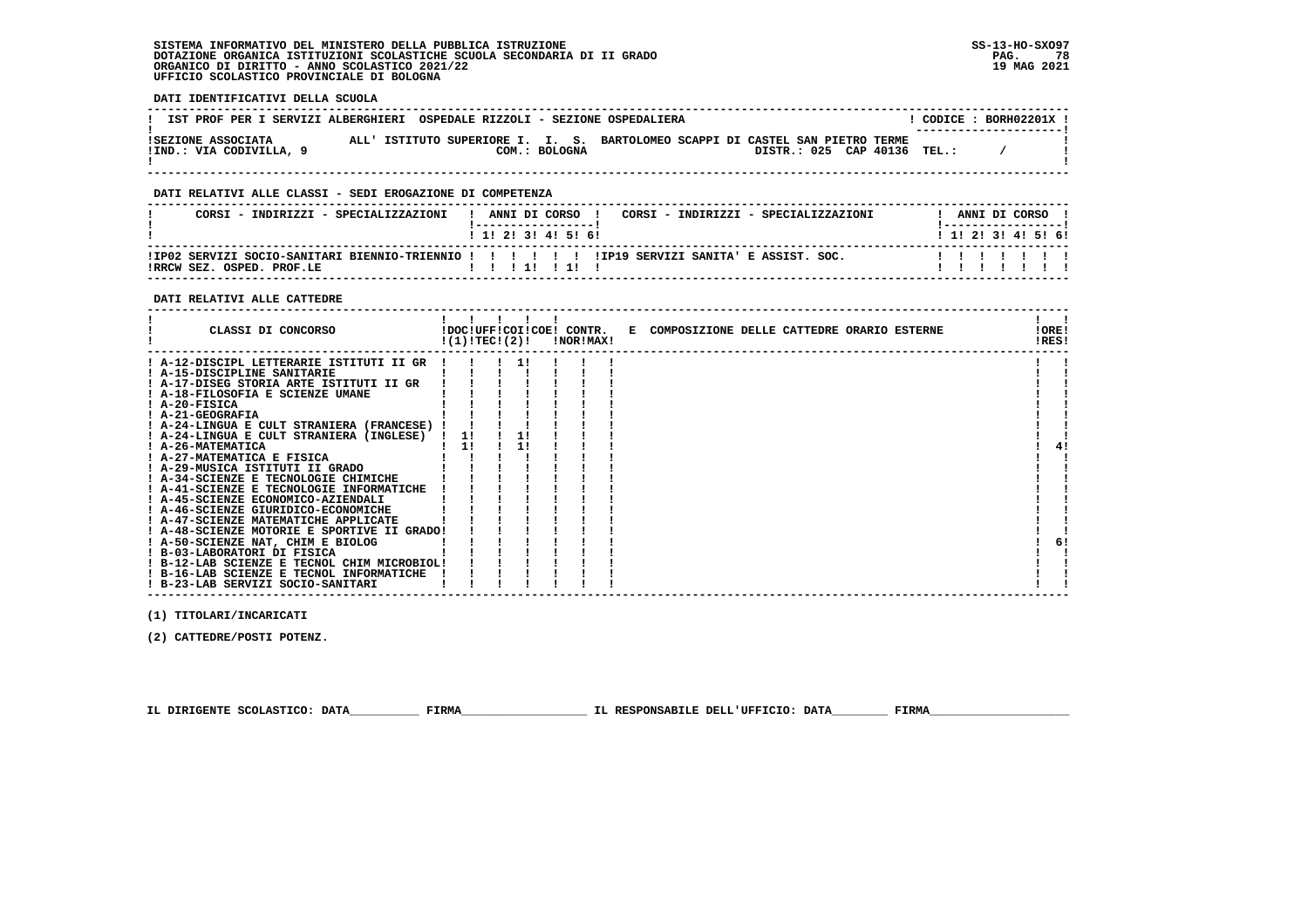**DATI IDENTIFICATIVI DELLA SCUOLA**

|                                               | IST PROF PER I SERVIZI ALBERGHIERI OSPEDALE RIZZOLI - SEZIONE OSPEDALIERA                                                     |  | CODICE: BORH02201X !<br>--------------------- |
|-----------------------------------------------|-------------------------------------------------------------------------------------------------------------------------------|--|-----------------------------------------------|
| ISEZIONE ASSOCIATA<br>IIND.: VIA CODIVILLA, 9 | ALL' ISTITUTO SUPERIORE I. I. S. BARTOLOMEO SCAPPI DI CASTEL SAN PIETRO TERME<br>DISTR.: 025 CAP 40136 TEL.:<br>COM.: BOLOGNA |  |                                               |

 **------------------------------------------------------------------------------------------------------------------------------------**

### **DATI RELATIVI ALLE CLASSI - SEDI EROGAZIONE DI COMPETENZA**

| CORSI - INDIRIZZI - SPECIALIZZAZIONI | ANNI DI CORSO<br>CORSI - INDIRIZZI - SPECIALIZZAZIONI<br>1 1 1 2 1 3 1 4 1 5 1 6 1               | ANNI DI CORSO<br>1 1 1 2 1 3 1 4 1 5 1 6 1 |
|--------------------------------------|--------------------------------------------------------------------------------------------------|--------------------------------------------|
| IRRCW SEZ. OSPED. PROF.LE            | IIP02 SERVIZI SOCIO-SANITARI BIENNIO-TRIENNIO ! ! ! ! ! ! ! IIP19 SERVIZI SANITA' E ASSIST. SOC. |                                            |

### **DATI RELATIVI ALLE CATTEDRE**

| CLASSI DI CONCORSO                          |    | !(1)!TEC!(2)! | !NOR!MAX! | !DOC!UFF!COI!COE! CONTR. E COMPOSIZIONE DELLE CATTEDRE ORARIO ESTERNE | !ORE!<br>!RES! |    |
|---------------------------------------------|----|---------------|-----------|-----------------------------------------------------------------------|----------------|----|
| ! A-12-DISCIPL LETTERARIE ISTITUTI II GR    |    |               |           |                                                                       |                |    |
| ! A-15-DISCIPLINE SANITARIE                 |    |               |           |                                                                       |                |    |
| ! A-17-DISEG STORIA ARTE ISTITUTI II GR     |    |               |           |                                                                       |                |    |
| ! A-18-FILOSOFIA E SCIENZE UMANE            |    |               |           |                                                                       |                |    |
| $I$ A-20-FISICA                             |    |               |           |                                                                       |                |    |
| ! A-21-GEOGRAFIA                            |    |               |           |                                                                       |                |    |
| ! A-24-LINGUA E CULT STRANIERA (FRANCESE) ! |    |               |           |                                                                       |                |    |
| ! A-24-LINGUA E CULT STRANIERA (INGLESE)    | 11 |               |           |                                                                       |                |    |
| ! A-26-MATEMATICA                           | 11 |               |           |                                                                       |                | 4! |
| ! A-27-MATEMATICA E FISICA                  |    |               |           |                                                                       |                |    |
| ! A-29-MUSICA ISTITUTI II GRADO             |    |               |           |                                                                       |                |    |
| ! A-34-SCIENZE E TECNOLOGIE CHIMICHE        |    |               |           |                                                                       |                |    |
| ! A-41-SCIENZE E TECNOLOGIE INFORMATICHE    |    |               |           |                                                                       |                |    |
| ! A-45-SCIENZE ECONOMICO-AZIENDALI          |    |               |           |                                                                       |                |    |
| ! A-46-SCIENZE GIURIDICO-ECONOMICHE         |    |               |           |                                                                       |                |    |
| ! A-47-SCIENZE MATEMATICHE APPLICATE        |    |               |           |                                                                       |                |    |
| ! A-48-SCIENZE MOTORIE E SPORTIVE II GRADO! |    |               |           |                                                                       |                |    |
| ! A-50-SCIENZE NAT, CHIM E BIOLOG           |    |               |           |                                                                       |                | 6! |
| ! B-03-LABORATORI DI FISICA                 |    |               |           |                                                                       |                |    |
| ! B-12-LAB SCIENZE E TECNOL CHIM MICROBIOL! |    |               |           |                                                                       |                |    |
| ! B-16-LAB SCIENZE E TECNOL INFORMATICHE    |    |               |           |                                                                       |                |    |
| ! B-23-LAB SERVIZI SOCIO-SANITARI           |    |               |           |                                                                       |                |    |

 **(1) TITOLARI/INCARICATI**

 **(2) CATTEDRE/POSTI POTENZ.**

 **IL DIRIGENTE SCOLASTICO: DATA\_\_\_\_\_\_\_\_\_\_ FIRMA\_\_\_\_\_\_\_\_\_\_\_\_\_\_\_\_\_\_ IL RESPONSABILE DELL'UFFICIO: DATA\_\_\_\_\_\_\_\_ FIRMA\_\_\_\_\_\_\_\_\_\_\_\_\_\_\_\_\_\_\_\_**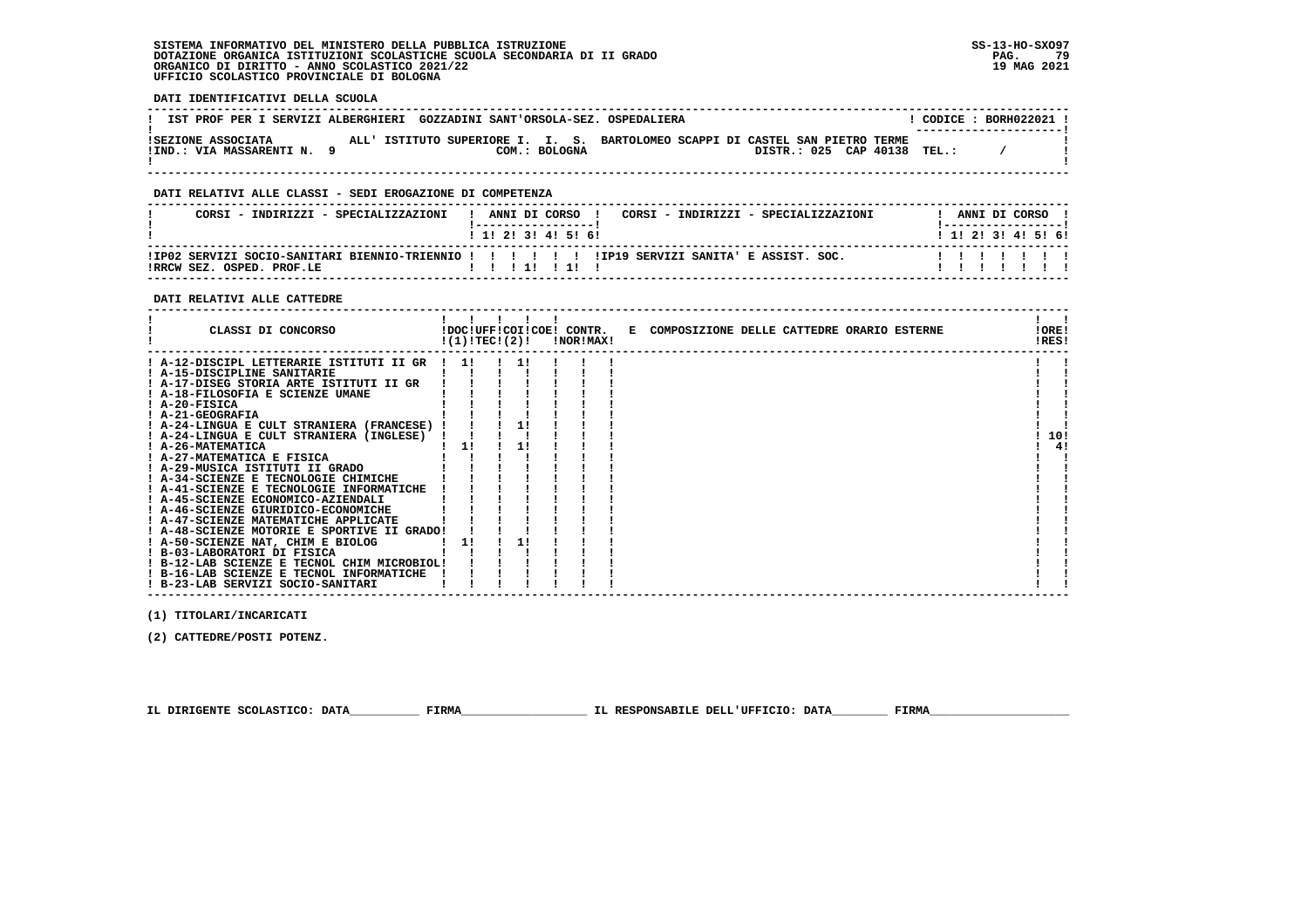**DATI IDENTIFICATIVI DELLA SCUOLA**

| IST PROF PER I SERVIZI ALBERGHIERI GOZZADINI SANT'ORSOLA-SEZ. OSPEDALIERA |                                                                               |               |  |  |                             |  | $\overline{CODICE}$ : BORH022021 1<br>---------------------- |  |
|---------------------------------------------------------------------------|-------------------------------------------------------------------------------|---------------|--|--|-----------------------------|--|--------------------------------------------------------------|--|
| ISEZIONE ASSOCIATA<br>!IND.: VIA MASSARENTI N.                            | ALL' ISTITUTO SUPERIORE I. I. S. BARTOLOMEO SCAPPI DI CASTEL SAN PIETRO TERME | COM.: BOLOGNA |  |  | DISTR.: 025 CAP 40138 TEL.: |  |                                                              |  |

 **------------------------------------------------------------------------------------------------------------------------------------**

### **DATI RELATIVI ALLE CLASSI - SEDI EROGAZIONE DI COMPETENZA**

| CORST - INDIRIZZI - SPECIALIZZAZIONI | ANNI DI CORSO<br>CORST - INDIRIZZI - SPECIALIZZAZIONI<br>1 1 1 2 1 3 1 4 1 5 1 6 1           | ANNI DI CORSO<br>1 1 1 2 1 3 1 4 1 5 1 6 1 |
|--------------------------------------|----------------------------------------------------------------------------------------------|--------------------------------------------|
| IRRCW SEZ. OSPED. PROF.LE            | IPO2 SERVIZI SOCIO-SANITARI BIENNIO-TRIENNIO ! ! ! ! !! !IPI9 SERVIZI SANITA' E ASSIST. SOC. |                                            |

### **DATI RELATIVI ALLE CATTEDRE**

|                                   | CLASSI DI CONCORSO                                                                                                                                                                                                                                                                                                                                                                                                                                                                                       | !(1)!TEC!(2)! |  | !NOR!MAX! | !DOC!UFF!COI!COE! CONTR. E COMPOSIZIONE DELLE CATTEDRE ORARIO ESTERNE | !ORE!<br>!RES! |    |
|-----------------------------------|----------------------------------------------------------------------------------------------------------------------------------------------------------------------------------------------------------------------------------------------------------------------------------------------------------------------------------------------------------------------------------------------------------------------------------------------------------------------------------------------------------|---------------|--|-----------|-----------------------------------------------------------------------|----------------|----|
| ! A-20-FISICA<br>! A-21-GEOGRAFIA | ! A-12-DISCIPL LETTERARIE ISTITUTI II GR<br>! A-15-DISCIPLINE SANITARIE<br>! A-17-DISEG STORIA ARTE ISTITUTI II GR<br>! A-18-FILOSOFIA E SCIENZE UMANE<br>! A-24-LINGUA E CULT STRANIERA (FRANCESE) !<br>! A-24-LINGUA E CULT STRANIERA (INGLESE)<br>! A-26-MATEMATICA<br>! A-27-MATEMATICA E FISICA<br>! A-29-MUSICA ISTITUTI II GRADO<br>! A-34-SCIENZE E TECNOLOGIE CHIMICHE<br>! A-41-SCIENZE E TECNOLOGIE INFORMATICHE<br>! A-45-SCIENZE ECONOMICO-AZIENDALI<br>! A-46-SCIENZE GIURIDICO-ECONOMICHE | 11<br>11      |  |           |                                                                       | 10!            | 4! |
|                                   | ! A-47-SCIENZE MATEMATICHE APPLICATE                                                                                                                                                                                                                                                                                                                                                                                                                                                                     |               |  |           |                                                                       |                |    |
|                                   | ! A-48-SCIENZE MOTORIE E SPORTIVE II GRADO!<br>! A-50-SCIENZE NAT, CHIM E BIOLOG<br>! B-03-LABORATORI DI FISICA                                                                                                                                                                                                                                                                                                                                                                                          |               |  |           |                                                                       |                |    |
|                                   | ! B-12-LAB SCIENZE E TECNOL CHIM MICROBIOL!<br>! B-16-LAB SCIENZE E TECNOL INFORMATICHE<br>! B-23-LAB SERVIZI SOCIO-SANITARI                                                                                                                                                                                                                                                                                                                                                                             |               |  |           |                                                                       |                |    |

 **(1) TITOLARI/INCARICATI**

 **(2) CATTEDRE/POSTI POTENZ.**

 **IL DIRIGENTE SCOLASTICO: DATA\_\_\_\_\_\_\_\_\_\_ FIRMA\_\_\_\_\_\_\_\_\_\_\_\_\_\_\_\_\_\_ IL RESPONSABILE DELL'UFFICIO: DATA\_\_\_\_\_\_\_\_ FIRMA\_\_\_\_\_\_\_\_\_\_\_\_\_\_\_\_\_\_\_\_**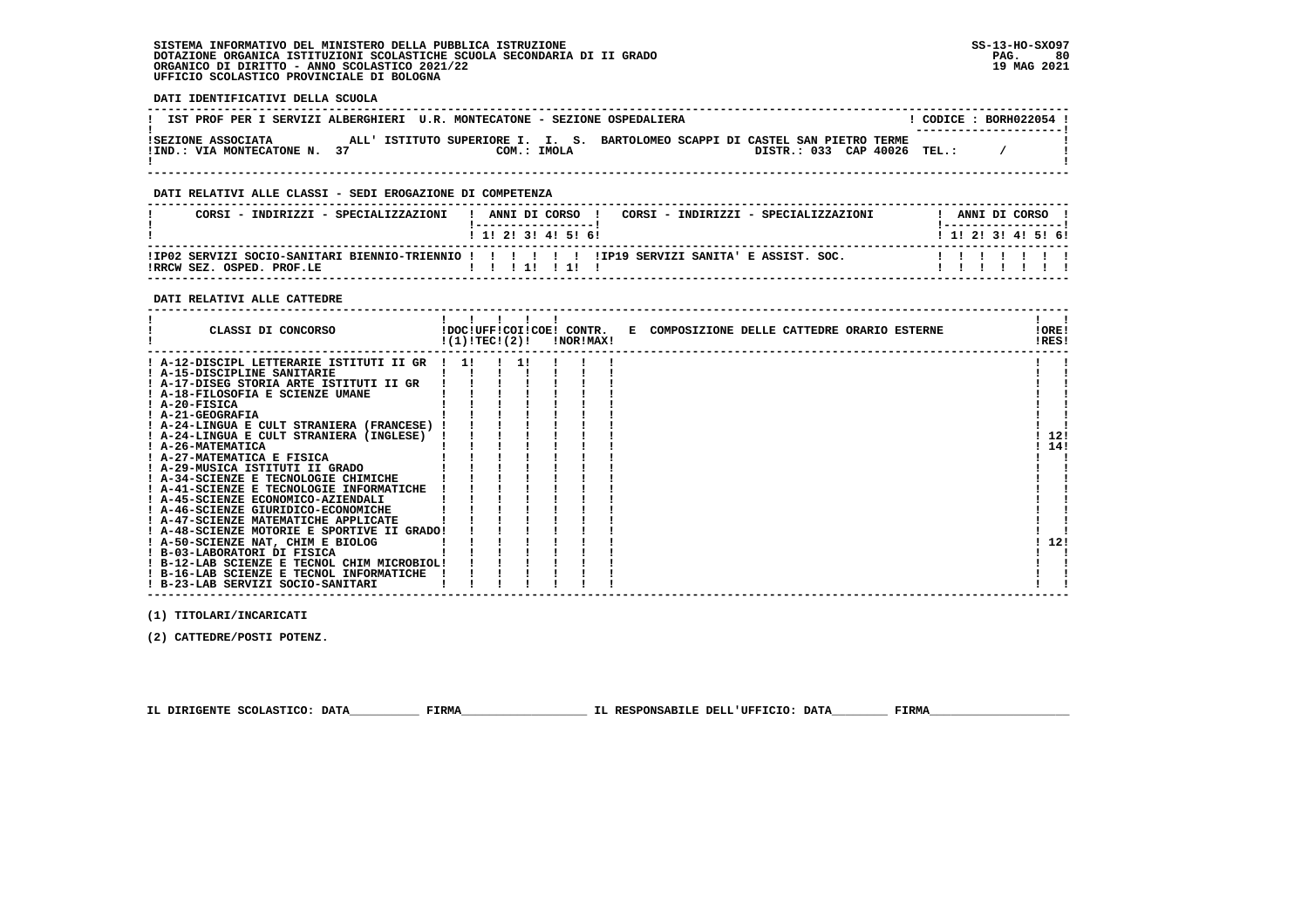**DATI IDENTIFICATIVI DELLA SCUOLA**

| IST PROF PER I SERVIZI ALBERGHIERI U.R. MONTECATONE - SEZIONE OSPEDALIERA |  |                                                                                              |  |  |  |                             | $COMICE : BORH022054$ !<br>---------------------- |  |
|---------------------------------------------------------------------------|--|----------------------------------------------------------------------------------------------|--|--|--|-----------------------------|---------------------------------------------------|--|
| ISEZIONE ASSOCIATA<br>IIND.: VIA MONTECATONE N. 37                        |  | ALL' ISTITUTO SUPERIORE I. I. S. BARTOLOMEO SCAPPI DI CASTEL SAN PIETRO TERME<br>COM.: IMOLA |  |  |  | DISTR.: 033 CAP 40026 TEL.: |                                                   |  |

 **------------------------------------------------------------------------------------------------------------------------------------**

### **DATI RELATIVI ALLE CLASSI - SEDI EROGAZIONE DI COMPETENZA**

| CORST - INDIRIZZI - SPECIALIZZAZIONI | ANNI DI CORSO<br>CORST - INDIRIZZI - SPECIALIZZAZIONI<br>1 1 1 2 1 3 1 4 1 5 1 6 1           | ANNI DI CORSO<br>1 1 1 2 1 3 1 4 1 5 1 6 1 |
|--------------------------------------|----------------------------------------------------------------------------------------------|--------------------------------------------|
| IRRCW SEZ. OSPED. PROF.LE            | IPO2 SERVIZI SOCIO-SANITARI BIENNIO-TRIENNIO ! ! ! ! !! !IPI9 SERVIZI SANITA' E ASSIST. SOC. |                                            |

### **DATI RELATIVI ALLE CATTEDRE**

| CLASSI DI CONCORSO                                                                                                                                                                                                                                                                                                                                                                                                                                                                                                                                                                                                                                                                                                                                                                                | !(1)!TEC!(2)! |  | !NOR!MAX! | !DOC!UFF!COI!COE! CONTR. E COMPOSIZIONE DELLE CATTEDRE ORARIO ESTERNE | !ORE!<br>!RES!    |
|---------------------------------------------------------------------------------------------------------------------------------------------------------------------------------------------------------------------------------------------------------------------------------------------------------------------------------------------------------------------------------------------------------------------------------------------------------------------------------------------------------------------------------------------------------------------------------------------------------------------------------------------------------------------------------------------------------------------------------------------------------------------------------------------------|---------------|--|-----------|-----------------------------------------------------------------------|-------------------|
| ! A-12-DISCIPL LETTERARIE ISTITUTI II GR<br>! A-15-DISCIPLINE SANITARIE<br>! A-17-DISEG STORIA ARTE ISTITUTI II GR<br>! A-18-FILOSOFIA E SCIENZE UMANE<br>! A-20-FISICA<br>! A-21-GEOGRAFIA<br>! A-24-LINGUA E CULT STRANIERA (FRANCESE)<br>! A-24-LINGUA E CULT STRANIERA (INGLESE)<br>! A-26-MATEMATICA<br>! A-27-MATEMATICA E FISICA<br>! A-29-MUSICA ISTITUTI II GRADO<br>! A-34-SCIENZE E TECNOLOGIE CHIMICHE<br>! A-41-SCIENZE E TECNOLOGIE INFORMATICHE<br>! A-45-SCIENZE ECONOMICO-AZIENDALI<br>! A-46-SCIENZE GIURIDICO-ECONOMICHE<br>! A-47-SCIENZE MATEMATICHE APPLICATE<br>! A-48-SCIENZE MOTORIE E SPORTIVE II GRADO!<br>! A-50-SCIENZE NAT, CHIM E BIOLOG<br>! B-03-LABORATORI DI FISICA<br>! B-12-LAB SCIENZE E TECNOL CHIM MICROBIOL!<br>! B-16-LAB SCIENZE E TECNOL INFORMATICHE | 11            |  |           |                                                                       | 12!<br>14!<br>12! |
| ! B-23-LAB SERVIZI SOCIO-SANITARI                                                                                                                                                                                                                                                                                                                                                                                                                                                                                                                                                                                                                                                                                                                                                                 |               |  |           |                                                                       |                   |

 **(1) TITOLARI/INCARICATI**

 **(2) CATTEDRE/POSTI POTENZ.**

 **IL DIRIGENTE SCOLASTICO: DATA\_\_\_\_\_\_\_\_\_\_ FIRMA\_\_\_\_\_\_\_\_\_\_\_\_\_\_\_\_\_\_ IL RESPONSABILE DELL'UFFICIO: DATA\_\_\_\_\_\_\_\_ FIRMA\_\_\_\_\_\_\_\_\_\_\_\_\_\_\_\_\_\_\_\_**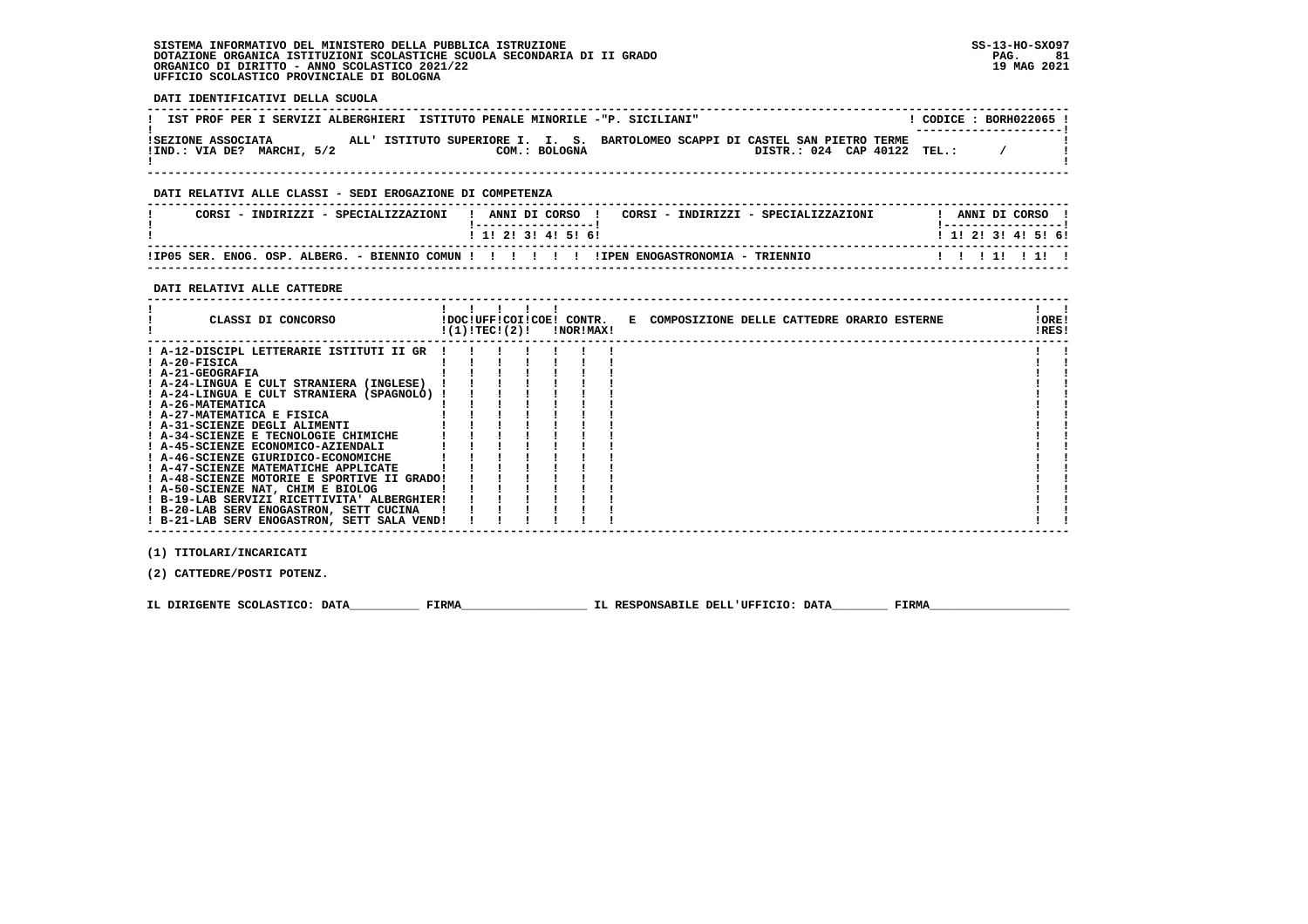**DATI IDENTIFICATIVI DELLA SCUOLA ------------------------------------------------------------------------------------------------------------------------------------**L CODICE : BORH022065 L **! IST PROF PER I SERVIZI ALBERGHIERI ISTITUTO PENALE MINORILE -"P. SICILIANI"** \_\_\_\_\_\_\_\_\_\_\_\_\_\_\_\_\_\_\_\_\_\_\_\_  **! ---------------------! !SEZIONE ASSOCIATA ALL' ISTITUTO SUPERIORE I. I. S. BARTOLOMEO SCAPPI DI CASTEL SAN PIETRO TERME !** $\sim$  1 **EXECUTE: VIA DE?** MARCHI, 5/2 COM.: BOLOGNA DISTR.: 024 CAP 40122 TEL.: /  $\mathbf{r}$  **! ! ------------------------------------------------------------------------------------------------------------------------------------ DATI RELATIVI ALLE CLASSI - SEDI EROGAZIONE DI COMPETENZA ------------------------------------------------------------------------------------------------------------------------------------ ! CORSI - INDIRIZZI - SPECIALIZZAZIONI ! ANNI DI CORSO ! CORSI - INDIRIZZI - SPECIALIZZAZIONI ! ANNI DI CORSO !**\_\_\_\_\_\_\_\_\_\_\_\_\_\_\_\_\_\_\_\_\_\_  **! !-----------------! !-----------------!**1 1 2 3 3 4 5 6  **! ! 1! 2! 3! 4! 5! 6! ! 1! 2! 3! 4! 5! 6! ------------------------------------------------------------------------------------------------------------------------------------ !IP05 SER. ENOG. OSP. ALBERG. - BIENNIO COMUN ! ! ! ! ! ! !IPEN ENOGASTRONOMIA - TRIENNIO ! ! ! 1! ! 1! ! ------------------------------------------------------------------------------------------------------------------------------------ DATI RELATIVI ALLE CATTEDRE ------------------------------------------------------------------------------------------------------------------------------------** $\mathbf{I}$  and  $\mathbf{I}$  **! ! ! ! ! ! ! !IORE! ! CLASSI DI CONCORSO !DOC!UFF!COI!COE! CONTR. E COMPOSIZIONE DELLE CATTEDRE ORARIO ESTERNE !ORE!** $IRESI$  **! !(1)!TEC!(2)! !NOR!MAX! !RES! ------------------------------------------------------------------------------------------------------------------------------------** $\mathbf{I}$  **! A-12-DISCIPL LETTERARIE ISTITUTI II GR ! ! ! ! ! ! ! ! ! ! A-20-FISICA ! ! ! ! ! ! ! ! ! ! A-21-GEOGRAFIA ! ! ! ! ! ! ! ! !**- 1  **! A-24-LINGUA E CULT STRANIERA (INGLESE) ! ! ! ! ! ! ! ! ! ! A-24-LINGUA E CULT STRANIERA (SPAGNOLO) ! ! ! ! ! ! ! ! ! ! A-26-MATEMATICA ! ! ! ! ! ! ! ! ! ! A-27-MATEMATICA E FISICA ! ! ! ! ! ! ! ! ! ! A-31-SCIENZE DEGLI ALIMENTI ! ! ! ! ! ! ! ! ! ! A-34-SCIENZE E TECNOLOGIE CHIMICHE ! ! ! ! ! ! ! ! ! ! A-45-SCIENZE ECONOMICO-AZIENDALI ! ! ! ! ! ! ! ! ! ! A-46-SCIENZE GIURIDICO-ECONOMICHE ! ! ! ! ! ! ! ! ! ! A-47-SCIENZE MATEMATICHE APPLICATE ! ! ! ! ! ! ! ! ! ! A-48-SCIENZE MOTORIE E SPORTIVE II GRADO! ! ! ! ! ! ! ! !**! A-50-SCIENZE NAT, CHIM E BIOLOG | | | | | | | | |<br>! B-19-LAB SERVIZI RICETTIVITA' ALBERGHIER ! | ! | ! | ! |<br>! B-20-LAB SERV ENOGASTRON, SETT CUCINA | | | ! | ! | ! | |<br>! B-21-LAB SERV ENOGASTRON, SETT SALA VEND! ! | ! ! - 1  $\blacksquare$   **------------------------------------------------------------------------------------------------------------------------------------ (1) TITOLARI/INCARICATI (2) CATTEDRE/POSTI POTENZ.**

**IL DIRIGENTE SCOLASTICO: DATA** FIRMA FIRMA TL RESPONSABILE DELL'UFFICIO: DATA FIRMA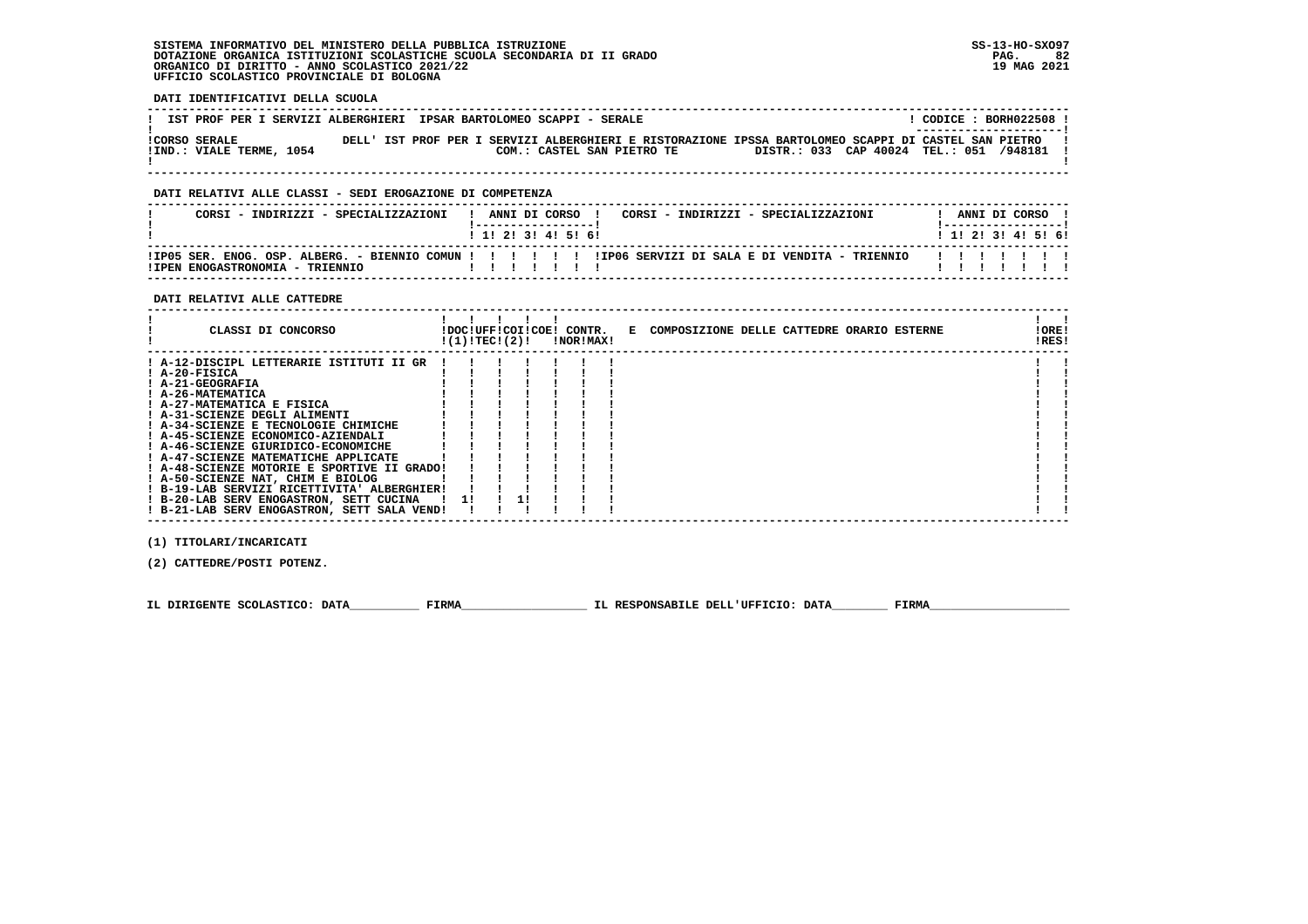**DATI IDENTIFICATIVI DELLA SCUOLA**

| IST PROF PER I SERVIZI ALBERGHIERI IPSAR BARTOLOMEO SCAPPI - SERALE |  |                                                                                                                                    |                                         | CODICE: BORH022508 !<br>_______________________ |
|---------------------------------------------------------------------|--|------------------------------------------------------------------------------------------------------------------------------------|-----------------------------------------|-------------------------------------------------|
| <b>!CORSO SERALE</b><br>IIND.: VIALE TERME, 1054                    |  | DELL' IST PROF PER I SERVIZI ALBERGHIERI E RISTORAZIONE IPSSA BARTOLOMEO SCAPPI DI CASTEL SAN PIETRO<br>COM.: CASTEL SAN PIETRO TE | DISTR.: 033 CAP 40024 TEL.: 051 /948181 |                                                 |
|                                                                     |  |                                                                                                                                    |                                         |                                                 |

 **------------------------------------------------------------------------------------------------------------------------------------**

### **DATI RELATIVI ALLE CLASSI - SEDI EROGAZIONE DI COMPETENZA**

| CORST - INDIRIZZI - SPECIALIZZAZIONI | ANNI DI CORSO<br>CORSI - INDIRIZZI - SPECIALIZZAZIONI<br>1 1 1 2 1 3 1 4 1 5 1 6 1                     | ANNI DI CORSO<br>1 1 1 2 1 3 1 4 1 5 1 6 1 |
|--------------------------------------|--------------------------------------------------------------------------------------------------------|--------------------------------------------|
| ITPEN ENOGASTRONOMTA - TRIENNIO      | IIP05 SER. ENOG. OSP. ALBERG. - BIENNIO COMUN !!!!!!!!!!!!!P06 SERVIZI DI SALA E DI VENDITA - TRIENNIO |                                            |

### **DATI RELATIVI ALLE CATTEDRE**

| ! A-12-DISCIPL LETTERARIE ISTITUTI II GR<br>! A-20-FISICA<br>! A-21-GEOGRAFIA<br>! A-26-MATEMATICA<br>! A-27-MATEMATICA E FISICA<br>! A-31-SCIENZE DEGLI ALIMENTI<br>! A-34-SCIENZE E TECNOLOGIE CHIMICHE<br>! A-45-SCIENZE ECONOMICO-AZIENDALI<br>! A-46-SCIENZE GIURIDICO-ECONOMICHE<br>! A-47-SCIENZE MATEMATICHE APPLICATE<br>! A-48-SCIENZE MOTORIE E SPORTIVE II GRADO!<br>! A-50-SCIENZE NAT, CHIM E BIOLOG | CLASSI DI CONCORSO                          | !(1)!TEC!(2)! |  | !NOR!MAX! | !DOC!UFF!COI!COE! CONTR. E COMPOSIZIONE DELLE CATTEDRE ORARIO ESTERNE | ! ORE!<br>!RES! |
|--------------------------------------------------------------------------------------------------------------------------------------------------------------------------------------------------------------------------------------------------------------------------------------------------------------------------------------------------------------------------------------------------------------------|---------------------------------------------|---------------|--|-----------|-----------------------------------------------------------------------|-----------------|
| ! B-20-LAB SERV ENOGASTRON, SETT CUCINA<br>$1 \quad 11$<br>! B-21-LAB SERV ENOGASTRON, SETT SALA VEND!                                                                                                                                                                                                                                                                                                             | ! B-19-LAB SERVIZI RICETTIVITA' ALBERGHIER! |               |  |           |                                                                       |                 |

 **(1) TITOLARI/INCARICATI**

 **(2) CATTEDRE/POSTI POTENZ.**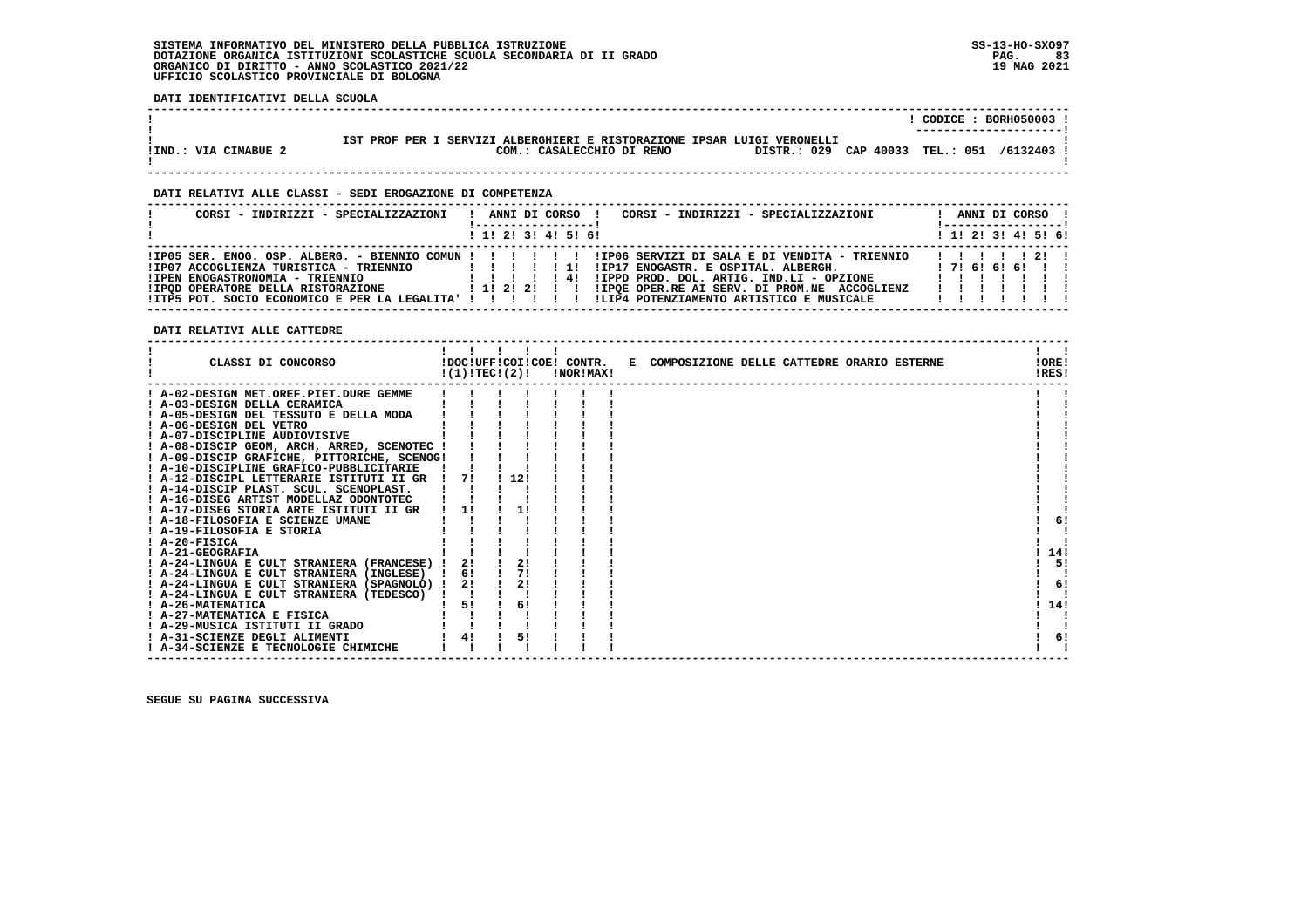**DATI IDENTIFICATIVI DELLA SCUOLA**

|                      |                                                                                                                                                    |  | CODICE: BORH050003 !<br>---------------------- |
|----------------------|----------------------------------------------------------------------------------------------------------------------------------------------------|--|------------------------------------------------|
| IIND.: VIA CIMABUE 2 | IST PROF PER I SERVIZI ALBERGHIERI E RISTORAZIONE IPSAR LUIGI VERONELLI<br>DISTR.: 029 CAP 40033 TEL.: 051 /6132403 !<br>COM.: CASALECCHIO DI RENO |  |                                                |

 **------------------------------------------------------------------------------------------------------------------------------------**

 **------------------------------------------------------------------------------------------------------------------------------------**

### **DATI RELATIVI ALLE CLASSI - SEDI EROGAZIONE DI COMPETENZA**

| CORSI - INDIRIZZI - SPECIALIZZAZIONI                                                                                           | CORSI - INDIRIZZI - SPECIALIZZAZIONI<br>ANNI DI CORSO !                                                                                                                                                                                                                                                                                                                               | ANNI DI CORSO !<br>! ------------------ ! |
|--------------------------------------------------------------------------------------------------------------------------------|---------------------------------------------------------------------------------------------------------------------------------------------------------------------------------------------------------------------------------------------------------------------------------------------------------------------------------------------------------------------------------------|-------------------------------------------|
|                                                                                                                                | $1$ , 1, 2, 3, 4, 5, 6,                                                                                                                                                                                                                                                                                                                                                               | $1$ , 1! 2! 3! 4! 5! 6!                   |
| !IP07 ACCOGLIENZA TURISTICA - TRIENNIO<br>!IPEN ENOGASTRONOMIA - TRIENNIO<br>! IPOD OPERATORE DELLA RISTORAZIONE   1! 2! 2! !! | IP05 SER. ENOG. OSP. ALBERG. - BIENNIO COMUN ! ! ! ! ! ! IP06 SERVIZI DI SALA E DI VENDITA - TRIENNIO<br>!IP17 ENOGASTR. E OSPITAL. ALBERGH. [7!6!6!6!] !<br>111111<br>!IPPD PROD. DOL. ARTIG. IND.LI - OPZIONE<br>1 1 1 1 1 1 4 1<br>!IPOE OPER.RE AI SERV. DI PROM.NE ACCOGLIENZ<br>ITP5 POT. SOCIO ECONOMICO E PER LA LEGALITA' ! !!!!!!! ILIP4 POTENZIAMENTO ARTISTICO E MUSICALE | 1111211<br>.<br>$\blacksquare$            |

 **DATI RELATIVI ALLE CATTEDRE**

| CLASSI DI CONCORSO                          | !(1)!TEC!(2)! |     | !NOR!MAX! | !DOC!UFF!COI!COE! CONTR. E COMPOSIZIONE DELLE CATTEDRE ORARIO ESTERNE | !ORE!<br>!RES! |     |
|---------------------------------------------|---------------|-----|-----------|-----------------------------------------------------------------------|----------------|-----|
| ! A-02-DESIGN MET.OREF.PIET.DURE GEMME      |               |     |           |                                                                       |                |     |
| ! A-03-DESIGN DELLA CERAMICA                |               |     |           |                                                                       |                |     |
| ! A-05-DESIGN DEL TESSUTO E DELLA MODA      |               |     |           |                                                                       |                |     |
| ! A-06-DESIGN DEL VETRO                     |               |     |           |                                                                       |                |     |
| ! A-07-DISCIPLINE AUDIOVISIVE               |               |     |           |                                                                       |                |     |
| ! A-08-DISCIP GEOM, ARCH, ARRED, SCENOTEC ! |               |     |           |                                                                       |                |     |
| ! A-09-DISCIP GRAFICHE, PITTORICHE, SCENOG! |               |     |           |                                                                       |                |     |
| ! A-10-DISCIPLINE GRAFICO-PUBBLICITARIE     |               |     |           |                                                                       |                |     |
| ! A-12-DISCIPL LETTERARIE ISTITUTI II GR    | 71            | 12! |           |                                                                       |                |     |
| ! A-14-DISCIP PLAST. SCUL. SCENOPLAST.      |               |     |           |                                                                       |                |     |
| ! A-16-DISEG ARTIST MODELLAZ ODONTOTEC      |               |     |           |                                                                       |                |     |
| ! A-17-DISEG STORIA ARTE ISTITUTI II GR     | 1!            |     |           |                                                                       |                |     |
| ! A-18-FILOSOFIA E SCIENZE UMANE            |               |     |           |                                                                       |                | 6!  |
| ! A-19-FILOSOFIA E STORIA                   |               |     |           |                                                                       |                |     |
| $I$ A-20-FISICA                             |               |     |           |                                                                       |                |     |
| ! A-21-GEOGRAFIA                            |               |     |           |                                                                       |                | 14! |
| ! A-24-LINGUA E CULT STRANIERA (FRANCESE) ! | 2!            | 2!  |           |                                                                       |                | 5!  |
| ! A-24-LINGUA E CULT STRANIERA (INGLESE)    | 6!            | 71  |           |                                                                       |                |     |
| ! A-24-LINGUA E CULT STRANIERA (SPAGNOLO) ! | 2!            | 2!  |           |                                                                       |                | 6!  |
| ! A-24-LINGUA E CULT STRANIERA (TEDESCO)    |               |     |           |                                                                       |                |     |
| ! A-26-MATEMATICA                           | 5!            | 6!  |           |                                                                       | 14!            |     |
| ! A-27-MATEMATICA E FISICA                  |               |     |           |                                                                       |                |     |
| ! A-29-MUSICA ISTITUTI II GRADO             |               |     |           |                                                                       |                |     |
| ! A-31-SCIENZE DEGLI ALIMENTI               | 4!            | 5!  |           |                                                                       |                | 6!  |
| ! A-34-SCIENZE E TECNOLOGIE CHIMICHE        |               |     |           |                                                                       |                |     |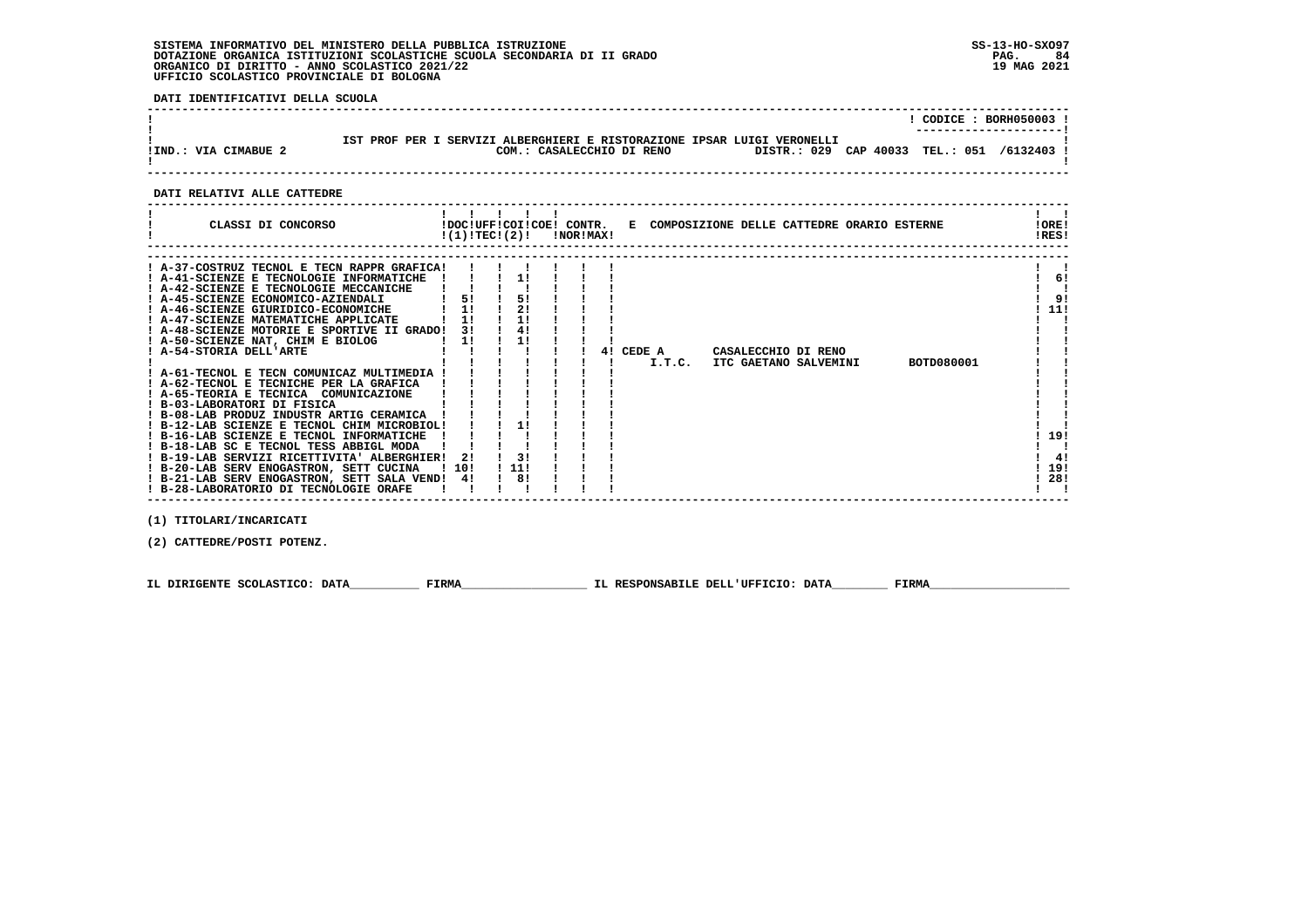**DATI IDENTIFICATIVI DELLA SCUOLA**

|                      |                                                                                                                                                    | $CODICE: BORH050003$ ! |
|----------------------|----------------------------------------------------------------------------------------------------------------------------------------------------|------------------------|
| IIND.: VIA CIMABUE 2 | IST PROF PER I SERVIZI ALBERGHIERI E RISTORAZIONE IPSAR LUIGI VERONELLI<br>DISTR.: 029 CAP 40033 TEL.: 051 /6132403 !<br>COM.: CASALECCHIO DI RENO | ---------------------- |
|                      |                                                                                                                                                    |                        |

## **DATI RELATIVI ALLE CATTEDRE**

 **(1) TITOLARI/INCARICATI**

 **(2) CATTEDRE/POSTI POTENZ.**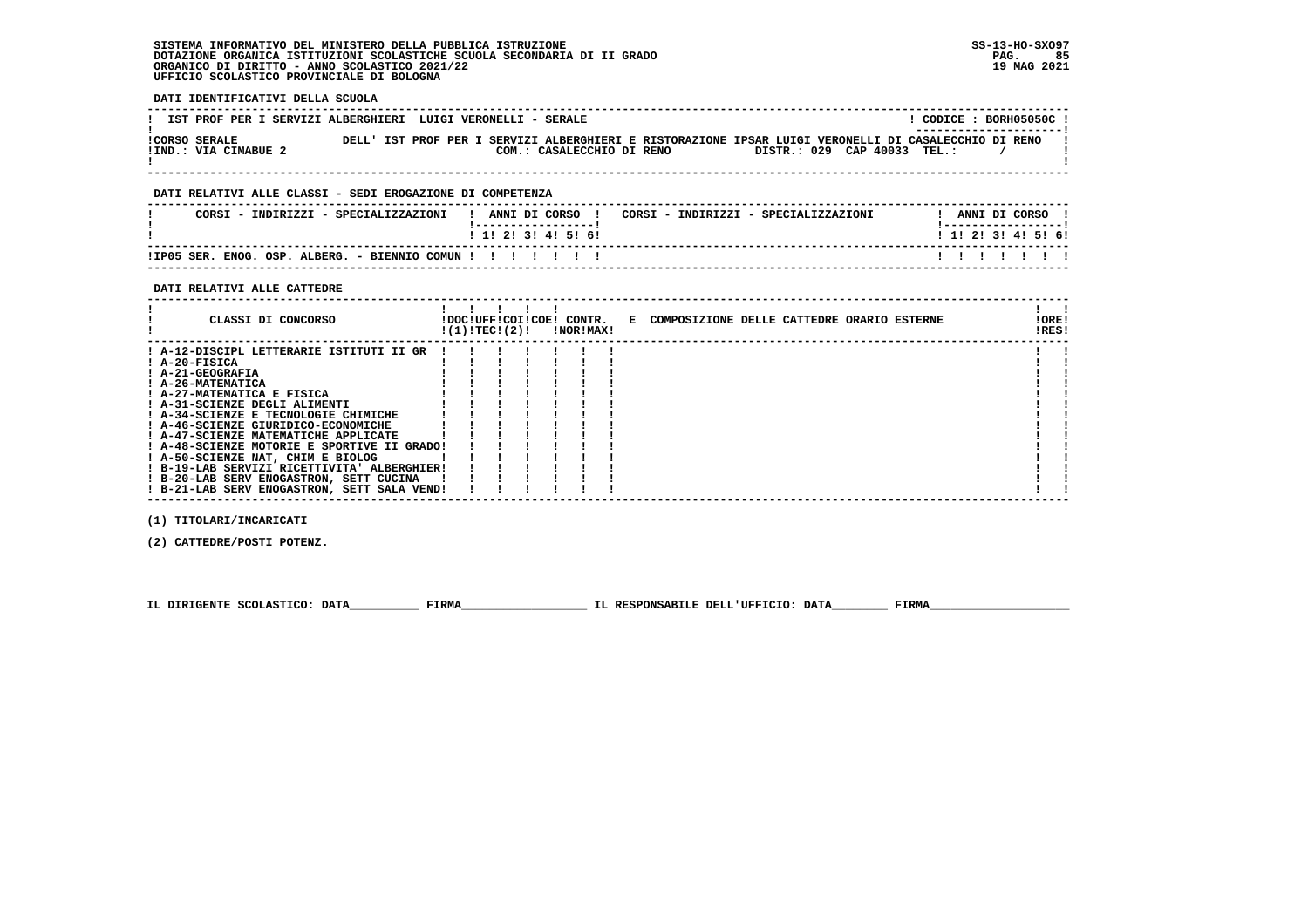**DATI IDENTIFICATIVI DELLA SCUOLA**

| IST PROF PER I SERVIZI ALBERGHIERI LUIGI VERONELLI - SERALE                                                                                                                                               | CODICE: BORH05050C!<br>---------------------- |
|-----------------------------------------------------------------------------------------------------------------------------------------------------------------------------------------------------------|-----------------------------------------------|
| DELL' IST PROF PER I SERVIZI ALBERGHIERI E RISTORAZIONE IPSAR LUIGI VERONELLI DI CASALECCHIO DI RENO<br>ICORSO SERALE<br>DISTR.: 029 CAP 40033 TEL.:<br>IIND.: VIA CIMABUE 2<br>COM.: CASALECCHIO DI RENO |                                               |

## **DATI RELATIVI ALLE CLASSI - SEDI EROGAZIONE DI COMPETENZA**

| CORSI - INDIRIZZI - SPECIALIZZAZIONI                    | CORSI - INDIRIZZI - SPECIALIZZAZIONI<br>ANNI DI CORSO<br>. _ _ _ _ _ _ _ _ _ _ _ _ _ _ _ _ _ _ | ANNI DI CORSO<br>! ------------------ ! |
|---------------------------------------------------------|------------------------------------------------------------------------------------------------|-----------------------------------------|
|                                                         | $1$ 1! 2! 3! 4! 5! 6!                                                                          | 1 1 1 2 1 3 1 4 1 5 1 6 1               |
| !IP05 SER. ENOG. OSP. ALBERG. - BIENNIO COMUN !!!!!!!!! |                                                                                                | .                                       |

 **------------------------------------------------------------------------------------------------------------------------------------**

### **DATI RELATIVI ALLE CATTEDRE**

| CLASSI DI CONCORSO                          | !(1)!TECI(2)! |  | !DOC!UFF!COI!COE! CONTR.<br><b>!NOR!MAX!</b> | E COMPOSIZIONE DELLE CATTEDRE ORARIO ESTERNE | !ORE!<br>!RES! |  |
|---------------------------------------------|---------------|--|----------------------------------------------|----------------------------------------------|----------------|--|
| ! A-12-DISCIPL LETTERARIE ISTITUTI II GR    |               |  |                                              |                                              |                |  |
| ! A-20-FISICA                               |               |  |                                              |                                              |                |  |
| ! A-21-GEOGRAFIA                            |               |  |                                              |                                              |                |  |
| ! A-26-MATEMATICA                           |               |  |                                              |                                              |                |  |
| ! A-27-MATEMATICA E FISICA                  |               |  |                                              |                                              |                |  |
| ! A-31-SCIENZE DEGLI ALIMENTI               |               |  |                                              |                                              |                |  |
| ! A-34-SCIENZE E TECNOLOGIE CHIMICHE        |               |  |                                              |                                              |                |  |
| ! A-46-SCIENZE GIURIDICO-ECONOMICHE         |               |  |                                              |                                              |                |  |
| ! A-47-SCIENZE MATEMATICHE APPLICATE        |               |  |                                              |                                              |                |  |
| ! A-48-SCIENZE MOTORIE E SPORTIVE II GRADO! |               |  |                                              |                                              |                |  |
| ! A-50-SCIENZE NAT, CHIM E BIOLOG           |               |  |                                              |                                              |                |  |
| ! B-19-LAB SERVIZI RICETTIVITA' ALBERGHIER! |               |  |                                              |                                              |                |  |
| ! B-20-LAB SERV ENOGASTRON, SETT CUCINA     |               |  |                                              |                                              |                |  |
| ! B-21-LAB SERV ENOGASTRON, SETT SALA VEND! |               |  |                                              |                                              |                |  |

 **(1) TITOLARI/INCARICATI**

 **(2) CATTEDRE/POSTI POTENZ.**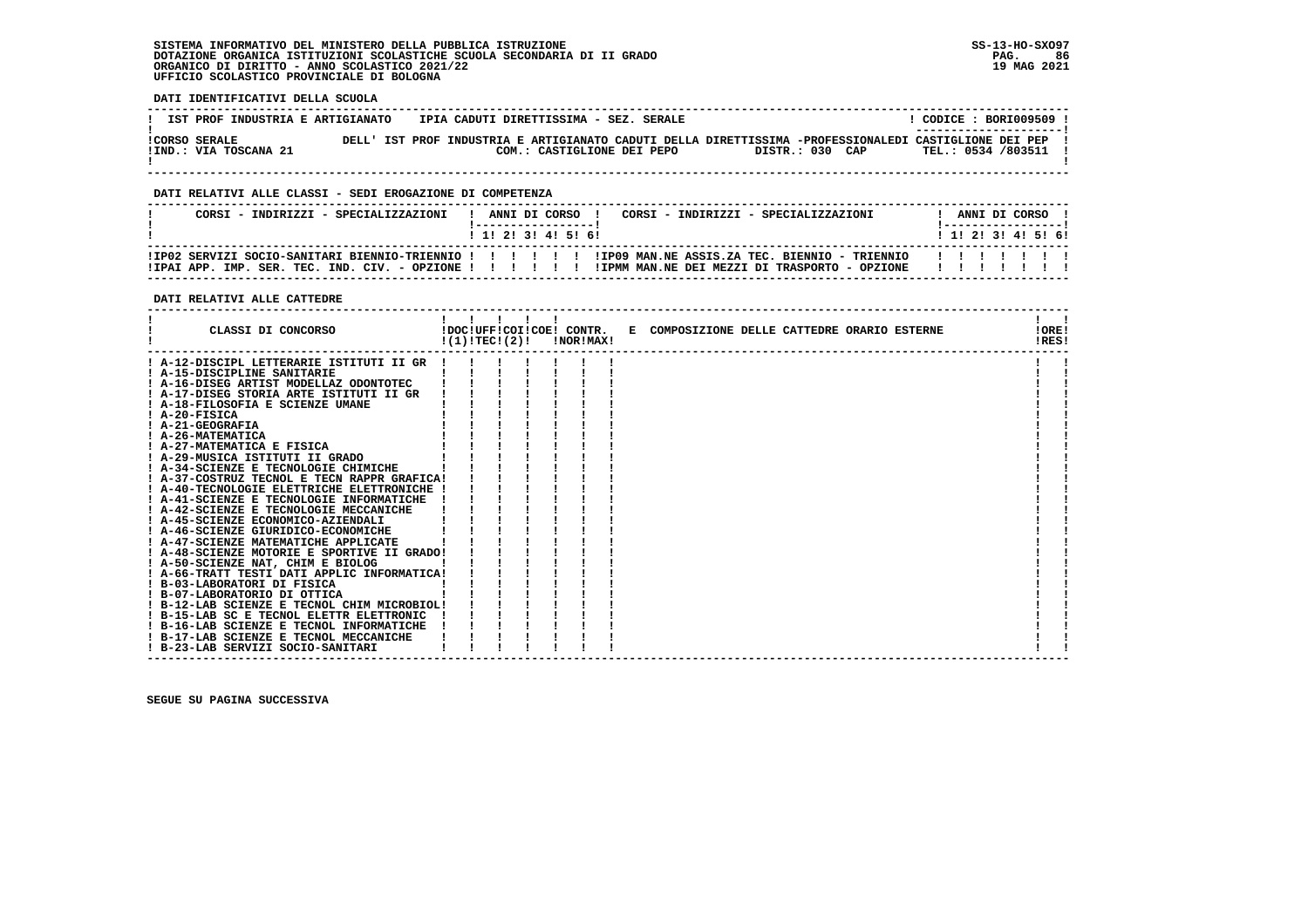**DATI IDENTIFICATIVI DELLA SCUOLA**

| IST PROF INDUSTRIA E ARTIGIANATO              | IPIA CADUTI DIRETTISSIMA - SEZ. SERALE                                                                                              |                 | CODICE: BORI009509 !<br>---------------------- |
|-----------------------------------------------|-------------------------------------------------------------------------------------------------------------------------------------|-----------------|------------------------------------------------|
| <b>!CORSO SERALE</b><br>!IND.: VIA TOSCANA 21 | DELL' IST PROF INDUSTRIA E ARTIGIANATO CADUTI DELLA DIRETTISSIMA -PROFESSIONALEDI CASTIGLIONE DEI PEP<br>COM.: CASTIGLIONE DEI PEPO | DISTR.: 030 CAP | TEL.: 0534 /803511                             |

 **------------------------------------------------------------------------------------------------------------------------------------**

### **DATI RELATIVI ALLE CLASSI - SEDI EROGAZIONE DI COMPETENZA**

| CORST - INDIRIZZI - SPECIALIZZAZIONI |  |  | ANNI DI CORSO<br>1 1 1 2 1 3 1 4 1 5 1 6 1 | CORSI - INDIRIZZI - SPECIALIZZAZIONI                                                                   |  |   | ANNI DI CORSO<br>1 1 1 2 1 3 1 4 1 5 1 6 1 |  |
|--------------------------------------|--|--|--------------------------------------------|--------------------------------------------------------------------------------------------------------|--|---|--------------------------------------------|--|
|                                      |  |  |                                            | IPO2 SERVIZI SOCIO-SANITARI BIENNIO-TRIENNIO ! ! ! ! ! ! IPO9 MAN.NE ASSIS.ZA TEC. BIENNIO - TRIENNIO! |  | . |                                            |  |

### **DATI RELATIVI ALLE CATTEDRE**

| CLASSI DI CONCORSO                                                                      | !DOC!UFF!COI!COE! CONTR.<br>!(1)!TECI(2)! |  | !NOR!MAX! | E COMPOSIZIONE DELLE CATTEDRE ORARIO ESTERNE | !ORE!<br>!RES! |  |
|-----------------------------------------------------------------------------------------|-------------------------------------------|--|-----------|----------------------------------------------|----------------|--|
| ! A-12-DISCIPL LETTERARIE ISTITUTI II GR !                                              |                                           |  |           |                                              |                |  |
| ! A-15-DISCIPLINE SANITARIE                                                             |                                           |  |           |                                              |                |  |
| ! A-16-DISEG ARTIST MODELLAZ ODONTOTEC                                                  |                                           |  |           |                                              |                |  |
| ! A-17-DISEG STORIA ARTE ISTITUTI II GR                                                 |                                           |  |           |                                              |                |  |
| ! A-18-FILOSOFIA E SCIENZE UMANE                                                        |                                           |  |           |                                              |                |  |
| $I$ A-20-FISICA                                                                         |                                           |  |           |                                              |                |  |
| ! A-21-GEOGRAFIA                                                                        |                                           |  |           |                                              |                |  |
| ! A-26-MATEMATICA                                                                       |                                           |  |           |                                              |                |  |
| ! A-27-MATEMATICA E FISICA                                                              |                                           |  |           |                                              |                |  |
| ! A-29-MUSICA ISTITUTI II GRADO                                                         |                                           |  |           |                                              |                |  |
| A-34-SCIENZE E TECNOLOGIE CHIMICHE                                                      |                                           |  |           |                                              |                |  |
| ! A-37-COSTRUZ TECNOL E TECN RAPPR GRAFICA!                                             |                                           |  |           |                                              |                |  |
| ! A-40-TECNOLOGIE ELETTRICHE ELETTRONICHE                                               |                                           |  |           |                                              |                |  |
| ! A-41-SCIENZE E TECNOLOGIE INFORMATICHE                                                |                                           |  |           |                                              |                |  |
| ! A-42-SCIENZE E TECNOLOGIE MECCANICHE                                                  |                                           |  |           |                                              |                |  |
| ! A-45-SCIENZE ECONOMICO-AZIENDALI                                                      |                                           |  |           |                                              |                |  |
| ! A-46-SCIENZE GIURIDICO-ECONOMICHE                                                     |                                           |  |           |                                              |                |  |
| ! A-47-SCIENZE MATEMATICHE APPLICATE                                                    |                                           |  |           |                                              |                |  |
| ! A-48-SCIENZE MOTORIE E SPORTIVE II GRADO!                                             |                                           |  |           |                                              |                |  |
| ! A-50-SCIENZE NAT, CHIM E BIOLOG                                                       |                                           |  |           |                                              |                |  |
| ! A-66-TRATT TESTI DATI APPLIC INFORMATICA!                                             |                                           |  |           |                                              |                |  |
| ! B-03-LABORATORI DI FISICA                                                             |                                           |  |           |                                              |                |  |
| ! B-07-LABORATORIO DI OTTICA                                                            |                                           |  |           |                                              |                |  |
| ! B-12-LAB SCIENZE E TECNOL CHIM MICROBIOL!<br>! B-15-LAB SC E TECNOL ELETTR ELETTRONIC |                                           |  |           |                                              |                |  |
| ! B-16-LAB SCIENZE E TECNOL INFORMATICHE                                                |                                           |  |           |                                              |                |  |
| ! B-17-LAB SCIENZE E TECNOL MECCANICHE                                                  |                                           |  |           |                                              |                |  |
| ! B-23-LAB SERVIZI SOCIO-SANITARI                                                       |                                           |  |           |                                              |                |  |
|                                                                                         |                                           |  |           |                                              |                |  |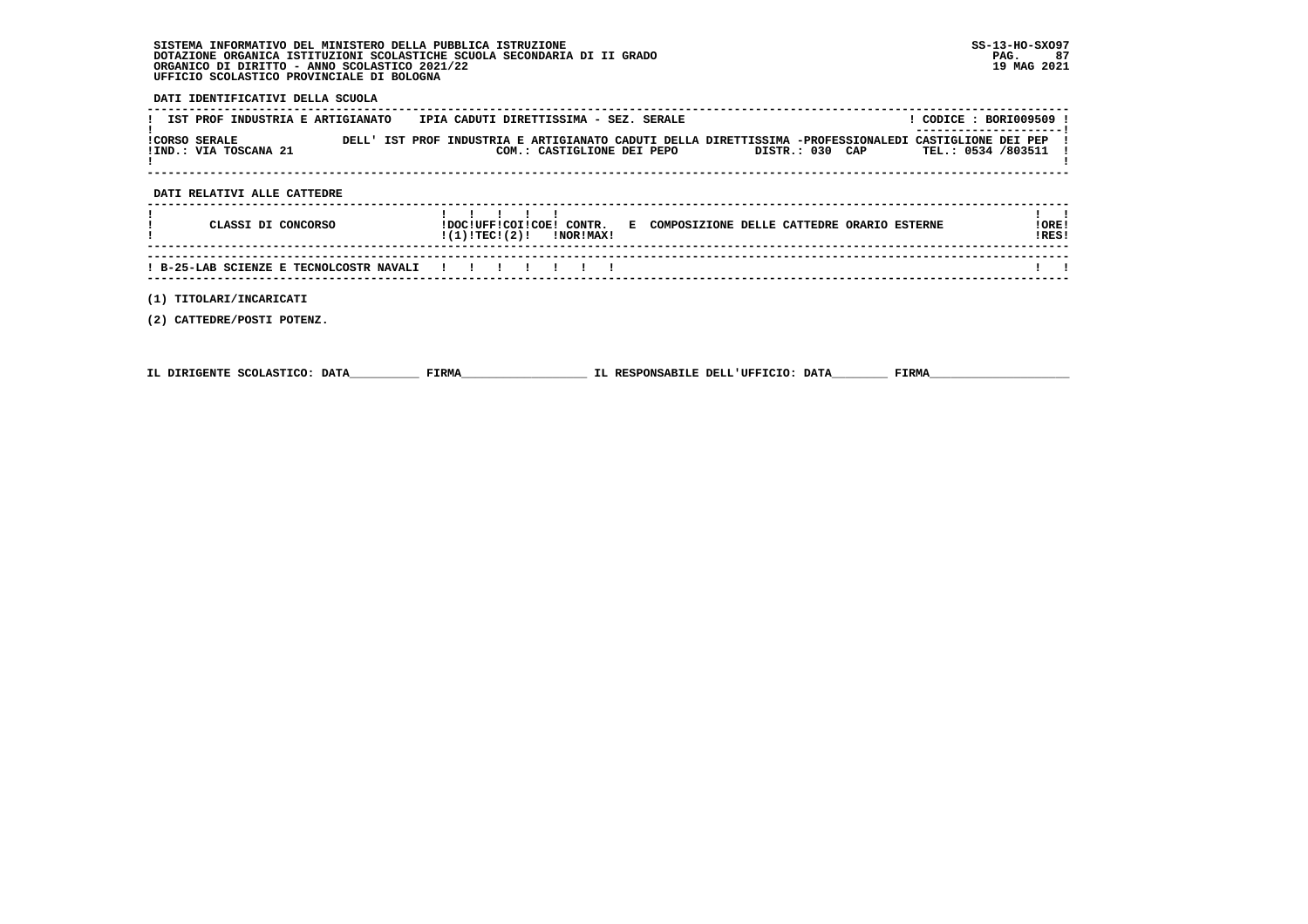**DATI IDENTIFICATIVI DELLA SCUOLA**

| <b>!CORSO SERALE</b> | IST PROF INDUSTRIA E ARTIGIANATO<br>!IND.: VIA TOSCANA 21 |  | IPIA CADUTI DIRETTISSIMA - SEZ. SERALE<br>COM.: CASTIGLIONE DEI PEPO | DELL' IST PROF INDUSTRIA E ARTIGIANATO CADUTI DELLA DIRETTISSIMA -PROFESSIONALEDI CASTIGLIONE DEI PEP<br>DISTR.: 030 CAP | CODICE: BORI009509 !<br>TEL.: 0534 /803511 |  |
|----------------------|-----------------------------------------------------------|--|----------------------------------------------------------------------|--------------------------------------------------------------------------------------------------------------------------|--------------------------------------------|--|
|                      | DATI RELATIVI ALLE CATTEDRE                               |  |                                                                      |                                                                                                                          |                                            |  |

| CLASSI DI CONCORSO                                  | !DOC!UFF!COI!COE!<br>!(1)!TECI(2)! |  | CONTR.<br>!NOR!MAX! | Е | COMPOSIZIONE DELLE CATTEDRE ORARIO ESTERNE | ! ORE !<br>IRES! |  |
|-----------------------------------------------------|------------------------------------|--|---------------------|---|--------------------------------------------|------------------|--|
|                                                     |                                    |  |                     |   |                                            |                  |  |
| ! B-25-LAB SCIENZE E TECNOLCOSTR NAVALI ! ! ! ! ! ! |                                    |  |                     |   |                                            |                  |  |

 **------------------------------------------------------------------------------------------------------------------------------------**

 **(1) TITOLARI/INCARICATI**

 **(2) CATTEDRE/POSTI POTENZ.**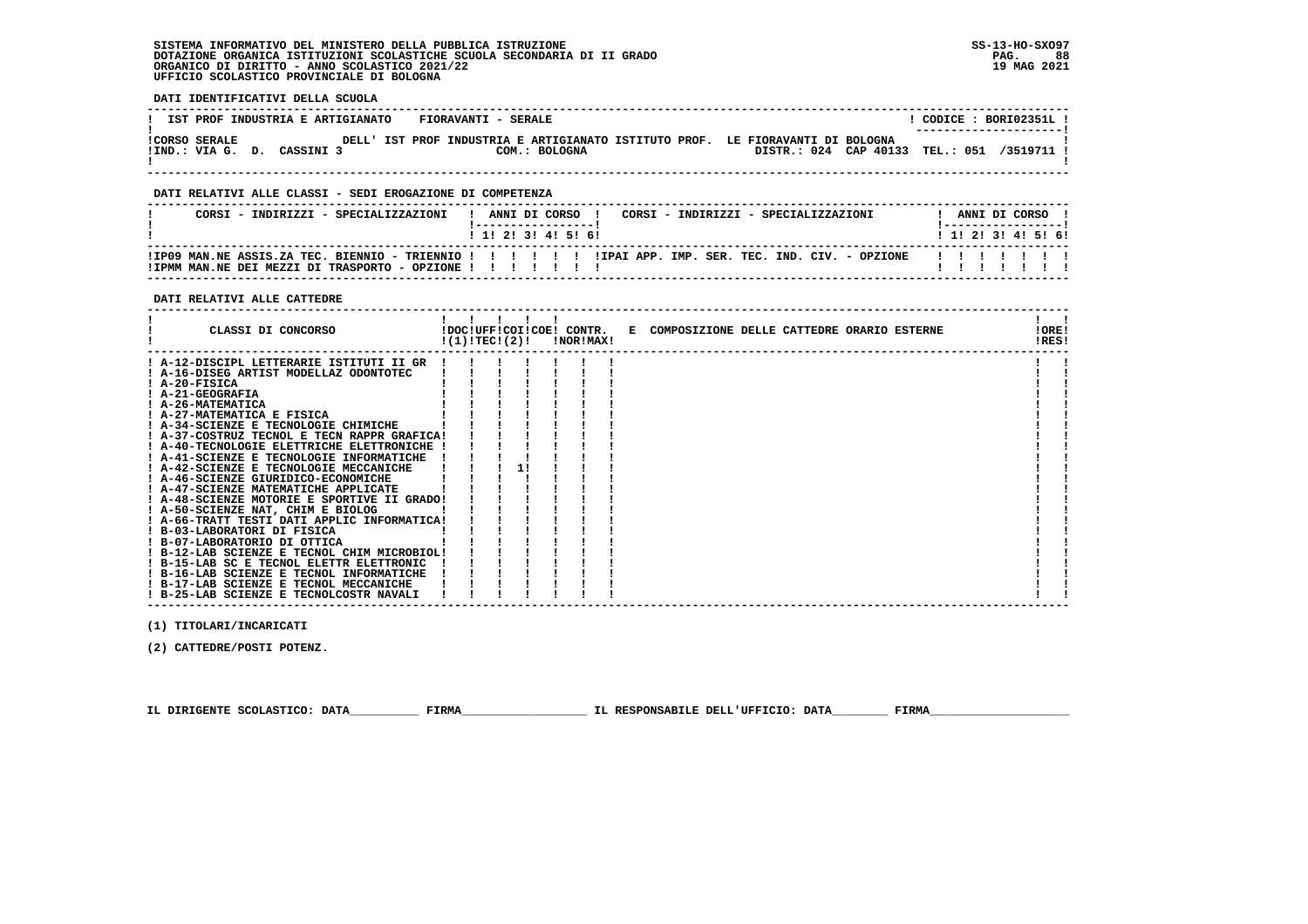**DATI IDENTIFICATIVI DELLA SCUOLA**

| IST PROF INDUSTRIA E ARTIGIANATO                   | FIORAVANTI - SERALE                                                                             | CODICE: BORI02351L!<br>--------------------- |
|----------------------------------------------------|-------------------------------------------------------------------------------------------------|----------------------------------------------|
| <b>!CORSO SERALE</b><br>!IND.: VIA G. D. CASSINI 3 | DELL' IST PROF INDUSTRIA E ARTIGIANATO ISTITUTO PROF. LE FIORAVANTI DI BOLOGNA<br>COM.: BOLOGNA | DISTR.: 024 CAP 40133 TEL.: 051 /3519711 1   |

 **------------------------------------------------------------------------------------------------------------------------------------**

### **DATI RELATIVI ALLE CLASSI - SEDI EROGAZIONE DI COMPETENZA**

| CORST - INDIRIZZI - SPECIALIZZAZIONI                                                                                                                           |  |  | ANNI DI CORSO<br>1 1 1 2 1 3 1 4 1 5 1 6 1 | CORSI - INDIRIZZI - SPECIALIZZAZIONI |  |  |  |   |  | ANNI DI CORSO | 1 1 1 2 1 3 1 4 1 5 1 6 1 |
|----------------------------------------------------------------------------------------------------------------------------------------------------------------|--|--|--------------------------------------------|--------------------------------------|--|--|--|---|--|---------------|---------------------------|
| IPO9 MAN.NE ASSIS.ZA TEC. BIENNIO - TRIENNIO !!!!!!!!!IPAI APP. IMP. SER. TEC. IND. CIV. - OPZIONE!!<br>! IPMM MAN.NE DEI MEZZI DI TRASPORTO - OPZIONE ! ! ! ! |  |  |                                            |                                      |  |  |  | . |  |               |                           |

### **DATI RELATIVI ALLE CATTEDRE**

| CLASSI DI CONCORSO                          | !(1)!TEC!(2)! |  | <b>!NOR!MAX!</b> | !DOC!UFF!COI!COE! CONTR. E COMPOSIZIONE DELLE CATTEDRE ORARIO ESTERNE |  |  | !ORE!<br>!RES! |  |
|---------------------------------------------|---------------|--|------------------|-----------------------------------------------------------------------|--|--|----------------|--|
| ! A-12-DISCIPL LETTERARIE ISTITUTI II GR    |               |  |                  |                                                                       |  |  |                |  |
| ! A-16-DISEG ARTIST MODELLAZ ODONTOTEC      |               |  |                  |                                                                       |  |  |                |  |
| $I$ A-20-FISICA                             |               |  |                  |                                                                       |  |  |                |  |
| ! A-21-GEOGRAFIA                            |               |  |                  |                                                                       |  |  |                |  |
| ! A-26-MATEMATICA                           |               |  |                  |                                                                       |  |  |                |  |
| ! A-27-MATEMATICA E FISICA                  |               |  |                  |                                                                       |  |  |                |  |
| A-34-SCIENZE E TECNOLOGIE CHIMICHE          |               |  |                  |                                                                       |  |  |                |  |
| ! A-37-COSTRUZ TECNOL E TECN RAPPR GRAFICA! |               |  |                  |                                                                       |  |  |                |  |
| ! A-40-TECNOLOGIE ELETTRICHE ELETTRONICHE ! |               |  |                  |                                                                       |  |  |                |  |
| A-41-SCIENZE E TECNOLOGIE INFORMATICHE      |               |  |                  |                                                                       |  |  |                |  |
| ! A-42-SCIENZE E TECNOLOGIE MECCANICHE      |               |  |                  |                                                                       |  |  |                |  |
| ! A-46-SCIENZE GIURIDICO-ECONOMICHE         |               |  |                  |                                                                       |  |  |                |  |
| A-47-SCIENZE MATEMATICHE APPLICATE          |               |  |                  |                                                                       |  |  |                |  |
| ! A-48-SCIENZE MOTORIE E SPORTIVE II GRADO! |               |  |                  |                                                                       |  |  |                |  |
| ! A-50-SCIENZE NAT, CHIM E BIOLOG           |               |  |                  |                                                                       |  |  |                |  |
| ! A-66-TRATT TESTI DATI APPLIC INFORMATICA! |               |  |                  |                                                                       |  |  |                |  |
| ! B-03-LABORATORI DI FISICA                 |               |  |                  |                                                                       |  |  |                |  |
| ! B-07-LABORATORIO DI OTTICA                |               |  |                  |                                                                       |  |  |                |  |
| ! B-12-LAB SCIENZE E TECNOL CHIM MICROBIOL! |               |  |                  |                                                                       |  |  |                |  |
| ! B-15-LAB SC E TECNOL ELETTR ELETTRONIC    |               |  |                  |                                                                       |  |  |                |  |
| ! B-16-LAB SCIENZE E TECNOL INFORMATICHE    |               |  |                  |                                                                       |  |  |                |  |
| ! B-17-LAB SCIENZE E TECNOL MECCANICHE      |               |  |                  |                                                                       |  |  |                |  |
| ! B-25-LAB SCIENZE E TECNOLCOSTR NAVALI     |               |  |                  |                                                                       |  |  |                |  |

 **(1) TITOLARI/INCARICATI**

 **(2) CATTEDRE/POSTI POTENZ.**

 **IL DIRIGENTE SCOLASTICO: DATA\_\_\_\_\_\_\_\_\_\_ FIRMA\_\_\_\_\_\_\_\_\_\_\_\_\_\_\_\_\_\_ IL RESPONSABILE DELL'UFFICIO: DATA\_\_\_\_\_\_\_\_ FIRMA\_\_\_\_\_\_\_\_\_\_\_\_\_\_\_\_\_\_\_\_**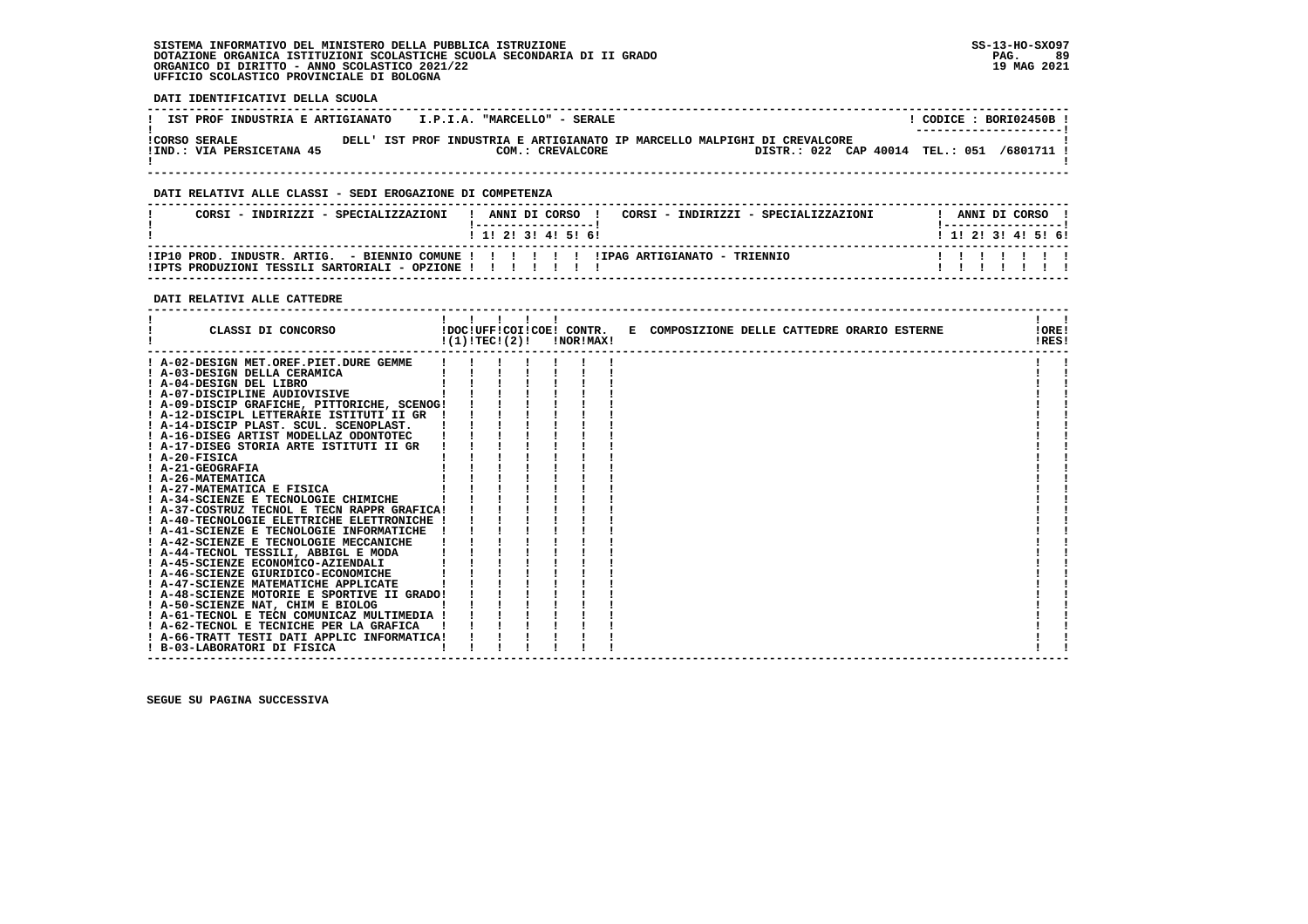**DATI IDENTIFICATIVI DELLA SCUOLA**

| IST PROF INDUSTRIA E ARTIGIANATO                  |  |  |  | I.P.I.A. "MARCELLO" - SERALE                                                                  |  |  |  |                                 |  | CODICE: BORI02450B !<br>--------------------- |  |
|---------------------------------------------------|--|--|--|-----------------------------------------------------------------------------------------------|--|--|--|---------------------------------|--|-----------------------------------------------|--|
| <b>!CORSO SERALE</b><br>!IND.: VIA PERSICETANA 45 |  |  |  | DELL' IST PROF INDUSTRIA E ARTIGIANATO IP MARCELLO MALPIGHI DI CREVALCORE<br>COM.: CREVALCORE |  |  |  | DISTR.: 022 CAP 40014 TEL.: 051 |  | /6801711 !                                    |  |

 **------------------------------------------------------------------------------------------------------------------------------------**

### **DATI RELATIVI ALLE CLASSI - SEDI EROGAZIONE DI COMPETENZA**

| CORSI - INDIRIZZI - SPECIALIZZAZIONI                                                                                                              | ANNI DI CORSO !<br>1 1 2 3 3 4 5 5 6 |  |  | CORSI - INDIRIZZI - SPECIALIZZAZIONI |  |  | ANNI DI CORSO | 1 1 1 2 1 3 1 4 1 5 1 6 1 |
|---------------------------------------------------------------------------------------------------------------------------------------------------|--------------------------------------|--|--|--------------------------------------|--|--|---------------|---------------------------|
| IIP10 PROD. INDUSTR. ARTIG. - BIENNIO COMUNE !!!!!!!!!!!!!PAG ARTIGIANATO - TRIENNIO<br>ITPTS PRODUZIONI TESSILI SARTORIALI - OPZIONE ! ! ! ! ! ! |                                      |  |  |                                      |  |  |               | .                         |

 **------------------------------------------------------------------------------------------------------------------------------------**

### **DATI RELATIVI ALLE CATTEDRE**

| CLASSI DI CONCORSO                          |  | $\mathbf{1}$ $\mathbf{1}$ $\mathbf{1}$ |  | $!(1)!TEC!(2)!$ $INORIMAX!$ | !DOC!UFF!COI!COE! CONTR. E COMPOSIZIONE DELLE CATTEDRE ORARIO ESTERNE | !ORE!<br>!RES! |  |
|---------------------------------------------|--|----------------------------------------|--|-----------------------------|-----------------------------------------------------------------------|----------------|--|
| ! A-02-DESIGN MET.OREF.PIET.DURE GEMME      |  |                                        |  |                             |                                                                       |                |  |
| ! A-03-DESIGN DELLA CERAMICA                |  |                                        |  |                             |                                                                       |                |  |
| ! A-04-DESIGN DEL LIBRO                     |  |                                        |  |                             |                                                                       |                |  |
| ! A-07-DISCIPLINE AUDIOVISIVE               |  |                                        |  |                             |                                                                       |                |  |
| ! A-09-DISCIP GRAFICHE, PITTORICHE, SCENOG! |  |                                        |  |                             |                                                                       |                |  |
| ! A-12-DISCIPL LETTERARIE ISTITUTI II GR    |  |                                        |  |                             |                                                                       |                |  |
| ! A-14-DISCIP PLAST. SCUL. SCENOPLAST.      |  |                                        |  |                             |                                                                       |                |  |
| ! A-16-DISEG ARTIST MODELLAZ ODONTOTEC      |  |                                        |  |                             |                                                                       |                |  |
| ! A-17-DISEG STORIA ARTE ISTITUTI II GR     |  |                                        |  |                             |                                                                       |                |  |
| $I$ A-20-FISICA                             |  |                                        |  |                             |                                                                       |                |  |
| <b>A-21-GEOGRAFIA</b>                       |  |                                        |  |                             |                                                                       |                |  |
| ! A-26-MATEMATICA                           |  |                                        |  |                             |                                                                       |                |  |
| ! A-27-MATEMATICA E FISICA                  |  |                                        |  |                             |                                                                       |                |  |
| ! A-34-SCIENZE E TECNOLOGIE CHIMICHE        |  |                                        |  |                             |                                                                       |                |  |
| ! A-37-COSTRUZ TECNOL E TECN RAPPR GRAFICA! |  |                                        |  |                             |                                                                       |                |  |
| ! A-40-TECNOLOGIE ELETTRICHE ELETTRONICHE ! |  |                                        |  |                             |                                                                       |                |  |
| ! A-41-SCIENZE E TECNOLOGIE INFORMATICHE    |  |                                        |  |                             |                                                                       |                |  |
| ! A-42-SCIENZE E TECNOLOGIE MECCANICHE      |  |                                        |  |                             |                                                                       |                |  |
| ! A-44-TECNOL TESSILI, ABBIGL E MODA        |  |                                        |  |                             |                                                                       |                |  |
| ! A-45-SCIENZE ECONOMICO-AZIENDALI          |  |                                        |  |                             |                                                                       |                |  |
| ! A-46-SCIENZE GIURIDICO-ECONOMICHE         |  |                                        |  |                             |                                                                       |                |  |
| ! A-47-SCIENZE MATEMATICHE APPLICATE        |  |                                        |  |                             |                                                                       |                |  |
| ! A-48-SCIENZE MOTORIE E SPORTIVE II GRADO! |  |                                        |  |                             |                                                                       |                |  |
| ! A-50-SCIENZE NAT, CHIM E BIOLOG           |  |                                        |  |                             |                                                                       |                |  |
| ! A-61-TECNOL E TECN COMUNICAZ MULTIMEDIA ! |  |                                        |  |                             |                                                                       |                |  |
| ! A-62-TECNOL E TECNICHE PER LA GRAFICA     |  |                                        |  |                             |                                                                       |                |  |
| ! A-66-TRATT TESTI DATI APPLIC INFORMATICA! |  |                                        |  |                             |                                                                       |                |  |
| ! B-03-LABORATORI DI FISICA                 |  |                                        |  |                             |                                                                       |                |  |
|                                             |  |                                        |  |                             |                                                                       |                |  |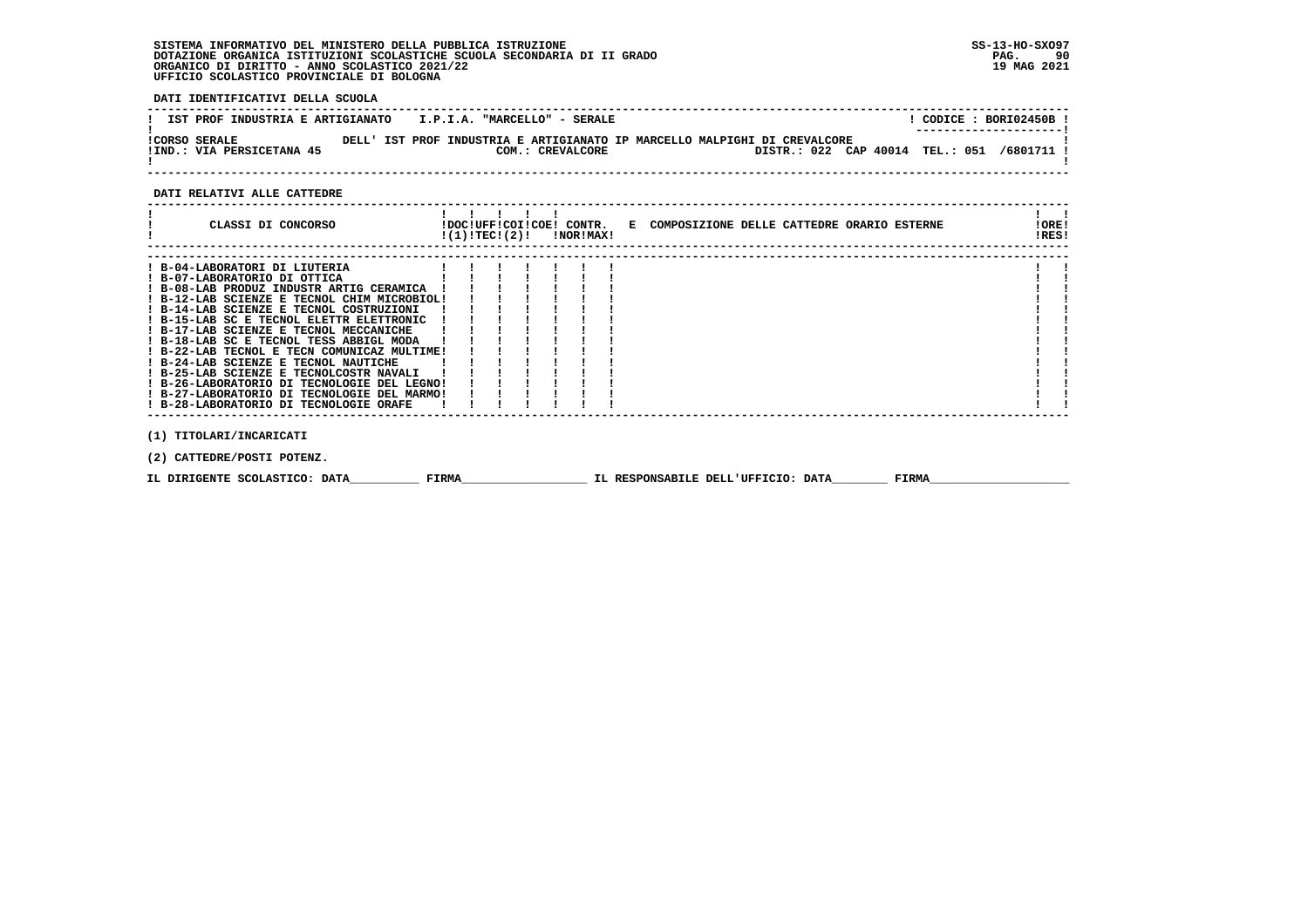**DATI IDENTIFICATIVI DELLA SCUOLA**

| IST PROF INDUSTRIA E ARTIGIANATO                  | I.P.I.A. "MARCELLO" - SERALE |                                                                                                                         | CODICE: BORI02450B !<br>---------------------- |
|---------------------------------------------------|------------------------------|-------------------------------------------------------------------------------------------------------------------------|------------------------------------------------|
| <b>ICORSO SERALE</b><br>!IND.: VIA PERSICETANA 45 | COM.: CREVALCORE             | DELL' IST PROF INDUSTRIA E ARTIGIANATO IP MARCELLO MALPIGHI DI CREVALCORE<br>DISTR.: 022 CAP 40014 TEL.: 051 /6801711 ! |                                                |

 **------------------------------------------------------------------------------------------------------------------------------------**

### **DATI RELATIVI ALLE CATTEDRE**

| CLASSI DI CONCORSO                                                                  |  |  | $!(1)!TEC!(2)!$ $INORIMAX!$ | !DOC!UFF!COI!COE! CONTR. E COMPOSIZIONE DELLE CATTEDRE ORARIO ESTERNE | !ORE!<br>!RES! |
|-------------------------------------------------------------------------------------|--|--|-----------------------------|-----------------------------------------------------------------------|----------------|
| ! B-04-LABORATORI DI LIUTERIA                                                       |  |  |                             |                                                                       |                |
| ! B-07-LABORATORIO DI OTTICA                                                        |  |  |                             |                                                                       |                |
| ! B-08-LAB PRODUZ INDUSTR ARTIG CERAMICA                                            |  |  |                             |                                                                       |                |
| ! B-12-LAB SCIENZE E TECNOL CHIM MICROBIOL!                                         |  |  |                             |                                                                       |                |
| ! B-14-LAB SCIENZE E TECNOL COSTRUZIONI                                             |  |  |                             |                                                                       |                |
| ! B-15-LAB SC E TECNOL ELETTR ELETTRONIC                                            |  |  |                             |                                                                       |                |
| ! B-17-LAB SCIENZE E TECNOL MECCANICHE                                              |  |  |                             |                                                                       |                |
| ! B-18-LAB SC E TECNOL TESS ABBIGL MODA                                             |  |  |                             |                                                                       |                |
| ! B-22-LAB TECNOL E TECN COMUNICAZ MULTIME!<br>! B-24-LAB SCIENZE E TECNOL NAUTICHE |  |  |                             |                                                                       |                |
| ! B-25-LAB SCIENZE E TECNOLCOSTR NAVALI                                             |  |  |                             |                                                                       |                |
| ! B-26-LABORATORIO DI TECNOLOGIE DEL LEGNO!                                         |  |  |                             |                                                                       |                |
| ! B-27-LABORATORIO DI TECNOLOGIE DEL MARMO!                                         |  |  |                             |                                                                       |                |
| ! B-28-LABORATORIO DI TECNOLOGIE ORAFE                                              |  |  |                             |                                                                       |                |
|                                                                                     |  |  |                             |                                                                       |                |
| (1) TITOLARI/INCARICATI                                                             |  |  |                             |                                                                       |                |
| (2) CATTEDRE/POSTI POTENZ.                                                          |  |  |                             |                                                                       |                |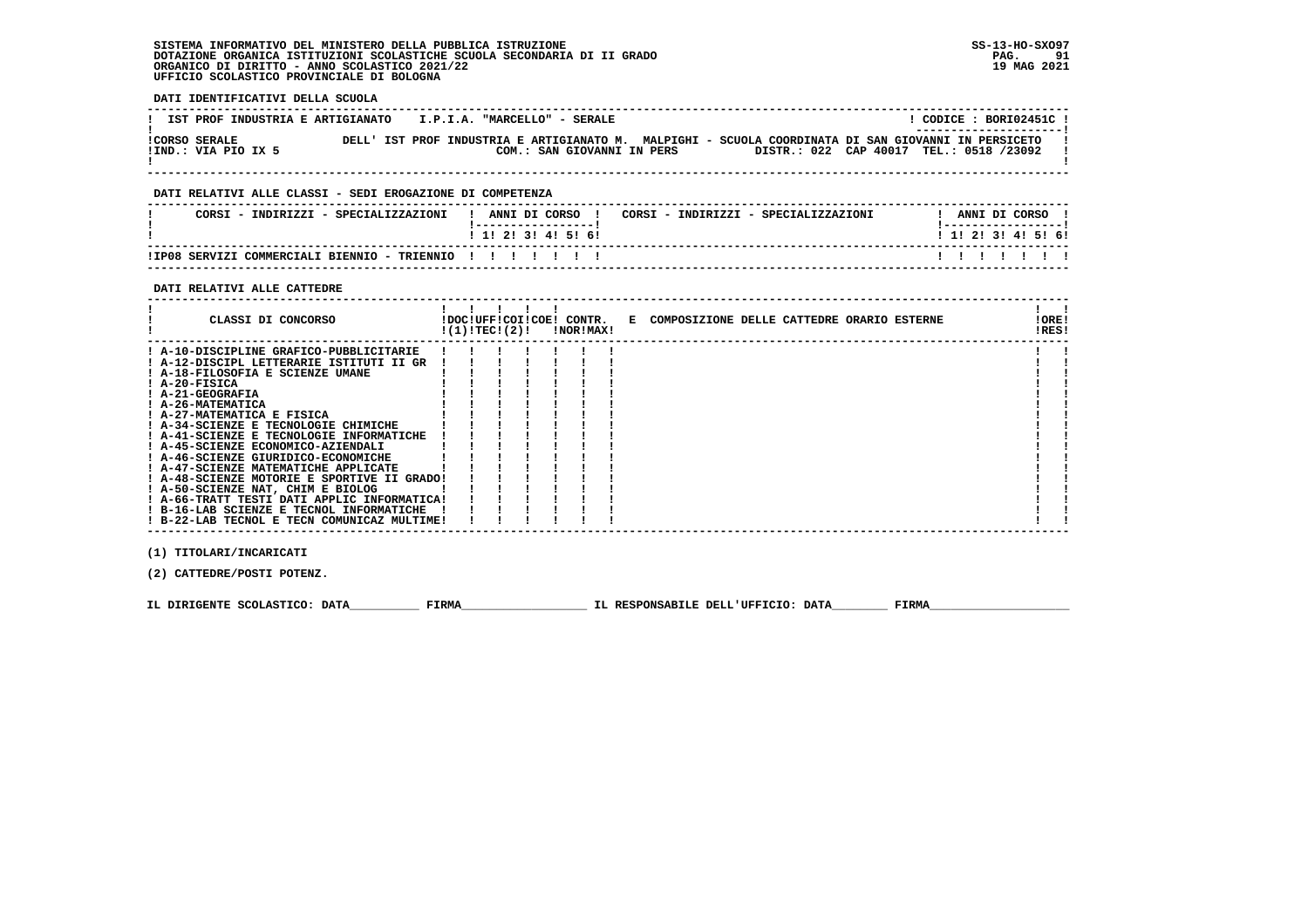**DATI IDENTIFICATIVI DELLA SCUOLA**

| IST PROF INDUSTRIA E ARTIGIANATO     | I.P.I.A. "MARCELLO" - SERALE | CODICE: BORI02451C!<br>---------------------                                                                                                   |
|--------------------------------------|------------------------------|------------------------------------------------------------------------------------------------------------------------------------------------|
| ICORSO SERALE<br>IIND.: VIA PIO IX 5 | COM.: SAN GIOVANNI IN PERS   | DELL' IST PROF INDUSTRIA E ARTIGIANATO M. MALPIGHI - SCUOLA COORDINATA DI SAN GIOVANNI IN PERSICETO<br>DISTR.: 022 CAP 40017 TEL.: 0518 /23092 |
|                                      |                              |                                                                                                                                                |

## **DATI RELATIVI ALLE CLASSI - SEDI EROGAZIONE DI COMPETENZA**

| CORSI - INDIRIZZI - SPECIALIZZAZIONI                  | ANNI DI CORSO<br>CORSI - INDIRIZZI - SPECIALIZZAZIONI | ANNI DI CORSO         |
|-------------------------------------------------------|-------------------------------------------------------|-----------------------|
|                                                       | 1 1 1 2 1 3 1 4 1 5 1 6 1                             | $1$ 1! 2! 3! 4! 5! 6! |
| !IP08 SERVIZI COMMERCIALI BIENNIO - TRIENNIO !!!!!!!! |                                                       |                       |

 **------------------------------------------------------------------------------------------------------------------------------------**

### **DATI RELATIVI ALLE CATTEDRE**

| CLASSI DI CONCORSO                          | $!(1)!$ TEC ! $(2)!$ |  | <b>!NOR!MAX!</b> | !DOC!UFF!COI!COE! CONTR. E COMPOSIZIONE DELLE CATTEDRE ORARIO ESTERNE | !ORE!<br>!RES! |  |
|---------------------------------------------|----------------------|--|------------------|-----------------------------------------------------------------------|----------------|--|
| ! A-10-DISCIPLINE GRAFICO-PUBBLICITARIE     |                      |  |                  |                                                                       |                |  |
| ! A-12-DISCIPL LETTERARIE ISTITUTI II GR    |                      |  |                  |                                                                       |                |  |
| ! A-18-FILOSOFIA E SCIENZE UMANE            |                      |  |                  |                                                                       |                |  |
| $I$ A-20-FISICA                             |                      |  |                  |                                                                       |                |  |
| ! A-21-GEOGRAFIA                            |                      |  |                  |                                                                       |                |  |
| ! A-26-MATEMATICA                           |                      |  |                  |                                                                       |                |  |
| ! A-27-MATEMATICA E FISICA                  |                      |  |                  |                                                                       |                |  |
| ! A-34-SCIENZE E TECNOLOGIE CHIMICHE        |                      |  |                  |                                                                       |                |  |
| ! A-41-SCIENZE E TECNOLOGIE INFORMATICHE    |                      |  |                  |                                                                       |                |  |
| ! A-45-SCIENZE ECONOMICO-AZIENDALI          |                      |  |                  |                                                                       |                |  |
| ! A-46-SCIENZE GIURIDICO-ECONOMICHE         |                      |  |                  |                                                                       |                |  |
| ! A-47-SCIENZE MATEMATICHE APPLICATE        |                      |  |                  |                                                                       |                |  |
| ! A-48-SCIENZE MOTORIE E SPORTIVE II GRADO! |                      |  |                  |                                                                       |                |  |
| ! A-50-SCIENZE NAT, CHIM E BIOLOG           |                      |  |                  |                                                                       |                |  |
| ! A-66-TRATT TESTI DATI APPLIC INFORMATICA! |                      |  |                  |                                                                       |                |  |
| ! B-16-LAB SCIENZE E TECNOL INFORMATICHE    |                      |  |                  |                                                                       |                |  |
| ! B-22-LAB TECNOL E TECN COMUNICAZ MULTIME! |                      |  |                  |                                                                       |                |  |

 **(1) TITOLARI/INCARICATI**

 **(2) CATTEDRE/POSTI POTENZ.**

 **IL DIRIGENTE SCOLASTICO: DATA\_\_\_\_\_\_\_\_\_\_ FIRMA\_\_\_\_\_\_\_\_\_\_\_\_\_\_\_\_\_\_ IL RESPONSABILE DELL'UFFICIO: DATA\_\_\_\_\_\_\_\_ FIRMA\_\_\_\_\_\_\_\_\_\_\_\_\_\_\_\_\_\_\_\_**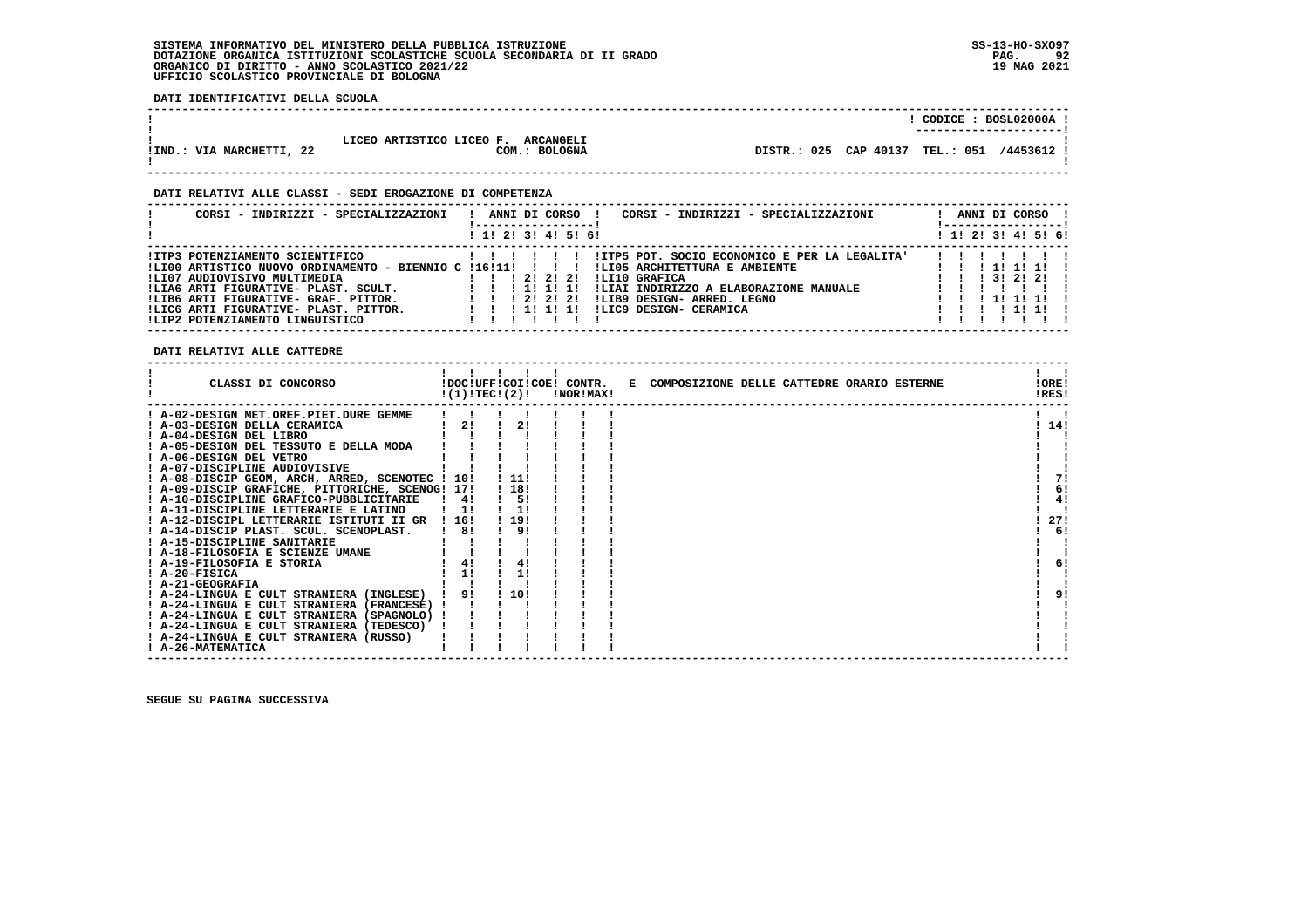**DATI IDENTIFICATIVI DELLA SCUOLA**

|                          |                                                     | CODICE: BOSL02000A !<br>----------------------- |  |
|--------------------------|-----------------------------------------------------|-------------------------------------------------|--|
| !IND.: VIA MARCHETTI, 22 | LICEO ARTISTICO LICEO F. ARCANGELI<br>COM.: BOLOGNA | DISTR.: 025 CAP 40137 TEL.: 051<br>/4453612 !   |  |

### **DATI RELATIVI ALLE CLASSI - SEDI EROGAZIONE DI COMPETENZA**

| CORSI - INDIRIZZI - SPECIALIZZAZIONI                                                                                                                                                                                                                                                 | ANNI DI CORSO<br>CORSI - INDIRIZZI - SPECIALIZZAZIONI<br>! 1! 2! 3! 4! 5! 6!                                                                                                                                                                                             | ANNI DI CORSO<br>-----------------<br>! 1! 2! 3! 4! 5! 6!                                                |
|--------------------------------------------------------------------------------------------------------------------------------------------------------------------------------------------------------------------------------------------------------------------------------------|--------------------------------------------------------------------------------------------------------------------------------------------------------------------------------------------------------------------------------------------------------------------------|----------------------------------------------------------------------------------------------------------|
| IITP3 POTENZIAMENTO SCIENTIFICO<br>!LI00 ARTISTICO NUOVO ORDINAMENTO - BIENNIO C !16!11!<br>ILI07 AUDIOVISIVO MULTIMEDIA<br>!LIA6 ARTI FIGURATIVE- PLAST. SCULT.<br>!LIB6 ARTI FIGURATIVE- GRAF, PITTOR,<br>!LIC6 ARTI FIGURATIVE- PLAST. PITTOR.<br>!LIP2 POTENZIAMENTO LINGUISTICO | !ITP5 POT. SOCIO ECONOMICO E PER LA LEGALITA'<br>!LI05 ARCHITETTURA E AMBIENTE<br>ILI10 GRAFICA<br>1 1 1 2 1 2 1 2 1<br>!LIAI INDIRIZZO A ELABORAZIONE MANUALE<br>111111<br>!LIB9 DESIGN- ARRED. LEGNO<br>1 1 1 2 1 2 1 2 1<br>!LIC9 DESIGN- CERAMICA<br>1 1 1 1 1 1 1 1 | 111111<br>$1 \quad 1 \quad 1 \quad 31 \quad 21 \quad 21 \quad 1$<br>1 1 1 1 1 1 1 1 1<br>, , , , , , , , |

 **DATI RELATIVI ALLE CATTEDRE**

| CLASSI DI CONCORSO                              | !(1)!TEC!(2)! |         | !DOC!UFF!COI!COE! CONTR.<br>!NOR!MAX! | E COMPOSIZIONE DELLE CATTEDRE ORARIO ESTERNE | !ORE!<br>!RES! |
|-------------------------------------------------|---------------|---------|---------------------------------------|----------------------------------------------|----------------|
| ! A-02-DESIGN MET.OREF.PIET.DURE GEMME          |               |         |                                       |                                              |                |
| ! A-03-DESIGN DELLA CERAMICA                    | 2!            | 2!      |                                       |                                              | 14!            |
| ! A-04-DESIGN DEL LIBRO                         |               |         |                                       |                                              |                |
| ! A-05-DESIGN DEL TESSUTO E DELLA MODA          |               |         |                                       |                                              |                |
| ! A-06-DESIGN DEL VETRO                         |               |         |                                       |                                              |                |
| ! A-07-DISCIPLINE AUDIOVISIVE                   |               |         |                                       |                                              |                |
| ! A-08-DISCIP GEOM, ARCH, ARRED, SCENOTEC ! 10! |               | . . 11! |                                       |                                              |                |
| ! A-09-DISCIP GRAFICHE, PITTORICHE, SCENOG! 17! |               | ! 18!   |                                       |                                              | 6!             |
| ! A-10-DISCIPLINE GRAFICO-PUBBLICITARIE         | $\frac{1}{4}$ | 5!      |                                       |                                              | 4!             |
| ! A-11-DISCIPLINE LETTERARIE E LATINO           | 11            | 11      |                                       |                                              |                |
| ! A-12-DISCIPL LETTERARIE ISTITUTI II GR        | ! 16!         | ! 19!   |                                       |                                              | 27!            |
| ! A-14-DISCIP PLAST. SCUL. SCENOPLAST.          | 8!            | 9!      |                                       |                                              | 6!             |
| ! A-15-DISCIPLINE SANITARIE                     |               |         |                                       |                                              |                |
| ! A-18-FILOSOFIA E SCIENZE UMANE                |               |         |                                       |                                              |                |
| ! A-19-FILOSOFIA E STORIA                       | 4!            | 4!      |                                       |                                              | 6!             |
| $I$ A-20-FISICA                                 | 1!            | 1!      |                                       |                                              |                |
| ! A-21-GEOGRAFIA                                |               |         |                                       |                                              |                |
| ! A-24-LINGUA E CULT STRANIERA (INGLESE)        | 91            | 110!    |                                       |                                              | 91             |
| ! A-24-LINGUA E CULT STRANIERA (FRANCESE) !     |               |         |                                       |                                              |                |
| ! A-24-LINGUA E CULT STRANIERA (SPAGNOLO) !     |               |         |                                       |                                              |                |
| ! A-24-LINGUA E CULT STRANIERA (TEDESCO)        |               |         |                                       |                                              |                |
| ! A-24-LINGUA E CULT STRANIERA (RUSSO)          |               |         |                                       |                                              |                |
| ! A-26-MATEMATICA                               |               |         |                                       |                                              |                |

 **------------------------------------------------------------------------------------------------------------------------------------**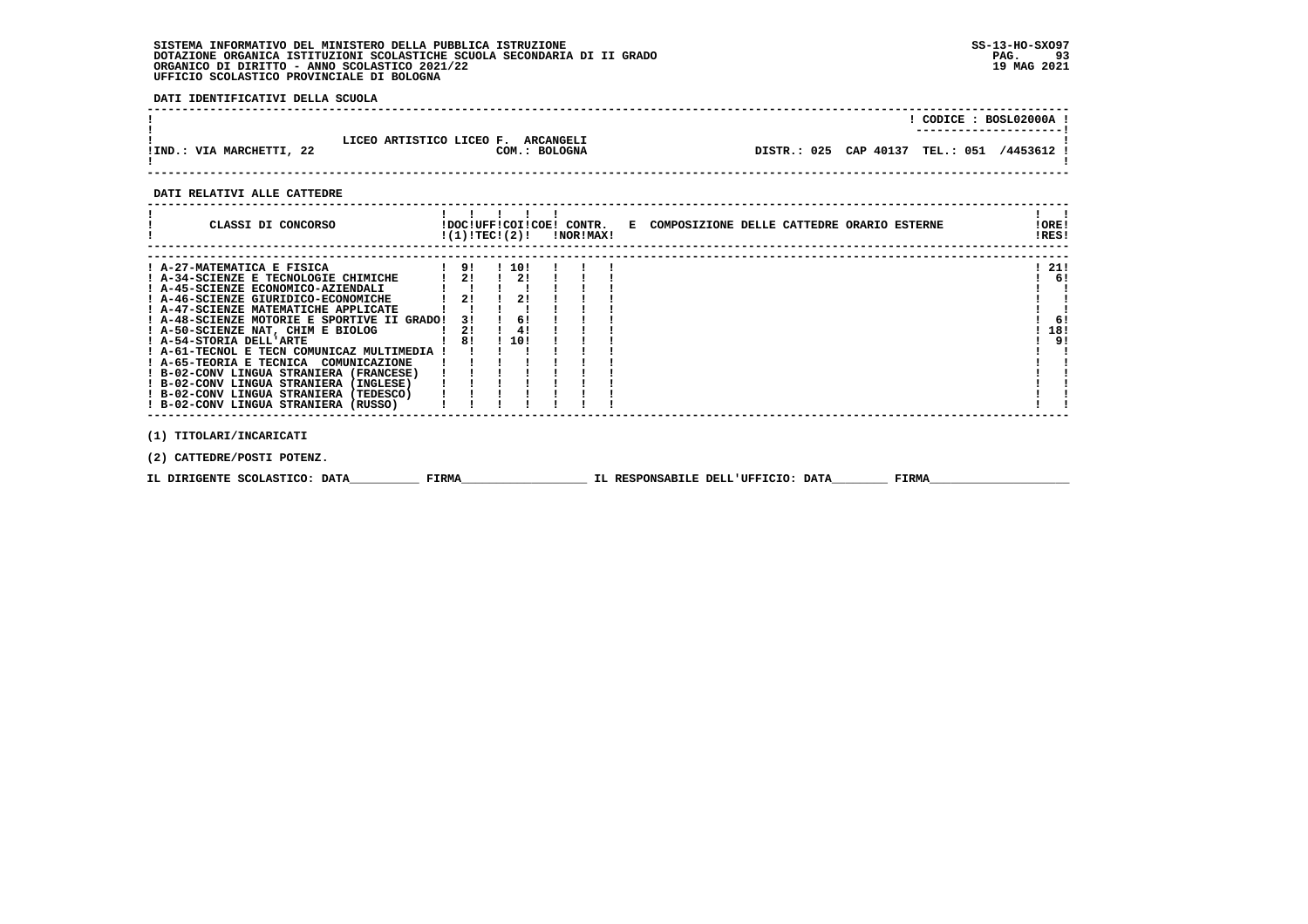**DATI IDENTIFICATIVI DELLA SCUOLA**

|                          |                                                     | CODICE: BOSL02000A !                       |
|--------------------------|-----------------------------------------------------|--------------------------------------------|
| !IND.: VIA MARCHETTI, 22 | LICEO ARTISTICO LICEO F. ARCANGELI<br>COM.: BOLOGNA | DISTR.: 025 CAP 40137 TEL.: 051 /4453612 ! |

## **DATI RELATIVI ALLE CATTEDRE**

| CLASSI DI CONCORSO                          | !(1)!TECI(2)! |      | !DOC!UFF!COI!COE! CONTR.<br>!NOR!MAX! | E COMPOSIZIONE DELLE CATTEDRE ORARIO ESTERNE | ! ORE!<br>!RES! |  |
|---------------------------------------------|---------------|------|---------------------------------------|----------------------------------------------|-----------------|--|
|                                             |               |      |                                       |                                              |                 |  |
| ! A-27-MATEMATICA E FISICA                  | 91            | 110! |                                       |                                              | - 21!           |  |
| ! A-34-SCIENZE E TECNOLOGIE CHIMICHE        | 2!            | 21   |                                       |                                              | -61             |  |
| ! A-45-SCIENZE ECONOMICO-AZIENDALI          |               |      |                                       |                                              |                 |  |
| ! A-46-SCIENZE GIURIDICO-ECONOMICHE         | 21            | 21   |                                       |                                              |                 |  |
| ! A-47-SCIENZE MATEMATICHE APPLICATE        |               |      |                                       |                                              |                 |  |
| ! A-48-SCIENZE MOTORIE E SPORTIVE II GRADO! | 31            | 61   |                                       |                                              | -61             |  |
| ! A-50-SCIENZE NAT, CHIM E BIOLOG           | 21            | 4!   |                                       |                                              | 18!             |  |
| ! A-54-STORIA DELL'ARTE                     | 81            | 10!  |                                       |                                              | ر و             |  |
| ! A-61-TECNOL E TECN COMUNICAZ MULTIMEDIA ! |               |      |                                       |                                              |                 |  |
| ! A-65-TEORIA E TECNICA<br>COMUNICAZIONE    |               |      |                                       |                                              |                 |  |
| ! B-02-CONV LINGUA STRANIERA (FRANCESE)     |               |      |                                       |                                              |                 |  |
| ! B-02-CONV LINGUA STRANIERA (INGLESE)      |               |      |                                       |                                              |                 |  |
| ! B-02-CONV LINGUA STRANIERA (TEDESCO)      |               |      |                                       |                                              |                 |  |
| ! B-02-CONV LINGUA STRANIERA (RUSSO)        |               |      |                                       |                                              |                 |  |
|                                             |               |      |                                       |                                              |                 |  |
| (1) TITOLARI/INCARICATI                     |               |      |                                       |                                              |                 |  |

 **(2) CATTEDRE/POSTI POTENZ.**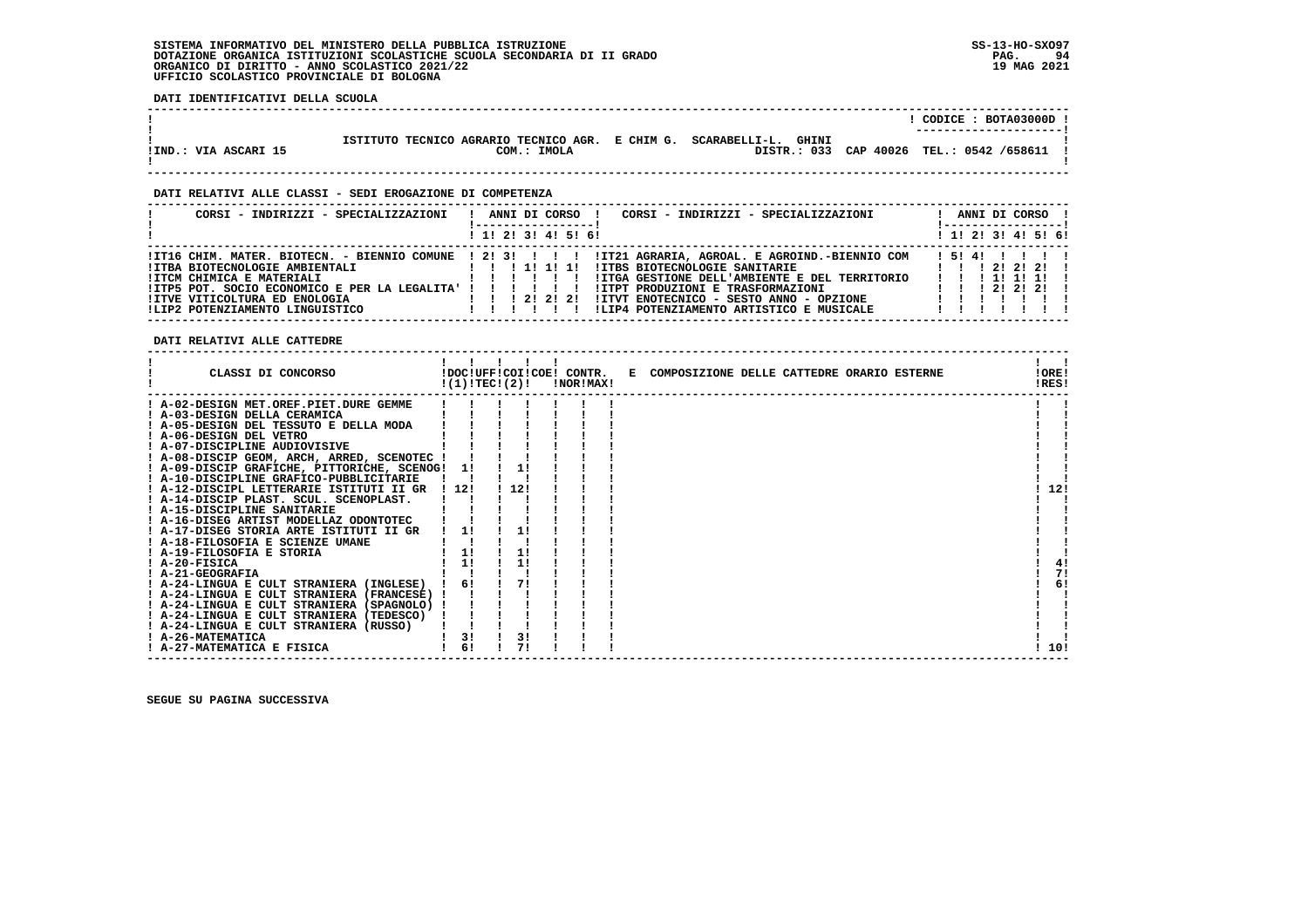**DATI IDENTIFICATIVI DELLA SCUOLA**

|                      |                                                                     |  | CODICE: BOTA03000D !<br>---------------------- |
|----------------------|---------------------------------------------------------------------|--|------------------------------------------------|
|                      | ISTITUTO TECNICO AGRARIO TECNICO AGR. E CHIM G. SCARABELLI-L. GHINI |  |                                                |
| !IND.: VIA ASCARI 15 | COM.: IMOLA                                                         |  | DISTR.: 033 CAP 40026 TEL.: 0542 /658611 !     |

 **------------------------------------------------------------------------------------------------------------------------------------**

### **DATI RELATIVI ALLE CLASSI - SEDI EROGAZIONE DI COMPETENZA**

| CORSI - INDIRIZZI - SPECIALIZZAZIONI                                                                                                                                                            | CORSI - INDIRIZZI - SPECIALIZZAZIONI<br>ANNI DI CORSO                                                                                                                                                                                                                                                                                            | ANNI DI CORSO !<br>! -----------------                                                                      |
|-------------------------------------------------------------------------------------------------------------------------------------------------------------------------------------------------|--------------------------------------------------------------------------------------------------------------------------------------------------------------------------------------------------------------------------------------------------------------------------------------------------------------------------------------------------|-------------------------------------------------------------------------------------------------------------|
|                                                                                                                                                                                                 | $1$ , 1! 2! 3! 4! 5! 6!                                                                                                                                                                                                                                                                                                                          | $1$ 1! 2! 3! 4! 5! 6!                                                                                       |
| !ITBA BIOTECNOLOGIE AMBIENTALI<br>!ITCM CHIMICA E MATERIALI<br>! ITP5 POT. SOCIO ECONOMICO E PER LA LEGALITA' ! ! ! ! ! ! !<br>IITVE VITICOLTURA ED ENOLOGIA<br>!LIP2 POTENZIAMENTO LINGUISTICO | ITI6 CHIM. MATER. BIOTECN. - BIENNIO COMUNE ! 2! 3! ! ! ! !IT21 AGRARIA, AGROAL. E AGROIND.-BIENNIO COM<br><b>!ITBS BIOTECNOLOGIE SANITARIE</b><br>IITGA GESTIONE DELL'AMBIENTE E DEL TERRITORIO<br>!ITPT PRODUZIONI E TRASFORMAZIONI<br>!!! 2! 2! I ITVT ENOTECNICO - SESTO ANNO - OPZIONE<br>!LIP4 POTENZIAMENTO ARTISTICO E MUSICALE<br>11111 | 151411111<br>1 1 1 2 1 2 1 2 1<br>1 1 1 1 1 1 1 1<br>$1 \quad 1 \quad 1 \quad 21 \quad 21 \quad 21 \quad 1$ |

 **DATI RELATIVI ALLE CATTEDRE**

| CLASSI DI CONCORSO                             | !(1)!TECI(2)! |      | <b>!NOR!MAX!</b> | !DOC!UFF!COI!COE! CONTR. E COMPOSIZIONE DELLE CATTEDRE ORARIO ESTERNE | !ORE!<br>!RES! |
|------------------------------------------------|---------------|------|------------------|-----------------------------------------------------------------------|----------------|
| ! A-02-DESIGN MET.OREF.PIET.DURE GEMME         |               |      |                  |                                                                       |                |
| ! A-03-DESIGN DELLA CERAMICA                   |               |      |                  |                                                                       |                |
| ! A-05-DESIGN DEL TESSUTO E DELLA MODA         |               |      |                  |                                                                       |                |
| ! A-06-DESIGN DEL VETRO                        |               |      |                  |                                                                       |                |
| ! A-07-DISCIPLINE AUDIOVISIVE                  |               |      |                  |                                                                       |                |
| ! A-08-DISCIP GEOM, ARCH, ARRED, SCENOTEC !    |               |      |                  |                                                                       |                |
| ! A-09-DISCIP GRAFICHE, PITTORICHE, SCENOG! 1! |               | 1!   |                  |                                                                       |                |
| ! A-10-DISCIPLINE GRAFICO-PUBBLICITARIE        |               |      |                  |                                                                       |                |
| ! A-12-DISCIPL LETTERARIE ISTITUTI II GR       | ! 12!         | 1121 |                  |                                                                       | 12!            |
| ! A-14-DISCIP PLAST. SCUL. SCENOPLAST.         |               |      |                  |                                                                       |                |
| ! A-15-DISCIPLINE SANITARIE                    |               |      |                  |                                                                       |                |
| ! A-16-DISEG ARTIST MODELLAZ ODONTOTEC         |               |      |                  |                                                                       |                |
| ! A-17-DISEG STORIA ARTE ISTITUTI II GR        | 1!            |      |                  |                                                                       |                |
| ! A-18-FILOSOFIA E SCIENZE UMANE               |               |      |                  |                                                                       |                |
| ! A-19-FILOSOFIA E STORIA                      | 1!            | 1!   |                  |                                                                       |                |
| ! A-20-FISICA                                  | 11            | 1!   |                  |                                                                       | 41             |
| ! A-21-GEOGRAFIA                               |               |      |                  |                                                                       | 71             |
| ! A-24-LINGUA E CULT STRANIERA (INGLESE)       | 6!            | 71   |                  |                                                                       | 6!             |
| ! A-24-LINGUA E CULT STRANIERA (FRANCESE) !    |               |      |                  |                                                                       |                |
| ! A-24-LINGUA E CULT STRANIERA (SPAGNOLO) !    |               |      |                  |                                                                       |                |
| ! A-24-LINGUA E CULT STRANIERA (TEDESCO)       |               |      |                  |                                                                       |                |
| ! A-24-LINGUA E CULT STRANIERA (RUSSO)         |               |      |                  |                                                                       |                |
| ! A-26-MATEMATICA                              | 3!            | 3!   |                  |                                                                       |                |
| ! A-27-MATEMATICA E FISICA                     | 6!            | 71   |                  |                                                                       | 10!            |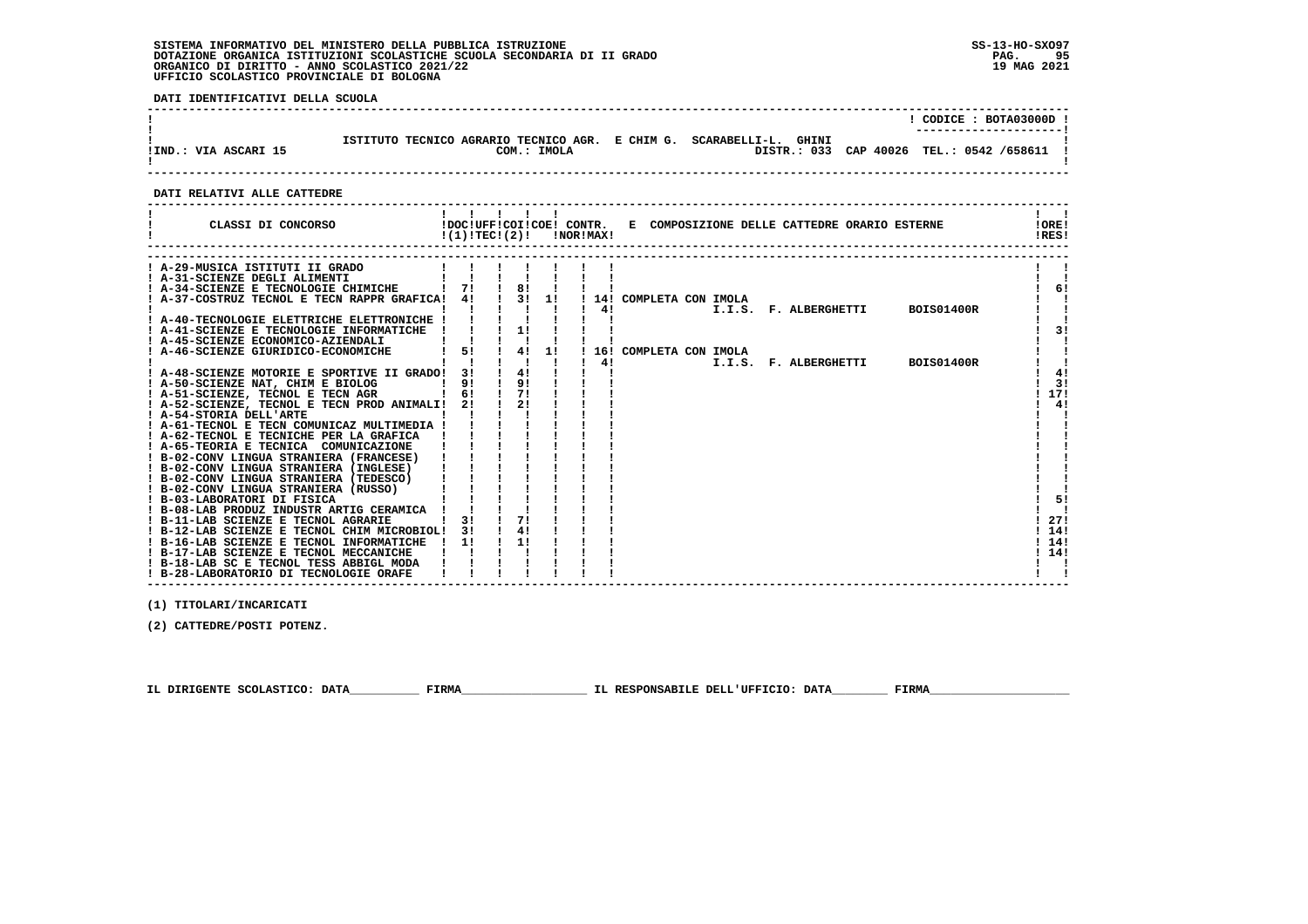**DATI IDENTIFICATIVI DELLA SCUOLA**

|                      |                                                                                    | CODICE: BOTA03000D !<br>---------------------- |  |
|----------------------|------------------------------------------------------------------------------------|------------------------------------------------|--|
| IIND.: VIA ASCARI 15 | ISTITUTO TECNICO AGRARIO TECNICO AGR. E CHIM G. SCARABELLI-L. GHINI<br>COM.: IMOLA | DISTR.: 033 CAP 40026 TEL.: 0542 /658611 !     |  |

 **------------------------------------------------------------------------------------------------------------------------------------**

### **DATI RELATIVI ALLE CATTEDRE**

| CLASSI DI CONCORSO                                                                 | !(1)!TECI(2)! |    |    | !NOR!MAX! |    |                          |  | !DOC!UFF!COI!COE! CONTR. E COMPOSIZIONE DELLE CATTEDRE ORARIO ESTERNE |                   | !ORE!<br>IRES! |
|------------------------------------------------------------------------------------|---------------|----|----|-----------|----|--------------------------|--|-----------------------------------------------------------------------|-------------------|----------------|
|                                                                                    |               |    |    |           |    |                          |  |                                                                       |                   |                |
| ! A-29-MUSICA ISTITUTI II GRADO<br>! A-31-SCIENZE DEGLI ALIMENTI                   |               |    |    |           |    |                          |  |                                                                       |                   |                |
| ! A-34-SCIENZE E TECNOLOGIE CHIMICHE                                               |               | 8! |    |           |    |                          |  |                                                                       |                   | 6!             |
| ! A-37-COSTRUZ TECNOL E TECN RAPPR GRAFICA! 4!                                     |               | 31 | 11 |           |    | ! 14! COMPLETA CON IMOLA |  |                                                                       |                   |                |
|                                                                                    |               |    |    |           | 4! |                          |  | I.I.S. F. ALBERGHETTI                                                 | <b>BOIS01400R</b> |                |
| ! A-40-TECNOLOGIE ELETTRICHE ELETTRONICHE !                                        |               |    |    |           |    |                          |  |                                                                       |                   |                |
| ! A-41-SCIENZE E TECNOLOGIE INFORMATICHE                                           |               | 1! |    |           |    |                          |  |                                                                       |                   | 31             |
| ! A-45-SCIENZE ECONOMICO-AZIENDALI                                                 |               |    |    |           |    |                          |  |                                                                       |                   |                |
| A-46-SCIENZE GIURIDICO-ECONOMICHE                                                  | 5!            | 4! | 11 |           |    | 16! COMPLETA CON IMOLA   |  |                                                                       |                   |                |
|                                                                                    |               |    |    |           | 4! |                          |  | I.I.S. F. ALBERGHETTI                                                 | <b>BOIS01400R</b> |                |
| ! A-48-SCIENZE MOTORIE E SPORTIVE II GRADO!                                        | 3 I           | 4! |    |           |    |                          |  |                                                                       |                   | 41             |
| ! A-50-SCIENZE NAT, CHIM E BIOLOG                                                  | 9!            | 9! |    |           |    |                          |  |                                                                       |                   | 3!             |
| ! A-51-SCIENZE, TECNOL E TECN AGR                                                  | 6!            | 71 |    |           |    |                          |  |                                                                       |                   | 17!            |
| ! A-52-SCIENZE, TECNOL E TECN PROD ANIMALI!                                        | 2!            | 21 |    |           |    |                          |  |                                                                       |                   | 4!             |
| ! A-54-STORIA DELL'ARTE                                                            |               |    |    |           |    |                          |  |                                                                       |                   |                |
| ! A-61-TECNOL E TECN COMUNICAZ MULTIMEDIA !                                        |               |    |    |           |    |                          |  |                                                                       |                   |                |
| A-62-TECNOL E TECNICHE PER LA GRAFICA                                              |               |    |    |           |    |                          |  |                                                                       |                   |                |
| ! A-65-TEORIA E TECNICA COMUNICAZIONE                                              |               |    |    |           |    |                          |  |                                                                       |                   |                |
| ! B-02-CONV LINGUA STRANIERA (FRANCESE)                                            |               |    |    |           |    |                          |  |                                                                       |                   |                |
| ! B-02-CONV LINGUA STRANIERA (INGLESE)                                             |               |    |    |           |    |                          |  |                                                                       |                   |                |
| ! B-02-CONV LINGUA STRANIERA (TEDESCO)                                             |               |    |    |           |    |                          |  |                                                                       |                   |                |
| ! B-02-CONV LINGUA STRANIERA (RUSSO)                                               |               |    |    |           |    |                          |  |                                                                       |                   |                |
| ! B-03-LABORATORI DI FISICA                                                        |               |    |    |           |    |                          |  |                                                                       |                   | 5!             |
| ! B-08-LAB PRODUZ INDUSTR ARTIG CERAMICA                                           |               |    |    |           |    |                          |  |                                                                       |                   |                |
| ! B-11-LAB SCIENZE E TECNOL AGRARIE                                                |               | 71 |    |           |    |                          |  |                                                                       |                   | 27!            |
| ! B-12-LAB SCIENZE E TECNOL CHIM MICROBIOL!                                        | 3!            | 4! |    |           |    |                          |  |                                                                       |                   | 14!<br>14!     |
| ! B-16-LAB SCIENZE E TECNOL INFORMATICHE<br>! B-17-LAB SCIENZE E TECNOL MECCANICHE | 11            | 11 |    |           |    |                          |  |                                                                       |                   | 14!            |
| ! B-18-LAB SC E TECNOL TESS ABBIGL MODA                                            |               |    |    |           |    |                          |  |                                                                       |                   |                |
| ! B-28-LABORATORIO DI TECNOLOGIE ORAFE                                             |               |    |    |           |    |                          |  |                                                                       |                   |                |
|                                                                                    |               |    |    |           |    |                          |  |                                                                       |                   |                |

 **------------------------------------------------------------------------------------------------------------------------------------**

 **(1) TITOLARI/INCARICATI**

 **(2) CATTEDRE/POSTI POTENZ.**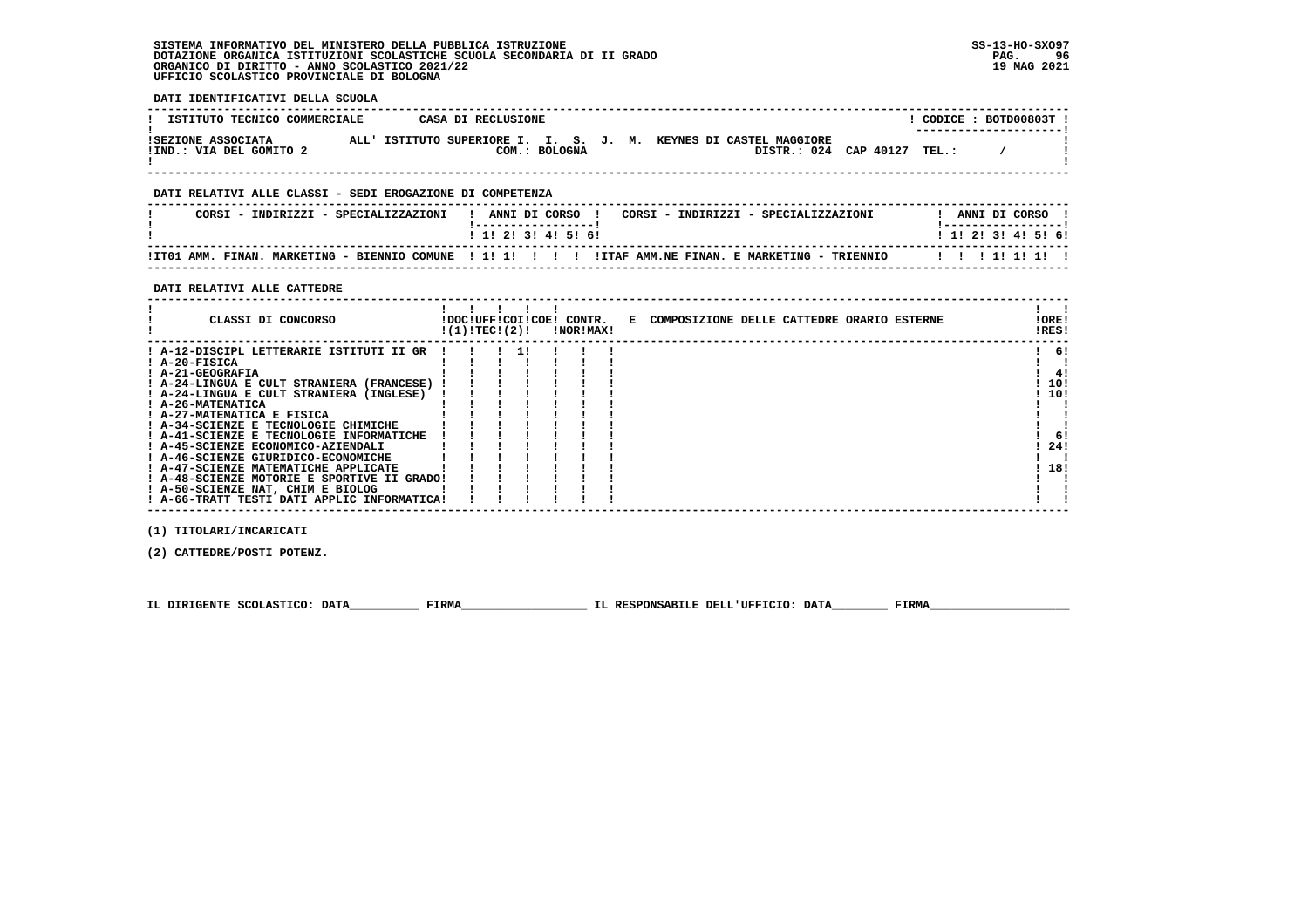**DATI IDENTIFICATIVI DELLA SCUOLA**

| ISTITUTO TECNICO COMMERCIALE                  |  | CASA DI RECLUSIONE |  |  |                                                                  |                             |  | CODICE: BOTD00803T!<br>--------------------- |  |
|-----------------------------------------------|--|--------------------|--|--|------------------------------------------------------------------|-----------------------------|--|----------------------------------------------|--|
| ISEZIONE ASSOCIATA<br>!IND.: VIA DEL GOMITO 2 |  | COM.: BOLOGNA      |  |  | ALL' ISTITUTO SUPERIORE I. I. S. J. M. KEYNES DI CASTEL MAGGIORE | DISTR.: 024 CAP 40127 TEL.: |  |                                              |  |

 **------------------------------------------------------------------------------------------------------------------------------------**

## **DATI RELATIVI ALLE CLASSI - SEDI EROGAZIONE DI COMPETENZA**

| CORSI - INDIRIZZI - SPECIALIZZAZIONI | ANNI DI CORSO<br>CORSI - INDIRIZZI - SPECIALIZZAZIONI                                                | ANNI DI CORSO             |
|--------------------------------------|------------------------------------------------------------------------------------------------------|---------------------------|
|                                      | 1 1 1 2 1 3 1 4 1 5 1 6 1                                                                            | 1 1 1 2 1 3 1 4 1 5 1 6 1 |
|                                      | ITTO1 AMM. FINAN. MARKETING - BIENNIO COMUNE ! 1! 1! ! !! !ITAF AMM.NE FINAN. E MARKETING - TRIENNIO | 11111111                  |

### **DATI RELATIVI ALLE CATTEDRE**

| CLASSI DI CONCORSO                          | !(1)!TEC!(2)! |  | !DOC!UFF!COI!COE! CONTR.<br>!NOR!MAX! | E COMPOSIZIONE DELLE CATTEDRE ORARIO ESTERNE | ! ORE!<br>!RES! |
|---------------------------------------------|---------------|--|---------------------------------------|----------------------------------------------|-----------------|
| ! A-12-DISCIPL LETTERARIE ISTITUTI II GR    |               |  |                                       |                                              | 6!              |
| ! A-20-FISICA                               |               |  |                                       |                                              |                 |
| ! A-21-GEOGRAFIA                            |               |  |                                       |                                              | 4!              |
| ! A-24-LINGUA E CULT STRANIERA (FRANCESE)   |               |  |                                       |                                              | 10!             |
| ! A-24-LINGUA E CULT STRANIERA (INGLESE)    |               |  |                                       |                                              | 10!             |
| ! A-26-MATEMATICA                           |               |  |                                       |                                              |                 |
| ! A-27-MATEMATICA E FISICA                  |               |  |                                       |                                              |                 |
| ! A-34-SCIENZE E TECNOLOGIE CHIMICHE        |               |  |                                       |                                              |                 |
| ! A-41-SCIENZE E TECNOLOGIE INFORMATICHE    |               |  |                                       |                                              | 6!              |
| ! A-45-SCIENZE ECONOMICO-AZIENDALI          |               |  |                                       |                                              | 24!             |
| ! A-46-SCIENZE GIURIDICO-ECONOMICHE         |               |  |                                       |                                              |                 |
| ! A-47-SCIENZE MATEMATICHE APPLICATE        |               |  |                                       |                                              | 18!             |
| ! A-48-SCIENZE MOTORIE E SPORTIVE II GRADO! |               |  |                                       |                                              |                 |
| ! A-50-SCIENZE NAT, CHIM E BIOLOG           |               |  |                                       |                                              |                 |
| ! A-66-TRATT TESTI DATI APPLIC INFORMATICA! |               |  |                                       |                                              |                 |

 **(1) TITOLARI/INCARICATI**

 **(2) CATTEDRE/POSTI POTENZ.**

 **IL DIRIGENTE SCOLASTICO: DATA\_\_\_\_\_\_\_\_\_\_ FIRMA\_\_\_\_\_\_\_\_\_\_\_\_\_\_\_\_\_\_ IL RESPONSABILE DELL'UFFICIO: DATA\_\_\_\_\_\_\_\_ FIRMA\_\_\_\_\_\_\_\_\_\_\_\_\_\_\_\_\_\_\_\_**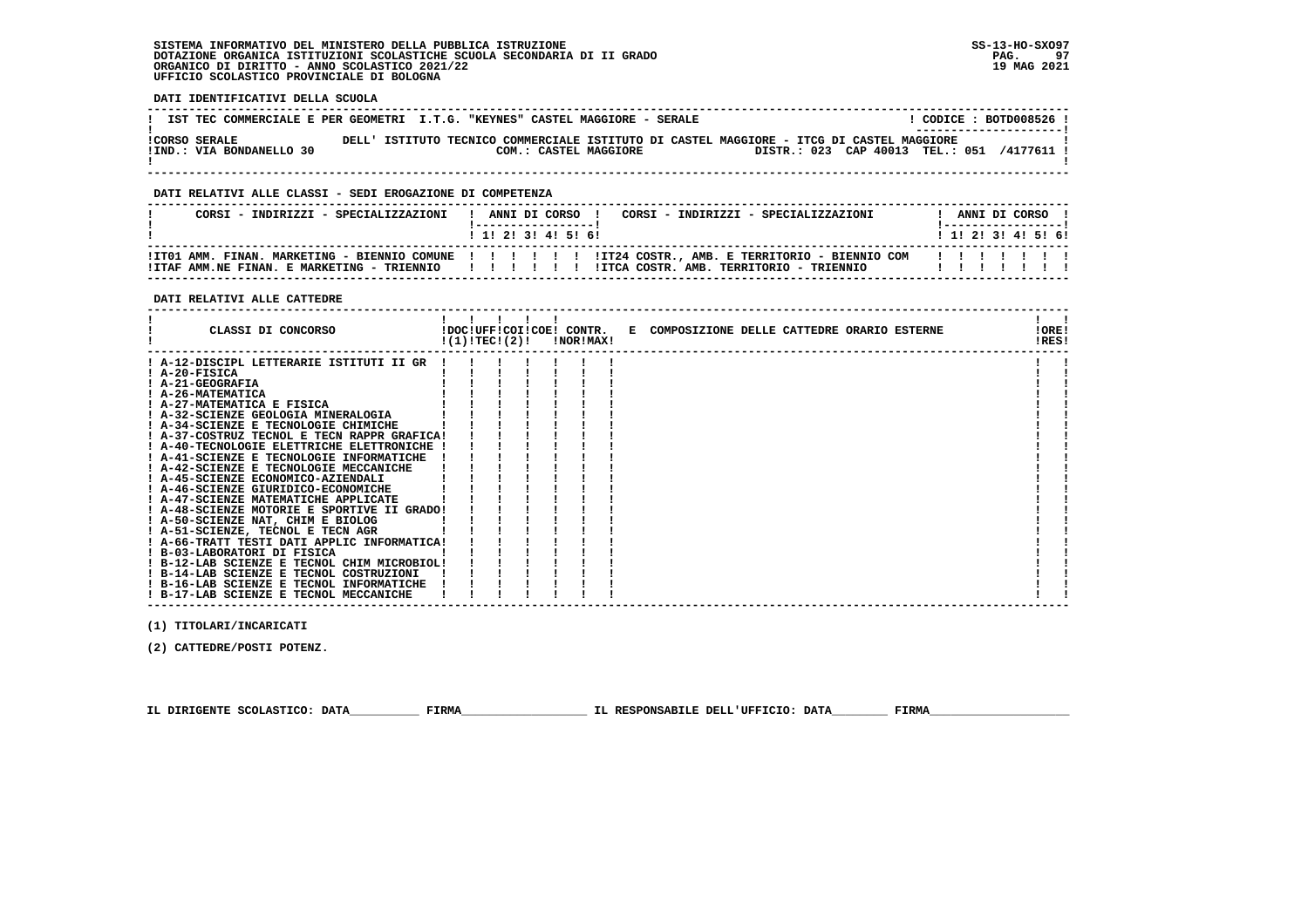**DATI IDENTIFICATIVI DELLA SCUOLA**

|                          | IST TEC COMMERCIALE E PER GEOMETRI I.T.G. "KEYNES" CASTEL MAGGIORE - SERALE              | CODICE: BOTD008526!<br>---------------------- |
|--------------------------|------------------------------------------------------------------------------------------|-----------------------------------------------|
| ICORSO SERALE            | DELL' ISTITUTO TECNICO COMMERCIALE ISTITUTO DI CASTEL MAGGIORE - ITCG DI CASTEL MAGGIORE | DISTR.: 023 CAP 40013 TEL.: 051               |
| !IND.: VIA BONDANELLO 30 | COM.: CASTEL MAGGIORE                                                                    | ا 4177611/                                    |

 **------------------------------------------------------------------------------------------------------------------------------------**

### **DATI RELATIVI ALLE CLASSI - SEDI EROGAZIONE DI COMPETENZA**

| CORSI - INDIRIZZI - SPECIALIZZAZIONI                |  |  | ------------------<br>1 1 2 3 3 4 5 6 1 | ! ANNI DI CORSO !<br>CORSI - INDIRIZZI - SPECIALIZZAZIONI | ANNI DI CORSO 1<br>! ___________________<br>1 1 1 2 1 3 1 4 1 5 1 6 1 |  |  |
|-----------------------------------------------------|--|--|-----------------------------------------|-----------------------------------------------------------|-----------------------------------------------------------------------|--|--|
| !ITAF AMM.NE FINAN. E MARKETING - TRIENNIO   !!!!!! |  |  |                                         | !ITCA COSTR, AMB, TERRITORIO - TRIENNIO                   |                                                                       |  |  |

 **------------------------------------------------------------------------------------------------------------------------------------**

### **DATI RELATIVI ALLE CATTEDRE**

| CLASSI DI CONCORSO                          | !(1)!TEC!(2)! |  |  | !NOR!MAX! | !DOC!UFF!COI!COE! CONTR. E COMPOSIZIONE DELLE CATTEDRE ORARIO ESTERNE |  |  | !ORE!<br>!RES! |  |
|---------------------------------------------|---------------|--|--|-----------|-----------------------------------------------------------------------|--|--|----------------|--|
| ! A-12-DISCIPL LETTERARIE ISTITUTI II GR    |               |  |  |           |                                                                       |  |  |                |  |
| ! A-20-FISICA                               |               |  |  |           |                                                                       |  |  |                |  |
| ! A-21-GEOGRAFIA                            |               |  |  |           |                                                                       |  |  |                |  |
| <b>! A-26-MATEMATICA</b>                    |               |  |  |           |                                                                       |  |  |                |  |
| ! A-27-MATEMATICA E FISICA                  |               |  |  |           |                                                                       |  |  |                |  |
| ! A-32-SCIENZE GEOLOGIA MINERALOGIA         |               |  |  |           |                                                                       |  |  |                |  |
| ! A-34-SCIENZE E TECNOLOGIE CHIMICHE        |               |  |  |           |                                                                       |  |  |                |  |
| ! A-37-COSTRUZ TECNOL E TECN RAPPR GRAFICA! |               |  |  |           |                                                                       |  |  |                |  |
| ! A-40-TECNOLOGIE ELETTRICHE ELETTRONICHE   |               |  |  |           |                                                                       |  |  |                |  |
| ! A-41-SCIENZE E TECNOLOGIE INFORMATICHE    |               |  |  |           |                                                                       |  |  |                |  |
| ! A-42-SCIENZE E TECNOLOGIE MECCANICHE      |               |  |  |           |                                                                       |  |  |                |  |
| ! A-45-SCIENZE ECONOMICO-AZIENDALI          |               |  |  |           |                                                                       |  |  |                |  |
| ! A-46-SCIENZE GIURIDICO-ECONOMICHE         |               |  |  |           |                                                                       |  |  |                |  |
| ! A-47-SCIENZE MATEMATICHE APPLICATE        |               |  |  |           |                                                                       |  |  |                |  |
| ! A-48-SCIENZE MOTORIE E SPORTIVE II GRADO! |               |  |  |           |                                                                       |  |  |                |  |
| ! A-50-SCIENZE NAT, CHIM E BIOLOG           |               |  |  |           |                                                                       |  |  |                |  |
| ! A-51-SCIENZE, TECNOL E TECN AGR           |               |  |  |           |                                                                       |  |  |                |  |
| ! A-66-TRATT TESTI DATI APPLIC INFORMATICA! |               |  |  |           |                                                                       |  |  |                |  |
| ! B-03-LABORATORI DI FISICA                 |               |  |  |           |                                                                       |  |  |                |  |
| ! B-12-LAB SCIENZE E TECNOL CHIM MICROBIOL! |               |  |  |           |                                                                       |  |  |                |  |
| ! B-14-LAB SCIENZE E TECNOL COSTRUZIONI     |               |  |  |           |                                                                       |  |  |                |  |
| ! B-16-LAB SCIENZE E TECNOL INFORMATICHE    |               |  |  |           |                                                                       |  |  |                |  |
| ! B-17-LAB SCIENZE E TECNOL MECCANICHE      |               |  |  |           |                                                                       |  |  |                |  |

 **(1) TITOLARI/INCARICATI**

 **(2) CATTEDRE/POSTI POTENZ.**

 **IL DIRIGENTE SCOLASTICO: DATA\_\_\_\_\_\_\_\_\_\_ FIRMA\_\_\_\_\_\_\_\_\_\_\_\_\_\_\_\_\_\_ IL RESPONSABILE DELL'UFFICIO: DATA\_\_\_\_\_\_\_\_ FIRMA\_\_\_\_\_\_\_\_\_\_\_\_\_\_\_\_\_\_\_\_**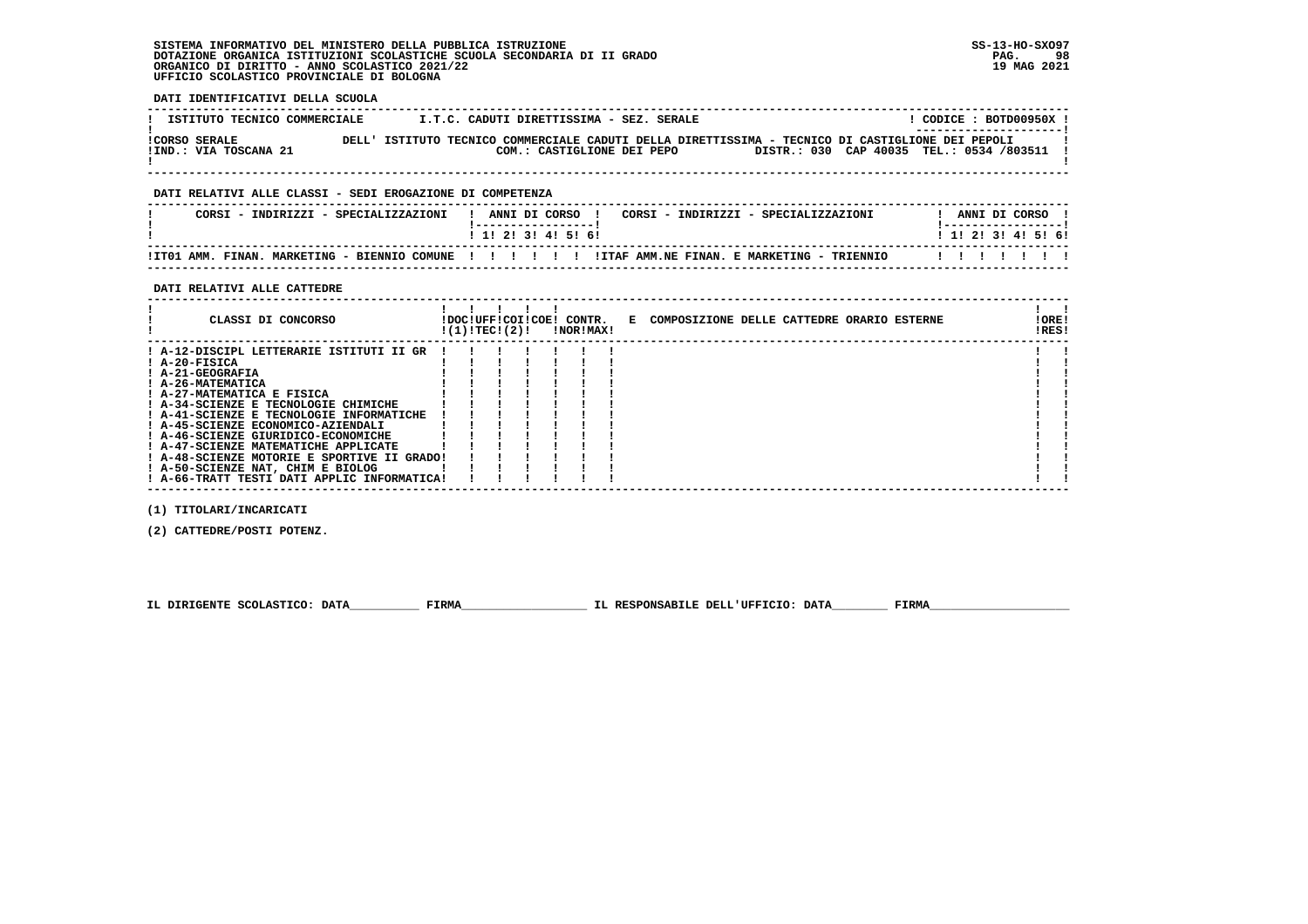**DATI IDENTIFICATIVI DELLA SCUOLA**

| ISTITUTO TECNICO COMMERCIALE                  |       | I.T.C. CADUTI DIRETTISSIMA - SEZ. SERALE | CODICE: BOTD00950X !<br>---------------------                                                                                            |
|-----------------------------------------------|-------|------------------------------------------|------------------------------------------------------------------------------------------------------------------------------------------|
| <b>!CORSO SERALE</b><br>!IND.: VIA TOSCANA 21 | DELL' | COM.: CASTIGLIONE DEI PEPO               | ISTITUTO TECNICO COMMERCIALE CADUTI DELLA DIRETTISSIMA - TECNICO DI CASTIGLIONE DEI PEPOLI<br>DISTR.: 030 CAP 40035 TEL.: 0534 /803511 ! |

 **------------------------------------------------------------------------------------------------------------------------------------**

## **DATI RELATIVI ALLE CLASSI - SEDI EROGAZIONE DI COMPETENZA**

| CORSI - INDIRIZZI - SPECIALIZZAZIONI                        | ANNI DI CORSO<br>CORSI - INDIRIZZI - SPECIALIZZAZIONI | ANNI DI CORSO             |
|-------------------------------------------------------------|-------------------------------------------------------|---------------------------|
|                                                             | 1 1 2 3 3 4 5 6 6                                     | 1 1 1 2 1 3 1 4 1 5 1 6 1 |
| !IT01 AMM. FINAN.<br>MARKETING - BIENNIO COMUNE ! ! ! ! ! ! | ITTAF AMM NE FINAN, E MARKETING - TRIENNIO            | .                         |

 **------------------------------------------------------------------------------------------------------------------------------------**

### **DATI RELATIVI ALLE CATTEDRE**

| CLASSI DI CONCORSO                                                                                                                                                                                                                                         | !(1)!TEC!(2)! |  | !DOC!UFF!COI!COE! CONTR.<br>!NOR!MAX! | E COMPOSIZIONE DELLE CATTEDRE ORARIO ESTERNE | !ORE!<br>!RES! |  |
|------------------------------------------------------------------------------------------------------------------------------------------------------------------------------------------------------------------------------------------------------------|---------------|--|---------------------------------------|----------------------------------------------|----------------|--|
| ! A-12-DISCIPL LETTERARIE ISTITUTI II GR<br>! A-20-FISICA<br>! A-21-GEOGRAFIA<br>! A-26-MATEMATICA<br>! A-27-MATEMATICA E FISICA<br>! A-34-SCIENZE E TECNOLOGIE CHIMICHE<br>! A-41-SCIENZE E TECNOLOGIE INFORMATICHE<br>! A-45-SCIENZE ECONOMICO-AZIENDALI |               |  |                                       |                                              |                |  |
| ! A-46-SCIENZE GIURIDICO-ECONOMICHE<br>! A-47-SCIENZE MATEMATICHE APPLICATE<br>! A-48-SCIENZE MOTORIE E SPORTIVE II GRADO!<br>! A-50-SCIENZE NAT, CHIM E BIOLOG<br>! A-66-TRATT TESTI DATI APPLIC INFORMATICA!                                             |               |  |                                       |                                              |                |  |

 **(1) TITOLARI/INCARICATI**

 **(2) CATTEDRE/POSTI POTENZ.**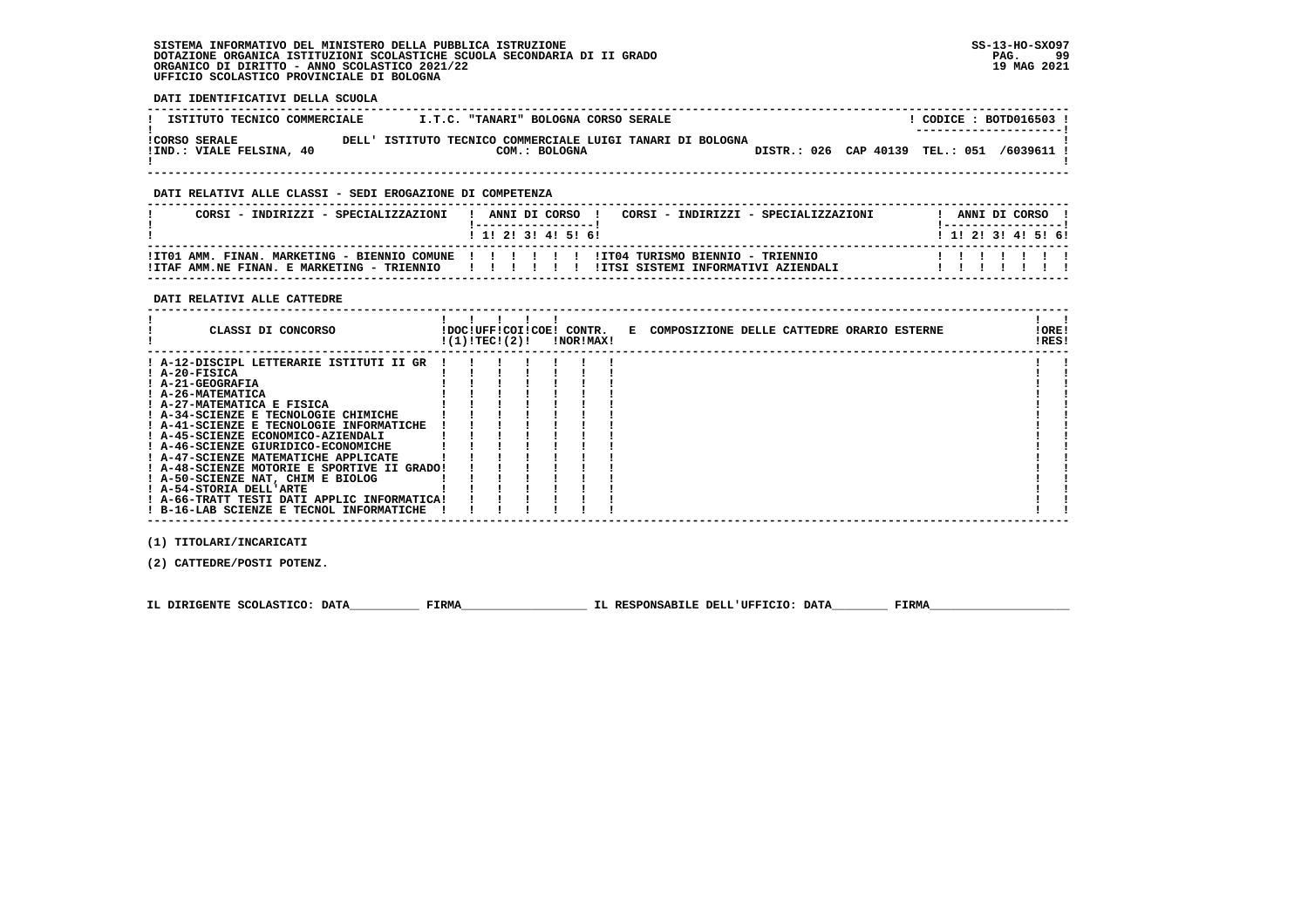### **DATI IDENTIFICATIVI DELLA SCUOLA**

| ISTITUTO TECNICO COMMERCIALE                    | I.T.C. "TANARI" BOLOGNA CORSO SERALE                                        |  |                                 |  | CODICE: BOTD016503 !<br>---------------------- |
|-------------------------------------------------|-----------------------------------------------------------------------------|--|---------------------------------|--|------------------------------------------------|
| <b>!CORSO SERALE</b><br>IND.: VIALE FELSINA, 40 | DELL' ISTITUTO TECNICO COMMERCIALE LUIGI TANARI DI BOLOGNA<br>COM.: BOLOGNA |  | DISTR.: 026 CAP 40139 TEL.: 051 |  | /6039611                                       |

 **------------------------------------------------------------------------------------------------------------------------------------**

### **DATI RELATIVI ALLE CLASSI - SEDI EROGAZIONE DI COMPETENZA**

| CORSI - INDIRIZZI - SPECIALIZZAZIONI       | ANNI DI CORSO<br>CORSI - INDIRIZZI - SPECIALIZZAZIONI<br>1 1 2 3 3 4 5 5 6                                                              |  |  | ANNI DI CORSO !<br>1 1 2 2 1 3 1 4 1 5 1 6 1 |
|--------------------------------------------|-----------------------------------------------------------------------------------------------------------------------------------------|--|--|----------------------------------------------|
| !ITAF AMM.NE FINAN. E MARKETING - TRIENNIO | ITT01 AMM. FINAN. MARKETING - BIENNIO COMUNE ! ! ! ! !! !! ITT04 TURISMO BIENNIO - TRIENNIO<br>!ITSI SISTEMI INFORMATIVI AZIENDALI<br>. |  |  |                                              |

### **DATI RELATIVI ALLE CATTEDRE**

| CLASSI DI CONCORSO                          | !(1)!TEC!(2)! |  | !DOC!UFF!COI!COE! CONTR.<br>!NOR!MAX! | E COMPOSIZIONE DELLE CATTEDRE ORARIO ESTERNE | !ORE!<br>!RES! |  |
|---------------------------------------------|---------------|--|---------------------------------------|----------------------------------------------|----------------|--|
| ! A-12-DISCIPL LETTERARIE ISTITUTI II GR    |               |  |                                       |                                              |                |  |
| ! A-20-FISICA                               |               |  |                                       |                                              |                |  |
| ! A-21-GEOGRAFIA                            |               |  |                                       |                                              |                |  |
| ! A-26-MATEMATICA                           |               |  |                                       |                                              |                |  |
| ! A-27-MATEMATICA E FISICA                  |               |  |                                       |                                              |                |  |
| ! A-34-SCIENZE E TECNOLOGIE CHIMICHE        |               |  |                                       |                                              |                |  |
| ! A-41-SCIENZE E TECNOLOGIE INFORMATICHE    |               |  |                                       |                                              |                |  |
| ! A-45-SCIENZE ECONOMICO-AZIENDALI          |               |  |                                       |                                              |                |  |
| ! A-46-SCIENZE GIURIDICO-ECONOMICHE         |               |  |                                       |                                              |                |  |
| ! A-47-SCIENZE MATEMATICHE APPLICATE        |               |  |                                       |                                              |                |  |
| ! A-48-SCIENZE MOTORIE E SPORTIVE II GRADO! |               |  |                                       |                                              |                |  |
| ! A-50-SCIENZE NAT, CHIM E BIOLOG           |               |  |                                       |                                              |                |  |
| ! A-54-STORIA DELL'ARTE                     |               |  |                                       |                                              |                |  |
| ! A-66-TRATT TESTI DATI APPLIC INFORMATICA! |               |  |                                       |                                              |                |  |
| ! B-16-LAB SCIENZE E TECNOL INFORMATICHE    |               |  |                                       |                                              |                |  |
|                                             |               |  |                                       |                                              |                |  |

 **(1) TITOLARI/INCARICATI**

 **(2) CATTEDRE/POSTI POTENZ.**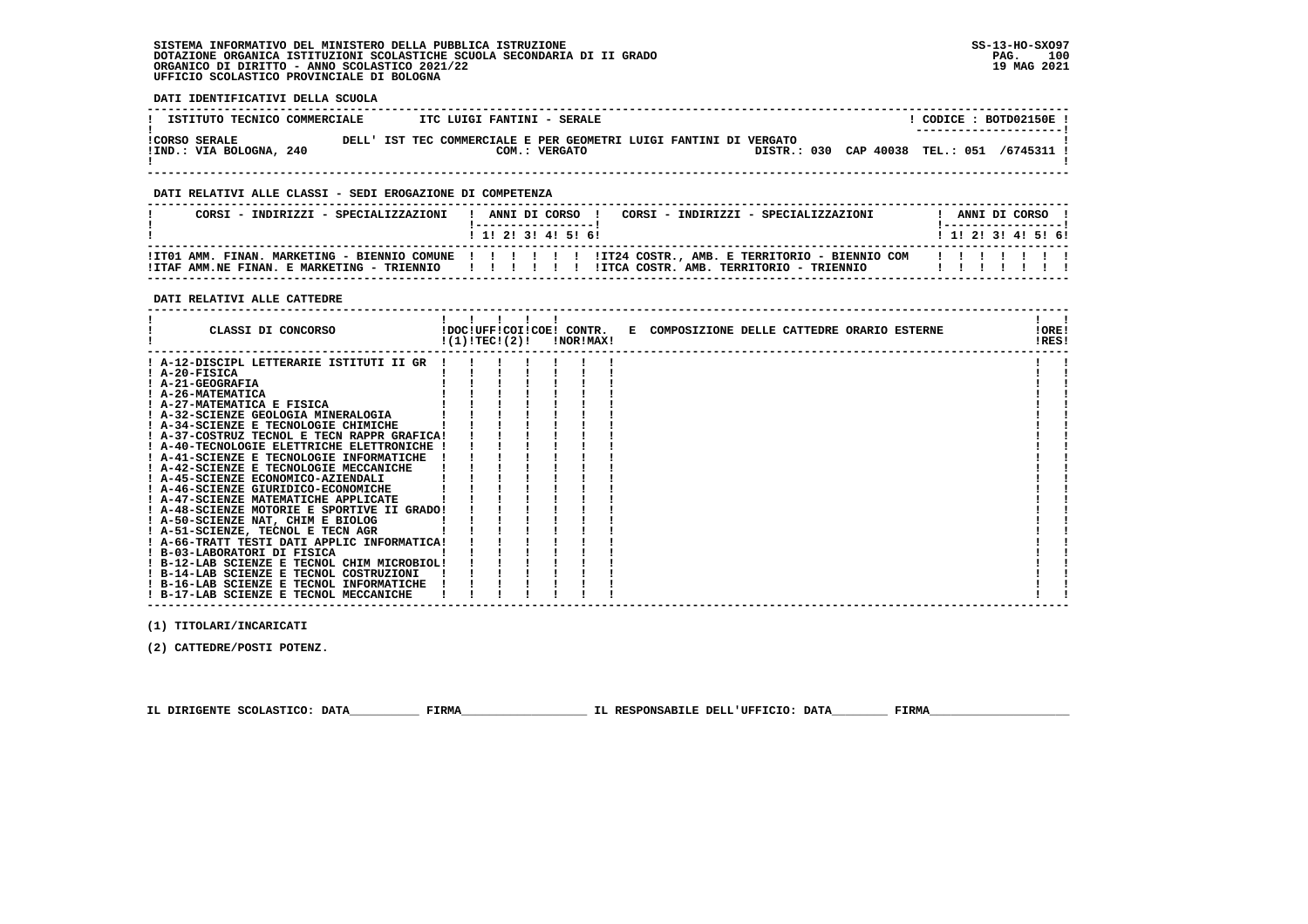**DATI IDENTIFICATIVI DELLA SCUOLA**

| ISTITUTO TECNICO COMMERCIALE                    | ITC LUIGI FANTINI - SERALE                                                         |  |                                            |  | CODICE: BOTD02150E!<br>---------------------- |
|-------------------------------------------------|------------------------------------------------------------------------------------|--|--------------------------------------------|--|-----------------------------------------------|
| <b>!CORSO SERALE</b><br>!IND.: VIA BOLOGNA, 240 | DELL' IST TEC COMMERCIALE E PER GEOMETRI LUIGI FANTINI DI VERGATO<br>COM.: VERGATO |  | DISTR.: 030 CAP 40038 TEL.: 051 /6745311 ! |  |                                               |

 **------------------------------------------------------------------------------------------------------------------------------------**

## **DATI RELATIVI ALLE CLASSI - SEDI EROGAZIONE DI COMPETENZA**

| CORSI - INDIRIZZI - SPECIALIZZAZIONI | ! ANNI DI CORSO !<br>CORSI - INDIRIZZI - SPECIALIZZAZIONI<br>1 1 2 3 3 4 5 5 6                                                                                                                                              | ANNI DI CORSO<br>1 1 1 2 1 3 1 4 1 5 1 6 1 |
|--------------------------------------|-----------------------------------------------------------------------------------------------------------------------------------------------------------------------------------------------------------------------------|--------------------------------------------|
|                                      | ! ITO1 AMM. FINAN. MARKETING - BIENNIO COMUNE ! ! ! ! !! ! !IT24 COSTR., AMB. E TERRITORIO - BIENNIO COM ! ! ! ! ! ! !<br>ITTAF AMM.NE FINAN. E MARKETING - TRIENNIO                 ITCA COSTR. AMB. TERRITORIO - TRIENNIO |                                            |

### **DATI RELATIVI ALLE CATTEDRE**

| CLASSI DI CONCORSO                          |  |  | $!(1)!TEC!(2)!$ $INORIMAX!$ | !DOC!UFF!COI!COE! CONTR. E COMPOSIZIONE DELLE CATTEDRE ORARIO ESTERNE |  |  | !ORE!<br>!RES! |  |
|---------------------------------------------|--|--|-----------------------------|-----------------------------------------------------------------------|--|--|----------------|--|
|                                             |  |  |                             |                                                                       |  |  |                |  |
| ! A-12-DISCIPL LETTERARIE ISTITUTI II GR    |  |  |                             |                                                                       |  |  |                |  |
| ! A-20-FISICA                               |  |  |                             |                                                                       |  |  |                |  |
| ! A-21-GEOGRAFIA                            |  |  |                             |                                                                       |  |  |                |  |
| ! A-26-MATEMATICA                           |  |  |                             |                                                                       |  |  |                |  |
| ! A-27-MATEMATICA E FISICA                  |  |  |                             |                                                                       |  |  |                |  |
| ! A-32-SCIENZE GEOLOGIA MINERALOGIA         |  |  |                             |                                                                       |  |  |                |  |
| ! A-34-SCIENZE E TECNOLOGIE CHIMICHE        |  |  |                             |                                                                       |  |  |                |  |
| ! A-37-COSTRUZ TECNOL E TECN RAPPR GRAFICA! |  |  |                             |                                                                       |  |  |                |  |
| ! A-40-TECNOLOGIE ELETTRICHE ELETTRONICHE ! |  |  |                             |                                                                       |  |  |                |  |
| ! A-41-SCIENZE E TECNOLOGIE INFORMATICHE    |  |  |                             |                                                                       |  |  |                |  |
| ! A-42-SCIENZE E TECNOLOGIE MECCANICHE      |  |  |                             |                                                                       |  |  |                |  |
| ! A-45-SCIENZE ECONOMICO-AZIENDALI          |  |  |                             |                                                                       |  |  |                |  |
| ! A-46-SCIENZE GIURIDICO-ECONOMICHE         |  |  |                             |                                                                       |  |  |                |  |
| ! A-47-SCIENZE MATEMATICHE APPLICATE        |  |  |                             |                                                                       |  |  |                |  |
| ! A-48-SCIENZE MOTORIE E SPORTIVE II GRADO! |  |  |                             |                                                                       |  |  |                |  |
| ! A-50-SCIENZE NAT, CHIM E BIOLOG           |  |  |                             |                                                                       |  |  |                |  |
| ! A-51-SCIENZE, TECNOL E TECN AGR           |  |  |                             |                                                                       |  |  |                |  |
| ! A-66-TRATT TESTI DATI APPLIC INFORMATICA! |  |  |                             |                                                                       |  |  |                |  |
| ! B-03-LABORATORI DI FISICA                 |  |  |                             |                                                                       |  |  |                |  |
| ! B-12-LAB SCIENZE E TECNOL CHIM MICROBIOL! |  |  |                             |                                                                       |  |  |                |  |
| ! B-14-LAB SCIENZE E TECNOL COSTRUZIONI     |  |  |                             |                                                                       |  |  |                |  |
| ! B-16-LAB SCIENZE E TECNOL INFORMATICHE    |  |  |                             |                                                                       |  |  |                |  |
| ! B-17-LAB SCIENZE E TECNOL MECCANICHE      |  |  |                             |                                                                       |  |  |                |  |

 **(1) TITOLARI/INCARICATI**

 **(2) CATTEDRE/POSTI POTENZ.**

 **IL DIRIGENTE SCOLASTICO: DATA\_\_\_\_\_\_\_\_\_\_ FIRMA\_\_\_\_\_\_\_\_\_\_\_\_\_\_\_\_\_\_ IL RESPONSABILE DELL'UFFICIO: DATA\_\_\_\_\_\_\_\_ FIRMA\_\_\_\_\_\_\_\_\_\_\_\_\_\_\_\_\_\_\_\_**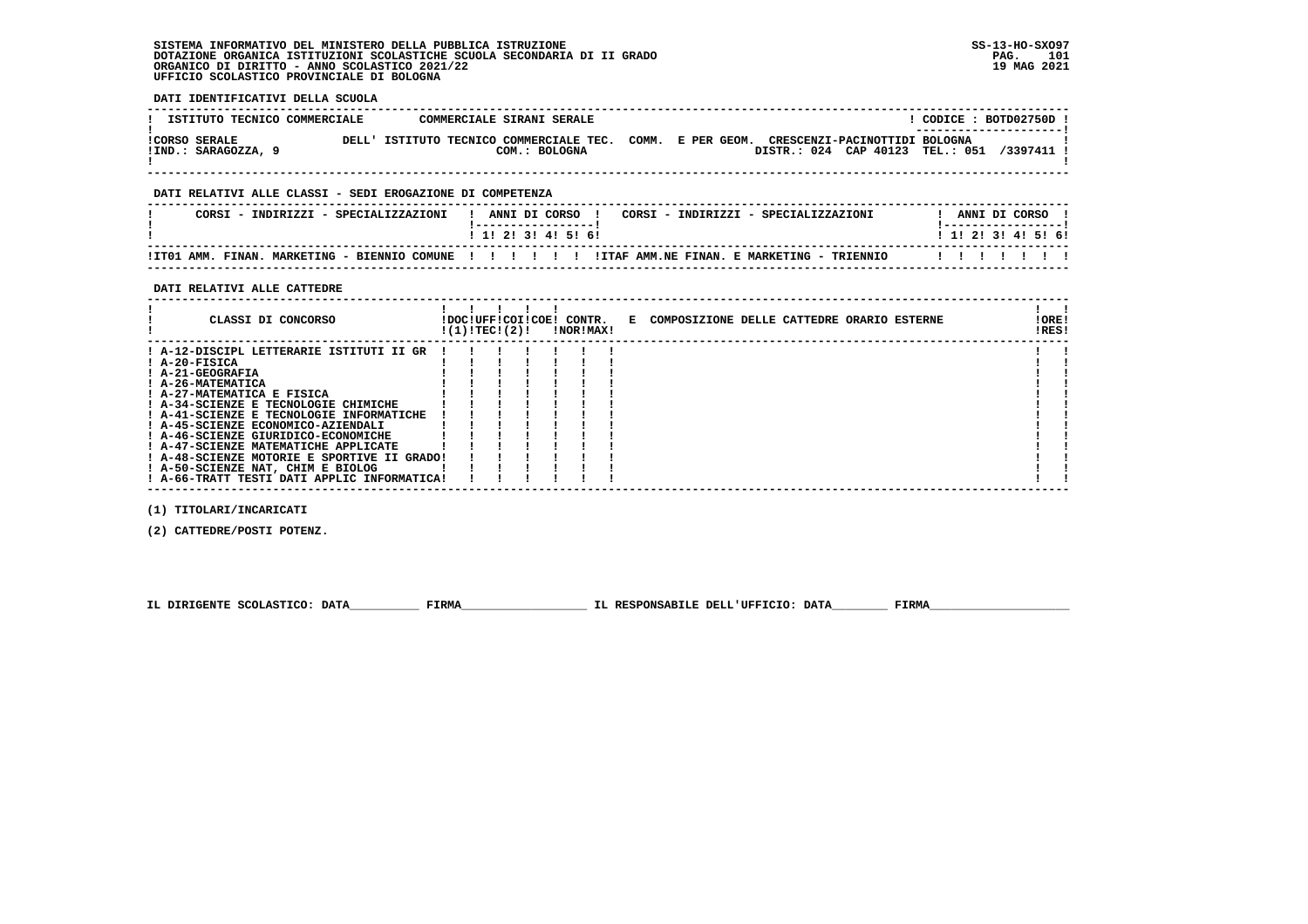**DATI IDENTIFICATIVI DELLA SCUOLA**

| ISTITUTO TECNICO COMMERCIALE                |       | COMMERCIALE SIRANI SERALE                                                                          |  |                                          |  | CODICE: BOTD02750D !<br>--------------------- |
|---------------------------------------------|-------|----------------------------------------------------------------------------------------------------|--|------------------------------------------|--|-----------------------------------------------|
| <b>!CORSO SERALE</b><br>!IND.: SARAGOZZA, 9 | DELL' | ISTITUTO TECNICO COMMERCIALE TEC. COMM. E PER GEOM. CRESCENZI-PACINOTTIDI BOLOGNA<br>COM.: BOLOGNA |  | DISTR.: 024 CAP 40123 TEL.: 051 /3397411 |  |                                               |

 **------------------------------------------------------------------------------------------------------------------------------------**

## **DATI RELATIVI ALLE CLASSI - SEDI EROGAZIONE DI COMPETENZA**

| CORSI - INDIRIZZI - SPECIALIZZAZIONI | ANNI DI CORSO 1<br>CORSI - INDIRIZZI - SPECIALIZZAZIONI                                                 | ANNI DI CORSO             |  |
|--------------------------------------|---------------------------------------------------------------------------------------------------------|---------------------------|--|
|                                      | 1 1 2 3 3 4 5 6 6                                                                                       | 1 1 1 2 1 3 1 4 1 5 1 6 1 |  |
|                                      | ITTO1 AMM. FINAN. MARKETING - BIENNIO COMUNE !!!!!!!!!!!!!!!! ITAF AMM.NE FINAN. E MARKETING - TRIENNIO | .                         |  |

 **------------------------------------------------------------------------------------------------------------------------------------**

### **DATI RELATIVI ALLE CATTEDRE**

| CLASSI DI CONCORSO                                                                                                                                                                                                                                         | !(1)!TEC!(2)! |  | !DOC!UFF!COI!COE! CONTR.<br>!NOR!MAX! | E COMPOSIZIONE DELLE CATTEDRE ORARIO ESTERNE | !ORE!<br>!RES! |  |
|------------------------------------------------------------------------------------------------------------------------------------------------------------------------------------------------------------------------------------------------------------|---------------|--|---------------------------------------|----------------------------------------------|----------------|--|
| ! A-12-DISCIPL LETTERARIE ISTITUTI II GR<br>! A-20-FISICA<br>! A-21-GEOGRAFIA<br>! A-26-MATEMATICA<br>! A-27-MATEMATICA E FISICA<br>! A-34-SCIENZE E TECNOLOGIE CHIMICHE<br>! A-41-SCIENZE E TECNOLOGIE INFORMATICHE<br>! A-45-SCIENZE ECONOMICO-AZIENDALI |               |  |                                       |                                              |                |  |
| ! A-46-SCIENZE GIURIDICO-ECONOMICHE<br>! A-47-SCIENZE MATEMATICHE APPLICATE<br>! A-48-SCIENZE MOTORIE E SPORTIVE II GRADO!<br>! A-50-SCIENZE NAT, CHIM E BIOLOG<br>! A-66-TRATT TESTI DATI APPLIC INFORMATICA!                                             |               |  |                                       |                                              |                |  |

 **(1) TITOLARI/INCARICATI**

 **(2) CATTEDRE/POSTI POTENZ.**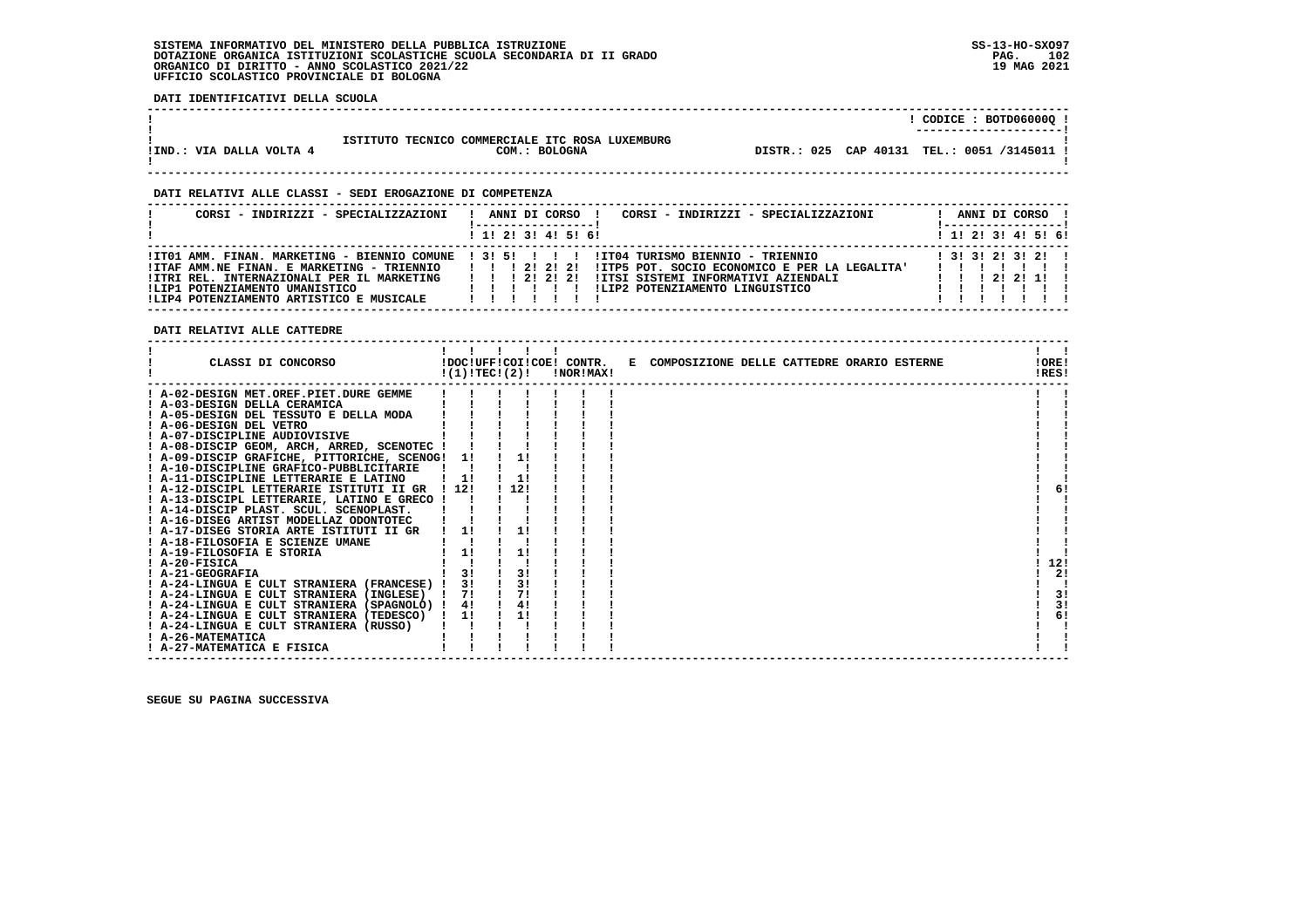**DATI IDENTIFICATIVI DELLA SCUOLA**

|                          |                                                                  | ! CODICE : BOTD06000Q !<br>---------------------- |
|--------------------------|------------------------------------------------------------------|---------------------------------------------------|
| !IND.: VIA DALLA VOLTA 4 | ISTITUTO TECNICO COMMERCIALE ITC ROSA LUXEMBURG<br>COM.: BOLOGNA | DISTR.: 025 CAP 40131 TEL.: 0051 /3145011 !       |

 **------------------------------------------------------------------------------------------------------------------------------------**

 **------------------------------------------------------------------------------------------------------------------------------------**

### **DATI RELATIVI ALLE CLASSI - SEDI EROGAZIONE DI COMPETENZA**

| CORSI - INDIRIZZI - SPECIALIZZAZIONI                                                                                                                                   | CORSI - INDIRIZZI - SPECIALIZZAZIONI<br>ANNI DI CORSO !                                                                                                                                                                                                        | ANNI DI CORSO !<br>! ------------------                                                     |
|------------------------------------------------------------------------------------------------------------------------------------------------------------------------|----------------------------------------------------------------------------------------------------------------------------------------------------------------------------------------------------------------------------------------------------------------|---------------------------------------------------------------------------------------------|
|                                                                                                                                                                        | $1$ , 1! 2! 3! 4! 5! 6!                                                                                                                                                                                                                                        | ! 1! 2! 3! 4! 5! 6!                                                                         |
| !ITAF AMM.NE FINAN. E MARKETING - TRIENNIO<br>!ITRI REL. INTERNAZIONALI PER IL MARKETING<br>!LIP1 POTENZIAMENTO UMANISTICO<br>!LIP4 POTENZIAMENTO ARTISTICO E MUSICALE | ITO1 AMM. FINAN. MARKETING - BIENNIO COMUNE ! 3! 5! ! !! ! !ITO4 TURISMO BIENNIO - TRIENNIO<br>1 1 1 2 1 2 1 2 1<br>!ITP5 POT. SOCIO ECONOMICO E PER LA LEGALITA'<br>!ITSI SISTEMI INFORMATIVI AZIENDALI<br>112222<br>ILIP2 POTENZIAMENTO LINGUISTICO<br>11111 | $1$ 31 31 21 31 21 1<br>,,,,,,,,,<br>$1 \quad 1 \quad 1 \quad 21 \quad 21 \quad 11 \quad 1$ |

 **DATI RELATIVI ALLE CATTEDRE**

| CLASSI DI CONCORSO                          | !(1)!TEC!(2)! |      | <b>!NOR!MAX!</b> | !DOC!UFF!COI!COE! CONTR. E COMPOSIZIONE DELLE CATTEDRE ORARIO ESTERNE | !ORE!<br>!RES! |    |
|---------------------------------------------|---------------|------|------------------|-----------------------------------------------------------------------|----------------|----|
| ! A-02-DESIGN MET.OREF.PIET.DURE GEMME      |               |      |                  |                                                                       |                |    |
| ! A-03-DESIGN DELLA CERAMICA                |               |      |                  |                                                                       |                |    |
| ! A-05-DESIGN DEL TESSUTO E DELLA MODA      |               |      |                  |                                                                       |                |    |
| ! A-06-DESIGN DEL VETRO                     |               |      |                  |                                                                       |                |    |
| ! A-07-DISCIPLINE AUDIOVISIVE               |               |      |                  |                                                                       |                |    |
| ! A-08-DISCIP GEOM, ARCH, ARRED, SCENOTEC ! |               |      |                  |                                                                       |                |    |
| ! A-09-DISCIP GRAFICHE, PITTORICHE, SCENOG! | 11            | 1!   |                  |                                                                       |                |    |
| ! A-10-DISCIPLINE GRAFICO-PUBBLICITARIE     |               |      |                  |                                                                       |                |    |
| ! A-11-DISCIPLINE LETTERARIE E LATINO       | 1!            | 1!   |                  |                                                                       |                |    |
| ! A-12-DISCIPL LETTERARIE ISTITUTI II GR    | ! 12!         | 112! |                  |                                                                       |                | 61 |
| ! A-13-DISCIPL LETTERARIE, LATINO E GRECO ! |               |      |                  |                                                                       |                |    |
| ! A-14-DISCIP PLAST. SCUL. SCENOPLAST.      |               |      |                  |                                                                       |                |    |
| ! A-16-DISEG ARTIST MODELLAZ ODONTOTEC      |               |      |                  |                                                                       |                |    |
| ! A-17-DISEG STORIA ARTE ISTITUTI II GR     | 11            | 1!   |                  |                                                                       |                |    |
| ! A-18-FILOSOFIA E SCIENZE UMANE            |               |      |                  |                                                                       |                |    |
| ! A-19-FILOSOFIA E STORIA                   | 1!            |      |                  |                                                                       |                |    |
| $I$ A-20-FISICA                             |               |      |                  |                                                                       | 12!            |    |
| ! A-21-GEOGRAFIA                            | 3!            | 3!   |                  |                                                                       |                | 2! |
| ! A-24-LINGUA E CULT STRANIERA (FRANCESE) ! | 3!            | 3!   |                  |                                                                       |                |    |
| ! A-24-LINGUA E CULT STRANIERA (INGLESE)    | 71            | 7!   |                  |                                                                       |                | 3! |
| ! A-24-LINGUA E CULT STRANIERA (SPAGNOLO) ! | 4!            | 4!   |                  |                                                                       |                | 3! |
| ! A-24-LINGUA E CULT STRANIERA (TEDESCO)    | 11            | 1!   |                  |                                                                       |                | 6! |
| ! A-24-LINGUA E CULT STRANIERA (RUSSO)      |               |      |                  |                                                                       |                |    |
| ! A-26-MATEMATICA                           |               |      |                  |                                                                       |                |    |
| ! A-27-MATEMATICA E FISICA                  |               |      |                  |                                                                       |                |    |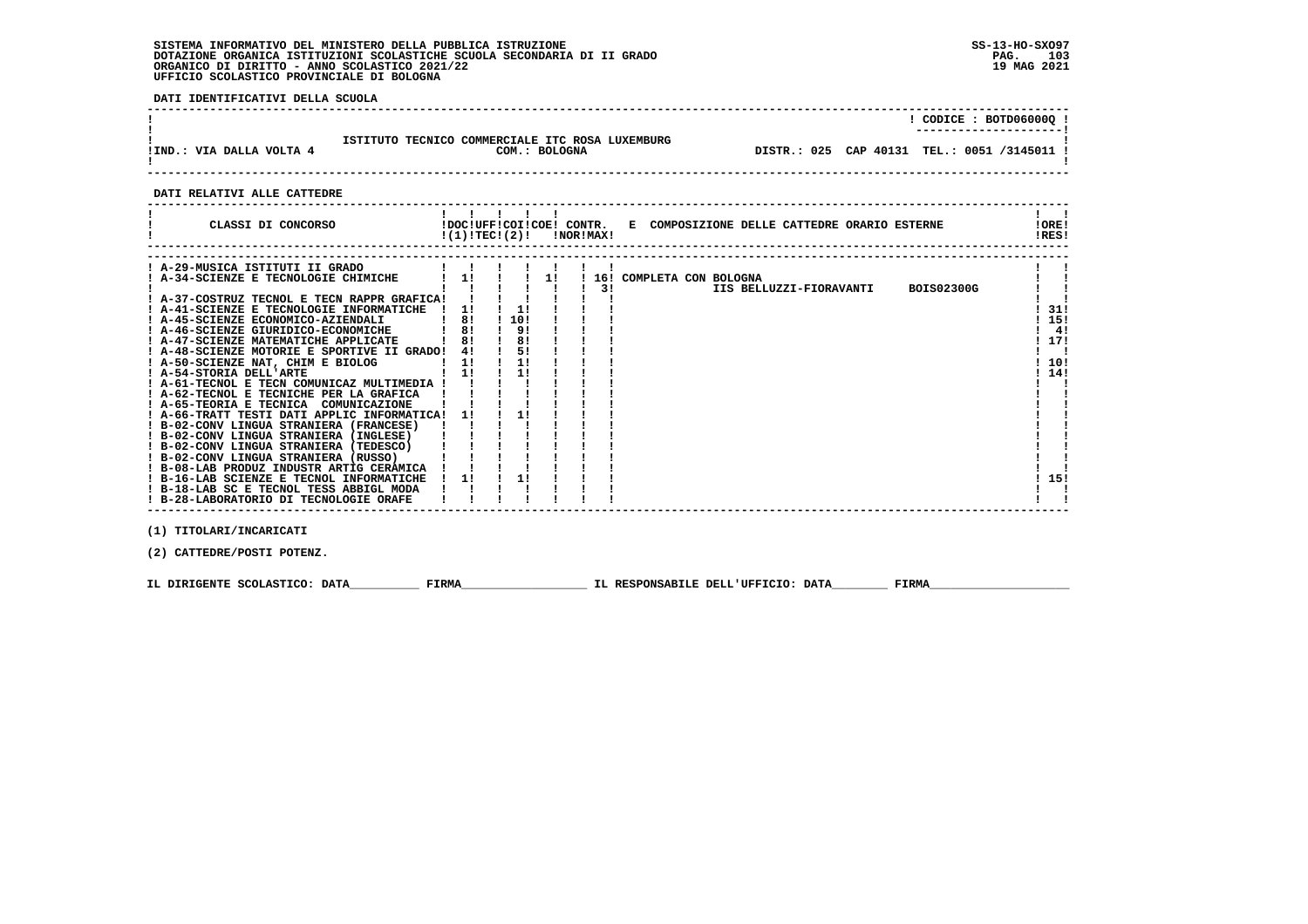**DATI IDENTIFICATIVI DELLA SCUOLA**

|                          |                                                                  | CODICE: BOTD06000Q !<br>---------------------- |
|--------------------------|------------------------------------------------------------------|------------------------------------------------|
| !IND.: VIA DALLA VOLTA 4 | ISTITUTO TECNICO COMMERCIALE ITC ROSA LUXEMBURG<br>COM.: BOLOGNA | DISTR.: 025 CAP 40131 TEL.: 0051 /3145011 !    |
|                          |                                                                  |                                                |

 **------------------------------------------------------------------------------------------------------------------------------------**

 **DATI RELATIVI ALLE CATTEDRE**

| CLASSI DI CONCORSO                                                      | !DOC!UFF!COI!COE! CONTR.<br>E COMPOSIZIONE DELLE CATTEDRE ORARIO ESTERNE<br>$!(1)!TEC!(2)!$ $INORIMAX!$ | !ORE!<br>IRES! |
|-------------------------------------------------------------------------|---------------------------------------------------------------------------------------------------------|----------------|
| ! A-29-MUSICA ISTITUTI II GRADO<br>! A-34-SCIENZE E TECNOLOGIE CHIMICHE | ! 16! COMPLETA CON BOLOGNA<br>1 11 1 11<br>$PQ = QQQQQQQ$<br>. .<br>TTA BOTTHERT BIADITIVET             |                |

|                                             |     |      |  | <b>BOIS02300G</b><br>IIS BELLUZZI-FIORAVANTI |      |    |
|---------------------------------------------|-----|------|--|----------------------------------------------|------|----|
| ! A-37-COSTRUZ TECNOL E TECN RAPPR GRAFICA! |     |      |  |                                              |      |    |
| ! A-41-SCIENZE E TECNOLOGIE INFORMATICHE    |     |      |  |                                              | 31!  |    |
| ! A-45-SCIENZE ECONOMICO-AZIENDALI          | -81 | !10! |  |                                              | -15! |    |
| ! A-46-SCIENZE GIURIDICO-ECONOMICHE         | -81 | 91   |  |                                              |      | 4! |
| ! A-47-SCIENZE MATEMATICHE APPLICATE        | 81  | -81  |  |                                              | 17!  |    |
| ! A-48-SCIENZE MOTORIE E SPORTIVE II GRADO! | 41  | 51   |  |                                              |      |    |
| ! A-50-SCIENZE NAT, CHIM E BIOLOG           | 11  |      |  |                                              | -10! |    |
| ! A-54-STORIA DELL'ARTE                     |     |      |  |                                              | 14!  |    |
| ! A-61-TECNOL E TECN COMUNICAZ MULTIMEDIA ! |     |      |  |                                              |      |    |
| ! A-62-TECNOL E TECNICHE PER LA GRAFICA     |     |      |  |                                              |      |    |
| ! A-65-TEORIA E TECNICA<br>COMUNICAZIONE    |     |      |  |                                              |      |    |
| ! A-66-TRATT TESTI DATI APPLIC INFORMATICA! | -11 |      |  |                                              |      |    |
| ! B-02-CONV LINGUA STRANIERA (FRANCESE)     |     |      |  |                                              |      |    |
| ! B-02-CONV LINGUA STRANIERA (INGLESE)      |     |      |  |                                              |      |    |
| ! B-02-CONV LINGUA STRANIERA (TEDESCO)      |     |      |  |                                              |      |    |
| ! B-02-CONV LINGUA STRANIERA (RUSSO)        |     |      |  |                                              |      |    |
| ! B-08-LAB PRODUZ INDUSTR ARTIG CERAMICA    |     |      |  |                                              |      |    |
| ! B-16-LAB SCIENZE E TECNOL INFORMATICHE    |     |      |  |                                              | -15! |    |
| ! B-18-LAB SC E TECNOL TESS ABBIGL MODA     |     |      |  |                                              |      |    |
| ! B-28-LABORATORIO DI TECNOLOGIE ORAFE      |     |      |  |                                              |      |    |
|                                             |     |      |  |                                              |      |    |

 **(1) TITOLARI/INCARICATI**

 **(2) CATTEDRE/POSTI POTENZ.**

 **IL DIRIGENTE SCOLASTICO: DATA\_\_\_\_\_\_\_\_\_\_ FIRMA\_\_\_\_\_\_\_\_\_\_\_\_\_\_\_\_\_\_ IL RESPONSABILE DELL'UFFICIO: DATA\_\_\_\_\_\_\_\_ FIRMA\_\_\_\_\_\_\_\_\_\_\_\_\_\_\_\_\_\_\_\_**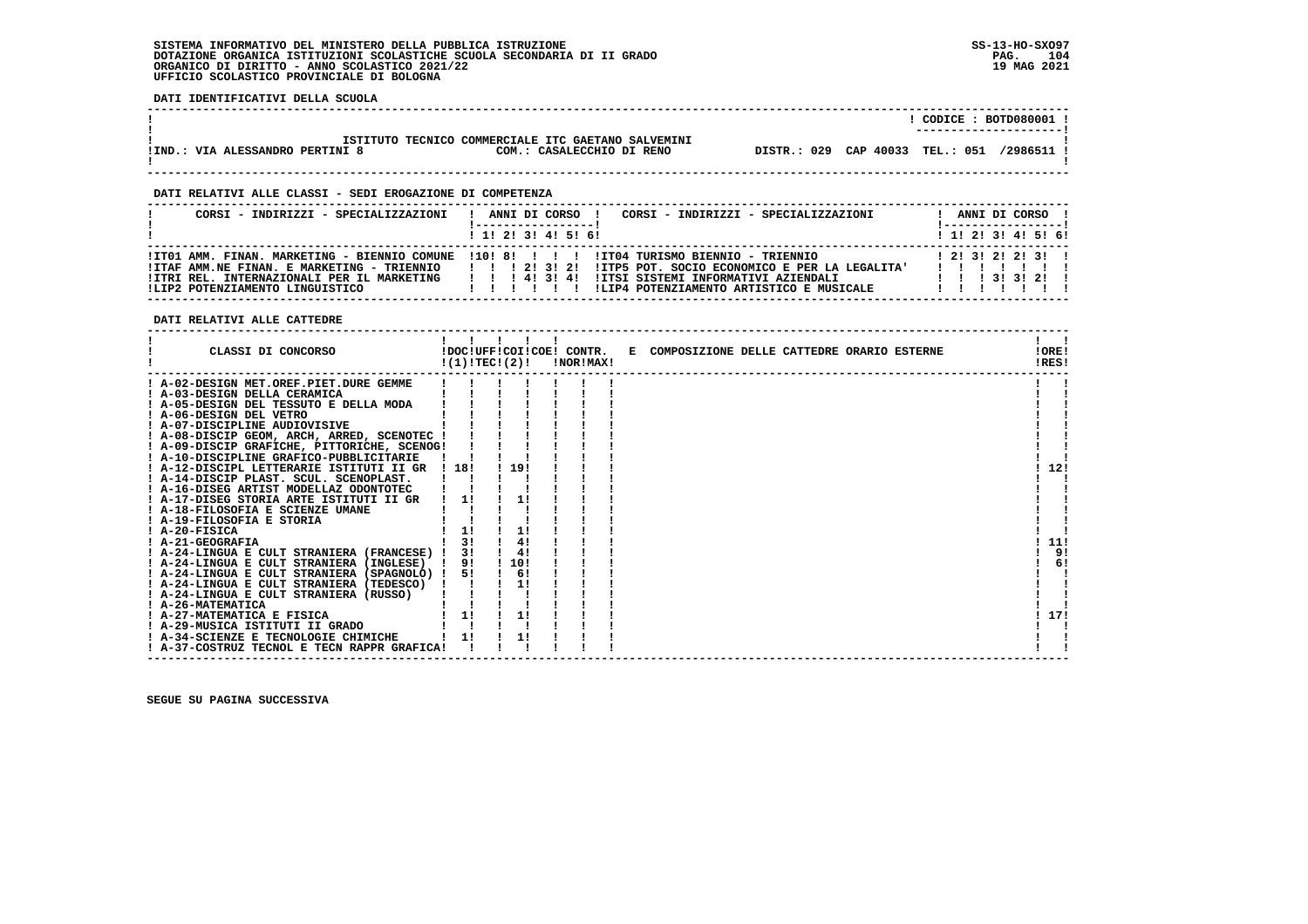**DATI IDENTIFICATIVI DELLA SCUOLA**

|                                 |                                                    |                                 | CODICE: BOTD080001     |
|---------------------------------|----------------------------------------------------|---------------------------------|------------------------|
|                                 |                                                    |                                 | ---------------------- |
|                                 | ISTITUTO TECNICO COMMERCIALE ITC GAETANO SALVEMINI |                                 |                        |
| !IND.: VIA ALESSANDRO PERTINI 8 | COM.: CASALECCHIO DI RENO                          | DISTR.: 029 CAP 40033 TEL.: 051 | /2986511               |
|                                 |                                                    |                                 |                        |

 **------------------------------------------------------------------------------------------------------------------------------------**

 **------------------------------------------------------------------------------------------------------------------------------------**

### **DATI RELATIVI ALLE CLASSI - SEDI EROGAZIONE DI COMPETENZA**

| CORSI - INDIRIZZI - SPECIALIZZAZIONI                                                                                        | CORSI - INDIRIZZI - SPECIALIZZAZIONI<br>ANNI DI CORSO !<br>$1$ , 1! 2! 3! 4! 5! 6!                                                                                                                                                                                    | ANNI DI CORSO !<br>'-----------------<br>$1$ 1! 2! 3! 4! 5! 6!             |
|-----------------------------------------------------------------------------------------------------------------------------|-----------------------------------------------------------------------------------------------------------------------------------------------------------------------------------------------------------------------------------------------------------------------|----------------------------------------------------------------------------|
| !ITAF AMM.NE FINAN. E MARKETING - TRIENNIO<br>!ITRI REL. INTERNAZIONALI PER IL MARKETING<br>ILIP2 POTENZIAMENTO LINGUISTICO | ITT01 AMM, FINAN, MARKETING - BIENNIO COMUNE 1101 81 1 1 1 11T04 TURISMO BIENNIO - TRIENNIO<br>!!! 2! 3! 2! ITP5 POT, SOCIO ECONOMICO E PER LA LEGALITA'<br>1 1 1 4 1 3 1 4 1<br>!ITSI SISTEMI INFORMATIVI AZIENDALI<br>ILIP4 POTENZIAMENTO ARTISTICO E MUSICALE<br>. | 1, 21, 31, 21, 21, 31, 1<br>$1 \quad 1 \quad 1 \quad 31 \quad 31 \quad 21$ |

 **DATI RELATIVI ALLE CATTEDRE**

| CLASSI DI CONCORSO                          | !(1)!TEC!(2)!      |     | !DOC!UFF!COI!COE! CONTR.<br>!NOR!MAX! | E COMPOSIZIONE DELLE CATTEDRE ORARIO ESTERNE | !ORE!<br>!RES! |
|---------------------------------------------|--------------------|-----|---------------------------------------|----------------------------------------------|----------------|
| ! A-02-DESIGN MET.OREF.PIET.DURE GEMME      |                    |     |                                       |                                              |                |
| ! A-03-DESIGN DELLA CERAMICA                |                    |     |                                       |                                              |                |
| ! A-05-DESIGN DEL TESSUTO E DELLA MODA      |                    |     |                                       |                                              |                |
| ! A-06-DESIGN DEL VETRO                     |                    |     |                                       |                                              |                |
| ! A-07-DISCIPLINE AUDIOVISIVE               |                    |     |                                       |                                              |                |
| ! A-08-DISCIP GEOM, ARCH, ARRED, SCENOTEC ! |                    |     |                                       |                                              |                |
| ! A-09-DISCIP GRAFICHE, PITTORICHE, SCENOG! |                    |     |                                       |                                              |                |
| ! A-10-DISCIPLINE GRAFICO-PUBBLICITARIE     |                    |     |                                       |                                              |                |
| ! A-12-DISCIPL LETTERARIE ISTITUTI II GR    | ! 18!              | 19! |                                       |                                              | 12!            |
| ! A-14-DISCIP PLAST. SCUL. SCENOPLAST.      |                    |     |                                       |                                              |                |
| ! A-16-DISEG ARTIST MODELLAZ ODONTOTEC      |                    |     |                                       |                                              |                |
| ! A-17-DISEG STORIA ARTE ISTITUTI II GR     | 11                 | 1!  |                                       |                                              |                |
| ! A-18-FILOSOFIA E SCIENZE UMANE            |                    |     |                                       |                                              |                |
| ! A-19-FILOSOFIA E STORIA                   |                    |     |                                       |                                              |                |
| ! A-20-FISICA                               |                    | 1!  |                                       |                                              |                |
| ! A-21-GEOGRAFIA                            | 3!                 | 4!  |                                       |                                              | 11!            |
| ! A-24-LINGUA E CULT STRANIERA (FRANCESE) ! | 31                 | 4!  |                                       |                                              | 9!             |
| ! A-24-LINGUA E CULT STRANIERA (INGLESE)    | 9!<br>$\mathbf{I}$ | 10! |                                       |                                              | 6!             |
| ! A-24-LINGUA E CULT STRANIERA (SPAGNOLO) ! | 51                 | 6!  |                                       |                                              |                |
| ! A-24-LINGUA E CULT STRANIERA (TEDESCO)    |                    | 11  |                                       |                                              |                |
| ! A-24-LINGUA E CULT STRANIERA (RUSSO)      |                    |     |                                       |                                              |                |
| ! A-26-MATEMATICA                           |                    |     |                                       |                                              |                |
| ! A-27-MATEMATICA E FISICA                  | 1!                 | 1!  |                                       |                                              | 17!            |
| ! A-29-MUSICA ISTITUTI II GRADO             |                    |     |                                       |                                              |                |
| ! A-34-SCIENZE E TECNOLOGIE CHIMICHE        | 11                 | 1!  |                                       |                                              |                |
| ! A-37-COSTRUZ TECNOL E TECN RAPPR GRAFICA! |                    |     |                                       |                                              |                |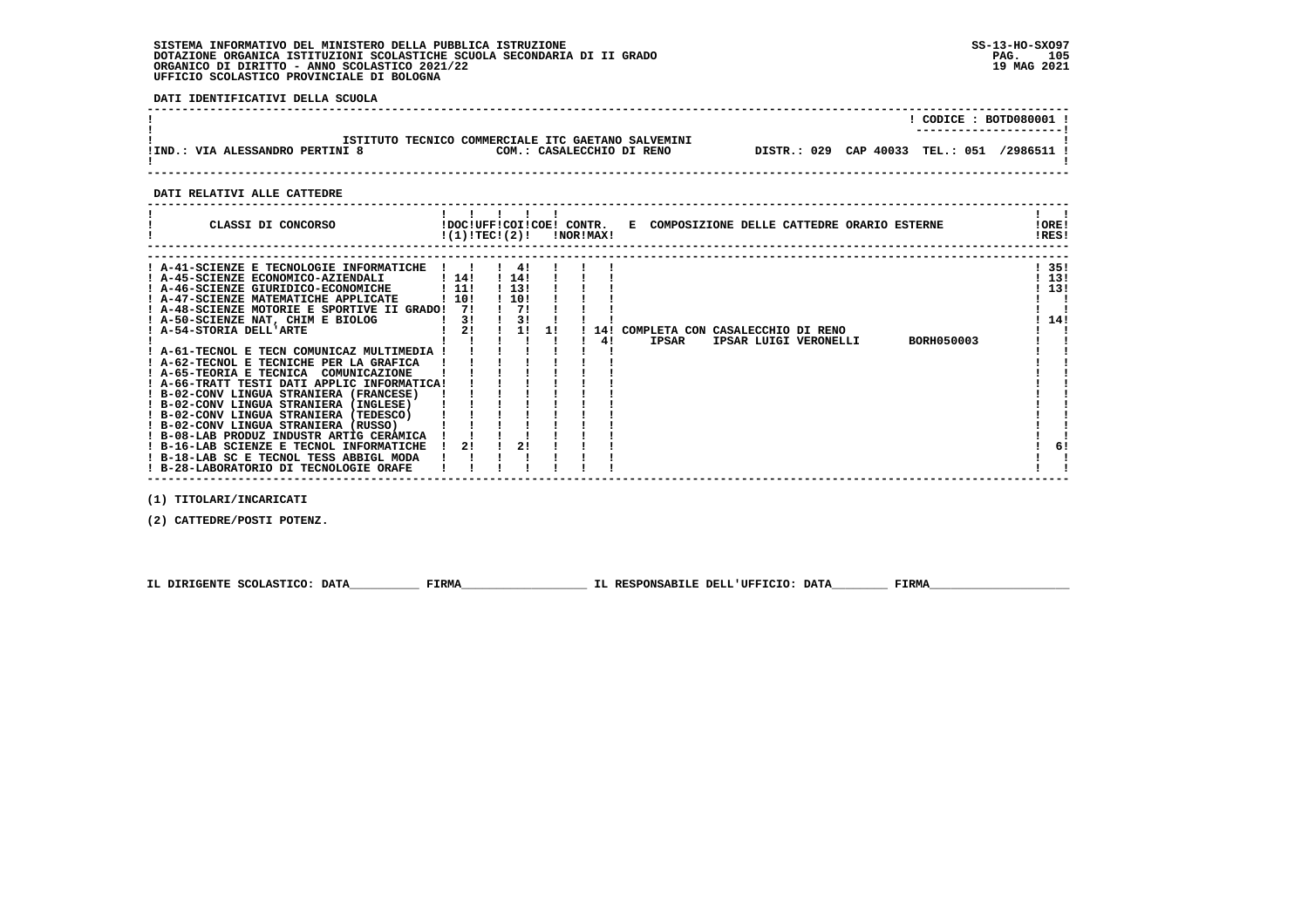**DATI IDENTIFICATIVI DELLA SCUOLA**

| !IND.: VIA ALESSANDRO PERTINI 8                                                                                                                                                                                                                                                                                                                                                                                                                                                                                                                                                                                                                                                                                                                                                                                                                                                                                                                                                                | $!$ CODICE : BOTD080001 $!$<br>ISTITUTO TECNICO COMMERCIALE ITC GAETANO SALVEMINI                                                                                                                                                                                                                                                          |                                                                                                                                          |
|------------------------------------------------------------------------------------------------------------------------------------------------------------------------------------------------------------------------------------------------------------------------------------------------------------------------------------------------------------------------------------------------------------------------------------------------------------------------------------------------------------------------------------------------------------------------------------------------------------------------------------------------------------------------------------------------------------------------------------------------------------------------------------------------------------------------------------------------------------------------------------------------------------------------------------------------------------------------------------------------|--------------------------------------------------------------------------------------------------------------------------------------------------------------------------------------------------------------------------------------------------------------------------------------------------------------------------------------------|------------------------------------------------------------------------------------------------------------------------------------------|
|                                                                                                                                                                                                                                                                                                                                                                                                                                                                                                                                                                                                                                                                                                                                                                                                                                                                                                                                                                                                |                                                                                                                                                                                                                                                                                                                                            |                                                                                                                                          |
| DATI RELATIVI ALLE CATTEDRE                                                                                                                                                                                                                                                                                                                                                                                                                                                                                                                                                                                                                                                                                                                                                                                                                                                                                                                                                                    |                                                                                                                                                                                                                                                                                                                                            |                                                                                                                                          |
|                                                                                                                                                                                                                                                                                                                                                                                                                                                                                                                                                                                                                                                                                                                                                                                                                                                                                                                                                                                                | CLASSI DI CONCORSO (DOC!UFF!COI!COE! CONTR. E COMPOSIZIONE DELLE CATTEDRE ORARIO ESTERNE<br>$!(1)!TEC!(2)!$ $INORIMAX!$                                                                                                                                                                                                                    | !ORE!<br><b>IRES!</b>                                                                                                                    |
| A-41-SCIENZE E TECNOLOGIE INFORMATICHE ! ! ! 4! !<br>! A-45-SCIENZE ECONOMICO-AZIENDALI   14!<br>! A-46-SCIENZE GIURIDICO-ECONOMICHE ! 11!<br>! A-47-SCIENZE MATEMATICHE APPLICATE : 10!<br>! A-48-SCIENZE MOTORIE E SPORTIVE II GRADO! 7!<br>$\frac{1}{2}$ $\frac{3!}{2!}$<br>! A-50-SCIENZE NAT, CHIM E BIOLOG<br>! A-54-STORIA DELL'ARTE<br>! A-61-TECNOL E TECN COMUNICAZ MULTIMEDIA ! ! ! !<br>! A-62-TECNOL E TECNICHE PER LA GRAFICA<br>1 A-65-TEORIA E TECNICA COMUNICAZIONE          <br>  A-65-TEORIA E TECNICA COMUNICAZIONE          <br>  B-02-CONV LINGUA STRANIERA (FRANCESE)          <br>! B-02-CONV LINGUA STRANIERA (INGLESE)<br>! B-02-CONV LINGUA STRANIERA (TEDESCO)<br>! B-02-CONV LINGUA STRANIERA (RUSSO)          <br>! B-08-LAB PRODUZ INDUSTR ARTIG CERAMICA ! ! ! !<br>! B-16-LAB SCIENZE E TECNOL INFORMATICHE<br>! B-18-LAB SC E TECNOL TESS ABBIGL MODA ! !<br>! B-28-LABORATORIO DI TECNOLOGIE ORAFE<br>(1) TITOLARI/INCARICATI<br>(2) CATTEDRE/POSTI POTENZ. | $1$ 14! $\blacksquare$<br>$1\,13!$ $1$<br>$\frac{1}{10!}$<br>$\frac{1}{2}$<br><b>Contract Contract</b><br>1 3 1 1 1 1<br>! 2! ! 1! !! 14! COMPLETA CON CASALECCHIO DI RENO<br>IPSAR LUIGI VERONELLI BORH050003<br>1 1 1 1 1 1 1 4 1<br><b>IPSAR</b><br>$1 - 1 - 1 - 1 - 1$<br>$1 \quad 1 \quad 1 \quad 1$<br>$1 \quad 21 \quad 1 \quad 21$ | ! 35!<br>113!<br>113!<br>$\mathbf{1}$ $\mathbf{1}$<br>$\mathbf{I}$ and $\mathbf{I}$<br>$1 \; 14!$<br>$\mathbf{I}$ and $\mathbf{I}$<br>6! |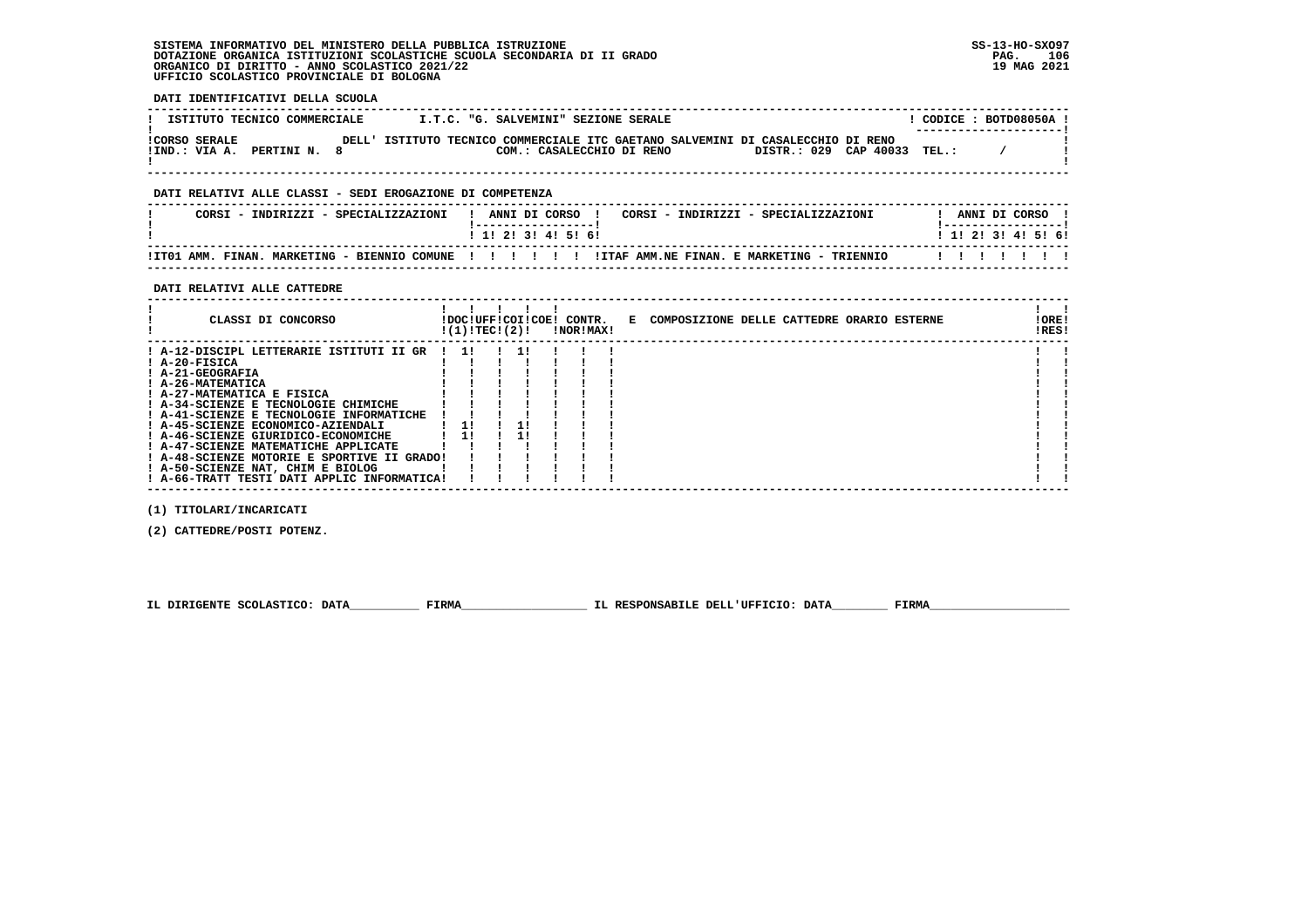**DATI IDENTIFICATIVI DELLA SCUOLA**

| ISTITUTO TECNICO COMMERCIALE                          |       |                                                                           | I.T.C. "G. SALVEMINI" SEZIONE SERALE |  |                             |  | CODICE: BOTD08050A !<br>---------------------- |  |
|-------------------------------------------------------|-------|---------------------------------------------------------------------------|--------------------------------------|--|-----------------------------|--|------------------------------------------------|--|
| <b>!CORSO SERALE</b><br>!IND.: VIA A.<br>PERTINI N. 8 | DELL' | ISTITUTO TECNICO COMMERCIALE ITC GAETANO SALVEMINI DI CASALECCHIO DI RENO | COM.: CASALECCHIO DI RENO            |  | DISTR.: 029 CAP 40033 TEL.: |  |                                                |  |

 **------------------------------------------------------------------------------------------------------------------------------------**

## **DATI RELATIVI ALLE CLASSI - SEDI EROGAZIONE DI COMPETENZA**

| CORSI - INDIRIZZI - SPECIALIZZAZIONI         | CORSI - INDIRIZZI - SPECIALIZZAZIONI<br>ANNI DI CORSO | ANNI DI CORSO             |
|----------------------------------------------|-------------------------------------------------------|---------------------------|
|                                              | ! 1! 2! 3! 4! 5! 6!                                   | 1 1 1 2 1 3 1 4 1 5 1 6 1 |
| !IT01 AMM. FINAN. MARKETING - BIENNIO COMUNE | !ITAF AMM.NE FINAN. E MARKETING - '<br>TRIENNIO<br>.  |                           |

 **------------------------------------------------------------------------------------------------------------------------------------**

 **DATI RELATIVI ALLE CATTEDRE**

| CLASSI DI CONCORSO                          | !(1)!TEC!(2)! |  | !DOC!UFF!COI!COE! CONTR.<br>!NOR!MAX! | E COMPOSIZIONE DELLE CATTEDRE ORARIO ESTERNE | ! ORE!<br>!RES! |  |
|---------------------------------------------|---------------|--|---------------------------------------|----------------------------------------------|-----------------|--|
| ! A-12-DISCIPL LETTERARIE ISTITUTI II GR    | $1 \quad 11$  |  |                                       |                                              |                 |  |
| $I$ A-20-FISICA                             |               |  |                                       |                                              |                 |  |
| ! A-21-GEOGRAFIA                            |               |  |                                       |                                              |                 |  |
| ! A-26-MATEMATICA                           |               |  |                                       |                                              |                 |  |
| ! A-27-MATEMATICA E FISICA                  |               |  |                                       |                                              |                 |  |
| ! A-34-SCIENZE E TECNOLOGIE CHIMICHE        |               |  |                                       |                                              |                 |  |
| ! A-41-SCIENZE E TECNOLOGIE INFORMATICHE    |               |  |                                       |                                              |                 |  |
| ! A-45-SCIENZE ECONOMICO-AZIENDALI          | 11            |  |                                       |                                              |                 |  |
| ! A-46-SCIENZE GIURIDICO-ECONOMICHE         | 11            |  |                                       |                                              |                 |  |
| ! A-47-SCIENZE MATEMATICHE APPLICATE        |               |  |                                       |                                              |                 |  |
| ! A-48-SCIENZE MOTORIE E SPORTIVE II GRADO! |               |  |                                       |                                              |                 |  |
| ! A-50-SCIENZE NAT, CHIM E BIOLOG           |               |  |                                       |                                              |                 |  |
| ! A-66-TRATT TESTI DATI APPLIC INFORMATICA! |               |  |                                       |                                              |                 |  |

 **(1) TITOLARI/INCARICATI**

 **(2) CATTEDRE/POSTI POTENZ.**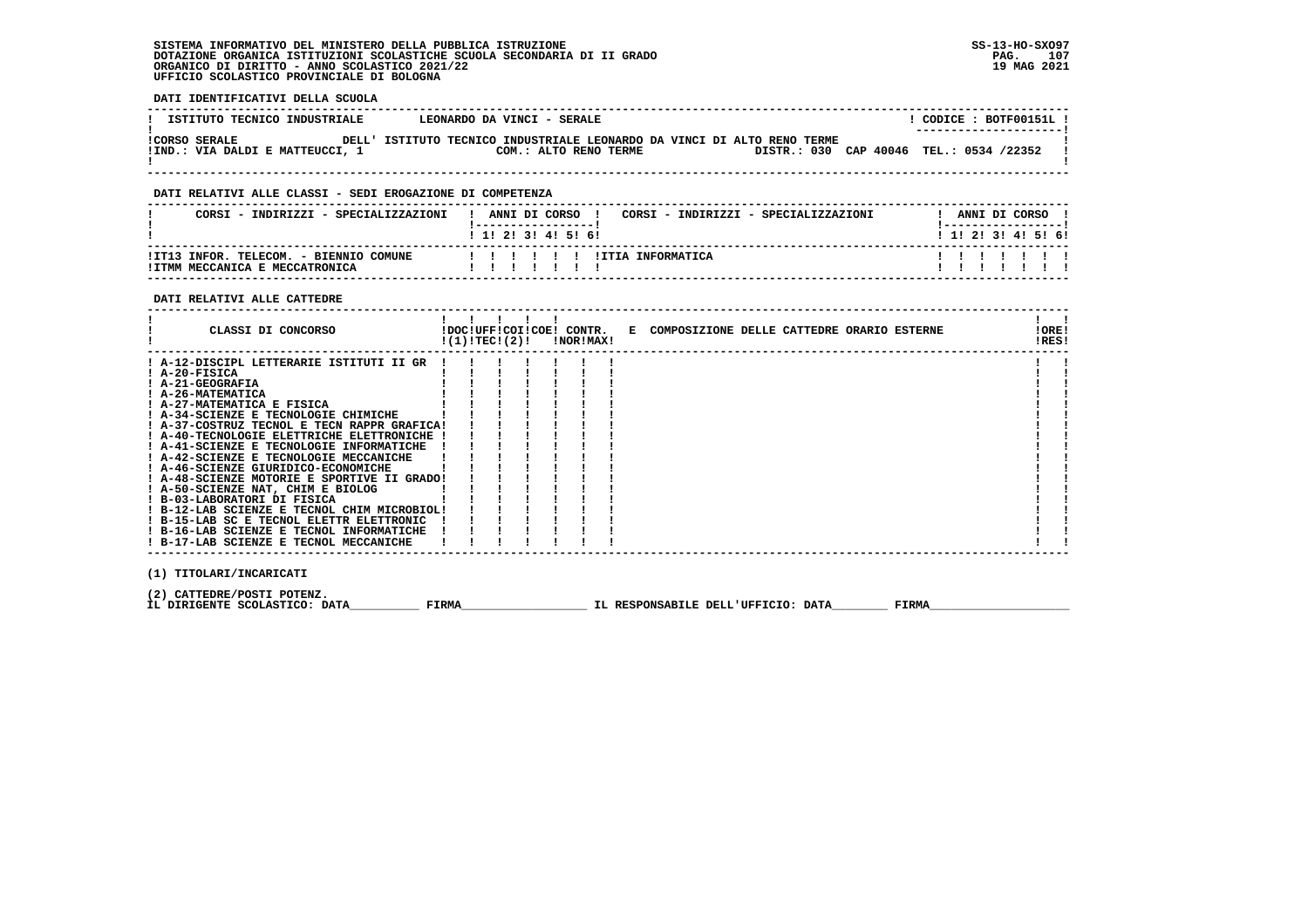### **DATI IDENTIFICATIVI DELLA SCUOLA**

| ISTITUTO TECNICO INDUSTRIALE    | LEONARDO DA VINCI - SERALE                                              | CODICE: BOTF00151L!                     |
|---------------------------------|-------------------------------------------------------------------------|-----------------------------------------|
| <b>!CORSO SERALE</b>            | DELL' ISTITUTO TECNICO INDUSTRIALE LEONARDO DA VINCI DI ALTO RENO TERME | ---------------------                   |
| !IND.: VIA DALDI E MATTEUCCI, 1 | COM.: ALTO RENO TERME                                                   | DISTR.: 030 CAP 40046 TEL.: 0534 /22352 |

 **------------------------------------------------------------------------------------------------------------------------------------**

### **DATI RELATIVI ALLE CLASSI - SEDI EROGAZIONE DI COMPETENZA**

| CORSI - INDIRIZZI - SPECIALIZZAZIONI                                     | ANNI DI CORSO !<br>CORSI - INDIRIZZI - SPECIALIZZAZIONI<br>1 1 1 2 1 3 1 4 1 5 1 6 1 | ANNI DI CORSO !<br>! _ _ _ _ _ _ _ _ _ _ _ _ _ _ _ _ _ _  <br>1 1 1 2 1 3 1 4 1 5 1 6 1 |
|--------------------------------------------------------------------------|--------------------------------------------------------------------------------------|-----------------------------------------------------------------------------------------|
| !IT13 INFOR, TELECOM, - BIENNIO COMUNE<br>IITMM MECCANICA E MECCATRONICA | !!!!!!!!!TTA INFORMATICA<br>, , , , , , ,                                            | 1111111                                                                                 |

 **------------------------------------------------------------------------------------------------------------------------------------**

### **DATI RELATIVI ALLE CATTEDRE**

| CLASSI DI CONCORSO                          | !(1)!TEC!(2)! |  | !DOC!UFF!COI!COE! CONTR.<br>!NOR!MAX! | E COMPOSIZIONE DELLE CATTEDRE ORARIO ESTERNE | ! ORE!<br>!RES! |  |
|---------------------------------------------|---------------|--|---------------------------------------|----------------------------------------------|-----------------|--|
| ! A-12-DISCIPL LETTERARIE ISTITUTI II GR    |               |  |                                       |                                              |                 |  |
| $I$ A-20-FISICA                             |               |  |                                       |                                              |                 |  |
| ! A-21-GEOGRAFIA                            |               |  |                                       |                                              |                 |  |
| ! A-26-MATEMATICA                           |               |  |                                       |                                              |                 |  |
| ! A-27-MATEMATICA E FISICA                  |               |  |                                       |                                              |                 |  |
| ! A-34-SCIENZE E TECNOLOGIE CHIMICHE        |               |  |                                       |                                              |                 |  |
| ! A-37-COSTRUZ TECNOL E TECN RAPPR GRAFICA! |               |  |                                       |                                              |                 |  |
| ! A-40-TECNOLOGIE ELETTRICHE ELETTRONICHE   |               |  |                                       |                                              |                 |  |
| ! A-41-SCIENZE E TECNOLOGIE INFORMATICHE    |               |  |                                       |                                              |                 |  |
| ! A-42-SCIENZE E TECNOLOGIE MECCANICHE      |               |  |                                       |                                              |                 |  |
| ! A-46-SCIENZE GIURIDICO-ECONOMICHE         |               |  |                                       |                                              |                 |  |
| ! A-48-SCIENZE MOTORIE E SPORTIVE II GRADO! |               |  |                                       |                                              |                 |  |
| ! A-50-SCIENZE NAT, CHIM E BIOLOG           |               |  |                                       |                                              |                 |  |
| ! B-03-LABORATORI DI FISICA                 |               |  |                                       |                                              |                 |  |
| ! B-12-LAB SCIENZE E TECNOL CHIM MICROBIOL! |               |  |                                       |                                              |                 |  |
| ! B-15-LAB SC E TECNOL ELETTR ELETTRONIC    |               |  |                                       |                                              |                 |  |
| ! B-16-LAB SCIENZE E TECNOL INFORMATICHE    |               |  |                                       |                                              |                 |  |
| ! B-17-LAB SCIENZE E TECNOL MECCANICHE      |               |  |                                       |                                              |                 |  |
|                                             |               |  |                                       |                                              |                 |  |

 **(1) TITOLARI/INCARICATI**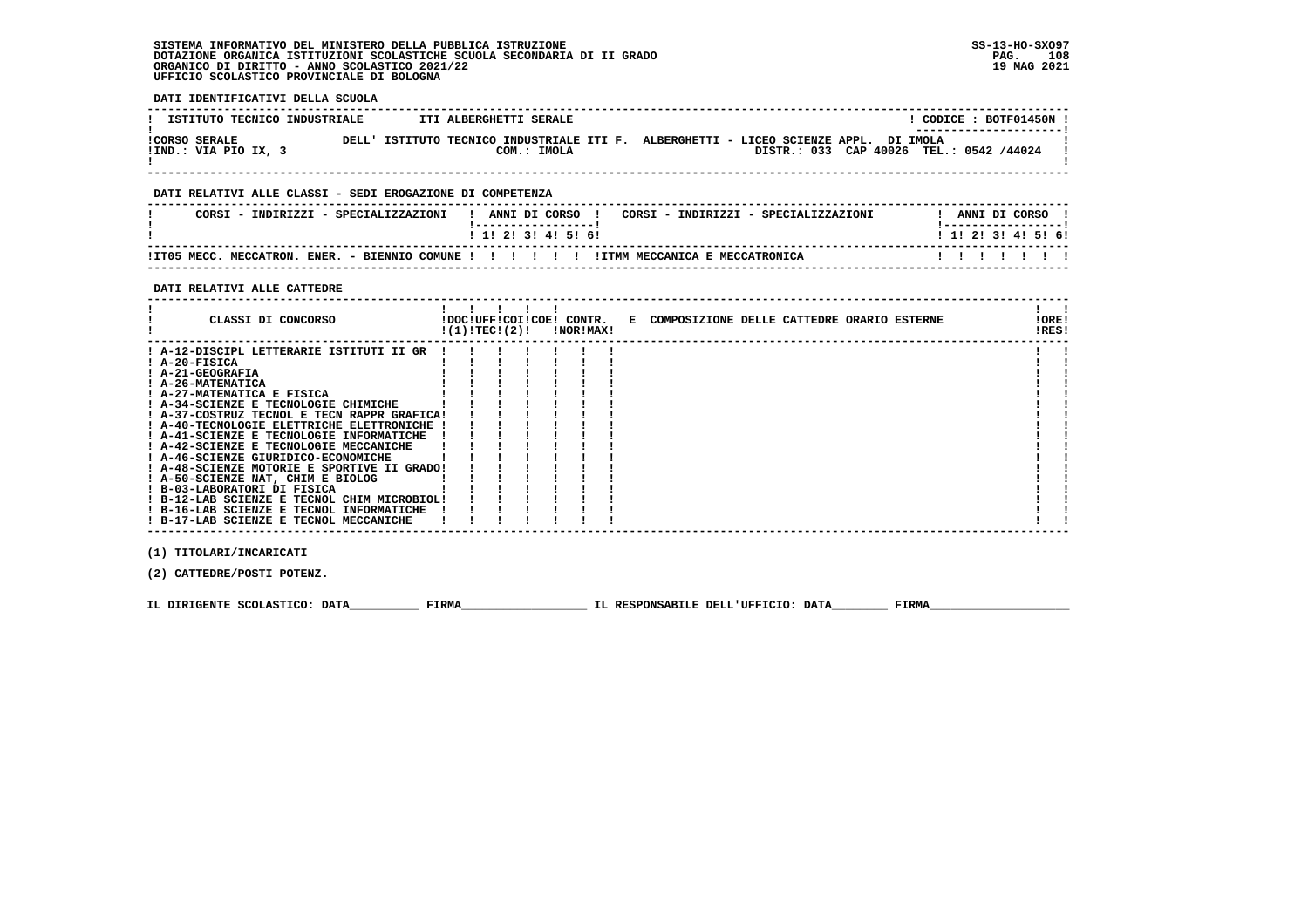**DATI IDENTIFICATIVI DELLA SCUOLA**

| ISTITUTO TECNICO INDUSTRIALE                 |       | ITI ALBERGHETTI SERALE                                                                        |  |  |  |  | CODICE: BOTF01450N<br>----------------------- |  |
|----------------------------------------------|-------|-----------------------------------------------------------------------------------------------|--|--|--|--|-----------------------------------------------|--|
| <b>!CORSO SERALE</b><br>!IND.: VIA PIO IX, 3 | DELL' | ISTITUTO TECNICO INDUSTRIALE ITI F. ALBERGHETTI - LICEO SCIENZE APPL. DI IMOLA<br>COM.: IMOLA |  |  |  |  | DISTR.: 033 CAP 40026 TEL.: 0542 /44024       |  |

 **------------------------------------------------------------------------------------------------------------------------------------**

## **DATI RELATIVI ALLE CLASSI - SEDI EROGAZIONE DI COMPETENZA**

| CORSI - INDIRIZZI - SPECIALIZZAZIONI |                                                                     |  | ANNI DI CORSO     |  |  |  |  | CORSI - INDIRIZZI - SPECIALIZZAZIONI |  | ANNI DI CORSO |  |                           |  |
|--------------------------------------|---------------------------------------------------------------------|--|-------------------|--|--|--|--|--------------------------------------|--|---------------|--|---------------------------|--|
|                                      |                                                                     |  | 1 1 2 3 3 4 5 6 6 |  |  |  |  |                                      |  |               |  | 1 1 1 2 1 3 1 4 1 5 1 6 1 |  |
| IIT05 MECC. MECCATRON.               | ENER. - BIENNIO COMUNE ! ! ! ! !! ! ! ITMM MECCANICA E MECCATRONICA |  |                   |  |  |  |  |                                      |  |               |  |                           |  |

 **------------------------------------------------------------------------------------------------------------------------------------**

### **DATI RELATIVI ALLE CATTEDRE**

| CLASSI DI CONCORSO                          | !(1)!TEC!(2)! |  | !DOC!UFF!COI!COE! CONTR.<br>!NOR!MAX! | E COMPOSIZIONE DELLE CATTEDRE ORARIO ESTERNE | !ORE!<br>!RES! |  |
|---------------------------------------------|---------------|--|---------------------------------------|----------------------------------------------|----------------|--|
| ! A-12-DISCIPL LETTERARIE ISTITUTI II GR    |               |  |                                       |                                              |                |  |
| ! A-20-FISICA                               |               |  |                                       |                                              |                |  |
| ! A-21-GEOGRAFIA                            |               |  |                                       |                                              |                |  |
| ! A-26-MATEMATICA                           |               |  |                                       |                                              |                |  |
| ! A-27-MATEMATICA E FISICA                  |               |  |                                       |                                              |                |  |
| ! A-34-SCIENZE E TECNOLOGIE CHIMICHE        |               |  |                                       |                                              |                |  |
| ! A-37-COSTRUZ TECNOL E TECN RAPPR GRAFICA! |               |  |                                       |                                              |                |  |
| ! A-40-TECNOLOGIE ELETTRICHE ELETTRONICHE ! |               |  |                                       |                                              |                |  |
| ! A-41-SCIENZE E TECNOLOGIE INFORMATICHE    |               |  |                                       |                                              |                |  |
| ! A-42-SCIENZE E TECNOLOGIE MECCANICHE      |               |  |                                       |                                              |                |  |
| ! A-46-SCIENZE GIURIDICO-ECONOMICHE         |               |  |                                       |                                              |                |  |
| ! A-48-SCIENZE MOTORIE E SPORTIVE II GRADO! |               |  |                                       |                                              |                |  |
| ! A-50-SCIENZE NAT, CHIM E BIOLOG           |               |  |                                       |                                              |                |  |
| ! B-03-LABORATORI DI FISICA                 |               |  |                                       |                                              |                |  |
| ! B-12-LAB SCIENZE E TECNOL CHIM MICROBIOL! |               |  |                                       |                                              |                |  |
| ! B-16-LAB SCIENZE E TECNOL INFORMATICHE    |               |  |                                       |                                              |                |  |
| ! B-17-LAB SCIENZE E TECNOL MECCANICHE      |               |  |                                       |                                              |                |  |

 **(1) TITOLARI/INCARICATI**

 **(2) CATTEDRE/POSTI POTENZ.**

 **IL DIRIGENTE SCOLASTICO: DATA\_\_\_\_\_\_\_\_\_\_ FIRMA\_\_\_\_\_\_\_\_\_\_\_\_\_\_\_\_\_\_ IL RESPONSABILE DELL'UFFICIO: DATA\_\_\_\_\_\_\_\_ FIRMA\_\_\_\_\_\_\_\_\_\_\_\_\_\_\_\_\_\_\_\_**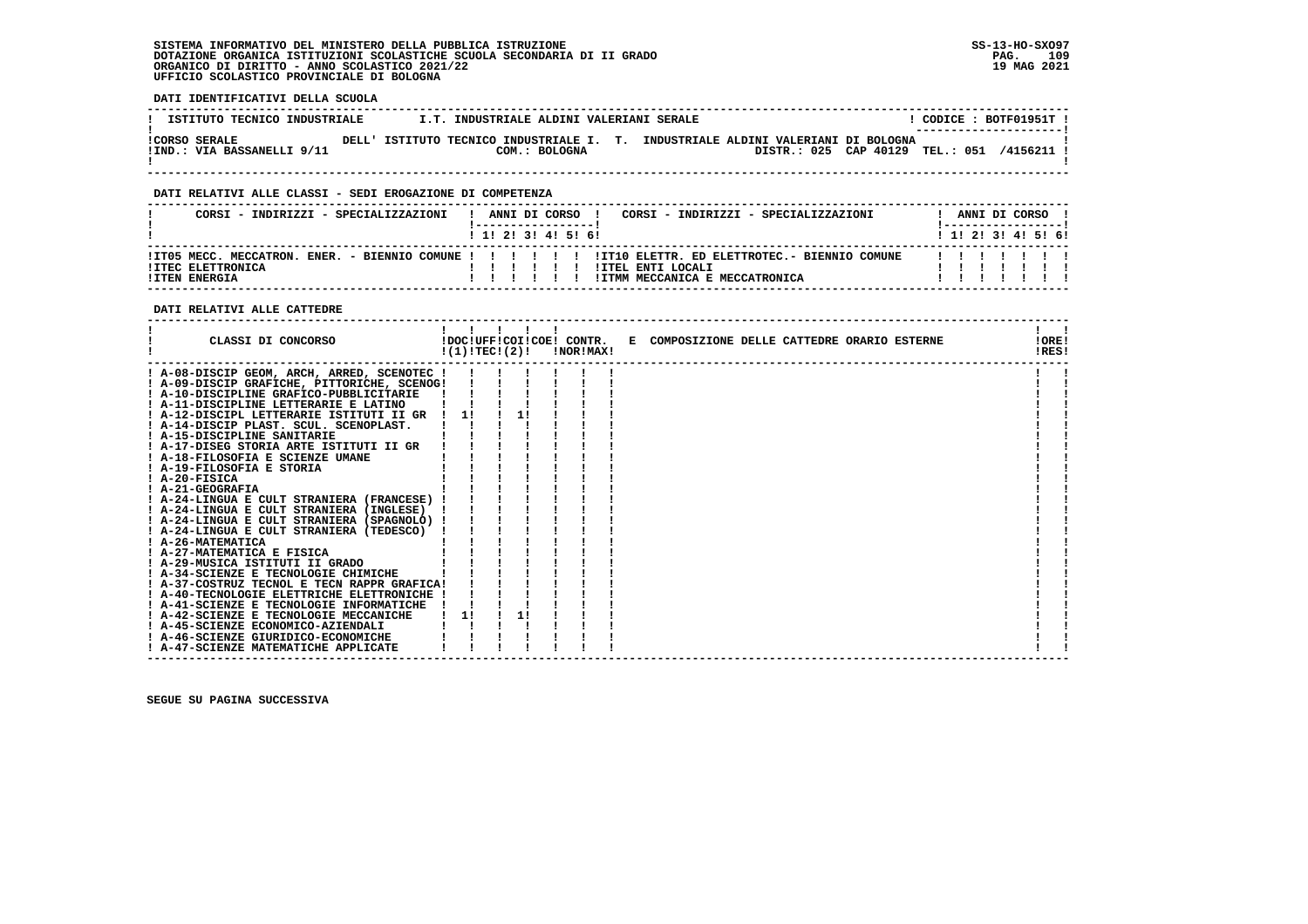# **SISTEMA INFORMATIVO DEL MINISTERO DELLA PUBBLICA ISTRUZIONE SS-13-HO-SXO97**DOTAZIONE ORGANICA ISTITUZIONI SCOLASTICHE SCUOLA SECONDARIA DI II GRADO<br>ORGANICO DI DIRITTO - ANNO SCOLASTICO 2021/22<br>UFFICIO SCOLASTICO PROVINCIALE DI BOLOGNA

### **DATI IDENTIFICATIVI DELLA SCUOLA**

| ISTITUTO TECNICO INDUSTRIALE                       |                                                                                  | I.T. INDUSTRIALE ALDINI VALERIANI SERALE |  |  |                                 |  | CODICE: BOTF01951T !<br>--------------------- |  |
|----------------------------------------------------|----------------------------------------------------------------------------------|------------------------------------------|--|--|---------------------------------|--|-----------------------------------------------|--|
| <b>!CORSO SERALE</b><br>!IND.: VIA BASSANELLI 9/11 | DELL' ISTITUTO TECNICO INDUSTRIALE I. T. INDUSTRIALE ALDINI VALERIANI DI BOLOGNA | COM.: BOLOGNA                            |  |  | DISTR.: 025 CAP 40129 TEL.: 051 |  | 4156211                                       |  |

 **------------------------------------------------------------------------------------------------------------------------------------**

### **DATI RELATIVI ALLE CLASSI - SEDI EROGAZIONE DI COMPETENZA**

| CORSI - INDIRIZZI - SPECIALIZZAZIONI |  |  |                   | ANNI DI CORSO !<br>CORSI - INDIRIZZI - SPECIALIZZAZIONI                                                                      |                           |  | ANNI DI CORSO ! |  |
|--------------------------------------|--|--|-------------------|------------------------------------------------------------------------------------------------------------------------------|---------------------------|--|-----------------|--|
|                                      |  |  | 1 1 2 3 3 4 5 6 1 |                                                                                                                              | 1 1 1 2 1 3 1 4 1 5 1 6 1 |  |                 |  |
| !ITEC ELETTRONICA                    |  |  |                   | ITT05 MECC. MECCATRON. ENER. - BIENNIO COMUNE ! ! ! !!!!!! ITT10 ELETTR. ED ELETTROTEC.- BIENNIO COMUNE<br>!ITEL ENTI LOCALI |                           |  |                 |  |
| <b>!ITEN ENERGIA</b>                 |  |  |                   | IITMM MECCANICA E MECCATRONICA                                                                                               |                           |  |                 |  |

## **DATI RELATIVI ALLE CATTEDRE**

| CLASSI DI CONCORSO                          | !(1)!TECI(2)! | $\blacksquare$ |    | !DOC!UFF!COI!COE! CONTR.<br>!NOR!MAX! | E COMPOSIZIONE DELLE CATTEDRE ORARIO ESTERNE | !ORE!<br>!RES! |  |
|---------------------------------------------|---------------|----------------|----|---------------------------------------|----------------------------------------------|----------------|--|
| ! A-08-DISCIP GEOM, ARCH, ARRED, SCENOTEC ! |               |                |    |                                       |                                              |                |  |
| ! A-09-DISCIP GRAFICHE, PITTORICHE, SCENOG! |               |                |    |                                       |                                              |                |  |
| ! A-10-DISCIPLINE GRAFICO-PUBBLICITARIE     |               |                |    |                                       |                                              |                |  |
| ! A-11-DISCIPLINE LETTERARIE E LATINO       |               |                |    |                                       |                                              |                |  |
| ! A-12-DISCIPL LETTERARIE ISTITUTI II GR    |               |                |    |                                       |                                              |                |  |
| ! A-14-DISCIP PLAST. SCUL. SCENOPLAST.      |               |                |    |                                       |                                              |                |  |
| ! A-15-DISCIPLINE SANITARIE                 |               |                |    |                                       |                                              |                |  |
| ! A-17-DISEG STORIA ARTE ISTITUTI II GR     |               |                |    |                                       |                                              |                |  |
| ! A-18-FILOSOFIA E SCIENZE UMANE            |               |                |    |                                       |                                              |                |  |
| ! A-19-FILOSOFIA E STORIA                   |               |                |    |                                       |                                              |                |  |
| $I$ A-20-FISICA                             |               |                |    |                                       |                                              |                |  |
| ! A-21-GEOGRAFIA                            |               |                |    |                                       |                                              |                |  |
| ! A-24-LINGUA E CULT STRANIERA (FRANCESE)   |               |                |    |                                       |                                              |                |  |
| ! A-24-LINGUA E CULT STRANIERA (INGLESE)    |               |                |    |                                       |                                              |                |  |
| ! A-24-LINGUA E CULT STRANIERA (SPAGNOLO)   |               |                |    |                                       |                                              |                |  |
| ! A-24-LINGUA E CULT STRANIERA (TEDESCO)    |               |                |    |                                       |                                              |                |  |
| ! A-26-MATEMATICA                           |               |                |    |                                       |                                              |                |  |
| ! A-27-MATEMATICA E FISICA                  |               |                |    |                                       |                                              |                |  |
| ! A-29-MUSICA ISTITUTI II GRADO             |               |                |    |                                       |                                              |                |  |
| ! A-34-SCIENZE E TECNOLOGIE CHIMICHE        |               |                |    |                                       |                                              |                |  |
| ! A-37-COSTRUZ TECNOL E TECN RAPPR GRAFICA! |               |                |    |                                       |                                              |                |  |
| ! A-40-TECNOLOGIE ELETTRICHE ELETTRONICHE   |               |                |    |                                       |                                              |                |  |
| ! A-41-SCIENZE E TECNOLOGIE INFORMATICHE    |               |                |    |                                       |                                              |                |  |
| ! A-42-SCIENZE E TECNOLOGIE MECCANICHE      | 1!            |                | 1! |                                       |                                              |                |  |
| ! A-45-SCIENZE ECONOMICO-AZIENDALI          |               |                |    |                                       |                                              |                |  |
| ! A-46-SCIENZE GIURIDICO-ECONOMICHE         |               |                |    |                                       |                                              |                |  |
| ! A-47-SCIENZE MATEMATICHE APPLICATE        |               |                |    |                                       |                                              |                |  |

 **SEGUE SU PAGINA SUCCESSIVA**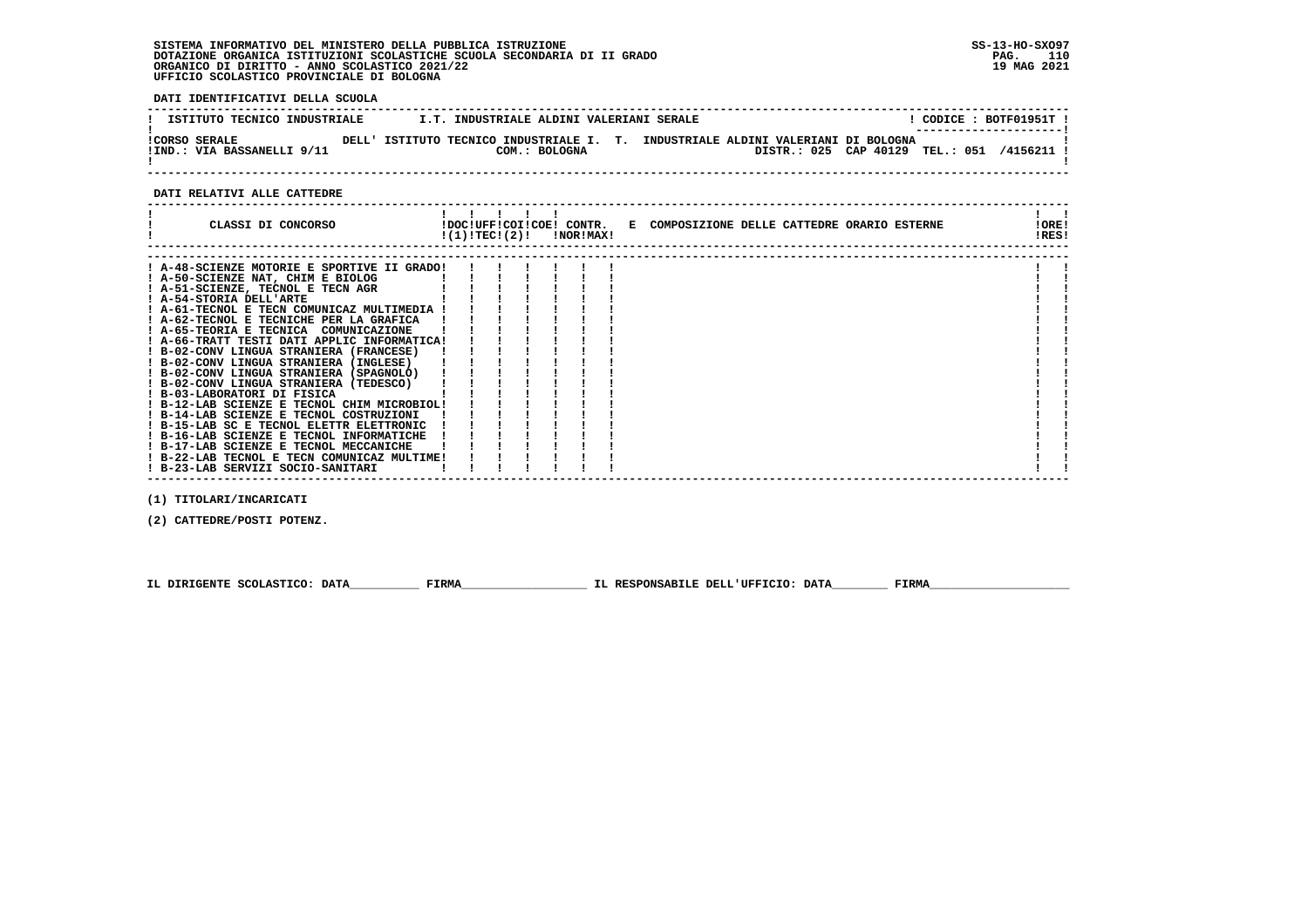# **SISTEMA INFORMATIVO DEL MINISTERO DELLA PUBBLICA ISTRUZIONE SS-13-HO-SXO97 DOTAZIONE ORGANICA ISTITUZIONI SCOLASTICHE SCUOLA SECONDARIA DI II GRADO PAG. 110 ORGANICO DI DIRITTO - ANNO SCOLASTICO 2021/22 19 MAG 2021 UFFICIO SCOLASTICO PROVINCIALE DI BOLOGNA**

 **DATI IDENTIFICATIVI DELLA SCUOLA**

| ISTITUTO TECNICO INDUSTRIALE                       | I.T. INDUSTRIALE ALDINI VALERIANI SERALE                  |  |                                                                            |  | CODICE: BOTF01951T !               |
|----------------------------------------------------|-----------------------------------------------------------|--|----------------------------------------------------------------------------|--|------------------------------------|
| <b>!CORSO SERALE</b><br>!IND.: VIA BASSANELLI 9/11 | DELL' ISTITUTO TECNICO INDUSTRIALE I. T.<br>COM.: BOLOGNA |  | INDUSTRIALE ALDINI VALERIANI DI BOLOGNA<br>DISTR.: 025 CAP 40129 TEL.: 051 |  | --------------------- <br>/4156211 |

 **------------------------------------------------------------------------------------------------------------------------------------**

### **DATI RELATIVI ALLE CATTEDRE**

| ! A-48-SCIENZE MOTORIE E SPORTIVE II GRADO!<br>! A-50-SCIENZE NAT, CHIM E BIOLOG<br>! A-51-SCIENZE, TECNOL E TECN AGR<br>! A-54-STORIA DELL'ARTE<br>! A-61-TECNOL E TECN COMUNICAZ MULTIMEDIA !<br>! A-62-TECNOL E TECNICHE PER LA GRAFICA<br>! A-65-TEORIA E TECNICA COMUNICAZIONE<br>! A-66-TRATT TESTI DATI APPLIC INFORMATICA!<br>! B-02-CONV LINGUA STRANIERA (FRANCESE) | !RES! |
|-------------------------------------------------------------------------------------------------------------------------------------------------------------------------------------------------------------------------------------------------------------------------------------------------------------------------------------------------------------------------------|-------|
|                                                                                                                                                                                                                                                                                                                                                                               |       |
|                                                                                                                                                                                                                                                                                                                                                                               |       |
|                                                                                                                                                                                                                                                                                                                                                                               |       |
|                                                                                                                                                                                                                                                                                                                                                                               |       |
|                                                                                                                                                                                                                                                                                                                                                                               |       |
|                                                                                                                                                                                                                                                                                                                                                                               |       |
|                                                                                                                                                                                                                                                                                                                                                                               |       |
|                                                                                                                                                                                                                                                                                                                                                                               |       |
|                                                                                                                                                                                                                                                                                                                                                                               |       |
| ! B-02-CONV LINGUA STRANIERA (INGLESE)                                                                                                                                                                                                                                                                                                                                        |       |
| ! B-02-CONV LINGUA STRANIERA (SPAGNOLO)                                                                                                                                                                                                                                                                                                                                       |       |
| ! B-02-CONV LINGUA STRANIERA (TEDESCO)                                                                                                                                                                                                                                                                                                                                        |       |
| ! B-03-LABORATORI DI FISICA                                                                                                                                                                                                                                                                                                                                                   |       |
| ! B-12-LAB SCIENZE E TECNOL CHIM MICROBIOL!                                                                                                                                                                                                                                                                                                                                   |       |
| ! B-14-LAB SCIENZE E TECNOL COSTRUZIONI                                                                                                                                                                                                                                                                                                                                       |       |
| ! B-15-LAB SC E TECNOL ELETTR ELETTRONIC                                                                                                                                                                                                                                                                                                                                      |       |
| ! B-16-LAB SCIENZE E TECNOL INFORMATICHE                                                                                                                                                                                                                                                                                                                                      |       |
| ! B-17-LAB SCIENZE E TECNOL MECCANICHE                                                                                                                                                                                                                                                                                                                                        |       |
| ! B-22-LAB TECNOL E TECN COMUNICAZ MULTIME!                                                                                                                                                                                                                                                                                                                                   |       |
| ! B-23-LAB SERVIZI SOCIO-SANITARI                                                                                                                                                                                                                                                                                                                                             |       |

 **(1) TITOLARI/INCARICATI**

 **(2) CATTEDRE/POSTI POTENZ.**

 **IL DIRIGENTE SCOLASTICO: DATA\_\_\_\_\_\_\_\_\_\_ FIRMA\_\_\_\_\_\_\_\_\_\_\_\_\_\_\_\_\_\_ IL RESPONSABILE DELL'UFFICIO: DATA\_\_\_\_\_\_\_\_ FIRMA\_\_\_\_\_\_\_\_\_\_\_\_\_\_\_\_\_\_\_\_**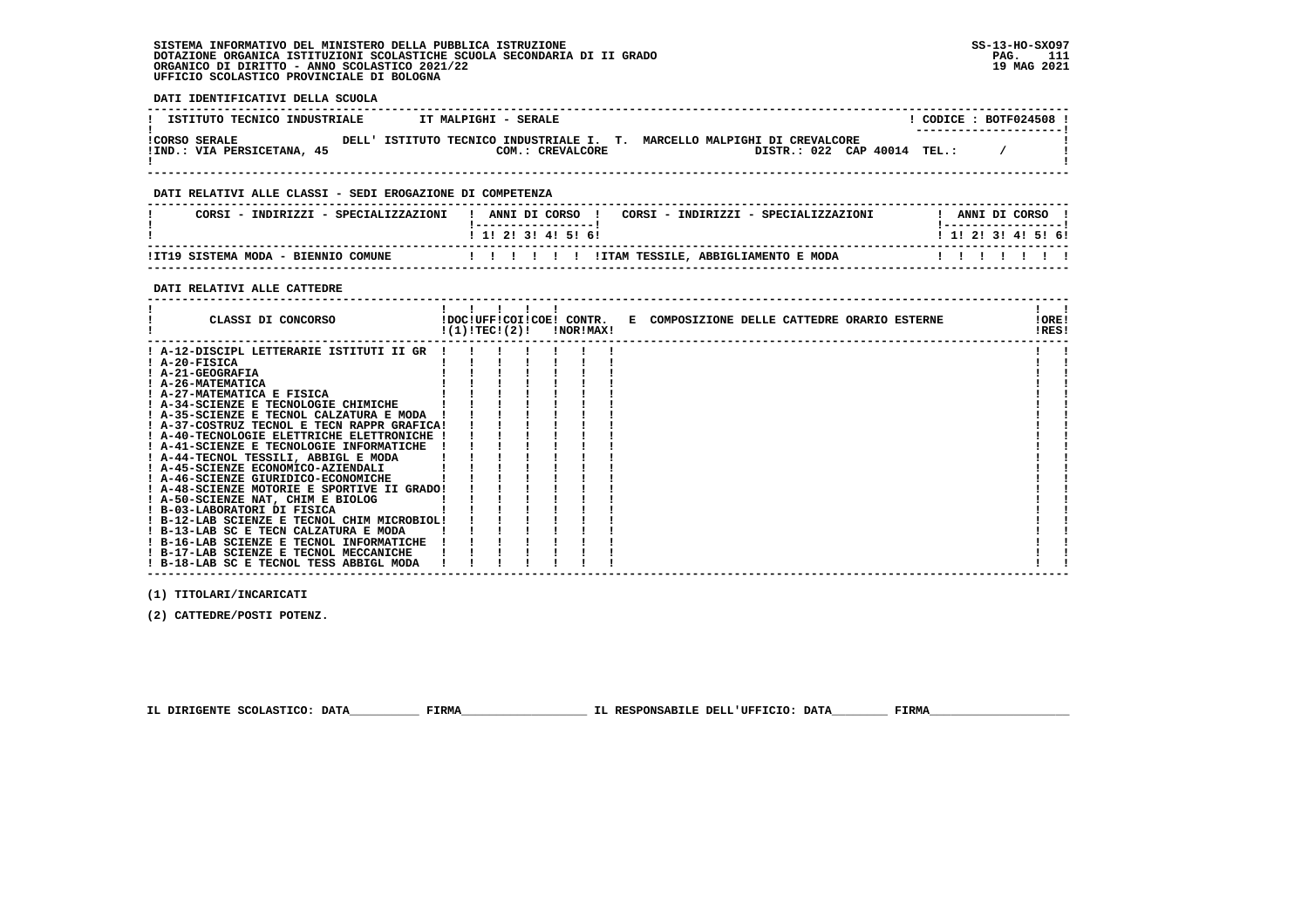**SISTEMA INFORMATIVO DEL MINISTERO DELLA PUBBLICA ISTRUZIONE SS-13-HO-SXO97 DOTAZIONE ORGANICA ISTITUZIONI SCOLASTICHE SCUOLA SECONDARIA DI II GRADO PAG. 111 ORGANICO DI DIRITTO - ANNO SCOLASTICO 2021/22 19 MAG 2021 UFFICIO SCOLASTICO PROVINCIALE DI BOLOGNA**

 **DATI IDENTIFICATIVI DELLA SCUOLA**

| ISTITUTO TECNICO INDUSTRIALE                              | IT MALPIGHI - SERALE                                                                                                                                             | ! CODICE : BOTF024508 !                 |
|-----------------------------------------------------------|------------------------------------------------------------------------------------------------------------------------------------------------------------------|-----------------------------------------|
| !IND.: VIA PERSICETANA, 45                                | CORSO SERALE                         DELL' ISTITUTO TECNICO INDUSTRIALE I. T. MARCELLO MALPIGHI DI CREVALCORE<br>DISTR.: 022 CAP 40014 TEL.:<br>COM.: CREVALCORE |                                         |
|                                                           |                                                                                                                                                                  |                                         |
| DATI RELATIVI ALLE CLASSI - SEDI EROGAZIONE DI COMPETENZA |                                                                                                                                                                  |                                         |
| CORSI - INDIRIZZI - SPECIALIZZAZIONI                      | ! ANNI DI CORSO ! CORSI - INDIRIZZI - SPECIALIZZAZIONI<br>! -----------------!                                                                                   | ANNI DI CORSO !<br>! -----------------! |
|                                                           | 1 1 2 2 1 3 1 4 1 5 1 6 1                                                                                                                                        | 1 1! 2! 3! 4! 5! 6!                     |
|                                                           | IT19 SISTEMA MODA - BIENNIO COMUNE                 ! ! ! ! ! ! ITAM TESSILE, ABBIGLIAMENTO E MODA!                                                               |                                         |
| DATI RELATIVI ALLE CATTEDRE                               |                                                                                                                                                                  |                                         |
|                                                           |                                                                                                                                                                  |                                         |

| CLASSI DI CONCORSO                          |  |  | $!(1)!TEC!(2)!$ $INORIMAX!$ | !DOC!UFF!COI!COE! CONTR. E COMPOSIZIONE DELLE CATTEDRE ORARIO ESTERNE | !ORE!<br>!RES! |  |
|---------------------------------------------|--|--|-----------------------------|-----------------------------------------------------------------------|----------------|--|
|                                             |  |  |                             |                                                                       |                |  |
| ! A-12-DISCIPL LETTERARIE ISTITUTI II GR !  |  |  |                             |                                                                       |                |  |
| $I$ A-20-FISICA                             |  |  |                             |                                                                       |                |  |
| ! A-21-GEOGRAFIA                            |  |  |                             |                                                                       |                |  |
| ! A-26-MATEMATICA                           |  |  |                             |                                                                       |                |  |
| ! A-27-MATEMATICA E FISICA                  |  |  |                             |                                                                       |                |  |
| ! A-34-SCIENZE E TECNOLOGIE CHIMICHE        |  |  |                             |                                                                       |                |  |
| ! A-35-SCIENZE E TECNOL CALZATURA E MODA    |  |  |                             |                                                                       |                |  |
| ! A-37-COSTRUZ TECNOL E TECN RAPPR GRAFICA! |  |  |                             |                                                                       |                |  |
| ! A-40-TECNOLOGIE ELETTRICHE ELETTRONICHE ! |  |  |                             |                                                                       |                |  |
| ! A-41-SCIENZE E TECNOLOGIE INFORMATICHE    |  |  |                             |                                                                       |                |  |
| ! A-44-TECNOL TESSILI, ABBIGL E MODA        |  |  |                             |                                                                       |                |  |
| ! A-45-SCIENZE ECONOMICO-AZIENDALI          |  |  |                             |                                                                       |                |  |
| ! A-46-SCIENZE GIURIDICO-ECONOMICHE         |  |  |                             |                                                                       |                |  |
| ! A-48-SCIENZE MOTORIE E SPORTIVE II GRADO! |  |  |                             |                                                                       |                |  |
| ! A-50-SCIENZE NAT, CHIM E BIOLOG           |  |  |                             |                                                                       |                |  |
| ! B-03-LABORATORI DI FISICA                 |  |  |                             |                                                                       |                |  |
| ! B-12-LAB SCIENZE E TECNOL CHIM MICROBIOL! |  |  |                             |                                                                       |                |  |
| ! B-13-LAB SC E TECN CALZATURA E MODA       |  |  |                             |                                                                       |                |  |
| ! B-16-LAB SCIENZE E TECNOL INFORMATICHE    |  |  |                             |                                                                       |                |  |
| ! B-17-LAB SCIENZE E TECNOL MECCANICHE      |  |  |                             |                                                                       |                |  |
| ! B-18-LAB SC E TECNOL TESS ABBIGL MODA     |  |  |                             |                                                                       |                |  |

 **------------------------------------------------------------------------------------------------------------------------------------**

 **(1) TITOLARI/INCARICATI**

 **(2) CATTEDRE/POSTI POTENZ.**

 **IL DIRIGENTE SCOLASTICO: DATA\_\_\_\_\_\_\_\_\_\_ FIRMA\_\_\_\_\_\_\_\_\_\_\_\_\_\_\_\_\_\_ IL RESPONSABILE DELL'UFFICIO: DATA\_\_\_\_\_\_\_\_ FIRMA\_\_\_\_\_\_\_\_\_\_\_\_\_\_\_\_\_\_\_\_**